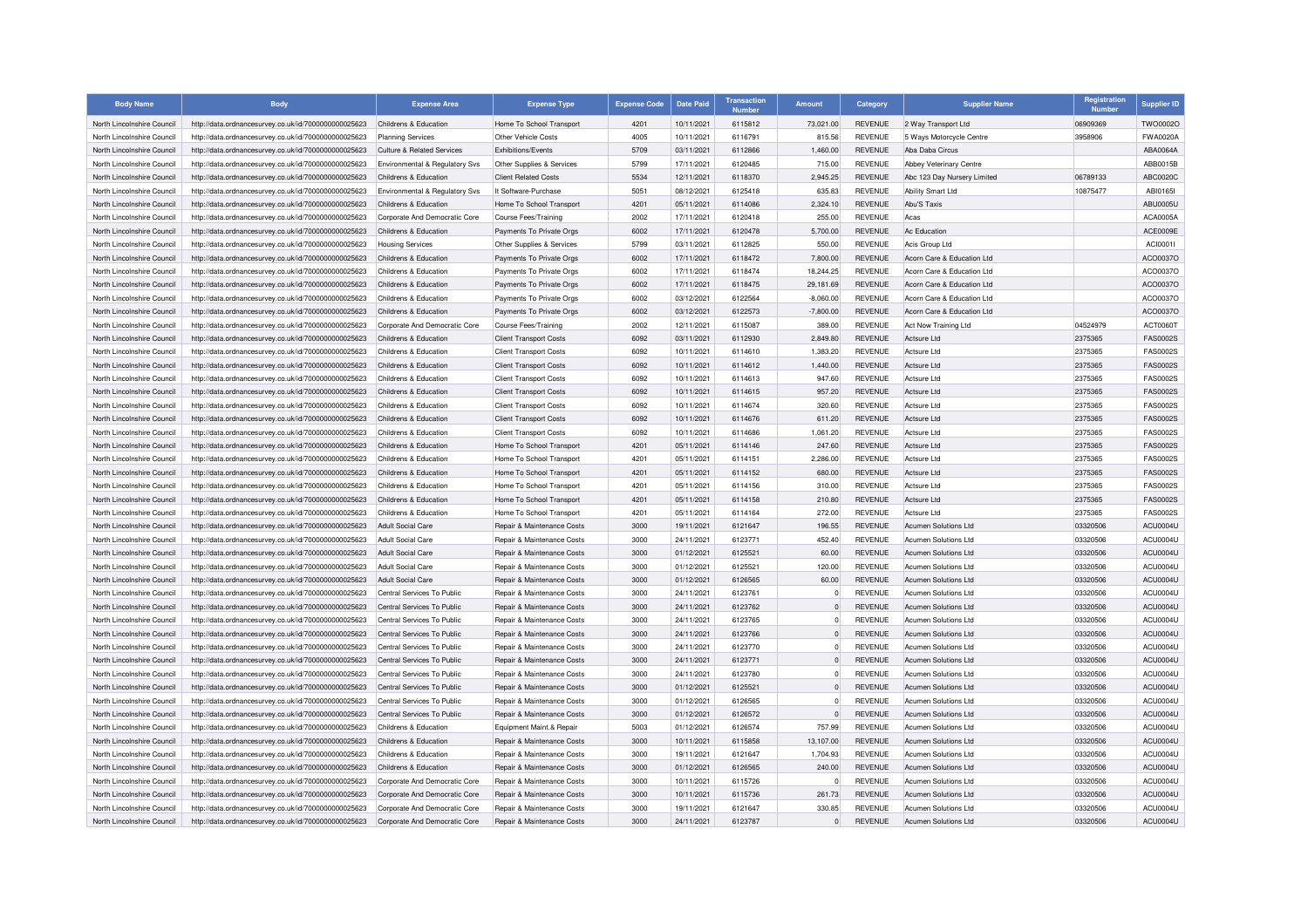| <b>Body Name</b>           | <b>Body</b>                                                                                                  | <b>Expense Area</b>            | <b>Expense Type</b>           | <b>Expense Code</b> | <b>Date Paid</b> | <b>Transaction</b><br><b>Numbo</b> | <b>Amount</b>  | Category       | <b>Supplier Name</b>        | Registration<br><b>Number</b> | <b>Supplier ID</b> |
|----------------------------|--------------------------------------------------------------------------------------------------------------|--------------------------------|-------------------------------|---------------------|------------------|------------------------------------|----------------|----------------|-----------------------------|-------------------------------|--------------------|
| North Lincolnshire Council | http://data.ordnancesurvey.co.uk/id/7000000000025623                                                         | Childrens & Education          | Home To School Transport      | 4201                | 10/11/2021       | 6115812                            | 73,021.00      | <b>REVENUE</b> | 2 Way Transport Ltd         | 06909369                      | TWO0002O           |
| North Lincolnshire Council | http://data.ordnancesurvey.co.uk/id/7000000000025623                                                         | <b>Planning Services</b>       | Other Vehicle Costs           | 4005                | 10/11/2021       | 611679                             | 815.56         | <b>REVENUE</b> | 5 Ways Motorcycle Centre    | 3958906                       | <b>FWA0020A</b>    |
| North Lincolnshire Council | http://data.ordnancesurvey.co.uk/id/7000000000025623                                                         | Culture & Related Services     | Exhibitions/Events            | 5709                | 03/11/2021       | 6112866                            | 1,460.00       | <b>REVENUE</b> | Aba Daba Circus             |                               | ABA0064A           |
| North Lincolnshire Council | http://data.ordnancesurvey.co.uk/id/7000000000025623                                                         | Environmental & Regulatory Svs | Other Supplies & Services     | 5799                | 17/11/2021       | 6120485                            | 715.00         | <b>REVENUE</b> | Abbey Veterinary Centre     |                               | ABB0015B           |
| North Lincolnshire Council | http://data.ordnancesurvey.co.uk/id/7000000000025623                                                         | Childrens & Education          | <b>Client Related Costs</b>   | 5534                | 12/11/2021       | 6118370                            | 2,945.25       | <b>REVENUE</b> | Abc 123 Day Nursery Limited | 06789133                      | ABC0020C           |
| North Lincolnshire Council | http://data.ordnancesurvey.co.uk/id/7000000000025623                                                         | Environmental & Regulatory Sys | It Software-Purchase          | 5051                | 08/12/2021       | 6125418                            | 635.83         | <b>REVENUE</b> | <b>Ability Smart Ltd</b>    | 10875477                      | ABI01651           |
| North Lincolnshire Council | http://data.ordnancesurvey.co.uk/id/7000000000025623                                                         | Childrens & Education          | Home To School Transport      | 4201                | 05/11/2021       | 6114086                            | 2,324.10       | <b>REVENUE</b> | Abu'S Taxis                 |                               | <b>ABU0005U</b>    |
| North Lincolnshire Council | http://data.ordnancesurvey.co.uk/id/7000000000025623                                                         | Corporate And Democratic Core  | <b>Course Fees/Training</b>   | 2002                | 17/11/2021       | 6120418                            | 255.00         | <b>REVENUE</b> | Acas                        |                               | ACA0005A           |
| North Lincolnshire Council | http://data.ordnancesurvey.co.uk/id/7000000000025623                                                         | Childrens & Education          | Payments To Private Orgs      | 6002                | 17/11/2021       | 6120478                            | 5,700.00       | <b>REVENUE</b> | Ac Education                |                               | ACE0009E           |
| North Lincolnshire Council | http://data.ordnancesurvey.co.uk/id/7000000000025623                                                         | <b>Housing Services</b>        | Other Supplies & Services     | 5799                | 03/11/2021       | 6112825                            | 550.00         | <b>REVENUE</b> | Acis Group Ltd              |                               | ACI0001I           |
| North Lincolnshire Council | http://data.ordnancesurvey.co.uk/id/7000000000025623                                                         | Childrens & Education          | Payments To Private Orgs      | 6002                | 17/11/2021       | 6118472                            | 7,800.00       | <b>REVENUE</b> | Acorn Care & Education Ltd  |                               | ACO0037C           |
| North Lincolnshire Council | http://data.ordnancesurvey.co.uk/id/7000000000025623                                                         | Childrens & Education          | Payments To Private Orgs      | 6002                | 17/11/2021       | 6118474                            | 18,244.25      | <b>REVENUE</b> | Acorn Care & Education Ltd  |                               | ACO0037O           |
| North Lincolnshire Council | http://data.ordnancesurvey.co.uk/id/7000000000025623                                                         | Childrens & Education          | Payments To Private Orgs      | 6002                | 17/11/2021       | 6118475                            | 29,181.69      | <b>REVENUE</b> | Acorn Care & Education Ltd  |                               | ACO0037C           |
| North Lincolnshire Council | http://data.ordnancesurvey.co.uk/id/7000000000025623                                                         | Childrens & Education          | Payments To Private Orgs      | 6002                | 03/12/2021       | 6122564                            | $-8.060.00$    | <b>REVENUE</b> | Acorn Care & Education Ltd  |                               | ACO0037O           |
| North Lincolnshire Council | http://data.ordnancesurvey.co.uk/id/7000000000025623                                                         | Childrens & Education          | Payments To Private Orgs      | 6002                | 03/12/2021       | 6122573                            | $-7,800.00$    | <b>REVENUE</b> | Acorn Care & Education Ltd  |                               | ACO0037O           |
| North Lincolnshire Council | http://data.ordnancesurvey.co.uk/id/7000000000025623                                                         | Corporate And Democratic Core  | Course Fees/Training          | 2002                | 12/11/2021       | 6115087                            | 389.00         | <b>REVENUE</b> | Act Now Training Ltd        | 04524979                      | ACT0060T           |
| North Lincolnshire Council | http://data.ordnancesurvey.co.uk/id/7000000000025623                                                         | Childrens & Education          | <b>Client Transport Costs</b> | 6092                | 03/11/2021       | 6112930                            | 2,849.80       | <b>REVENUE</b> | Actsure Ltd                 | 2375365                       | <b>FAS0002S</b>    |
| North Lincolnshire Council | http://data.ordnancesurvey.co.uk/id/7000000000025623                                                         | Childrens & Education          | <b>Client Transport Costs</b> | 6092                | 10/11/2021       | 6114610                            | 1,383.20       | <b>REVENUE</b> | Actsure Ltd                 | 2375365                       | <b>FAS0002S</b>    |
| North Lincolnshire Council | http://data.ordnancesurvey.co.uk/id/7000000000025623                                                         | Childrens & Education          | <b>Client Transport Costs</b> | 6092                | 10/11/2021       | 6114612                            | 1,440.00       | <b>REVENUE</b> | Actsure Ltd                 | 2375365                       | <b>FAS0002S</b>    |
| North Lincolnshire Council | http://data.ordnancesurvey.co.uk/id/7000000000025623                                                         | Childrens & Education          | <b>Client Transport Costs</b> | 6092                | 10/11/2021       | 6114613                            | 947.60         | <b>REVENUE</b> | Actsure I td                | 2375365                       | <b>FAS0002S</b>    |
| North Lincolnshire Council |                                                                                                              | Childrens & Education          | <b>Client Transport Costs</b> | 6092                | 10/11/2021       | 6114615                            | 957.20         | <b>REVENUE</b> | Actsure I td                | 2375365                       | <b>FAS0002S</b>    |
| North Lincolnshire Council | http://data.ordnancesurvey.co.uk/id/7000000000025623<br>http://data.ordnancesurvey.co.uk/id/7000000000025623 | Childrens & Education          | <b>Client Transport Costs</b> | 6092                | 10/11/2021       | 6114674                            | 320.60         | <b>REVENUE</b> | Actsure Ltd                 | 2375365                       | <b>FAS0002S</b>    |
| North Lincolnshire Council | http://data.ordnancesurvey.co.uk/id/7000000000025623                                                         | Childrens & Education          |                               | 6092                | 10/11/2021       | 6114676                            | 611.20         | <b>REVENUE</b> | Actsure Ltd                 | 2375365                       | <b>FAS0002S</b>    |
| North Lincolnshire Council |                                                                                                              | Childrens & Education          | <b>Client Transport Costs</b> | 6092                | 10/11/2021       | 6114686                            | 1,061.20       | <b>REVENUE</b> | Actsure Ltd                 | 2375365                       | <b>FAS0002S</b>    |
| North Lincolnshire Council | http://data.ordnancesurvey.co.uk/id/7000000000025623                                                         | Childrens & Education          | <b>Client Transport Costs</b> | 4201                | 05/11/2021       | 6114146                            | 247.60         | <b>REVENUE</b> | Actsure I td                | 2375365                       | <b>FAS0002S</b>    |
|                            | http://data.ordnancesurvey.co.uk/id/7000000000025623                                                         |                                | Home To School Transport      |                     |                  |                                    |                |                |                             |                               |                    |
| North Lincolnshire Council | http://data.ordnancesurvey.co.uk/id/7000000000025623                                                         | Childrens & Education          | Home To School Transport      | 4201                | 05/11/2021       | 6114151                            | 2,286.00       | <b>REVENUE</b> | Actsure Ltd                 | 2375365                       | <b>FAS0002S</b>    |
| North Lincolnshire Council | http://data.ordnancesurvey.co.uk/id/7000000000025623                                                         | Childrens & Education          | Home To School Transport      | 4201                | 05/11/2021       | 6114152                            | 680.00         | <b>REVENUE</b> | Actsure Ltd                 | 2375365                       | <b>FAS0002S</b>    |
| North Lincolnshire Council | http://data.ordnancesurvey.co.uk/id/7000000000025623                                                         | Childrens & Education          | Home To School Transport      | 4201                | 05/11/2021       | 6114156                            | 310.00         | <b>REVENUE</b> | Actsure Ltd                 | 2375365                       | FAS0002S           |
| North Lincolnshire Council | http://data.ordnancesurvey.co.uk/id/7000000000025623                                                         | Childrens & Education          | Home To School Transport      | 4201                | 05/11/2021       | 6114158                            | 210.80         | <b>REVENUE</b> | Actsure Ltd                 | 2375365                       | <b>FAS0002S</b>    |
| North Lincolnshire Council | http://data.ordnancesurvey.co.uk/id/7000000000025623                                                         | Childrens & Education          | Home To School Transport      | 4201                | 05/11/2021       | 6114164                            | 272.00         | <b>REVENUE</b> | Actsure Ltd                 | 2375365                       | <b>FAS0002S</b>    |
| North Lincolnshire Council | http://data.ordnancesurvey.co.uk/id/7000000000025623                                                         | Adult Social Care              | Repair & Maintenance Costs    | 3000                | 19/11/2021       | 6121647                            | 196.55         | <b>REVENUE</b> | Acumen Solutions Ltd        | 03320506                      | ACU0004U           |
| North Lincolnshire Council | http://data.ordnancesurvey.co.uk/id/7000000000025623                                                         | Adult Social Care              | Repair & Maintenance Costs    | 3000                | 24/11/2021       | 6123771                            | 452.40         | <b>REVENUE</b> | Acumen Solutions Ltd        | 03320506                      | ACU0004U           |
| North Lincolnshire Council | http://data.ordnancesurvey.co.uk/id/7000000000025623                                                         | Adult Social Care              | Repair & Maintenance Costs    | 3000                | 01/12/2021       | 6125521                            | 60.00          | <b>REVENUE</b> | <b>Acumen Solutions Ltd</b> | 03320506                      | ACU0004U           |
| North Lincolnshire Council | http://data.ordnancesurvey.co.uk/id/7000000000025623                                                         | Adult Social Care              | Repair & Maintenance Costs    | 3000                | 01/12/2021       | 6125521                            | 120.00         | REVENUE        | Acumen Solutions Ltd        | 03320506                      | ACU0004U           |
| North Lincolnshire Council | http://data.ordnancesurvey.co.uk/id/7000000000025623                                                         | Adult Social Care              | Repair & Maintenance Costs    | 3000                | 01/12/2021       | 6126565                            | 60.00          | <b>REVENUE</b> | Acumen Solutions Ltd        | 03320506                      | <b>ACU0004U</b>    |
| North Lincolnshire Council | http://data.ordnancesurvey.co.uk/id/7000000000025623                                                         | Central Services To Public     | Repair & Maintenance Costs    | 3000                | 24/11/2021       | 6123761                            | $\mathbf 0$    | <b>REVENUE</b> | <b>Acumen Solutions Ltd</b> | 03320506                      | ACU0004U           |
| North Lincolnshire Council | http://data.ordnancesurvey.co.uk/id/7000000000025623                                                         | Central Services To Public     | Repair & Maintenance Costs    | 3000                | 24/11/2021       | 6123762                            | $\Omega$       | <b>REVENUE</b> | Acumen Solutions Ltd        | 03320506                      | ACU0004U           |
| North Lincolnshire Council | http://data.ordnancesurvey.co.uk/id/7000000000025623                                                         | Central Services To Public     | Repair & Maintenance Costs    | 3000                | 24/11/2021       | 6123765                            | $\Omega$       | <b>REVENUE</b> | Acumen Solutions Ltd        | 03320506                      | ACU0004L           |
| North Lincolnshire Council | http://data.ordnancesurvey.co.uk/id/7000000000025623                                                         | Central Services To Public     | Repair & Maintenance Costs    | 3000                | 24/11/2021       | 6123766                            | $\Omega$       | <b>REVENUE</b> | <b>Acumen Solutions Ltd</b> | 03320506                      | <b>ACU0004U</b>    |
| North Lincolnshire Council | http://data.ordnancesurvey.co.uk/id/7000000000025623                                                         | Central Services To Public     | Repair & Maintenance Costs    | 3000                | 24/11/2021       | 6123770                            | $\Omega$       | <b>REVENUE</b> | <b>Acumen Solutions Ltd</b> | 03320506                      | <b>ACU0004U</b>    |
| North Lincolnshire Council | http://data.ordnancesurvey.co.uk/id/7000000000025623                                                         | Central Services To Public     | Repair & Maintenance Costs    | 3000                | 24/11/2021       | 6123771                            | $\Omega$       | <b>REVENUE</b> | <b>Acumen Solutions Ltd</b> | 03320506                      | ACU0004L           |
| North Lincolnshire Council | http://data.ordnancesurvey.co.uk/id/7000000000025623                                                         | Central Services To Public     | Repair & Maintenance Costs    | 3000                | 24/11/2021       | 6123780                            | $\Omega$       | <b>REVENUE</b> | Acumen Solutions Ltd        | 03320506                      | <b>ACU0004U</b>    |
| North Lincolnshire Council | http://data.ordnancesurvey.co.uk/id/7000000000025623                                                         | Central Services To Public     | Repair & Maintenance Costs    | 3000                | 01/12/2021       | 6125521                            | $\mathbf 0$    | <b>REVENUE</b> | Acumen Solutions Ltd        | 03320506                      | ACU0004L           |
| North Lincolnshire Council | http://data.ordnancesurvey.co.uk/id/7000000000025623                                                         | Central Services To Public     | Repair & Maintenance Costs    | 3000                | 01/12/2021       | 6126565                            | $\Omega$       | <b>REVENUE</b> | Acumen Solutions Ltd        | 03320506                      | ACU0004U           |
| North Lincolnshire Council | http://data.ordnancesurvey.co.uk/id/7000000000025623                                                         | Central Services To Public     | Repair & Maintenance Costs    | 3000                | 01/12/2021       | 6126572                            | $\overline{0}$ | <b>REVENUE</b> | Acumen Solutions Ltd        | 03320506                      | ACU0004U           |
| North Lincolnshire Council | http://data.ordnancesurvey.co.uk/id/7000000000025623                                                         | Childrens & Education          | Equipment Maint.& Repair      | 5003                | 01/12/2021       | 6126574                            | 757.99         | <b>REVENUE</b> | <b>Acumen Solutions Ltd</b> | 03320506                      | ACU0004L           |
| North Lincolnshire Council | http://data.ordnancesurvey.co.uk/id/7000000000025623                                                         | Childrens & Education          | Repair & Maintenance Costs    | 3000                | 10/11/2021       | 6115858                            | 13,107.00      | <b>REVENUE</b> | Acumen Solutions Ltd        | 03320506                      | <b>ACU0004U</b>    |
| North Lincolnshire Council | http://data.ordnancesurvey.co.uk/id/7000000000025623                                                         | Childrens & Education          | Repair & Maintenance Costs    | 3000                | 19/11/2021       | 6121647                            | 1,704.93       | <b>REVENUE</b> | Acumen Solutions Ltd        | 03320506                      | <b>ACU0004U</b>    |
| North Lincolnshire Council | http://data.ordnancesurvey.co.uk/id/7000000000025623                                                         | Childrens & Education          | Repair & Maintenance Costs    | 3000                | 01/12/2021       | 6126565                            | 240.00         | <b>REVENUE</b> | Acumen Solutions Ltd        | 03320506                      | ACU0004L           |
| North Lincolnshire Council | http://data.ordnancesurvey.co.uk/id/7000000000025623                                                         | Corporate And Democratic Core  | Repair & Maintenance Costs    | 3000                | 10/11/2021       | 6115726                            | $\Omega$       | <b>REVENUE</b> | Acumen Solutions Ltd        | 03320506                      | ACU0004U           |
| North Lincolnshire Council | http://data.ordnancesurvey.co.uk/id/7000000000025623                                                         | Corporate And Democratic Core  | Repair & Maintenance Costs    | 3000                | 10/11/2021       | 6115736                            | 261.73         | <b>REVENUE</b> | <b>Acumen Solutions Ltd</b> | 03320506                      | ACU0004L           |
| North Lincolnshire Council | http://data.ordnancesurvey.co.uk/id/7000000000025623                                                         | Corporate And Democratic Core  | Repair & Maintenance Costs    | 3000                | 19/11/2021       | 6121647                            | 330.85         | <b>REVENUE</b> | <b>Acumen Solutions Ltd</b> | 03320506                      | ACU0004U           |
| North Lincolnshire Council | http://data.ordnancesurvey.co.uk/id/7000000000025623                                                         | Corporate And Democratic Core  | Repair & Maintenance Costs    | 3000                | 24/11/2021       | 6123787                            | $\Omega$       | <b>REVENUE</b> | Acumen Solutions Ltd        | 03320506                      | ACU0004U           |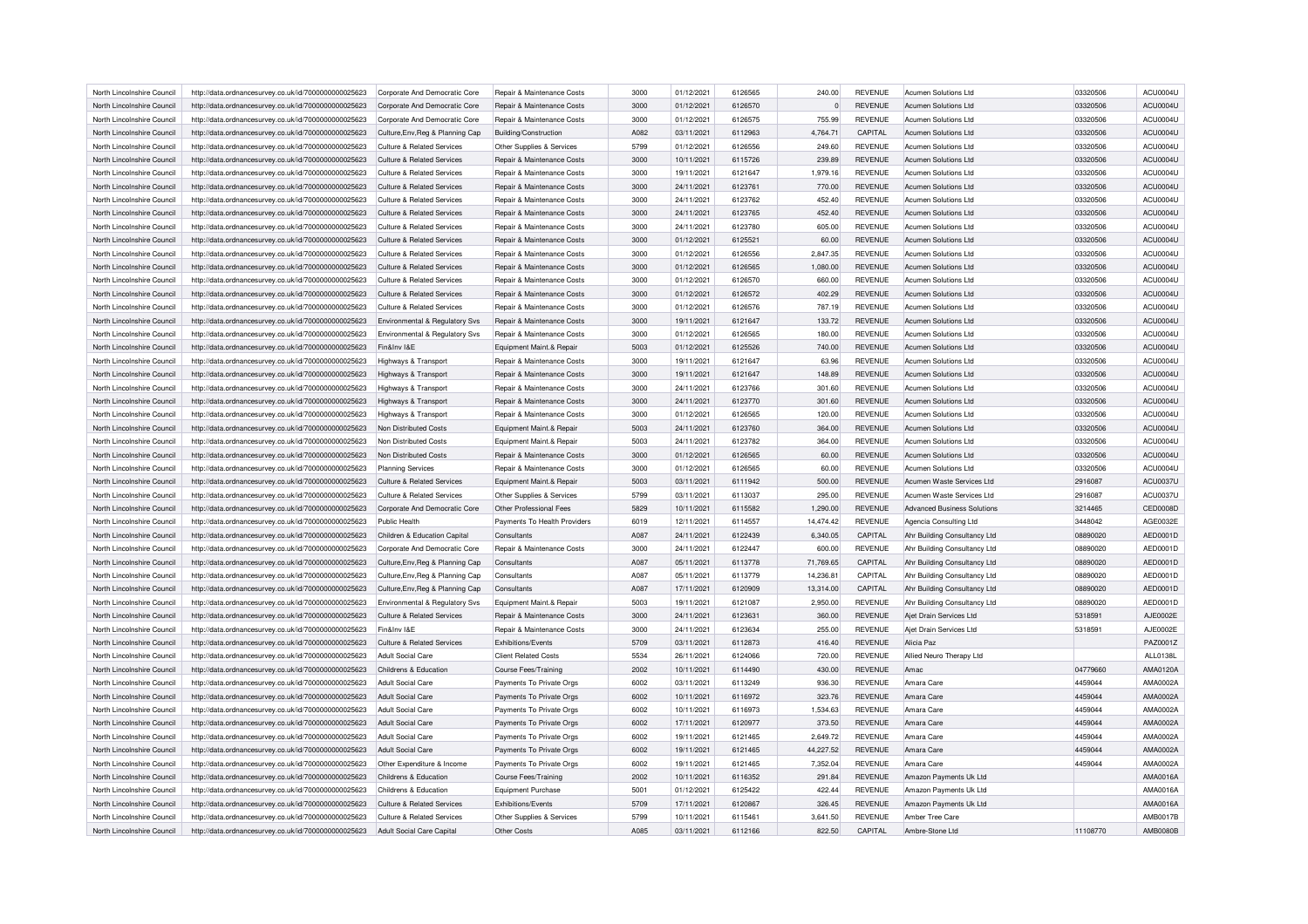| North Lincolnshire Council | http://data.ordnancesurvey.co.uk/id/7000000000025623 | Corporate And Democratic Core         | Repair & Maintenance Costs            | 3000 | 01/12/2021 | 6126565 | 240.00      | <b>REVENUE</b> | Acumen Solutions Ltd               | 03320506 | ACU0004U        |
|----------------------------|------------------------------------------------------|---------------------------------------|---------------------------------------|------|------------|---------|-------------|----------------|------------------------------------|----------|-----------------|
| North Lincolnshire Council | http://data.ordnancesurvey.co.uk/id/7000000000025623 | Corporate And Democratic Core         | Repair & Maintenance Costs            | 3000 | 01/12/2021 | 6126570 | $\mathbf 0$ | <b>REVENUE</b> | Acumen Solutions Ltd               | 03320506 | ACU0004U        |
| North Lincolnshire Council | http://data.ordnancesurvey.co.uk/id/7000000000025623 | Corporate And Democratic Core         | Repair & Maintenance Costs            | 3000 | 01/12/2021 | 6126575 | 755.99      | <b>REVENUE</b> | Acumen Solutions Ltd               | 03320506 | <b>ACU0004U</b> |
| North Lincolnshire Council | http://data.ordnancesurvey.co.uk/id/7000000000025623 | Culture, Env, Reg & Planning Cap      | <b>Building/Construction</b>          | A082 | 03/11/2021 | 6112963 | 4,764.71    | CAPITAL        | Acumen Solutions Ltd               | 03320506 | <b>ACU0004U</b> |
| North Lincolnshire Council | http://data.ordnancesurvey.co.uk/id/7000000000025623 | <b>Culture &amp; Related Services</b> | Other Supplies & Services             | 5799 | 01/12/2021 | 6126556 | 249.60      | REVENUE        | Acumen Solutions Ltd               | 03320506 | ACU0004U        |
| North Lincolnshire Council | http://data.ordnancesurvey.co.uk/id/7000000000025623 | Culture & Related Services            | Repair & Maintenance Costs            | 3000 | 10/11/2021 | 6115726 | 239.89      | <b>REVENUE</b> | <b>Acumen Solutions Ltd</b>        | 03320506 | ACU0004U        |
| North Lincolnshire Council | http://data.ordnancesurvey.co.uk/id/7000000000025623 | Culture & Related Services            | Repair & Maintenance Costs            | 3000 | 19/11/2021 | 6121647 | 1,979.16    | <b>REVENUE</b> | Acumen Solutions Ltd               | 03320506 | ACU0004L        |
| North Lincolnshire Council | http://data.ordnancesurvey.co.uk/id/7000000000025623 | <b>Culture &amp; Related Services</b> | Repair & Maintenance Costs            | 3000 | 24/11/2021 | 6123761 | 770.00      | REVENUE        | <b>Acumen Solutions Ltd</b>        | 03320506 | ACU0004U        |
| North Lincolnshire Council | http://data.ordnancesurvey.co.uk/id/7000000000025623 | <b>Culture &amp; Related Services</b> | Repair & Maintenance Costs            | 3000 | 24/11/2021 | 6123762 | 452.40      | <b>REVENUE</b> | Acumen Solutions Ltd               | 03320506 | ACU0004U        |
| North Lincolnshire Council | http://data.ordnancesurvey.co.uk/id/7000000000025623 | Culture & Related Services            | Repair & Maintenance Costs            | 3000 | 24/11/2021 | 6123765 | 452.40      | <b>REVENUE</b> | Acumen Solutions Ltd               | 03320506 | ACU0004L        |
| North Lincolnshire Council | http://data.ordnancesurvey.co.uk/id/7000000000025623 | <b>Culture &amp; Related Services</b> | Repair & Maintenance Costs            | 3000 | 24/11/2021 | 6123780 | 605.00      | REVENUE        | Acumen Solutions Ltd               | 03320506 | ACU0004U        |
| North Lincolnshire Council | http://data.ordnancesurvey.co.uk/id/7000000000025623 | Culture & Related Services            | Repair & Maintenance Costs            | 3000 | 01/12/2021 | 6125521 | 60.00       | <b>REVENUE</b> | Acumen Solutions Ltd               | 03320506 | ACU0004U        |
| North Lincolnshire Council |                                                      | <b>Culture &amp; Related Services</b> | Repair & Maintenance Costs            | 3000 | 01/12/2021 | 6126556 | 2,847.35    | <b>REVENUE</b> | <b>Acumen Solutions Ltd</b>        | 03320506 | ACU0004L        |
|                            | http://data.ordnancesurvey.co.uk/id/7000000000025623 |                                       |                                       |      |            |         |             |                |                                    |          |                 |
| North Lincolnshire Council | http://data.ordnancesurvey.co.uk/id/7000000000025623 | <b>Culture &amp; Related Services</b> | Repair & Maintenance Costs            | 3000 | 01/12/2021 | 6126565 | 1,080.00    | REVENUE        | <b>Acumen Solutions Ltd</b>        | 03320506 | ACU0004U        |
| North Lincolnshire Council | http://data.ordnancesurvey.co.uk/id/7000000000025623 | Culture & Related Services            | Repair & Maintenance Costs            | 3000 | 01/12/2021 | 6126570 | 660.00      | <b>REVENUE</b> | <b>Acumen Solutions Ltd</b>        | 03320506 | ACU0004U        |
| North Lincolnshire Council | http://data.ordnancesurvey.co.uk/id/7000000000025623 | <b>Culture &amp; Related Services</b> | Repair & Maintenance Costs            | 3000 | 01/12/2021 | 6126572 | 402.29      | <b>REVENUE</b> | <b>Acumen Solutions Ltd</b>        | 03320506 | <b>ACU0004U</b> |
| North Lincolnshire Council | http://data.ordnancesurvey.co.uk/id/7000000000025623 | <b>Culture &amp; Related Services</b> | Repair & Maintenance Costs            | 3000 | 01/12/2021 | 6126576 | 787.19      | <b>REVENUE</b> | Acumen Solutions Ltd               | 03320506 | ACU0004U        |
| North Lincolnshire Council | http://data.ordnancesurvey.co.uk/id/7000000000025623 | Environmental & Regulatory Svs        | Repair & Maintenance Costs            | 3000 | 19/11/2021 | 6121647 | 133.72      | <b>REVENUE</b> | <b>Acumen Solutions Ltd</b>        | 03320506 | ACU0004U        |
| North Lincolnshire Council | http://data.ordnancesurvey.co.uk/id/7000000000025623 | Environmental & Regulatory Svs        | Repair & Maintenance Costs            | 3000 | 01/12/2021 | 6126565 | 180.00      | <b>REVENUE</b> | Acumen Solutions Ltd               | 03320506 | ACU0004L        |
| North Lincolnshire Council | http://data.ordnancesurvey.co.uk/id/7000000000025623 | Fin&Inv I&E                           | Equipment Maint.& Repair              | 5003 | 01/12/2021 | 6125526 | 740.00      | REVENUE        | <b>Acumen Solutions Ltd</b>        | 03320506 | <b>ACU0004U</b> |
| North Lincolnshire Council | http://data.ordnancesurvey.co.uk/id/7000000000025623 | Highways & Transport                  | <b>Repair &amp; Maintenance Costs</b> | 3000 | 19/11/2021 | 6121647 | 63.96       | <b>REVENUE</b> | Acumen Solutions Ltd               | 03320506 | ACU0004U        |
| North Lincolnshire Council | http://data.ordnancesurvey.co.uk/id/7000000000025623 | Highways & Transport                  | Repair & Maintenance Costs            | 3000 | 19/11/2021 | 6121647 | 148.89      | <b>REVENUE</b> | <b>Acumen Solutions Ltd</b>        | 03320506 | ACU0004L        |
| North Lincolnshire Council | http://data.ordnancesurvey.co.uk/id/7000000000025623 | Highways & Transport                  | Repair & Maintenance Costs            | 3000 | 24/11/2021 | 6123766 | 301.60      | <b>REVENUE</b> | Acumen Solutions Ltd               | 03320506 | <b>ACU0004U</b> |
| North Lincolnshire Council | http://data.ordnancesurvey.co.uk/id/7000000000025623 | Highways & Transport                  | Repair & Maintenance Costs            | 3000 | 24/11/2021 | 6123770 | 301.60      | <b>REVENUE</b> | <b>Acumen Solutions Ltd</b>        | 03320506 | <b>ACU0004U</b> |
| North Lincolnshire Council | http://data.ordnancesurvey.co.uk/id/7000000000025623 | Highways & Transport                  | Repair & Maintenance Costs            | 3000 | 01/12/2021 | 6126565 | 120.00      | <b>REVENUE</b> | Acumen Solutions Ltd               | 03320506 | ACU0004L        |
| North Lincolnshire Council | http://data.ordnancesurvey.co.uk/id/7000000000025623 | Non Distributed Costs                 | Equipment Maint.& Repair              | 5003 | 24/11/2021 | 6123760 | 364.00      | REVENUE        | <b>Acumen Solutions Ltd</b>        | 03320506 | <b>ACU0004U</b> |
| North Lincolnshire Council | http://data.ordnancesurvey.co.uk/id/7000000000025623 | Non Distributed Costs                 | Equipment Maint.& Repair              | 5003 | 24/11/2021 | 6123782 | 364.00      | <b>REVENUE</b> | Acumen Solutions Ltd               | 03320506 | ACU0004U        |
| North Lincolnshire Council | http://data.ordnancesurvey.co.uk/id/7000000000025623 | Non Distributed Costs                 | Repair & Maintenance Costs            | 3000 | 01/12/2021 | 6126565 | 60.00       | <b>REVENUE</b> | <b>Acumen Solutions Ltd</b>        | 03320506 | ACU0004L        |
| North Lincolnshire Council | http://data.ordnancesurvey.co.uk/id/7000000000025623 | <b>Planning Services</b>              | Repair & Maintenance Costs            | 3000 | 01/12/2021 | 6126565 | 60.00       | <b>REVENUE</b> | Acumen Solutions Ltd               | 03320506 | <b>ACU0004U</b> |
| North Lincolnshire Council | http://data.ordnancesurvey.co.uk/id/7000000000025623 | Culture & Related Services            | Equipment Maint.& Repair              | 5003 | 03/11/2021 | 6111942 | 500.00      | <b>REVENUE</b> | Acumen Waste Services Ltd          | 2916087  | <b>ACU0037U</b> |
| North Lincolnshire Council | http://data.ordnancesurvey.co.uk/id/7000000000025623 | <b>Culture &amp; Related Services</b> | Other Supplies & Services             | 5799 | 03/11/2021 | 6113037 | 295.00      | <b>REVENUE</b> | Acumen Waste Services Ltd          | 2916087  | <b>ACU0037L</b> |
| North Lincolnshire Council | http://data.ordnancesurvey.co.uk/id/7000000000025623 | Corporate And Democratic Core         | Other Professional Fees               | 5829 | 10/11/2021 | 6115582 | 1,290.00    | REVENUE        | <b>Advanced Business Solutions</b> | 3214465  | CED0008D        |
| North Lincolnshire Council | http://data.ordnancesurvey.co.uk/id/7000000000025623 | Public Health                         | Payments To Health Providers          | 6019 | 12/11/2021 | 6114557 | 14,474.42   | <b>REVENUE</b> | Agencia Consulting Ltd             | 3448042  | AGE0032E        |
| North Lincolnshire Council | http://data.ordnancesurvey.co.uk/id/7000000000025623 | Children & Education Capital          | Consultants                           | A087 | 24/11/2021 | 6122439 | 6,340.05    | CAPITAL        | Ahr Building Consultancy Ltd       | 08890020 | AED0001D        |
| North Lincolnshire Council | http://data.ordnancesurvey.co.uk/id/7000000000025623 | Corporate And Democratic Core         | Repair & Maintenance Costs            | 3000 | 24/11/2021 | 6122447 | 600.00      | <b>REVENUE</b> | Ahr Building Consultancy Ltd       | 08890020 | AED0001D        |
| North Lincolnshire Council | http://data.ordnancesurvey.co.uk/id/7000000000025623 | Culture, Env, Reg & Planning Cap      | Consultants                           | A087 | 05/11/2021 | 6113778 | 71,769.65   | CAPITAL        | Ahr Building Consultancy Ltd       | 08890020 | AED0001D        |
| North Lincolnshire Council | http://data.ordnancesurvey.co.uk/id/7000000000025623 | Culture, Env, Reg & Planning Cap      | Consultants                           | A087 | 05/11/2021 | 6113779 | 14,236.81   | CAPITAL        | Ahr Building Consultancy Ltd       | 08890020 | AED0001D        |
| North Lincolnshire Council | http://data.ordnancesurvey.co.uk/id/7000000000025623 | Culture, Env, Reg & Planning Cap      | Consultants                           | A087 | 17/11/2021 | 6120909 | 13,314.00   | CAPITAL        | Ahr Building Consultancy Ltd       | 08890020 | AED0001D        |
| North Lincolnshire Council | http://data.ordnancesurvey.co.uk/id/7000000000025623 | Environmental & Regulatory Svs        | Equipment Maint.& Repair              | 5003 | 19/11/2021 | 6121087 | 2,950.00    | <b>REVENUE</b> | Ahr Building Consultancy Ltd       | 08890020 | AED0001D        |
| North Lincolnshire Council | http://data.ordnancesurvey.co.uk/id/7000000000025623 | <b>Culture &amp; Related Services</b> | Repair & Maintenance Costs            | 3000 | 24/11/2021 | 6123631 | 360.00      | <b>REVENUE</b> | Ajet Drain Services Ltd            | 5318591  | AJE0002E        |
| North Lincolnshire Council | http://data.ordnancesurvey.co.uk/id/7000000000025623 | Fin&Inv I&F                           | Repair & Maintenance Costs            | 3000 | 24/11/2021 | 6123634 | 255.00      | <b>REVENUE</b> | Ajet Drain Services Ltd            | 5318591  | AJE0002E        |
| North Lincolnshire Council | http://data.ordnancesurvey.co.uk/id/7000000000025623 | Culture & Related Services            | Exhibitions/Events                    | 5709 | 03/11/2021 | 6112873 | 416.40      | <b>REVENUE</b> | Alicia Paz                         |          | PAZ0001Z        |
| North Lincolnshire Council | http://data.ordnancesurvey.co.uk/id/7000000000025623 | <b>Adult Social Care</b>              | <b>Client Related Costs</b>           | 5534 | 26/11/2021 | 6124066 | 720.00      | REVENUE        | Allied Neuro Therapy Ltd           |          | <b>ALL0138L</b> |
| North Lincolnshire Council | http://data.ordnancesurvey.co.uk/id/7000000000025623 | Childrens & Education                 | <b>Course Fees/Training</b>           | 2002 | 10/11/2021 | 6114490 | 430.00      | <b>REVENUE</b> | Amac                               | 04779660 | AMA0120A        |
|                            |                                                      |                                       |                                       |      |            |         |             |                |                                    |          |                 |
| North Lincolnshire Council | http://data.ordnancesurvey.co.uk/id/7000000000025623 | Adult Social Care                     | Payments To Private Orgs              | 6002 | 03/11/2021 | 6113249 | 936.30      | <b>REVENUE</b> | Amara Care                         | 4459044  | AMA0002/        |
| North Lincolnshire Council | http://data.ordnancesurvey.co.uk/id/7000000000025623 | <b>Adult Social Care</b>              | Payments To Private Orgs              | 6002 | 10/11/2021 | 6116972 | 323.76      | <b>REVENUE</b> | Amara Care                         | 4459044  | AMA0002A        |
| North Lincolnshire Council | http://data.ordnancesurvey.co.uk/id/7000000000025623 | Adult Social Care                     | Payments To Private Orgs              | 6002 | 10/11/2021 | 6116973 | 1,534.63    | <b>REVENUE</b> | Amara Care                         | 4459044  | AMA0002A        |
| North Lincolnshire Council | http://data.ordnancesurvey.co.uk/id/7000000000025623 | Adult Social Care                     | Payments To Private Orgs              | 6002 | 17/11/2021 | 6120977 | 373.50      | <b>REVENUE</b> | Amara Care                         | 4459044  | AMA0002A        |
| North Lincolnshire Council | http://data.ordnancesurvey.co.uk/id/7000000000025623 | <b>Adult Social Care</b>              | Payments To Private Orgs              | 6002 | 19/11/2021 | 6121465 | 2,649.72    | <b>REVENUE</b> | Amara Care                         | 4459044  | AMA0002A        |
| North Lincolnshire Council | http://data.ordnancesurvey.co.uk/id/7000000000025623 | Adult Social Care                     | Payments To Private Orgs              | 6002 | 19/11/2021 | 6121465 | 44,227.52   | <b>REVENUE</b> | Amara Care                         | 4459044  | AMA0002A        |
| North Lincolnshire Council | http://data.ordnancesurvey.co.uk/id/7000000000025623 | Other Expenditure & Income            | Payments To Private Orgs              | 6002 | 19/11/2021 | 6121465 | 7,352.04    | <b>REVENUE</b> | Amara Care                         | 4459044  | AMA0002A        |
| North Lincolnshire Council | http://data.ordnancesurvey.co.uk/id/7000000000025623 | Childrens & Education                 | Course Fees/Training                  | 2002 | 10/11/2021 | 6116352 | 291.84      | <b>REVENUE</b> | Amazon Payments Uk Ltd             |          | AMA0016A        |
| North Lincolnshire Council | http://data.ordnancesurvey.co.uk/id/7000000000025623 | Childrens & Education                 | Equipment Purchase                    | 5001 | 01/12/2021 | 6125422 | 422.44      | <b>REVENUE</b> | Amazon Payments Uk I to            |          | AMA0016A        |
| North Lincolnshire Council | http://data.ordnancesurvey.co.uk/id/7000000000025623 | <b>Culture &amp; Related Services</b> | Exhibitions/Events                    | 5709 | 17/11/2021 | 6120867 | 326.45      | <b>REVENUE</b> | Amazon Payments Uk Ltd             |          | AMA0016/        |
| North Lincolnshire Council | http://data.ordnancesurvey.co.uk/id/7000000000025623 | Culture & Related Services            | Other Supplies & Services             | 5799 | 10/11/2021 | 6115461 | 3.641.50    | <b>REVENUE</b> | Amber Tree Care                    |          | AMB0017B        |
| North Lincolnshire Council | http://data.ordnancesurvey.co.uk/id/7000000000025623 | Adult Social Care Capital             | Other Costs                           | A085 | 03/11/2021 | 6112166 | 822.50      | CAPITAL        | Ambre-Stone Ltd                    | 11108770 | <b>AMB0080B</b> |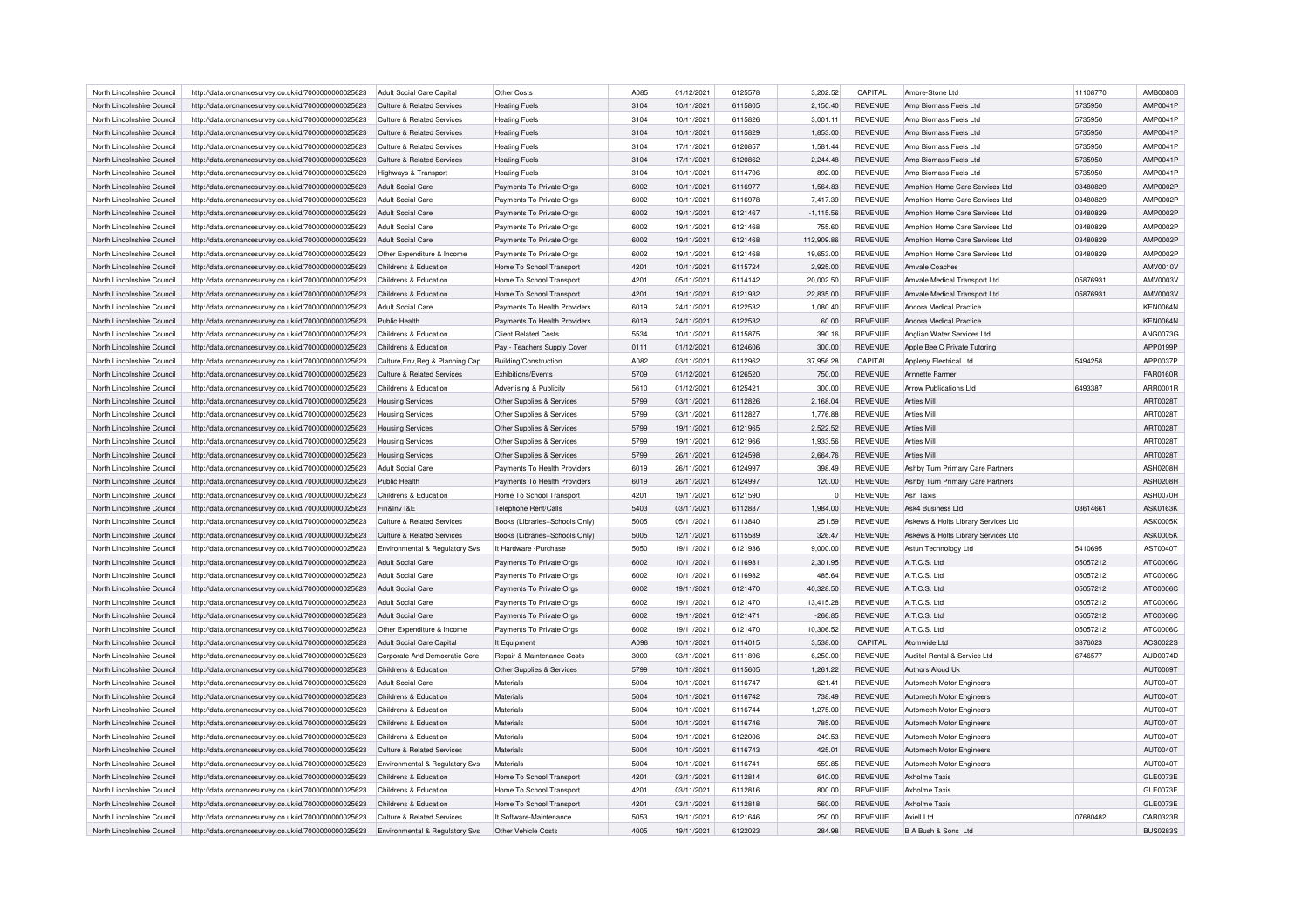| North Lincolnshire Council |                                                      |                                       |                                |              |            |                    |              |                           |                                     |          |                 |
|----------------------------|------------------------------------------------------|---------------------------------------|--------------------------------|--------------|------------|--------------------|--------------|---------------------------|-------------------------------------|----------|-----------------|
|                            | http://data.ordnancesurvey.co.uk/id/7000000000025623 | Adult Social Care Capital             | Other Costs                    | A085         | 01/12/2021 | 6125578            | 3,202.52     | CAPITAL                   | Ambre-Stone Ltd                     | 11108770 | <b>AMB0080B</b> |
| North Lincolnshire Council | http://data.ordnancesurvey.co.uk/id/7000000000025623 | Culture & Related Services            | <b>Heating Fuels</b>           | 3104         | 10/11/2021 | 6115805            | 2,150.40     | <b>REVENUE</b>            | Amp Biomass Fuels Ltd               | 5735950  | AMP0041P        |
| North Lincolnshire Council | http://data.ordnancesurvey.co.uk/id/7000000000025623 | Culture & Related Services            | <b>Heating Fuels</b>           | 3104         | 10/11/2021 | 6115826            | 3.001.11     | <b>REVENUE</b>            | Amp Biomass Fuels Ltd               | 5735950  | AMP0041P        |
| North Lincolnshire Council | http://data.ordnancesurvey.co.uk/id/7000000000025623 | <b>Culture &amp; Related Services</b> | <b>Heating Fuels</b>           | 3104         | 10/11/2021 | 6115829            | 1,853.00     | <b>REVENUE</b>            | Amp Biomass Fuels Ltd               | 5735950  | <b>AMP0041F</b> |
| North Lincolnshire Council | http://data.ordnancesurvey.co.uk/id/7000000000025623 | <b>Culture &amp; Related Services</b> | <b>Heating Fuels</b>           | 3104         | 17/11/2021 | 6120857            | 1,581.44     | <b>REVENUE</b>            | Amp Biomass Fuels Ltd               | 5735950  | <b>AMP0041P</b> |
| North Lincolnshire Council | http://data.ordnancesurvey.co.uk/id/7000000000025623 | Culture & Related Services            | <b>Heating Fuels</b>           | 3104         | 17/11/2021 | 6120862            | 2,244.48     | <b>REVENUE</b>            | Amp Biomass Fuels Ltd               | 5735950  | <b>AMP0041P</b> |
| North Lincolnshire Council | http://data.ordnancesurvey.co.uk/id/7000000000025623 | Highways & Transport                  | <b>Heating Fuels</b>           | 3104         | 10/11/2021 | 6114706            | 892.00       | <b>REVENUE</b>            | Amp Biomass Fuels Ltd               | 5735950  | <b>AMP0041F</b> |
| North Lincolnshire Council | http://data.ordnancesurvey.co.uk/id/7000000000025623 | <b>Adult Social Care</b>              | Payments To Private Orgs       | 6002         | 10/11/2021 | 6116977            | 1,564.83     | <b>REVENUE</b>            | Amphion Home Care Services Ltd      | 03480829 | <b>AMP0002P</b> |
| North Lincolnshire Council | http://data.ordnancesurvey.co.uk/id/7000000000025623 | <b>Adult Social Care</b>              | Payments To Private Orgs       | 6002         | 10/11/2021 | 6116978            | 7,417.39     | <b>REVENUE</b>            | Amphion Home Care Services Ltd      | 03480829 | <b>AMP0002P</b> |
| North Lincolnshire Council | http://data.ordnancesurvey.co.uk/id/7000000000025623 | <b>Adult Social Care</b>              | Payments To Private Orgs       | 6002         | 19/11/2021 | 6121467            | $-1, 115.56$ | <b>REVENUE</b>            | Amphion Home Care Services Ltd      | 03480829 | <b>AMP0002F</b> |
| North Lincolnshire Council | http://data.ordnancesurvey.co.uk/id/7000000000025623 | Adult Social Care                     | Payments To Private Orgs       | 6002         | 19/11/2021 | 6121468            | 755.60       | <b>REVENUE</b>            | Amphion Home Care Services Ltd      | 03480829 | <b>AMP0002P</b> |
|                            |                                                      |                                       |                                |              |            |                    |              |                           |                                     |          |                 |
| North Lincolnshire Council | http://data.ordnancesurvey.co.uk/id/7000000000025623 | <b>Adult Social Care</b>              | Payments To Private Orgs       | 6002         | 19/11/2021 | 6121468            | 112,909.86   | <b>REVENUE</b>            | Amphion Home Care Services Ltd      | 03480829 | <b>AMP0002P</b> |
| North Lincolnshire Council | http://data.ordnancesurvey.co.uk/id/7000000000025623 | Other Expenditure & Income            | Payments To Private Orgs       | 6002         | 19/11/2021 | 6121468            | 19,653.00    | <b>REVENUE</b>            | Amphion Home Care Services Ltd      | 03480829 | AMP0002F        |
| North Lincolnshire Council | http://data.ordnancesurvey.co.uk/id/7000000000025623 | Childrens & Education                 | Home To School Transport       | 4201         | 10/11/2021 | 6115724            | 2,925.00     | <b>REVENUE</b>            | <b>Amvale Coaches</b>               |          | <b>AMV0010V</b> |
| North Lincolnshire Council | http://data.ordnancesurvey.co.uk/id/7000000000025623 | Childrens & Education                 | Home To School Transport       | 4201         | 05/11/2021 | 6114142            | 20,002.50    | <b>REVENUE</b>            | Amvale Medical Transport Ltd        | 05876931 | AMV0003\        |
| North Lincolnshire Council | http://data.ordnancesurvey.co.uk/id/7000000000025623 | Childrens & Education                 | Home To School Transport       | 4201         | 19/11/2021 | 6121932            | 22,835.00    | <b>REVENUE</b>            | Amvale Medical Transport Ltd        | 05876931 | AMV0003\        |
| North Lincolnshire Council | http://data.ordnancesurvey.co.uk/id/7000000000025623 | <b>Adult Social Care</b>              | Payments To Health Providers   | 6019         | 24/11/2021 | 6122532            | 1.080.40     | <b>REVENUE</b>            | Ancora Medical Practice             |          | KEN0064N        |
| North Lincolnshire Council | http://data.ordnancesurvey.co.uk/id/7000000000025623 | Public Health                         | Payments To Health Providers   | 6019         | 24/11/2021 | 6122532            | 60.00        | <b>REVENUE</b>            | <b>Ancora Medical Practice</b>      |          | <b>KEN0064N</b> |
| North Lincolnshire Council | http://data.ordnancesurvey.co.uk/id/7000000000025623 | Childrens & Education                 | <b>Client Related Costs</b>    | 5534         | 10/11/2021 | 6115875            | 390.16       | <b>REVENUE</b>            | Anglian Water Services Ltd          |          | ANG0073G        |
| North Lincolnshire Council | http://data.ordnancesurvey.co.uk/id/7000000000025623 | Childrens & Education                 | Pay - Teachers Supply Cover    | 0111         | 01/12/2021 | 6124606            | 300.00       | <b>REVENUE</b>            | Apple Bee C Private Tutoring        |          | APP0199P        |
| North Lincolnshire Council | http://data.ordnancesurvey.co.uk/id/7000000000025623 | Culture, Env, Reg & Planning Cap      | Building/Construction          | A082         | 03/11/2021 | 6112962            | 37,956.28    | CAPITAL                   | Appleby Electrical Ltd              | 5494258  | APP0037P        |
| North Lincolnshire Council | http://data.ordnancesurvey.co.uk/id/7000000000025623 | Culture & Related Services            | Exhibitions/Events             | 5709         | 01/12/2021 | 6126520            | 750.00       | <b>REVENUE</b>            | Arnnette Farmer                     |          | <b>FAR0160R</b> |
| North Lincolnshire Council | http://data.ordnancesurvey.co.uk/id/7000000000025623 | Childrens & Education                 | Advertising & Publicity        | 5610         | 01/12/2021 | 6125421            | 300.00       | <b>REVENUE</b>            | <b>Arrow Publications Ltd</b>       | 6493387  | ARR0001R        |
| North Lincolnshire Council | http://data.ordnancesurvey.co.uk/id/7000000000025623 | <b>Housing Services</b>               | Other Supplies & Services      | 5799         | 03/11/2021 | 6112826            | 2,168.04     | <b>REVENUE</b>            | <b>Arties Mill</b>                  |          | ART0028T        |
| North Lincolnshire Council | http://data.ordnancesurvey.co.uk/id/7000000000025623 | <b>Housing Services</b>               | Other Supplies & Services      | 5799         | 03/11/2021 | 6112827            | 1,776.88     | <b>REVENUE</b>            | Arties Mill                         |          | ART0028T        |
| North Lincolnshire Council | http://data.ordnancesurvey.co.uk/id/7000000000025623 | <b>Housing Services</b>               | Other Supplies & Services      | 5799         | 19/11/2021 | 6121965            | 2.522.52     | <b>REVENUE</b>            | <b>Arties Mill</b>                  |          | <b>ART0028T</b> |
| North Lincolnshire Council |                                                      |                                       | Other Supplies & Services      | 5799         | 19/11/2021 | 6121966            | 1,933.56     | <b>REVENUE</b>            | Arties Mill                         |          | ART0028T        |
|                            | http://data.ordnancesurvey.co.uk/id/7000000000025623 | <b>Housing Services</b>               |                                |              |            |                    |              |                           |                                     |          |                 |
|                            |                                                      |                                       |                                |              |            |                    |              |                           |                                     |          |                 |
| North Lincolnshire Council | http://data.ordnancesurvey.co.uk/id/7000000000025623 | <b>Housing Services</b>               | Other Supplies & Services      | 5799         | 26/11/2021 | 6124598            | 2,664.76     | <b>REVENUE</b>            | <b>Arties Mill</b>                  |          | ART0028T        |
| North Lincolnshire Council | http://data.ordnancesurvey.co.uk/id/7000000000025623 | <b>Adult Social Care</b>              | Payments To Health Providers   | 6019         | 26/11/2021 | 6124997            | 398.49       | <b>REVENUE</b>            | Ashby Turn Primary Care Partners    |          | ASH0208H        |
| North Lincolnshire Council | http://data.ordnancesurvey.co.uk/id/7000000000025623 | Public Health                         | Payments To Health Providers   | 6019         | 26/11/2021 | 6124997            | 120.00       | <b>REVENUE</b>            | Ashby Turn Primary Care Partners    |          | ASH0208H        |
| North Lincolnshire Council | http://data.ordnancesurvey.co.uk/id/7000000000025623 | Childrens & Education                 | Home To School Transport       | 4201         | 19/11/2021 | 6121590            | $^{\circ}$   | <b>REVENUE</b>            | Ash Taxis                           |          | ASH0070H        |
| North Lincolnshire Council | http://data.ordnancesurvey.co.uk/id/7000000000025623 | Fin&Inv I&E                           | Telephone Rent/Calls           | 5403         | 03/11/2021 | 6112887            | 1.984.00     | <b>REVENUE</b>            | Ask4 Business Ltd                   | 03614661 | <b>ASK0163K</b> |
| North Lincolnshire Council | http://data.ordnancesurvey.co.uk/id/7000000000025623 | Culture & Related Services            | Books (Libraries+Schools Only) | 5005         | 05/11/2021 | 6113840            | 251.59       | <b>REVENUE</b>            | Askews & Holts Library Services Ltd |          | <b>ASK0005K</b> |
| North Lincolnshire Council | http://data.ordnancesurvey.co.uk/id/7000000000025623 | <b>Culture &amp; Related Services</b> | Books (Libraries+Schools Only) | 5005         | 12/11/2021 | 6115589            | 326.47       | <b>REVENUE</b>            | Askews & Holts Library Services Ltd |          | <b>ASK0005K</b> |
| North Lincolnshire Council | http://data.ordnancesurvey.co.uk/id/7000000000025623 | Environmental & Regulatory Svs        | It Hardware - Purchase         | 5050         | 19/11/2021 | 6121936            | 9,000.00     | <b>REVENUE</b>            | Astun Technology Ltd                | 5410695  | AST0040T        |
| North Lincolnshire Council | http://data.ordnancesurvey.co.uk/id/7000000000025623 | <b>Adult Social Care</b>              | Payments To Private Orgs       | 6002         | 10/11/2021 | 6116981            | 2,301.95     | <b>REVENUE</b>            | A.T.C.S. Ltd                        | 05057212 | ATC0006C        |
| North Lincolnshire Council | http://data.ordnancesurvey.co.uk/id/7000000000025623 | <b>Adult Social Care</b>              | Payments To Private Orgs       | 6002         | 10/11/2021 | 6116982            | 485.64       | <b>REVENUE</b>            | A.T.C.S. Ltd                        | 05057212 | ATC0006C        |
| North Lincolnshire Council | http://data.ordnancesurvey.co.uk/id/7000000000025623 | Adult Social Care                     | Payments To Private Orgs       | 6002         | 19/11/2021 | 6121470            | 40,328.50    | <b>REVENUE</b>            | A.T.C.S. Ltd                        | 05057212 | ATC0006C        |
| North Lincolnshire Council | http://data.ordnancesurvey.co.uk/id/7000000000025623 | <b>Adult Social Care</b>              | Payments To Private Orgs       | 6002         | 19/11/2021 | 6121470            | 13,415.28    | <b>REVENUE</b>            | A.T.C.S. Ltd                        | 05057212 | ATC0006C        |
|                            |                                                      |                                       |                                |              |            |                    |              |                           |                                     |          |                 |
| North Lincolnshire Council | http://data.ordnancesurvey.co.uk/id/7000000000025623 | <b>Adult Social Care</b>              | Payments To Private Orgs       | 6002         | 19/11/2021 | 6121471            | $-266.85$    | REVENUE                   | A.T.C.S. Ltd                        | 05057212 | ATC0006C        |
| North Lincolnshire Council | http://data.ordnancesurvey.co.uk/id/7000000000025623 | Other Expenditure & Income            | Payments To Private Orgs       | 6002<br>A098 | 19/11/2021 | 6121470<br>6114015 | 10,306.52    | <b>REVENUE</b><br>CAPITAL | A.T.C.S. Ltd<br>Atomwide Ltd        | 05057212 | ATC0006C        |
| North Lincolnshire Council | http://data.ordnancesurvey.co.uk/id/7000000000025623 | Adult Social Care Capital             | It Equipment                   |              | 10/11/2021 |                    | 3,538.00     |                           |                                     | 3876023  | ACS0022S        |
| North Lincolnshire Council | http://data.ordnancesurvey.co.uk/id/7000000000025623 | Corporate And Democratic Core         | Repair & Maintenance Costs     | 3000         | 03/11/2021 | 6111896            | 6,250.00     | REVENUE                   | Auditel Rental & Service Ltd        | 6746577  | AUD0074D        |
| North Lincolnshire Council | http://data.ordnancesurvey.co.uk/id/7000000000025623 | Childrens & Education                 | Other Supplies & Services      | 5799         | 10/11/2021 | 6115605            | 1,261.22     | <b>REVENUE</b>            | Authors Aloud Uk                    |          | AUT0009T        |
| North Lincolnshire Council | http://data.ordnancesurvey.co.uk/id/7000000000025623 | <b>Adult Social Care</b>              | Materials                      | 5004         | 10/11/2021 | 6116747            | 621.41       | REVENUE                   | Automech Motor Engineers            |          | AUT0040T        |
| North Lincolnshire Council | http://data.ordnancesurvey.co.uk/id/7000000000025623 | Childrens & Education                 | Materials                      | 5004         | 10/11/2021 | 6116742            | 738.49       | REVENUE                   | Automech Motor Engineers            |          | <b>AUT0040T</b> |
| North Lincolnshire Council | http://data.ordnancesurvey.co.uk/id/7000000000025623 | Childrens & Education                 | Materials                      | 5004         | 10/11/2021 | 6116744            | 1,275.00     | <b>REVENUE</b>            | Automech Motor Engineers            |          | <b>AUT0040T</b> |
| North Lincolnshire Council | http://data.ordnancesurvey.co.uk/id/7000000000025623 | Childrens & Education                 | Materials                      | 5004         | 10/11/2021 | 6116746            | 785.00       | <b>REVENUE</b>            | Automech Motor Engineers            |          | AUT0040T        |
| North Lincolnshire Council | http://data.ordnancesurvey.co.uk/id/7000000000025623 | Childrens & Education                 | Materials                      | 5004         | 19/11/2021 | 6122006            | 249.53       | <b>REVENUE</b>            | Automech Motor Engineers            |          | <b>AUT0040T</b> |
| North Lincolnshire Council | http://data.ordnancesurvey.co.uk/id/7000000000025623 | Culture & Related Services            | Materials                      | 5004         | 10/11/2021 | 6116743            | 425.01       | <b>REVENUE</b>            | Automech Motor Engineers            |          | <b>AUT0040T</b> |
| North Lincolnshire Council | http://data.ordnancesurvey.co.uk/id/7000000000025623 | Environmental & Regulatory Svs        | Materials                      | 5004         | 10/11/2021 | 6116741            | 559.85       | <b>REVENUE</b>            | Automech Motor Engineers            |          | AUT0040T        |
| North Lincolnshire Council | http://data.ordnancesurvey.co.uk/id/7000000000025623 | Childrens & Education                 | Home To School Transport       | 4201         | 03/11/2021 | 6112814            | 640.00       | REVENUE                   | <b>Axholme Taxis</b>                |          | GLE0073E        |
| North Lincolnshire Council | http://data.ordnancesurvey.co.uk/id/7000000000025623 | Childrens & Education                 | Home To School Transport       | 4201         | 03/11/2021 | 6112816            | 800.00       | <b>REVENUE</b>            | <b>Axholme Taxis</b>                |          | GLE0073E        |
| North Lincolnshire Council | http://data.ordnancesurvey.co.uk/id/7000000000025623 | Childrens & Education                 | Home To School Transport       | 4201         | 03/11/2021 | 6112818            | 560.00       | <b>REVENUE</b>            | <b>Axholme Taxis</b>                |          | GLE0073E        |
| North Lincolnshire Council | http://data.ordnancesurvey.co.uk/id/7000000000025623 | Culture & Related Services            | It Software-Maintenance        | 5053         | 19/11/2021 | 6121646            | 250.00       | <b>REVENUE</b>            | Axiell Ltd                          | 07680482 | CAR0323F        |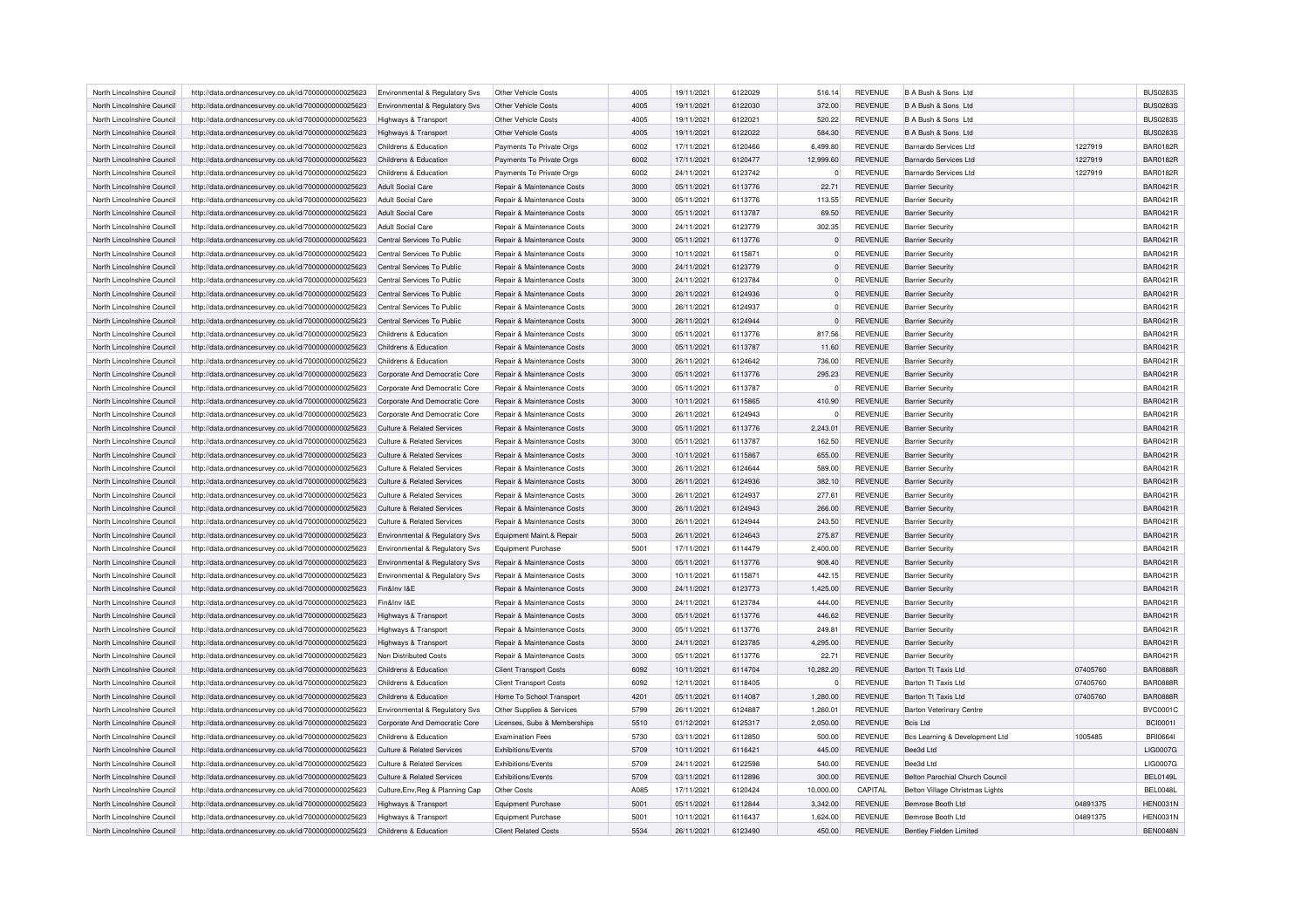| North Lincolnshire Council | http://data.ordnancesurvey.co.uk/id/7000000000025623 | Environmental & Regulatory Svs        | Other Vehicle Costs                                                 | 4005 | 19/11/2021 | 6122029 | 516.14          | <b>REVENUE</b> | B A Bush & Sons Ltd             |          | <b>BUS0283S</b> |
|----------------------------|------------------------------------------------------|---------------------------------------|---------------------------------------------------------------------|------|------------|---------|-----------------|----------------|---------------------------------|----------|-----------------|
| North Lincolnshire Council | http://data.ordnancesurvey.co.uk/id/7000000000025623 | Environmental & Regulatory Svs        | Other Vehicle Costs                                                 | 4005 | 19/11/2021 | 6122030 | 372.00          | <b>REVENUE</b> | B A Bush & Sons Ltd             |          | <b>BUS0283S</b> |
| North Lincolnshire Council | http://data.ordnancesurvey.co.uk/id/7000000000025623 | Highways & Transport                  | Other Vehicle Costs                                                 | 4005 | 19/11/2021 | 6122021 | 520.22          | <b>REVENUE</b> | B A Bush & Sons Ltd             |          | <b>BUS0283S</b> |
| North Lincolnshire Council | http://data.ordnancesurvey.co.uk/id/7000000000025623 | Highways & Transport                  | Other Vehicle Costs                                                 | 4005 | 19/11/2021 | 6122022 | 584.30          | <b>REVENUE</b> | B A Bush & Sons Ltd             |          | <b>BUS0283S</b> |
| North Lincolnshire Council | http://data.ordnancesurvey.co.uk/id/7000000000025623 | Childrens & Education                 | Payments To Private Orgs                                            | 6002 | 17/11/2021 | 6120466 | 6,499.80        | <b>REVENUE</b> | Barnardo Services Ltd           | 1227919  | <b>BAR0182R</b> |
| North Lincolnshire Council | http://data.ordnancesurvey.co.uk/id/7000000000025623 | Childrens & Education                 | Payments To Private Orgs                                            | 6002 | 17/11/2021 | 6120477 | 12,999.60       | <b>REVENUE</b> | Barnardo Services Ltd           | 1227919  | <b>BAR0182R</b> |
| North Lincolnshire Council | http://data.ordnancesurvey.co.uk/id/7000000000025623 | Childrens & Education                 | Payments To Private Orgs                                            | 6002 | 24/11/2021 | 6123742 | $\Omega$        | <b>REVENUE</b> | Barnardo Services Ltd           | 1227919  | <b>BAR0182F</b> |
| North Lincolnshire Council | http://data.ordnancesurvey.co.uk/id/7000000000025623 | <b>Adult Social Care</b>              | Repair & Maintenance Costs                                          | 3000 | 05/11/2021 | 6113776 | 22.71           | <b>REVENUE</b> | <b>Barrier Security</b>         |          | <b>BAR0421R</b> |
| North Lincolnshire Council | http://data.ordnancesurvey.co.uk/id/7000000000025623 | <b>Adult Social Care</b>              | <b>Benair &amp; Maintenance Costs</b>                               | 3000 | 05/11/2021 | 6113776 | 113.55          | <b>REVENUE</b> | <b>Barrier Security</b>         |          | <b>BAR0421F</b> |
| North Lincolnshire Council |                                                      | Adult Social Care                     |                                                                     | 3000 | 05/11/2021 | 6113787 |                 | <b>REVENUE</b> |                                 |          | <b>BAR0421F</b> |
| North Lincolnshire Council | http://data.ordnancesurvey.co.uk/id/7000000000025623 | <b>Adult Social Care</b>              | Repair & Maintenance Costs<br><b>Benair &amp; Maintenance Costs</b> | 3000 | 24/11/2021 | 6123779 | 69.50<br>302.35 | <b>REVENUE</b> | <b>Barrier Security</b>         |          | <b>BAR0421F</b> |
|                            | http://data.ordnancesurvey.co.uk/id/7000000000025623 |                                       |                                                                     |      |            |         |                 |                | <b>Barrier Security</b>         |          |                 |
| North Lincolnshire Council | http://data.ordnancesurvey.co.uk/id/7000000000025623 | Central Services To Public            | Repair & Maintenance Costs                                          | 3000 | 05/11/2021 | 6113776 | $\Omega$        | <b>REVENUE</b> | <b>Barrier Security</b>         |          | <b>BAR0421F</b> |
| North Lincolnshire Council | http://data.ordnancesurvey.co.uk/id/7000000000025623 | Central Services To Public            | Repair & Maintenance Costs                                          | 3000 | 10/11/2021 | 6115871 | $\Omega$        | <b>REVENUE</b> | <b>Barrier Security</b>         |          | <b>BAR0421F</b> |
| North Lincolnshire Council | http://data.ordnancesurvey.co.uk/id/7000000000025623 | Central Services To Public            | Repair & Maintenance Costs                                          | 3000 | 24/11/2021 | 6123779 | $\Omega$        | <b>REVENUE</b> | <b>Barrier Security</b>         |          | <b>BAR0421R</b> |
| North Lincolnshire Council | http://data.ordnancesurvey.co.uk/id/7000000000025623 | Central Services To Public            | Repair & Maintenance Costs                                          | 3000 | 24/11/2021 | 6123784 |                 | <b>REVENUE</b> | <b>Barrier Security</b>         |          | <b>BAR0421F</b> |
| North Lincolnshire Council | http://data.ordnancesurvey.co.uk/id/7000000000025623 | Central Services To Public            | Repair & Maintenance Costs                                          | 3000 | 26/11/2021 | 6124936 | $\Omega$        | <b>REVENUE</b> | <b>Barrier Security</b>         |          | <b>BAR0421F</b> |
| North Lincolnshire Council | http://data.ordnancesurvey.co.uk/id/7000000000025623 | Central Services To Public            | Repair & Maintenance Costs                                          | 3000 | 26/11/2021 | 6124937 | $\Omega$        | <b>REVENUE</b> | <b>Barrier Security</b>         |          | <b>BAR0421R</b> |
| North Lincolnshire Council | http://data.ordnancesurvey.co.uk/id/7000000000025623 | Central Services To Public            | Repair & Maintenance Costs                                          | 3000 | 26/11/2021 | 6124944 |                 | <b>REVENUE</b> | <b>Barrier Security</b>         |          | <b>BAR0421R</b> |
| North Lincolnshire Council | http://data.ordnancesurvey.co.uk/id/7000000000025623 | Childrens & Education                 | Repair & Maintenance Costs                                          | 3000 | 05/11/2021 | 6113776 | 817.56          | <b>REVENUE</b> | <b>Barrier Security</b>         |          | <b>BAR0421F</b> |
| North Lincolnshire Council | http://data.ordnancesurvey.co.uk/id/7000000000025623 | Childrens & Education                 | Repair & Maintenance Costs                                          | 3000 | 05/11/2021 | 6113787 | 11.60           | <b>REVENUE</b> | <b>Barrier Security</b>         |          | <b>BAR0421R</b> |
| North Lincolnshire Council | http://data.ordnancesurvey.co.uk/id/7000000000025623 | Childrens & Education                 | Repair & Maintenance Costs                                          | 3000 | 26/11/2021 | 6124642 | 736.00          | <b>REVENUE</b> | <b>Barrier Security</b>         |          | <b>BAR0421F</b> |
| North Lincolnshire Council | http://data.ordnancesurvey.co.uk/id/7000000000025623 | Corporate And Democratic Core         | Repair & Maintenance Costs                                          | 3000 | 05/11/2021 | 6113776 | 295.23          | <b>REVENUE</b> | <b>Barrier Security</b>         |          | <b>BAR0421F</b> |
| North Lincolnshire Council | http://data.ordnancesurvey.co.uk/id/7000000000025623 | Corporate And Democratic Core         | <b>Benair &amp; Maintenance Costs</b>                               | 3000 | 05/11/2021 | 6113787 | $\overline{0}$  | <b>REVENUE</b> | <b>Barrier Security</b>         |          | <b>BAR0421F</b> |
| North Lincolnshire Council | http://data.ordnancesurvey.co.uk/id/7000000000025623 | Corporate And Democratic Core         | Repair & Maintenance Costs                                          | 3000 | 10/11/2021 | 6115865 | 410.90          | <b>REVENUE</b> | <b>Barrier Security</b>         |          | <b>BAR0421F</b> |
| North Lincolnshire Council | http://data.ordnancesurvey.co.uk/id/7000000000025623 | Corporate And Democratic Core         | Repair & Maintenance Costs                                          | 3000 | 26/11/2021 | 6124943 | $\Omega$        | <b>REVENUE</b> | <b>Barrier Security</b>         |          | <b>BAR0421F</b> |
| North Lincolnshire Council | http://data.ordnancesurvey.co.uk/id/7000000000025623 | Culture & Related Services            | <b>Benair &amp; Maintenance Costs</b>                               | 3000 | 05/11/2021 | 6113776 | 2,243.01        | <b>REVENUE</b> | <b>Barrier Security</b>         |          | <b>BAR0421R</b> |
| North Lincolnshire Council |                                                      | Culture & Related Services            | <b>Benair &amp; Maintenance Costs</b>                               | 3000 | 05/11/2021 | 6113787 |                 | <b>REVENUE</b> |                                 |          | <b>BAR0421F</b> |
|                            | http://data.ordnancesurvey.co.uk/id/7000000000025623 |                                       |                                                                     |      |            |         | 162.50          |                | <b>Barrier Security</b>         |          |                 |
| North Lincolnshire Council | http://data.ordnancesurvey.co.uk/id/7000000000025623 | Culture & Related Services            | Repair & Maintenance Costs                                          | 3000 | 10/11/2021 | 6115867 | 655.00          | <b>REVENUE</b> | <b>Barrier Security</b>         |          | <b>BAR0421F</b> |
| North Lincolnshire Council | http://data.ordnancesurvey.co.uk/id/7000000000025623 | Culture & Related Services            | <b>Benair &amp; Maintenance Costs</b>                               | 3000 | 26/11/2021 | 6124644 | 589.00          | <b>REVENUE</b> | <b>Barrier Security</b>         |          | <b>BAR0421F</b> |
| North Lincolnshire Council | http://data.ordnancesurvey.co.uk/id/7000000000025623 | Culture & Related Services            | Repair & Maintenance Costs                                          | 3000 | 26/11/2021 | 6124936 | 382.10          | <b>REVENUE</b> | <b>Barrier Security</b>         |          | <b>BAR0421F</b> |
| North Lincolnshire Council | http://data.ordnancesurvey.co.uk/id/7000000000025623 | Culture & Related Services            | Repair & Maintenance Costs                                          | 3000 | 26/11/2021 | 6124937 | 277.61          | <b>REVENUE</b> | <b>Barrier Security</b>         |          | <b>BAR0421F</b> |
| North Lincolnshire Council | http://data.ordnancesurvey.co.uk/id/7000000000025623 | Culture & Related Services            | Repair & Maintenance Costs                                          | 3000 | 26/11/2021 | 6124943 | 266.00          | <b>REVENUE</b> | <b>Barrier Security</b>         |          | <b>BAR0421R</b> |
| North Lincolnshire Council | http://data.ordnancesurvey.co.uk/id/7000000000025623 | Culture & Related Services            | Repair & Maintenance Costs                                          | 3000 | 26/11/2021 | 6124944 | 243.50          | <b>REVENUE</b> | <b>Barrier Security</b>         |          | <b>BAR0421F</b> |
| North Lincolnshire Council | http://data.ordnancesurvey.co.uk/id/7000000000025623 | Environmental & Regulatory Svs        | Equipment Maint.& Repair                                            | 5003 | 26/11/2021 | 6124643 | 275.87          | <b>REVENUE</b> | <b>Barrier Security</b>         |          | <b>BAR0421F</b> |
| North Lincolnshire Council | http://data.ordnancesurvey.co.uk/id/7000000000025623 | Environmental & Regulatory Svs        | <b>Equipment Purchase</b>                                           | 5001 | 17/11/2021 | 6114479 | 2,400.00        | <b>REVENUE</b> | <b>Barrier Security</b>         |          | <b>BAR0421F</b> |
| North Lincolnshire Council | http://data.ordnancesurvey.co.uk/id/7000000000025623 | Environmental & Regulatory Svs        | Repair & Maintenance Costs                                          | 3000 | 05/11/2021 | 6113776 | 908.40          | <b>REVENUE</b> | <b>Barrier Security</b>         |          | <b>BAR0421F</b> |
| North Lincolnshire Council | http://data.ordnancesurvey.co.uk/id/7000000000025623 | Environmental & Regulatory Svs        | Repair & Maintenance Costs                                          | 3000 | 10/11/2021 | 6115871 | 442.15          | <b>REVENUE</b> | <b>Barrier Security</b>         |          | <b>BAR0421F</b> |
| North Lincolnshire Council | http://data.ordnancesurvey.co.uk/id/7000000000025623 | Fin&Inv I&E                           | Repair & Maintenance Costs                                          | 3000 | 24/11/2021 | 6123773 | 1,425.00        | REVENUE        | <b>Barrier Security</b>         |          | <b>BAR0421R</b> |
| North Lincolnshire Council | http://data.ordnancesurvey.co.uk/id/7000000000025623 | Fin&Inv I&F                           | Repair & Maintenance Costs                                          | 3000 | 24/11/2021 | 6123784 | 444.00          | <b>REVENUE</b> | <b>Barrier Security</b>         |          | <b>BAR0421F</b> |
| North Lincolnshire Council | http://data.ordnancesurvey.co.uk/id/7000000000025623 | <b>Highways &amp; Transport</b>       | Repair & Maintenance Costs                                          | 3000 | 05/11/2021 | 6113776 | 446.62          | <b>REVENUE</b> | <b>Barrier Security</b>         |          | <b>BAR0421F</b> |
| North Lincolnshire Council | http://data.ordnancesurvey.co.uk/id/7000000000025623 | Highways & Transport                  | <b>Benair &amp; Maintenance Costs</b>                               | 3000 | 05/11/2021 | 6113776 | 249.81          | <b>REVENUE</b> | <b>Barrier Security</b>         |          | <b>BAR0421F</b> |
| North Lincolnshire Council |                                                      |                                       | Repair & Maintenance Costs                                          | 3000 | 24/11/2021 | 6123785 | 4,295.00        | <b>REVENUE</b> | <b>Barrier Security</b>         |          | <b>BAR0421F</b> |
|                            | http://data.ordnancesurvey.co.uk/id/7000000000025623 | Highways & Transport                  |                                                                     |      |            |         |                 |                |                                 |          |                 |
| North Lincolnshire Council | http://data.ordnancesurvey.co.uk/id/7000000000025623 | Non Distributed Costs                 | Repair & Maintenance Costs                                          | 3000 | 05/11/2021 | 6113776 | 22.71           | <b>REVENUE</b> | <b>Barrier Security</b>         |          | <b>BAR0421F</b> |
| North Lincolnshire Council | http://data.ordnancesurvey.co.uk/id/7000000000025623 | Childrens & Education                 | <b>Client Transport Costs</b>                                       | 6092 | 10/11/2021 | 6114704 | 10.282.20       | REVENUE        | Barton Tt Taxis Ltd             | 07405760 | <b>BAR0888F</b> |
| North Lincolnshire Council | http://data.ordnancesurvey.co.uk/id/7000000000025623 | Childrens & Education                 | <b>Client Transport Costs</b>                                       | 6092 | 12/11/2021 | 6118405 | $\Omega$        | <b>REVENUE</b> | Barton Tt Taxis Ltd             | 07405760 | <b>BAR0888F</b> |
| North Lincolnshire Council | http://data.ordnancesurvey.co.uk/id/7000000000025623 | Childrens & Education                 | Home To School Transport                                            | 4201 | 05/11/2021 | 6114087 | 1,280.00        | <b>REVENUE</b> | Barton Tt Taxis Ltd             | 07405760 | <b>BAR0888F</b> |
| North Lincolnshire Council | http://data.ordnancesurvey.co.uk/id/7000000000025623 | Environmental & Regulatory Svs        | Other Supplies & Services                                           | 5799 | 26/11/2021 | 6124887 | 1,260.01        | <b>REVENUE</b> | <b>Barton Veterinary Centre</b> |          | <b>BVC0001C</b> |
| North Lincolnshire Council | http://data.ordnancesurvey.co.uk/id/7000000000025623 | Corporate And Democratic Core         | Licenses. Subs & Memberships                                        | 5510 | 01/12/2021 | 6125317 | 2.050.00        | <b>REVENUE</b> | Bois I td                       |          | <b>BCI0001I</b> |
| North Lincolnshire Council | http://data.ordnancesurvey.co.uk/id/7000000000025623 | Childrens & Education                 | <b>Examination Fees</b>                                             | 5730 | 03/11/2021 | 6112850 | 500.00          | REVENUE        | Bcs Learning & Development Ltd  | 1005485  | <b>BRI06641</b> |
| North Lincolnshire Council | http://data.ordnancesurvey.co.uk/id/7000000000025623 | <b>Culture &amp; Related Services</b> | Exhibitions/Events                                                  | 5709 | 10/11/2021 | 6116421 | 445.00          | <b>REVENUE</b> | Bee3d Ltd                       |          | LIG0007G        |
| North Lincolnshire Council | http://data.ordnancesurvey.co.uk/id/7000000000025623 | <b>Culture &amp; Related Services</b> | Exhibitions/Events                                                  | 5709 | 24/11/2021 | 6122598 | 540.00          | <b>REVENUE</b> | Bee3d Ltd                       |          | <b>LIG0007G</b> |
| North Lincolnshire Council | http://data.ordnancesurvey.co.uk/id/7000000000025623 | Culture & Related Services            | Exhibitions/Events                                                  | 5709 | 03/11/2021 | 6112896 | 300.00          | <b>REVENUE</b> | Belton Parochial Church Council |          | <b>BEL0149L</b> |
| North Lincolnshire Council | http://data.ordnancesurvey.co.uk/id/7000000000025623 | Culture, Env, Reg & Planning Cap      | Other Costs                                                         | A085 | 17/11/2021 | 6120424 | 10,000.00       | CAPITAL        | Belton Village Christmas Lights |          | BEL0048L        |
| North Lincolnshire Council | http://data.ordnancesurvey.co.uk/id/7000000000025623 | Highways & Transport                  | Equipment Purchase                                                  | 5001 | 05/11/2021 | 6112844 | 3.342.00        | <b>REVENUE</b> | Bemrose Booth Ltd               | 04891375 | <b>HEN0031N</b> |
| North Lincolnshire Council | http://data.ordnancesurvey.co.uk/id/7000000000025623 | Highways & Transport                  | Equipment Purchase                                                  | 5001 | 10/11/2021 | 6116437 | 1.624.00        | <b>REVENUE</b> | Bemrose Booth Ltd               | 04891375 | <b>HEN0031N</b> |
| North Lincolnshire Council | http://data.ordnancesurvey.co.uk/id/7000000000025623 | Childrens & Education                 | <b>Client Related Costs</b>                                         | 5534 | 26/11/2021 | 6123490 | 450.00          | <b>REVENUE</b> | <b>Bentley Fielden Limited</b>  |          | <b>BEN0048N</b> |
|                            |                                                      |                                       |                                                                     |      |            |         |                 |                |                                 |          |                 |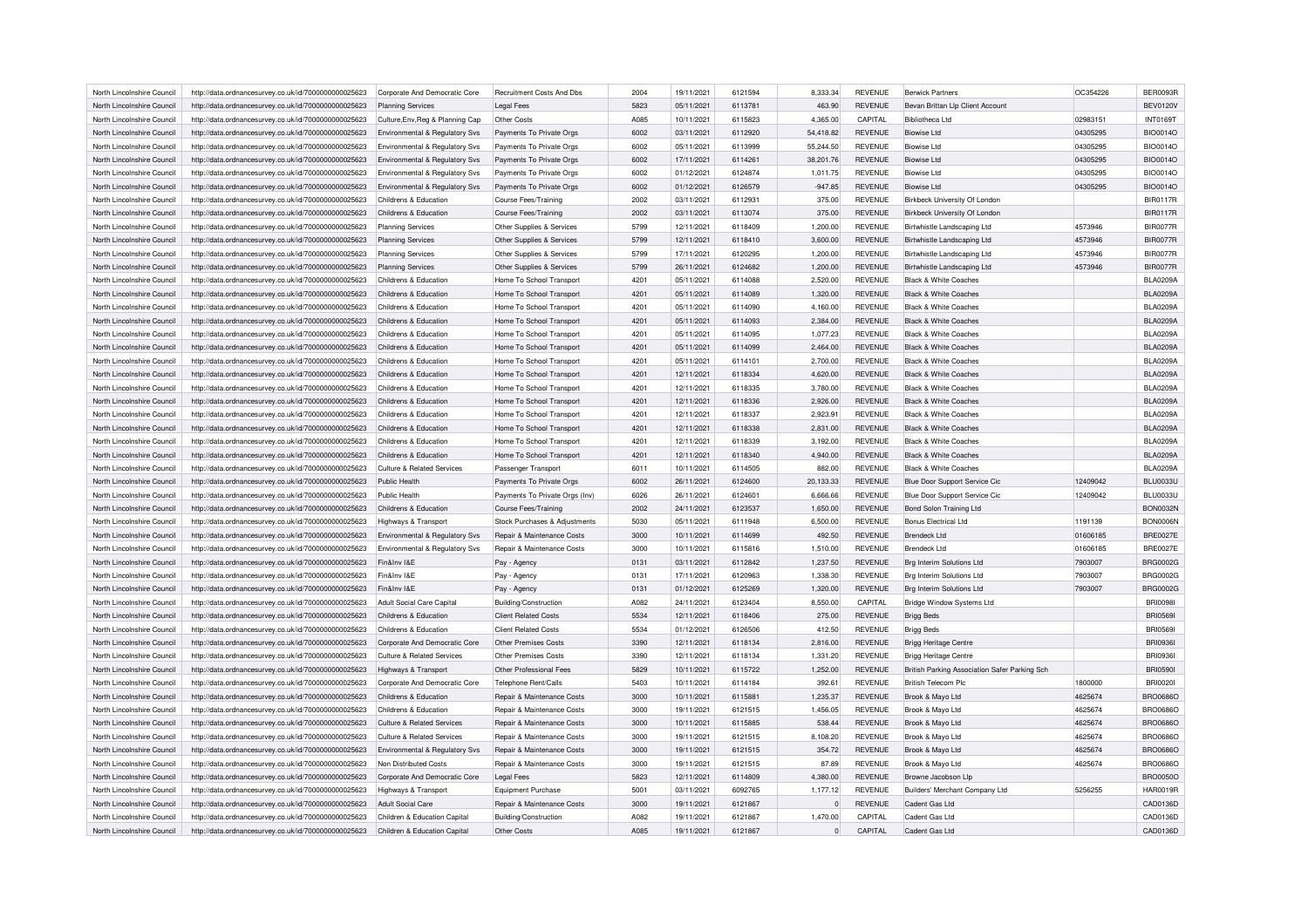| North Lincolnshire Council                               | http://data.ordnancesurvey.co.uk/id/7000000000025623 | Corporate And Democratic Core                  | Recruitment Costs And Dbs                                  | 2004 | 19/11/2021               | 6121594 | 8,333.34         | <b>REVENUE</b> | <b>Berwick Partners</b>                       | OC354226 | <b>BER0093F</b> |
|----------------------------------------------------------|------------------------------------------------------|------------------------------------------------|------------------------------------------------------------|------|--------------------------|---------|------------------|----------------|-----------------------------------------------|----------|-----------------|
| North Lincolnshire Council                               | http://data.ordnancesurvey.co.uk/id/7000000000025623 | <b>Planning Services</b>                       | <b>Legal Fees</b>                                          | 5823 | 05/11/2021               | 6113781 | 463.90           | <b>REVENUE</b> | Bevan Brittan Llp Client Account              |          | <b>BEV0120V</b> |
| North Lincolnshire Council                               | http://data.ordnancesurvey.co.uk/id/7000000000025623 | Culture, Env, Reg & Planning Cap               | Other Costs                                                | A085 | 10/11/2021               | 6115823 | 4.365.00         | CAPITAL        | <b>Bibliotheca Ltd</b>                        | 02983151 | <b>INT0169T</b> |
| North Lincolnshire Council                               | http://data.ordnancesurvey.co.uk/id/7000000000025623 | Environmental & Regulatory Svs                 | Payments To Private Orgs                                   | 6002 | 03/11/2021               | 6112920 | 54,418.82        | <b>REVENUE</b> | Biowise I td                                  | 04305295 | <b>BIO0014O</b> |
| North Lincolnshire Council                               | http://data.ordnancesurvey.co.uk/id/7000000000025623 | Environmental & Regulatory Svs                 | Payments To Private Orgs                                   | 6002 | 05/11/2021               | 6113999 | 55,244.50        | <b>REVENUE</b> | <b>Biowise Ltd</b>                            | 04305295 | BIO0014O        |
| North Lincolnshire Council                               | http://data.ordnancesurvey.co.uk/id/7000000000025623 | Environmental & Regulatory Svs                 | Payments To Private Orgs                                   | 6002 | 17/11/2021               | 6114261 | 38,201.76        | <b>REVENUE</b> | <b>Biowise Ltd</b>                            | 04305295 | <b>BIO0014O</b> |
| North Lincolnshire Council                               | http://data.ordnancesurvey.co.uk/id/7000000000025623 | Environmental & Regulatory Svs                 | Payments To Private Orgs                                   | 6002 | 01/12/2021               | 6124874 | 1,011.75         | <b>REVENUE</b> | Biowise I td                                  | 04305295 | <b>BIO0014O</b> |
| North Lincolnshire Council                               | http://data.ordnancesurvey.co.uk/id/7000000000025623 | Environmental & Regulatory Svs                 | Payments To Private Orgs                                   | 6002 | 01/12/2021               | 6126579 | $-947.85$        | <b>REVENUE</b> | <b>Biowise Ltd</b>                            | 04305295 | <b>BIO0014O</b> |
| North Lincolnshire Council                               | http://data.ordnancesurvey.co.uk/id/7000000000025623 | Childrens & Education                          | Course Fees/Training                                       | 2002 | 03/11/2021               | 6112931 | 375.00           | <b>REVENUE</b> | Birkbeck University Of London                 |          | <b>BIR0117R</b> |
| North Lincolnshire Council                               | http://data.ordnancesurvey.co.uk/id/7000000000025623 | Childrens & Education                          | Course Fees/Training                                       | 2002 | 03/11/2021               | 6113074 | 375.00           | <b>REVENUE</b> | Birkbeck University Of London                 |          | <b>BIR0117R</b> |
| North Lincolnshire Council                               | http://data.ordnancesurvey.co.uk/id/7000000000025623 | <b>Planning Services</b>                       | Other Supplies & Services                                  | 5799 | 12/11/2021               | 6118409 | 1,200.00         | <b>REVENUE</b> | Birtwhistle Landscaping Ltd                   | 4573946  | <b>BIR0077R</b> |
| North Lincolnshire Council                               | http://data.ordnancesurvey.co.uk/id/7000000000025623 | <b>Planning Services</b>                       | Other Supplies & Services                                  | 5799 | 12/11/2021               | 6118410 | 3,600.00         | <b>REVENUE</b> | Birtwhistle Landscaping Ltd                   | 4573946  | <b>BIR0077R</b> |
|                                                          |                                                      |                                                |                                                            | 5799 |                          |         |                  |                |                                               |          | <b>BIR0077R</b> |
| North Lincolnshire Council                               | http://data.ordnancesurvey.co.uk/id/7000000000025623 | <b>Planning Services</b>                       | Other Supplies & Services                                  |      | 17/11/2021               | 6120295 | 1,200.00         | <b>REVENUE</b> | Birtwhistle Landscaping Ltd                   | 4573946  |                 |
| North Lincolnshire Council                               | http://data.ordnancesurvey.co.uk/id/7000000000025623 | <b>Planning Services</b>                       | Other Supplies & Services                                  | 5799 | 26/11/2021               | 6124682 | 1,200.00         | <b>REVENUE</b> | Birtwhistle Landscaping Ltd                   | 4573946  | <b>BIR0077R</b> |
| North Lincolnshire Council                               | http://data.ordnancesurvey.co.uk/id/7000000000025623 | Childrens & Education                          | Home To School Transport                                   | 4201 | 05/11/2021               | 6114088 | 2,520.00         | <b>REVENUE</b> | <b>Black &amp; White Coaches</b>              |          | <b>BLA0209A</b> |
| North Lincolnshire Council                               | http://data.ordnancesurvey.co.uk/id/7000000000025623 | Childrens & Education                          | Home To School Transport                                   | 4201 | 05/11/2021               | 6114089 | 1,320.00         | <b>REVENUE</b> | <b>Black &amp; White Coaches</b>              |          | <b>BLA0209A</b> |
| North Lincolnshire Council                               | http://data.ordnancesurvey.co.uk/id/7000000000025623 | Childrens & Education                          | Home To School Transport                                   | 4201 | 05/11/2021               | 6114090 | 4,160.00         | <b>REVENUE</b> | <b>Black &amp; White Coaches</b>              |          | <b>BLA0209A</b> |
| North Lincolnshire Council                               | http://data.ordnancesurvey.co.uk/id/7000000000025623 | Childrens & Education                          | Home To School Transport                                   | 4201 | 05/11/2021               | 6114093 | 2,384.00         | <b>REVENUE</b> | <b>Black &amp; White Coaches</b>              |          | <b>BLA0209A</b> |
| North Lincolnshire Council                               | http://data.ordnancesurvey.co.uk/id/7000000000025623 | Childrens & Education                          | Home To School Transport                                   | 4201 | 05/11/2021               | 6114095 | 1,077.23         | <b>REVENUE</b> | <b>Black &amp; White Coaches</b>              |          | <b>BLA0209A</b> |
| North Lincolnshire Council                               | http://data.ordnancesurvey.co.uk/id/7000000000025623 | Childrens & Education                          | Home To School Transport                                   | 4201 | 05/11/2021               | 6114099 | 2,464.00         | <b>REVENUE</b> | <b>Black &amp; White Coaches</b>              |          | <b>BLA0209A</b> |
| North Lincolnshire Council                               | http://data.ordnancesurvey.co.uk/id/7000000000025623 | Childrens & Education                          | Home To School Transport                                   | 4201 | 05/11/2021               | 611410  | 2,700.00         | <b>REVENUE</b> | <b>Black &amp; White Coaches</b>              |          | <b>BLA0209A</b> |
| North Lincolnshire Council                               | http://data.ordnancesurvey.co.uk/id/7000000000025623 | Childrens & Education                          | Home To School Transport                                   | 4201 | 12/11/2021               | 6118334 | 4,620.00         | <b>REVENUE</b> | <b>Black &amp; White Coaches</b>              |          | <b>BLA0209A</b> |
| North Lincolnshire Council                               | http://data.ordnancesurvey.co.uk/id/7000000000025623 | Childrens & Education                          | Home To School Transport                                   | 4201 | 12/11/2021               | 6118335 | 3,780.00         | <b>REVENUE</b> | <b>Black &amp; White Coaches</b>              |          | <b>BLA0209A</b> |
| North Lincolnshire Council                               | http://data.ordnancesurvey.co.uk/id/7000000000025623 | Childrens & Education                          | Home To School Transport                                   | 4201 | 12/11/2021               | 6118336 | 2,926.00         | <b>REVENUE</b> | <b>Black &amp; White Coaches</b>              |          | <b>BLA0209A</b> |
| North Lincolnshire Council                               | http://data.ordnancesurvey.co.uk/id/7000000000025623 | Childrens & Education                          | Home To School Transport                                   | 4201 | 12/11/2021               | 6118337 | 2,923.91         | <b>REVENUE</b> | <b>Black &amp; White Coaches</b>              |          | <b>BLA0209A</b> |
| North Lincolnshire Council                               | http://data.ordnancesurvey.co.uk/id/7000000000025623 | Childrens & Education                          | Home To School Transport                                   | 4201 | 12/11/2021               | 6118338 | 2,831.00         | <b>REVENUE</b> | <b>Black &amp; White Coaches</b>              |          | <b>BLA0209A</b> |
| North Lincolnshire Council                               | http://data.ordnancesurvey.co.uk/id/7000000000025623 | Childrens & Education                          | Home To School Transport                                   | 4201 | 12/11/2021               | 6118339 | 3,192.00         | <b>REVENUE</b> | <b>Black &amp; White Coaches</b>              |          | <b>BLA0209A</b> |
| North Lincolnshire Council                               | http://data.ordnancesurvey.co.uk/id/7000000000025623 | Childrens & Education                          | Home To School Transport                                   | 4201 | 12/11/2021               | 6118340 | 4,940.00         | <b>REVENUE</b> | <b>Black &amp; White Coaches</b>              |          | <b>BLA0209A</b> |
| North Lincolnshire Council                               | http://data.ordnancesurvey.co.uk/id/7000000000025623 | <b>Culture &amp; Related Services</b>          | Passenger Transport                                        | 6011 | 10/11/2021               | 6114505 | 882.00           | <b>REVENUE</b> | <b>Black &amp; White Coaches</b>              |          | <b>BLA0209A</b> |
| North Lincolnshire Council                               | http://data.ordnancesurvey.co.uk/id/7000000000025623 | Public Health                                  | Payments To Private Orgs                                   | 6002 | 26/11/2021               | 6124600 | 20,133.33        | <b>REVENUE</b> | Blue Door Support Service Cic                 | 12409042 | <b>BLU0033U</b> |
| North Lincolnshire Council                               | http://data.ordnancesurvey.co.uk/id/7000000000025623 | Public Health                                  | Payments To Private Orgs (Inv)                             | 6026 | 26/11/2021               | 6124601 | 6,666.66         | <b>REVENUE</b> | Blue Door Support Service Cic                 | 12409042 | <b>BLU0033L</b> |
| North Lincolnshire Council                               | http://data.ordnancesurvey.co.uk/id/7000000000025623 | Childrens & Education                          | Course Fees/Training                                       | 2002 | 24/11/2021               | 6123537 | 1,650.00         | <b>REVENUE</b> | Bond Solon Training Ltd                       |          | <b>BON0032N</b> |
| North Lincolnshire Council                               | http://data.ordnancesurvey.co.uk/id/7000000000025623 | Highways & Transport                           | Stock Purchases & Adjustments                              | 5030 | 05/11/2021               | 6111948 | 6,500.00         | <b>REVENUE</b> | <b>Bonus Electrical Ltd</b>                   | 1191139  | BON0006N        |
| North Lincolnshire Council                               | http://data.ordnancesurvey.co.uk/id/7000000000025623 | Environmental & Regulatory Svs                 | Repair & Maintenance Costs                                 | 3000 | 10/11/2021               | 6114699 | 492.50           | <b>REVENUE</b> | <b>Brendeck Ltd</b>                           | 01606185 | <b>BRE0027E</b> |
| North Lincolnshire Council                               | http://data.ordnancesurvey.co.uk/id/7000000000025623 | Environmental & Regulatory Svs                 | Repair & Maintenance Costs                                 | 3000 | 10/11/2021               | 6115816 | 1,510.00         | <b>REVENUE</b> | <b>Brendeck I to</b>                          | 01606185 | <b>BRE0027E</b> |
| North Lincolnshire Council                               | http://data.ordnancesurvey.co.uk/id/7000000000025623 | Fin&Inv I&E                                    | Pay - Agency                                               | 0131 | 03/11/2021               | 6112842 | 1,237.50         | <b>REVENUE</b> | <b>Brg Interim Solutions Ltd</b>              | 7903007  | <b>BRG0002G</b> |
| North Lincolnshire Council                               | http://data.ordnancesurvey.co.uk/id/7000000000025623 | Fin&Inv I&E                                    | Pay - Agency                                               | 0131 | 17/11/2021               | 6120963 | 1,338.30         | <b>REVENUE</b> | <b>Brg Interim Solutions Ltd</b>              | 7903007  | <b>BRG0002G</b> |
| North Lincolnshire Council                               | http://data.ordnancesurvey.co.uk/id/7000000000025623 | Fin&Inv I&F                                    |                                                            | 0131 | 01/12/2021               | 6125269 | 1,320.00         | <b>REVENUE</b> | Bra Interim Solutions Ltd                     | 7903007  | <b>BRG0002G</b> |
| North Lincolnshire Council                               |                                                      |                                                | Pay - Agency                                               | A082 |                          | 6123404 |                  | CAPITAL        |                                               |          | <b>BRI0098</b>  |
|                                                          | http://data.ordnancesurvey.co.uk/id/7000000000025623 | Adult Social Care Capital                      | Building/Construction                                      | 5534 | 24/11/2021<br>12/11/2021 | 6118406 | 8,550.00         | <b>REVENUE</b> | <b>Bridge Window Systems Ltd</b>              |          | <b>BRI05691</b> |
| North Lincolnshire Council<br>North Lincolnshire Council | http://data.ordnancesurvey.co.uk/id/7000000000025623 | Childrens & Education<br>Childrens & Education | <b>Client Related Costs</b><br><b>Client Related Costs</b> | 5534 | 01/12/2021               | 6126506 | 275.00<br>412.50 | <b>REVENUE</b> | <b>Brigg Beds</b>                             |          | <b>BRI05691</b> |
|                                                          | http://data.ordnancesurvey.co.uk/id/7000000000025623 |                                                |                                                            |      |                          |         |                  |                | <b>Brigg Beds</b>                             |          |                 |
| North Lincolnshire Council                               | http://data.ordnancesurvey.co.uk/id/7000000000025623 | Corporate And Democratic Core                  | Other Premises Costs                                       | 3390 | 12/11/2021               | 6118134 | 2,816.00         | <b>REVENUE</b> | <b>Brigg Heritage Centre</b>                  |          | <b>BRI09361</b> |
| North Lincolnshire Council                               | http://data.ordnancesurvey.co.uk/id/7000000000025623 | <b>Culture &amp; Related Services</b>          | Other Premises Costs                                       | 3390 | 12/11/2021               | 6118134 | 1,331.20         | <b>REVENUE</b> | <b>Brigg Heritage Centre</b>                  |          | <b>BRI0936</b>  |
| North Lincolnshire Council                               | http://data.ordnancesurvey.co.uk/id/7000000000025623 | Highways & Transport                           | Other Professional Fees                                    | 5829 | 10/11/2021               | 6115722 | 1,252.00         | <b>REVENUE</b> | British Parking Association Safer Parking Sch |          | <b>BRI0590</b>  |
| North Lincolnshire Council                               | http://data.ordnancesurvey.co.uk/id/7000000000025623 | Corporate And Democratic Core                  | Telephone Rent/Calls                                       | 5403 | 10/11/2021               | 6114184 | 392.61           | <b>REVENUE</b> | British Telecom Plo                           | 1800000  | <b>BRI00201</b> |
| North Lincolnshire Council                               | http://data.ordnancesurvey.co.uk/id/7000000000025623 | Childrens & Education                          | <b>Repair &amp; Maintenance Costs</b>                      | 3000 | 10/11/2021               | 6115881 | 1,235.37         | <b>REVENUE</b> | Brook & Mayo Ltd                              | 4625674  | <b>BRO0686C</b> |
| North Lincolnshire Council                               | http://data.ordnancesurvey.co.uk/id/7000000000025623 | Childrens & Education                          | <b>Repair &amp; Maintenance Costs</b>                      | 3000 | 19/11/2021               | 6121515 | 1,456.05         | <b>REVENUE</b> | Brook & Mayo Ltd                              | 4625674  | <b>BRO0686O</b> |
| North Lincolnshire Council                               | http://data.ordnancesurvey.co.uk/id/7000000000025623 | Culture & Related Services                     | Repair & Maintenance Costs                                 | 3000 | 10/11/2021               | 6115885 | 538.44           | <b>REVENUE</b> | Brook & Mayo Ltd                              | 4625674  | <b>BRO0686C</b> |
| North Lincolnshire Council                               | http://data.ordnancesurvey.co.uk/id/7000000000025623 | Culture & Related Services                     | <b>Benair &amp; Maintenance Costs</b>                      | 3000 | 19/11/2021               | 6121515 | 8,108.20         | <b>REVENUE</b> | Brook & Mayo Ltd                              | 4625674  | <b>BRO0686O</b> |
| North Lincolnshire Council                               | http://data.ordnancesurvey.co.uk/id/7000000000025623 | Environmental & Regulatory Svs                 | Repair & Maintenance Costs                                 | 3000 | 19/11/2021               | 6121515 | 354.72           | <b>REVENUE</b> | Brook & Mayo Ltd                              | 4625674  | <b>BRO0686O</b> |
| North Lincolnshire Council                               | http://data.ordnancesurvey.co.uk/id/7000000000025623 | Non Distributed Costs                          | Repair & Maintenance Costs                                 | 3000 | 19/11/2021               | 6121515 | 87.89            | <b>REVENUE</b> | Brook & Mayo Ltd                              | 4625674  | <b>BRO0686C</b> |
| North Lincolnshire Council                               | http://data.ordnancesurvey.co.uk/id/7000000000025623 | Corporate And Democratic Core                  | <b>Legal Fees</b>                                          | 5823 | 12/11/2021               | 6114809 | 4,380.00         | <b>REVENUE</b> | Browne Jacobson Llp                           |          | <b>BRO0050O</b> |
| North Lincolnshire Council                               | http://data.ordnancesurvey.co.uk/id/7000000000025623 | Highways & Transport                           | <b>Equipment Purchase</b>                                  | 5001 | 03/11/2021               | 6092765 | 1,177.12         | <b>REVENUE</b> | Builders' Merchant Company Ltd                | 5256255  | <b>HAR0019R</b> |
| North Lincolnshire Council                               | http://data.ordnancesurvey.co.uk/id/7000000000025623 | Adult Social Care                              | Repair & Maintenance Costs                                 | 3000 | 19/11/2021               | 6121867 | $\mathbf 0$      | <b>REVENUE</b> | Cadent Gas Ltd                                |          | CAD0136D        |
| North Lincolnshire Council                               | http://data.ordnancesurvey.co.uk/id/7000000000025623 | Children & Education Capital                   | Building/Construction                                      | A082 | 19/11/2021               | 6121867 | 1.470.00         | CAPITAL        | Cadent Gas Ltd                                |          | CAD0136D        |
| North Lincolnshire Council                               | http://data.ordnancesurvey.co.uk/id/7000000000025623 | Children & Education Capital                   | Other Costs                                                | A085 | 19/11/2021               | 6121867 | $\Omega$         | CAPITAL        | Cadent Gas Ltd                                |          | CAD0136D        |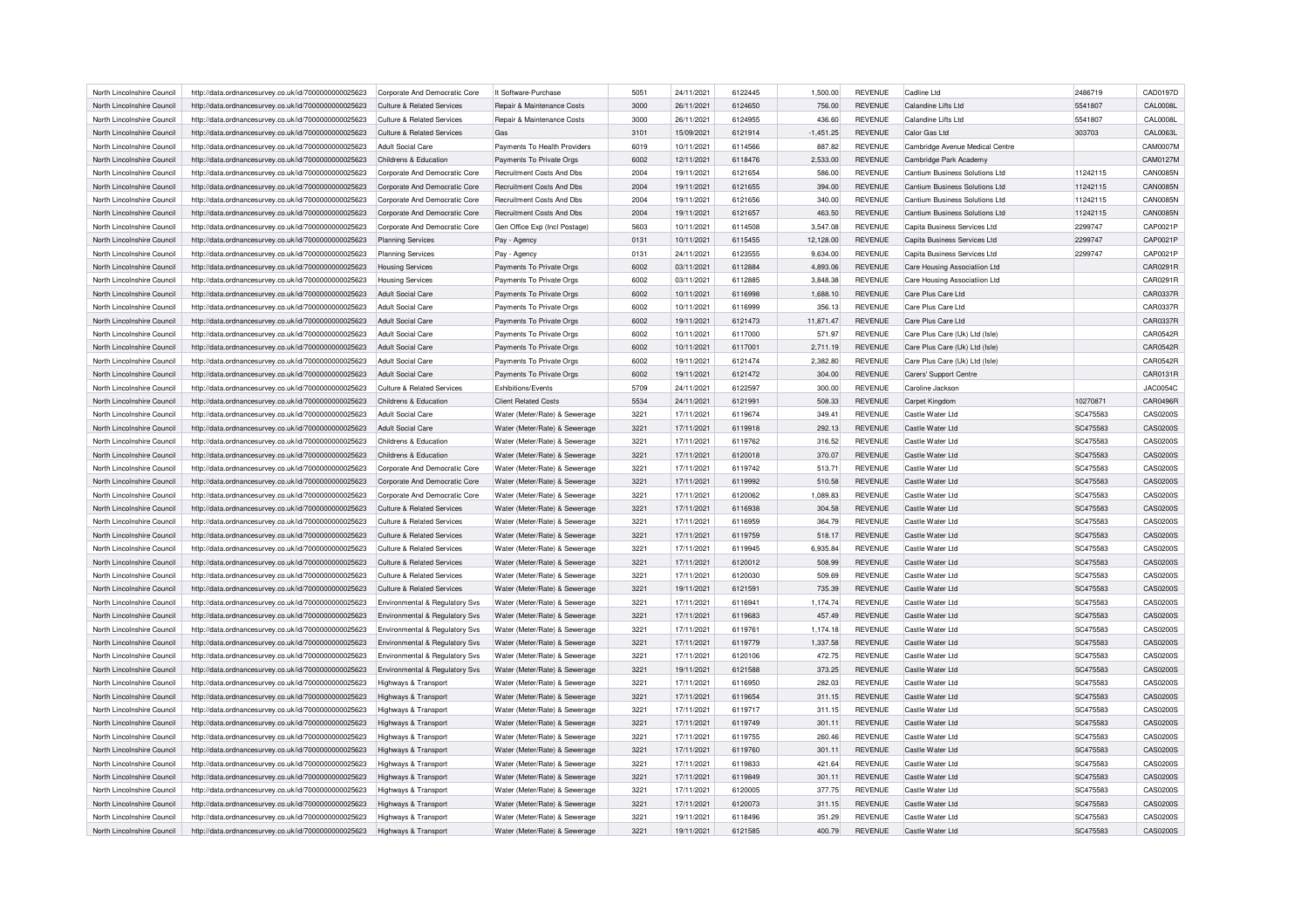| North Lincolnshire Council | http://data.ordnancesurvey.co.uk/id/7000000000025623                                                         | Corporate And Democratic Core             | It Software-Purchase             | 5051 | 24/11/2021 | 6122445 | 1,500.00    | <b>REVENUE</b> | Cadline Ltd                     | 2486719  | CAD0197D        |
|----------------------------|--------------------------------------------------------------------------------------------------------------|-------------------------------------------|----------------------------------|------|------------|---------|-------------|----------------|---------------------------------|----------|-----------------|
| North Lincolnshire Council | http://data.ordnancesurvey.co.uk/id/7000000000025623                                                         | <b>Culture &amp; Related Services</b>     | Repair & Maintenance Costs       | 3000 | 26/11/2021 | 6124650 | 756.00      | <b>REVENUE</b> | Calandine Lifts Ltd             | 5541807  | <b>CAL0008L</b> |
| North Lincolnshire Council | http://data.ordnancesurvey.co.uk/id/7000000000025623                                                         | Culture & Related Services                | Repair & Maintenance Costs       | 3000 | 26/11/2021 | 6124955 | 436.60      | <b>REVENUE</b> | Calandine Lifts Ltd             | 5541807  | <b>CAL0008L</b> |
| North Lincolnshire Council | http://data.ordnancesurvey.co.uk/id/7000000000025623                                                         | Culture & Related Services                | Gas                              | 3101 | 15/09/2021 | 6121914 | $-1,451.25$ | <b>REVENUE</b> | Calor Gas Ltd                   | 303703   | CAL0063L        |
| North Lincolnshire Council | http://data.ordnancesurvey.co.uk/id/7000000000025623                                                         | <b>Adult Social Care</b>                  | Payments To Health Providers     | 6019 | 10/11/2021 | 6114566 | 887.82      | <b>REVENUE</b> | Cambridge Avenue Medical Centre |          | CAM0007M        |
| North Lincolnshire Council | http://data.ordnancesurvey.co.uk/id/7000000000025623                                                         | Childrens & Education                     | Payments To Private Orgs         | 6002 | 12/11/2021 | 6118476 | 2,533.00    | <b>REVENUE</b> | Cambridge Park Academy          |          | CAM0127M        |
| North Lincolnshire Council | http://data.ordnancesurvey.co.uk/id/7000000000025623                                                         | Corporate And Democratic Core             | <b>Recruitment Costs And Dbs</b> | 2004 | 19/11/2021 | 6121654 | 586.00      | <b>REVENUE</b> | Cantium Business Solutions Ltd  | 11242115 | <b>CAN0085N</b> |
| North Lincolnshire Council | http://data.ordnancesurvey.co.uk/id/7000000000025623                                                         | Corporate And Democratic Core             | <b>Recruitment Costs And Dbs</b> | 2004 | 19/11/2021 | 6121655 | 394.00      | <b>REVENUE</b> | Cantium Business Solutions Ltd  | 11242115 | <b>CAN0085N</b> |
| North Lincolnshire Council | http://data.ordnancesurvey.co.uk/id/7000000000025623                                                         | Corporate And Democratic Core             | <b>Recruitment Costs And Dbs</b> | 2004 | 19/11/2021 | 6121656 | 340.00      | <b>REVENUE</b> | Cantium Business Solutions Ltd  | 11242115 | <b>CAN0085N</b> |
| North Lincolnshire Council | http://data.ordnancesurvey.co.uk/id/7000000000025623                                                         | Corporate And Democratic Core             | Recruitment Costs And Dbs        | 2004 | 19/11/2021 | 6121657 | 463.50      | <b>REVENUE</b> | Cantium Business Solutions Ltd  | 11242115 | <b>CAN0085N</b> |
| North Lincolnshire Council | http://data.ordnancesurvey.co.uk/id/7000000000025623                                                         | Corporate And Democratic Core             | Gen Office Exp (Incl Postage)    | 5603 | 10/11/2021 | 6114508 | 3.547.08    | <b>REVENUE</b> | Capita Business Services Ltd    | 2299747  | CAP0021P        |
| North Lincolnshire Council | http://data.ordnancesurvey.co.uk/id/7000000000025623                                                         | <b>Planning Services</b>                  | Pay - Agency                     | 0131 | 10/11/2021 | 6115455 | 12,128.00   | <b>REVENUE</b> | Capita Business Services Ltd    | 2299747  | CAP0021P        |
| North Lincolnshire Council | http://data.ordnancesurvey.co.uk/id/7000000000025623                                                         | <b>Planning Services</b>                  | Pay - Agency                     | 0131 | 24/11/2021 | 6123555 | 9,634.00    | <b>REVENUE</b> | Capita Business Services Ltd    | 2299747  | CAP0021P        |
| North Lincolnshire Council | http://data.ordnancesurvey.co.uk/id/7000000000025623                                                         | <b>Housing Services</b>                   | Payments To Private Orgs         | 6002 | 03/11/2021 | 6112884 | 4,893.06    | <b>REVENUE</b> | Care Housing Associatiion Ltd   |          | CAR0291R        |
| North Lincolnshire Council | http://data.ordnancesurvey.co.uk/id/7000000000025623                                                         | <b>Housing Services</b>                   | Payments To Private Orgs         | 6002 | 03/11/2021 | 6112885 | 3,848.38    | <b>REVENUE</b> | Care Housing Associatiion Ltd   |          | CAR0291R        |
| North Lincolnshire Council |                                                                                                              | <b>Adult Social Care</b>                  | Payments To Private Orgs         | 6002 | 10/11/2021 | 6116998 | 1,688.10    | <b>REVENUE</b> | Care Plus Care Ltd              |          | CAR0337R        |
| North Lincolnshire Council | http://data.ordnancesurvey.co.uk/id/7000000000025623<br>http://data.ordnancesurvey.co.uk/id/7000000000025623 | <b>Adult Social Care</b>                  | Payments To Private Orgs         | 6002 | 10/11/2021 | 6116999 | 356.13      | <b>REVENUE</b> | Care Plus Care Ltd              |          | <b>CAR0337R</b> |
|                            |                                                                                                              |                                           |                                  |      |            |         |             |                |                                 |          |                 |
| North Lincolnshire Council | http://data.ordnancesurvey.co.uk/id/7000000000025623                                                         | <b>Adult Social Care</b>                  | Payments To Private Orgs         | 6002 | 19/11/2021 | 6121473 | 11,871.47   | <b>REVENUE</b> | Care Plus Care Ltd              |          | CAR0337R        |
| North Lincolnshire Council | http://data.ordnancesurvey.co.uk/id/7000000000025623                                                         | <b>Adult Social Care</b>                  | Payments To Private Orgs         | 6002 | 10/11/2021 | 6117000 | 571.97      | <b>REVENUE</b> | Care Plus Care (Uk) Ltd (Isle)  |          | CAR0542R        |
| North Lincolnshire Council | http://data.ordnancesurvey.co.uk/id/7000000000025623                                                         | <b>Adult Social Care</b>                  | Payments To Private Orgs         | 6002 | 10/11/2021 | 6117001 | 2,711.19    | <b>REVENUE</b> | Care Plus Care (Uk) Ltd (Isle)  |          | CAR0542R        |
| North Lincolnshire Council | http://data.ordnancesurvey.co.uk/id/7000000000025623                                                         | Adult Social Care                         | Payments To Private Orgs         | 6002 | 19/11/2021 | 6121474 | 2.382.80    | <b>REVENUE</b> | Care Plus Care (Uk) Ltd (Isle)  |          | CAR0542R        |
| North Lincolnshire Council | http://data.ordnancesurvey.co.uk/id/7000000000025623                                                         | <b>Adult Social Care</b>                  | Payments To Private Orgs         | 6002 | 19/11/2021 | 6121472 | 304.00      | <b>REVENUE</b> | Carers' Support Centre          |          | CAR0131R        |
| North Lincolnshire Council | http://data.ordnancesurvey.co.uk/id/7000000000025623                                                         | <b>Culture &amp; Related Services</b>     | Exhibitions/Events               | 5709 | 24/11/2021 | 6122597 | 300.00      | <b>REVENUE</b> | Caroline Jackson                |          | <b>JAC0054C</b> |
| North Lincolnshire Council | http://data.ordnancesurvey.co.uk/id/7000000000025623                                                         | Childrens & Education                     | <b>Client Related Costs</b>      | 5534 | 24/11/2021 | 6121991 | 508.33      | <b>REVENUE</b> | Carpet Kingdom                  | 10270871 | <b>CAR0496R</b> |
| North Lincolnshire Council | http://data.ordnancesurvey.co.uk/id/7000000000025623                                                         | <b>Adult Social Care</b>                  | Water (Meter/Rate) & Sewerage    | 3221 | 17/11/2021 | 6119674 | 349.41      | <b>REVENUE</b> | Castle Water Ltd                | SC475583 | CAS0200S        |
| North Lincolnshire Council | http://data.ordnancesurvey.co.uk/id/7000000000025623                                                         | Adult Social Care                         | Water (Meter/Rate) & Sewerage    | 3221 | 17/11/2021 | 6119918 | 292.13      | <b>REVENUE</b> | Castle Water Ltd                | SC475583 | CAS0200S        |
| North Lincolnshire Council | http://data.ordnancesurvey.co.uk/id/7000000000025623                                                         | Childrens & Education                     | Water (Meter/Rate) & Sewerage    | 3221 | 17/11/2021 | 6119762 | 316.52      | <b>REVENUE</b> | Castle Water Ltd                | SC475583 | CAS0200S        |
| North Lincolnshire Council | http://data.ordnancesurvey.co.uk/id/7000000000025623                                                         | Childrens & Education                     | Water (Meter/Rate) & Sewerage    | 3221 | 17/11/2021 | 6120018 | 370.07      | <b>REVENUE</b> | Castle Water Ltd                | SC475583 | CAS0200S        |
| North Lincolnshire Council | http://data.ordnancesurvey.co.uk/id/7000000000025623                                                         | Corporate And Democratic Core             | Water (Meter/Rate) & Sewerage    | 3221 | 17/11/2021 | 6119742 | 513.71      | <b>REVENUE</b> | Castle Water Ltd                | SC475583 | CAS0200S        |
| North Lincolnshire Council | http://data.ordnancesurvey.co.uk/id/7000000000025623                                                         | Corporate And Democratic Core             | Water (Meter/Rate) & Sewerage    | 3221 | 17/11/2021 | 6119992 | 510.58      | <b>REVENUE</b> | Castle Water Ltd                | SC475583 | CAS0200S        |
| North Lincolnshire Council | http://data.ordnancesurvey.co.uk/id/7000000000025623                                                         | Corporate And Democratic Core             | Water (Meter/Rate) & Sewerage    | 3221 | 17/11/2021 | 6120062 | 1,089.83    | <b>REVENUE</b> | Castle Water Ltd                | SC475583 | CAS0200S        |
| North Lincolnshire Council | http://data.ordnancesurvey.co.uk/id/7000000000025623                                                         | Culture & Related Services                | Water (Meter/Rate) & Sewerage    | 3221 | 17/11/2021 | 6116938 | 304.58      | <b>REVENUE</b> | Castle Water Ltd                | SC475583 | CAS0200S        |
| North Lincolnshire Council | http://data.ordnancesurvey.co.uk/id/7000000000025623                                                         | Culture & Related Services                | Water (Meter/Rate) & Sewerage    | 3221 | 17/11/2021 | 6116959 | 364.79      | <b>REVENUE</b> | Castle Water Ltd                | SC475583 | CAS0200S        |
|                            |                                                                                                              |                                           |                                  |      |            |         |             |                |                                 |          |                 |
| North Lincolnshire Council | http://data.ordnancesurvey.co.uk/id/7000000000025623                                                         | <b>Culture &amp; Related Services</b>     | Water (Meter/Rate) & Sewerage    | 3221 | 17/11/2021 | 6119759 | 518.17      | <b>REVENUE</b> | Castle Water Ltd                | SC475583 | CAS0200S        |
| North Lincolnshire Council | http://data.ordnancesurvey.co.uk/id/7000000000025623                                                         | Culture & Related Services                | Water (Meter/Rate) & Sewerage    | 3221 | 17/11/2021 | 6119945 | 6,935.84    | <b>REVENUE</b> | Castle Water Ltd                | SC475583 | CAS0200S        |
| North Lincolnshire Council | http://data.ordnancesurvey.co.uk/id/7000000000025623                                                         | Culture & Related Services                | Water (Meter/Rate) & Sewerage    | 3221 | 17/11/2021 | 6120012 | 508.99      | <b>REVENUE</b> | Castle Water Ltd                | SC475583 | CAS0200S        |
| North Lincolnshire Council | http://data.ordnancesurvey.co.uk/id/7000000000025623                                                         | Culture & Related Services                | Water (Meter/Rate) & Sewerage    | 3221 | 17/11/2021 | 6120030 | 509.69      | <b>REVENUE</b> | Castle Water Ltd                | SC475583 | CAS0200S        |
| North Lincolnshire Council | http://data.ordnancesurvey.co.uk/id/7000000000025623                                                         | Culture & Related Services                | Water (Meter/Rate) & Sewerage    | 3221 | 19/11/2021 | 6121591 | 735.39      | <b>REVENUE</b> | Castle Water Ltd                | SC475583 | CAS0200S        |
| North Lincolnshire Council | http://data.ordnancesurvey.co.uk/id/7000000000025623                                                         | Environmental & Regulatory Svs            | Water (Meter/Rate) & Sewerage    | 3221 | 17/11/2021 | 6116941 | 1,174.74    | <b>REVENUE</b> | Castle Water Ltd                | SC475583 | CAS0200S        |
| North Lincolnshire Council | http://data.ordnancesurvey.co.uk/id/7000000000025623                                                         | Environmental & Regulatory Svs            | Water (Meter/Rate) & Sewerage    | 3221 | 17/11/2021 | 6119683 | 457.49      | <b>REVENUE</b> | Castle Water Ltd                | SC475583 | CAS0200S        |
| North Lincolnshire Council | http://data.ordnancesurvey.co.uk/id/7000000000025623                                                         | <b>Environmental &amp; Requiatory Sys</b> | Water (Meter/Rate) & Sewerage    | 3221 | 17/11/2021 | 6119761 | 1.174.18    | <b>REVENUE</b> | Castle Water Ltd                | SC475583 | CAS0200S        |
| North Lincolnshire Council | http://data.ordnancesurvey.co.uk/id/7000000000025623                                                         | Environmental & Regulatory Svs            | Water (Meter/Rate) & Sewerage    | 3221 | 17/11/2021 | 6119779 | 1,337.58    | <b>REVENUE</b> | Castle Water Ltd                | SC475583 | CAS0200S        |
| North Lincolnshire Council | http://data.ordnancesurvey.co.uk/id/7000000000025623                                                         | Environmental & Regulatory Svs            | Water (Meter/Rate) & Sewerage    | 3221 | 17/11/2021 | 6120106 | 472.75      | <b>REVENUE</b> | Castle Water Ltd                | SC475583 | CAS0200S        |
| North Lincolnshire Council | http://data.ordnancesurvey.co.uk/id/7000000000025623                                                         | <b>Environmental &amp; Regulatory Svs</b> | Water (Meter/Rate) & Sewerage    | 3221 | 19/11/2021 | 6121588 | 373.25      | <b>REVENUE</b> | Castle Water Ltd                | SC475583 | CAS0200S        |
| North Lincolnshire Council | http://data.ordnancesurvey.co.uk/id/7000000000025623                                                         | Highways & Transport                      | Water (Meter/Rate) & Sewerage    | 3221 | 17/11/2021 | 6116950 | 282.03      | <b>REVENUE</b> | Castle Water Ltd                | SC475583 | CAS0200S        |
| North Lincolnshire Council | http://data.ordnancesurvey.co.uk/id/7000000000025623                                                         | Highways & Transport                      | Water (Meter/Rate) & Sewerage    | 3221 | 17/11/2021 | 6119654 | 311.15      | <b>REVENUE</b> | Castle Water Ltd                | SC475583 | CAS0200S        |
| North Lincolnshire Council | http://data.ordnancesurvey.co.uk/id/7000000000025623                                                         | <b>Highways &amp; Transport</b>           | Water (Meter/Rate) & Sewerage    | 3221 | 17/11/2021 | 6119717 | 311.15      | <b>REVENUE</b> | Castle Water Ltd                | SC475583 | CAS0200S        |
| North Lincolnshire Council | http://data.ordnancesurvey.co.uk/id/7000000000025623                                                         | <b>Highways &amp; Transport</b>           | Water (Meter/Rate) & Sewerage    | 3221 | 17/11/2021 | 6119749 | 301.11      | <b>REVENUE</b> | Castle Water Ltd                | SC475583 | CAS0200S        |
| North Lincolnshire Council | http://data.ordnancesurvey.co.uk/id/7000000000025623                                                         | Highways & Transport                      | Water (Meter/Rate) & Sewerage    | 3221 | 17/11/2021 | 6119755 | 260.46      | <b>REVENUE</b> | Castle Water Ltd                | SC475583 | CAS0200S        |
| North Lincolnshire Council | http://data.ordnancesurvey.co.uk/id/7000000000025623                                                         | Highways & Transport                      | Water (Meter/Rate) & Sewerage    | 3221 | 17/11/2021 | 6119760 | 301.11      | <b>REVENUE</b> | Castle Water Ltd                | SC475583 | CAS0200S        |
| North Lincolnshire Council |                                                                                                              |                                           |                                  |      |            | 6119833 |             | <b>REVENUE</b> | Castle Water Ltd                |          | CAS0200S        |
|                            | http://data.ordnancesurvey.co.uk/id/7000000000025623                                                         | Highways & Transport                      | Water (Meter/Rate) & Sewerage    | 3221 | 17/11/2021 |         | 421.64      |                |                                 | SC475583 |                 |
| North Lincolnshire Council | http://data.ordnancesurvey.co.uk/id/7000000000025623                                                         | Highways & Transport                      | Water (Meter/Rate) & Sewerage    | 3221 | 17/11/2021 | 6119849 | 301.11      | <b>REVENUE</b> | Castle Water Ltd                | SC475583 | CAS0200S        |
| North Lincolnshire Council | http://data.ordnancesurvey.co.uk/id/7000000000025623                                                         | Highways & Transport                      | Water (Meter/Rate) & Sewerage    | 3221 | 17/11/2021 | 6120005 | 377.75      | <b>REVENUE</b> | Castle Water Ltd                | SC475583 | CAS0200S        |
| North Lincolnshire Council | http://data.ordnancesurvey.co.uk/id/7000000000025623                                                         | Highways & Transport                      | Water (Meter/Rate) & Sewerage    | 3221 | 17/11/2021 | 6120073 | 311.15      | <b>REVENUE</b> | Castle Water Ltd                | SC475583 | CAS0200S        |
| North Lincolnshire Council | http://data.ordnancesurvey.co.uk/id/7000000000025623                                                         | Highways & Transport                      | Water (Meter/Rate) & Sewerage    | 3221 | 19/11/2021 | 6118496 | 351.29      | <b>REVENUE</b> | Castle Water Ltd                | SC475583 | CAS0200S        |
| North Lincolnshire Council | http://data.ordnancesurvey.co.uk/id/7000000000025623                                                         | Highways & Transport                      | Water (Meter/Rate) & Sewerage    | 3221 | 19/11/2021 | 6121585 | 400.79      | <b>REVENUE</b> | Castle Water Ltd                | SC475583 | CAS0200S        |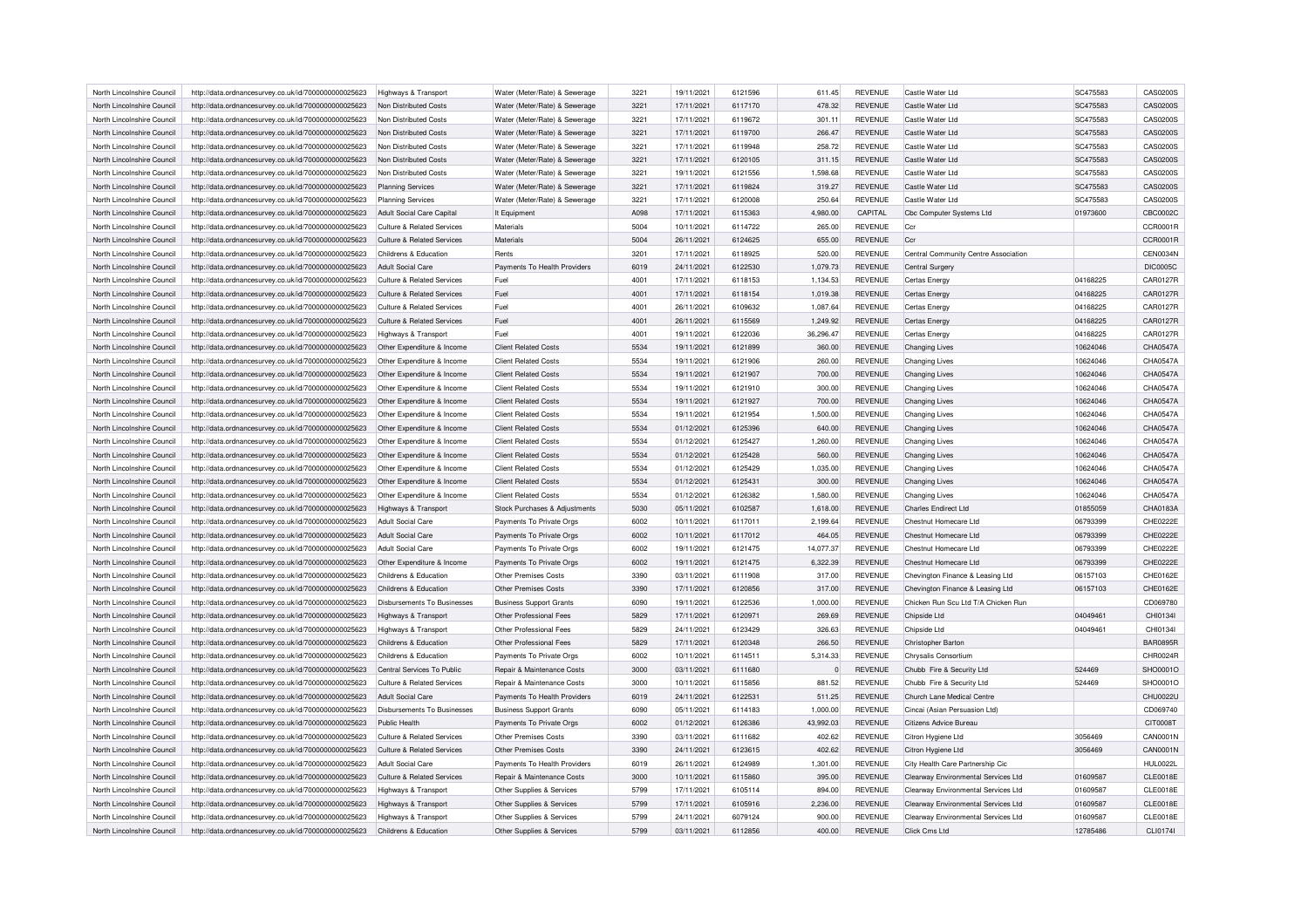| North Lincolnshire Council | http://data.ordnancesurvey.co.uk/id/7000000000025623 | Highways & Transport                  | Water (Meter/Rate) & Sewerage  | 3221             | 19/11/2021 | 6121596 | 611.45              | <b>REVENUE</b> | Castle Water Ltd                     | SC475583 | CAS0200S        |
|----------------------------|------------------------------------------------------|---------------------------------------|--------------------------------|------------------|------------|---------|---------------------|----------------|--------------------------------------|----------|-----------------|
| North Lincolnshire Council | http://data.ordnancesurvey.co.uk/id/7000000000025623 | Non Distributed Costs                 | Water (Meter/Rate) & Sewerage  | 3221             | 17/11/2021 | 6117170 | 478.32              | <b>REVENUE</b> | Castle Water Ltd                     | SC475583 | CAS0200S        |
| North Lincolnshire Council | http://data.ordnancesurvey.co.uk/id/7000000000025623 | Non Distributed Costs                 | Water (Meter/Rate) & Sewerage  | 3221             | 17/11/2021 | 6119672 | 301.11              | <b>REVENUE</b> | Castle Water Ltd                     | SC475583 | CAS0200S        |
| North Lincolnshire Council | http://data.ordnancesurvey.co.uk/id/7000000000025623 | Non Distributed Costs                 | Water (Meter/Rate) & Sewerage  | 3221             | 17/11/2021 | 6119700 | 266.47              | <b>REVENUE</b> | Castle Water Ltd                     | SC475583 | CAS0200S        |
| North Lincolnshire Council | http://data.ordnancesurvey.co.uk/id/7000000000025623 | Non Distributed Costs                 | Water (Meter/Rate) & Sewerage  | 3221             | 17/11/2021 | 6119948 | 258.72              | <b>REVENUE</b> | Castle Water I to                    | SC475583 | CAS0200S        |
| North Lincolnshire Council | http://data.ordnancesurvey.co.uk/id/7000000000025623 | Non Distributed Costs                 | Water (Meter/Rate) & Sewerage  | 3221             | 17/11/2021 | 6120105 | 311.15              | <b>REVENUE</b> | Castle Water Ltd                     | SC475583 | CAS0200S        |
| North Lincolnshire Council | http://data.ordnancesurvey.co.uk/id/7000000000025623 | Non Distributed Costs                 | Water (Meter/Rate) & Sewerage  | 3221             | 19/11/2021 | 6121556 | 1,598.68            | <b>REVENUE</b> | Castle Water Ltd                     | SC475583 | CAS0200S        |
| North Lincolnshire Council | http://data.ordnancesurvey.co.uk/id/7000000000025623 | <b>Planning Services</b>              | Water (Meter/Rate) & Sewerage  | 3221             | 17/11/2021 | 6119824 | 319.27              | REVENUE        | Castle Water Ltd                     | SC475583 | CAS0200S        |
| North Lincolnshire Council | http://data.ordnancesurvey.co.uk/id/7000000000025623 | <b>Planning Services</b>              | Water (Meter/Rate) & Sewerage  | 3221             | 17/11/2021 | 6120008 | 250.64              | <b>REVENUE</b> | Castle Water Ltd                     | SC475583 | CAS0200S        |
| North Lincolnshire Council | http://data.ordnancesurvey.co.uk/id/7000000000025623 | <b>Adult Social Care Capital</b>      | It Equipment                   | A098             | 17/11/2021 | 6115363 | 4,980.00            | CAPITAL        | Cbc Computer Systems Ltd             | 01973600 | CBC0002C        |
| North Lincolnshire Council | http://data.ordnancesurvey.co.uk/id/7000000000025623 | Culture & Related Services            | Materials                      | 5004             | 10/11/2021 | 6114722 | 265.00              | REVENUE        | Ccr                                  |          | CCR0001R        |
| North Lincolnshire Council | http://data.ordnancesurvey.co.uk/id/7000000000025623 | Culture & Related Services            | Materials                      | 5004             | 26/11/2021 | 6124625 | 655.00              | <b>REVENUE</b> | Ccr                                  |          | CCR0001R        |
|                            |                                                      |                                       |                                |                  |            |         |                     |                |                                      |          |                 |
| North Lincolnshire Council | http://data.ordnancesurvey.co.uk/id/7000000000025623 | Childrens & Education                 | Rents                          | 3201             | 17/11/2021 | 6118925 | 520.00              | REVENUE        | Central Community Centre Association |          | CEN0034N        |
| North Lincolnshire Council | http://data.ordnancesurvey.co.uk/id/7000000000025623 | <b>Adult Social Care</b>              | Payments To Health Providers   | 6019             | 24/11/2021 | 6122530 | 1,079.73            | <b>REVENUE</b> | Central Surgery                      |          | <b>DIC0005C</b> |
| North Lincolnshire Council | http://data.ordnancesurvey.co.uk/id/7000000000025623 | <b>Culture &amp; Related Services</b> | Fuel                           | 4001             | 17/11/2021 | 6118153 | 1,134.53            | <b>REVENUE</b> | Certas Energy                        | 04168225 | <b>CAR0127F</b> |
| North Lincolnshire Council | http://data.ordnancesurvey.co.uk/id/7000000000025623 | <b>Culture &amp; Related Services</b> | Fuel                           | 4001             | 17/11/2021 | 6118154 | 1,019.38            | <b>REVENUE</b> | Certas Energy                        | 04168225 | <b>CAR0127F</b> |
| North Lincolnshire Council | http://data.ordnancesurvey.co.uk/id/7000000000025623 | Culture & Related Services            | Fuel                           | 4001             | 26/11/2021 | 6109632 | 1,087.64            | <b>REVENUE</b> | Certas Energy                        | 04168225 | <b>CAR0127R</b> |
| North Lincolnshire Council | http://data.ordnancesurvey.co.uk/id/7000000000025623 | Culture & Related Services            | Fuel                           | 4001             | 26/11/2021 | 6115569 | 1,249.92            | <b>REVENUE</b> | Certas Energy                        | 04168225 | <b>CAR0127R</b> |
| North Lincolnshire Council | http://data.ordnancesurvey.co.uk/id/7000000000025623 | Highways & Transport                  | Fuel                           | 4001             | 19/11/2021 | 6122036 | 36,296.47           | <b>REVENUE</b> | Certas Energy                        | 04168225 | <b>CAR0127F</b> |
| North Lincolnshire Council | http://data.ordnancesurvey.co.uk/id/7000000000025623 | Other Expenditure & Income            | <b>Client Related Costs</b>    | 5534             | 19/11/2021 | 6121899 | 360.00              | <b>REVENUE</b> | <b>Changing Lives</b>                | 10624046 | <b>CHA0547A</b> |
| North Lincolnshire Council | http://data.ordnancesurvey.co.uk/id/7000000000025623 | Other Expenditure & Income            | <b>Client Related Costs</b>    | 5534             | 19/11/2021 | 6121906 | 260.00              | <b>REVENUE</b> | <b>Changing Lives</b>                | 10624046 | <b>CHA0547A</b> |
| North Lincolnshire Council | http://data.ordnancesurvey.co.uk/id/7000000000025623 | Other Expenditure & Income            | <b>Client Related Costs</b>    | 5534             | 19/11/2021 | 6121907 | 700.00              | <b>REVENUE</b> | <b>Changing Lives</b>                | 10624046 | CHA0547A        |
| North Lincolnshire Council | http://data.ordnancesurvey.co.uk/id/7000000000025623 | Other Expenditure & Income            | <b>Client Related Costs</b>    | 5534             | 19/11/2021 | 6121910 | 300.00              | <b>REVENUE</b> | <b>Changing Lives</b>                | 10624046 | CHA0547A        |
| North Lincolnshire Council | http://data.ordnancesurvey.co.uk/id/7000000000025623 | Other Expenditure & Income            | <b>Client Related Costs</b>    | 5534             | 19/11/2021 | 6121927 | 700.00              | <b>REVENUE</b> | Changing Lives                       | 10624046 | CHA0547A        |
| North Lincolnshire Council | http://data.ordnancesurvey.co.uk/id/7000000000025623 | Other Expenditure & Income            | <b>Client Related Costs</b>    | 5534             | 19/11/2021 | 6121954 | 1,500.00            | <b>REVENUE</b> | <b>Changing Lives</b>                | 10624046 | CHA0547A        |
| North Lincolnshire Council | http://data.ordnancesurvey.co.uk/id/7000000000025623 | Other Expenditure & Income            | <b>Client Related Costs</b>    | 5534             | 01/12/2021 | 6125396 | 640.00              | <b>REVENUE</b> | <b>Changing Lives</b>                | 10624046 | <b>CHA0547A</b> |
| North Lincolnshire Council | http://data.ordnancesurvey.co.uk/id/7000000000025623 | Other Expenditure & Income            | Client Related Costs           | 5534             | 01/12/2021 | 6125427 | 1,260.00            | <b>REVENUE</b> | Changing Lives                       | 10624046 | CHA0547A        |
| North Lincolnshire Council | http://data.ordnancesurvey.co.uk/id/7000000000025623 | Other Expenditure & Income            | <b>Client Related Costs</b>    | 5534             | 01/12/2021 | 6125428 | 560.00              | <b>REVENUE</b> | <b>Changing Lives</b>                | 10624046 | CHA0547A        |
| North Lincolnshire Council | http://data.ordnancesurvey.co.uk/id/7000000000025623 | Other Expenditure & Income            | <b>Client Related Costs</b>    | 5534             | 01/12/2021 | 6125429 | 1,035.00            | <b>REVENUE</b> | <b>Changing Lives</b>                | 10624046 | CHA0547A        |
| North Lincolnshire Council | http://data.ordnancesurvey.co.uk/id/7000000000025623 | Other Expenditure & Income            | <b>Client Related Costs</b>    | 5534             | 01/12/2021 | 6125431 | 300.00              | <b>REVENUE</b> | Changing Lives                       | 10624046 | CHA0547A        |
| North Lincolnshire Council | http://data.ordnancesurvey.co.uk/id/7000000000025623 | Other Expenditure & Income            | <b>Client Related Costs</b>    | 5534             | 01/12/2021 | 6126382 | 1,580.00            | <b>REVENUE</b> | <b>Changing Lives</b>                | 10624046 | CHA0547A        |
| North Lincolnshire Council | http://data.ordnancesurvey.co.uk/id/7000000000025623 | Highways & Transport                  | Stock Purchases & Adjustments  | 5030             | 05/11/2021 | 6102587 | 1,618.00            | <b>REVENUE</b> | <b>Charles Endirect Ltd</b>          | 01855059 | CHA0183A        |
| North Lincolnshire Council | http://data.ordnancesurvey.co.uk/id/7000000000025623 | <b>Adult Social Care</b>              | Payments To Private Orgs       | 6002             | 10/11/2021 | 6117011 | 2,199.64            | <b>REVENUE</b> | Chestnut Homecare Ltd                | 06793399 | CHE0222E        |
|                            |                                                      | <b>Adult Social Care</b>              |                                | 6002             | 10/11/2021 | 6117012 |                     | <b>REVENUE</b> | Chestnut Homecare Ltd                | 06793399 | CHE0222E        |
| North Lincolnshire Council | http://data.ordnancesurvey.co.uk/id/7000000000025623 |                                       | Payments To Private Orgs       |                  | 19/11/2021 | 6121475 | 464.05<br>14,077.37 | <b>REVENUE</b> | Chestnut Homecare I to               |          | CHE0222E        |
| North Lincolnshire Council | http://data.ordnancesurvey.co.uk/id/7000000000025623 | <b>Adult Social Care</b>              | Payments To Private Orgs       | 6002             |            |         |                     |                |                                      | 06793399 |                 |
| North Lincolnshire Council | http://data.ordnancesurvey.co.uk/id/7000000000025623 | Other Expenditure & Income            | Payments To Private Orgs       | 6002             | 19/11/2021 | 6121475 | 6,322.39            | <b>REVENUE</b> | Chestnut Homecare Ltd                | 06793399 | CHE0222E        |
| North Lincolnshire Council | http://data.ordnancesurvey.co.uk/id/7000000000025623 | Childrens & Education                 | Other Premises Costs           | 3390             | 03/11/2021 | 6111908 | 317.00              | <b>REVENUE</b> | Chevington Finance & Leasing Ltd     | 06157103 | CHE0162E        |
| North Lincolnshire Council | http://data.ordnancesurvey.co.uk/id/7000000000025623 | Childrens & Education                 | Other Premises Costs           | 3390             | 17/11/2021 | 6120856 | 317.00              | <b>REVENUE</b> | Chevington Finance & Leasing Ltd     | 06157103 | CHE0162E        |
| North Lincolnshire Council | http://data.ordnancesurvey.co.uk/id/7000000000025623 | Disbursements To Businesses           | <b>Business Support Grants</b> | 6090             | 19/11/2021 | 6122536 | 1,000.00            | <b>REVENUE</b> | Chicken Run Scu Ltd T/A Chicken Run  |          | CD069780        |
| North Lincolnshire Council | http://data.ordnancesurvey.co.uk/id/7000000000025623 | <b>Highways &amp; Transport</b>       | Other Professional Fees        | 5829             | 17/11/2021 | 6120971 | 269.69              | <b>REVENUE</b> | Chipside Ltd                         | 04049461 | CHI01341        |
| North Lincolnshire Council | http://data.ordnancesurvey.co.uk/id/7000000000025623 | Highways & Transport                  | Other Professional Fees        | 5829             | 24/11/2021 | 6123429 | 326.63              | <b>REVENUE</b> | Chipside Ltd                         | 04049461 | CHI01341        |
| North Lincolnshire Council | http://data.ordnancesurvey.co.uk/id/7000000000025623 | Childrens & Education                 | Other Professional Fees        | 5829             | 17/11/2021 | 6120348 | 266.50              | <b>REVENUE</b> | Christopher Barton                   |          | <b>BAR0895F</b> |
| North Lincolnshire Council | http://data.ordnancesurvey.co.uk/id/7000000000025623 | Childrens & Education                 | Payments To Private Orgs       | 6002             | 10/11/2021 | 6114511 | 5,314.33            | <b>REVENUE</b> | Chrysalis Consortium                 |          | CHR0024F        |
| North Lincolnshire Council | http://data.ordnancesurvey.co.uk/id/7000000000025623 | Central Services To Public            | Repair & Maintenance Costs     | 3000             | 03/11/2021 | 6111680 | $\Omega$            | <b>REVENUE</b> | Chubb Fire & Security Ltd            | 524469   | SHO0001O        |
| North Lincolnshire Council | http://data.ordnancesurvey.co.uk/id/7000000000025623 | Culture & Related Services            | Repair & Maintenance Costs     | 3000             | 10/11/2021 | 6115856 | 881.52              | <b>REVENUE</b> | Chubb Fire & Security Ltd            | 524469   | SHO0001O        |
| North Lincolnshire Council | http://data.ordnancesurvey.co.uk/id/7000000000025623 | <b>Adult Social Care</b>              | Payments To Health Providers   | 6019             | 24/11/2021 | 6122531 | 511.25              | <b>REVENUE</b> | Church Lane Medical Centre           |          | CHU0022L        |
| North Lincolnshire Council | http://data.ordnancesurvey.co.uk/id/7000000000025623 | Disbursements To Businesses           | <b>Business Support Grants</b> | 6090             | 05/11/2021 | 6114183 | 1,000.00            | <b>REVENUE</b> | Cincai (Asian Persuasion Ltd)        |          | CD069740        |
| North Lincolnshire Council | http://data.ordnancesurvey.co.uk/id/7000000000025623 | Public Health                         | Payments To Private Orgs       | 6002             | 01/12/2021 | 6126386 | 43,992.03           | <b>REVENUE</b> | Citizens Advice Bureau               |          | CIT0008T        |
| North Lincolnshire Council | http://data.ordnancesurvey.co.uk/id/7000000000025623 | <b>Culture &amp; Related Services</b> | Other Premises Costs           | 3390             | 03/11/2021 | 6111682 | 402.62              | <b>REVENUE</b> | Citron Hygiene Ltd                   | 3056469  | CAN0001N        |
| North Lincolnshire Council | http://data.ordnancesurvey.co.uk/id/7000000000025623 | <b>Culture &amp; Related Services</b> | <b>Other Premises Costs</b>    | 3390             | 24/11/2021 | 6123615 | 402.62              | <b>REVENUE</b> | Citron Hygiene Ltd                   | 3056469  | CAN0001N        |
| North Lincolnshire Council | http://data.ordnancesurvey.co.uk/id/7000000000025623 | <b>Adult Social Care</b>              | Payments To Health Providers   | 601 <sup>C</sup> | 26/11/2021 | 6124989 | 1.301.00            | <b>REVENUE</b> | City Health Care Partnership Cic     |          | <b>HUL0022L</b> |
| North Lincolnshire Council | http://data.ordnancesurvey.co.uk/id/7000000000025623 | <b>Culture &amp; Related Services</b> | Repair & Maintenance Costs     | 3000             | 10/11/2021 | 6115860 | 395.00              | <b>REVENUE</b> | Clearway Environmental Services Ltd  | 01609587 | <b>CLE0018E</b> |
| North Lincolnshire Council | http://data.ordnancesurvey.co.uk/id/7000000000025623 | <b>Highways &amp; Transport</b>       | Other Supplies & Services      | 5799             | 17/11/2021 | 6105114 | 894.00              | <b>REVENUE</b> | Clearway Environmental Services Ltd  | 01609587 | <b>CLE0018E</b> |
| North Lincolnshire Council | http://data.ordnancesurvey.co.uk/id/7000000000025623 | Highways & Transport                  | Other Supplies & Services      | 5799             | 17/11/2021 | 6105916 | 2,236.00            | <b>REVENUE</b> | Clearway Environmental Services Ltd  | 01609587 | <b>CLE0018E</b> |
| North Lincolnshire Council | http://data.ordnancesurvey.co.uk/id/7000000000025623 | Highways & Transport                  | Other Supplies & Services      | 5799             | 24/11/2021 | 6079124 | 900.00              | <b>REVENUE</b> | Clearway Environmental Services Ltd  | 01609587 | <b>CLE0018E</b> |
| North Lincolnshire Council | http://data.ordnancesurvey.co.uk/id/7000000000025623 | Childrens & Education                 | Other Supplies & Services      | 5799             | 03/11/2021 | 6112856 | 400.00              | <b>REVENUE</b> | Click Cms Ltd                        | 12785486 | CLI0174I        |
|                            |                                                      |                                       |                                |                  |            |         |                     |                |                                      |          |                 |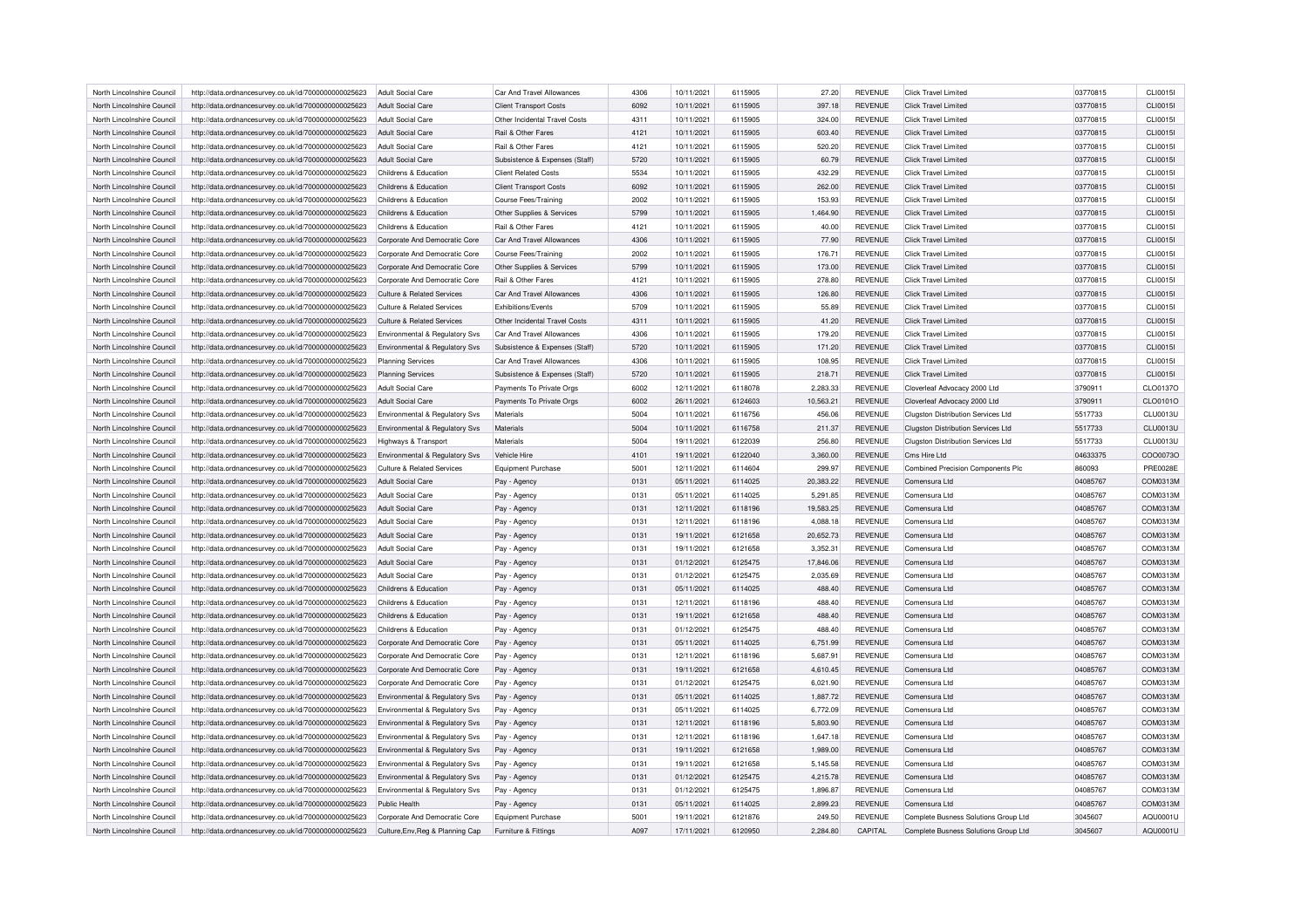| North Lincolnshire Council                               | http://data.ordnancesurvey.co.uk/id/7000000000025623                                                         | Adult Social Care                                                 | Car And Travel Allowances                  | 4306 | 10/11/2021               | 6115905            | 27.20              | <b>REVENUE</b>     | <b>Click Travel Limited</b>                                                  | 03770815           | CLI00151        |
|----------------------------------------------------------|--------------------------------------------------------------------------------------------------------------|-------------------------------------------------------------------|--------------------------------------------|------|--------------------------|--------------------|--------------------|--------------------|------------------------------------------------------------------------------|--------------------|-----------------|
| North Lincolnshire Council                               | http://data.ordnancesurvey.co.uk/id/7000000000025623                                                         | Adult Social Care                                                 | <b>Client Transport Costs</b>              | 6092 | 10/11/2021               | 6115905            | 397.18             | <b>REVENUE</b>     | <b>Click Travel Limited</b>                                                  | 03770815           | CLI0015I        |
|                                                          |                                                                                                              |                                                                   |                                            | 4311 |                          |                    | 324.00             |                    |                                                                              |                    |                 |
| North Lincolnshire Council                               | http://data.ordnancesurvey.co.uk/id/7000000000025623                                                         | Adult Social Care                                                 | Other Incidental Travel Costs              |      | 10/11/2021               | 6115905            |                    | <b>REVENUE</b>     | <b>Click Travel Limited</b>                                                  | 03770815           | CLI00151        |
| North Lincolnshire Council                               | http://data.ordnancesurvey.co.uk/id/7000000000025623                                                         | Adult Social Care                                                 | Rail & Other Fares                         | 4121 | 10/11/2021               | 6115905            | 603.40             | <b>REVENUE</b>     | <b>Click Travel Limited</b>                                                  | 03770815           | CLI0015I        |
| North Lincolnshire Council                               | http://data.ordnancesurvey.co.uk/id/7000000000025623                                                         | <b>Adult Social Care</b>                                          | Rail & Other Fares                         | 4121 | 10/11/2021               | 6115905            | 520.20             | <b>REVENUE</b>     | <b>Click Travel Limited</b>                                                  | 03770815           | CLI0015I        |
| North Lincolnshire Council                               | http://data.ordnancesurvey.co.uk/id/7000000000025623                                                         | Adult Social Care                                                 | Subsistence & Expenses (Staff)             | 5720 | 10/11/2021               | 6115905            | 60.79              | <b>REVENUE</b>     | Click Travel Limited                                                         | 03770815           | <b>CLI0015I</b> |
| North Lincolnshire Council                               | http://data.ordnancesurvey.co.uk/id/7000000000025623                                                         | Childrens & Education                                             | <b>Client Related Costs</b>                | 5534 | 10/11/2021               | 6115905            | 432.29             | <b>REVENUE</b>     | <b>Click Travel Limited</b>                                                  | 03770815           | CLI0015I        |
| North Lincolnshire Council                               | http://data.ordnancesurvey.co.uk/id/7000000000025623                                                         | Childrens & Education                                             | <b>Client Transport Costs</b>              | 6092 | 10/11/2021               | 6115905            | 262.00             | <b>REVENUE</b>     | Click Travel Limited                                                         | 03770815           | CLI0015I        |
| North Lincolnshire Council                               | http://data.ordnancesurvey.co.uk/id/7000000000025623                                                         | Childrens & Education                                             | <b>Course Fees/Training</b>                | 2002 | 10/11/2021               | 6115905            | 153.93             | <b>REVENUE</b>     | <b>Click Travel Limited</b>                                                  | 03770815           | <b>CLI0015I</b> |
| North Lincolnshire Council                               | http://data.ordnancesurvey.co.uk/id/7000000000025623                                                         | Childrens & Education                                             | Other Supplies & Services                  | 5799 | 10/11/2021               | 6115905            | 1,464.90           | REVENUE            | <b>Click Travel Limited</b>                                                  | 03770815           | <b>CLI0015I</b> |
| North Lincolnshire Council                               | http://data.ordnancesurvey.co.uk/id/7000000000025623                                                         | Childrens & Education                                             | Rail & Other Fares                         | 4121 | 10/11/2021               | 6115905            | 40.00              | <b>REVENUE</b>     | Click Travel Limited                                                         | 03770815           | CLI0015I        |
| North Lincolnshire Council                               | http://data.ordnancesurvey.co.uk/id/7000000000025623                                                         | Corporate And Democratic Core                                     | Car And Travel Allowances                  | 4306 | 10/11/2021               | 6115905            | 77.90              | <b>REVENUE</b>     | Click Travel Limited                                                         | 03770815           | CLI0015I        |
| North Lincolnshire Council                               | http://data.ordnancesurvey.co.uk/id/7000000000025623                                                         | Corporate And Democratic Core                                     | Course Fees/Training                       | 2002 | 10/11/2021               | 6115905            | 176.71             | REVENUE            | <b>Click Travel Limited</b>                                                  | 03770815           | <b>CLI0015I</b> |
| North Lincolnshire Council                               | http://data.ordnancesurvey.co.uk/id/7000000000025623                                                         | Corporate And Democratic Core                                     | Other Supplies & Services                  | 5799 | 10/11/2021               | 6115905            | 173.00             | <b>REVENUE</b>     | <b>Click Travel Limited</b>                                                  | 03770815           | CLI0015I        |
| North Lincolnshire Council                               |                                                                                                              | Corporate And Democratic Core                                     | Rail & Other Fares                         | 4121 | 10/11/2021               | 6115905            | 278.80             | <b>REVENUE</b>     | <b>Click Travel Limited</b>                                                  | 03770815           | CLI0015I        |
|                                                          | http://data.ordnancesurvey.co.uk/id/7000000000025623                                                         |                                                                   |                                            |      |                          |                    |                    |                    |                                                                              |                    |                 |
| North Lincolnshire Council                               | http://data.ordnancesurvey.co.uk/id/7000000000025623                                                         | <b>Culture &amp; Related Services</b>                             | Car And Travel Allowances                  | 4306 | 10/11/2021               | 6115905            | 126.80             | REVENUE            | <b>Click Travel Limited</b>                                                  | 03770815           | CLI0015I        |
| North Lincolnshire Council                               | http://data.ordnancesurvey.co.uk/id/7000000000025623                                                         | <b>Culture &amp; Related Services</b>                             | Exhibitions/Events                         | 5709 | 10/11/2021               | 6115905            | 55.89              | <b>REVENUE</b>     | <b>Click Travel Limited</b>                                                  | 03770815           | CLI0015I        |
| North Lincolnshire Council                               | http://data.ordnancesurvey.co.uk/id/7000000000025623                                                         | <b>Culture &amp; Related Services</b>                             | Other Incidental Travel Costs              | 4311 | 10/11/2021               | 6115905            | 41.20              | <b>REVENUE</b>     | Click Travel Limited                                                         | 03770815           | CLI0015I        |
| North Lincolnshire Council                               | http://data.ordnancesurvey.co.uk/id/7000000000025623                                                         | Environmental & Regulatory Svs                                    | Car And Travel Allowances                  | 4306 | 10/11/2021               | 6115905            | 179.20             | <b>REVENUE</b>     | <b>Click Travel Limited</b>                                                  | 03770815           | CLI0015I        |
| North Lincolnshire Council                               | http://data.ordnancesurvey.co.uk/id/7000000000025623                                                         | Environmental & Regulatory Svs                                    | Subsistence & Expenses (Staff)             | 5720 | 10/11/2021               | 6115905            | 171.20             | <b>REVENUE</b>     | <b>Click Travel Limited</b>                                                  | 03770815           | CLI0015I        |
| North Lincolnshire Council                               | http://data.ordnancesurvey.co.uk/id/7000000000025623                                                         | <b>Planning Services</b>                                          | Car And Travel Allowances                  | 4306 | 10/11/2021               | 6115905            | 108.95             | <b>REVENUE</b>     | <b>Click Travel Limited</b>                                                  | 03770815           | <b>CLI0015I</b> |
| North Lincolnshire Council                               | http://data.ordnancesurvey.co.uk/id/7000000000025623                                                         | <b>Planning Services</b>                                          | Subsistence & Expenses (Staff)             | 5720 | 10/11/2021               | 6115905            | 218.71             | <b>REVENUE</b>     | <b>Click Travel Limited</b>                                                  | 03770815           | CLI0015I        |
| North Lincolnshire Council                               | http://data.ordnancesurvey.co.uk/id/7000000000025623                                                         | <b>Adult Social Care</b>                                          | Payments To Private Orgs                   | 6002 | 12/11/2021               | 6118078            | 2,283.33           | <b>REVENUE</b>     | Cloverleaf Advocacy 2000 Ltd                                                 | 3790911            | CLO0137O        |
| North Lincolnshire Council                               | http://data.ordnancesurvey.co.uk/id/7000000000025623                                                         | Adult Social Care                                                 | Payments To Private Orgs                   | 6002 | 26/11/2021               | 6124603            | 10,563.21          | <b>REVENUE</b>     | Cloverleaf Advocacy 2000 Ltd                                                 | 3790911            | CLO0101O        |
| North Lincolnshire Council                               | http://data.ordnancesurvey.co.uk/id/7000000000025623                                                         | Environmental & Regulatory Svs                                    | Materials                                  | 5004 | 10/11/2021               | 6116756            | 456.06             | <b>REVENUE</b>     | <b>Clugston Distribution Services Ltd</b>                                    | 5517733            | CLU0013U        |
| North Lincolnshire Council                               | http://data.ordnancesurvey.co.uk/id/7000000000025623                                                         | Environmental & Regulatory Svs                                    | Materials                                  | 5004 | 10/11/2021               | 6116758            | 211.37             | <b>REVENUE</b>     | <b>Clugston Distribution Services Ltd</b>                                    | 5517733            | <b>CLU0013U</b> |
| North Lincolnshire Council                               | http://data.ordnancesurvey.co.uk/id/7000000000025623                                                         | Highways & Transport                                              | Materials                                  | 5004 | 19/11/2021               | 6122039            | 256.80             | <b>REVENUE</b>     | Clugston Distribution Services Ltd                                           | 5517733            | <b>CLU0013U</b> |
| North Lincolnshire Council                               | http://data.ordnancesurvey.co.uk/id/7000000000025623                                                         | Environmental & Regulatory Svs                                    | Vehicle Hire                               | 4101 | 19/11/2021               | 6122040            | 3,360.00           | <b>REVENUE</b>     | Cms Hire Ltd                                                                 | 04633375           | COO0073C        |
|                                                          |                                                                                                              |                                                                   |                                            |      |                          |                    |                    |                    |                                                                              |                    |                 |
| North Lincolnshire Council                               | http://data.ordnancesurvey.co.uk/id/7000000000025623                                                         | <b>Culture &amp; Related Services</b>                             | <b>Equipment Purchase</b>                  | 5001 | 12/11/2021               | 6114604            | 299.97             | <b>REVENUE</b>     | <b>Combined Precision Components Plc</b>                                     | 860093             | <b>PRE0028E</b> |
| North Lincolnshire Council                               |                                                                                                              | Adult Social Care                                                 |                                            | 0131 | 05/11/2021               | 6114025            | 20,383.22          | <b>REVENUE</b>     | Comensura Ltd                                                                | 04085767           | COM0313M        |
|                                                          | http://data.ordnancesurvey.co.uk/id/7000000000025623                                                         |                                                                   | Pay - Agency                               |      |                          |                    |                    |                    |                                                                              |                    |                 |
| North Lincolnshire Council                               | http://data.ordnancesurvey.co.uk/id/7000000000025623                                                         | <b>Adult Social Care</b>                                          | Pay - Agency                               | 0131 | 05/11/2021               | 6114025            | 5,291.85           | <b>REVENUE</b>     | Comensura Ltd                                                                | 04085767           | COM0313M        |
| North Lincolnshire Council                               | http://data.ordnancesurvey.co.uk/id/7000000000025623                                                         | <b>Adult Social Care</b>                                          | Pay - Agency                               | 0131 | 12/11/2021               | 6118196            | 19,583.25          | <b>REVENUE</b>     | Comensura Ltd                                                                | 04085767           | COM0313M        |
| North Lincolnshire Council                               | http://data.ordnancesurvey.co.uk/id/7000000000025623                                                         | <b>Adult Social Care</b>                                          | Pay - Agency                               | 0131 | 12/11/2021               | 6118196            | 4,088.18           | <b>REVENUE</b>     | Comensura Ltd                                                                | 04085767           | COM0313M        |
| North Lincolnshire Council                               | http://data.ordnancesurvey.co.uk/id/7000000000025623                                                         | <b>Adult Social Care</b>                                          | Pay - Agency                               | 0131 | 19/11/2021               | 6121658            | 20,652.73          | REVENUE            | Comensura Ltd                                                                | 04085767           | COM0313M        |
| North Lincolnshire Council                               | http://data.ordnancesurvey.co.uk/id/7000000000025623                                                         | <b>Adult Social Care</b>                                          | Pay - Agency                               | 0131 | 19/11/2021               | 6121658            | 3,352.31           | <b>REVENUE</b>     | Comensura Ltd                                                                | 04085767           | COM0313M        |
| North Lincolnshire Council                               | http://data.ordnancesurvey.co.uk/id/7000000000025623                                                         | <b>Adult Social Care</b>                                          | Pay - Agency                               | 0131 | 01/12/2021               | 6125475            | 17,846.06          | <b>REVENUE</b>     | Comensura Ltd                                                                | 04085767           | COM0313M        |
| North Lincolnshire Council                               | http://data.ordnancesurvey.co.uk/id/7000000000025623                                                         | Adult Social Care                                                 | Pay - Agency                               | 0131 | 01/12/2021               | 6125475            | 2,035.69           | REVENUE            | Comensura Ltd                                                                | 04085767           | COM0313M        |
| North Lincolnshire Council                               | http://data.ordnancesurvey.co.uk/id/7000000000025623                                                         | Childrens & Education                                             | Pay - Agency                               | 0131 | 05/11/2021               | 6114025            | 488.40             | <b>REVENUE</b>     | Comensura I td                                                               | 04085767           | COM0313M        |
| North Lincolnshire Council                               | http://data.ordnancesurvey.co.uk/id/7000000000025623                                                         | Childrens & Education                                             | Pay - Agency                               | 0131 | 12/11/2021               | 6118196            | 488.40             | <b>REVENUE</b>     | Comensura Ltd                                                                | 04085767           | COM0313M        |
| North Lincolnshire Council                               | http://data.ordnancesurvey.co.uk/id/7000000000025623                                                         | Childrens & Education                                             | Pay - Agency                               | 0131 | 19/11/2021               | 6121658            | 488.40             | REVENUE            | Comensura Ltd                                                                | 04085767           | COM0313M        |
| North Lincolnshire Council                               | http://data.ordnancesurvey.co.uk/id/7000000000025623                                                         | Childrens & Education                                             | Pay - Agency                               | 0131 | 01/12/2021               | 6125475            | 488.40             | <b>REVENUE</b>     | Comensura I td                                                               | 04085767           | COM0313M        |
| North Lincolnshire Council                               | http://data.ordnancesurvey.co.uk/id/7000000000025623                                                         | Corporate And Democratic Core                                     | Pay - Agency                               | 0131 | 05/11/2021               | 6114025            | 6,751.99           | <b>REVENUE</b>     | Comensura Ltd                                                                | 04085767           | COM0313M        |
| North Lincolnshire Council                               | http://data.ordnancesurvey.co.uk/id/7000000000025623                                                         | Corporate And Democratic Core                                     | Pay - Agency                               | 0131 | 12/11/2021               | 6118196            | 5,687.91           | <b>REVENUE</b>     | Comensura Ltd                                                                | 04085767           | COM0313M        |
| North Lincolnshire Council                               | http://data.ordnancesurvey.co.uk/id/7000000000025623                                                         | Corporate And Democratic Core                                     | Pay - Agency                               | 0131 | 19/11/2021               | 6121658            | 4,610.45           | <b>REVENUE</b>     | Comensura Ltd                                                                | 04085767           | COM0313M        |
| North Lincolnshire Council                               | http://data.ordnancesurvey.co.uk/id/7000000000025623                                                         | Corporate And Democratic Core                                     | Pay - Agency                               | 0131 | 01/12/2021               | 6125475            | 6,021.90           | <b>REVENUE</b>     | Comensura Ltd                                                                | 04085767           | COM0313M        |
| North Lincolnshire Council                               | http://data.ordnancesurvey.co.uk/id/7000000000025623                                                         | Environmental & Regulatory Svs                                    | Pay - Agency                               | 0131 | 05/11/2021               | 6114025            | 1,887.72           | <b>REVENUE</b>     | Comensura Ltd                                                                | 04085767           | COM0313M        |
| North Lincolnshire Council                               | http://data.ordnancesurvey.co.uk/id/7000000000025623                                                         | Environmental & Regulatory Sys                                    | Pay - Agency                               | 0131 | 05/11/2021               | 6114025            | 6,772.09           | <b>REVENUE</b>     | Comensura Ltd                                                                | 04085767           | COM0313M        |
| North Lincolnshire Council                               | http://data.ordnancesurvey.co.uk/id/7000000000025623                                                         | Environmental & Regulatory Svs                                    | Pay - Agency                               | 0131 | 12/11/2021               | 6118196            | 5,803.90           | <b>REVENUE</b>     | Comensura I td                                                               | 04085767           | COM0313M        |
| North Lincolnshire Council                               | http://data.ordnancesurvey.co.uk/id/7000000000025623                                                         | Environmental & Regulatory Svs                                    | Pay - Agency                               | 0131 | 12/11/2021               | 6118196            | 1,647.18           | <b>REVENUE</b>     | Comensura Ltd                                                                | 04085767           | COM0313M        |
| North Lincolnshire Council                               | http://data.ordnancesurvey.co.uk/id/7000000000025623                                                         | Environmental & Regulatory Svs                                    | Pay - Agency                               | 0131 | 19/11/2021               | 6121658            | 1,989.00           | <b>REVENUE</b>     | Comensura Ltd                                                                | 04085767           | COM0313M        |
| North Lincolnshire Council                               | http://data.ordnancesurvey.co.uk/id/7000000000025623                                                         |                                                                   | Pay - Agency                               | 0131 | 19/11/2021               | 6121658            | 5.145.58           | <b>REVENUE</b>     | Comensura Ltd                                                                | 04085767           | COM0313M        |
| North Lincolnshire Council                               | http://data.ordnancesurvey.co.uk/id/7000000000025623                                                         | Environmental & Regulatory Svs<br>Environmental & Regulatory Svs  | Pay - Agency                               | 0131 | 01/12/2021               | 6125475            | 4,215.78           | <b>REVENUE</b>     | Comensura Ltd                                                                | 04085767           | COM0313M        |
| North Lincolnshire Council                               | http://data.ordnancesurvey.co.uk/id/7000000000025623                                                         | Environmental & Regulatory Svs                                    |                                            | 0131 | 01/12/2021               | 6125475            | 1,896.87           | REVENUE            | Comensura Ltd                                                                | 04085767           | COM0313M        |
| North Lincolnshire Council                               |                                                                                                              | <b>Public Health</b>                                              | Pay - Agency                               | 0131 | 05/11/2021               | 6114025            | 2,899.23           | <b>REVENUE</b>     | Comensura Ltd                                                                | 04085767           | COM0313M        |
|                                                          | http://data.ordnancesurvey.co.uk/id/7000000000025623                                                         |                                                                   | Pay - Agency                               | 5001 |                          |                    |                    |                    |                                                                              |                    | AQU0001U        |
| North Lincolnshire Council<br>North Lincolnshire Council | http://data.ordnancesurvey.co.uk/id/7000000000025623<br>http://data.ordnancesurvey.co.uk/id/7000000000025623 | Corporate And Democratic Core<br>Culture, Env, Reg & Planning Cap | Equipment Purchase<br>Furniture & Fittings | A097 | 19/11/2021<br>17/11/2021 | 6121876<br>6120950 | 249.50<br>2.284.80 | REVENUE<br>CAPITAL | Complete Busness Solutions Group Ltd<br>Complete Busness Solutions Group Ltd | 3045607<br>3045607 | AQU0001U        |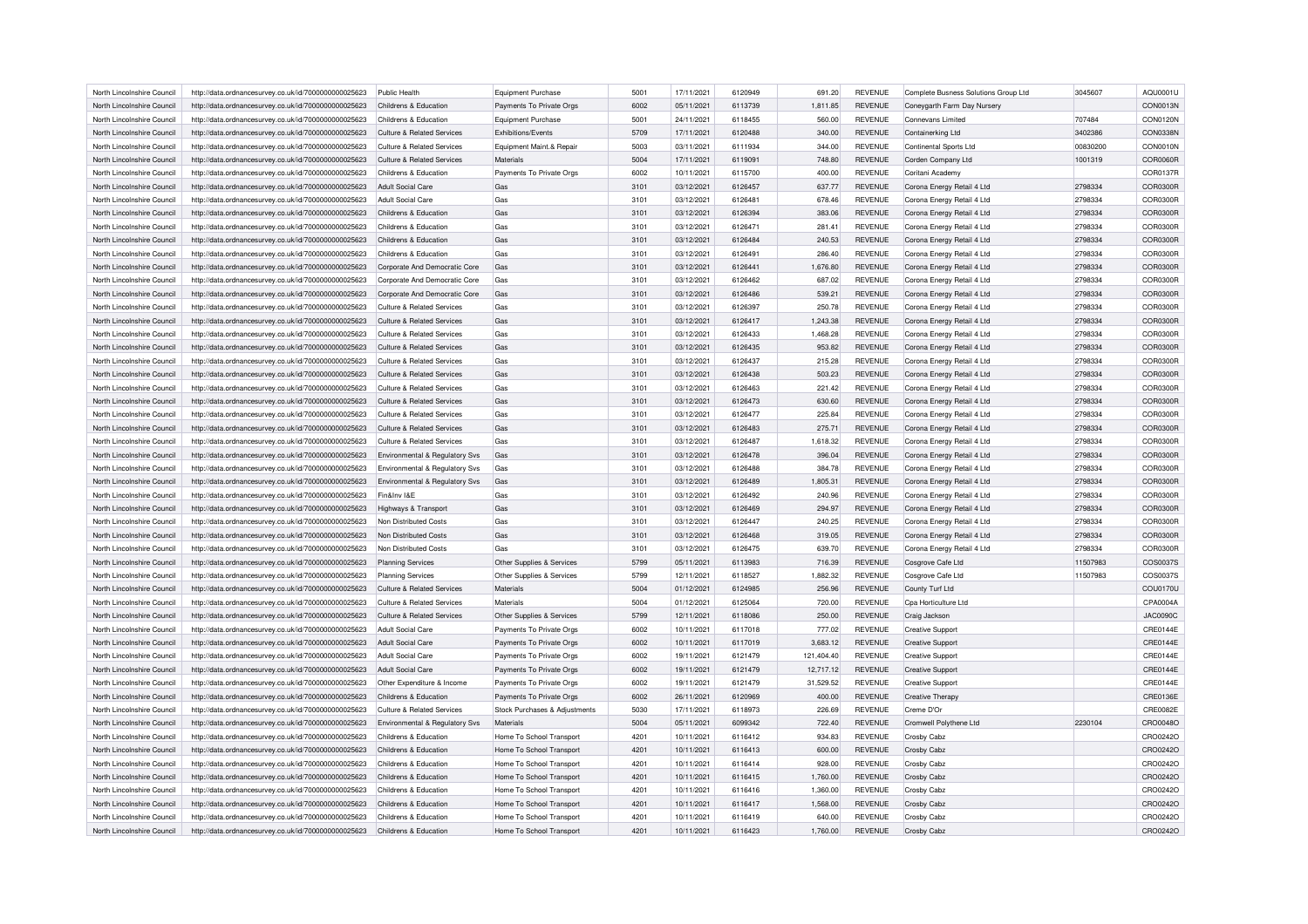| North Lincolnshire Council | http://data.ordnancesurvey.co.uk/id/7000000000025623 | Public Health                         | Equipment Purchase            | 5001         | 17/11/2021 | 6120949            | 691.20     | <b>REVENUE</b> | Complete Busness Solutions Group Ltd | 3045607  | AQU0001U        |
|----------------------------|------------------------------------------------------|---------------------------------------|-------------------------------|--------------|------------|--------------------|------------|----------------|--------------------------------------|----------|-----------------|
| North Lincolnshire Council | http://data.ordnancesurvey.co.uk/id/7000000000025623 | Childrens & Education                 | Payments To Private Orgs      | 6002         | 05/11/2021 | 6113739            | 1,811.85   | <b>REVENUE</b> | Coneygarth Farm Day Nursery          |          | CON0013N        |
| North Lincolnshire Council | http://data.ordnancesurvey.co.uk/id/7000000000025623 | Childrens & Education                 | <b>Equipment Purchase</b>     | 5001         | 24/11/2021 | 6118455            | 560.00     | <b>REVENUE</b> | <b>Connevans Limited</b>             | 707484   | <b>CON0120N</b> |
| North Lincolnshire Council | http://data.ordnancesurvey.co.uk/id/7000000000025623 | <b>Culture &amp; Related Services</b> | Exhibitions/Events            | 5709         | 17/11/2021 | 6120488            | 340.00     | <b>REVENUE</b> | Containerking Ltd                    | 3402386  | CON0338N        |
| North Lincolnshire Council | http://data.ordnancesurvey.co.uk/id/7000000000025623 | <b>Culture &amp; Related Services</b> | Equipment Maint.& Repair      | 5003         | 03/11/2021 | 6111934            | 344.00     | <b>REVENUE</b> | Continental Sports Ltd               | 00830200 | CON0010N        |
| North Lincolnshire Council | http://data.ordnancesurvey.co.uk/id/7000000000025623 | Culture & Related Services            | Materials                     | 5004         | 17/11/2021 | 6119091            | 748.80     | <b>REVENUE</b> | Corden Company Ltd                   | 1001319  | <b>COR0060R</b> |
| North Lincolnshire Council | http://data.ordnancesurvey.co.uk/id/7000000000025623 | Childrens & Education                 | Payments To Private Orgs      | 6002         | 10/11/2021 | 6115700            | 400.00     | <b>REVENUE</b> | Coritani Academy                     |          | COR0137F        |
| North Lincolnshire Council | http://data.ordnancesurvey.co.uk/id/7000000000025623 | <b>Adult Social Care</b>              | Gas                           | 3101         | 03/12/2021 | 6126457            | 637.77     | <b>REVENUE</b> | Corona Energy Retail 4 Ltd           | 2798334  | COR0300R        |
| North Lincolnshire Council | http://data.ordnancesurvey.co.uk/id/7000000000025623 | <b>Adult Social Care</b>              | Gas                           | 3101         | 03/12/2021 | 6126481            | 678.46     | <b>REVENUE</b> | Corona Energy Retail 4 Ltd           | 2798334  | COR0300R        |
| North Lincolnshire Council | http://data.ordnancesurvey.co.uk/id/7000000000025623 | Childrens & Education                 | Gas                           | 3101         | 03/12/2021 | 6126394            | 383.06     | <b>REVENUE</b> | Corona Energy Retail 4 Ltd           | 2798334  | COR0300F        |
| North Lincolnshire Council | http://data.ordnancesurvey.co.uk/id/7000000000025623 | Childrens & Education                 | Gas                           | 3101         | 03/12/2021 | 6126471            | 281.41     | <b>REVENUE</b> | Corona Energy Retail 4 Ltd           | 2798334  | COR0300R        |
| North Lincolnshire Council | http://data.ordnancesurvey.co.uk/id/7000000000025623 | Childrens & Education                 | Gas                           | 3101         | 03/12/2021 | 6126484            | 240.53     | <b>REVENUE</b> | Corona Energy Retail 4 Ltd           | 2798334  | COR0300R        |
| North Lincolnshire Council | http://data.ordnancesurvey.co.uk/id/7000000000025623 | Childrens & Education                 | Gas                           | 3101         | 03/12/2021 | 6126491            | 286.40     | <b>REVENUE</b> | Corona Energy Retail 4 Ltd           | 2798334  | COR0300F        |
| North Lincolnshire Council | http://data.ordnancesurvey.co.uk/id/7000000000025623 | Corporate And Democratic Core         | Gas                           | 3101         | 03/12/2021 | 6126441            | 1,676.80   | REVENUE        | Corona Energy Retail 4 Ltd           | 2798334  | COR0300R        |
| North Lincolnshire Council | http://data.ordnancesurvey.co.uk/id/7000000000025623 | Corporate And Democratic Core         | Gas                           | 3101         | 03/12/2021 | 6126462            | 687.02     | <b>REVENUE</b> | Corona Energy Retail 4 Ltd           | 2798334  | COR0300R        |
| North Lincolnshire Council | http://data.ordnancesurvey.co.uk/id/7000000000025623 | Corporate And Democratic Core         | Gas                           | 3101         | 03/12/2021 | 6126486            | 539.21     | <b>REVENUE</b> | Corona Energy Retail 4 Ltd           | 2798334  | COR0300R        |
| North Lincolnshire Council | http://data.ordnancesurvey.co.uk/id/7000000000025623 | <b>Culture &amp; Related Services</b> | Gas                           | 3101         | 03/12/2021 | 6126397            | 250.78     | <b>REVENUE</b> | Corona Energy Retail 4 Ltd           | 2798334  | COR0300R        |
|                            |                                                      |                                       |                               |              |            |                    |            |                |                                      |          |                 |
| North Lincolnshire Council | http://data.ordnancesurvey.co.uk/id/7000000000025623 | Culture & Related Services            | Gas                           | 3101         | 03/12/2021 | 6126417            | 1,243.38   | <b>REVENUE</b> | Corona Energy Retail 4 Ltd           | 2798334  | COR0300R        |
| North Lincolnshire Council | http://data.ordnancesurvey.co.uk/id/7000000000025623 | <b>Culture &amp; Related Services</b> | Gas                           | 3101         | 03/12/2021 | 6126433            | 1,468.28   | <b>REVENUE</b> | Corona Energy Retail 4 Ltd           | 2798334  | COR0300R        |
| North Lincolnshire Council | http://data.ordnancesurvey.co.uk/id/7000000000025623 | <b>Culture &amp; Related Services</b> | Gas                           | 3101         | 03/12/2021 | 6126435            | 953.82     | <b>REVENUE</b> | Corona Energy Retail 4 Ltd           | 2798334  | COR0300R        |
| North Lincolnshire Council | http://data.ordnancesurvey.co.uk/id/7000000000025623 | <b>Culture &amp; Related Services</b> | Gas                           | 3101         | 03/12/2021 | 6126437            | 215.28     | REVENUE        | Corona Energy Retail 4 Ltd           | 2798334  | COR0300R        |
| North Lincolnshire Council | http://data.ordnancesurvey.co.uk/id/7000000000025623 | <b>Culture &amp; Related Services</b> | Gas                           | 3101         | 03/12/2021 | 6126438            | 503.23     | <b>REVENUE</b> | Corona Energy Retail 4 Ltd           | 2798334  | COR0300F        |
| North Lincolnshire Council | http://data.ordnancesurvey.co.uk/id/7000000000025623 | <b>Culture &amp; Related Services</b> | Gas                           | 3101         | 03/12/2021 | 6126463            | 221.42     | <b>REVENUE</b> | Corona Energy Retail 4 Ltd           | 2798334  | COR0300R        |
| North Lincolnshire Council | http://data.ordnancesurvey.co.uk/id/7000000000025623 | <b>Culture &amp; Related Services</b> | Gas                           | 3101         | 03/12/2021 | 6126473            | 630.60     | <b>REVENUE</b> | Corona Energy Retail 4 Ltd           | 2798334  | COR0300R        |
| North Lincolnshire Council | http://data.ordnancesurvey.co.uk/id/7000000000025623 | <b>Culture &amp; Related Services</b> | Gas                           | 3101         | 03/12/2021 | 6126477            | 225.84     | <b>REVENUE</b> | Corona Energy Retail 4 Ltd           | 2798334  | COR0300F        |
| North Lincolnshire Council | http://data.ordnancesurvey.co.uk/id/7000000000025623 | <b>Culture &amp; Related Services</b> | Gas                           | 3101         | 03/12/2021 | 6126483            | 275.71     | <b>REVENUE</b> | Corona Energy Retail 4 Ltd           | 2798334  | COR0300R        |
| North Lincolnshire Council | http://data.ordnancesurvey.co.uk/id/7000000000025623 | Culture & Related Services            | Gas                           | 3101         | 03/12/2021 | 6126487            | 1,618.32   | <b>REVENUE</b> | Corona Energy Retail 4 Ltd           | 2798334  | COR0300R        |
| North Lincolnshire Council | http://data.ordnancesurvey.co.uk/id/7000000000025623 | Environmental & Regulatory Svs        | Gas                           | 3101         | 03/12/2021 | 6126478            | 396.04     | <b>REVENUE</b> | Corona Energy Retail 4 Ltd           | 2798334  | COR0300F        |
| North Lincolnshire Council | http://data.ordnancesurvey.co.uk/id/7000000000025623 | Environmental & Regulatory Svs        | Gas                           | 3101         | 03/12/2021 | 6126488            | 384.78     | <b>REVENUE</b> | Corona Energy Retail 4 Ltd           | 2798334  | COR0300R        |
| North Lincolnshire Council | http://data.ordnancesurvey.co.uk/id/7000000000025623 | Environmental & Regulatory Svs        | Gas                           | 3101         | 03/12/2021 | 6126489            | 1,805.31   | <b>REVENUE</b> | Corona Energy Retail 4 Ltd           | 2798334  | COR0300R        |
| North Lincolnshire Council | http://data.ordnancesurvey.co.uk/id/7000000000025623 | Fin&Inv I&E                           | Gas                           | 3101         | 03/12/2021 | 6126492            | 240.96     | <b>REVENUE</b> | Corona Energy Retail 4 Ltd           | 2798334  | COR0300F        |
| North Lincolnshire Council | http://data.ordnancesurvey.co.uk/id/7000000000025623 | Highways & Transport                  | Gas                           | 3101         | 03/12/2021 | 6126469            | 294.97     | REVENUE        | Corona Energy Retail 4 Ltd           | 2798334  | COR0300R        |
| North Lincolnshire Council | http://data.ordnancesurvey.co.uk/id/7000000000025623 | Non Distributed Costs                 | Gas                           | 3101         | 03/12/2021 | 6126447            | 240.25     | <b>REVENUE</b> | Corona Energy Retail 4 Ltd           | 2798334  | COR0300R        |
| North Lincolnshire Council | http://data.ordnancesurvey.co.uk/id/7000000000025623 | Non Distributed Costs                 | Gas                           | 3101         | 03/12/2021 | 6126468            | 319.05     | <b>REVENUE</b> | Corona Energy Retail 4 Ltd           | 2798334  | COR0300R        |
| North Lincolnshire Council | http://data.ordnancesurvey.co.uk/id/7000000000025623 | Non Distributed Costs                 | Gas                           | 3101         | 03/12/2021 | 6126475            | 639.70     | <b>REVENUE</b> | Corona Energy Retail 4 Ltd           | 2798334  | COR0300R        |
| North Lincolnshire Council | http://data.ordnancesurvey.co.uk/id/7000000000025623 | <b>Planning Services</b>              | Other Supplies & Services     | 5799         | 05/11/2021 | 6113983            | 716.39     | <b>REVENUE</b> | Cosgrove Cafe Ltd                    | 11507983 | COS0037S        |
| North Lincolnshire Council | http://data.ordnancesurvey.co.uk/id/7000000000025623 | <b>Planning Services</b>              | Other Supplies & Services     | 5799         | 12/11/2021 | 6118527            | 1,882.32   | <b>REVENUE</b> | Cosgrove Cafe Ltd                    | 11507983 | COS00375        |
| North Lincolnshire Council | http://data.ordnancesurvey.co.uk/id/7000000000025623 | <b>Culture &amp; Related Services</b> | Materials                     | 5004         | 01/12/2021 | 6124985            | 256.96     | REVENUE        | County Turf Ltd                      |          | COU0170U        |
| North Lincolnshire Council | http://data.ordnancesurvey.co.uk/id/7000000000025623 | <b>Culture &amp; Related Services</b> | Materials                     | 5004         | 01/12/2021 | 6125064            | 720.00     | <b>REVENUE</b> | Cpa Horticulture Ltd                 |          | CPA0004A        |
| North Lincolnshire Council | http://data.ordnancesurvey.co.uk/id/7000000000025623 | <b>Culture &amp; Related Services</b> | Other Supplies & Services     | 5799         | 12/11/2021 | 6118086            | 250.00     | <b>REVENUE</b> | Craig Jackson                        |          | <b>JAC0090C</b> |
|                            |                                                      |                                       |                               |              |            |                    |            |                |                                      |          |                 |
| North Lincolnshire Council | http://data.ordnancesurvey.co.uk/id/7000000000025623 | <b>Adult Social Care</b>              | Payments To Private Orgs      | 6002<br>6002 | 10/11/2021 | 6117018<br>6117019 | 777.02     | <b>REVENUE</b> | <b>Creative Support</b>              |          | CRE0144E        |
| North Lincolnshire Council | http://data.ordnancesurvey.co.uk/id/7000000000025623 | <b>Adult Social Care</b>              | Payments To Private Orgs      |              | 10/11/2021 |                    | 3,683.12   | <b>REVENUE</b> | <b>Creative Support</b>              |          | CRE0144E        |
| North Lincolnshire Council | http://data.ordnancesurvey.co.uk/id/7000000000025623 | Adult Social Care                     | Payments To Private Orgs      | 6002         | 19/11/2021 | 6121479            | 121,404.40 | <b>REVENUE</b> | <b>Creative Support</b>              |          | CRE0144E        |
| North Lincolnshire Council | http://data.ordnancesurvey.co.uk/id/7000000000025623 | <b>Adult Social Care</b>              | Payments To Private Orgs      | 6002         | 19/11/2021 | 6121479            | 12,717.12  | <b>REVENUE</b> | <b>Creative Support</b>              |          | CRE0144E        |
| North Lincolnshire Council | http://data.ordnancesurvey.co.uk/id/7000000000025623 | Other Expenditure & Income            | Payments To Private Orgs      | 6002         | 19/11/2021 | 6121479            | 31,529.52  | <b>REVENUE</b> | <b>Creative Support</b>              |          | <b>CRE0144E</b> |
| North Lincolnshire Council | http://data.ordnancesurvey.co.uk/id/7000000000025623 | Childrens & Education                 | Payments To Private Orgs      | 6002         | 26/11/2021 | 6120969            | 400.00     | <b>REVENUE</b> | Creative Therapy                     |          | CRE0136E        |
| North Lincolnshire Council | http://data.ordnancesurvey.co.uk/id/7000000000025623 | Culture & Related Services            | Stock Purchases & Adjustments | 5030         | 17/11/2021 | 6118973            | 226.69     | <b>REVENUE</b> | Creme D'Or                           |          | CRE0082E        |
| North Lincolnshire Council | http://data.ordnancesurvey.co.uk/id/7000000000025623 | Environmental & Regulatory Svs        | Materials                     | 5004         | 05/11/2021 | 6099342            | 722.40     | <b>REVENUE</b> | Cromwell Polythene Ltd               | 2230104  | CRO0048O        |
| North Lincolnshire Council | http://data.ordnancesurvey.co.uk/id/7000000000025623 | Childrens & Education                 | Home To School Transport      | 4201         | 10/11/2021 | 6116412            | 934.83     | REVENUE        | Crosby Cabz                          |          | CRO0242O        |
| North Lincolnshire Council | http://data.ordnancesurvey.co.uk/id/7000000000025623 | Childrens & Education                 | Home To School Transport      | 4201         | 10/11/2021 | 6116413            | 600.00     | REVENUE        | Crosby Cabz                          |          | CRO0242O        |
| North Lincolnshire Council | http://data.ordnancesurvey.co.uk/id/7000000000025623 | Childrens & Education                 | Home To School Transport      | 4201         | 10/11/2021 | 6116414            | 928.00     | <b>REVENUE</b> | Crosby Cabz                          |          | CRO0242O        |
| North Lincolnshire Council | http://data.ordnancesurvey.co.uk/id/7000000000025623 | Childrens & Education                 | Home To School Transport      | 4201         | 10/11/2021 | 6116415            | 1,760.00   | <b>REVENUE</b> | Crosby Cabz                          |          | CRO0242O        |
| North Lincolnshire Council | http://data.ordnancesurvey.co.uk/id/7000000000025623 | Childrens & Education                 | Home To School Transport      | 4201         | 10/11/2021 | 6116416            | 1,360.00   | <b>REVENUE</b> | Crosby Cabz                          |          | CRO0242O        |
| North Lincolnshire Council | http://data.ordnancesurvey.co.uk/id/7000000000025623 | Childrens & Education                 | Home To School Transport      | 4201         | 10/11/2021 | 6116417            | 1.568.00   | <b>REVENUE</b> | Crosby Cabz                          |          | CRO0242O        |
| North Lincolnshire Council | http://data.ordnancesurvey.co.uk/id/7000000000025623 | Childrens & Education                 | Home To School Transport      | 4201         | 10/11/2021 | 6116419            | 640.00     | <b>REVENUE</b> | Crosby Cabz                          |          | CRO0242O        |
| North Lincolnshire Council | http://data.ordnancesurvey.co.uk/id/7000000000025623 | Childrens & Education                 | Home To School Transport      | 4201         | 10/11/2021 | 6116423            | 1,760.00   | <b>REVENUE</b> | Crosby Cabz                          |          | CRO0242O        |
|                            |                                                      |                                       |                               |              |            |                    |            |                |                                      |          |                 |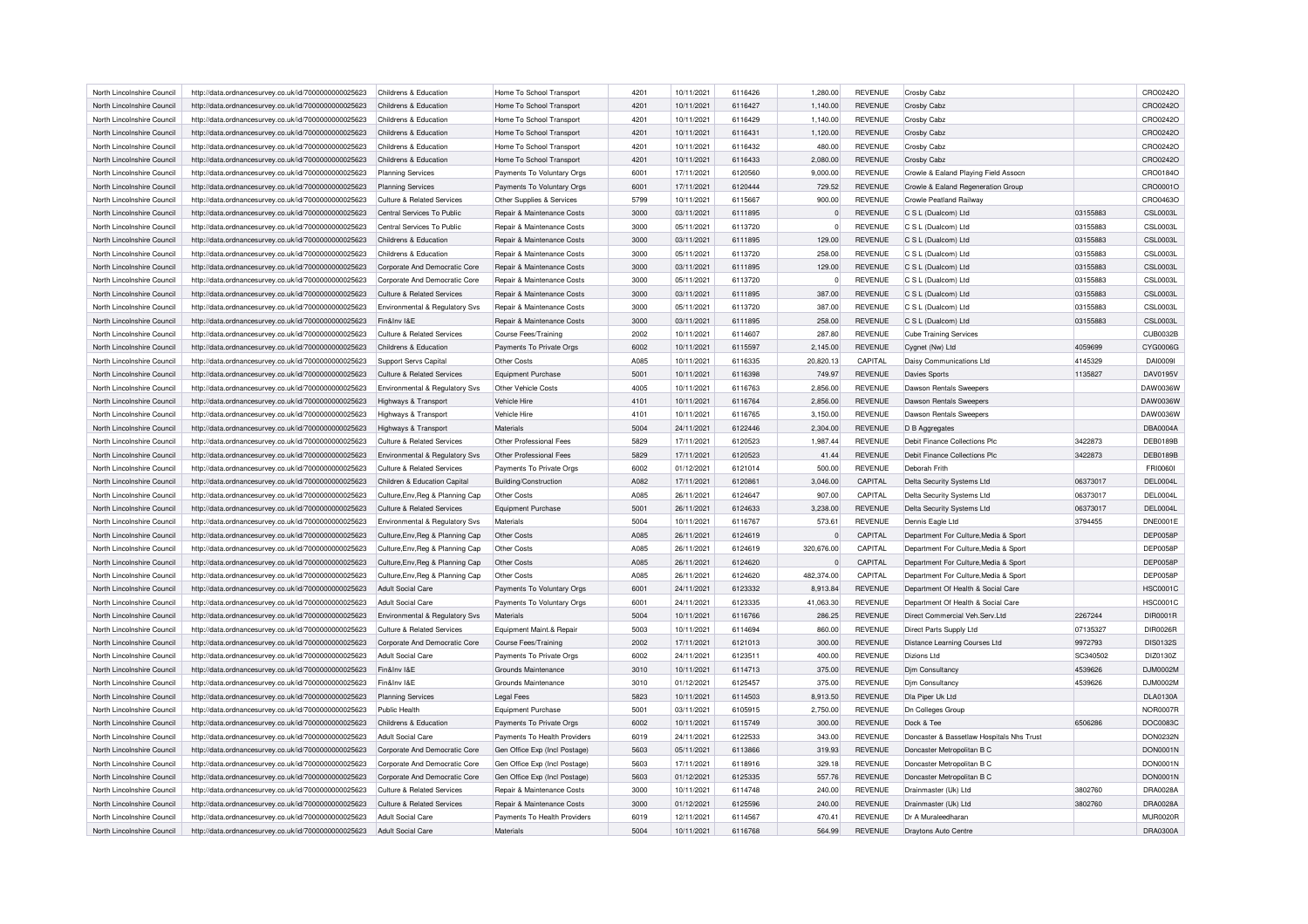| North Lincolnshire Council | http://data.ordnancesurvey.co.uk/id/7000000000025623 | Childrens & Education                     | Home To School Transport      | 4201        | 10/11/2021 | 6116426 | 1,280.00   | <b>REVENUE</b> | Crosby Cabz                               |          | CRO0242O        |
|----------------------------|------------------------------------------------------|-------------------------------------------|-------------------------------|-------------|------------|---------|------------|----------------|-------------------------------------------|----------|-----------------|
| North Lincolnshire Council | http://data.ordnancesurvey.co.uk/id/7000000000025623 | Childrens & Education                     | Home To School Transport      | 4201        | 10/11/2021 | 6116427 | 1,140.00   | <b>REVENUE</b> | Crosby Cabz                               |          | CRO0242O        |
| North Lincolnshire Council | http://data.ordnancesurvey.co.uk/id/7000000000025623 | Childrens & Education                     | Home To School Transport      | 4201        | 10/11/2021 | 6116429 | 1,140.00   | <b>REVENUE</b> | Crosby Cabz                               |          | CRO0242O        |
| North Lincolnshire Council | http://data.ordnancesurvey.co.uk/id/7000000000025623 | Childrens & Education                     | Home To School Transport      | 4201        | 10/11/2021 | 6116431 | 1,120.00   | <b>REVENUE</b> | Crosby Cabz                               |          | CRO0242O        |
| North Lincolnshire Council | http://data.ordnancesurvey.co.uk/id/7000000000025623 | Childrens & Education                     | Home To School Transport      | 4201        | 10/11/2021 | 6116432 | 480.00     | <b>REVENUE</b> | Crosby Cabz                               |          | CRO0242O        |
| North Lincolnshire Council | http://data.ordnancesurvey.co.uk/id/7000000000025623 | Childrens & Education                     | Home To School Transport      | 4201        | 10/11/2021 | 6116433 | 2,080.00   | <b>REVENUE</b> | Crosby Cabz                               |          | CRO0242O        |
| North Lincolnshire Council | http://data.ordnancesurvey.co.uk/id/7000000000025623 | <b>Planning Services</b>                  | Payments To Voluntary Orgs    | 6001        | 17/11/2021 | 6120560 | 9,000.00   | <b>REVENUE</b> | Crowle & Ealand Playing Field Assocn      |          | CRO0184O        |
| North Lincolnshire Council | http://data.ordnancesurvey.co.uk/id/7000000000025623 | <b>Planning Services</b>                  | Payments To Voluntary Orgs    | 6001        | 17/11/2021 | 6120444 | 729.52     | <b>REVENUE</b> | Crowle & Ealand Regeneration Group        |          | CRO0001C        |
| North Lincolnshire Council | http://data.ordnancesurvey.co.uk/id/7000000000025623 | Culture & Related Services                | Other Supplies & Services     | 5799        | 10/11/2021 | 6115667 | 900.00     | <b>REVENUE</b> | <b>Crowle Peatland Railway</b>            |          | CRO0463O        |
| North Lincolnshire Council | http://data.ordnancesurvey.co.uk/id/7000000000025623 | Central Services To Public                | Repair & Maintenance Costs    | 3000        | 03/11/2021 | 6111895 | $\Omega$   | <b>REVENUE</b> | C S L (Dualcom) Ltd                       | 03155883 | <b>CSL0003L</b> |
| North Lincolnshire Council | http://data.ordnancesurvey.co.uk/id/7000000000025623 | Central Services To Public                | Repair & Maintenance Costs    | 3000        | 05/11/2021 | 6113720 | $\Omega$   | REVENUE        | C S L (Dualcom) Ltd                       | 03155883 | <b>CSL0003L</b> |
| North Lincolnshire Council | http://data.ordnancesurvey.co.uk/id/7000000000025623 | Childrens & Education                     | Repair & Maintenance Costs    | 3000        | 03/11/2021 | 6111895 | 129.00     | <b>REVENUE</b> | C S L (Dualcom) Ltd                       | 03155883 | <b>CSL0003L</b> |
| North Lincolnshire Council | http://data.ordnancesurvey.co.uk/id/7000000000025623 | Childrens & Education                     | Repair & Maintenance Costs    | 3000        | 05/11/2021 | 6113720 | 258.00     | <b>REVENUE</b> | C S L (Dualcom) Ltd                       | 03155883 | <b>CSL0003L</b> |
| North Lincolnshire Council | http://data.ordnancesurvey.co.uk/id/7000000000025623 | Corporate And Democratic Core             | Repair & Maintenance Costs    | 3000        | 03/11/2021 | 6111895 | 129.00     | <b>REVENUE</b> | C S L (Dualcom) Ltd                       | 03155883 | <b>CSL0003L</b> |
|                            |                                                      |                                           |                               | 3000        |            | 6113720 |            |                |                                           |          | <b>CSL0003L</b> |
| North Lincolnshire Council | http://data.ordnancesurvey.co.uk/id/7000000000025623 | Corporate And Democratic Core             | Repair & Maintenance Costs    |             | 05/11/2021 |         |            | <b>REVENUE</b> | C S L (Dualcom) Ltd                       | 03155883 |                 |
| North Lincolnshire Council | http://data.ordnancesurvey.co.uk/id/7000000000025623 | <b>Culture &amp; Related Services</b>     | Repair & Maintenance Costs    | 3000        | 03/11/2021 | 6111895 | 387.00     | REVENUE        | C S L (Dualcom) Ltd                       | 03155883 | <b>CSL0003L</b> |
| North Lincolnshire Council | http://data.ordnancesurvey.co.uk/id/7000000000025623 | <b>Fnvironmental &amp; Requiatory Sys</b> | Repair & Maintenance Costs    | 3000        | 05/11/2021 | 6113720 | 387.00     | <b>REVENUE</b> | C S L (Dualcom) Ltd                       | 03155883 | <b>CSL0003L</b> |
| North Lincolnshire Council | http://data.ordnancesurvey.co.uk/id/7000000000025623 | Fin&Inv I&E                               | Repair & Maintenance Costs    | 3000        | 03/11/2021 | 6111895 | 258.00     | <b>REVENUE</b> | C S L (Dualcom) Ltd                       | 03155883 | <b>CSL0003L</b> |
| North Lincolnshire Council | http://data.ordnancesurvey.co.uk/id/7000000000025623 | <b>Culture &amp; Related Services</b>     | Course Fees/Training          | 2002        | 10/11/2021 | 6114607 | 287.80     | <b>REVENUE</b> | <b>Cube Training Services</b>             |          | <b>CUB0032E</b> |
| North Lincolnshire Council | http://data.ordnancesurvey.co.uk/id/7000000000025623 | Childrens & Education                     | Payments To Private Orgs      | 6002        | 10/11/2021 | 6115597 | 2,145.00   | <b>REVENUE</b> | Cygnet (Nw) Ltd                           | 4059699  | CYG0006G        |
| North Lincolnshire Council | http://data.ordnancesurvey.co.uk/id/7000000000025623 | Support Servs Capital                     | Other Costs                   | <b>A085</b> | 10/11/2021 | 6116335 | 20,820.13  | CAPITAL        | Daisy Communications Ltd                  | 4145329  | <b>DAI0009I</b> |
| North Lincolnshire Council | http://data.ordnancesurvey.co.uk/id/7000000000025623 | <b>Culture &amp; Related Services</b>     | <b>Equipment Purchase</b>     | 5001        | 10/11/2021 | 6116398 | 749.97     | <b>REVENUE</b> | <b>Davies Sports</b>                      | 1135827  | DAV0195V        |
| North Lincolnshire Council | http://data.ordnancesurvey.co.uk/id/7000000000025623 | Environmental & Regulatory Svs            | Other Vehicle Costs           | 4005        | 10/11/2021 | 6116763 | 2,856.00   | REVENUE        | Dawson Rentals Sweepers                   |          | DAW0036W        |
| North Lincolnshire Council | http://data.ordnancesurvey.co.uk/id/7000000000025623 | <b>Highways &amp; Transport</b>           | Vehicle Hire                  | 4101        | 10/11/2021 | 6116764 | 2,856.00   | <b>REVENUE</b> | Dawson Rentals Sweepers                   |          | DAW0036W        |
| North Lincolnshire Council | http://data.ordnancesurvey.co.uk/id/7000000000025623 | Highways & Transport                      | Vehicle Hire                  | 4101        | 10/11/2021 | 6116765 | 3,150.00   | <b>REVENUE</b> | Dawson Rentals Sweepers                   |          | DAW0036W        |
| North Lincolnshire Council | http://data.ordnancesurvey.co.uk/id/7000000000025623 | Highways & Transport                      | Materials                     | 5004        | 24/11/2021 | 6122446 | 2,304.00   | <b>REVENUE</b> | D B Aggregates                            |          | <b>DBA0004A</b> |
| North Lincolnshire Council | http://data.ordnancesurvey.co.uk/id/7000000000025623 | Culture & Related Services                | Other Professional Fees       | 5829        | 17/11/2021 | 6120523 | 1,987.44   | <b>REVENUE</b> | Debit Finance Collections Plc             | 3422873  | <b>DEB0189B</b> |
| North Lincolnshire Council | http://data.ordnancesurvey.co.uk/id/7000000000025623 | Environmental & Regulatory Svs            | Other Professional Fees       | 5829        | 17/11/2021 | 6120523 | 41.44      | <b>REVENUE</b> | Debit Finance Collections Plc             | 3422873  | <b>DEB0189B</b> |
| North Lincolnshire Council | http://data.ordnancesurvey.co.uk/id/7000000000025623 | <b>Culture &amp; Related Services</b>     | Payments To Private Orgs      | 6002        | 01/12/2021 | 6121014 | 500.00     | REVENUE        | Deborah Frith                             |          | FRI00601        |
| North Lincolnshire Council |                                                      | Children & Education Capital              | Building/Construction         | A082        | 17/11/2021 | 6120861 | 3,046.00   | CAPITAL        | Delta Security Systems Ltd                | 06373017 | <b>DEL0004L</b> |
|                            | http://data.ordnancesurvey.co.uk/id/7000000000025623 |                                           |                               |             |            |         |            |                |                                           | 06373017 | <b>DEL0004L</b> |
| North Lincolnshire Council | http://data.ordnancesurvey.co.uk/id/7000000000025623 | Culture, Env, Reg & Planning Cap          | Other Costs                   | A085        | 26/11/2021 | 6124647 | 907.00     | CAPITAL        | Delta Security Systems Ltd                |          |                 |
| North Lincolnshire Council | http://data.ordnancesurvey.co.uk/id/7000000000025623 | <b>Culture &amp; Related Services</b>     | Equipment Purchase            | 5001        | 26/11/2021 | 6124633 | 3,238.00   | <b>REVENUE</b> | Delta Security Systems Ltd                | 06373017 | <b>DEL0004L</b> |
| North Lincolnshire Council | http://data.ordnancesurvey.co.uk/id/7000000000025623 | Environmental & Regulatory Svs            | Materials                     | 5004        | 10/11/2021 | 6116767 | 573.61     | <b>REVENUE</b> | Dennis Eagle Ltd                          | 3794455  | <b>DNE0001E</b> |
| North Lincolnshire Council | http://data.ordnancesurvey.co.uk/id/7000000000025623 | Culture, Env, Reg & Planning Cap          | Other Costs                   | A085        | 26/11/2021 | 6124619 | $\Omega$   | CAPITAL        | Department For Culture, Media & Sport     |          | DEP0058P        |
| North Lincolnshire Council | http://data.ordnancesurvey.co.uk/id/7000000000025623 | Culture, Env, Reg & Planning Cap          | Other Costs                   | A085        | 26/11/2021 | 6124619 | 320,676.00 | CAPITAL        | Department For Culture, Media & Sport     |          | <b>DEP0058F</b> |
| North Lincolnshire Council | http://data.ordnancesurvey.co.uk/id/7000000000025623 | Culture, Env, Reg & Planning Cap          | Other Costs                   | A085        | 26/11/2021 | 6124620 | $\epsilon$ | CAPITAL        | Department For Culture, Media & Sport     |          | <b>DEP0058F</b> |
| North Lincolnshire Council | http://data.ordnancesurvey.co.uk/id/7000000000025623 | Culture, Env, Reg & Planning Cap          | Other Costs                   | A085        | 26/11/2021 | 6124620 | 482,374.00 | CAPITAL        | Department For Culture, Media & Sport     |          | DEP0058P        |
| North Lincolnshire Council | http://data.ordnancesurvey.co.uk/id/7000000000025623 | Adult Social Care                         | Payments To Voluntary Orgs    | 6001        | 24/11/2021 | 6123332 | 8.913.84   | <b>REVENUE</b> | Department Of Health & Social Care        |          | <b>HSC0001C</b> |
| North Lincolnshire Council | http://data.ordnancesurvey.co.uk/id/7000000000025623 | <b>Adult Social Care</b>                  | Payments To Voluntary Orgs    | 6001        | 24/11/2021 | 6123335 | 41,063.30  | <b>REVENUE</b> | Department Of Health & Social Care        |          | <b>HSC0001C</b> |
| North Lincolnshire Council | http://data.ordnancesurvey.co.uk/id/7000000000025623 | Environmental & Regulatory Svs            | Materials                     | 5004        | 10/11/2021 | 6116766 | 286.25     | REVENUE        | Direct Commercial Veh.Serv.Ltd            | 2267244  | DIR0001R        |
| North Lincolnshire Council | http://data.ordnancesurvey.co.uk/id/7000000000025623 | Culture & Related Services                | Equipment Maint.& Repair      | 5003        | 10/11/2021 | 6114694 | 860.00     | <b>REVENUE</b> | Direct Parts Supply Ltd                   | 07135327 | DIR0026R        |
| North Lincolnshire Council | http://data.ordnancesurvey.co.uk/id/7000000000025623 | Corporate And Democratic Core             | Course Fees/Training          | 2002        | 17/11/2021 | 6121013 | 300.00     | <b>REVENUE</b> | Distance Learning Courses Ltd             | 9972793  | <b>DIS0132S</b> |
| North Lincolnshire Council | http://data.ordnancesurvey.co.uk/id/7000000000025623 | Adult Social Care                         | Payments To Private Orgs      | 6002        | 24/11/2021 | 6123511 | 400.00     | <b>REVENUE</b> | Dizions Ltd                               | SC340502 | DIZ0130Z        |
| North Lincolnshire Council | http://data.ordnancesurvey.co.uk/id/7000000000025623 | Fin&Inv I&E                               | Grounds Maintenance           | 3010        | 10/11/2021 | 6114713 | 375.00     | <b>REVENUE</b> | Djm Consultancy                           | 4539626  | DJM0002M        |
| North Lincolnshire Council | http://data.ordnancesurvey.co.uk/id/7000000000025623 | Fin&Inv I&F                               | Grounds Maintenance           | 3010        | 01/12/2021 | 6125457 | 375.00     | <b>REVENUE</b> | <b>Dim Consultancy</b>                    | 4539626  | <b>DJM0002M</b> |
|                            |                                                      |                                           |                               |             |            |         |            |                |                                           |          |                 |
| North Lincolnshire Council | http://data.ordnancesurvey.co.uk/id/7000000000025623 | <b>Planning Services</b>                  | <b>Legal Fees</b>             | 5823        | 10/11/2021 | 6114503 | 8,913.50   | <b>REVENUE</b> | Dla Piper Uk Ltd                          |          | <b>DLA0130A</b> |
| North Lincolnshire Council | http://data.ordnancesurvey.co.uk/id/7000000000025623 | Public Health                             | <b>Equipment Purchase</b>     | 5001        | 03/11/2021 | 6105915 | 2,750.00   | <b>REVENUE</b> | Dn Colleges Group                         |          | <b>NOR0007R</b> |
| North Lincolnshire Council | http://data.ordnancesurvey.co.uk/id/7000000000025623 | Childrens & Education                     | Payments To Private Orgs      | 6002        | 10/11/2021 | 6115749 | 300.00     | <b>REVENUE</b> | Dock & Tee                                | 6506286  | DOC0083C        |
| North Lincolnshire Council | http://data.ordnancesurvey.co.uk/id/7000000000025623 | Adult Social Care                         | Payments To Health Providers  | 6019        | 24/11/2021 | 6122533 | 343.00     | <b>REVENUE</b> | Doncaster & Bassetlaw Hospitals Nhs Trust |          | <b>DON0232M</b> |
| North Lincolnshire Council | http://data.ordnancesurvey.co.uk/id/7000000000025623 | Corporate And Democratic Core             | Gen Office Exp (Incl Postage) | 5603        | 05/11/2021 | 6113866 | 319.93     | <b>REVENUE</b> | Doncaster Metropolitan B C                |          | <b>DON0001N</b> |
| North Lincolnshire Council | http://data.ordnancesurvey.co.uk/id/7000000000025623 | Corporate And Democratic Core             | Gen Office Exp (Incl Postage) | 5603        | 17/11/2021 | 6118916 | 329.18     | <b>REVENUE</b> | Doncaster Metropolitan B C                |          | <b>DON0001N</b> |
| North Lincolnshire Council | http://data.ordnancesurvey.co.uk/id/7000000000025623 | Corporate And Democratic Core             | Gen Office Exp (Incl Postage) | 5603        | 01/12/2021 | 6125335 | 557.76     | <b>REVENUE</b> | Doncaster Metropolitan B C                |          | DON0001N        |
| North Lincolnshire Council | http://data.ordnancesurvey.co.uk/id/7000000000025623 | <b>Culture &amp; Related Services</b>     | Repair & Maintenance Costs    | 3000        | 10/11/2021 | 6114748 | 240.00     | REVENUE        | Drainmaster (Uk) Ltd                      | 3802760  | DRA0028A        |
| North Lincolnshire Council | http://data.ordnancesurvey.co.uk/id/7000000000025623 | Culture & Related Services                | Repair & Maintenance Costs    | 3000        | 01/12/2021 | 6125596 | 240.00     | <b>REVENUE</b> | Drainmaster (Uk) Ltd                      | 3802760  | DRA0028A        |
| North Lincolnshire Council | http://data.ordnancesurvey.co.uk/id/7000000000025623 | Adult Social Care                         | Payments To Health Providers  | 6019        | 12/11/2021 | 6114567 | 470.41     | <b>REVENUE</b> | Dr A Muraleedharan                        |          | MUR0020F        |
| North Lincolnshire Council | http://data.ordnancesurvey.co.uk/id/7000000000025623 | Adult Social Care                         | Materials                     | 5004        | 10/11/2021 | 6116768 | 564.99     | <b>REVENUE</b> | <b>Draytons Auto Centre</b>               |          | <b>DRA0300A</b> |
|                            |                                                      |                                           |                               |             |            |         |            |                |                                           |          |                 |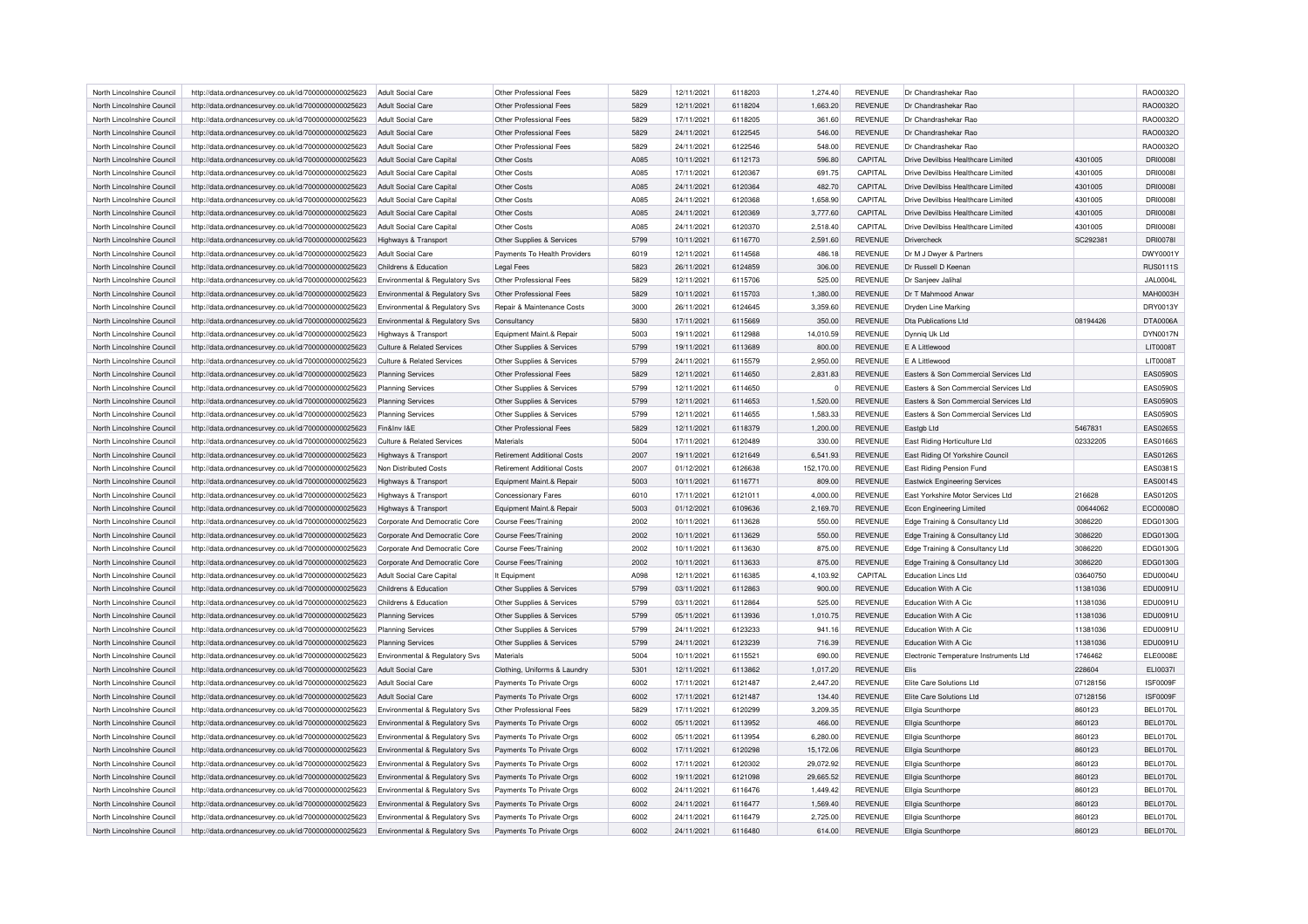| North Lincolnshire Council | http://data.ordnancesurvey.co.uk/id/7000000000025623 | Adult Social Care                     | Other Professional Fees            | 5829 | 12/11/2021 | 6118203 | 1,274.40   | <b>REVENUE</b> | Dr Chandrashekar Rao                   |                  | RAO0032O        |
|----------------------------|------------------------------------------------------|---------------------------------------|------------------------------------|------|------------|---------|------------|----------------|----------------------------------------|------------------|-----------------|
| North Lincolnshire Council | http://data.ordnancesurvey.co.uk/id/7000000000025623 | Adult Social Care                     | Other Professional Fees            | 5829 | 12/11/2021 | 6118204 | 1,663.20   | <b>REVENUE</b> | Dr Chandrashekar Rao                   |                  | RAO0032O        |
| North Lincolnshire Council | http://data.ordnancesurvey.co.uk/id/7000000000025623 | Adult Social Care                     | Other Professional Fees            | 5829 | 17/11/2021 | 6118205 | 361.60     | <b>REVENUE</b> | Dr Chandrashekar Ran                   |                  | RAO0032O        |
| North Lincolnshire Council | http://data.ordnancesurvey.co.uk/id/7000000000025623 | <b>Adult Social Care</b>              | Other Professional Fees            | 5829 | 24/11/2021 | 6122545 | 546.00     | <b>REVENUE</b> | Dr Chandrashekar Rao                   |                  | RAO0032O        |
| North Lincolnshire Council | http://data.ordnancesurvey.co.uk/id/7000000000025623 | <b>Adult Social Care</b>              | Other Professional Fees            | 5829 | 24/11/2021 | 6122546 | 548.00     | REVENUE        | Dr Chandrashekar Rao                   |                  | RAO0032O        |
| North Lincolnshire Council | http://data.ordnancesurvey.co.uk/id/7000000000025623 | <b>Adult Social Care Capital</b>      | Other Costs                        | A085 | 10/11/2021 | 6112173 | 596.80     | CAPITAI        | Drive Devilbiss Healthcare Limited     | 4301005          | <b>DRI0008I</b> |
| North Lincolnshire Council | http://data.ordnancesurvey.co.uk/id/7000000000025623 | Adult Social Care Capital             | Other Costs                        | A085 | 17/11/2021 | 6120367 | 691.75     | CAPITAL        | Drive Devilbiss Healthcare Limited     | 4301005          | DRI0008I        |
| North Lincolnshire Council | http://data.ordnancesurvey.co.uk/id/7000000000025623 | Adult Social Care Capital             | Other Costs                        | A085 | 24/11/2021 | 6120364 | 482.70     | CAPITAL        | Drive Devilbiss Healthcare Limited     | 4301005          | <b>DRI0008I</b> |
| North Lincolnshire Council | http://data.ordnancesurvey.co.uk/id/7000000000025623 | Adult Social Care Capital             | Other Costs                        | A085 | 24/11/2021 | 6120368 | 1,658.90   | CAPITAL        | Drive Devilhiss Healthcare Limited     | 4301005          | <b>DRI0008I</b> |
| North Lincolnshire Council | http://data.ordnancesurvey.co.uk/id/7000000000025623 | Adult Social Care Capital             | Other Costs                        | A085 | 24/11/2021 | 6120369 | 3,777.60   | CAPITAL        | Drive Devilbiss Healthcare Limited     | 4301005          | <b>DRI0008I</b> |
| North Lincolnshire Council | http://data.ordnancesurvey.co.uk/id/7000000000025623 | Adult Social Care Capital             | Other Costs                        | A085 | 24/11/2021 | 6120370 | 2,518.40   | CAPITAL        | Drive Devilbiss Healthcare Limited     | 4301005          | <b>DRI0008I</b> |
| North Lincolnshire Council | http://data.ordnancesurvey.co.uk/id/7000000000025623 | Highways & Transport                  | Other Supplies & Services          | 5799 | 10/11/2021 | 6116770 | 2,591.60   | <b>REVENUE</b> | Drivercheck                            | SC292381         | <b>DRI0078I</b> |
| North Lincolnshire Council | http://data.ordnancesurvey.co.uk/id/7000000000025623 | <b>Adult Social Care</b>              | Payments To Health Providers       | 6019 | 12/11/2021 | 6114568 | 486.18     | <b>REVENUE</b> | Dr M J Dwyer & Partners                |                  | DWY0001Y        |
| North Lincolnshire Council | http://data.ordnancesurvey.co.uk/id/7000000000025623 | Childrens & Education                 | <b>Legal Fees</b>                  | 5823 | 26/11/2021 | 6124859 | 306.00     | REVENUE        | Dr Russell D Keenar                    |                  | <b>RUS0111S</b> |
|                            |                                                      |                                       |                                    |      |            |         |            |                |                                        |                  |                 |
| North Lincolnshire Council | http://data.ordnancesurvey.co.uk/id/7000000000025623 | Environmental & Regulatory Svs        | Other Professional Fees            | 5829 | 12/11/2021 | 6115706 | 525.00     | <b>REVENUE</b> | Dr Sanjeev Jalihal                     |                  | JAL0004L        |
| North Lincolnshire Council | http://data.ordnancesurvey.co.uk/id/7000000000025623 | Environmental & Regulatory Svs        | Other Professional Fees            | 5829 | 10/11/2021 | 6115703 | 1,380.00   | <b>REVENUE</b> | Dr T Mahmood Anwar                     |                  | MAH0003H        |
| North Lincolnshire Council | http://data.ordnancesurvey.co.uk/id/7000000000025623 | Environmental & Regulatory Svs        | Repair & Maintenance Costs         | 3000 | 26/11/2021 | 6124645 | 3,359.60   | <b>REVENUE</b> | Dryden Line Marking                    |                  | DRY0013Y        |
| North Lincolnshire Council | http://data.ordnancesurvey.co.uk/id/7000000000025623 | Environmental & Regulatory Svs        | Consultancy                        | 5830 | 17/11/2021 | 6115669 | 350.00     | <b>REVENUE</b> | Dta Publications Ltd                   | 08194426         | DTA0006A        |
| North Lincolnshire Council | http://data.ordnancesurvey.co.uk/id/7000000000025623 | Highways & Transport                  | Equipment Maint.& Repair           | 5003 | 19/11/2021 | 6112988 | 14,010.59  | <b>REVENUE</b> | Dynniq Uk Ltd                          |                  | DYN0017N        |
| North Lincolnshire Council | http://data.ordnancesurvey.co.uk/id/7000000000025623 | Culture & Related Services            | Other Supplies & Services          | 5799 | 19/11/2021 | 6113689 | 800.00     | <b>REVENUE</b> | E A Littlewood                         |                  | LIT0008T        |
| North Lincolnshire Council | http://data.ordnancesurvey.co.uk/id/7000000000025623 | <b>Culture &amp; Related Services</b> | Other Supplies & Services          | 5799 | 24/11/2021 | 6115579 | 2,950.00   | <b>REVENUE</b> | E A Littlewood                         |                  | <b>LIT0008T</b> |
| North Lincolnshire Council | http://data.ordnancesurvey.co.uk/id/7000000000025623 | <b>Planning Services</b>              | Other Professional Fees            | 5829 | 12/11/2021 | 6114650 | 2,831.83   | <b>REVENUE</b> | Easters & Son Commercial Services Ltd  |                  | <b>EAS0590S</b> |
| North Lincolnshire Council | http://data.ordnancesurvey.co.uk/id/7000000000025623 | <b>Planning Services</b>              | Other Supplies & Services          | 5799 | 12/11/2021 | 6114650 | $\Omega$   | <b>REVENUE</b> | Easters & Son Commercial Services Ltd  |                  | <b>EAS0590S</b> |
| North Lincolnshire Council | http://data.ordnancesurvey.co.uk/id/7000000000025623 | <b>Planning Services</b>              | Other Supplies & Services          | 5799 | 12/11/2021 | 6114653 | 1,520.00   | <b>REVENUE</b> | Easters & Son Commercial Services Ltd  |                  | <b>EAS0590S</b> |
| North Lincolnshire Council | http://data.ordnancesurvey.co.uk/id/7000000000025623 | <b>Planning Services</b>              | Other Supplies & Services          | 5799 | 12/11/2021 | 6114655 | 1,583.33   | REVENUE        | Easters & Son Commercial Services Ltd  |                  | <b>EAS0590S</b> |
| North Lincolnshire Council | http://data.ordnancesurvey.co.uk/id/7000000000025623 | Fin&Inv I&F                           | Other Professional Fees            | 5829 | 12/11/2021 | 6118379 | 1,200,00   | <b>REVENUE</b> | Eastob Ltd                             | 5467831          | EAS0265S        |
| North Lincolnshire Council | http://data.ordnancesurvey.co.uk/id/7000000000025623 | <b>Culture &amp; Related Services</b> | Materials                          | 5004 | 17/11/2021 | 6120489 | 330.00     | <b>REVENUE</b> | East Riding Horticulture Ltd           | 02332205         | EAS0166S        |
| North Lincolnshire Council | http://data.ordnancesurvey.co.uk/id/7000000000025623 | Highways & Transport                  | <b>Retirement Additional Costs</b> | 2007 | 19/11/2021 | 6121649 | 6,541.93   | <b>REVENUE</b> | East Riding Of Yorkshire Council       |                  | EAS0126S        |
| North Lincolnshire Council | http://data.ordnancesurvey.co.uk/id/7000000000025623 | Non Distributed Costs                 | <b>Retirement Additional Costs</b> | 2007 | 01/12/2021 | 6126638 | 152.170.00 | <b>REVENUE</b> | East Riding Pension Fund               |                  | EAS0381S        |
| North Lincolnshire Council | http://data.ordnancesurvey.co.uk/id/7000000000025623 | Highways & Transport                  | Equipment Maint.& Repair           | 5003 | 10/11/2021 | 6116771 | 809.00     | <b>REVENUE</b> | <b>Eastwick Engineering Services</b>   |                  | EAS0014S        |
| North Lincolnshire Council | http://data.ordnancesurvey.co.uk/id/7000000000025623 | Highways & Transport                  | <b>Concessionary Fares</b>         | 6010 | 17/11/2021 | 6121011 | 4,000.00   | <b>REVENUE</b> | East Yorkshire Motor Services Ltd      | 216628           | EAS0120S        |
| North Lincolnshire Council | http://data.ordnancesurvey.co.uk/id/7000000000025623 | Highways & Transport                  | Equipment Maint.& Repair           | 5003 | 01/12/2021 | 6109636 | 2.169.70   | <b>REVENUE</b> | Econ Engineering Limited               | 00644062         | ECO0008O        |
| North Lincolnshire Council | http://data.ordnancesurvey.co.uk/id/7000000000025623 | Corporate And Democratic Core         | Course Fees/Training               | 2002 | 10/11/2021 | 6113628 | 550.00     | <b>REVENUE</b> | Edge Training & Consultancy Ltd        | 3086220          | EDG0130G        |
| North Lincolnshire Council |                                                      | Corporate And Democratic Core         | Course Fees/Training               | 2002 | 10/11/2021 | 6113629 | 550.00     | REVENUE        |                                        | 3086220          | EDG0130G        |
|                            | http://data.ordnancesurvey.co.uk/id/7000000000025623 |                                       |                                    |      |            |         |            |                | Edge Training & Consultancy Ltd        |                  |                 |
| North Lincolnshire Council | http://data.ordnancesurvey.co.uk/id/7000000000025623 | Corporate And Democratic Core         | Course Fees/Training               | 2002 | 10/11/2021 | 6113630 | 875.00     | REVENUE        | Edge Training & Consultancy Ltd        | 3086220          | EDG0130G        |
| North Lincolnshire Council | http://data.ordnancesurvey.co.uk/id/7000000000025623 | Corporate And Democratic Core         | Course Fees/Training               | 2002 | 10/11/2021 | 6113633 | 875.00     | <b>REVENUE</b> | Edge Training & Consultancy Ltd        | 3086220          | EDG0130G        |
| North Lincolnshire Council | http://data.ordnancesurvey.co.uk/id/7000000000025623 | Adult Social Care Capital             | It Equipment                       | A098 | 12/11/2021 | 6116385 | 4,103.92   | CAPITAL        | <b>Education Lincs Ltd</b>             | 03640750         | EDU0004L        |
| North Lincolnshire Council | http://data.ordnancesurvey.co.uk/id/7000000000025623 | Childrens & Education                 | Other Supplies & Services          | 5799 | 03/11/2021 | 6112863 | 900.00     | <b>REVENUE</b> | <b>Education With A Cic</b>            | 11381036         | EDU0091U        |
| North Lincolnshire Council | http://data.ordnancesurvey.co.uk/id/7000000000025623 | Childrens & Education                 | Other Supplies & Services          | 5799 | 03/11/2021 | 6112864 | 525.00     | <b>REVENUE</b> | <b>Education With A Cic</b>            | 11381036         | EDU0091U        |
| North Lincolnshire Council | http://data.ordnancesurvey.co.uk/id/7000000000025623 | <b>Planning Services</b>              | Other Supplies & Services          | 5799 | 05/11/2021 | 6113936 | 1,010.75   | REVENUE        | <b>Education With A Cic</b>            | 11381036         | EDU0091U        |
| North Lincolnshire Council | http://data.ordnancesurvey.co.uk/id/7000000000025623 | <b>Planning Services</b>              | Other Supplies & Services          | 5799 | 24/11/2021 | 6123233 | 941.16     | <b>REVENUE</b> | <b>Education With A Cic</b>            | 11381036         | EDU0091U        |
| North Lincolnshire Council | http://data.ordnancesurvey.co.uk/id/7000000000025623 | <b>Planning Services</b>              | Other Supplies & Services          | 5799 | 24/11/2021 | 6123239 | 716.39     | <b>REVENUE</b> | <b>Education With A Cic</b>            | 11381036         | EDU0091U        |
| North Lincolnshire Council | http://data.ordnancesurvey.co.uk/id/7000000000025623 | Environmental & Regulatory Svs        | Materials                          | 5004 | 10/11/2021 | 611552  | 690.00     | <b>REVENUE</b> | Electronic Temperature Instruments Ltd | 1746462          | <b>ELE0008E</b> |
| North Lincolnshire Council | http://data.ordnancesurvey.co.uk/id/7000000000025623 | Adult Social Care                     | Clothing, Uniforms & Laundry       | 5301 | 12/11/2021 | 6113862 | 1,017.20   | <b>REVENUE</b> | <b>Flis</b>                            | 228604           | ELI0037I        |
| North Lincolnshire Council | http://data.ordnancesurvey.co.uk/id/7000000000025623 | Adult Social Care                     | Payments To Private Orgs           | 6002 | 17/11/2021 | 6121487 | 2,447.20   | <b>REVENUE</b> | Elite Care Solutions Ltd               | 07128156         | ISF0009F        |
| North Lincolnshire Council | http://data.ordnancesurvey.co.uk/id/7000000000025623 | Adult Social Care                     | Payments To Private Orgs           | 6002 | 17/11/2021 | 6121487 | 134.40     | <b>REVENUE</b> | Elite Care Solutions Ltd               | 07128156         | ISF0009F        |
| North Lincolnshire Council | http://data.ordnancesurvey.co.uk/id/7000000000025623 | Environmental & Regulatory Svs        | Other Professional Fees            | 5829 | 17/11/2021 | 6120299 | 3,209.35   | <b>REVENUE</b> | Ellgia Scunthorpe                      | 860123           | <b>BEL0170L</b> |
| North Lincolnshire Council | http://data.ordnancesurvey.co.uk/id/7000000000025623 | Environmental & Regulatory Svs        | Payments To Private Orgs           | 6002 | 05/11/2021 | 6113952 | 466.00     | <b>REVENUE</b> | Ellgia Scunthorpe                      | 860123           | <b>BEL0170L</b> |
| North Lincolnshire Council | http://data.ordnancesurvey.co.uk/id/7000000000025623 | Environmental & Regulatory Svs        | Payments To Private Orgs           | 6002 | 05/11/2021 | 6113954 | 6,280.00   | REVENUE        | Ellgia Scunthorpe                      | 860123           | <b>BEL0170L</b> |
| North Lincolnshire Council | http://data.ordnancesurvey.co.uk/id/7000000000025623 | Environmental & Regulatory Svs        | Payments To Private Orgs           | 6002 | 17/11/2021 | 6120298 | 15,172.06  | <b>REVENUE</b> | Ellgia Scunthorpe                      | 860123           | <b>BEL0170L</b> |
| North Lincolnshire Council | http://data.ordnancesurvey.co.uk/id/7000000000025623 | Environmental & Regulatory Svs        | Payments To Private Orgs           | 6002 | 17/11/2021 | 6120302 | 29,072.92  | <b>REVENUE</b> | Ellgia Scunthorpe                      | 860123           | <b>BEL0170L</b> |
| North Lincolnshire Council | http://data.ordnancesurvey.co.uk/id/7000000000025623 | Environmental & Regulatory Svs        | Payments To Private Orgs           | 6002 | 19/11/2021 | 6121098 | 29,665.52  | <b>REVENUE</b> | <b>Ellgia Scunthorpe</b>               | 860123           | <b>BEL0170L</b> |
| North Lincolnshire Council | http://data.ordnancesurvey.co.uk/id/7000000000025623 | Environmental & Regulatory Svs        | Payments To Private Orgs           | 6002 | 24/11/2021 | 6116476 | 1,449.42   | <b>REVENUE</b> | Ellgia Scunthorpe                      | 860123           | <b>BEL0170L</b> |
| North Lincolnshire Council |                                                      |                                       |                                    | 6002 | 24/11/2021 | 6116477 | 1.569.40   | <b>REVENUE</b> |                                        |                  | <b>BEL0170L</b> |
| North Lincolnshire Council | http://data.ordnancesurvey.co.uk/id/7000000000025623 | Environmental & Regulatory Svs        | Payments To Private Orgs           | 6002 | 24/11/2021 | 6116479 | 2.725.00   | REVENUE        | Ellgia Scunthorpe                      | 860123<br>860123 | <b>BEL0170L</b> |
|                            | http://data.ordnancesurvey.co.uk/id/7000000000025623 | Environmental & Regulatory Svs        | Payments To Private Orgs           |      |            |         |            |                | Ellgia Scunthorpe                      |                  |                 |
| North Lincolnshire Council | http://data.ordnancesurvey.co.uk/id/7000000000025623 | Environmental & Regulatory Svs        | Payments To Private Orgs           | 6002 | 24/11/2021 | 6116480 | 614.00     | <b>REVENUE</b> | Ellgia Scunthorpe                      | 860123           | <b>BEL0170L</b> |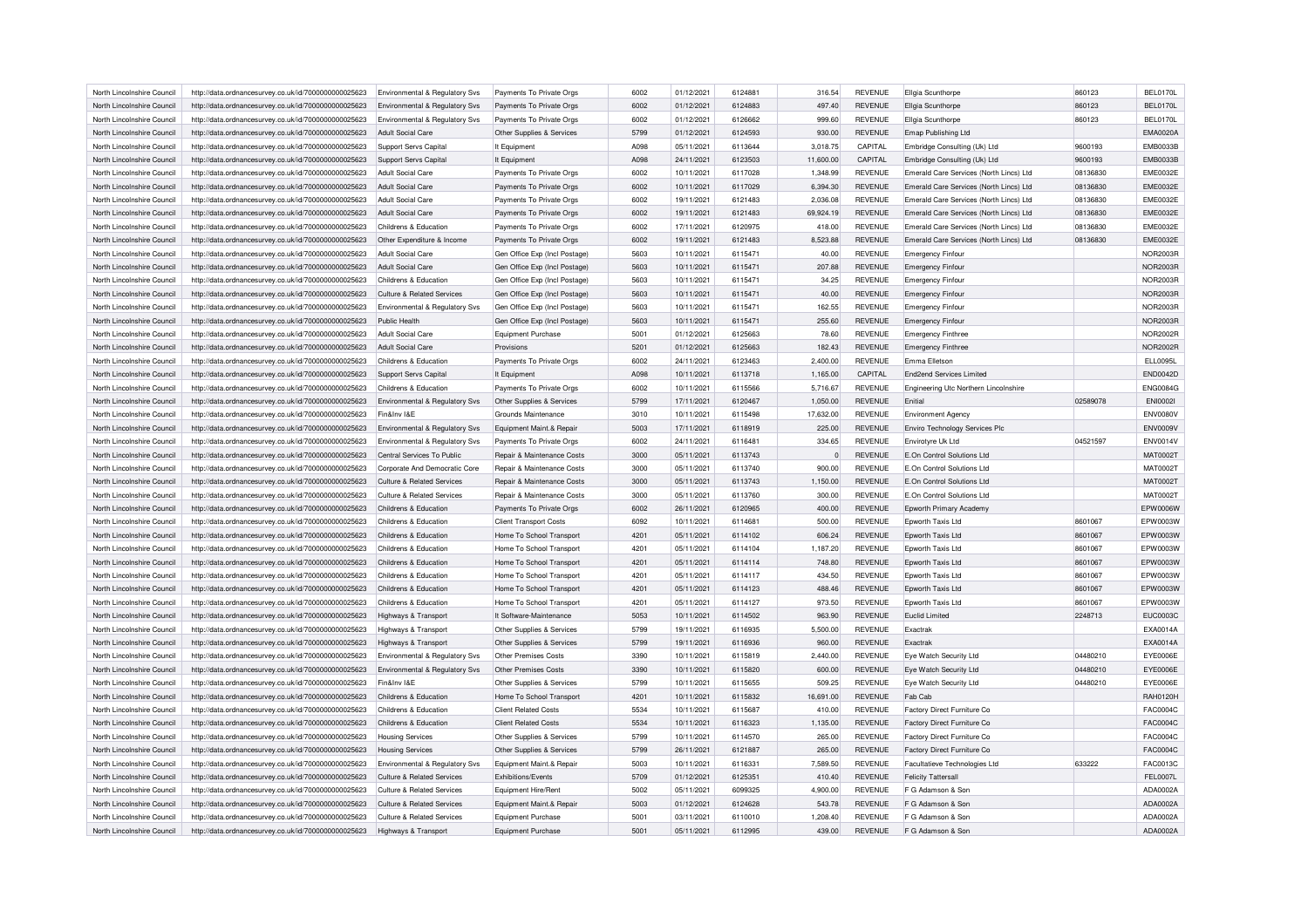| North Lincolnshire Council | http://data.ordnancesurvey.co.uk/id/7000000000025623 | Environmental & Regulatory Svs        | Payments To Private Orgs              | 6002 | 01/12/2021 | 6124881 | 316.54      | REVENUE        | Ellgia Scunthorpe                       | 860123   | BEL0170L        |
|----------------------------|------------------------------------------------------|---------------------------------------|---------------------------------------|------|------------|---------|-------------|----------------|-----------------------------------------|----------|-----------------|
| North Lincolnshire Council | http://data.ordnancesurvey.co.uk/id/7000000000025623 | Environmental & Regulatory Svs        | Payments To Private Orgs              | 6002 | 01/12/2021 | 6124883 | 497.40      | <b>REVENUE</b> | Ellgia Scunthorpe                       | 860123   | <b>BEL0170L</b> |
| North Lincolnshire Council | http://data.ordnancesurvey.co.uk/id/7000000000025623 | Environmental & Regulatory Sys        | Payments To Private Orgs              | 6002 | 01/12/2021 | 6126662 | 999.60      | <b>REVENUE</b> | Ellgia Scunthorpe                       | 860123   | <b>BEL0170L</b> |
| North Lincolnshire Council | http://data.ordnancesurvey.co.uk/id/7000000000025623 | Adult Social Care                     | Other Supplies & Services             | 5799 | 01/12/2021 | 6124593 | 930.00      | <b>REVENUE</b> | Emap Publishing Ltd                     |          | EMA0020A        |
| North Lincolnshire Council | http://data.ordnancesurvey.co.uk/id/7000000000025623 | <b>Support Servs Capital</b>          | It Equipment                          | A098 | 05/11/2021 | 6113644 | 3,018.75    | <b>CAPITAL</b> | Embridge Consulting (Uk) Ltd            | 9600193  | <b>EMB0033E</b> |
| North Lincolnshire Council | http://data.ordnancesurvey.co.uk/id/7000000000025623 | Support Servs Capital                 | It Equipment                          | A098 | 24/11/2021 | 6123503 | 11.600.00   | CAPITAL        | Embridge Consulting (Uk) Ltd            | 9600193  | <b>EMB0033B</b> |
| North Lincolnshire Council | http://data.ordnancesurvey.co.uk/id/7000000000025623 | Adult Social Care                     | Payments To Private Orgs              | 6002 | 10/11/2021 | 6117028 | 1,348.99    | <b>REVENUE</b> | Emerald Care Services (North Lincs) Ltd | 08136830 | <b>EME0032E</b> |
| North Lincolnshire Council | http://data.ordnancesurvey.co.uk/id/7000000000025623 | <b>Adult Social Care</b>              | Payments To Private Orgs              | 6002 | 10/11/2021 | 6117029 | 6,394.30    | <b>REVENUE</b> | Emerald Care Services (North Lincs) Ltd | 08136830 | <b>EME0032E</b> |
| North Lincolnshire Council | http://data.ordnancesurvey.co.uk/id/7000000000025623 | <b>Adult Social Care</b>              | Payments To Private Orgs              | 6002 | 19/11/2021 | 6121483 | 2,036.08    | <b>REVENUE</b> | Emerald Care Services (North Lincs) Ltd | 08136830 | <b>EME0032E</b> |
| North Lincolnshire Council | http://data.ordnancesurvey.co.uk/id/7000000000025623 | Adult Social Care                     | Payments To Private Orgs              | 6002 | 19/11/2021 | 6121483 | 69,924.19   | <b>REVENUE</b> | Emerald Care Services (North Lincs) Ltd | 08136830 | <b>EME0032E</b> |
| North Lincolnshire Council | http://data.ordnancesurvey.co.uk/id/7000000000025623 | Childrens & Education                 | Payments To Private Orgs              | 6002 | 17/11/2021 | 6120975 | 418.00      | <b>REVENUE</b> | Emerald Care Services (North Lincs) Ltd | 08136830 | <b>EME0032E</b> |
| North Lincolnshire Council | http://data.ordnancesurvey.co.uk/id/7000000000025623 | Other Expenditure & Income            | Payments To Private Orgs              | 6002 | 19/11/2021 | 6121483 | 8,523.88    | <b>REVENUE</b> | Emerald Care Services (North Lincs) Ltd | 08136830 | <b>EME0032E</b> |
| North Lincolnshire Council | http://data.ordnancesurvey.co.uk/id/7000000000025623 | <b>Adult Social Care</b>              | Gen Office Exp (Incl Postage)         | 5603 | 10/11/2021 | 6115471 | 40.00       | <b>REVENUE</b> | <b>Emergency Finfour</b>                |          | <b>NOR2003F</b> |
| North Lincolnshire Council | http://data.ordnancesurvey.co.uk/id/7000000000025623 | <b>Adult Social Care</b>              | Gen Office Exp (Incl Postage)         | 5603 | 10/11/2021 | 6115471 | 207.88      | <b>REVENUE</b> | <b>Emergency Finfour</b>                |          | <b>NOR2003R</b> |
| North Lincolnshire Council | http://data.ordnancesurvey.co.uk/id/7000000000025623 | Childrens & Education                 | Gen Office Exp (Incl Postage)         | 5603 | 10/11/2021 | 6115471 | 34.25       | <b>REVENUE</b> | <b>Emergency Finfour</b>                |          | <b>NOR2003R</b> |
| North Lincolnshire Council | http://data.ordnancesurvey.co.uk/id/7000000000025623 | <b>Culture &amp; Related Services</b> | Gen Office Exp (Incl Postage)         | 5603 | 10/11/2021 | 6115471 | 40.00       | <b>REVENUE</b> | <b>Emergency Finfour</b>                |          | <b>NOR2003F</b> |
| North Lincolnshire Council | http://data.ordnancesurvey.co.uk/id/7000000000025623 | Environmental & Regulatory Svs        | Gen Office Exp (Incl Postage)         | 5603 | 10/11/2021 | 6115471 | 162.55      | REVENUE        | <b>Emergency Finfour</b>                |          | <b>NOR2003R</b> |
|                            |                                                      | Public Health                         |                                       |      |            | 6115471 |             | <b>REVENUE</b> |                                         |          | <b>NOR2003R</b> |
| North Lincolnshire Council | http://data.ordnancesurvey.co.uk/id/7000000000025623 |                                       | Gen Office Exp (Incl Postage)         | 5603 | 10/11/2021 |         | 255.60      |                | <b>Emergency Finfour</b>                |          |                 |
| North Lincolnshire Council | http://data.ordnancesurvey.co.uk/id/7000000000025623 | Adult Social Care                     | Equipment Purchase                    | 5001 | 01/12/2021 | 6125663 | 78.60       | <b>REVENUE</b> | <b>Emergency Finthree</b>               |          | <b>NOR2002F</b> |
| North Lincolnshire Council | http://data.ordnancesurvey.co.uk/id/7000000000025623 | Adult Social Care                     | Provisions                            | 5201 | 01/12/2021 | 6125663 | 182.43      | <b>REVENUE</b> | <b>Emergency Finthree</b>               |          | <b>NOR2002R</b> |
| North Lincolnshire Council | http://data.ordnancesurvey.co.uk/id/7000000000025623 | Childrens & Education                 | Payments To Private Orgs              | 6002 | 24/11/2021 | 6123463 | 2,400.00    | <b>REVENUE</b> | Emma Elletson                           |          | <b>ELL0095L</b> |
| North Lincolnshire Council | http://data.ordnancesurvey.co.uk/id/7000000000025623 | Support Servs Capital                 | It Equipment                          | A098 | 10/11/2021 | 6113718 | 1,165.00    | CAPITAL        | <b>End2end Services Limited</b>         |          | <b>END0042D</b> |
| North Lincolnshire Council | http://data.ordnancesurvey.co.uk/id/7000000000025623 | Childrens & Education                 | Payments To Private Orgs              | 6002 | 10/11/2021 | 6115566 | 5,716.67    | <b>REVENUE</b> | Engineering Utc Northern Lincolnshire   |          | <b>ENG0084G</b> |
| North Lincolnshire Council | http://data.ordnancesurvey.co.uk/id/7000000000025623 | Environmental & Regulatory Svs        | Other Supplies & Services             | 5799 | 17/11/2021 | 6120467 | 1,050.00    | <b>REVENUE</b> | Enitial                                 | 02589078 | <b>ENI0002I</b> |
| North Lincolnshire Council | http://data.ordnancesurvey.co.uk/id/7000000000025623 | Fin&Inv I&E                           | Grounds Maintenance                   | 3010 | 10/11/2021 | 6115498 | 17,632.00   | REVENUE        | <b>Environment Agency</b>               |          | <b>ENV0080V</b> |
| North Lincolnshire Council | http://data.ordnancesurvey.co.uk/id/7000000000025623 | Environmental & Regulatory Svs        | Equipment Maint.& Repair              | 5003 | 17/11/2021 | 6118919 | 225.00      | REVENUE        | Enviro Technology Services Plc          |          | <b>ENV0009V</b> |
| North Lincolnshire Council | http://data.ordnancesurvey.co.uk/id/7000000000025623 | Environmental & Regulatory Svs        | Payments To Private Orgs              | 6002 | 24/11/2021 | 6116481 | 334.65      | <b>REVENUE</b> | Envirotyre Uk Ltd                       | 04521597 | <b>ENV0014V</b> |
| North Lincolnshire Council | http://data.ordnancesurvey.co.uk/id/7000000000025623 | Central Services To Public            | Repair & Maintenance Costs            | 3000 | 05/11/2021 | 6113743 | $\mathbf 0$ | <b>REVENUE</b> | E.On Control Solutions Ltd              |          | MAT0002T        |
| North Lincolnshire Council | http://data.ordnancesurvey.co.uk/id/7000000000025623 | Corporate And Democratic Core         | <b>Benair &amp; Maintenance Costs</b> | 3000 | 05/11/2021 | 6113740 | 900.00      | <b>REVENUE</b> | E.On Control Solutions Ltd              |          | MAT0002T        |
| North Lincolnshire Council | http://data.ordnancesurvey.co.uk/id/7000000000025623 | Culture & Related Services            | Repair & Maintenance Costs            | 3000 | 05/11/2021 | 6113743 | 1.150.00    | <b>REVENUE</b> | E.On Control Solutions Ltd              |          | MAT0002T        |
| North Lincolnshire Council | http://data.ordnancesurvey.co.uk/id/7000000000025623 | <b>Culture &amp; Related Services</b> | Repair & Maintenance Costs            | 3000 | 05/11/2021 | 6113760 | 300.00      | <b>REVENUE</b> | E.On Control Solutions Ltd              |          | MAT0002T        |
| North Lincolnshire Council | http://data.ordnancesurvey.co.uk/id/7000000000025623 | Childrens & Education                 | Payments To Private Orgs              | 6002 | 26/11/2021 | 6120965 | 400.00      | <b>REVENUE</b> | Epworth Primary Academy                 |          | <b>EPW0006W</b> |
| North Lincolnshire Council | http://data.ordnancesurvey.co.uk/id/7000000000025623 | Childrens & Education                 | <b>Client Transport Costs</b>         | 6092 | 10/11/2021 | 6114681 | 500.00      | <b>REVENUE</b> | Epworth Taxis Ltd                       | 8601067  | EPW0003W        |
| North Lincolnshire Council | http://data.ordnancesurvey.co.uk/id/7000000000025623 | Childrens & Education                 | Home To School Transport              | 4201 | 05/11/2021 | 6114102 | 606.24      | <b>REVENUE</b> | Epworth Taxis Ltd                       | 8601067  | EPW0003W        |
| North Lincolnshire Council | http://data.ordnancesurvey.co.uk/id/7000000000025623 | Childrens & Education                 | Home To School Transport              | 4201 | 05/11/2021 | 6114104 | 1,187.20    | <b>REVENUE</b> | Epworth Taxis Ltd                       | 8601067  | EPW0003W        |
| North Lincolnshire Council | http://data.ordnancesurvey.co.uk/id/7000000000025623 | Childrens & Education                 | Home To School Transport              | 4201 | 05/11/2021 | 6114114 | 748.80      | <b>REVENUE</b> | Epworth Taxis Ltd                       | 8601067  | EPW0003W        |
| North Lincolnshire Council | http://data.ordnancesurvey.co.uk/id/7000000000025623 | Childrens & Education                 | Home To School Transport              | 4201 | 05/11/2021 | 6114117 | 434.50      | <b>REVENUE</b> | Epworth Taxis Ltd                       | 8601067  | EPW0003W        |
| North Lincolnshire Council | http://data.ordnancesurvey.co.uk/id/7000000000025623 | Childrens & Education                 | Home To School Transport              | 4201 | 05/11/2021 | 6114123 | 488.46      | <b>REVENUE</b> | Epworth Taxis Ltd                       | 8601067  | EPW0003W        |
| North Lincolnshire Council | http://data.ordnancesurvey.co.uk/id/7000000000025623 | Childrens & Education                 | Home To School Transport              | 4201 | 05/11/2021 | 6114127 | 973.50      | <b>REVENUE</b> | Epworth Taxis Ltd                       | 8601067  | EPW0003W        |
| North Lincolnshire Council | http://data.ordnancesurvey.co.uk/id/7000000000025623 | Highways & Transport                  | It Software-Maintenance               | 5053 | 10/11/2021 | 6114502 | 963.90      | <b>REVENUE</b> | <b>Euclid Limited</b>                   | 2248713  | <b>EUC0003C</b> |
| North Lincolnshire Council | http://data.ordnancesurvey.co.uk/id/7000000000025623 | <b>Highways &amp; Transport</b>       | Other Supplies & Services             | 5799 | 19/11/2021 | 6116935 | 5,500.00    | <b>REVENUE</b> | Exactrak                                |          | EXA0014A        |
| North Lincolnshire Council | http://data.ordnancesurvey.co.uk/id/7000000000025623 | Highways & Transport                  | Other Supplies & Services             | 5799 | 19/11/2021 | 6116936 | 960.00      | <b>REVENUE</b> | Exactrak                                |          | EXA0014A        |
| North Lincolnshire Council | http://data.ordnancesurvey.co.uk/id/7000000000025623 | Environmental & Regulatory Svs        | Other Premises Costs                  | 3390 | 10/11/2021 | 6115819 | 2,440.00    | <b>REVENUE</b> | Eye Watch Security Ltd                  | 04480210 | EYE0006E        |
| North Lincolnshire Council | http://data.ordnancesurvey.co.uk/id/7000000000025623 | Environmental & Regulatory Svs        | <b>Other Premises Costs</b>           | 3390 | 10/11/2021 | 6115820 | 600.00      | <b>REVENUE</b> | Eye Watch Security Ltd                  | 04480210 | <b>EYE0006E</b> |
| North Lincolnshire Council | http://data.ordnancesurvey.co.uk/id/7000000000025623 | Fin&Inv I&E                           | Other Supplies & Services             | 5799 | 10/11/2021 | 6115655 | 509.25      | <b>REVENUE</b> | Eye Watch Security Ltd                  | 04480210 | EYE0006E        |
| North Lincolnshire Council | http://data.ordnancesurvey.co.uk/id/7000000000025623 | Childrens & Education                 | Home To School Transport              | 4201 | 10/11/2021 | 6115832 | 16,691.00   | <b>REVENUE</b> | Fab Cab                                 |          | RAH0120H        |
| North Lincolnshire Council | http://data.ordnancesurvey.co.uk/id/7000000000025623 | Childrens & Education                 | <b>Client Related Costs</b>           | 5534 | 10/11/2021 | 6115687 | 410.00      | <b>REVENUE</b> | Factory Direct Furniture Co.            |          | FAC0004C        |
| North Lincolnshire Council | http://data.ordnancesurvey.co.uk/id/7000000000025623 | Childrens & Education                 | <b>Client Related Costs</b>           | 5534 | 10/11/2021 | 6116323 | 1,135.00    | <b>REVENUE</b> | Factory Direct Furniture Co             |          | FAC0004C        |
| North Lincolnshire Council | http://data.ordnancesurvey.co.uk/id/7000000000025623 | <b>Housing Services</b>               | Other Supplies & Services             | 5799 | 10/11/2021 | 6114570 | 265.00      | <b>REVENUE</b> | Factory Direct Furniture Co.            |          | FAC0004C        |
| North Lincolnshire Council | http://data.ordnancesurvey.co.uk/id/7000000000025623 | <b>Housing Services</b>               | Other Supplies & Services             | 5799 | 26/11/2021 | 6121887 | 265.00      | <b>REVENUE</b> | Factory Direct Furniture Co             |          | <b>FAC0004C</b> |
| North Lincolnshire Council | http://data.ordnancesurvey.co.uk/id/7000000000025623 | Environmental & Regulatory Svs        | Equipment Maint.& Repair              | 5003 | 10/11/2021 | 611633  | 7,589.50    | <b>REVENUE</b> | Facultatieve Technologies Ltd           | 633222   | FAC0013C        |
| North Lincolnshire Council | http://data.ordnancesurvey.co.uk/id/7000000000025623 | <b>Culture &amp; Related Services</b> | Exhibitions/Events                    | 5709 | 01/12/2021 | 6125351 | 410.40      | <b>REVENUE</b> | <b>Felicity Tattersall</b>              |          | <b>FEL0007L</b> |
| North Lincolnshire Council | http://data.ordnancesurvey.co.uk/id/7000000000025623 | <b>Culture &amp; Related Services</b> | Equipment Hire/Rent                   | 5002 | 05/11/2021 | 6099325 | 4,900.00    | REVENUE        | F G Adamson & Son                       |          | ADA0002A        |
| North Lincolnshire Council | http://data.ordnancesurvey.co.uk/id/7000000000025623 | <b>Culture &amp; Related Services</b> | Equipment Maint.& Repair              | 5003 | 01/12/2021 | 6124628 | 543.78      | <b>REVENUE</b> | F G Adamson & Son                       |          | ADA0002A        |
| North Lincolnshire Council | http://data.ordnancesurvey.co.uk/id/7000000000025623 | <b>Culture &amp; Related Services</b> | Equipment Purchase                    | 5001 | 03/11/2021 | 6110010 | 1,208.40    | <b>REVENUE</b> | F G Adamson & Son                       |          | ADA0002A        |
| North Lincolnshire Council | http://data.ordnancesurvey.co.uk/id/7000000000025623 | Highways & Transport                  | Equipment Purchase                    | 5001 | 05/11/2021 | 6112995 | 439.00      | REVENUE        | F G Adamson & Son                       |          | ADA0002A        |
|                            |                                                      |                                       |                                       |      |            |         |             |                |                                         |          |                 |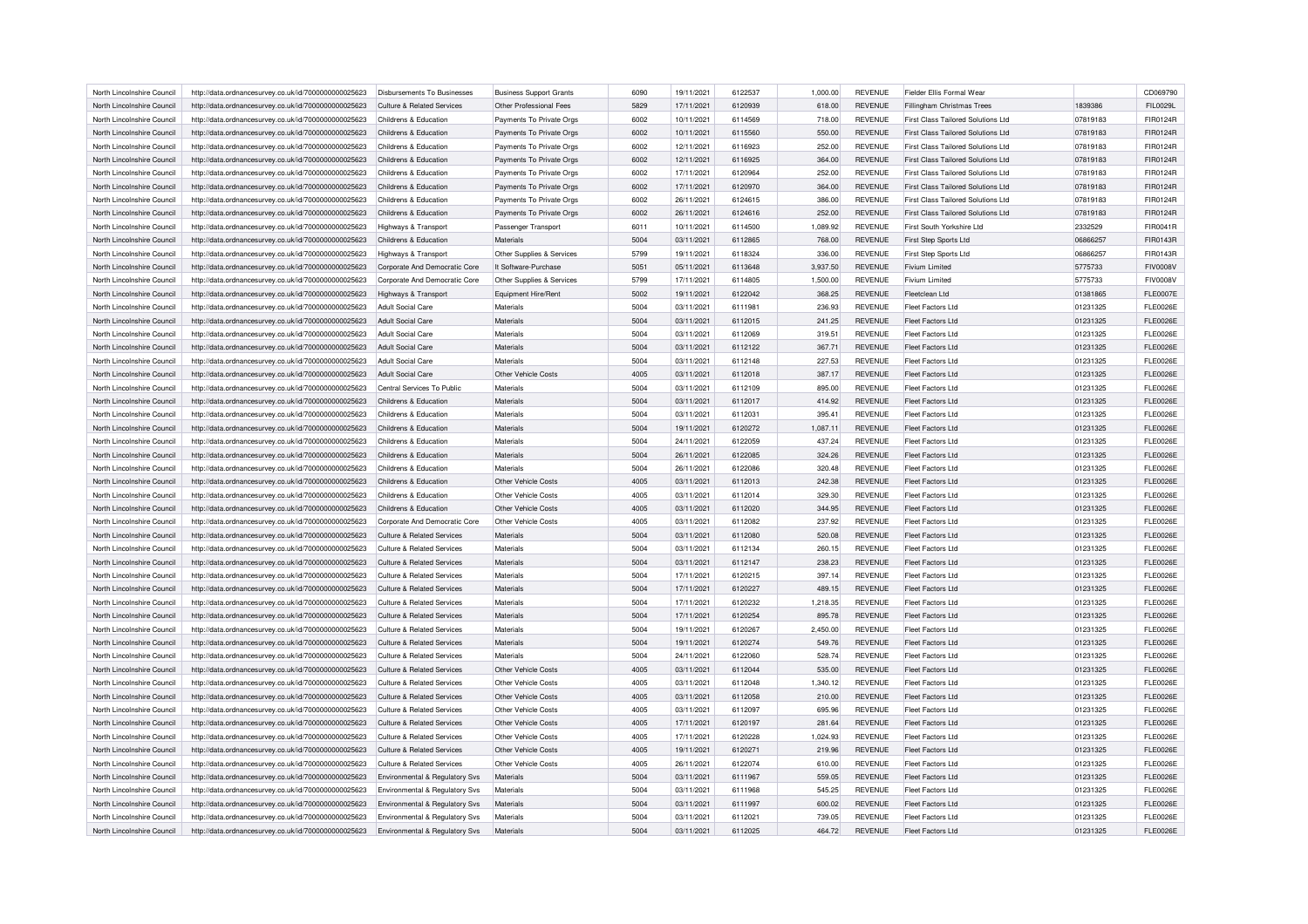| North Lincolnshire Council | http://data.ordnancesurvey.co.uk/id/7000000000025623                                                         | Disbursements To Businesses                           | <b>Business Support Grants</b> | 6090 | 19/11/2021 | 6122537 | 1,000.00 | <b>REVENUE</b> | Fielder Ellis Formal Wear          |          | CD069790        |
|----------------------------|--------------------------------------------------------------------------------------------------------------|-------------------------------------------------------|--------------------------------|------|------------|---------|----------|----------------|------------------------------------|----------|-----------------|
| North Lincolnshire Council | http://data.ordnancesurvey.co.uk/id/7000000000025623                                                         | <b>Culture &amp; Related Services</b>                 | Other Professional Fees        | 5829 | 17/11/2021 | 6120939 | 618.00   | <b>REVENUE</b> | Fillingham Christmas Trees         | 1839386  | FIL0029L        |
| North Lincolnshire Council | http://data.ordnancesurvey.co.uk/id/7000000000025623                                                         | Childrens & Education                                 | Payments To Private Orgs       | 6002 | 10/11/2021 | 6114569 | 718.00   | <b>REVENUE</b> | First Class Tailored Solutions Ltd | 07819183 | FIR0124R        |
| North Lincolnshire Council | http://data.ordnancesurvey.co.uk/id/7000000000025623                                                         | Childrens & Education                                 | Payments To Private Orgs       | 6002 | 10/11/2021 | 6115560 | 550.00   | <b>REVENUE</b> | First Class Tailored Solutions Ltd | 07819183 | FIR0124R        |
| North Lincolnshire Council | http://data.ordnancesurvey.co.uk/id/7000000000025623                                                         | Childrens & Education                                 | Payments To Private Orgs       | 6002 | 12/11/2021 | 6116923 | 252.00   | <b>REVENUE</b> | First Class Tailored Solutions Ltd | 07819183 | FIR0124R        |
| North Lincolnshire Council | http://data.ordnancesurvey.co.uk/id/7000000000025623                                                         | Childrens & Education                                 | Payments To Private Orgs       | 6002 | 12/11/2021 | 6116925 | 364.00   | <b>REVENUE</b> | First Class Tailored Solutions Ltd | 07819183 | FIR0124R        |
| North Lincolnshire Council | http://data.ordnancesurvey.co.uk/id/7000000000025623                                                         | Childrens & Education                                 | Payments To Private Orgs       | 6002 | 17/11/2021 | 6120964 | 252.00   | <b>REVENUE</b> | First Class Tailored Solutions Ltd | 07819183 | FIR0124R        |
| North Lincolnshire Council | http://data.ordnancesurvey.co.uk/id/7000000000025623                                                         | Childrens & Education                                 | Payments To Private Orgs       | 6002 | 17/11/2021 | 6120970 | 364.00   | <b>REVENUE</b> | First Class Tailored Solutions Ltd | 07819183 | FIR0124R        |
| North Lincolnshire Council | http://data.ordnancesurvey.co.uk/id/7000000000025623                                                         | Childrens & Education                                 | Payments To Private Orgs       | 6002 | 26/11/2021 | 6124615 | 386.00   | <b>REVENUE</b> | First Class Tailored Solutions Ltd | 07819183 | FIR0124R        |
| North Lincolnshire Council | http://data.ordnancesurvey.co.uk/id/7000000000025623                                                         | Childrens & Education                                 | Payments To Private Orgs       | 6002 | 26/11/2021 | 6124616 | 252.00   | <b>REVENUE</b> | First Class Tailored Solutions Ltd | 07819183 | FIR0124R        |
| North Lincolnshire Council | http://data.ordnancesurvey.co.uk/id/7000000000025623                                                         | Highways & Transport                                  | Passenger Transport            | 6011 | 10/11/2021 | 6114500 | 1,089.92 | <b>REVENUE</b> | First South Yorkshire Ltd          | 2332529  | FIR0041R        |
| North Lincolnshire Council | http://data.ordnancesurvey.co.uk/id/7000000000025623                                                         | Childrens & Education                                 | Materials                      | 5004 | 03/11/2021 | 6112865 | 768.00   | <b>REVENUE</b> | First Step Sports Ltd              | 06866257 | FIR0143R        |
| North Lincolnshire Council |                                                                                                              |                                                       | Other Supplies & Services      | 5799 | 19/11/2021 | 6118324 | 336.00   | <b>REVENUE</b> | First Step Sports Ltd              | 06866257 | FIR0143R        |
| North Lincolnshire Council | http://data.ordnancesurvey.co.uk/id/7000000000025623<br>http://data.ordnancesurvey.co.uk/id/7000000000025623 | Highways & Transport<br>Corporate And Democratic Core | It Software-Purchase           | 5051 | 05/11/2021 | 6113648 | 3,937.50 | <b>REVENUE</b> | <b>Fivium Limited</b>              | 5775733  | FIV0008V        |
|                            |                                                                                                              |                                                       |                                |      |            |         |          |                |                                    |          |                 |
| North Lincolnshire Council | http://data.ordnancesurvey.co.uk/id/7000000000025623                                                         | Corporate And Democratic Core                         | Other Supplies & Services      | 5799 | 17/11/2021 | 6114805 | 1,500.00 | <b>REVENUE</b> | Fivium I imited                    | 5775733  | FIV0008V        |
| North Lincolnshire Council | http://data.ordnancesurvey.co.uk/id/7000000000025623                                                         | Highways & Transport                                  | Equipment Hire/Rent            | 5002 | 19/11/2021 | 6122042 | 368.25   | <b>REVENUE</b> | Fleetclean Ltd                     | 01381865 | <b>FLE0007E</b> |
| North Lincolnshire Council | http://data.ordnancesurvey.co.uk/id/7000000000025623                                                         | <b>Adult Social Care</b>                              | Materials                      | 5004 | 03/11/2021 | 6111981 | 236.93   | REVENUE        | <b>Fleet Factors Ltd</b>           | 01231325 | <b>FLE0026E</b> |
| North Lincolnshire Council | http://data.ordnancesurvey.co.uk/id/7000000000025623                                                         | <b>Adult Social Care</b>                              | Materials                      | 5004 | 03/11/2021 | 6112015 | 241.25   | <b>REVENUE</b> | <b>Fleet Factors Ltd</b>           | 01231325 | <b>FLE0026E</b> |
| North Lincolnshire Council | http://data.ordnancesurvey.co.uk/id/7000000000025623                                                         | Adult Social Care                                     | Materials                      | 5004 | 03/11/2021 | 6112069 | 319.51   | REVENUE        | <b>Fleet Factors Ltd</b>           | 01231325 | <b>FLE0026E</b> |
| North Lincolnshire Council | http://data.ordnancesurvey.co.uk/id/7000000000025623                                                         | Adult Social Care                                     | Materials                      | 5004 | 03/11/2021 | 6112122 | 367.71   | <b>REVENUE</b> | Fleet Factors Ltd                  | 01231325 | <b>FLE0026E</b> |
| North Lincolnshire Council | http://data.ordnancesurvey.co.uk/id/7000000000025623                                                         | Adult Social Care                                     | Materials                      | 5004 | 03/11/2021 | 6112148 | 227.53   | <b>REVENUE</b> | <b>Fleet Factors Ltd</b>           | 01231325 | <b>FLE0026E</b> |
| North Lincolnshire Council | http://data.ordnancesurvey.co.uk/id/7000000000025623                                                         | Adult Social Care                                     | Other Vehicle Costs            | 4005 | 03/11/2021 | 6112018 | 387.17   | REVENUE        | <b>Fleet Factors Ltd</b>           | 01231325 | <b>FLE0026E</b> |
| North Lincolnshire Council | http://data.ordnancesurvey.co.uk/id/7000000000025623                                                         | Central Services To Public                            | Materials                      | 5004 | 03/11/2021 | 6112109 | 895.00   | REVENUE        | Fleet Factors Ltd                  | 01231325 | <b>FLE0026E</b> |
| North Lincolnshire Council | http://data.ordnancesurvey.co.uk/id/7000000000025623                                                         | Childrens & Education                                 | Materials                      | 5004 | 03/11/2021 | 6112017 | 414.92   | <b>REVENUE</b> | <b>Fleet Factors Ltd</b>           | 01231325 | <b>FLE0026E</b> |
| North Lincolnshire Council | http://data.ordnancesurvey.co.uk/id/7000000000025623                                                         | Childrens & Education                                 | Materials                      | 5004 | 03/11/2021 | 6112031 | 395.41   | REVENUE        | <b>Fleet Factors Ltd</b>           | 01231325 | <b>FLE0026E</b> |
| North Lincolnshire Council | http://data.ordnancesurvey.co.uk/id/7000000000025623                                                         | Childrens & Education                                 | Materials                      | 5004 | 19/11/2021 | 6120272 | 1,087.11 | <b>REVENUE</b> | <b>Fleet Factors Ltd</b>           | 01231325 | <b>FLE0026E</b> |
| North Lincolnshire Council | http://data.ordnancesurvey.co.uk/id/7000000000025623                                                         | Childrens & Education                                 | Materials                      | 5004 | 24/11/2021 | 6122059 | 437.24   | <b>REVENUE</b> | <b>Fleet Factors Ltd</b>           | 01231325 | <b>FLE0026E</b> |
| North Lincolnshire Council | http://data.ordnancesurvey.co.uk/id/7000000000025623                                                         | Childrens & Education                                 | Materials                      | 5004 | 26/11/2021 | 6122085 | 324.26   | <b>REVENUE</b> | <b>Fleet Factors Ltd</b>           | 01231325 | <b>FLE0026E</b> |
| North Lincolnshire Council | http://data.ordnancesurvey.co.uk/id/7000000000025623                                                         | Childrens & Education                                 | Materials                      | 5004 | 26/11/2021 | 6122086 | 320.48   | <b>REVENUE</b> | Fleet Factors I to                 | 01231325 | <b>FLE0026E</b> |
| North Lincolnshire Council | http://data.ordnancesurvey.co.uk/id/7000000000025623                                                         | Childrens & Education                                 | Other Vehicle Costs            | 4005 | 03/11/2021 | 6112013 | 242.38   | <b>REVENUE</b> | <b>Fleet Factors Ltd</b>           | 01231325 | <b>FLE0026E</b> |
| North Lincolnshire Council | http://data.ordnancesurvey.co.uk/id/7000000000025623                                                         | Childrens & Education                                 | Other Vehicle Costs            | 4005 | 03/11/2021 | 6112014 | 329.30   | <b>REVENUE</b> | <b>Fleet Factors Ltd</b>           | 01231325 | <b>FLE0026E</b> |
| North Lincolnshire Council | http://data.ordnancesurvey.co.uk/id/7000000000025623                                                         | Childrens & Education                                 | Other Vehicle Costs            | 4005 | 03/11/2021 | 6112020 | 344.95   | <b>REVENUE</b> | <b>Fleet Factors Ltd</b>           | 01231325 | <b>FLE0026E</b> |
| North Lincolnshire Council | http://data.ordnancesurvey.co.uk/id/7000000000025623                                                         | Corporate And Democratic Core                         | Other Vehicle Costs            | 4005 | 03/11/2021 | 6112082 | 237.92   | <b>REVENUE</b> | <b>Fleet Factors Ltd</b>           | 01231325 | <b>FLE0026E</b> |
| North Lincolnshire Council | http://data.ordnancesurvey.co.uk/id/7000000000025623                                                         | Culture & Related Services                            | Materials                      | 5004 | 03/11/2021 | 6112080 | 520.08   | <b>REVENUE</b> | <b>Fleet Factors Ltd</b>           | 01231325 | <b>FLE0026E</b> |
| North Lincolnshire Council | http://data.ordnancesurvey.co.uk/id/7000000000025623                                                         | Culture & Related Services                            | Materials                      | 5004 | 03/11/2021 | 6112134 | 260.15   | <b>REVENUE</b> | <b>Fleet Factors Ltd</b>           | 01231325 | <b>FLE0026E</b> |
| North Lincolnshire Council | http://data.ordnancesurvey.co.uk/id/7000000000025623                                                         | Culture & Related Services                            | Materials                      | 5004 | 03/11/2021 | 6112147 | 238.23   | <b>REVENUE</b> | <b>Fleet Factors Ltd</b>           | 01231325 | <b>FLE0026E</b> |
| North Lincolnshire Council | http://data.ordnancesurvey.co.uk/id/7000000000025623                                                         | <b>Culture &amp; Related Services</b>                 | Materials                      | 5004 | 17/11/2021 | 6120215 | 397.14   | <b>REVENUE</b> | <b>Fleet Factors Ltd</b>           | 01231325 | <b>FLE0026E</b> |
| North Lincolnshire Council | http://data.ordnancesurvey.co.uk/id/7000000000025623                                                         | <b>Culture &amp; Related Services</b>                 | Materials                      | 5004 | 17/11/2021 | 6120227 | 489.15   | <b>REVENUE</b> | <b>Fleet Factors Ltd</b>           | 01231325 | <b>FLE0026E</b> |
| North Lincolnshire Council | http://data.ordnancesurvey.co.uk/id/7000000000025623                                                         | Culture & Related Services                            | Materials                      | 5004 | 17/11/2021 | 6120232 | 1,218.35 | <b>REVENUE</b> | Fleet Factors Ltd                  | 01231325 | <b>FLE0026E</b> |
| North Lincolnshire Council | http://data.ordnancesurvey.co.uk/id/7000000000025623                                                         | <b>Culture &amp; Related Services</b>                 | Materials                      | 5004 | 17/11/2021 | 6120254 | 895.78   | <b>REVENUE</b> | <b>Fleet Factors Ltd</b>           | 01231325 | <b>FLE0026E</b> |
| North Lincolnshire Council | http://data.ordnancesurvey.co.uk/id/7000000000025623                                                         | <b>Culture &amp; Related Services</b>                 | Materials                      | 5004 | 19/11/2021 | 6120267 | 2,450.00 | <b>REVENUE</b> | <b>Fleet Factors Ltd</b>           | 01231325 | <b>FLE0026E</b> |
| North Lincolnshire Council | http://data.ordnancesurvey.co.uk/id/7000000000025623                                                         | Culture & Related Services                            | Materials                      | 5004 | 19/11/2021 | 6120274 | 549.76   | <b>REVENUE</b> | Fleet Factors Ltd                  | 01231325 | <b>FLE0026E</b> |
| North Lincolnshire Council | http://data.ordnancesurvey.co.uk/id/7000000000025623                                                         | <b>Culture &amp; Related Services</b>                 | Materials                      | 5004 | 24/11/2021 | 6122060 | 528.74   | <b>REVENUE</b> | <b>Fleet Factors Ltd</b>           | 01231325 | <b>FLE0026E</b> |
| North Lincolnshire Council | http://data.ordnancesurvey.co.uk/id/7000000000025623                                                         | <b>Culture &amp; Related Services</b>                 | Other Vehicle Costs            | 4005 | 03/11/2021 | 6112044 | 535.00   | <b>REVENUE</b> | <b>Fleet Factors Ltd</b>           | 01231325 | <b>FLE0026E</b> |
| North Lincolnshire Council |                                                                                                              | <b>Culture &amp; Related Services</b>                 | Other Vehicle Costs            | 4005 | 03/11/2021 | 6112048 | 1.340.12 | <b>REVENUE</b> | <b>Fleet Factors Ltd</b>           | 01231325 | <b>FLE0026E</b> |
|                            | http://data.ordnancesurvey.co.uk/id/7000000000025623                                                         |                                                       |                                |      |            |         |          |                |                                    |          |                 |
| North Lincolnshire Council | http://data.ordnancesurvey.co.uk/id/7000000000025623                                                         | <b>Culture &amp; Related Services</b>                 | Other Vehicle Costs            | 4005 | 03/11/2021 | 6112058 | 210.00   | <b>REVENUE</b> | <b>Fleet Factors Ltd</b>           | 01231325 | <b>FLE0026E</b> |
| North Lincolnshire Council | http://data.ordnancesurvey.co.uk/id/7000000000025623                                                         | <b>Culture &amp; Related Services</b>                 | Other Vehicle Costs            | 4005 | 03/11/2021 | 6112097 | 695.96   | REVENUE        | <b>Fleet Factors Ltd</b>           | 01231325 | <b>FLE0026E</b> |
| North Lincolnshire Council | http://data.ordnancesurvey.co.uk/id/7000000000025623                                                         | Culture & Related Services                            | Other Vehicle Costs            | 4005 | 17/11/2021 | 6120197 | 281.64   | <b>REVENUE</b> | <b>Fleet Factors Ltd</b>           | 01231325 | <b>FLE0026E</b> |
| North Lincolnshire Council | http://data.ordnancesurvey.co.uk/id/7000000000025623                                                         | <b>Culture &amp; Related Services</b>                 | Other Vehicle Costs            | 4005 | 17/11/2021 | 6120228 | 1,024.93 | <b>REVENUE</b> | <b>Fleet Factors Ltd</b>           | 01231325 | <b>FLE0026E</b> |
| North Lincolnshire Council | http://data.ordnancesurvey.co.uk/id/7000000000025623                                                         | <b>Culture &amp; Related Services</b>                 | Other Vehicle Costs            | 4005 | 19/11/2021 | 6120271 | 219.96   | <b>REVENUE</b> | <b>Fleet Factors Ltd</b>           | 01231325 | <b>FLE0026E</b> |
| North Lincolnshire Council | http://data.ordnancesurvey.co.uk/id/7000000000025623                                                         | Culture & Related Services                            | Other Vehicle Costs            | 4005 | 26/11/2021 | 6122074 | 610.00   | <b>REVENUE</b> | <b>Fleet Factors Ltd</b>           | 01231325 | <b>FLE0026E</b> |
| North Lincolnshire Council | http://data.ordnancesurvey.co.uk/id/7000000000025623                                                         | Environmental & Regulatory Svs                        | Materials                      | 5004 | 03/11/2021 | 6111967 | 559.05   | <b>REVENUE</b> | Fleet Factors Ltd                  | 01231325 | <b>FLE0026E</b> |
| North Lincolnshire Council | http://data.ordnancesurvey.co.uk/id/7000000000025623                                                         | Environmental & Regulatory Svs                        | Materials                      | 5004 | 03/11/2021 | 6111968 | 545.25   | REVENUE        | <b>Fleet Factors Ltd</b>           | 01231325 | <b>FLE0026E</b> |
| North Lincolnshire Council | http://data.ordnancesurvey.co.uk/id/7000000000025623                                                         | Environmental & Regulatory Svs                        | Materials                      | 5004 | 03/11/2021 | 6111997 | 600.02   | <b>REVENUE</b> | <b>Fleet Factors Ltd</b>           | 01231325 | <b>FLE0026E</b> |
| North Lincolnshire Council | http://data.ordnancesurvey.co.uk/id/7000000000025623                                                         | Environmental & Regulatory Svs                        | Materials                      | 5004 | 03/11/2021 | 6112021 | 739.05   | REVENUE        | <b>Fleet Factors Ltd</b>           | 01231325 | <b>FLE0026E</b> |
| North Lincolnshire Council | http://data.ordnancesurvey.co.uk/id/7000000000025623                                                         | Environmental & Regulatory Svs                        | Materials                      | 5004 | 03/11/2021 | 6112025 | 464.72   | <b>REVENUE</b> | Fleet Factors Ltd                  | 01231325 | <b>FLE0026E</b> |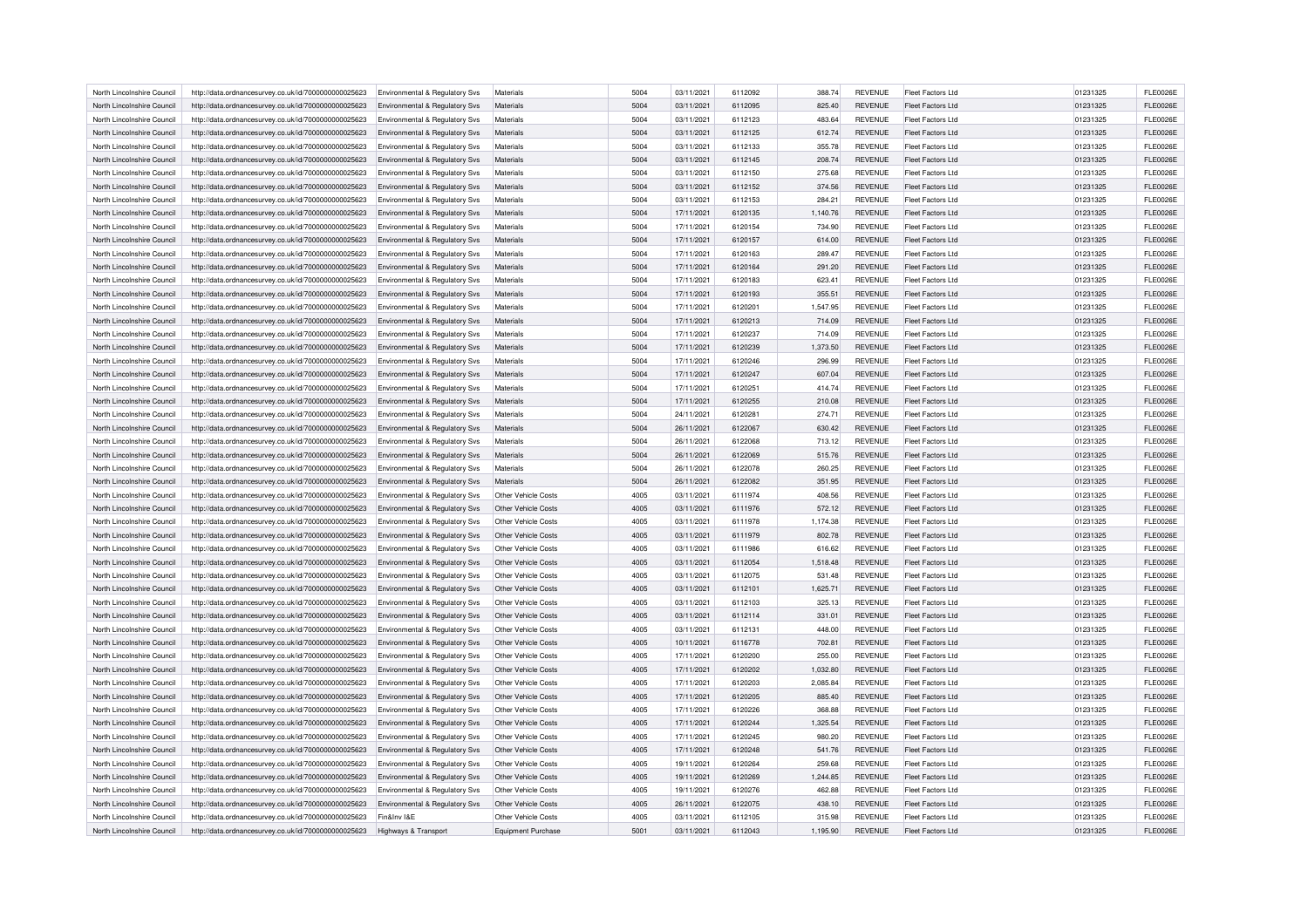| North Lincolnshire Council | http://data.ordnancesurvey.co.uk/id/7000000000025623                                                         | Environmental & Regulatory Svs                                              | Materials                  | 5004 | 03/11/2021 | 6112092            | 388.74   | <b>REVENUE</b>                   | <b>Fleet Factors Ltd</b> | 01231325 | <b>FLE0026E</b> |
|----------------------------|--------------------------------------------------------------------------------------------------------------|-----------------------------------------------------------------------------|----------------------------|------|------------|--------------------|----------|----------------------------------|--------------------------|----------|-----------------|
| North Lincolnshire Council | http://data.ordnancesurvey.co.uk/id/7000000000025623                                                         | Environmental & Regulatory Svs                                              | Materials                  | 5004 | 03/11/2021 | 6112095            | 825.40   | <b>REVENUE</b>                   | Fleet Factors Ltd        | 01231325 | <b>FLE0026E</b> |
| North Lincolnshire Council | http://data.ordnancesurvey.co.uk/id/7000000000025623                                                         | Environmental & Regulatory Svs                                              | Materials                  | 5004 | 03/11/2021 | 6112123            | 483.64   | <b>REVENUE</b>                   | Fleet Factors Ltd        | 01231325 | <b>FLE0026E</b> |
| North Lincolnshire Council | http://data.ordnancesurvey.co.uk/id/7000000000025623                                                         | Environmental & Regulatory Svs                                              | Materials                  | 5004 | 03/11/2021 | 6112125            | 612.74   | <b>REVENUE</b>                   | <b>Fleet Factors Ltd</b> | 01231325 | <b>FLE0026E</b> |
| North Lincolnshire Council | http://data.ordnancesurvey.co.uk/id/7000000000025623                                                         | Environmental & Regulatory Svs                                              | Materials                  | 5004 | 03/11/2021 | 6112133            | 355.78   | <b>REVENUE</b>                   | Fleet Factors Ltd        | 01231325 | <b>FLE0026E</b> |
| North Lincolnshire Council | http://data.ordnancesurvey.co.uk/id/7000000000025623                                                         | Environmental & Regulatory Svs                                              | Materials                  | 5004 | 03/11/2021 | 6112145            | 208.74   | <b>REVENUE</b>                   | Fleet Factors Ltd        | 01231325 | <b>FLE0026E</b> |
| North Lincolnshire Council | http://data.ordnancesurvey.co.uk/id/7000000000025623                                                         | Environmental & Regulatory Svs                                              | Materials                  | 5004 | 03/11/2021 | 6112150            | 275.68   | <b>REVENUE</b>                   | <b>Fleet Factors Ltd</b> | 01231325 | <b>FLE0026E</b> |
| North Lincolnshire Council | http://data.ordnancesurvey.co.uk/id/7000000000025623                                                         | Environmental & Regulatory Svs                                              | Materials                  | 5004 | 03/11/2021 | 6112152            | 374.56   | REVENUE                          | Fleet Factors Ltd        | 01231325 | <b>FLE0026E</b> |
| North Lincolnshire Council | http://data.ordnancesurvey.co.uk/id/7000000000025623                                                         | Environmental & Regulatory Svs                                              | Materials                  | 5004 | 03/11/2021 | 6112153            | 284.21   | <b>REVENUE</b>                   | Fleet Factors Ltd        | 01231325 | <b>FLE0026E</b> |
| North Lincolnshire Council | http://data.ordnancesurvey.co.uk/id/7000000000025623                                                         | Environmental & Regulatory Svs                                              | Materials                  | 5004 | 17/11/2021 | 6120135            | 1,140.76 | <b>REVENUE</b>                   | <b>Fleet Factors Ltd</b> | 01231325 | <b>FLE0026E</b> |
| North Lincolnshire Council | http://data.ordnancesurvey.co.uk/id/7000000000025623                                                         | Environmental & Regulatory Svs                                              | Materials                  | 5004 | 17/11/2021 | 6120154            | 734.90   | REVENUE                          | Fleet Factors Ltd        | 01231325 | <b>FLE0026E</b> |
| North Lincolnshire Council | http://data.ordnancesurvey.co.uk/id/7000000000025623                                                         | Environmental & Regulatory Svs                                              | Materials                  | 5004 | 17/11/2021 | 6120157            | 614.00   | <b>REVENUE</b>                   | Fleet Factors Ltd        | 01231325 | <b>FLE0026E</b> |
| North Lincolnshire Council |                                                                                                              |                                                                             | Materials                  | 5004 | 17/11/2021 | 6120163            | 289.47   | <b>REVENUE</b>                   | <b>Fleet Factors Ltd</b> | 01231325 | <b>FLE0026E</b> |
| North Lincolnshire Council | http://data.ordnancesurvey.co.uk/id/7000000000025623<br>http://data.ordnancesurvey.co.uk/id/7000000000025623 | Environmental & Regulatory Svs<br><b>Environmental &amp; Regulatory Sys</b> | Materials                  | 5004 | 17/11/2021 | 6120164            | 291.20   | <b>REVENUE</b>                   | Fleet Factors Ltd        | 01231325 | <b>FLE0026E</b> |
|                            |                                                                                                              |                                                                             |                            |      |            |                    |          |                                  |                          |          |                 |
| North Lincolnshire Council | http://data.ordnancesurvey.co.uk/id/7000000000025623                                                         | Environmental & Regulatory Svs                                              | Materials                  | 5004 | 17/11/2021 | 6120183            | 623.41   | <b>REVENUE</b>                   | Fleet Factors Ltd        | 01231325 | <b>FLE0026E</b> |
| North Lincolnshire Council | http://data.ordnancesurvey.co.uk/id/7000000000025623                                                         | Environmental & Regulatory Svs                                              | Materials                  | 5004 | 17/11/2021 | 6120193            | 355.51   | <b>REVENUE</b>                   | Fleet Factors Ltd        | 01231325 | <b>FLE0026E</b> |
| North Lincolnshire Council | http://data.ordnancesurvey.co.uk/id/7000000000025623                                                         | Environmental & Regulatory Svs                                              | Materials                  | 5004 | 17/11/2021 | 6120201            | 1,547.95 | REVENUE                          | <b>Fleet Factors Ltd</b> | 01231325 | <b>FLE0026E</b> |
| North Lincolnshire Council | http://data.ordnancesurvey.co.uk/id/7000000000025623                                                         | Environmental & Regulatory Svs                                              | Materials                  | 5004 | 17/11/2021 | 6120213            | 714.09   | <b>REVENUE</b>                   | Fleet Factors Ltd        | 01231325 | <b>FLE0026E</b> |
| North Lincolnshire Council | http://data.ordnancesurvey.co.uk/id/7000000000025623                                                         | Environmental & Regulatory Svs                                              | Materials                  | 5004 | 17/11/2021 | 6120237            | 714.09   | <b>REVENUE</b>                   | Fleet Factors Ltd        | 01231325 | <b>FLE0026E</b> |
| North Lincolnshire Council | http://data.ordnancesurvey.co.uk/id/7000000000025623                                                         | Environmental & Regulatory Svs                                              | Materials                  | 5004 | 17/11/2021 | 6120239            | 1,373.50 | REVENUE                          | Fleet Factors Ltd        | 01231325 | <b>FLE0026E</b> |
| North Lincolnshire Council | http://data.ordnancesurvey.co.uk/id/7000000000025623                                                         | Environmental & Regulatory Svs                                              | Materials                  | 5004 | 17/11/2021 | 6120246            | 296.99   | <b>REVENUE</b>                   | Fleet Factors Ltd        | 01231325 | <b>FLE0026E</b> |
| North Lincolnshire Council | http://data.ordnancesurvey.co.uk/id/7000000000025623                                                         | Environmental & Regulatory Svs                                              | Materials                  | 5004 | 17/11/2021 | 6120247            | 607.04   | <b>REVENUE</b>                   | Fleet Factors Ltd        | 01231325 | <b>FLE0026E</b> |
| North Lincolnshire Council | http://data.ordnancesurvey.co.uk/id/7000000000025623                                                         | Environmental & Regulatory Svs                                              | Materials                  | 5004 | 17/11/2021 | 6120251            | 414.74   | <b>REVENUE</b>                   | Fleet Factors Ltd        | 01231325 | <b>FLE0026E</b> |
| North Lincolnshire Council | http://data.ordnancesurvey.co.uk/id/7000000000025623                                                         | Environmental & Regulatory Svs                                              | Materials                  | 5004 | 17/11/2021 | 6120255            | 210.08   | <b>REVENUE</b>                   | Fleet Factors Ltd        | 01231325 | <b>FLE0026E</b> |
| North Lincolnshire Council | http://data.ordnancesurvey.co.uk/id/7000000000025623                                                         | Environmental & Regulatory Svs                                              | Materials                  | 5004 | 24/11/2021 | 6120281            | 274.71   | <b>REVENUE</b>                   | Fleet Factors Ltd        | 01231325 | <b>FLE0026E</b> |
| North Lincolnshire Council | http://data.ordnancesurvey.co.uk/id/7000000000025623                                                         | Environmental & Regulatory Svs                                              | Materials                  | 5004 | 26/11/2021 | 6122067            | 630.42   | REVENUE                          | Fleet Factors Ltd        | 01231325 | <b>FLE0026E</b> |
| North Lincolnshire Council | http://data.ordnancesurvey.co.uk/id/7000000000025623                                                         | Environmental & Regulatory Svs                                              | Materials                  | 5004 | 26/11/2021 | 6122068            | 713.12   | <b>REVENUE</b>                   | Fleet Factors Ltd        | 01231325 | <b>FLE0026E</b> |
| North Lincolnshire Council | http://data.ordnancesurvey.co.uk/id/7000000000025623                                                         | Environmental & Regulatory Svs                                              | Materials                  | 5004 | 26/11/2021 | 6122069            | 515.76   | <b>REVENUE</b>                   | <b>Fleet Factors Ltd</b> | 01231325 | <b>FLE0026E</b> |
| North Lincolnshire Council | http://data.ordnancesurvey.co.uk/id/7000000000025623                                                         | Environmental & Regulatory Svs                                              | Materials                  | 5004 | 26/11/2021 | 6122078            | 260.25   | REVENUE                          | Fleet Factors I td       | 01231325 | <b>FLE0026E</b> |
| North Lincolnshire Council | http://data.ordnancesurvey.co.uk/id/7000000000025623                                                         | Environmental & Regulatory Svs                                              | Materials                  | 5004 | 26/11/2021 | 6122082            | 351.95   | <b>REVENUE</b>                   | <b>Fleet Factors Ltd</b> | 01231325 | <b>FLE0026E</b> |
| North Lincolnshire Council | http://data.ordnancesurvey.co.uk/id/7000000000025623                                                         | Environmental & Regulatory Svs                                              | Other Vehicle Costs        | 4005 | 03/11/2021 | 6111974            | 408.56   | <b>REVENUE</b>                   | <b>Fleet Factors Ltd</b> | 01231325 | <b>FLE0026E</b> |
| North Lincolnshire Council | http://data.ordnancesurvey.co.uk/id/7000000000025623                                                         | <b>Environmental &amp; Regulatory Svs</b>                                   | Other Vehicle Costs        | 4005 | 03/11/2021 | 6111976            | 572.12   | <b>REVENUE</b>                   | Fleet Factors Ltd        | 01231325 | <b>FLE0026E</b> |
| North Lincolnshire Council | http://data.ordnancesurvey.co.uk/id/7000000000025623                                                         | Environmental & Regulatory Svs                                              | Other Vehicle Costs        | 4005 | 03/11/2021 | 6111978            | 1.174.38 | <b>REVENUE</b>                   | <b>Fleet Factors Ltd</b> | 01231325 | <b>FLE0026E</b> |
| North Lincolnshire Council | http://data.ordnancesurvey.co.uk/id/7000000000025623                                                         | Environmental & Regulatory Svs                                              | <b>Other Vehicle Costs</b> | 4005 | 03/11/2021 | 6111979            | 802.78   | <b>REVENUE</b>                   | <b>Fleet Factors Ltd</b> | 01231325 | <b>FLE0026E</b> |
| North Lincolnshire Council | http://data.ordnancesurvey.co.uk/id/7000000000025623                                                         | Environmental & Regulatory Svs                                              | Other Vehicle Costs        | 4005 | 03/11/2021 | 6111986            | 616.62   | REVENUE                          | Fleet Factors I td       | 01231325 | <b>FLE0026E</b> |
| North Lincolnshire Council | http://data.ordnancesurvey.co.uk/id/7000000000025623                                                         | Environmental & Regulatory Svs                                              | Other Vehicle Costs        | 4005 | 03/11/2021 | 6112054            | 1,518.48 | <b>REVENUE</b>                   | Fleet Factors Ltd        | 01231325 | <b>FLE0026E</b> |
| North Lincolnshire Council | http://data.ordnancesurvey.co.uk/id/7000000000025623                                                         | Environmental & Regulatory Svs                                              | <b>Other Vehicle Costs</b> | 4005 | 03/11/2021 | 6112075            | 531.48   | <b>REVENUE</b>                   | Fleet Factors Ltd        | 01231325 | <b>FLE0026E</b> |
| North Lincolnshire Council | http://data.ordnancesurvey.co.uk/id/7000000000025623                                                         | Environmental & Regulatory Sys                                              | Other Vehicle Costs        | 4005 | 03/11/2021 | 6112101            | 1,625.71 | <b>REVENUE</b>                   | <b>Fleet Factors Ltd</b> | 01231325 | <b>FLE0026E</b> |
| North Lincolnshire Council | http://data.ordnancesurvey.co.uk/id/7000000000025623                                                         | Environmental & Regulatory Svs                                              | Other Vehicle Costs        | 4005 | 03/11/2021 | 6112103            | 325.13   | <b>REVENUE</b>                   | <b>Fleet Factors Ltd</b> | 01231325 | <b>FLE0026E</b> |
| North Lincolnshire Council | http://data.ordnancesurvey.co.uk/id/7000000000025623                                                         | Environmental & Regulatory Svs                                              | Other Vehicle Costs        | 4005 | 03/11/2021 | 6112114            | 331.01   | <b>REVENUE</b>                   | Fleet Factors Ltd        | 01231325 | <b>FLE0026E</b> |
| North Lincolnshire Council | http://data.ordnancesurvey.co.uk/id/7000000000025623                                                         | Environmental & Regulatory Sys                                              | Other Vehicle Costs        | 4005 | 03/11/2021 | 6112131            | 448.00   | <b>REVENUE</b>                   | <b>Fleet Factors Ltd</b> | 01231325 | <b>FLE0026E</b> |
| North Lincolnshire Council | http://data.ordnancesurvey.co.uk/id/7000000000025623                                                         | Environmental & Regulatory Svs                                              | Other Vehicle Costs        | 4005 | 10/11/2021 | 6116778            | 702.81   | <b>REVENUE</b>                   | Fleet Factors I td       | 01231325 | <b>FLE0026E</b> |
| North Lincolnshire Council | http://data.ordnancesurvey.co.uk/id/7000000000025623                                                         | Environmental & Regulatory Svs                                              | Other Vehicle Costs        | 4005 | 17/11/2021 | 6120200            | 255.00   | <b>REVENUE</b>                   | Fleet Factors Ltd        | 01231325 | <b>FLE0026E</b> |
| North Lincolnshire Council | http://data.ordnancesurvey.co.uk/id/7000000000025623                                                         | Environmental & Regulatory Sys                                              | Other Vehicle Costs        | 4005 | 17/11/2021 | 6120202            | 1,032.80 | <b>REVENUE</b>                   | <b>Fleet Factors Ltd</b> | 01231325 | <b>FLE0026E</b> |
| North Lincolnshire Council | http://data.ordnancesurvey.co.uk/id/7000000000025623                                                         | Environmental & Regulatory Svs                                              | Other Vehicle Costs        | 4005 | 17/11/2021 | 6120203            | 2.085.84 | <b>REVENUE</b>                   | <b>Fleet Factors Ltd</b> | 01231325 | <b>FLE0026E</b> |
| North Lincolnshire Council | http://data.ordnancesurvey.co.uk/id/7000000000025623                                                         | Environmental & Regulatory Svs                                              | Other Vehicle Costs        | 4005 | 17/11/2021 | 6120205            | 885.40   | <b>REVENUE</b>                   | Fleet Factors Ltd        | 01231325 | <b>FLE0026E</b> |
| North Lincolnshire Council | http://data.ordnancesurvey.co.uk/id/7000000000025623                                                         | Environmental & Regulatory Sys                                              | Other Vehicle Costs        | 4005 | 17/11/2021 | 6120226            | 368.88   | <b>REVENUE</b>                   | <b>Fleet Factors Ltd</b> | 01231325 | <b>FLE0026E</b> |
| North Lincolnshire Council |                                                                                                              |                                                                             | Other Vehicle Costs        | 4005 |            | 6120244            |          | <b>REVENUE</b>                   | Fleet Factors Ltd        |          | <b>FLE0026E</b> |
|                            | http://data.ordnancesurvey.co.uk/id/7000000000025623                                                         | Environmental & Regulatory Svs                                              |                            |      | 17/11/2021 |                    | 1,325.54 |                                  |                          | 01231325 |                 |
| North Lincolnshire Council | http://data.ordnancesurvey.co.uk/id/7000000000025623                                                         | Environmental & Regulatory Svs                                              | Other Vehicle Costs        | 4005 | 17/11/2021 | 6120245            | 980.20   | <b>REVENUE</b>                   | Fleet Factors Ltd        | 01231325 | <b>FLE0026E</b> |
| North Lincolnshire Council | http://data.ordnancesurvey.co.uk/id/7000000000025623                                                         | Environmental & Regulatory Svs                                              | Other Vehicle Costs        | 4005 | 17/11/2021 | 6120248<br>6120264 | 541.76   | <b>REVENUE</b><br><b>REVENUE</b> | <b>Fleet Factors Ltd</b> | 01231325 | <b>FLE0026E</b> |
| North Lincolnshire Council | http://data.ordnancesurvey.co.uk/id/7000000000025623                                                         | Environmental & Regulatory Svs                                              | Other Vehicle Costs        | 4005 | 19/11/2021 |                    | 259.68   |                                  | Fleet Factors Ltd        | 01231325 | <b>FLE0026E</b> |
| North Lincolnshire Council | http://data.ordnancesurvey.co.uk/id/7000000000025623                                                         | Environmental & Regulatory Svs                                              | Other Vehicle Costs        | 4005 | 19/11/2021 | 6120269            | 1,244.85 | <b>REVENUE</b>                   | Fleet Factors Ltd        | 01231325 | <b>FLE0026E</b> |
| North Lincolnshire Council | http://data.ordnancesurvey.co.uk/id/7000000000025623                                                         | Environmental & Regulatory Svs                                              | Other Vehicle Costs        | 4005 | 19/11/2021 | 6120276            | 462.88   | REVENUE                          | <b>Fleet Factors Ltd</b> | 01231325 | <b>FLE0026E</b> |
| North Lincolnshire Council | http://data.ordnancesurvey.co.uk/id/7000000000025623                                                         | Environmental & Regulatory Svs                                              | Other Vehicle Costs        | 4005 | 26/11/2021 | 6122075            | 438.10   | <b>REVENUE</b>                   | Fleet Factors Ltd        | 01231325 | <b>FLE0026E</b> |
| North Lincolnshire Council | http://data.ordnancesurvey.co.uk/id/7000000000025623                                                         | Fin&Inv I&E                                                                 | Other Vehicle Costs        | 4005 | 03/11/2021 | 6112105            | 315.98   | <b>REVENUE</b>                   | Fleet Factors Ltd        | 01231325 | <b>FLE0026E</b> |
| North Lincolnshire Council | http://data.ordnancesurvey.co.uk/id/7000000000025623                                                         | Highways & Transport                                                        | <b>Equipment Purchase</b>  | 5001 | 03/11/2021 | 6112043            | 1,195.90 | REVENUE                          | Fleet Factors I td       | 01231325 | <b>FLE0026E</b> |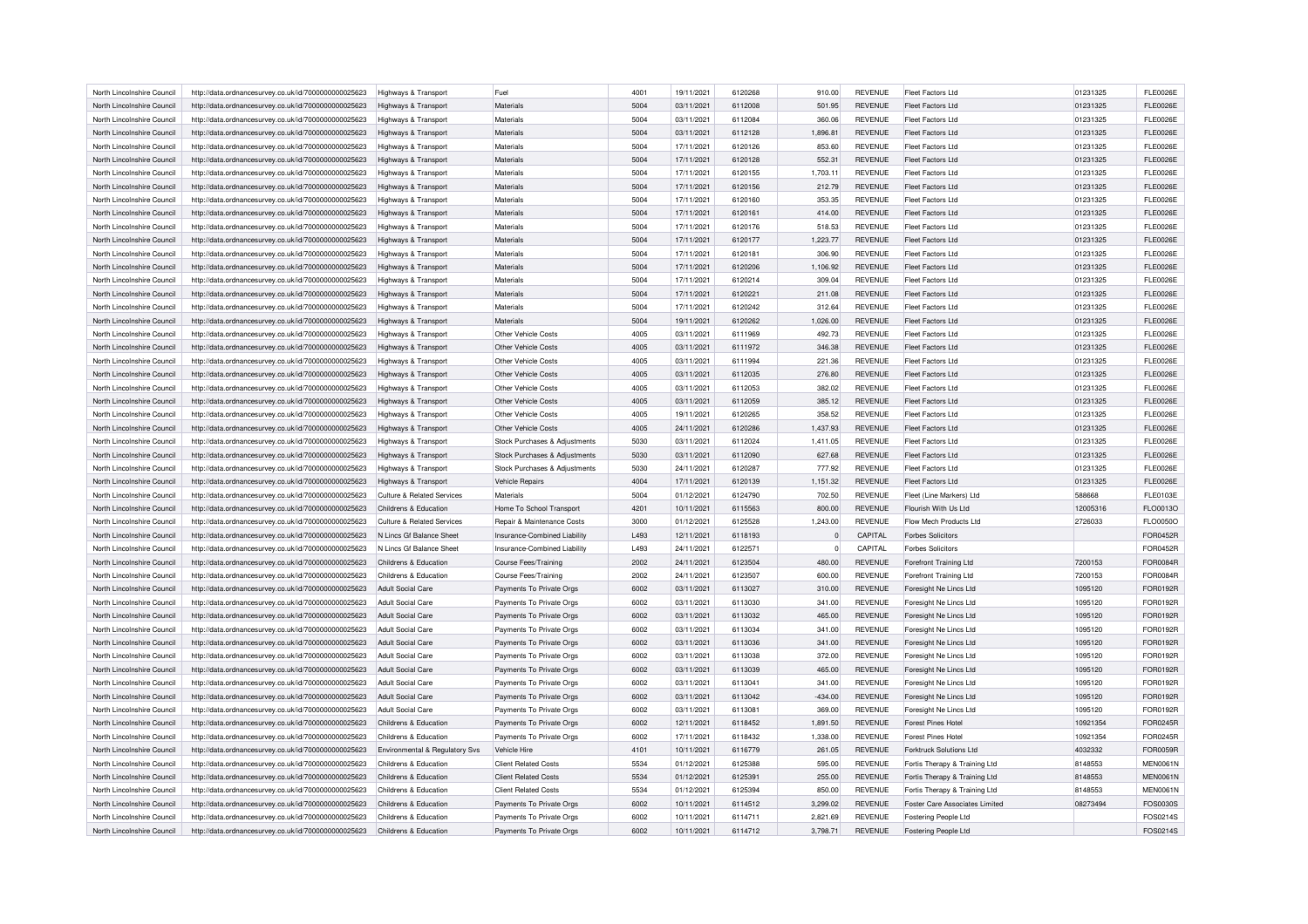| North Lincolnshire Council | http://data.ordnancesurvey.co.uk/id/7000000000025623 | Highways & Transport                  | Fuel                          | 4001 | 19/11/2021 | 6120268 | 910.00      | <b>REVENUE</b> | Fleet Factors Ltd              | 01231325 | <b>FLE0026E</b> |
|----------------------------|------------------------------------------------------|---------------------------------------|-------------------------------|------|------------|---------|-------------|----------------|--------------------------------|----------|-----------------|
| North Lincolnshire Council | http://data.ordnancesurvey.co.uk/id/7000000000025623 | Highways & Transport                  | Materials                     | 5004 | 03/11/2021 | 6112008 | 501.95      | <b>REVENUE</b> | Fleet Factors Ltd              | 01231325 | <b>FLE0026E</b> |
| North Lincolnshire Council | http://data.ordnancesurvey.co.uk/id/7000000000025623 | Highways & Transport                  | Materials                     | 5004 | 03/11/2021 | 6112084 | 360.06      | <b>REVENUE</b> | Fleet Factors Ltd              | 01231325 | <b>FLE0026E</b> |
| North Lincolnshire Council | http://data.ordnancesurvey.co.uk/id/7000000000025623 | Highways & Transport                  | Materials                     | 5004 | 03/11/2021 | 6112128 | 1,896.81    | <b>REVENUE</b> | Fleet Factors Ltd              | 01231325 | <b>FLE0026E</b> |
| North Lincolnshire Council | http://data.ordnancesurvey.co.uk/id/7000000000025623 | <b>Highways &amp; Transport</b>       | Materials                     | 5004 | 17/11/2021 | 6120126 | 853.60      | <b>REVENUE</b> | <b>Fleet Factors Ltd</b>       | 01231325 | <b>FLE0026E</b> |
| North Lincolnshire Council | http://data.ordnancesurvey.co.uk/id/7000000000025623 | Highways & Transport                  | Materials                     | 5004 | 17/11/2021 | 6120128 | 552.31      | <b>REVENUE</b> | Fleet Factors Ltd              | 01231325 | <b>FLE0026E</b> |
| North Lincolnshire Council | http://data.ordnancesurvey.co.uk/id/7000000000025623 | Highways & Transport                  | Materials                     | 5004 | 17/11/2021 | 6120155 | 1,703.11    | <b>REVENUE</b> | Fleet Factors Ltd              | 01231325 | <b>FLE0026E</b> |
| North Lincolnshire Council | http://data.ordnancesurvey.co.uk/id/7000000000025623 | Highways & Transport                  | Materials                     | 5004 | 17/11/2021 | 6120156 | 212.79      | <b>REVENUE</b> | Fleet Factors Ltd              | 01231325 | <b>FLE0026E</b> |
| North Lincolnshire Council | http://data.ordnancesurvey.co.uk/id/7000000000025623 | Highways & Transport                  | Materials                     | 5004 | 17/11/2021 | 6120160 | 353.35      | <b>REVENUE</b> | Fleet Factors Ltd              | 01231325 | <b>FLE0026E</b> |
| North Lincolnshire Council | http://data.ordnancesurvey.co.uk/id/7000000000025623 | Highways & Transport                  | Materials                     | 5004 | 17/11/2021 | 6120161 | 414.00      | <b>REVENUE</b> | Fleet Factors Ltd              | 01231325 | <b>FLE0026E</b> |
|                            |                                                      |                                       | Materials                     |      | 17/11/2021 | 6120176 |             | <b>REVENUE</b> | Fleet Factors Ltd              |          | <b>FLE0026E</b> |
| North Lincolnshire Council | http://data.ordnancesurvey.co.uk/id/7000000000025623 | Highways & Transport                  |                               | 5004 |            |         | 518.53      |                |                                | 01231325 |                 |
| North Lincolnshire Council | http://data.ordnancesurvey.co.uk/id/7000000000025623 | Highways & Transport                  | Materials                     | 5004 | 17/11/2021 | 6120177 | 1,223.77    | <b>REVENUE</b> | Fleet Factors Ltd              | 01231325 | <b>FLE0026E</b> |
| North Lincolnshire Council | http://data.ordnancesurvey.co.uk/id/7000000000025623 | Highways & Transport                  | Materials                     | 5004 | 17/11/2021 | 6120181 | 306.90      | <b>REVENUE</b> | Fleet Factors Ltd              | 01231325 | <b>FLE0026E</b> |
| North Lincolnshire Council | http://data.ordnancesurvey.co.uk/id/7000000000025623 | Highways & Transport                  | Materials                     | 5004 | 17/11/2021 | 6120206 | 1,106.92    | <b>REVENUE</b> | Fleet Factors Ltd              | 01231325 | <b>FLE0026E</b> |
| North Lincolnshire Council | http://data.ordnancesurvey.co.uk/id/7000000000025623 | Highways & Transport                  | Materials                     | 5004 | 17/11/2021 | 6120214 | 309.04      | <b>REVENUE</b> | Fleet Factors Ltd              | 01231325 | <b>FLE0026E</b> |
| North Lincolnshire Council | http://data.ordnancesurvey.co.uk/id/7000000000025623 | Highways & Transport                  | Materials                     | 5004 | 17/11/2021 | 6120221 | 211.08      | <b>REVENUE</b> | Fleet Factors I td             | 01231325 | <b>FLE0026E</b> |
| North Lincolnshire Council | http://data.ordnancesurvey.co.uk/id/7000000000025623 | Highways & Transport                  | Materials                     | 5004 | 17/11/2021 | 6120242 | 312.64      | <b>REVENUE</b> | Fleet Factors Ltd              | 01231325 | <b>FLE0026E</b> |
| North Lincolnshire Council | http://data.ordnancesurvey.co.uk/id/7000000000025623 | Highways & Transport                  | Materials                     | 5004 | 19/11/2021 | 6120262 | 1,026.00    | <b>REVENUE</b> | <b>Fleet Factors Ltd</b>       | 01231325 | <b>FLE0026E</b> |
| North Lincolnshire Council | http://data.ordnancesurvey.co.uk/id/7000000000025623 | Highways & Transport                  | Other Vehicle Costs           | 4005 | 03/11/2021 | 6111969 | 492.73      | <b>REVENUE</b> | Fleet Factors I td             | 01231325 | <b>FLE0026E</b> |
| North Lincolnshire Council | http://data.ordnancesurvey.co.uk/id/7000000000025623 | Highways & Transport                  | Other Vehicle Costs           | 4005 | 03/11/2021 | 6111972 | 346.38      | <b>REVENUE</b> | Fleet Factors Ltd              | 01231325 | <b>FLE0026E</b> |
| North Lincolnshire Council | http://data.ordnancesurvey.co.uk/id/7000000000025623 | Highways & Transport                  | Other Vehicle Costs           | 4005 | 03/11/2021 | 6111994 | 221.36      | <b>REVENUE</b> | <b>Fleet Factors Ltd</b>       | 01231325 | <b>FLE0026E</b> |
| North Lincolnshire Council | http://data.ordnancesurvey.co.uk/id/7000000000025623 | Highways & Transport                  | Other Vehicle Costs           | 4005 | 03/11/2021 | 6112035 | 276.80      | <b>REVENUE</b> | <b>Fleet Factors Ltd</b>       | 01231325 | <b>FLE0026E</b> |
| North Lincolnshire Council | http://data.ordnancesurvey.co.uk/id/7000000000025623 | <b>Highways &amp; Transport</b>       | Other Vehicle Costs           | 4005 | 03/11/2021 | 6112053 | 382.02      | <b>REVENUE</b> | <b>Fleet Factors Ltd</b>       | 01231325 | <b>FLE0026E</b> |
| North Lincolnshire Council | http://data.ordnancesurvey.co.uk/id/7000000000025623 | Highways & Transport                  | Other Vehicle Costs           | 4005 | 03/11/2021 | 6112059 | 385.12      | <b>REVENUE</b> | Fleet Factors Ltd              | 01231325 | <b>FLE0026E</b> |
| North Lincolnshire Council | http://data.ordnancesurvey.co.uk/id/7000000000025623 | Highways & Transport                  | Other Vehicle Costs           | 4005 | 19/11/2021 | 6120265 | 358.52      | REVENUE        | <b>Fleet Factors Ltd</b>       | 01231325 | <b>FLE0026E</b> |
| North Lincolnshire Council | http://data.ordnancesurvey.co.uk/id/7000000000025623 |                                       | Other Vehicle Costs           | 4005 | 24/11/2021 | 6120286 | 1.437.93    | <b>REVENUE</b> | Fleet Factors Ltd              | 01231325 | <b>FLE0026E</b> |
|                            |                                                      | <b>Highways &amp; Transport</b>       |                               |      |            |         |             |                |                                |          |                 |
| North Lincolnshire Council | http://data.ordnancesurvey.co.uk/id/7000000000025623 | Highways & Transport                  | Stock Purchases & Adjustments | 5030 | 03/11/2021 | 6112024 | 1,411.05    | <b>REVENUE</b> | <b>Fleet Factors Ltd</b>       | 01231325 | <b>FLE0026E</b> |
| North Lincolnshire Council | http://data.ordnancesurvey.co.uk/id/7000000000025623 | Highways & Transport                  | Stock Purchases & Adjustments | 5030 | 03/11/2021 | 6112090 | 627.68      | <b>REVENUE</b> | Fleet Factors Ltd              | 01231325 | <b>FLE0026E</b> |
| North Lincolnshire Council | http://data.ordnancesurvey.co.uk/id/7000000000025623 | Highways & Transport                  | Stock Purchases & Adiustments | 5030 | 24/11/2021 | 6120287 | 777.92      | <b>REVENUE</b> | <b>Fleet Factors Ltd</b>       | 01231325 | <b>FLE0026E</b> |
| North Lincolnshire Council | http://data.ordnancesurvey.co.uk/id/7000000000025623 | Highways & Transport                  | Vehicle Repairs               | 4004 | 17/11/2021 | 6120139 | 1,151.32    | <b>REVENUE</b> | <b>Fleet Factors Ltd</b>       | 01231325 | <b>FLE0026E</b> |
| North Lincolnshire Council | http://data.ordnancesurvey.co.uk/id/7000000000025623 | <b>Culture &amp; Related Services</b> | Materials                     | 5004 | 01/12/2021 | 6124790 | 702.50      | <b>REVENUE</b> | Fleet (Line Markers) Ltd       | 588668   | <b>FLE0103E</b> |
| North Lincolnshire Council | http://data.ordnancesurvey.co.uk/id/7000000000025623 | Childrens & Education                 | Home To School Transport      | 4201 | 10/11/2021 | 6115563 | 800.00      | <b>REVENUE</b> | Flourish With Us Ltd           | 12005316 | FLO0013O        |
| North Lincolnshire Council | http://data.ordnancesurvey.co.uk/id/7000000000025623 | Culture & Related Services            | Repair & Maintenance Costs    | 3000 | 01/12/2021 | 6125528 | 1.243.00    | <b>REVENUE</b> | Flow Mech Products Ltd         | 2726033  | <b>FLO0050O</b> |
| North Lincolnshire Council | http://data.ordnancesurvey.co.uk/id/7000000000025623 | N Lincs Gf Balance Sheet              | Insurance-Combined Liability  | L493 | 12/11/2021 | 6118193 | $\mathbf 0$ | CAPITAL        | <b>Forbes Solicitors</b>       |          | <b>FOR0452F</b> |
| North Lincolnshire Council | http://data.ordnancesurvey.co.uk/id/7000000000025623 | N Lincs Gf Balance Sheet              | Insurance-Combined Liability  | L493 | 24/11/2021 | 6122571 | $\Omega$    | CAPITAL        | <b>Forbes Solicitors</b>       |          | <b>FOR0452R</b> |
| North Lincolnshire Council | http://data.ordnancesurvey.co.uk/id/7000000000025623 | Childrens & Education                 | Course Fees/Training          | 2002 | 24/11/2021 | 6123504 | 480.00      | <b>REVENUE</b> | Forefront Training Ltd         | 7200153  | <b>FOR0084R</b> |
| North Lincolnshire Council | http://data.ordnancesurvey.co.uk/id/7000000000025623 | Childrens & Education                 | <b>Course Fees/Training</b>   | 2002 | 24/11/2021 | 6123507 | 600.00      | <b>REVENUE</b> | Forefront Training Ltd         | 7200153  | FOR0084R        |
| North Lincolnshire Council | http://data.ordnancesurvey.co.uk/id/7000000000025623 | Adult Social Care                     | Payments To Private Orgs      | 6002 | 03/11/2021 | 6113027 | 310.00      | <b>REVENUE</b> | Foresight Ne Lincs Ltd         | 1095120  | FOR0192R        |
| North Lincolnshire Council | http://data.ordnancesurvey.co.uk/id/7000000000025623 | <b>Adult Social Care</b>              | Payments To Private Orgs      | 6002 | 03/11/2021 | 6113030 | 341.00      | <b>REVENUE</b> | Foresight Ne Lincs Ltd         | 1095120  | FOR0192R        |
| North Lincolnshire Council | http://data.ordnancesurvey.co.uk/id/7000000000025623 | <b>Adult Social Care</b>              | Payments To Private Orgs      | 6002 | 03/11/2021 | 6113032 | 465.00      | <b>REVENUE</b> | Foresight Ne Lincs Ltd         | 1095120  | FOR0192R        |
| North Lincolnshire Council |                                                      |                                       |                               |      | 03/11/2021 | 6113034 |             | REVENUE        |                                |          | FOR0192R        |
|                            | http://data.ordnancesurvey.co.uk/id/7000000000025623 | Adult Social Care                     | Payments To Private Orgs      | 6002 |            |         | 341.00      |                | Foresight Ne Lincs Ltd         | 1095120  |                 |
| North Lincolnshire Council | http://data.ordnancesurvey.co.uk/id/7000000000025623 | Adult Social Care                     | Payments To Private Orgs      | 6002 | 03/11/2021 | 6113036 | 341.00      | <b>REVENUE</b> | Foresight Ne Lincs Ltd         | 1095120  | FOR0192R        |
| North Lincolnshire Council | http://data.ordnancesurvey.co.uk/id/7000000000025623 | <b>Adult Social Care</b>              | Payments To Private Orgs      | 6002 | 03/11/2021 | 6113038 | 372.00      | <b>REVENUE</b> | Foresight Ne Lincs Ltd         | 1095120  | FOR0192R        |
| North Lincolnshire Council | http://data.ordnancesurvey.co.uk/id/7000000000025623 | Adult Social Care                     | Payments To Private Orgs      | 6002 | 03/11/2021 | 6113039 | 465.00      | <b>REVENUE</b> | Foresight Ne Lincs Ltd         | 1095120  | FOR0192R        |
| North Lincolnshire Council | http://data.ordnancesurvey.co.uk/id/7000000000025623 | Adult Social Care                     | Payments To Private Orgs      | 6002 | 03/11/2021 | 6113041 | 341.00      | <b>REVENUE</b> | Foresight Ne Lincs Ltd         | 1095120  | FOR0192R        |
| North Lincolnshire Council | http://data.ordnancesurvey.co.uk/id/7000000000025623 | <b>Adult Social Care</b>              | Payments To Private Orgs      | 6002 | 03/11/2021 | 6113042 | $-434.00$   | <b>REVENUE</b> | Foresight Ne Lincs Ltd         | 1095120  | FOR0192R        |
| North Lincolnshire Council | http://data.ordnancesurvey.co.uk/id/7000000000025623 | Adult Social Care                     | Payments To Private Orgs      | 6002 | 03/11/2021 | 6113081 | 369.00      | <b>REVENUE</b> | Foresight Ne Lincs Ltd         | 1095120  | FOR0192R        |
| North Lincolnshire Council | http://data.ordnancesurvey.co.uk/id/7000000000025623 | Childrens & Education                 | Payments To Private Orgs      | 6002 | 12/11/2021 | 6118452 | 1,891.50    | <b>REVENUE</b> | Forest Pines Hotel             | 10921354 | FOR0245F        |
| North Lincolnshire Council | http://data.ordnancesurvey.co.uk/id/7000000000025623 | Childrens & Education                 | Payments To Private Orgs      | 6002 | 17/11/2021 | 6118432 | 1,338.00    | <b>REVENUE</b> | <b>Forest Pines Hotel</b>      | 10921354 | FOR0245R        |
| North Lincolnshire Council | http://data.ordnancesurvey.co.uk/id/7000000000025623 | Environmental & Regulatory Svs        | Vehicle Hire                  | 4101 | 10/11/2021 | 6116779 | 261.05      | <b>REVENUE</b> | Forktruck Solutions Ltd        | 4032332  | <b>FOR0059R</b> |
| North Lincolnshire Council | http://data.ordnancesurvey.co.uk/id/7000000000025623 | Childrens & Education                 | <b>Client Related Costs</b>   | 5534 | 01/12/2021 | 6125388 | 595.00      | <b>REVENUE</b> | Fortis Therapy & Training Ltd  | 8148553  | <b>MEN0061N</b> |
| North Lincolnshire Council | http://data.ordnancesurvey.co.uk/id/7000000000025623 | Childrens & Education                 | <b>Client Related Costs</b>   | 5534 | 01/12/2021 | 612539  | 255.00      | <b>REVENUE</b> | Fortis Therapy & Training Ltd  | 8148553  | <b>MEN0061N</b> |
| North Lincolnshire Council | http://data.ordnancesurvey.co.uk/id/7000000000025623 | Childrens & Education                 | <b>Client Related Costs</b>   | 5534 | 01/12/2021 | 6125394 | 850.00      | <b>REVENUE</b> | Fortis Therapy & Training Ltd  | 8148553  | <b>MEN0061N</b> |
| North Lincolnshire Council | http://data.ordnancesurvey.co.uk/id/7000000000025623 | Childrens & Education                 | Payments To Private Orgs      | 6002 | 10/11/2021 | 6114512 | 3.299.02    | <b>REVENUE</b> | Foster Care Associates Limited | 08273494 | FOS0030S        |
| North Lincolnshire Council | http://data.ordnancesurvey.co.uk/id/7000000000025623 | Childrens & Education                 | Payments To Private Orgs      | 6002 | 10/11/2021 | 6114711 | 2.821.69    | <b>REVENUE</b> | <b>Fostering People Ltd</b>    |          | FOS0214S        |
| North Lincolnshire Council | http://data.ordnancesurvey.co.uk/id/7000000000025623 | Childrens & Education                 | Payments To Private Orgs      | 6002 | 10/11/2021 | 6114712 | 3.798.71    | <b>REVENUE</b> | Fostering People Ltd           |          | FOS0214S        |
|                            |                                                      |                                       |                               |      |            |         |             |                |                                |          |                 |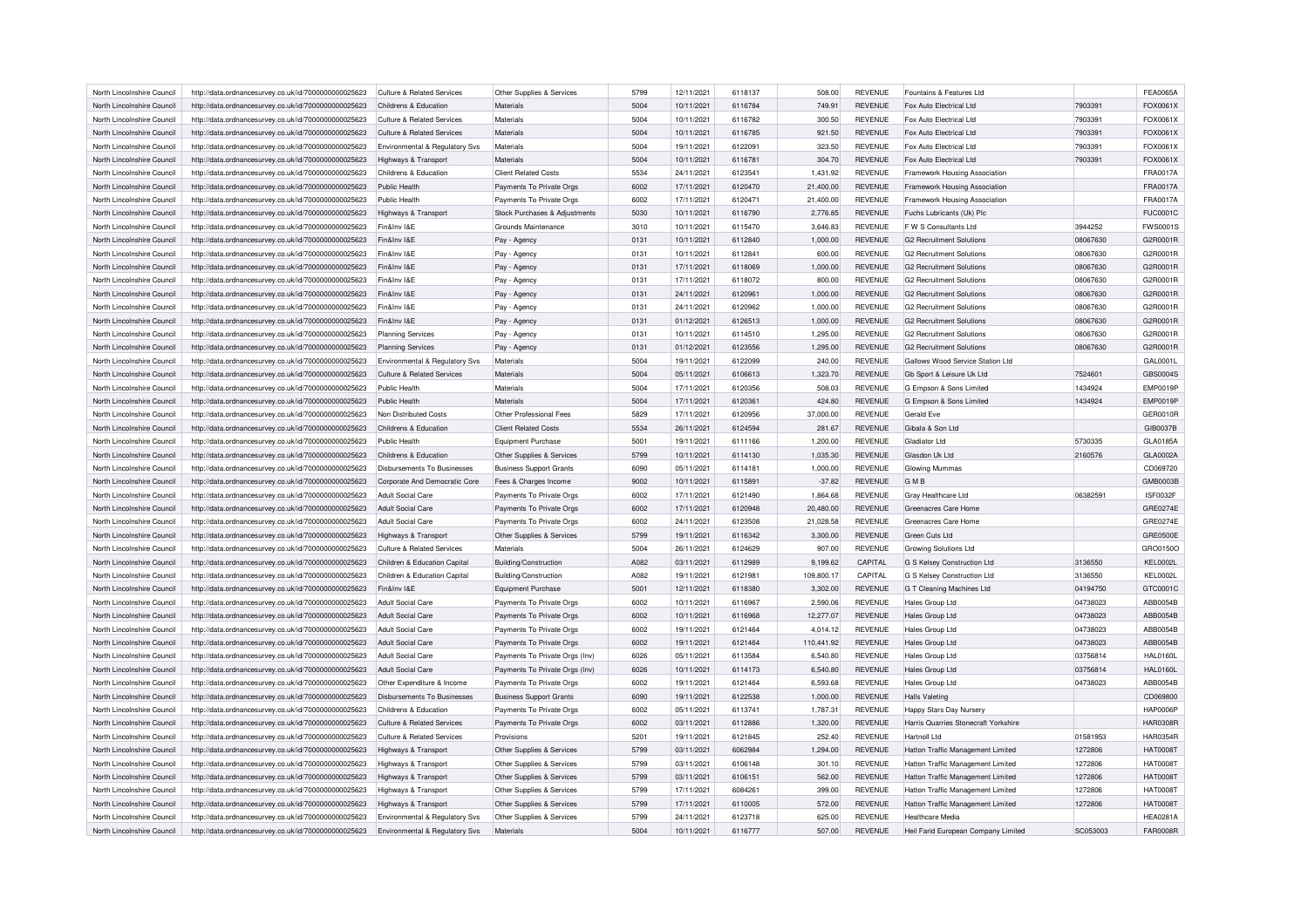| North Lincolnshire Council | http://data.ordnancesurvey.co.uk/id/7000000000025623 | <b>Culture &amp; Related Services</b> | Other Supplies & Services      | 5799 | 12/11/2021 | 6118137 | 508.00     | <b>REVENUE</b> | Fountains & Features Ltd                 |          | <b>FEA0065A</b> |
|----------------------------|------------------------------------------------------|---------------------------------------|--------------------------------|------|------------|---------|------------|----------------|------------------------------------------|----------|-----------------|
| North Lincolnshire Council | http://data.ordnancesurvey.co.uk/id/7000000000025623 | Childrens & Education                 | Materials                      | 5004 | 10/11/2021 | 6116784 | 749.91     | <b>REVENUE</b> | Fox Auto Electrical Ltd                  | 7903391  | FOX0061X        |
| North Lincolnshire Council | http://data.ordnancesurvey.co.uk/id/7000000000025623 | Culture & Related Services            | Materials                      | 5004 | 10/11/2021 | 6116782 | 300.50     | <b>REVENUE</b> | Fox Auto Electrical Ltd                  | 7903391  | FOX0061X        |
| North Lincolnshire Council | http://data.ordnancesurvey.co.uk/id/7000000000025623 | <b>Culture &amp; Related Services</b> | Materials                      | 5004 | 10/11/2021 | 6116785 | 921.50     | <b>REVENUE</b> | Fox Auto Electrical Ltd                  | 7903391  | FOX0061X        |
| North Lincolnshire Council | http://data.ordnancesurvey.co.uk/id/7000000000025623 | Environmental & Regulatory Svs        | Materials                      | 5004 | 19/11/2021 | 6122091 | 323.50     | <b>REVENUE</b> | Fox Auto Electrical Ltd                  | 7903391  | FOX0061X        |
| North Lincolnshire Council | http://data.ordnancesurvey.co.uk/id/7000000000025623 | Highways & Transport                  | Materials                      | 5004 | 10/11/2021 | 6116781 | 304.70     | <b>REVENUE</b> | Fox Auto Electrical Ltd                  | 7903391  | FOX0061X        |
| North Lincolnshire Council | http://data.ordnancesurvey.co.uk/id/7000000000025623 | Childrens & Education                 | <b>Client Related Costs</b>    | 5534 | 24/11/2021 | 6123541 | 1,431.92   | <b>REVENUE</b> | Framework Housing Association            |          | <b>FRA0017A</b> |
| North Lincolnshire Council | http://data.ordnancesurvey.co.uk/id/7000000000025623 | Public Health                         | Payments To Private Orgs       | 6002 | 17/11/2021 | 6120470 | 21,400.00  | <b>REVENUE</b> | Framework Housing Association            |          | <b>FRA0017A</b> |
| North Lincolnshire Council | http://data.ordnancesurvey.co.uk/id/7000000000025623 | Public Health                         | Payments To Private Orgs       | 6002 | 17/11/2021 | 6120471 | 21,400.00  | <b>REVENUE</b> | Framework Housing Association            |          | <b>FRA0017A</b> |
| North Lincolnshire Council | http://data.ordnancesurvey.co.uk/id/7000000000025623 | Highways & Transport                  | Stock Purchases & Adjustments  | 5030 | 10/11/2021 | 6116790 | 2,776.85   | <b>REVENUE</b> | Fuchs Lubricants (Uk) Plc                |          | <b>FUC0001C</b> |
| North Lincolnshire Council | http://data.ordnancesurvey.co.uk/id/7000000000025623 | Fin&Inv I&F                           | Grounds Maintenance            | 3010 | 10/11/2021 | 6115470 | 3,646.83   | <b>REVENUE</b> | F W S Consultants Ltd                    | 3944252  | <b>FWS0001S</b> |
| North Lincolnshire Council |                                                      | Fin&Inv I&F                           |                                | 0131 |            | 6112840 |            | <b>REVENUE</b> | <b>G2 Recruitment Solutions</b>          |          | G2R0001F        |
|                            | http://data.ordnancesurvey.co.uk/id/7000000000025623 |                                       | Pay - Agency                   |      | 10/11/2021 |         | 1,000.00   |                |                                          | 08067630 |                 |
| North Lincolnshire Council | http://data.ordnancesurvey.co.uk/id/7000000000025623 | Fin&Inv I&E                           | Pay - Agency                   | 0131 | 10/11/2021 | 6112841 | 600.00     | <b>REVENUE</b> | <b>G2 Recruitment Solutions</b>          | 08067630 | G2R0001F        |
| North Lincolnshire Council | http://data.ordnancesurvey.co.uk/id/7000000000025623 | Fin&Inv I&E                           | Pay - Agency                   | 0131 | 17/11/2021 | 6118069 | 1,000.00   | <b>REVENUE</b> | <b>G2 Recruitment Solutions</b>          | 08067630 | G2R0001R        |
| North Lincolnshire Council | http://data.ordnancesurvey.co.uk/id/7000000000025623 | Fin&Inv I&F                           | Pay - Agency                   | 0131 | 17/11/2021 | 6118072 | 800.00     | <b>REVENUE</b> | <b>G2 Recruitment Solutions</b>          | 08067630 | G2R0001F        |
| North Lincolnshire Council | http://data.ordnancesurvey.co.uk/id/7000000000025623 | Fin&Inv I&F                           | Pay - Agency                   | 0131 | 24/11/2021 | 6120961 | 1,000.00   | <b>REVENUE</b> | <b>G2 Recruitment Solutions</b>          | 08067630 | G2R0001R        |
| North Lincolnshire Council | http://data.ordnancesurvey.co.uk/id/7000000000025623 | Fin&Inv I&F                           | Pay - Agency                   | 0131 | 24/11/2021 | 6120962 | 1,000.00   | <b>REVENUE</b> | <b>G2 Recruitment Solutions</b>          | 08067630 | G2R0001R        |
| North Lincolnshire Council | http://data.ordnancesurvey.co.uk/id/7000000000025623 | Fin&Inv I&E                           | Pay - Agency                   | 0131 | 01/12/2021 | 6126513 | 1,000.00   | <b>REVENUE</b> | <b>G2 Recruitment Solutions</b>          | 08067630 | G2R0001F        |
| North Lincolnshire Council | http://data.ordnancesurvey.co.uk/id/7000000000025623 | <b>Planning Services</b>              | Pay - Agency                   | 0131 | 10/11/2021 | 6114510 | 1,295.00   | <b>REVENUE</b> | <b>G2 Recruitment Solutions</b>          | 08067630 | G2R0001R        |
| North Lincolnshire Council | http://data.ordnancesurvey.co.uk/id/7000000000025623 | <b>Planning Services</b>              | Pay - Agency                   | 0131 | 01/12/2021 | 6123556 | 1,295.00   | <b>REVENUE</b> | <b>G2 Recruitment Solutions</b>          | 08067630 | G2R0001R        |
| North Lincolnshire Council | http://data.ordnancesurvey.co.uk/id/7000000000025623 | Environmental & Regulatory Svs        | Materials                      | 5004 | 19/11/2021 | 6122099 | 240.00     | <b>REVENUE</b> | Gallows Wood Service Station Ltd         |          | GAL0001L        |
| North Lincolnshire Council | http://data.ordnancesurvey.co.uk/id/7000000000025623 | <b>Culture &amp; Related Services</b> | Materials                      | 5004 | 05/11/2021 | 6106613 | 1,323.70   | <b>REVENUE</b> | Gb Sport & Leisure Uk Ltd                | 7524601  | GBS0004S        |
| North Lincolnshire Council | http://data.ordnancesurvey.co.uk/id/7000000000025623 | Public Health                         | Materials                      | 5004 | 17/11/2021 | 6120356 | 508.03     | REVENUE        | G Empson & Sons Limited                  | 1434924  | <b>EMP0019F</b> |
| North Lincolnshire Council | http://data.ordnancesurvey.co.uk/id/7000000000025623 | Public Health                         | Materials                      | 5004 | 17/11/2021 | 6120361 | 424.80     | <b>REVENUE</b> | G Empson & Sons Limited                  | 1434924  | <b>EMP0019F</b> |
| North Lincolnshire Council | http://data.ordnancesurvey.co.uk/id/7000000000025623 | Non Distributed Costs                 | Other Professional Fees        | 5829 | 17/11/2021 | 6120956 | 37,000.00  | <b>REVENUE</b> | Gerald Eve                               |          | <b>GER0010R</b> |
| North Lincolnshire Council | http://data.ordnancesurvey.co.uk/id/7000000000025623 | Childrens & Education                 | <b>Client Related Costs</b>    | 5534 | 26/11/2021 | 6124594 | 281.67     | <b>REVENUE</b> | Gibala & Son Ltd                         |          | GIB0037B        |
|                            |                                                      |                                       |                                |      |            |         |            |                |                                          |          |                 |
| North Lincolnshire Council | http://data.ordnancesurvey.co.uk/id/7000000000025623 | Public Health                         | <b>Equipment Purchase</b>      | 5001 | 19/11/2021 | 6111166 | 1,200.00   | <b>REVENUE</b> | <b>Gladiator Ltd</b>                     | 5730335  | GLA0185A        |
| North Lincolnshire Council | http://data.ordnancesurvey.co.uk/id/7000000000025623 | Childrens & Education                 | Other Supplies & Services      | 5799 | 10/11/2021 | 6114130 | 1,035.30   | <b>REVENUE</b> | Glasdon Uk I td                          | 2160576  | GLA0002A        |
| North Lincolnshire Council | http://data.ordnancesurvey.co.uk/id/7000000000025623 | Disbursements To Businesses           | <b>Business Support Grants</b> | 6090 | 05/11/2021 | 6114181 | 1,000.00   | <b>REVENUE</b> | <b>Glowing Mummas</b>                    |          | CD069720        |
| North Lincolnshire Council | http://data.ordnancesurvey.co.uk/id/7000000000025623 | Corporate And Democratic Core         | Fees & Charges Income          | 9002 | 10/11/2021 | 611589  | $-37.82$   | <b>REVENUE</b> | GMB                                      |          | GMB0003E        |
| North Lincolnshire Council | http://data.ordnancesurvey.co.uk/id/7000000000025623 | <b>Adult Social Care</b>              | Payments To Private Orgs       | 6002 | 17/11/2021 | 6121490 | 1,864.68   | <b>REVENUE</b> | Gray Healthcare Ltd                      | 06382591 | <b>ISF0032F</b> |
| North Lincolnshire Council | http://data.ordnancesurvey.co.uk/id/7000000000025623 | Adult Social Care                     | Payments To Private Orgs       | 6002 | 17/11/2021 | 6120948 | 20,480.00  | <b>REVENUE</b> | Greenacres Care Home                     |          | <b>GRE0274E</b> |
| North Lincolnshire Council | http://data.ordnancesurvey.co.uk/id/7000000000025623 | Adult Social Care                     | Payments To Private Orgs       | 6002 | 24/11/2021 | 6123508 | 21,028.58  | <b>REVENUE</b> | Greenacres Care Home                     |          | GRE0274E        |
| North Lincolnshire Council | http://data.ordnancesurvey.co.uk/id/7000000000025623 | Highways & Transport                  | Other Supplies & Services      | 5799 | 19/11/2021 | 6116342 | 3,300.00   | <b>REVENUE</b> | Green Cuts Ltd                           |          | <b>GRE0500E</b> |
| North Lincolnshire Council | http://data.ordnancesurvey.co.uk/id/7000000000025623 | <b>Culture &amp; Related Services</b> | Materials                      | 5004 | 26/11/2021 | 6124629 | 907.00     | REVENUE        | <b>Growing Solutions Ltd</b>             |          | GRO0150C        |
| North Lincolnshire Council | http://data.ordnancesurvey.co.uk/id/7000000000025623 | Children & Education Capital          | <b>Building/Construction</b>   | A082 | 03/11/2021 | 6112989 | 9,199.62   | CAPITAL        | G S Kelsey Construction Ltd              | 3136550  | <b>KEL0002L</b> |
| North Lincolnshire Council | http://data.ordnancesurvey.co.uk/id/7000000000025623 | Children & Education Capital          | Building/Construction          | A082 | 19/11/2021 | 612198  | 109,800.17 | CAPITAL        | G S Kelsey Construction Ltd              | 3136550  | <b>KEL0002L</b> |
| North Lincolnshire Council | http://data.ordnancesurvey.co.uk/id/7000000000025623 | Fin&Inv I&E                           | <b>Equipment Purchase</b>      | 5001 | 12/11/2021 | 6118380 | 3,302.00   | <b>REVENUE</b> | G T Cleaning Machines Ltd                | 04194750 | GTC0001C        |
| North Lincolnshire Council | http://data.ordnancesurvey.co.uk/id/7000000000025623 | Adult Social Care                     | Payments To Private Orgs       | 6002 | 10/11/2021 | 6116967 | 2,590.06   | <b>REVENUE</b> | Hales Group Ltd                          | 04738023 | ABB0054B        |
|                            |                                                      |                                       |                                |      |            |         |            |                |                                          |          |                 |
| North Lincolnshire Council | http://data.ordnancesurvey.co.uk/id/7000000000025623 | <b>Adult Social Care</b>              | Payments To Private Orgs       | 6002 | 10/11/2021 | 6116968 | 12,277.07  | <b>REVENUE</b> | Hales Group Ltd                          | 04738023 | ABB0054B        |
| North Lincolnshire Council | http://data.ordnancesurvey.co.uk/id/7000000000025623 | Adult Social Care                     | Payments To Private Orgs       | 6002 | 19/11/2021 | 6121464 | 4,014.12   | <b>REVENUE</b> | Hales Group Ltd                          | 04738023 | ABB0054B        |
| North Lincolnshire Council | http://data.ordnancesurvey.co.uk/id/7000000000025623 | Adult Social Care                     | Payments To Private Orgs       | 6002 | 19/11/2021 | 6121464 | 110,441.92 | <b>REVENUE</b> | Hales Group Ltd                          | 04738023 | ABB0054B        |
| North Lincolnshire Council | http://data.ordnancesurvey.co.uk/id/7000000000025623 | Adult Social Care                     | Payments To Private Orgs (Inv) | 6026 | 05/11/2021 | 6113584 | 6.540.80   | <b>REVENUE</b> | Hales Group Ltd                          | 03756814 | <b>HAL0160L</b> |
| North Lincolnshire Council | http://data.ordnancesurvey.co.uk/id/7000000000025623 | Adult Social Care                     | Payments To Private Orgs (Inv) | 6026 | 10/11/2021 | 6114173 | 6,540.80   | <b>REVENUE</b> | Hales Group Ltd                          | 03756814 | <b>HAL0160L</b> |
| North Lincolnshire Council | http://data.ordnancesurvey.co.uk/id/7000000000025623 | Other Expenditure & Income            | Payments To Private Orgs       | 6002 | 19/11/2021 | 6121464 | 6,593.68   | <b>REVENUE</b> | Hales Group Ltd                          | 04738023 | ABB0054B        |
| North Lincolnshire Council | http://data.ordnancesurvey.co.uk/id/7000000000025623 | Disbursements To Businesses           | <b>Business Support Grants</b> | 6090 | 19/11/2021 | 6122538 | 1.000.00   | <b>REVENUE</b> | Halls Valeting                           |          | CD069800        |
| North Lincolnshire Council | http://data.ordnancesurvey.co.uk/id/7000000000025623 | Childrens & Education                 | Payments To Private Orgs       | 6002 | 05/11/2021 | 6113741 | 1,787.31   | <b>REVENUE</b> | Happy Stars Day Nursery                  |          | <b>HAP0006P</b> |
| North Lincolnshire Council | http://data.ordnancesurvey.co.uk/id/7000000000025623 | <b>Culture &amp; Related Services</b> | Payments To Private Orgs       | 6002 | 03/11/2021 | 6112886 | 1,320.00   | <b>REVENUE</b> | Harris Quarries Stonecraft Yorkshire     |          | <b>HAR0308F</b> |
| North Lincolnshire Council | http://data.ordnancesurvey.co.uk/id/7000000000025623 | <b>Culture &amp; Related Services</b> | Provisions                     | 5201 | 19/11/2021 | 6121845 | 252.40     | <b>REVENUE</b> | Hartnoll I td                            | 01581953 | <b>HAR0354F</b> |
| North Lincolnshire Council | http://data.ordnancesurvey.co.uk/id/7000000000025623 | Highways & Transport                  | Other Supplies & Services      | 5799 | 03/11/2021 | 6062984 | 1,294.00   | <b>REVENUE</b> | Hatton Traffic Management Limited        | 1272806  | <b>HAT0008T</b> |
| North Lincolnshire Council | http://data.ordnancesurvey.co.uk/id/7000000000025623 | Highways & Transport                  | Other Supplies & Services      | 5799 | 03/11/2021 | 6106148 | 301.10     | <b>REVENUE</b> | Hatton Traffic Management Limited        | 1272806  | <b>HAT0008T</b> |
| North Lincolnshire Council | http://data.ordnancesurvey.co.uk/id/7000000000025623 | Highways & Transport                  | Other Supplies & Services      | 5799 | 03/11/2021 | 6106151 | 562.00     | <b>REVENUE</b> | <b>Hatton Traffic Management Limited</b> | 1272806  | <b>HAT0008T</b> |
| North Lincolnshire Council | http://data.ordnancesurvey.co.uk/id/7000000000025623 | Highways & Transport                  | Other Supplies & Services      | 5799 | 17/11/2021 | 6084261 | 399.00     | <b>REVENUE</b> | Hatton Traffic Management Limited        | 1272806  | <b>HAT0008T</b> |
| North Lincolnshire Council | http://data.ordnancesurvey.co.uk/id/7000000000025623 |                                       | Other Supplies & Services      | 5799 | 17/11/2021 | 6110005 | 572.00     | <b>REVENUE</b> | Hatton Traffic Management Limited        | 1272806  | <b>HAT0008T</b> |
|                            |                                                      | Highways & Transport                  |                                |      |            |         |            |                |                                          |          |                 |
| North Lincolnshire Council | http://data.ordnancesurvey.co.uk/id/7000000000025623 | Environmental & Regulatory Sys        | Other Supplies & Services      | 5799 | 24/11/2021 | 6123718 | 625.00     | <b>REVENUE</b> | <b>Healthcare Media</b>                  |          | <b>HEA0281A</b> |
| North Lincolnshire Council | http://data.ordnancesurvey.co.uk/id/7000000000025623 | Environmental & Regulatory Svs        | Materials                      | 5004 | 10/11/2021 | 6116777 | 507.00     | <b>REVENUE</b> | Heil Farid European Company Limited      | SC053003 | <b>FAR0008R</b> |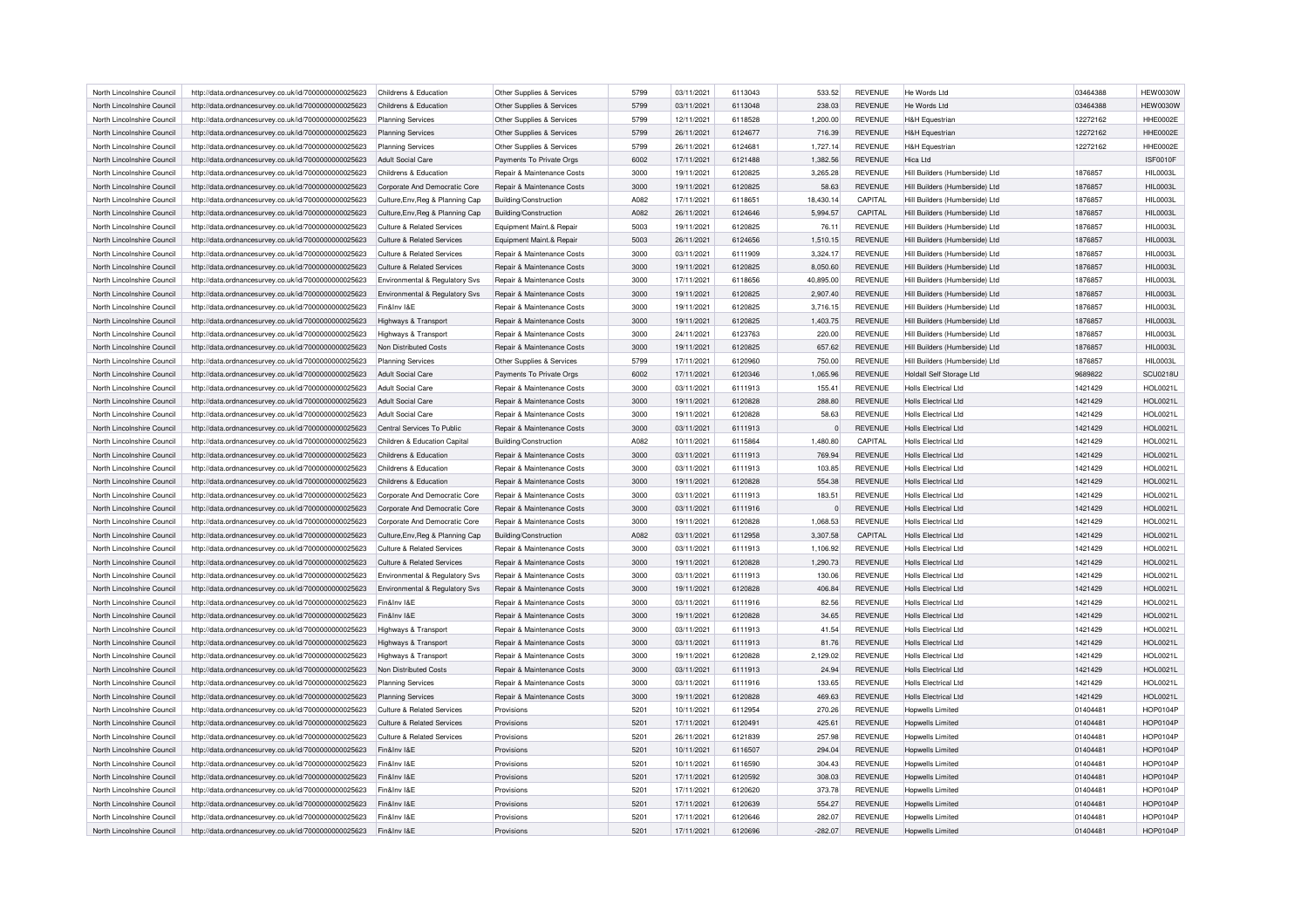| North Lincolnshire Council | http://data.ordnancesurvey.co.uk/id/7000000000025623 | Childrens & Education                 | Other Supplies & Services             | 5799         | 03/11/2021 | 6113043            | 533.52    | <b>REVENUE</b> | He Words Ltd                    | 03464388 | <b>HEW0030W</b> |
|----------------------------|------------------------------------------------------|---------------------------------------|---------------------------------------|--------------|------------|--------------------|-----------|----------------|---------------------------------|----------|-----------------|
| North Lincolnshire Council | http://data.ordnancesurvey.co.uk/id/7000000000025623 | Childrens & Education                 | Other Supplies & Services             | 5799         | 03/11/2021 | 6113048            | 238.03    | <b>REVENUE</b> | He Words Ltd                    | 03464388 | <b>HEW0030W</b> |
| North Lincolnshire Council | http://data.ordnancesurvey.co.uk/id/7000000000025623 | <b>Planning Services</b>              | Other Supplies & Services             | 5799         | 12/11/2021 | 6118528            | 1.200.00  | <b>REVENUE</b> | <b>H&amp;H Equestrian</b>       | 12272162 | HHE0002E        |
| North Lincolnshire Council | http://data.ordnancesurvey.co.uk/id/7000000000025623 | <b>Planning Services</b>              | Other Supplies & Services             | 5799         | 26/11/2021 | 6124677            | 716.39    | <b>REVENUE</b> | <b>H&amp;H</b> Equestrian       | 12272162 | HHE0002E        |
|                            |                                                      |                                       |                                       |              |            |                    | 1,727.14  |                |                                 |          | HHE0002E        |
| North Lincolnshire Council | http://data.ordnancesurvey.co.uk/id/7000000000025623 | <b>Planning Services</b>              | Other Supplies & Services             | 5799<br>6002 | 26/11/2021 | 6124681<br>6121488 |           | <b>REVENUE</b> | <b>H&amp;H Equestrian</b>       | 12272162 |                 |
| North Lincolnshire Council | http://data.ordnancesurvey.co.uk/id/7000000000025623 | Adult Social Care                     | Payments To Private Orgs              |              | 17/11/2021 |                    | 1,382.56  | <b>REVENUE</b> | Hica I td                       |          | <b>ISF0010F</b> |
| North Lincolnshire Council | http://data.ordnancesurvey.co.uk/id/7000000000025623 | Childrens & Education                 | Repair & Maintenance Costs            | 3000         | 19/11/2021 | 6120825            | 3,265.28  | REVENUE        | Hill Builders (Humberside) Ltd  | 1876857  | HIL0003L        |
| North Lincolnshire Council | http://data.ordnancesurvey.co.uk/id/7000000000025623 | Corporate And Democratic Core         | Repair & Maintenance Costs            | 3000         | 19/11/2021 | 6120825            | 58.63     | REVENUE        | Hill Builders (Humberside) Ltd  | 1876857  | <b>HIL0003L</b> |
| North Lincolnshire Council | http://data.ordnancesurvey.co.uk/id/7000000000025623 | Culture, Env, Reg & Planning Cap      | Building/Construction                 | A082         | 17/11/2021 | 6118651            | 18,430.14 | CAPITAL        | Hill Builders (Humberside) Ltd  | 1876857  | HIL0003L        |
| North Lincolnshire Council | http://data.ordnancesurvey.co.uk/id/7000000000025623 | Culture, Env, Reg & Planning Cap      | Building/Construction                 | A082         | 26/11/2021 | 6124646            | 5,994.57  | CAPITAL        | Hill Builders (Humberside) Ltd  | 1876857  | <b>HIL0003L</b> |
| North Lincolnshire Council | http://data.ordnancesurvey.co.uk/id/7000000000025623 | <b>Culture &amp; Related Services</b> | Equipment Maint.& Repair              | 5003         | 19/11/2021 | 6120825            | 76.11     | <b>REVENUE</b> | Hill Builders (Humberside) Ltd  | 1876857  | HIL0003L        |
| North Lincolnshire Council | http://data.ordnancesurvey.co.uk/id/7000000000025623 | <b>Culture &amp; Related Services</b> | Equipment Maint.& Repair              | 5003         | 26/11/2021 | 6124656            | 1,510.15  | <b>REVENUE</b> | Hill Builders (Humberside) Ltd  | 1876857  | <b>HIL0003L</b> |
| North Lincolnshire Council | http://data.ordnancesurvey.co.uk/id/7000000000025623 | <b>Culture &amp; Related Services</b> | Repair & Maintenance Costs            | 3000         | 03/11/2021 | 6111909            | 3,324.17  | <b>REVENUE</b> | Hill Builders (Humberside) Ltd  | 1876857  | HIL0003L        |
| North Lincolnshire Council | http://data.ordnancesurvey.co.uk/id/7000000000025623 | <b>Culture &amp; Related Services</b> | Repair & Maintenance Costs            | 3000         | 19/11/2021 | 6120825            | 8,050.60  | <b>REVENUE</b> | Hill Builders (Humberside) Ltd  | 1876857  | <b>HIL0003L</b> |
| North Lincolnshire Council | http://data.ordnancesurvey.co.uk/id/7000000000025623 | Environmental & Regulatory Svs        | Repair & Maintenance Costs            | 3000         | 17/11/2021 | 6118656            | 40,895.00 | <b>REVENUE</b> | Hill Builders (Humberside) Ltd  | 1876857  | <b>HIL0003L</b> |
| North Lincolnshire Council | http://data.ordnancesurvey.co.uk/id/7000000000025623 | Environmental & Regulatory Svs        | Repair & Maintenance Costs            | 3000         | 19/11/2021 | 6120825            | 2,907.40  | <b>REVENUE</b> | Hill Builders (Humberside) Ltd  | 1876857  | <b>HIL0003L</b> |
| North Lincolnshire Council | http://data.ordnancesurvey.co.uk/id/7000000000025623 | Fin&Inv I&E                           | <b>Benair &amp; Maintenance Costs</b> | 3000         | 19/11/2021 | 6120825            | 3,716.15  | <b>REVENUE</b> | Hill Builders (Humberside) Ltd  | 1876857  | <b>HIL0003L</b> |
| North Lincolnshire Council | http://data.ordnancesurvey.co.uk/id/7000000000025623 | Highways & Transport                  | Repair & Maintenance Costs            | 3000         | 19/11/2021 | 6120825            | 1,403.75  | <b>REVENUE</b> | Hill Builders (Humberside) Ltd  | 1876857  | <b>HIL0003L</b> |
| North Lincolnshire Council | http://data.ordnancesurvey.co.uk/id/7000000000025623 | Highways & Transport                  | Repair & Maintenance Costs            | 3000         | 24/11/2021 | 6123763            | 220.00    | REVENUE        | Hill Builders (Humberside) I td | 1876857  | HIL0003L        |
| North Lincolnshire Council | http://data.ordnancesurvey.co.uk/id/7000000000025623 | Non Distributed Costs                 | Repair & Maintenance Costs            | 3000         | 19/11/2021 | 6120825            | 657.62    | <b>REVENUE</b> | Hill Builders (Humberside) Ltd  | 1876857  | <b>HIL0003L</b> |
|                            |                                                      |                                       |                                       | 5799         |            | 6120960            |           | <b>REVENUE</b> |                                 |          |                 |
| North Lincolnshire Council | http://data.ordnancesurvey.co.uk/id/7000000000025623 | <b>Planning Services</b>              | Other Supplies & Services             |              | 17/11/2021 |                    | 750.00    |                | Hill Builders (Humberside) Ltd  | 1876857  | HIL0003L        |
| North Lincolnshire Council | http://data.ordnancesurvey.co.uk/id/7000000000025623 | <b>Adult Social Care</b>              | Payments To Private Orgs              | 6002         | 17/11/2021 | 6120346            | 1,065.96  | REVENUE        | Holdall Self Storage Ltd        | 9689822  | <b>SCU0218U</b> |
| North Lincolnshire Council | http://data.ordnancesurvey.co.uk/id/7000000000025623 | <b>Adult Social Care</b>              | Repair & Maintenance Costs            | 3000         | 03/11/2021 | 6111913            | 155.41    | <b>REVENUE</b> | <b>Holls Electrical Ltd</b>     | 1421429  | <b>HOL0021L</b> |
| North Lincolnshire Council | http://data.ordnancesurvey.co.uk/id/7000000000025623 | Adult Social Care                     | Repair & Maintenance Costs            | 3000         | 19/11/2021 | 6120828            | 288.80    | <b>REVENUE</b> | <b>Holls Electrical Ltd</b>     | 1421429  | <b>HOL0021L</b> |
| North Lincolnshire Council | http://data.ordnancesurvey.co.uk/id/7000000000025623 | <b>Adult Social Care</b>              | Repair & Maintenance Costs            | 3000         | 19/11/2021 | 6120828            | 58.63     | <b>REVENUE</b> | <b>Holls Electrical Ltd</b>     | 1421429  | <b>HOL0021L</b> |
| North Lincolnshire Council | http://data.ordnancesurvey.co.uk/id/7000000000025623 | Central Services To Public            | Repair & Maintenance Costs            | 3000         | 03/11/2021 | 6111913            | $\Omega$  | <b>REVENUE</b> | <b>Holls Electrical Ltd</b>     | 1421429  | <b>HOL0021L</b> |
| North Lincolnshire Council | http://data.ordnancesurvey.co.uk/id/7000000000025623 | Children & Education Capital          | Building/Construction                 | A082         | 10/11/2021 | 6115864            | 1,480.80  | CAPITAL        | <b>Holls Electrical Ltd</b>     | 1421429  | <b>HOL0021L</b> |
| North Lincolnshire Council | http://data.ordnancesurvey.co.uk/id/7000000000025623 | Childrens & Education                 | Repair & Maintenance Costs            | 3000         | 03/11/2021 | 6111913            | 769.94    | REVENUE        | <b>Holls Electrical Ltd</b>     | 1421429  | <b>HOL0021L</b> |
| North Lincolnshire Council | http://data.ordnancesurvey.co.uk/id/7000000000025623 | Childrens & Education                 | Repair & Maintenance Costs            | 3000         | 03/11/2021 | 6111913            | 103.85    | <b>REVENUE</b> | <b>Holls Electrical Ltd</b>     | 1421429  | <b>HOL0021L</b> |
| North Lincolnshire Council | http://data.ordnancesurvey.co.uk/id/7000000000025623 | Childrens & Education                 | Repair & Maintenance Costs            | 3000         | 19/11/2021 | 6120828            | 554.38    | <b>REVENUE</b> | <b>Holls Electrical Ltd</b>     | 1421429  | <b>HOL0021L</b> |
| North Lincolnshire Council | http://data.ordnancesurvey.co.uk/id/7000000000025623 | Corporate And Democratic Core         | Repair & Maintenance Costs            | 3000         | 03/11/2021 | 6111913            | 183.51    | REVENUE        | <b>Holls Electrical Ltd</b>     | 1421429  | <b>HOL0021L</b> |
| North Lincolnshire Council | http://data.ordnancesurvey.co.uk/id/7000000000025623 | Corporate And Democratic Core         | Repair & Maintenance Costs            | 3000         | 03/11/2021 | 6111916            | $\Omega$  | <b>REVENUE</b> | <b>Holls Electrical Ltd</b>     | 1421429  | <b>HOL0021L</b> |
| North Lincolnshire Council | http://data.ordnancesurvey.co.uk/id/7000000000025623 | Corporate And Democratic Core         | Repair & Maintenance Costs            | 3000         | 19/11/2021 | 6120828            | 1,068.53  | <b>REVENUE</b> | <b>Holls Electrical Ltd</b>     | 1421429  | <b>HOL0021L</b> |
| North Lincolnshire Council | http://data.ordnancesurvey.co.uk/id/7000000000025623 | Culture, Env, Reg & Planning Cap      | <b>Building/Construction</b>          | A082         | 03/11/2021 | 6112958            | 3,307.58  | CAPITAL        | <b>Holls Electrical Ltd</b>     | 1421429  | <b>HOL0021L</b> |
| North Lincolnshire Council | http://data.ordnancesurvey.co.uk/id/7000000000025623 | <b>Culture &amp; Related Services</b> | Repair & Maintenance Costs            | 3000         | 03/11/2021 | 6111913            | 1,106.92  | <b>REVENUE</b> | <b>Holls Electrical Ltd</b>     | 1421429  | <b>HOL0021L</b> |
| North Lincolnshire Council |                                                      |                                       | <b>Benair &amp; Maintenance Costs</b> | 3000         |            | 6120828            |           | <b>REVENUE</b> | <b>Holls Electrical Ltd</b>     |          |                 |
|                            | http://data.ordnancesurvey.co.uk/id/7000000000025623 | <b>Culture &amp; Related Services</b> |                                       |              | 19/11/2021 |                    | 1,290.73  |                |                                 | 1421429  | <b>HOL0021L</b> |
| North Lincolnshire Council | http://data.ordnancesurvey.co.uk/id/7000000000025623 | Environmental & Regulatory Svs        | Repair & Maintenance Costs            | 3000         | 03/11/2021 | 6111913            | 130.06    | REVENUE        | <b>Holls Electrical Ltd</b>     | 1421429  | <b>HOL0021L</b> |
| North Lincolnshire Council | http://data.ordnancesurvey.co.uk/id/7000000000025623 | Environmental & Regulatory Sys        | Repair & Maintenance Costs            | 3000         | 19/11/2021 | 6120828            | 406.84    | <b>REVENUE</b> | <b>Holls Electrical Ltd</b>     | 1421429  | <b>HOL0021L</b> |
| North Lincolnshire Council | http://data.ordnancesurvey.co.uk/id/7000000000025623 | Fin&Inv I&F                           | Repair & Maintenance Costs            | 3000         | 03/11/2021 | 6111916            | 82.56     | REVENUE        | Holls Electrical Ltd            | 1421429  | <b>HOL0021L</b> |
| North Lincolnshire Council | http://data.ordnancesurvey.co.uk/id/7000000000025623 | Fin&Inv I&F                           | Repair & Maintenance Costs            | 3000         | 19/11/2021 | 6120828            | 34.65     | <b>REVENUE</b> | <b>Holls Electrical Ltd</b>     | 1421429  | <b>HOL0021L</b> |
| North Lincolnshire Council | http://data.ordnancesurvey.co.uk/id/7000000000025623 | Highways & Transport                  | Repair & Maintenance Costs            | 3000         | 03/11/2021 | 6111913            | 41.54     | <b>REVENUE</b> | <b>Holls Electrical Ltd</b>     | 1421429  | <b>HOL0021L</b> |
| North Lincolnshire Council | http://data.ordnancesurvey.co.uk/id/7000000000025623 | Highways & Transport                  | Repair & Maintenance Costs            | 3000         | 03/11/2021 | 6111913            | 81.76     | <b>REVENUE</b> | <b>Holls Electrical Ltd</b>     | 1421429  | <b>HOL0021L</b> |
| North Lincolnshire Council | http://data.ordnancesurvey.co.uk/id/7000000000025623 | Highways & Transport                  | Repair & Maintenance Costs            | 3000         | 19/11/2021 | 6120828            | 2,129.02  | REVENUE        | <b>Holls Electrical Ltd</b>     | 1421429  | <b>HOL0021L</b> |
| North Lincolnshire Council | http://data.ordnancesurvey.co.uk/id/7000000000025623 | Non Distributed Costs                 | Repair & Maintenance Costs            | 3000         | 03/11/2021 | 6111913            | 24.94     | <b>REVENUE</b> | Holls Flectrical I td           | 1421429  | <b>HOL0021L</b> |
| North Lincolnshire Council | http://data.ordnancesurvey.co.uk/id/7000000000025623 | <b>Planning Services</b>              | Repair & Maintenance Costs            | 3000         | 03/11/2021 | 6111916            | 133.65    | REVENUE        | <b>Holls Electrical Ltd</b>     | 1421429  | HOL0021L        |
| North Lincolnshire Council | http://data.ordnancesurvey.co.uk/id/7000000000025623 | <b>Planning Services</b>              | Repair & Maintenance Costs            | 3000         | 19/11/2021 | 6120828            | 469.63    | REVENUE        | Holls Flectrical I td           | 1421429  | <b>HOL0021L</b> |
| North Lincolnshire Council | http://data.ordnancesurvey.co.uk/id/7000000000025623 | <b>Culture &amp; Related Services</b> | Provisions                            | 5201         | 10/11/2021 | 6112954            | 270.26    | <b>REVENUE</b> | Honwells I imited               | 01404481 | <b>HOP0104P</b> |
| North Lincolnshire Council | http://data.ordnancesurvey.co.uk/id/7000000000025623 | Culture & Related Services            | Provisions                            | 5201         | 17/11/2021 | 6120491            | 425.61    | <b>REVENUE</b> | <b>Hopwells Limited</b>         | 01404481 | <b>HOP0104P</b> |
| North Lincolnshire Council | http://data.ordnancesurvey.co.uk/id/7000000000025623 | <b>Culture &amp; Related Services</b> | Provisions                            | 5201         | 26/11/2021 | 6121839            | 257.98    | REVENUE        | Honwells I imited               | 01404481 | <b>HOP0104P</b> |
| North Lincolnshire Council | http://data.ordnancesurvey.co.uk/id/7000000000025623 | Fin&Inv I&F                           | Provisions                            | 5201         | 10/11/2021 | 6116507            | 294.04    | <b>REVENUE</b> | Honwells I imited               | 01404481 | <b>HOP0104P</b> |
|                            |                                                      |                                       |                                       |              |            |                    |           |                |                                 |          |                 |
| North Lincolnshire Council | http://data.ordnancesurvey.co.uk/id/7000000000025623 | Fin&Inv I&E                           | Provisions                            | 5201         | 10/11/2021 | 6116590            | 304.43    | REVENUE        | <b>Hopwells Limited</b>         | 01404481 | <b>HOP0104P</b> |
| North Lincolnshire Council | http://data.ordnancesurvey.co.uk/id/7000000000025623 | Fin&Inv I&F                           | Provisions                            | 5201         | 17/11/2021 | 6120592            | 308.03    | <b>REVENUE</b> | <b>Hopwells Limited</b>         | 01404481 | <b>HOP0104P</b> |
| North Lincolnshire Council | http://data.ordnancesurvey.co.uk/id/7000000000025623 | Fin&Inv I&E                           | Provisions                            | 5201         | 17/11/2021 | 6120620            | 373.78    | <b>REVENUE</b> | Honwells I imited               | 01404481 | <b>HOP0104P</b> |
| North Lincolnshire Council | http://data.ordnancesurvey.co.uk/id/7000000000025623 | Fin&Inv I&E                           | Provisions                            | 5201         | 17/11/2021 | 6120639            | 554.27    | <b>REVENUE</b> | <b>Hopwells Limited</b>         | 01404481 | <b>HOP0104P</b> |
| North Lincolnshire Council | http://data.ordnancesurvey.co.uk/id/7000000000025623 | Fin&Inv I&F                           | Provisions                            | 5201         | 17/11/2021 | 6120646            | 282.07    | REVENUE        | Honwells Limited                | 01404481 | <b>HOP0104P</b> |
| North Lincolnshire Council | http://data.ordnancesurvey.co.uk/id/7000000000025623 | Fin&Inv I&E                           | Provisions                            | 5201         | 17/11/2021 | 6120696            | $-282.07$ | <b>REVENUE</b> | Honwells I imited               | 01404481 | <b>HOP0104P</b> |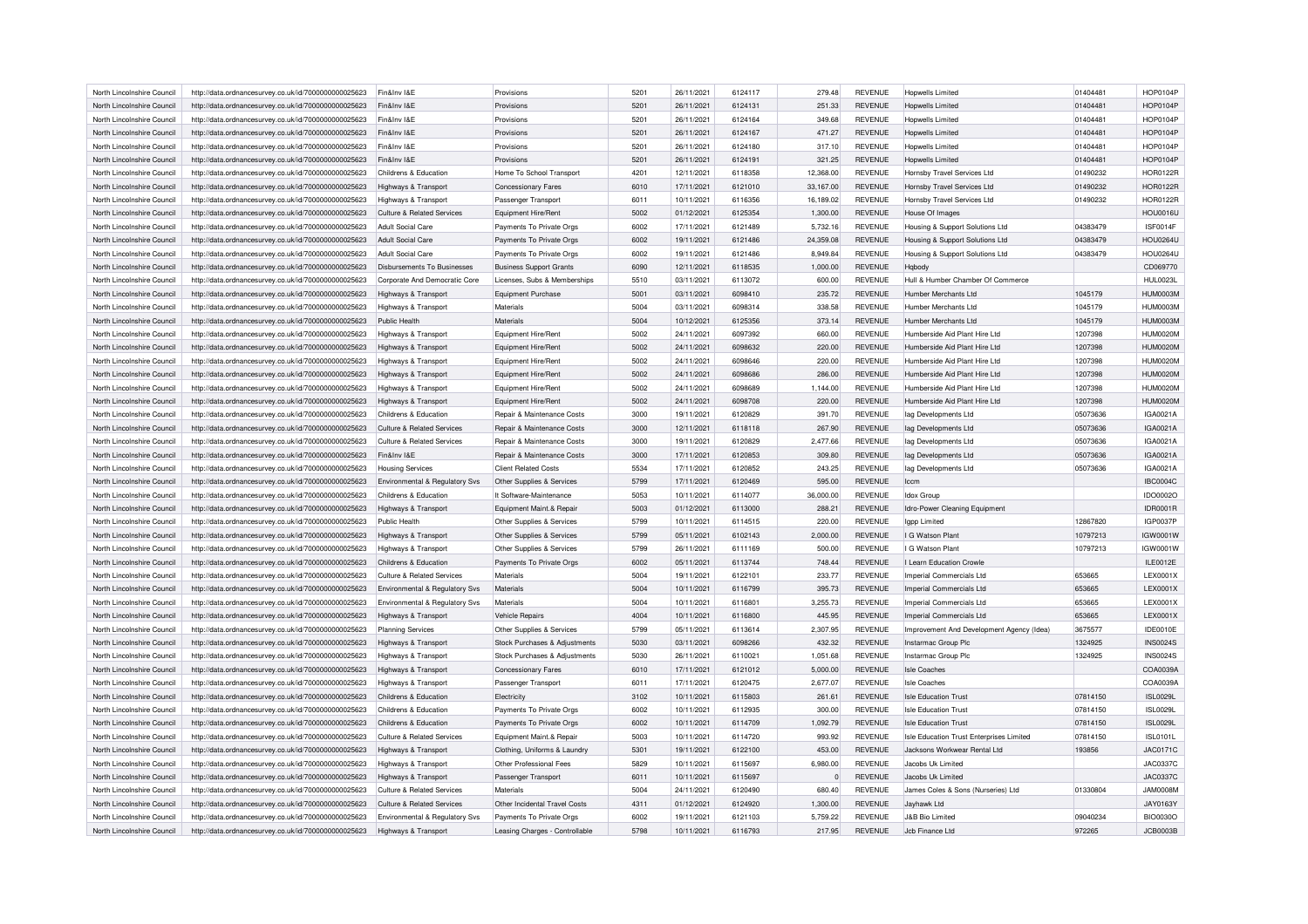| North Lincolnshire Council                               | http://data.ordnancesurvey.co.uk/id/7000000000025623 | Fin&Inv I&E                           | Provisions                     | 5201 | 26/11/2021 | 6124117 | 279.48    | <b>REVENUE</b> | <b>Hopwells Limited</b>                   | 01404481           | <b>HOP0104P</b> |
|----------------------------------------------------------|------------------------------------------------------|---------------------------------------|--------------------------------|------|------------|---------|-----------|----------------|-------------------------------------------|--------------------|-----------------|
| North Lincolnshire Council                               | http://data.ordnancesurvey.co.uk/id/7000000000025623 | Fin&Inv I&E                           | Provisions                     | 5201 | 26/11/2021 | 6124131 | 251.33    | <b>REVENUE</b> | <b>Hopwells Limited</b>                   | 01404481           | <b>HOP0104P</b> |
| North Lincolnshire Council                               | http://data.ordnancesurvey.co.uk/id/7000000000025623 | Fin&Inv I&E                           | Provisions                     | 5201 | 26/11/2021 | 6124164 | 349.68    | <b>REVENUE</b> | <b>Hopwells Limited</b>                   | 01404481           | <b>HOP0104P</b> |
| North Lincolnshire Council                               | http://data.ordnancesurvey.co.uk/id/7000000000025623 | Fin&Inv I&E                           | Provisions                     | 5201 | 26/11/2021 | 6124167 | 471.27    | <b>REVENUE</b> | <b>Hopwells Limited</b>                   | 01404481           | <b>HOP0104F</b> |
| North Lincolnshire Council                               | http://data.ordnancesurvey.co.uk/id/7000000000025623 | Fin&Inv I&E                           | Provisions                     | 5201 | 26/11/2021 | 6124180 | 317.10    | <b>REVENUE</b> | <b>Hopwells Limited</b>                   | 01404481           | <b>HOP0104P</b> |
| North Lincolnshire Council                               | http://data.ordnancesurvey.co.uk/id/7000000000025623 | Fin&Inv I&E                           | Provisions                     | 5201 | 26/11/2021 | 6124191 | 321.25    | <b>REVENUE</b> | <b>Hopwells Limited</b>                   | 01404481           | <b>HOP0104P</b> |
| North Lincolnshire Council                               | http://data.ordnancesurvey.co.uk/id/7000000000025623 | Childrens & Education                 | Home To School Transport       | 4201 | 12/11/2021 | 6118358 | 12,368.00 | <b>REVENUE</b> | Hornsby Travel Services Ltd               | 01490232           | <b>HOR0122R</b> |
| North Lincolnshire Council                               | http://data.ordnancesurvey.co.uk/id/7000000000025623 | Highways & Transport                  | <b>Concessionary Fares</b>     | 6010 | 17/11/2021 | 6121010 | 33,167.00 | <b>REVENUE</b> | Hornsby Travel Services Ltd               | 01490232           | <b>HOR0122F</b> |
| North Lincolnshire Council                               | http://data.ordnancesurvey.co.uk/id/7000000000025623 | Highways & Transport                  | Passenger Transport            | 6011 | 10/11/2021 | 6116356 | 16.189.02 | <b>REVENUE</b> | Hornsby Travel Services Ltd               | 01490232           | <b>HOR0122R</b> |
| North Lincolnshire Council                               | http://data.ordnancesurvey.co.uk/id/7000000000025623 | Culture & Related Services            | Equipment Hire/Rent            | 5002 | 01/12/2021 | 6125354 | 1,300.00  | <b>REVENUE</b> | House Of Images                           |                    | <b>HOU0016L</b> |
| North Lincolnshire Council                               | http://data.ordnancesurvey.co.uk/id/7000000000025623 | <b>Adult Social Care</b>              | Payments To Private Orgs       | 6002 | 17/11/2021 | 6121489 | 5,732.16  | <b>REVENUE</b> | Housing & Support Solutions Ltd           | 04383479           | <b>ISF0014F</b> |
| North Lincolnshire Council                               | http://data.ordnancesurvey.co.uk/id/7000000000025623 | <b>Adult Social Care</b>              | Payments To Private Orgs       | 6002 | 19/11/2021 | 6121486 | 24.359.08 | <b>REVENUE</b> | Housing & Support Solutions Ltd           | 04383479           | <b>HOU0264U</b> |
| North Lincolnshire Council                               |                                                      | <b>Adult Social Care</b>              |                                | 6002 | 19/11/2021 | 6121486 |           | <b>REVENUE</b> |                                           | 04383479           | <b>HOU0264L</b> |
|                                                          | http://data.ordnancesurvey.co.uk/id/7000000000025623 |                                       | Payments To Private Orgs       |      |            |         | 8,949.84  |                | Housing & Support Solutions Ltd           |                    |                 |
| North Lincolnshire Council                               | http://data.ordnancesurvey.co.uk/id/7000000000025623 | Disbursements To Businesses           | <b>Business Support Grants</b> | 6090 | 12/11/2021 | 6118535 | 1,000.00  | <b>REVENUE</b> | <b>Habody</b>                             |                    | CD069770        |
| North Lincolnshire Council                               | http://data.ordnancesurvey.co.uk/id/7000000000025623 | Corporate And Democratic Core         | Licenses, Subs & Memberships   | 5510 | 03/11/2021 | 6113072 | 600.00    | <b>REVENUE</b> | Hull & Humber Chamber Of Commerce         |                    | <b>HUL0023L</b> |
| North Lincolnshire Council                               | http://data.ordnancesurvey.co.uk/id/7000000000025623 | Highways & Transport                  | Equipment Purchase             | 5001 | 03/11/2021 | 6098410 | 235.72    | <b>REVENUE</b> | Humber Merchants Ltd                      | 1045179            | <b>HUM0003M</b> |
| North Lincolnshire Council                               | http://data.ordnancesurvey.co.uk/id/7000000000025623 | Highways & Transport                  | Materials                      | 5004 | 03/11/2021 | 6098314 | 338.58    | <b>REVENUE</b> | Humber Merchants Ltd                      | 1045179            | <b>HUM0003M</b> |
| North Lincolnshire Council                               | http://data.ordnancesurvey.co.uk/id/7000000000025623 | Public Health                         | Materials                      | 5004 | 10/12/2021 | 6125356 | 373.14    | <b>REVENUE</b> | Humber Merchants Ltd                      | 1045179            | <b>HUM0003M</b> |
| North Lincolnshire Council                               | http://data.ordnancesurvey.co.uk/id/7000000000025623 | Highways & Transport                  | Equipment Hire/Rent            | 5002 | 24/11/2021 | 6097392 | 660.00    | <b>REVENUE</b> | Humberside Aid Plant Hire Ltd             | 1207398            | <b>HUM0020M</b> |
| North Lincolnshire Council                               | http://data.ordnancesurvey.co.uk/id/7000000000025623 | Highways & Transport                  | Equipment Hire/Rent            | 5002 | 24/11/2021 | 6098632 | 220.00    | <b>REVENUE</b> | Humberside Aid Plant Hire Ltd             | 1207398            | <b>HUM0020M</b> |
| North Lincolnshire Council                               | http://data.ordnancesurvey.co.uk/id/7000000000025623 | Highways & Transport                  | Equipment Hire/Rent            | 5002 | 24/11/2021 | 6098646 | 220.00    | <b>REVENUE</b> | Humberside Aid Plant Hire I td            | 1207398            | <b>HUM0020M</b> |
| North Lincolnshire Council                               | http://data.ordnancesurvey.co.uk/id/7000000000025623 | Highways & Transport                  | Equipment Hire/Rent            | 5002 | 24/11/2021 | 6098686 | 286.00    | <b>REVENUE</b> | Humberside Aid Plant Hire Ltd             | 1207398            | <b>HUM0020M</b> |
| North Lincolnshire Council                               | http://data.ordnancesurvey.co.uk/id/7000000000025623 | Highways & Transport                  | Equipment Hire/Rent            | 5002 | 24/11/2021 | 6098689 | 1,144.00  | <b>REVENUE</b> | Humberside Aid Plant Hire Ltd             | 1207398            | <b>HUM0020M</b> |
| North Lincolnshire Council                               | http://data.ordnancesurvey.co.uk/id/7000000000025623 | Highways & Transport                  | Equipment Hire/Rent            | 5002 | 24/11/2021 | 6098708 | 220.00    | <b>REVENUE</b> | Humberside Aid Plant Hire Ltd             | 1207398            | <b>HUM0020M</b> |
| North Lincolnshire Council                               | http://data.ordnancesurvey.co.uk/id/7000000000025623 | Childrens & Education                 | Repair & Maintenance Costs     | 3000 | 19/11/2021 | 6120829 | 391.70    | <b>REVENUE</b> | lag Developments Ltd                      | 05073636           | IGA0021A        |
| North Lincolnshire Council                               | http://data.ordnancesurvey.co.uk/id/7000000000025623 | <b>Culture &amp; Related Services</b> | Repair & Maintenance Costs     | 3000 | 12/11/2021 | 6118118 | 267.90    | <b>REVENUE</b> | lag Developments Ltd                      | 05073636           | IGA0021A        |
| North Lincolnshire Council                               | http://data.ordnancesurvey.co.uk/id/7000000000025623 | <b>Culture &amp; Related Services</b> | Repair & Maintenance Costs     | 3000 | 19/11/2021 | 6120829 | 2,477.66  | <b>REVENUE</b> | lag Developments Ltd                      | 05073636           | IGA0021A        |
| North Lincolnshire Council                               | http://data.ordnancesurvey.co.uk/id/7000000000025623 | Fin&Inv I&E                           | Repair & Maintenance Costs     | 3000 | 17/11/2021 | 6120853 | 309.80    | <b>REVENUE</b> | lag Developments Ltd                      | 05073636           | IGA0021A        |
| North Lincolnshire Council                               | http://data.ordnancesurvey.co.uk/id/7000000000025623 | <b>Housing Services</b>               | <b>Client Related Costs</b>    | 5534 | 17/11/2021 | 6120852 | 243.25    | <b>REVENUE</b> | lag Developments Ltd                      | 05073636           | IGA0021A        |
| North Lincolnshire Council                               | http://data.ordnancesurvey.co.uk/id/7000000000025623 | Environmental & Regulatory Svs        | Other Supplies & Services      | 5799 | 17/11/2021 | 6120469 | 595.00    | <b>REVENUE</b> | Iccm                                      |                    | <b>IBC0004C</b> |
| North Lincolnshire Council                               | http://data.ordnancesurvey.co.uk/id/7000000000025623 | Childrens & Education                 | It Software-Maintenance        | 5053 | 10/11/2021 | 6114077 | 36,000.00 | <b>REVENUE</b> | Idox Group                                |                    | IDO0002O        |
| North Lincolnshire Council                               | http://data.ordnancesurvey.co.uk/id/7000000000025623 | Highways & Transport                  | Equipment Maint.& Repair       | 5003 | 01/12/2021 | 6113000 | 288.21    | <b>REVENUE</b> | Idro-Power Cleaning Equipment             |                    | <b>IDR0001R</b> |
| North Lincolnshire Council                               | http://data.ordnancesurvey.co.uk/id/7000000000025623 | Public Health                         | Other Supplies & Services      | 5799 | 10/11/2021 | 6114515 | 220.00    | <b>REVENUE</b> | Igpp Limited                              | 12867820           | <b>IGP0037P</b> |
| North Lincolnshire Council                               | http://data.ordnancesurvey.co.uk/id/7000000000025623 | Highways & Transport                  | Other Supplies & Services      | 5799 | 05/11/2021 | 6102143 | 2,000.00  | <b>REVENUE</b> | I G Watson Plant                          | 10797213           | IGW0001W        |
| North Lincolnshire Council                               | http://data.ordnancesurvey.co.uk/id/7000000000025623 | Highways & Transport                  | Other Supplies & Services      | 5799 | 26/11/2021 | 6111169 | 500.00    | REVENUE        | I G Watson Plant                          | 10797213           | IGW0001W        |
| North Lincolnshire Council                               | http://data.ordnancesurvey.co.uk/id/7000000000025623 | Childrens & Education                 | Payments To Private Orgs       | 6002 | 05/11/2021 | 6113744 | 748.44    | <b>REVENUE</b> | I Learn Education Crowle                  |                    | <b>ILE0012E</b> |
| North Lincolnshire Council                               | http://data.ordnancesurvey.co.uk/id/7000000000025623 | <b>Culture &amp; Related Services</b> | Materials                      | 5004 | 19/11/2021 | 6122101 | 233.77    | <b>REVENUE</b> | Imperial Commercials Ltd                  | 653665             | LEX0001X        |
| North Lincolnshire Council                               | http://data.ordnancesurvey.co.uk/id/7000000000025623 | Environmental & Regulatory Svs        | Materials                      | 5004 | 10/11/2021 | 6116799 | 395.73    | <b>REVENUE</b> | Imperial Commercials Ltd                  | 653665             | LEX0001X        |
| North Lincolnshire Council                               | http://data.ordnancesurvey.co.uk/id/7000000000025623 | Environmental & Regulatory Svs        | Materials                      | 5004 | 10/11/2021 | 6116801 | 3,255.73  | <b>REVENUE</b> | Imperial Commercials Ltd                  | 653665             | LEX0001X        |
| North Lincolnshire Council                               | http://data.ordnancesurvey.co.uk/id/7000000000025623 | <b>Highways &amp; Transport</b>       | <b>Vehicle Repairs</b>         | 4004 | 10/11/2021 | 6116800 | 445.95    | REVENUE        | Imperial Commercials Ltd                  | 653665             | LEX0001X        |
| North Lincolnshire Council                               | http://data.ordnancesurvey.co.uk/id/7000000000025623 |                                       |                                | 5799 | 05/11/2021 | 6113614 | 2,307.95  | <b>REVENUE</b> |                                           | 3675577            | <b>IDE0010E</b> |
| North Lincolnshire Council                               |                                                      | Planning Services                     | Other Supplies & Services      | 5030 | 03/11/2021 | 6098266 | 432.32    | <b>REVENUE</b> | Improvement And Development Agency (Idea) |                    | <b>INS0024S</b> |
|                                                          | http://data.ordnancesurvey.co.uk/id/7000000000025623 | Highways & Transport                  | Stock Purchases & Adjustments  | 5030 | 26/11/2021 | 611002  | 1,051.68  | <b>REVENUE</b> | Instarmac Group Plc                       | 1324925<br>1324925 | <b>INS0024S</b> |
| North Lincolnshire Council<br>North Lincolnshire Council | http://data.ordnancesurvey.co.uk/id/7000000000025623 | <b>Highways &amp; Transport</b>       | Stock Purchases & Adjustments  | 6010 |            | 6121012 | 5.000.00  | <b>REVENUE</b> | Instarmac Group Plc<br>Isle Coaches       |                    |                 |
|                                                          | http://data.ordnancesurvey.co.uk/id/7000000000025623 | Highways & Transport                  | <b>Concessionary Fares</b>     |      | 17/11/2021 |         |           |                |                                           |                    | COA0039A        |
| North Lincolnshire Council                               | http://data.ordnancesurvey.co.uk/id/7000000000025623 | Highways & Transport                  | Passenger Transport            | 6011 | 17/11/2021 | 6120475 | 2,677.07  | <b>REVENUE</b> | <b>Isle Coaches</b>                       |                    | COA0039A        |
| North Lincolnshire Council                               | http://data.ordnancesurvey.co.uk/id/7000000000025623 | Childrens & Education                 | Flectricity                    | 3102 | 10/11/2021 | 6115803 | 261.61    | REVENUE        | <b>Isle Education Trust</b>               | 07814150           | <b>ISL0029L</b> |
| North Lincolnshire Council                               | http://data.ordnancesurvey.co.uk/id/7000000000025623 | Childrens & Education                 | Payments To Private Orgs       | 6002 | 10/11/2021 | 6112935 | 300.00    | <b>REVENUE</b> | <b>Isle Education Trust</b>               | 07814150           | <b>ISL0029L</b> |
| North Lincolnshire Council                               | http://data.ordnancesurvey.co.uk/id/7000000000025623 | Childrens & Education                 | Payments To Private Orgs       | 6002 | 10/11/2021 | 6114709 | 1,092.79  | <b>REVENUE</b> | <b>Isle Education Trust</b>               | 07814150           | <b>ISL0029L</b> |
| North Lincolnshire Council                               | http://data.ordnancesurvey.co.uk/id/7000000000025623 | <b>Culture &amp; Related Services</b> | Equipment Maint.& Repair       | 5003 | 10/11/2021 | 6114720 | 993.92    | REVENUE        | Isle Education Trust Enterprises Limited  | 07814150           | <b>ISL0101L</b> |
| North Lincolnshire Council                               | http://data.ordnancesurvey.co.uk/id/7000000000025623 | Highways & Transport                  | Clothing, Uniforms & Laundry   | 5301 | 19/11/2021 | 6122100 | 453.00    | <b>REVENUE</b> | Jacksons Workwear Rental Ltd              | 193856             | <b>JAC0171C</b> |
| North Lincolnshire Council                               | http://data.ordnancesurvey.co.uk/id/7000000000025623 | Highways & Transport                  | Other Professional Fees        | 5829 | 10/11/2021 | 6115697 | 6,980.00  | <b>REVENUE</b> | Jacobs Uk Limited                         |                    | <b>JAC0337C</b> |
| North Lincolnshire Council                               | http://data.ordnancesurvey.co.uk/id/7000000000025623 | Highways & Transport                  | Passenger Transport            | 6011 | 10/11/2021 | 6115697 | $\Omega$  | <b>REVENUE</b> | Jacobs Uk Limited                         |                    | <b>JAC0337C</b> |
| North Lincolnshire Council                               | http://data.ordnancesurvey.co.uk/id/7000000000025623 | Culture & Related Services            | Materials                      | 5004 | 24/11/2021 | 6120490 | 680.40    | <b>REVENUE</b> | James Coles & Sons (Nurseries) Ltd        | 01330804           | <b>JAM0008M</b> |
| North Lincolnshire Council                               | http://data.ordnancesurvey.co.uk/id/7000000000025623 | Culture & Related Services            | Other Incidental Travel Costs  | 4311 | 01/12/2021 | 6124920 | 1,300.00  | <b>REVENUE</b> | Jayhawk Ltd                               |                    | JAY0163Y        |
| North Lincolnshire Council                               | http://data.ordnancesurvey.co.uk/id/7000000000025623 | Environmental & Regulatory Svs        | Payments To Private Orgs       | 6002 | 19/11/2021 | 6121103 | 5.759.22  | <b>REVENUE</b> | <b>J&amp;B Bio Limited</b>                | 09040234           | <b>BIO0030O</b> |
| North Lincolnshire Council                               | http://data.ordnancesurvey.co.uk/id/7000000000025623 | Highways & Transport                  | Leasing Charges - Controllable | 5798 | 10/11/2021 | 6116793 | 217.95    | <b>REVENUE</b> | Jch Finance I td                          | 972265             | <b>JCB0003B</b> |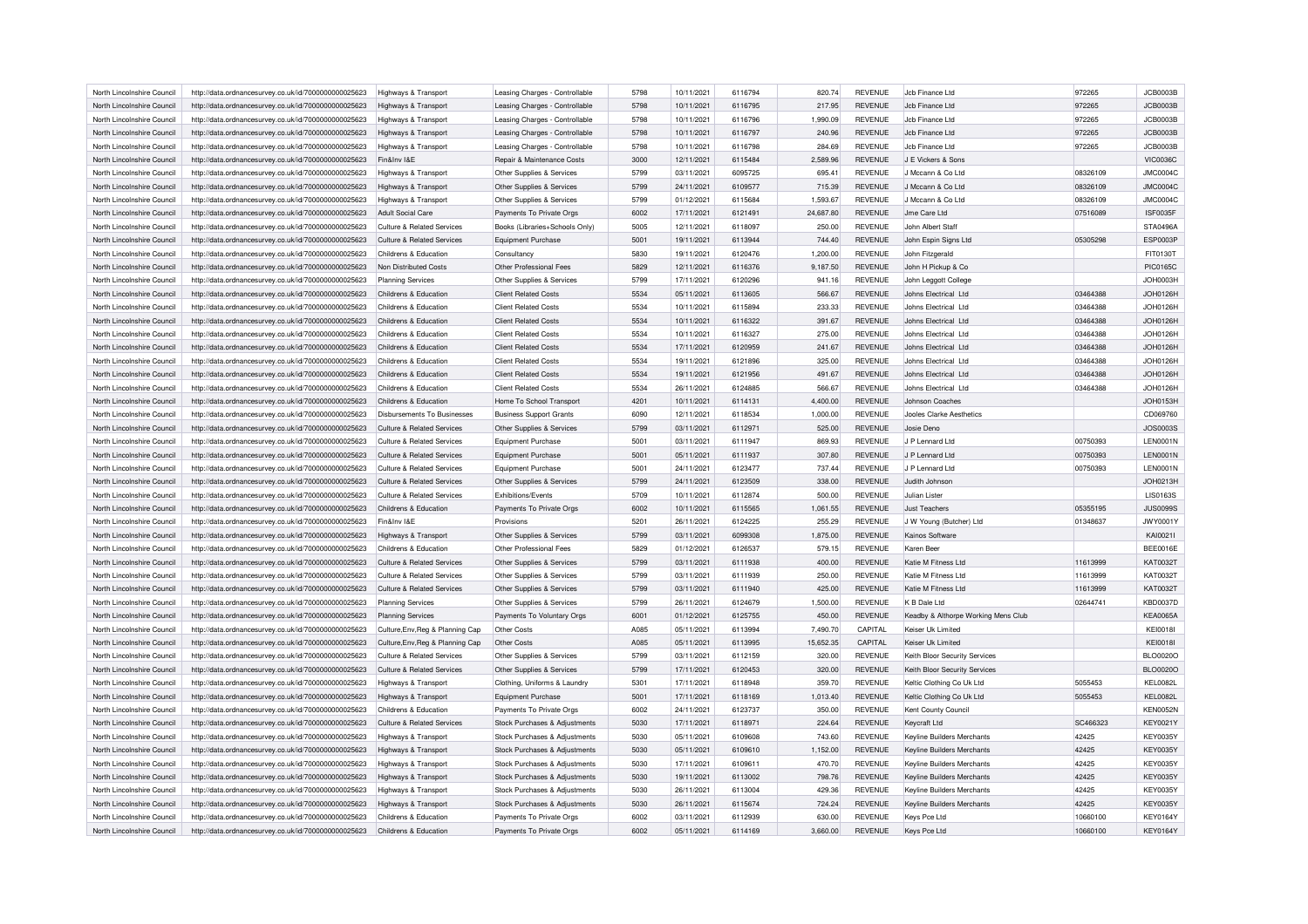| North Lincolnshire Council | http://data.ordnancesurvey.co.uk/id/7000000000025623 | Highways & Transport                  | Leasing Charges - Controllable | 5798 | 10/11/2021 | 6116794 | 820.74    | <b>REVENUE</b> | Jcb Finance Ltd                     | 972265   | <b>JCB0003B</b> |
|----------------------------|------------------------------------------------------|---------------------------------------|--------------------------------|------|------------|---------|-----------|----------------|-------------------------------------|----------|-----------------|
| North Lincolnshire Council | http://data.ordnancesurvey.co.uk/id/7000000000025623 | Highways & Transport                  | Leasing Charges - Controllable | 5798 | 10/11/2021 | 6116795 | 217.95    | <b>REVENUE</b> | Jcb Finance Ltd                     | 972265   | <b>JCB0003B</b> |
| North Lincolnshire Council | http://data.ordnancesurvey.co.uk/id/7000000000025623 | Highways & Transport                  | Leasing Charges - Controllable | 5798 | 10/11/2021 | 6116796 | 1.990.09  | <b>REVENUE</b> | Jcb Finance Ltd                     | 972265   | <b>JCB0003B</b> |
| North Lincolnshire Council | http://data.ordnancesurvey.co.uk/id/7000000000025623 | Highways & Transport                  | Leasing Charges - Controllable | 5798 | 10/11/2021 | 6116797 | 240.96    | <b>REVENUE</b> | Jcb Finance Ltd                     | 972265   | <b>JCB0003B</b> |
| North Lincolnshire Council | http://data.ordnancesurvey.co.uk/id/7000000000025623 | Highways & Transport                  | Leasing Charges - Controllable | 5798 | 10/11/2021 | 6116798 | 284.69    | <b>REVENUE</b> | Jcb Finance Ltd                     | 972265   | <b>JCB0003B</b> |
| North Lincolnshire Council | http://data.ordnancesurvey.co.uk/id/7000000000025623 | Fin&Inv I&E                           | Repair & Maintenance Costs     | 3000 | 12/11/2021 | 6115484 | 2.589.96  | <b>REVENUE</b> | J E Vickers & Sons                  |          | <b>VIC0036C</b> |
| North Lincolnshire Council | http://data.ordnancesurvey.co.uk/id/7000000000025623 | Highways & Transport                  | Other Supplies & Services      | 5799 | 03/11/2021 | 6095725 | 695.41    | <b>REVENUE</b> | J Mccann & Co Ltd                   | 08326109 | <b>JMC0004C</b> |
| North Lincolnshire Council | http://data.ordnancesurvey.co.uk/id/7000000000025623 | Highways & Transport                  | Other Supplies & Services      | 5799 | 24/11/2021 | 6109577 | 715.39    | <b>REVENUE</b> | J Mccann & Co Ltd                   | 08326109 | <b>JMC0004C</b> |
| North Lincolnshire Council | http://data.ordnancesurvey.co.uk/id/7000000000025623 | <b>Highways &amp; Transport</b>       | Other Supplies & Services      | 5799 | 01/12/2021 | 6115684 | 1.593.67  | <b>REVENUE</b> | J Mccann & Co Ltd                   | 08326109 | <b>JMC0004C</b> |
| North Lincolnshire Council | http://data.ordnancesurvey.co.uk/id/7000000000025623 | Adult Social Care                     | Payments To Private Orgs       | 6002 | 17/11/2021 | 612149  | 24,687.80 | <b>REVENUE</b> | Jme Care Ltd                        | 07516089 | <b>ISF0035F</b> |
| North Lincolnshire Council | http://data.ordnancesurvey.co.uk/id/7000000000025623 | <b>Culture &amp; Related Services</b> | Books (Libraries+Schools Only) | 5005 | 12/11/2021 | 6118097 | 250.00    | <b>REVENUE</b> | John Albert Staff                   |          | <b>STA0496A</b> |
| North Lincolnshire Council | http://data.ordnancesurvey.co.uk/id/7000000000025623 | <b>Culture &amp; Related Services</b> | Equipment Purchase             | 5001 | 19/11/2021 | 6113944 | 744.40    | <b>REVENUE</b> | John Espin Signs Ltd                | 05305298 | <b>ESP0003P</b> |
| North Lincolnshire Council | http://data.ordnancesurvey.co.uk/id/7000000000025623 | Childrens & Education                 | Consultancy                    | 5830 | 19/11/2021 | 6120476 | 1,200.00  | <b>REVENUE</b> | John Fitzgerald                     |          | FIT0130T        |
| North Lincolnshire Council | http://data.ordnancesurvey.co.uk/id/7000000000025623 | Non Distributed Costs                 | Other Professional Fees        | 5829 | 12/11/2021 | 6116376 | 9,187.50  | <b>REVENUE</b> | John H Pickup & Co                  |          | PIC0165C        |
| North Lincolnshire Council |                                                      | <b>Planning Services</b>              |                                | 5799 | 17/11/2021 | 6120296 | 941.16    | <b>REVENUE</b> |                                     |          | <b>JOH0003H</b> |
|                            | http://data.ordnancesurvey.co.uk/id/7000000000025623 |                                       | Other Supplies & Services      |      |            |         |           |                | John Leggott College                |          |                 |
| North Lincolnshire Council | http://data.ordnancesurvey.co.uk/id/7000000000025623 | Childrens & Education                 | <b>Client Related Costs</b>    | 5534 | 05/11/2021 | 6113605 | 566.67    | <b>REVENUE</b> | Johns Electrical Ltd                | 03464388 | JOH0126H        |
| North Lincolnshire Council | http://data.ordnancesurvey.co.uk/id/7000000000025623 | Childrens & Education                 | <b>Client Related Costs</b>    | 5534 | 10/11/2021 | 6115894 | 233.33    | REVENUE        | Johns Electrical Ltd                | 03464388 | JOH0126H        |
| North Lincolnshire Council | http://data.ordnancesurvey.co.uk/id/7000000000025623 | Childrens & Education                 | <b>Client Related Costs</b>    | 5534 | 10/11/2021 | 6116322 | 391.67    | <b>REVENUE</b> | Johns Electrical Ltd                | 03464388 | JOH0126H        |
| North Lincolnshire Council | http://data.ordnancesurvey.co.uk/id/7000000000025623 | Childrens & Education                 | <b>Client Related Costs</b>    | 5534 | 10/11/2021 | 6116327 | 275.00    | <b>REVENUE</b> | Johns Electrical Ltd                | 03464388 | JOH0126H        |
| North Lincolnshire Council | http://data.ordnancesurvey.co.uk/id/7000000000025623 | Childrens & Education                 | <b>Client Related Costs</b>    | 5534 | 17/11/2021 | 6120959 | 241.67    | <b>REVENUE</b> | Johns Electrical Ltd                | 03464388 | JOH0126H        |
| North Lincolnshire Council | http://data.ordnancesurvey.co.uk/id/7000000000025623 | Childrens & Education                 | Client Related Costs           | 5534 | 19/11/2021 | 6121896 | 325.00    | <b>REVENUE</b> | Johns Electrical Ltd                | 03464388 | JOH0126H        |
| North Lincolnshire Council | http://data.ordnancesurvey.co.uk/id/7000000000025623 | Childrens & Education                 | <b>Client Related Costs</b>    | 5534 | 19/11/2021 | 6121956 | 491.67    | <b>REVENUE</b> | Johns Electrical Ltd                | 03464388 | JOH0126H        |
| North Lincolnshire Council | http://data.ordnancesurvey.co.uk/id/7000000000025623 | Childrens & Education                 | <b>Client Related Costs</b>    | 5534 | 26/11/2021 | 6124885 | 566.67    | <b>REVENUE</b> | Johns Electrical Ltd                | 03464388 | JOH0126H        |
| North Lincolnshire Council | http://data.ordnancesurvey.co.uk/id/7000000000025623 | Childrens & Education                 | Home To School Transport       | 4201 | 10/11/2021 | 6114131 | 4,400.00  | <b>REVENUE</b> | Johnson Coaches                     |          | JOH0153H        |
| North Lincolnshire Council | http://data.ordnancesurvey.co.uk/id/7000000000025623 | <b>Disbursements To Businesses</b>    | <b>Business Support Grants</b> | 6090 | 12/11/2021 | 6118534 | 1,000.00  | <b>REVENUE</b> | Jooles Clarke Aesthetics            |          | CD069760        |
| North Lincolnshire Council | http://data.ordnancesurvey.co.uk/id/7000000000025623 | <b>Culture &amp; Related Services</b> | Other Supplies & Services      | 5799 | 03/11/2021 | 6112971 | 525.00    | <b>REVENUE</b> | Josie Deno                          |          | <b>JOS0003S</b> |
| North Lincolnshire Council | http://data.ordnancesurvey.co.uk/id/7000000000025623 | Culture & Related Services            | Equipment Purchase             | 5001 | 03/11/2021 | 6111947 | 869.93    | <b>REVENUE</b> | LIP Lennard Ltd                     | 00750393 | <b>LEN0001N</b> |
| North Lincolnshire Council | http://data.ordnancesurvey.co.uk/id/7000000000025623 | <b>Culture &amp; Related Services</b> | Equipment Purchase             | 5001 | 05/11/2021 | 6111937 | 307.80    | <b>REVENUE</b> | J P Lennard Ltd                     | 00750393 | <b>LEN0001N</b> |
| North Lincolnshire Council | http://data.ordnancesurvey.co.uk/id/7000000000025623 | <b>Culture &amp; Related Services</b> | <b>Equipment Purchase</b>      | 5001 | 24/11/2021 | 6123477 | 737.44    | <b>REVENUE</b> | J P Lennard Ltd                     | 00750393 | <b>LEN0001N</b> |
| North Lincolnshire Council | http://data.ordnancesurvey.co.uk/id/7000000000025623 | Culture & Related Services            | Other Supplies & Services      | 5799 | 24/11/2021 | 6123509 | 338.00    | <b>REVENUE</b> | Judith Johnson                      |          | JOH0213H        |
| North Lincolnshire Council | http://data.ordnancesurvey.co.uk/id/7000000000025623 | <b>Culture &amp; Related Services</b> | Exhibitions/Events             | 5709 | 10/11/2021 | 6112874 | 500.00    | <b>REVENUE</b> | Julian Lister                       |          | <b>LIS0163S</b> |
| North Lincolnshire Council | http://data.ordnancesurvey.co.uk/id/7000000000025623 | Childrens & Education                 | Payments To Private Orgs       | 6002 | 10/11/2021 | 6115565 | 1,061.55  | <b>REVENUE</b> | <b>Just Teachers</b>                | 05355195 | <b>JUS0099S</b> |
| North Lincolnshire Council | http://data.ordnancesurvey.co.uk/id/7000000000025623 | Fin&Inv I&F                           | Provisions                     | 5201 | 26/11/2021 | 6124225 | 255.29    | <b>REVENUE</b> | J W Young (Butcher) Ltd             | 01348637 | JWY0001Y        |
| North Lincolnshire Council | http://data.ordnancesurvey.co.uk/id/7000000000025623 | Highways & Transport                  | Other Supplies & Services      | 5799 | 03/11/2021 | 6099308 | 1,875.00  | <b>REVENUE</b> | Kainos Software                     |          | KAI0021I        |
| North Lincolnshire Council | http://data.ordnancesurvey.co.uk/id/7000000000025623 | Childrens & Education                 | Other Professional Fees        | 5829 | 01/12/2021 | 6126537 | 579.15    | <b>REVENUE</b> | Karen Bee                           |          | <b>BEE0016E</b> |
| North Lincolnshire Council | http://data.ordnancesurvey.co.uk/id/7000000000025623 | Culture & Related Services            | Other Supplies & Services      | 5799 | 03/11/2021 | 6111938 | 400.00    | <b>REVENUE</b> | Katie M Fitness Ltd                 | 11613999 | <b>KAT0032T</b> |
| North Lincolnshire Council | http://data.ordnancesurvey.co.uk/id/7000000000025623 | <b>Culture &amp; Related Services</b> | Other Supplies & Services      | 5799 | 03/11/2021 | 6111939 | 250.00    | <b>REVENUE</b> | Katie M Fitness Ltd                 | 11613999 | KAT0032T        |
| North Lincolnshire Council | http://data.ordnancesurvey.co.uk/id/7000000000025623 | <b>Culture &amp; Related Services</b> | Other Supplies & Services      | 5799 | 03/11/2021 | 6111940 | 425.00    | <b>REVENUE</b> | Katie M Fitness Ltd                 | 11613999 | <b>KAT0032T</b> |
| North Lincolnshire Council | http://data.ordnancesurvey.co.uk/id/7000000000025623 | <b>Planning Services</b>              | Other Supplies & Services      | 5799 | 26/11/2021 | 6124679 | 1,500.00  | <b>REVENUE</b> | K B Dale Ltd                        | 02644741 | <b>KBD0037D</b> |
| North Lincolnshire Council | http://data.ordnancesurvey.co.uk/id/7000000000025623 | <b>Planning Services</b>              | Payments To Voluntary Orgs     | 6001 | 01/12/2021 | 6125755 | 450.00    | REVENUE        | Keadby & Althorpe Working Mens Club |          | <b>KEA0065A</b> |
| North Lincolnshire Council | http://data.ordnancesurvey.co.uk/id/7000000000025623 | Culture, Env, Reg & Planning Cap      | Other Costs                    | A085 | 05/11/2021 | 6113994 | 7,490.70  | CAPITAL        | Keiser Uk Limited                   |          | <b>KEI0018I</b> |
| North Lincolnshire Council | http://data.ordnancesurvey.co.uk/id/7000000000025623 | Culture, Env, Reg & Planning Cap      | Other Costs                    | A085 | 05/11/2021 | 6113995 | 15,652.35 | CAPITAL        | Keiser Uk Limited                   |          | <b>KEI0018I</b> |
| North Lincolnshire Council | http://data.ordnancesurvey.co.uk/id/7000000000025623 | <b>Culture &amp; Related Services</b> | Other Supplies & Services      | 5799 | 03/11/2021 | 6112159 | 320.00    | REVENUE        | Keith Bloor Security Services       |          | <b>BLO0020C</b> |
| North Lincolnshire Council | http://data.ordnancesurvey.co.uk/id/7000000000025623 | Culture & Related Services            | Other Supplies & Services      | 5799 | 17/11/2021 | 6120453 | 320.00    | <b>REVENUE</b> | Keith Bloor Security Services       |          | <b>BLO0020O</b> |
| North Lincolnshire Council | http://data.ordnancesurvey.co.uk/id/7000000000025623 | Highways & Transport                  | Clothing, Uniforms & Laundry   | 5301 | 17/11/2021 | 6118948 | 359.70    | <b>REVENUE</b> | Keltic Clothing Co Uk Ltd           | 5055453  | <b>KEL0082L</b> |
| North Lincolnshire Council | http://data.ordnancesurvey.co.uk/id/7000000000025623 | Highways & Transport                  | <b>Equipment Purchase</b>      | 5001 | 17/11/2021 | 6118169 | 1,013.40  | <b>REVENUE</b> | Keltic Clothing Co Uk Ltd           | 5055453  | <b>KEL0082L</b> |
| North Lincolnshire Council | http://data.ordnancesurvey.co.uk/id/7000000000025623 | Childrens & Education                 | Payments To Private Orgs       | 6002 | 24/11/2021 | 6123737 | 350.00    | <b>REVENUE</b> | Kent County Council                 |          | <b>KEN0052N</b> |
| North Lincolnshire Council | http://data.ordnancesurvey.co.uk/id/7000000000025623 | Culture & Related Services            | Stock Purchases & Adjustments  | 5030 | 17/11/2021 | 6118971 | 224.64    | <b>REVENUE</b> | Keycraft Ltd                        | SC466323 | <b>KEY0021Y</b> |
| North Lincolnshire Council | http://data.ordnancesurvey.co.uk/id/7000000000025623 | Highways & Transport                  | Stock Purchases & Adjustments  | 5030 | 05/11/2021 | 6109608 | 743.60    | <b>REVENUE</b> | Keyline Builders Merchants          | 42425    | <b>KEY0035Y</b> |
| North Lincolnshire Council | http://data.ordnancesurvey.co.uk/id/7000000000025623 | Highways & Transport                  | Stock Purchases & Adjustments  | 5030 | 05/11/2021 | 6109610 | 1,152.00  | <b>REVENUE</b> | <b>Keyline Builders Merchants</b>   | 42425    | <b>KEY0035Y</b> |
| North Lincolnshire Council | http://data.ordnancesurvey.co.uk/id/7000000000025623 | Highways & Transport                  | Stock Purchases & Adjustments  | 5030 | 17/11/2021 | 6109611 | 470.70    | <b>REVENUE</b> | Keyline Builders Merchants          | 42425    | <b>KEY0035Y</b> |
| North Lincolnshire Council | http://data.ordnancesurvey.co.uk/id/7000000000025623 | <b>Highways &amp; Transport</b>       | Stock Purchases & Adjustments  | 5030 | 19/11/2021 | 6113002 | 798.76    | <b>REVENUE</b> | <b>Keyline Builders Merchants</b>   | 42425    | <b>KEY0035Y</b> |
| North Lincolnshire Council | http://data.ordnancesurvey.co.uk/id/7000000000025623 | Highways & Transport                  | Stock Purchases & Adjustments  | 5030 | 26/11/2021 | 6113004 | 429.36    | <b>REVENUE</b> | <b>Keyline Builders Merchants</b>   | 42425    | <b>KEY0035Y</b> |
| North Lincolnshire Council | http://data.ordnancesurvey.co.uk/id/7000000000025623 | Highways & Transport                  | Stock Purchases & Adjustments  | 5030 | 26/11/2021 | 6115674 | 724.24    | <b>REVENUE</b> | Keyline Builders Merchants          | 42425    | <b>KEY0035Y</b> |
| North Lincolnshire Council | http://data.ordnancesurvey.co.uk/id/7000000000025623 | Childrens & Education                 | Payments To Private Orgs       | 6002 | 03/11/2021 | 6112939 | 630.00    | <b>REVENUE</b> | Keys Pce Ltd                        | 10660100 | <b>KEY0164Y</b> |
| North Lincolnshire Council | http://data.ordnancesurvey.co.uk/id/7000000000025623 | Childrens & Education                 | Payments To Private Orgs       | 6002 | 05/11/2021 | 6114169 | 3.660.00  | <b>REVENUE</b> | <b>Kevs Pce Ltd</b>                 | 10660100 | <b>KEY0164Y</b> |
|                            |                                                      |                                       |                                |      |            |         |           |                |                                     |          |                 |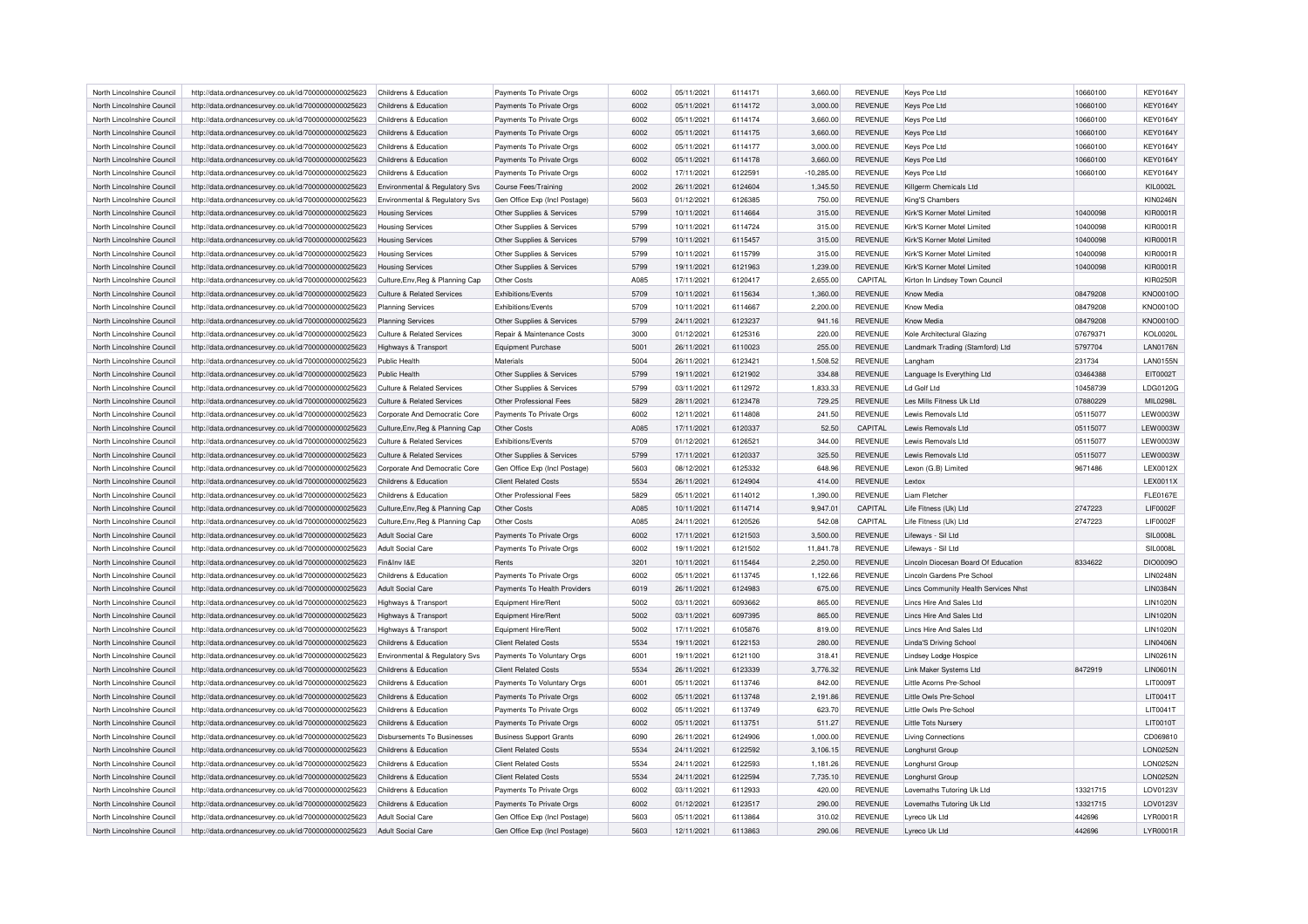| North Lincolnshire Council | http://data.ordnancesurvey.co.uk/id/7000000000025623                                                         | Childrens & Education                 | Payments To Private Orgs       | 6002 | 05/11/2021 | 6114171 | 3,660.00     | <b>REVENUE</b> | Keys Pce Ltd                         | 10660100 | <b>KEY0164Y</b> |
|----------------------------|--------------------------------------------------------------------------------------------------------------|---------------------------------------|--------------------------------|------|------------|---------|--------------|----------------|--------------------------------------|----------|-----------------|
| North Lincolnshire Council | http://data.ordnancesurvey.co.uk/id/7000000000025623                                                         | Childrens & Education                 | Payments To Private Orgs       | 6002 | 05/11/2021 | 6114172 | 3,000.00     | <b>REVENUE</b> | Keys Pce Ltd                         | 10660100 | <b>KEY0164Y</b> |
| North Lincolnshire Council | http://data.ordnancesurvey.co.uk/id/7000000000025623                                                         | Childrens & Education                 | Payments To Private Orgs       | 6002 | 05/11/2021 | 6114174 | 3,660.00     | <b>REVENUE</b> | Keys Pce Ltd                         | 10660100 | <b>KEY0164Y</b> |
| North Lincolnshire Council | http://data.ordnancesurvey.co.uk/id/7000000000025623                                                         | Childrens & Education                 | Payments To Private Orgs       | 6002 | 05/11/2021 | 6114175 | 3,660.00     | <b>REVENUE</b> | Keys Pce Ltd                         | 10660100 | <b>KEY0164Y</b> |
| North Lincolnshire Council | http://data.ordnancesurvey.co.uk/id/7000000000025623                                                         | Childrens & Education                 | Payments To Private Orgs       | 6002 | 05/11/2021 | 6114177 | 3,000.00     | <b>REVENUE</b> | Keys Pce Ltd                         | 10660100 | <b>KEY0164Y</b> |
| North Lincolnshire Council | http://data.ordnancesurvey.co.uk/id/7000000000025623                                                         | Childrens & Education                 | Payments To Private Orgs       | 6002 | 05/11/2021 | 6114178 | 3,660.00     | <b>REVENUE</b> | Keys Pce Ltd                         | 10660100 | <b>KEY0164Y</b> |
| North Lincolnshire Council | http://data.ordnancesurvey.co.uk/id/7000000000025623                                                         | Childrens & Education                 | Payments To Private Orgs       | 6002 | 17/11/2021 | 6122591 | $-10,285.00$ | <b>REVENUE</b> | Keys Pce Ltd                         | 10660100 | <b>KEY0164Y</b> |
| North Lincolnshire Council | http://data.ordnancesurvey.co.uk/id/7000000000025623                                                         | Environmental & Regulatory Svs        | <b>Course Fees/Training</b>    | 2002 | 26/11/2021 | 6124604 | 1,345.50     | <b>REVENUE</b> | Killgerm Chemicals Ltd               |          | <b>KIL0002L</b> |
| North Lincolnshire Council | http://data.ordnancesurvey.co.uk/id/7000000000025623                                                         | Environmental & Regulatory Svs        | Gen Office Exp (Incl Postage)  | 5603 | 01/12/2021 | 6126385 | 750.00       | <b>REVENUE</b> | King'S Chambers                      |          | <b>KIN0246N</b> |
| North Lincolnshire Council | http://data.ordnancesurvey.co.uk/id/7000000000025623                                                         | <b>Housing Services</b>               | Other Supplies & Services      | 5799 | 10/11/2021 | 6114664 | 315.00       | <b>REVENUE</b> | Kirk'S Korner Motel Limited          | 10400098 | <b>KIR0001R</b> |
| North Lincolnshire Council | http://data.ordnancesurvey.co.uk/id/7000000000025623                                                         | <b>Housing Services</b>               | Other Supplies & Services      | 5799 | 10/11/2021 | 6114724 | 315.00       | REVENUE        | Kirk'S Korner Motel Limited          | 10400098 | KIR0001R        |
| North Lincolnshire Council | http://data.ordnancesurvey.co.uk/id/7000000000025623                                                         | <b>Housing Services</b>               | Other Supplies & Services      | 5799 | 10/11/2021 | 6115457 | 315.00       | <b>REVENUE</b> | Kirk'S Korner Motel Limited          | 10400098 | <b>KIR0001R</b> |
| North Lincolnshire Council | http://data.ordnancesurvey.co.uk/id/7000000000025623                                                         | <b>Housing Services</b>               | Other Supplies & Services      | 5799 | 10/11/2021 | 6115799 | 315.00       | <b>REVENUE</b> | Kirk'S Korner Motel Limited          | 10400098 | KIR0001R        |
| North Lincolnshire Council | http://data.ordnancesurvey.co.uk/id/7000000000025623                                                         | <b>Housing Services</b>               | Other Supplies & Services      | 5799 | 19/11/2021 | 6121963 | 1,239.00     | REVENUE        | Kirk'S Korner Motel Limited          | 10400098 | <b>KIR0001R</b> |
| North Lincolnshire Council |                                                                                                              |                                       |                                | A085 |            | 6120417 | 2,655.00     | CAPITAL        |                                      |          | <b>KIR0250R</b> |
|                            | http://data.ordnancesurvey.co.uk/id/7000000000025623                                                         | Culture, Env, Reg & Planning Cap      | Other Costs                    |      | 17/11/2021 |         |              |                | Kirton In Lindsey Town Council       |          |                 |
| North Lincolnshire Council | http://data.ordnancesurvey.co.uk/id/7000000000025623                                                         | <b>Culture &amp; Related Services</b> | Exhibitions/Events             | 5709 | 10/11/2021 | 6115634 | 1,360.00     | <b>REVENUE</b> | Know Media                           | 08479208 | KNO0010O        |
| North Lincolnshire Council | http://data.ordnancesurvey.co.uk/id/7000000000025623                                                         | <b>Planning Services</b>              | Exhibitions/Events             | 5709 | 10/11/2021 | 6114667 | 2,200.00     | <b>REVENUE</b> | Know Media                           | 08479208 | KNO0010O        |
| North Lincolnshire Council | http://data.ordnancesurvey.co.uk/id/7000000000025623                                                         | <b>Planning Services</b>              | Other Supplies & Services      | 5799 | 24/11/2021 | 6123237 | 941.16       | <b>REVENUE</b> | Know Media                           | 08479208 | KNO0010O        |
| North Lincolnshire Council | http://data.ordnancesurvey.co.uk/id/7000000000025623                                                         | <b>Culture &amp; Related Services</b> | Repair & Maintenance Costs     | 3000 | 01/12/2021 | 6125316 | 220.00       | <b>REVENUE</b> | Kole Architectural Glazing           | 07679371 | <b>KOL0020L</b> |
| North Lincolnshire Council | http://data.ordnancesurvey.co.uk/id/7000000000025623                                                         | Highways & Transport                  | <b>Equipment Purchase</b>      | 5001 | 26/11/2021 | 6110023 | 255.00       | <b>REVENUE</b> | Landmark Trading (Stamford) Ltd      | 5797704  | <b>LAN0176N</b> |
| North Lincolnshire Council | http://data.ordnancesurvey.co.uk/id/7000000000025623                                                         | Public Health                         | Materials                      | 5004 | 26/11/2021 | 6123421 | 1,508.52     | <b>REVENUE</b> | Langham                              | 231734   | <b>LAN0155N</b> |
| North Lincolnshire Council | http://data.ordnancesurvey.co.uk/id/7000000000025623                                                         | Public Health                         | Other Supplies & Services      | 5799 | 19/11/2021 | 6121902 | 334.88       | <b>REVENUE</b> | Language Is Everything Ltd           | 03464388 | EIT0002T        |
| North Lincolnshire Council | http://data.ordnancesurvey.co.uk/id/7000000000025623                                                         | <b>Culture &amp; Related Services</b> | Other Supplies & Services      | 5799 | 03/11/2021 | 6112972 | 1,833.33     | <b>REVENUE</b> | Ld Golf Ltd                          | 10458739 | LDG0120G        |
| North Lincolnshire Council | http://data.ordnancesurvey.co.uk/id/7000000000025623                                                         | Culture & Related Services            | Other Professional Fees        | 5829 | 28/11/2021 | 6123478 | 729.25       | <b>REVENUE</b> | Les Mills Fitness Uk Ltd             | 07880229 | MIL0298L        |
| North Lincolnshire Council | http://data.ordnancesurvey.co.uk/id/7000000000025623                                                         | Corporate And Democratic Core         | Payments To Private Orgs       | 6002 | 12/11/2021 | 6114808 | 241.50       | <b>REVENUE</b> | Lewis Removals Ltd                   | 05115077 | <b>LEW0003V</b> |
| North Lincolnshire Council | http://data.ordnancesurvey.co.uk/id/7000000000025623                                                         | Culture, Env, Reg & Planning Cap      | Other Costs                    | A085 | 17/11/2021 | 6120337 | 52.50        | CAPITAL        | Lewis Removals Ltd                   | 05115077 | <b>LEW0003W</b> |
| North Lincolnshire Council | http://data.ordnancesurvey.co.uk/id/7000000000025623                                                         | Culture & Related Services            | Exhibitions/Events             | 5709 | 01/12/2021 | 6126521 | 344.00       | <b>REVENUE</b> | Lewis Removals Ltd                   | 05115077 | LEW0003W        |
| North Lincolnshire Council | http://data.ordnancesurvey.co.uk/id/7000000000025623                                                         | <b>Culture &amp; Related Services</b> | Other Supplies & Services      | 5799 | 17/11/2021 | 6120337 | 325.50       | <b>REVENUE</b> | Lewis Removals Ltd                   | 05115077 | LEW0003W        |
| North Lincolnshire Council | http://data.ordnancesurvey.co.uk/id/7000000000025623                                                         | Corporate And Democratic Core         | Gen Office Exp (Incl Postage)  | 5603 | 08/12/2021 | 6125332 | 648.96       | <b>REVENUE</b> | Lexon (G.B) Limited                  | 9671486  | <b>LEX0012X</b> |
| North Lincolnshire Council | http://data.ordnancesurvey.co.uk/id/7000000000025623                                                         | Childrens & Education                 | <b>Client Related Costs</b>    | 5534 | 26/11/2021 | 6124904 | 414.00       | <b>REVENUE</b> | Lextox                               |          | LEX0011X        |
| North Lincolnshire Council | http://data.ordnancesurvey.co.uk/id/7000000000025623                                                         | Childrens & Education                 | Other Professional Fees        | 5829 | 05/11/2021 | 6114012 | 1,390.00     | <b>REVENUE</b> | Liam Fletcher                        |          | <b>FLE0167E</b> |
| North Lincolnshire Council | http://data.ordnancesurvey.co.uk/id/7000000000025623                                                         | Culture, Env, Reg & Planning Cap      | Other Costs                    | A085 | 10/11/2021 | 6114714 | 9,947.01     | CAPITAL        | Life Fitness (Uk) Ltd                | 2747223  | <b>LIF0002F</b> |
| North Lincolnshire Council | http://data.ordnancesurvey.co.uk/id/7000000000025623                                                         | Culture, Env, Reg & Planning Cap      | Other Costs                    | A085 | 24/11/2021 | 6120526 | 542.08       | CAPITAL        | Life Fitness (Uk) Ltd                | 2747223  | <b>LIF0002F</b> |
| North Lincolnshire Council | http://data.ordnancesurvey.co.uk/id/7000000000025623                                                         | Adult Social Care                     | Payments To Private Orgs       | 6002 | 17/11/2021 | 6121503 | 3,500.00     | <b>REVENUE</b> | Lifeways - Sil Ltd                   |          | <b>SIL0008L</b> |
| North Lincolnshire Council | http://data.ordnancesurvey.co.uk/id/7000000000025623                                                         | <b>Adult Social Care</b>              | Payments To Private Orgs       | 6002 | 19/11/2021 | 6121502 | 11,841.78    | REVENUE        | Lifeways - Sil Ltd                   |          | SIL0008L        |
| North Lincolnshire Council | http://data.ordnancesurvey.co.uk/id/7000000000025623                                                         | Fin&Inv I&F                           | Rents                          | 3201 | 10/11/2021 | 6115464 | 2,250.00     | <b>REVENUE</b> | Lincoln Diocesan Board Of Education  | 8334622  | DIO0009O        |
| North Lincolnshire Council | http://data.ordnancesurvey.co.uk/id/7000000000025623                                                         | Childrens & Education                 | Payments To Private Orgs       | 6002 | 05/11/2021 | 6113745 | 1,122.66     | REVENUE        | Lincoln Gardens Pre School           |          | LIN0248N        |
| North Lincolnshire Council | http://data.ordnancesurvey.co.uk/id/7000000000025623                                                         | <b>Adult Social Care</b>              | Payments To Health Providers   | 6019 | 26/11/2021 | 6124983 | 675.00       | <b>REVENUE</b> | Lincs Community Health Services Nhst |          | <b>LIN0384N</b> |
| North Lincolnshire Council |                                                                                                              | Highways & Transport                  | Equipment Hire/Rent            | 5002 | 03/11/2021 | 6093662 | 865.00       | <b>REVENUE</b> | Lincs Hire And Sales Ltd             |          | <b>LIN1020N</b> |
| North Lincolnshire Council | http://data.ordnancesurvey.co.uk/id/7000000000025623                                                         |                                       | Equipment Hire/Rent            | 5002 | 03/11/2021 | 6097395 | 865.00       | <b>REVENUE</b> | Lincs Hire And Sales Ltd             |          | <b>LIN1020N</b> |
| North Lincolnshire Council | http://data.ordnancesurvey.co.uk/id/7000000000025623<br>http://data.ordnancesurvey.co.uk/id/7000000000025623 | Highways & Transport                  | Equipment Hire/Rent            | 5002 | 17/11/2021 | 6105876 | 819.00       | <b>REVENUE</b> | Lincs Hire And Sales Ltd             |          |                 |
|                            |                                                                                                              | Highways & Transport                  |                                | 5534 |            | 6122153 |              |                |                                      |          | <b>LIN1020N</b> |
| North Lincolnshire Council | http://data.ordnancesurvey.co.uk/id/7000000000025623                                                         | Childrens & Education                 | <b>Client Related Costs</b>    |      | 19/11/2021 |         | 280.00       | <b>REVENUE</b> | <b>Linda'S Driving School</b>        |          | <b>LIN0406N</b> |
| North Lincolnshire Council | http://data.ordnancesurvey.co.uk/id/7000000000025623                                                         | Environmental & Regulatory Svs        | Payments To Voluntary Orgs     | 6001 | 19/11/2021 | 6121100 | 318.41       | <b>REVENUE</b> | <b>Lindsey Lodge Hospice</b>         |          | LIN0261N        |
| North Lincolnshire Council | http://data.ordnancesurvey.co.uk/id/7000000000025623                                                         | Childrens & Education                 | <b>Client Related Costs</b>    | 5534 | 26/11/2021 | 6123339 | 3,776.32     | <b>REVENUE</b> | Link Maker Systems Ltd               | 8472919  | <b>LIN0601N</b> |
| North Lincolnshire Council | http://data.ordnancesurvey.co.uk/id/7000000000025623                                                         | Childrens & Education                 | Payments To Voluntary Orgs     | 6001 | 05/11/2021 | 6113746 | 842.00       | <b>REVENUE</b> | Little Acorns Pre-School             |          | <b>LIT0009T</b> |
| North Lincolnshire Council | http://data.ordnancesurvey.co.uk/id/7000000000025623                                                         | Childrens & Education                 | Payments To Private Orgs       | 6002 | 05/11/2021 | 6113748 | 2,191.86     | <b>REVENUE</b> | Little Owls Pre-School               |          | LIT0041T        |
| North Lincolnshire Council | http://data.ordnancesurvey.co.uk/id/7000000000025623                                                         | Childrens & Education                 | Payments To Private Orgs       | 6002 | 05/11/2021 | 6113749 | 623.70       | <b>REVENUE</b> | Little Owls Pre-School               |          | LIT0041T        |
| North Lincolnshire Council | http://data.ordnancesurvey.co.uk/id/7000000000025623                                                         | Childrens & Education                 | Payments To Private Orgs       | 6002 | 05/11/2021 | 6113751 | 511.27       | <b>REVENUE</b> | Little Tots Nursery                  |          | LIT0010T        |
| North Lincolnshire Council | http://data.ordnancesurvey.co.uk/id/7000000000025623                                                         | Disbursements To Businesses           | <b>Business Support Grants</b> | 6090 | 26/11/2021 | 6124906 | 1,000.00     | <b>REVENUE</b> | <b>Living Connections</b>            |          | CD069810        |
| North Lincolnshire Council | http://data.ordnancesurvey.co.uk/id/7000000000025623                                                         | Childrens & Education                 | <b>Client Related Costs</b>    | 5534 | 24/11/2021 | 6122592 | 3,106.15     | <b>REVENUE</b> | Longhurst Group                      |          | <b>LON0252N</b> |
| North Lincolnshire Council | http://data.ordnancesurvey.co.uk/id/7000000000025623                                                         | Childrens & Education                 | Client Related Costs           | 5534 | 24/11/2021 | 6122593 | 1.181.26     | <b>REVENUE</b> | Longhurst Group                      |          | <b>LON0252N</b> |
| North Lincolnshire Council | http://data.ordnancesurvey.co.uk/id/7000000000025623                                                         | Childrens & Education                 | <b>Client Related Costs</b>    | 5534 | 24/11/2021 | 6122594 | 7,735.10     | <b>REVENUE</b> | Longhurst Group                      |          | <b>LON0252N</b> |
| North Lincolnshire Council | http://data.ordnancesurvey.co.uk/id/7000000000025623                                                         | Childrens & Education                 | Payments To Private Orgs       | 6002 | 03/11/2021 | 6112933 | 420.00       | REVENUE        | Lovemaths Tutoring Uk Ltd            | 13321715 | <b>LOV0123V</b> |
| North Lincolnshire Council | http://data.ordnancesurvey.co.uk/id/7000000000025623                                                         | Childrens & Education                 | Payments To Private Orgs       | 6002 | 01/12/2021 | 6123517 | 290.00       | <b>REVENUE</b> | Lovemaths Tutoring Uk Ltd            | 13321715 | LOV0123V        |
| North Lincolnshire Council | http://data.ordnancesurvey.co.uk/id/7000000000025623                                                         | Adult Social Care                     | Gen Office Exp (Incl Postage)  | 5603 | 05/11/2021 | 6113864 | 310.02       | <b>REVENUE</b> | Lyreco Uk Ltd                        | 442696   | LYR0001R        |
| North Lincolnshire Council | http://data.ordnancesurvey.co.uk/id/7000000000025623                                                         | Adult Social Care                     | Gen Office Exp (Incl Postage)  | 5603 | 12/11/2021 | 6113863 | 290.06       | <b>REVENUE</b> | Lyreco Uk Ltd                        | 442696   | LYR0001R        |
|                            |                                                                                                              |                                       |                                |      |            |         |              |                |                                      |          |                 |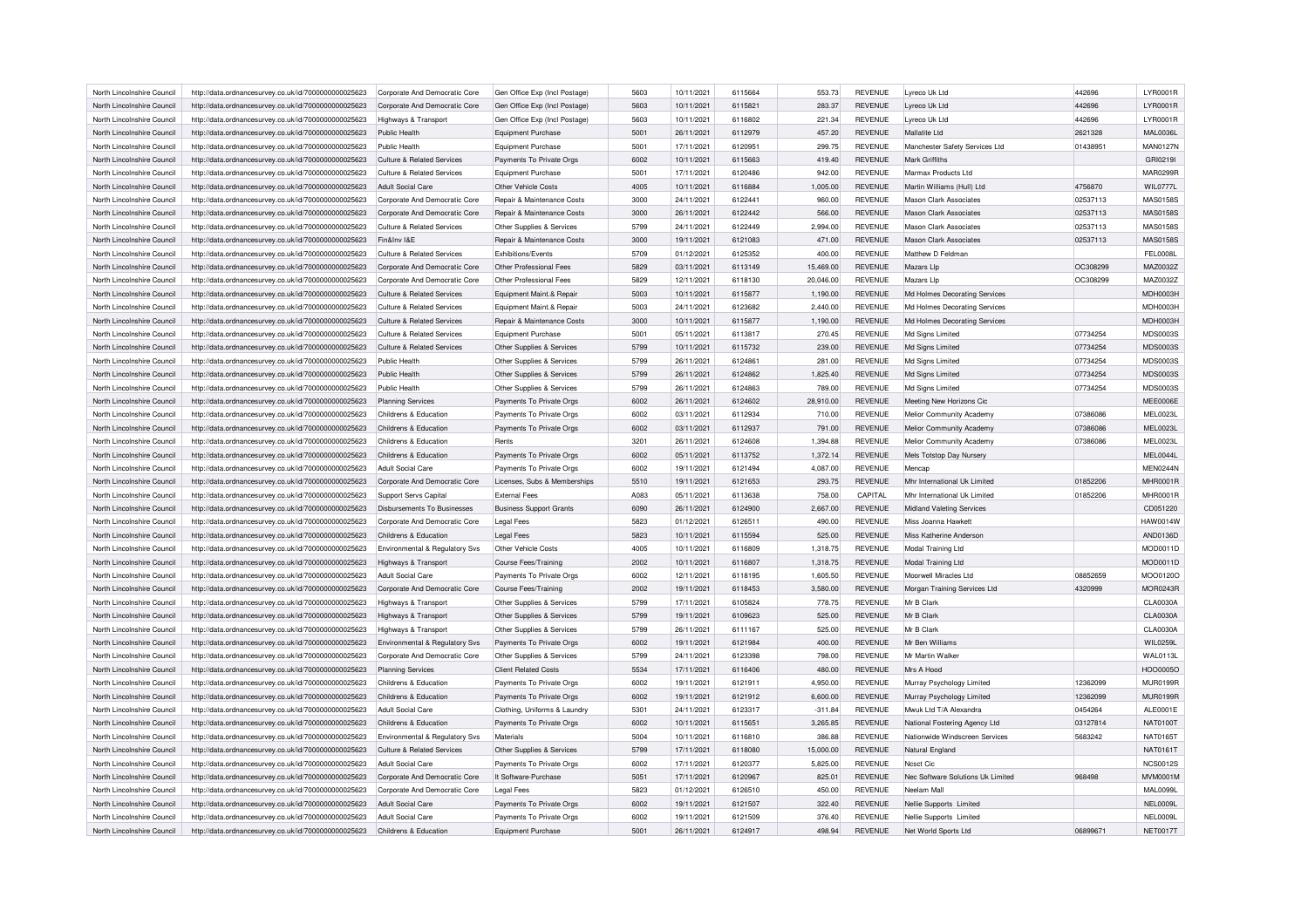| North Lincolnshire Council | http://data.ordnancesurvey.co.uk/id/7000000000025623 | Corporate And Democratic Core         | Gen Office Exp (Incl Postage)  | 5603 | 10/11/2021 | 6115664 | 553.73    | REVENUE        | Lyreco Uk Ltd                     | 442696   | <b>LYR0001R</b> |
|----------------------------|------------------------------------------------------|---------------------------------------|--------------------------------|------|------------|---------|-----------|----------------|-----------------------------------|----------|-----------------|
| North Lincolnshire Council | http://data.ordnancesurvey.co.uk/id/7000000000025623 | Corporate And Democratic Core         | Gen Office Exp (Incl Postage)  | 5603 | 10/11/2021 | 6115821 | 283.37    | <b>REVENUE</b> | Lyreco Uk Ltd                     | 442696   | LYR0001R        |
| North Lincolnshire Council | http://data.ordnancesurvey.co.uk/id/7000000000025623 | Highways & Transport                  | Gen Office Exp (Incl Postage)  | 5603 | 10/11/2021 | 6116802 | 221.34    | <b>REVENUE</b> | Lyreco Uk Ltd                     | 442696   | LYR0001R        |
| North Lincolnshire Council | http://data.ordnancesurvey.co.uk/id/7000000000025623 | Public Health                         | <b>Equipment Purchase</b>      | 5001 | 26/11/2021 | 6112979 | 457.20    | <b>REVENUE</b> | Mallatite I to                    | 2621328  | <b>MAL0036L</b> |
| North Lincolnshire Council | http://data.ordnancesurvey.co.uk/id/7000000000025623 | Public Health                         | <b>Equipment Purchase</b>      | 5001 | 17/11/2021 | 6120951 | 299.75    | <b>REVENUE</b> | Manchester Safety Services Ltd    | 01438951 | <b>MAN0127N</b> |
| North Lincolnshire Council | http://data.ordnancesurvey.co.uk/id/7000000000025623 | <b>Culture &amp; Related Services</b> | Payments To Private Orgs       | 6002 | 10/11/2021 | 6115663 | 419.40    | <b>REVENUE</b> | <b>Mark Griffiths</b>             |          | GRI0219I        |
| North Lincolnshire Council | http://data.ordnancesurvey.co.uk/id/7000000000025623 | Culture & Related Services            | <b>Equipment Purchase</b>      | 5001 | 17/11/2021 | 6120486 | 942.00    | <b>REVENUE</b> | Marmax Products Ltd               |          | MAR0299F        |
| North Lincolnshire Council | http://data.ordnancesurvey.co.uk/id/7000000000025623 | <b>Adult Social Care</b>              | Other Vehicle Costs            | 4005 | 10/11/2021 | 6116884 | 1,005.00  | <b>REVENUE</b> | Martin Williams (Hull) Ltd        | 4756870  | <b>WIL0777L</b> |
| North Lincolnshire Council | http://data.ordnancesurvey.co.uk/id/7000000000025623 | Corporate And Democratic Core         | Repair & Maintenance Costs     | 3000 | 24/11/2021 | 6122441 | 960.00    | <b>REVENUE</b> | <b>Mason Clark Associates</b>     | 02537113 | MAS0158S        |
| North Lincolnshire Council | http://data.ordnancesurvey.co.uk/id/7000000000025623 | Corporate And Democratic Core         | Repair & Maintenance Costs     | 3000 | 26/11/2021 | 6122442 | 566.00    | <b>REVENUE</b> | Mason Clark Associates            | 02537113 | MAS0158S        |
| North Lincolnshire Council | http://data.ordnancesurvey.co.uk/id/7000000000025623 | <b>Culture &amp; Related Services</b> | Other Supplies & Services      | 5799 | 24/11/2021 | 6122449 | 2,994.00  | <b>REVENUE</b> | <b>Mason Clark Associates</b>     | 02537113 | MAS01585        |
| North Lincolnshire Council | http://data.ordnancesurvey.co.uk/id/7000000000025623 | Fin&Inv I&E                           | Repair & Maintenance Costs     | 3000 | 19/11/2021 | 6121083 | 471.00    | <b>REVENUE</b> | <b>Mason Clark Associates</b>     | 02537113 | <b>MAS0158S</b> |
| North Lincolnshire Council | http://data.ordnancesurvey.co.uk/id/7000000000025623 | <b>Culture &amp; Related Services</b> | <b>Exhibitions/Events</b>      | 5709 | 01/12/2021 | 6125352 | 400.00    | <b>REVENUE</b> | Matthew D Feldman                 |          | FEL0008L        |
| North Lincolnshire Council | http://data.ordnancesurvey.co.uk/id/7000000000025623 | Corporate And Democratic Core         | Other Professional Fees        | 5829 | 03/11/2021 | 6113149 | 15,469.00 | <b>REVENUE</b> | Mazars Llp                        | OC308299 | MAZ0032Z        |
| North Lincolnshire Council | http://data.ordnancesurvey.co.uk/id/7000000000025623 | Corporate And Democratic Core         | Other Professional Fees        | 5829 | 12/11/2021 | 6118130 | 20,046.00 | <b>REVENUE</b> | Mazars Lin                        | OC308299 | MAZ0032Z        |
| North Lincolnshire Council | http://data.ordnancesurvey.co.uk/id/7000000000025623 | Culture & Related Services            | Equipment Maint.& Repair       | 5003 | 10/11/2021 | 6115877 | 1,190.00  | <b>REVENUE</b> | Md Holmes Decorating Services     |          | <b>MDH0003H</b> |
|                            |                                                      |                                       |                                |      | 24/11/2021 | 6123682 | 2,440.00  | <b>REVENUE</b> |                                   |          | <b>MDH0003H</b> |
| North Lincolnshire Council | http://data.ordnancesurvey.co.uk/id/7000000000025623 | <b>Culture &amp; Related Services</b> | Equipment Maint.& Repair       | 5003 |            |         |           |                | Md Holmes Decorating Services     |          |                 |
| North Lincolnshire Council | http://data.ordnancesurvey.co.uk/id/7000000000025623 | Culture & Related Services            | Repair & Maintenance Costs     | 3000 | 10/11/2021 | 6115877 | 1,190.00  | <b>REVENUE</b> | Md Holmes Decorating Services     |          | <b>MDH0003H</b> |
| North Lincolnshire Council | http://data.ordnancesurvey.co.uk/id/7000000000025623 | <b>Culture &amp; Related Services</b> | <b>Equipment Purchase</b>      | 5001 | 05/11/2021 | 6113817 | 270.45    | REVENUE        | Md Signs Limited                  | 07734254 | MDS0003S        |
| North Lincolnshire Council | http://data.ordnancesurvey.co.uk/id/7000000000025623 | Culture & Related Services            | Other Supplies & Services      | 5799 | 10/11/2021 | 6115732 | 239.00    | REVENUE        | Md Signs Limited                  | 07734254 | MDS0003S        |
| North Lincolnshire Council | http://data.ordnancesurvey.co.uk/id/7000000000025623 | Public Health                         | Other Supplies & Services      | 5799 | 26/11/2021 | 6124861 | 281.00    | <b>REVENUE</b> | Md Signs Limited                  | 07734254 | MDS0003S        |
| North Lincolnshire Council | http://data.ordnancesurvey.co.uk/id/7000000000025623 | Public Health                         | Other Supplies & Services      | 5799 | 26/11/2021 | 6124862 | 1,825.40  | <b>REVENUE</b> | Md Signs Limited                  | 07734254 | MDS00035        |
| North Lincolnshire Council | http://data.ordnancesurvey.co.uk/id/7000000000025623 | Public Health                         | Other Supplies & Services      | 5799 | 26/11/2021 | 6124863 | 789.00    | <b>REVENUE</b> | Md Signs Limited                  | 07734254 | MDS0003S        |
| North Lincolnshire Council | http://data.ordnancesurvey.co.uk/id/7000000000025623 | <b>Planning Services</b>              | Payments To Private Orgs       | 6002 | 26/11/2021 | 6124602 | 28,910.00 | <b>REVENUE</b> | Meeting New Horizons Cic          |          | MEE0006E        |
| North Lincolnshire Council | http://data.ordnancesurvey.co.uk/id/7000000000025623 | Childrens & Education                 | Payments To Private Orgs       | 6002 | 03/11/2021 | 6112934 | 710.00    | <b>REVENUE</b> | Melior Community Academy          | 07386086 | MEL0023L        |
| North Lincolnshire Council | http://data.ordnancesurvey.co.uk/id/7000000000025623 | Childrens & Education                 | Payments To Private Orgs       | 6002 | 03/11/2021 | 6112937 | 791.00    | REVENUE        | Melior Community Academy          | 07386086 | MEL0023L        |
| North Lincolnshire Council | http://data.ordnancesurvey.co.uk/id/7000000000025623 | Childrens & Education                 | Rents                          | 3201 | 26/11/2021 | 6124608 | 1.394.88  | <b>REVENUE</b> | Melior Community Academy          | 07386086 | <b>MEL0023L</b> |
| North Lincolnshire Council | http://data.ordnancesurvey.co.uk/id/7000000000025623 | Childrens & Education                 | Payments To Private Orgs       | 6002 | 05/11/2021 | 6113752 | 1,372.14  | <b>REVENUE</b> | Mels Totstop Day Nursery          |          | MEL0044L        |
| North Lincolnshire Council | http://data.ordnancesurvey.co.uk/id/7000000000025623 | <b>Adult Social Care</b>              | Payments To Private Orgs       | 6002 | 19/11/2021 | 6121494 | 4,087.00  | <b>REVENUE</b> | Mencap                            |          | MEN0244N        |
| North Lincolnshire Council | http://data.ordnancesurvey.co.uk/id/7000000000025623 | Corporate And Democratic Core         | Licenses, Subs & Memberships   | 5510 | 19/11/2021 | 6121653 | 293.75    | <b>REVENUE</b> | Mhr International Uk Limited      | 01852206 | MHR0001R        |
| North Lincolnshire Council | http://data.ordnancesurvey.co.uk/id/7000000000025623 | Support Servs Capital                 | <b>External Fees</b>           | A083 | 05/11/2021 | 6113638 | 758.00    | CAPITAL        | Mhr International Uk Limited      | 01852206 | <b>MHR0001R</b> |
| North Lincolnshire Council | http://data.ordnancesurvey.co.uk/id/7000000000025623 | <b>Disbursements To Businesses</b>    | <b>Business Support Grants</b> | 6090 | 26/11/2021 | 6124900 | 2,667.00  | <b>REVENUE</b> | <b>Midland Valeting Services</b>  |          | CD051220        |
| North Lincolnshire Council | http://data.ordnancesurvey.co.uk/id/7000000000025623 | Corporate And Democratic Core         | <b>Legal Fees</b>              | 5823 | 01/12/2021 | 6126511 | 490.00    | <b>REVENUE</b> | Miss Joanna Hawkett               |          | HAW0014W        |
| North Lincolnshire Council | http://data.ordnancesurvey.co.uk/id/7000000000025623 | Childrens & Education                 | <b>Legal Fees</b>              | 5823 | 10/11/2021 | 6115594 | 525.00    | <b>REVENUE</b> | Miss Katherine Anderson           |          | AND0136D        |
| North Lincolnshire Council | http://data.ordnancesurvey.co.uk/id/7000000000025623 | Environmental & Regulatory Svs        | Other Vehicle Costs            | 4005 | 10/11/2021 | 6116809 | 1,318.75  | <b>REVENUE</b> | Modal Training Ltd                |          | MOD0011D        |
| North Lincolnshire Council | http://data.ordnancesurvey.co.uk/id/7000000000025623 | Highways & Transport                  | <b>Course Fees/Training</b>    | 2002 | 10/11/2021 | 6116807 | 1,318.75  | <b>REVENUE</b> | Modal Training Ltd                |          | MOD0011D        |
|                            |                                                      |                                       |                                | 6002 |            | 6118195 |           | <b>REVENUE</b> | Moorwell Miracles I td            | 08852659 | MOO0120O        |
| North Lincolnshire Council | http://data.ordnancesurvey.co.uk/id/7000000000025623 | Adult Social Care                     | Payments To Private Orgs       |      | 12/11/2021 |         | 1,605.50  |                |                                   |          |                 |
| North Lincolnshire Council | http://data.ordnancesurvey.co.uk/id/7000000000025623 | Corporate And Democratic Core         | <b>Course Fees/Training</b>    | 2002 | 19/11/2021 | 6118453 | 3,580.00  | REVENUE        | Morgan Training Services Ltd      | 4320999  | <b>MOR0243R</b> |
| North Lincolnshire Council | http://data.ordnancesurvey.co.uk/id/7000000000025623 | Highways & Transport                  | Other Supplies & Services      | 5799 | 17/11/2021 | 6105824 | 778.75    | <b>REVENUE</b> | Mr B Clark                        |          | <b>CLA0030A</b> |
| North Lincolnshire Council | http://data.ordnancesurvey.co.uk/id/7000000000025623 | Highways & Transport                  | Other Supplies & Services      | 5799 | 19/11/2021 | 6109623 | 525.00    | REVENUE        | Mr B Clark                        |          | <b>CLA0030A</b> |
| North Lincolnshire Council | http://data.ordnancesurvey.co.uk/id/7000000000025623 | Highways & Transport                  | Other Supplies & Services      | 5799 | 26/11/2021 | 6111167 | 525.00    | REVENUE        | Mr B Clark                        |          | <b>CLA0030A</b> |
| North Lincolnshire Council | http://data.ordnancesurvey.co.uk/id/7000000000025623 | Environmental & Regulatory Svs        | Payments To Private Orgs       | 6002 | 19/11/2021 | 6121984 | 400.00    | <b>REVENUE</b> | Mr Ben Williams                   |          | WIL0259L        |
| North Lincolnshire Council | http://data.ordnancesurvey.co.uk/id/7000000000025623 | Corporate And Democratic Core         | Other Supplies & Services      | 5799 | 24/11/2021 | 6123398 | 798.00    | <b>REVENUE</b> | Mr Martin Walker                  |          | <b>WAL0113L</b> |
| North Lincolnshire Council | http://data.ordnancesurvey.co.uk/id/7000000000025623 | <b>Planning Services</b>              | <b>Client Related Costs</b>    | 5534 | 17/11/2021 | 6116406 | 480.00    | <b>REVENUE</b> | Mrs A Hood                        |          | HOO0005C        |
| North Lincolnshire Council | http://data.ordnancesurvey.co.uk/id/7000000000025623 | Childrens & Education                 | Payments To Private Orgs       | 6002 | 19/11/2021 | 6121911 | 4.950.00  | <b>REVENUE</b> | Murray Psychology Limited         | 12362099 | <b>MUR0199R</b> |
| North Lincolnshire Council | http://data.ordnancesurvey.co.uk/id/7000000000025623 | Childrens & Education                 | Payments To Private Orgs       | 6002 | 19/11/2021 | 6121912 | 6,600.00  | <b>REVENUE</b> | Murray Psychology Limited         | 12362099 | <b>MUR0199F</b> |
| North Lincolnshire Council | http://data.ordnancesurvey.co.uk/id/7000000000025623 | <b>Adult Social Care</b>              | Clothing, Uniforms & Laundry   | 5301 | 24/11/2021 | 6123317 | $-311.84$ | <b>REVENUE</b> | Mwuk Ltd T/A Alexandra            | 0454264  | <b>ALE0001E</b> |
| North Lincolnshire Council | http://data.ordnancesurvey.co.uk/id/7000000000025623 | Childrens & Education                 | Payments To Private Orgs       | 6002 | 10/11/2021 | 6115651 | 3.265.85  | <b>REVENUE</b> | National Fostering Agency Ltd     | 03127814 | <b>NAT0100T</b> |
| North Lincolnshire Council | http://data.ordnancesurvey.co.uk/id/7000000000025623 | Environmental & Regulatory Svs        | Materials                      | 5004 | 10/11/2021 | 6116810 | 386.88    | <b>REVENUE</b> | Nationwide Windscreen Services    | 5683242  | NAT0165T        |
| North Lincolnshire Council | http://data.ordnancesurvey.co.uk/id/7000000000025623 | <b>Culture &amp; Related Services</b> | Other Supplies & Services      | 5799 | 17/11/2021 | 6118080 | 15,000.00 | <b>REVENUE</b> | Natural England                   |          | NAT0161T        |
| North Lincolnshire Council | http://data.ordnancesurvey.co.uk/id/7000000000025623 | <b>Adult Social Care</b>              | Payments To Private Orgs       | 6002 | 17/11/2021 | 6120377 | 5.825.00  | <b>REVENUE</b> | <b>Ncsct Cic</b>                  |          | <b>NCS0012S</b> |
| North Lincolnshire Council | http://data.ordnancesurvey.co.uk/id/7000000000025623 | Corporate And Democratic Core         | It Software-Purchase           | 5051 | 17/11/2021 | 6120967 | 825.01    | <b>REVENUE</b> | Nec Software Solutions Uk Limited | 968498   | MVM0001N        |
| North Lincolnshire Council | http://data.ordnancesurvey.co.uk/id/7000000000025623 | Corporate And Democratic Core         | Legal Fees                     | 5823 | 01/12/2021 | 6126510 | 450.00    | REVENUE        | Neelam Mall                       |          | <b>MAL0099L</b> |
| North Lincolnshire Council | http://data.ordnancesurvey.co.uk/id/7000000000025623 | <b>Adult Social Care</b>              | Payments To Private Orgs       | 6002 | 19/11/2021 | 6121507 | 322.40    | <b>REVENUE</b> | Nellie Supports Limited           |          | <b>NEL0009L</b> |
| North Lincolnshire Council | http://data.ordnancesurvey.co.uk/id/7000000000025623 | <b>Adult Social Care</b>              | Payments To Private Orgs       | 6002 | 19/11/2021 | 6121509 | 376.40    | <b>REVENUE</b> | Nellie Supports Limited           |          | <b>NEL0009L</b> |
| North Lincolnshire Council | http://data.ordnancesurvey.co.uk/id/7000000000025623 | Childrens & Education                 | <b>Equipment Purchase</b>      | 5001 | 26/11/2021 | 6124917 | 498.94    | <b>REVENUE</b> | Net World Sports Ltd              | 06899671 | <b>NET0017T</b> |
|                            |                                                      |                                       |                                |      |            |         |           |                |                                   |          |                 |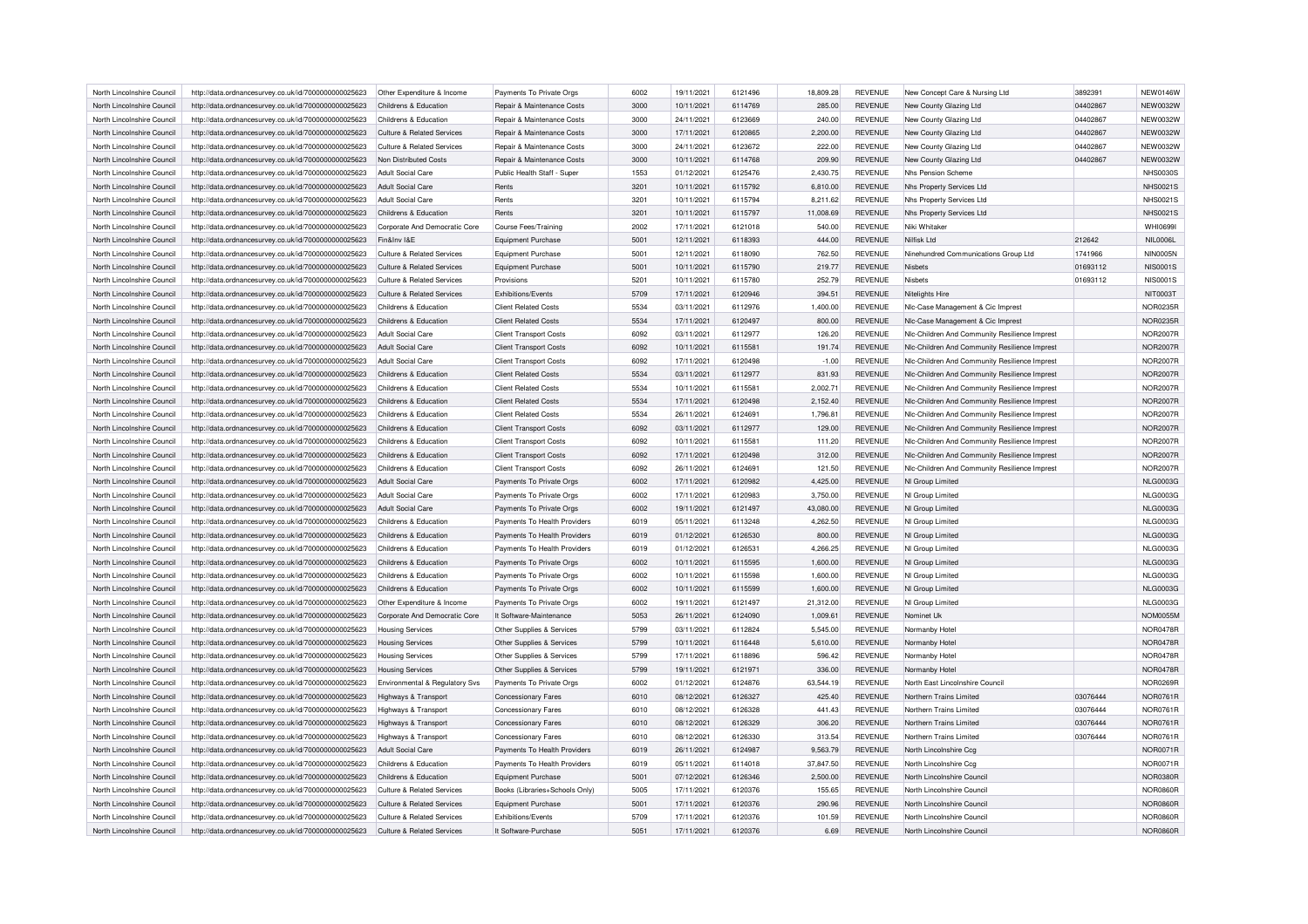| North Lincolnshire Council | http://data.ordnancesurvey.co.uk/id/7000000000025623 | Other Expenditure & Income            | Payments To Private Orgs       | 6002 | 19/11/2021 | 6121496 | 18,809.28 | <b>REVENUE</b> | New Concept Care & Nursing Ltd                | 3892391  | <b>NEW0146W</b> |
|----------------------------|------------------------------------------------------|---------------------------------------|--------------------------------|------|------------|---------|-----------|----------------|-----------------------------------------------|----------|-----------------|
| North Lincolnshire Council | http://data.ordnancesurvey.co.uk/id/7000000000025623 | Childrens & Education                 | Repair & Maintenance Costs     | 3000 | 10/11/2021 | 6114769 | 285.00    | <b>REVENUE</b> | New County Glazing Ltd                        | 04402867 | <b>NEW0032W</b> |
| North Lincolnshire Council | http://data.ordnancesurvey.co.uk/id/7000000000025623 | Childrens & Education                 | Repair & Maintenance Costs     | 3000 | 24/11/2021 | 6123669 | 240.00    | <b>REVENUE</b> | New County Glazing Ltd                        | 04402867 | <b>NEW0032W</b> |
| North Lincolnshire Council | http://data.ordnancesurvey.co.uk/id/7000000000025623 | <b>Culture &amp; Related Services</b> | Repair & Maintenance Costs     | 3000 | 17/11/2021 | 6120865 | 2,200.00  | <b>REVENUE</b> | New County Glazing Ltd                        | 04402867 | <b>NEW0032W</b> |
| North Lincolnshire Council | http://data.ordnancesurvey.co.uk/id/7000000000025623 | <b>Culture &amp; Related Services</b> | Repair & Maintenance Costs     | 3000 | 24/11/2021 | 6123672 | 222.00    | <b>REVENUE</b> | New County Glazing Ltd                        | 04402867 | <b>NEW0032W</b> |
| North Lincolnshire Council | http://data.ordnancesurvey.co.uk/id/7000000000025623 | Non Distributed Costs                 | Repair & Maintenance Costs     | 3000 | 10/11/2021 | 6114768 | 209.90    | <b>REVENUE</b> | New County Glazing Ltd                        | 04402867 | <b>NEW0032W</b> |
| North Lincolnshire Council | http://data.ordnancesurvey.co.uk/id/7000000000025623 | <b>Adult Social Care</b>              | Public Health Staff - Super    | 1553 | 01/12/2021 | 6125476 | 2,430.75  | <b>REVENUE</b> | Nhs Pension Scheme                            |          | <b>NHS0030S</b> |
| North Lincolnshire Council | http://data.ordnancesurvey.co.uk/id/7000000000025623 | <b>Adult Social Care</b>              | Rents                          | 3201 | 10/11/2021 | 6115792 | 6,810.00  | <b>REVENUE</b> | Nhs Property Services Ltd                     |          | <b>NHS0021S</b> |
| North Lincolnshire Council | http://data.ordnancesurvey.co.uk/id/7000000000025623 | Adult Social Care                     | Rents                          | 3201 | 10/11/2021 | 6115794 | 8,211.62  | <b>REVENUE</b> | Nhs Property Services Ltd                     |          | <b>NHS0021S</b> |
| North Lincolnshire Council | http://data.ordnancesurvey.co.uk/id/7000000000025623 | Childrens & Education                 | Rents                          | 3201 | 10/11/2021 | 6115797 | 11,008.69 | <b>REVENUE</b> | Nhs Property Services Ltd                     |          | <b>NHS0021S</b> |
| North Lincolnshire Council | http://data.ordnancesurvey.co.uk/id/7000000000025623 | Corporate And Democratic Core         | <b>Course Fees/Training</b>    | 2002 | 17/11/2021 | 6121018 | 540.00    | <b>REVENUE</b> | Niki Whitaker                                 |          | <b>WHI0699I</b> |
| North Lincolnshire Council | http://data.ordnancesurvey.co.uk/id/7000000000025623 | Fin&Inv I&F                           | <b>Equipment Purchase</b>      | 5001 | 12/11/2021 | 6118393 | 444.00    | <b>REVENUE</b> | Nilfisk I to                                  | 212642   | NIL0006L        |
| North Lincolnshire Council | http://data.ordnancesurvey.co.uk/id/7000000000025623 | <b>Culture &amp; Related Services</b> | Equipment Purchase             | 5001 | 12/11/2021 | 6118090 | 762.50    | <b>REVENUE</b> | Ninehundred Communications Group Ltd          | 1741966  | <b>NIN0005N</b> |
|                            |                                                      |                                       |                                |      | 10/11/2021 | 6115790 |           | <b>REVENUE</b> | Nishets                                       | 01693112 | <b>NIS0001S</b> |
| North Lincolnshire Council | http://data.ordnancesurvey.co.uk/id/7000000000025623 | <b>Culture &amp; Related Services</b> | <b>Equipment Purchase</b>      | 5001 |            |         | 219.77    |                |                                               |          |                 |
| North Lincolnshire Council | http://data.ordnancesurvey.co.uk/id/7000000000025623 | Culture & Related Services            | Provisions                     | 5201 | 10/11/2021 | 6115780 | 252.79    | <b>REVENUE</b> | Nisbets                                       | 01693112 | <b>NIS0001S</b> |
| North Lincolnshire Council | http://data.ordnancesurvey.co.uk/id/7000000000025623 | <b>Culture &amp; Related Services</b> | Exhibitions/Events             | 5709 | 17/11/2021 | 6120946 | 394.51    | <b>REVENUE</b> | <b>Niteliahts Hire</b>                        |          | <b>NIT0003T</b> |
| North Lincolnshire Council | http://data.ordnancesurvey.co.uk/id/7000000000025623 | Childrens & Education                 | <b>Client Related Costs</b>    | 5534 | 03/11/2021 | 6112976 | 1.400.00  | <b>REVENUE</b> | NIc-Case Management & Cic Imprest             |          | <b>NOR0235R</b> |
| North Lincolnshire Council | http://data.ordnancesurvey.co.uk/id/7000000000025623 | Childrens & Education                 | <b>Client Related Costs</b>    | 5534 | 17/11/2021 | 6120497 | 800.00    | <b>REVENUE</b> | NIc-Case Management & Cic Imprest             |          | NOR0235R        |
| North Lincolnshire Council | http://data.ordnancesurvey.co.uk/id/7000000000025623 | <b>Adult Social Care</b>              | <b>Client Transport Costs</b>  | 6092 | 03/11/2021 | 6112977 | 126.20    | <b>REVENUE</b> | NIc-Children And Community Resilience Imprest |          | <b>NOR2007R</b> |
| North Lincolnshire Council | http://data.ordnancesurvey.co.uk/id/7000000000025623 | Adult Social Care                     | <b>Client Transport Costs</b>  | 6092 | 10/11/2021 | 6115581 | 191.74    | <b>REVENUE</b> | NIc-Children And Community Resilience Imprest |          | <b>NOR2007R</b> |
| North Lincolnshire Council | http://data.ordnancesurvey.co.uk/id/7000000000025623 | <b>Adult Social Care</b>              | <b>Client Transport Costs</b>  | 6092 | 17/11/2021 | 6120498 | $-1.00$   | <b>REVENUE</b> | NIc-Children And Community Resilience Imprest |          | <b>NOR2007R</b> |
| North Lincolnshire Council | http://data.ordnancesurvey.co.uk/id/7000000000025623 | Childrens & Education                 | <b>Client Related Costs</b>    | 5534 | 03/11/2021 | 6112977 | 831.93    | <b>REVENUE</b> | NIc-Children And Community Resilience Imprest |          | <b>NOR2007R</b> |
| North Lincolnshire Council | http://data.ordnancesurvey.co.uk/id/7000000000025623 | Childrens & Education                 | <b>Client Related Costs</b>    | 5534 | 10/11/2021 | 6115581 | 2.002.71  | <b>REVENUE</b> | Nic-Children And Community Resilience Imprest |          | <b>NOR2007R</b> |
| North Lincolnshire Council | http://data.ordnancesurvey.co.uk/id/7000000000025623 | Childrens & Education                 | <b>Client Related Costs</b>    | 5534 | 17/11/2021 | 6120498 | 2,152.40  | <b>REVENUE</b> | NIc-Children And Community Resilience Imprest |          | <b>NOR2007R</b> |
| North Lincolnshire Council | http://data.ordnancesurvey.co.uk/id/7000000000025623 | Childrens & Education                 | <b>Client Related Costs</b>    | 5534 | 26/11/2021 | 6124691 | 1,796.81  | REVENUE        | Nic-Children And Community Resilience Imprest |          | <b>NOR2007R</b> |
| North Lincolnshire Council | http://data.ordnancesurvey.co.uk/id/7000000000025623 | Childrens & Education                 | <b>Client Transport Costs</b>  | 6092 | 03/11/2021 | 6112977 | 129.00    | <b>REVENUE</b> | Nic-Children And Community Resilience Imprest |          | <b>NOR2007R</b> |
| North Lincolnshire Council | http://data.ordnancesurvey.co.uk/id/7000000000025623 | Childrens & Education                 | <b>Client Transport Costs</b>  | 6092 | 10/11/2021 | 611558  | 111.20    | <b>REVENUE</b> | NIc-Children And Community Resilience Imprest |          | <b>NOR2007R</b> |
| North Lincolnshire Council | http://data.ordnancesurvey.co.uk/id/7000000000025623 | Childrens & Education                 | <b>Client Transport Costs</b>  | 6092 | 17/11/2021 | 6120498 | 312.00    | <b>REVENUE</b> | NIc-Children And Community Resilience Imprest |          | <b>NOR2007R</b> |
| North Lincolnshire Council | http://data.ordnancesurvey.co.uk/id/7000000000025623 | Childrens & Education                 | <b>Client Transport Costs</b>  | 6092 | 26/11/2021 | 6124691 | 121.50    | <b>REVENUE</b> | Nic-Children And Community Resilience Imprest |          | <b>NOR2007R</b> |
| North Lincolnshire Council | http://data.ordnancesurvey.co.uk/id/7000000000025623 | <b>Adult Social Care</b>              | Payments To Private Orgs       | 6002 | 17/11/2021 | 6120982 | 4,425.00  | <b>REVENUE</b> | NI Group Limited                              |          | <b>NLG0003G</b> |
| North Lincolnshire Council | http://data.ordnancesurvey.co.uk/id/7000000000025623 | <b>Adult Social Care</b>              | Payments To Private Orgs       | 6002 | 17/11/2021 | 6120983 | 3,750.00  | <b>REVENUE</b> | NI Group Limited                              |          | <b>NLG0003G</b> |
| North Lincolnshire Council | http://data.ordnancesurvey.co.uk/id/7000000000025623 | Adult Social Care                     | Payments To Private Orgs       | 6002 | 19/11/2021 | 6121497 | 43.080.00 | <b>REVENUE</b> | NI Group Limited                              |          | <b>NLG0003G</b> |
|                            |                                                      |                                       |                                |      |            |         |           |                |                                               |          |                 |
| North Lincolnshire Council | http://data.ordnancesurvey.co.uk/id/7000000000025623 | Childrens & Education                 | Payments To Health Providers   | 6019 | 05/11/2021 | 6113248 | 4,262.50  | <b>REVENUE</b> | NI Group Limited                              |          | <b>NLG0003G</b> |
| North Lincolnshire Council | http://data.ordnancesurvey.co.uk/id/7000000000025623 | Childrens & Education                 | Payments To Health Providers   | 6019 | 01/12/2021 | 6126530 | 800.00    | <b>REVENUE</b> | NI Group Limited                              |          | <b>NLG0003G</b> |
| North Lincolnshire Council | http://data.ordnancesurvey.co.uk/id/7000000000025623 | Childrens & Education                 | Payments To Health Providers   | 6019 | 01/12/2021 | 6126531 | 4,266.25  | <b>REVENUE</b> | NI Group Limited                              |          | <b>NLG0003G</b> |
| North Lincolnshire Council | http://data.ordnancesurvey.co.uk/id/7000000000025623 | Childrens & Education                 | Payments To Private Orgs       | 6002 | 10/11/2021 | 6115595 | 1,600.00  | <b>REVENUE</b> | NI Group Limited                              |          | <b>NLG0003G</b> |
| North Lincolnshire Council | http://data.ordnancesurvey.co.uk/id/7000000000025623 | Childrens & Education                 | Payments To Private Orgs       | 6002 | 10/11/2021 | 6115598 | 1,600.00  | <b>REVENUE</b> | NI Group Limited                              |          | <b>NLG0003G</b> |
| North Lincolnshire Council | http://data.ordnancesurvey.co.uk/id/7000000000025623 | Childrens & Education                 | Payments To Private Orgs       | 6002 | 10/11/2021 | 6115599 | 1,600.00  | <b>REVENUE</b> | NI Group Limited                              |          | <b>NLG0003G</b> |
| North Lincolnshire Council | http://data.ordnancesurvey.co.uk/id/7000000000025623 | Other Expenditure & Income            | Payments To Private Orgs       | 6002 | 19/11/2021 | 6121497 | 21,312.00 | <b>REVENUE</b> | NI Group Limited                              |          | <b>NLG0003G</b> |
| North Lincolnshire Council | http://data.ordnancesurvey.co.uk/id/7000000000025623 | Corporate And Democratic Core         | It Software-Maintenance        | 5053 | 26/11/2021 | 6124090 | 1,009.61  | <b>REVENUE</b> | Nominet Uk                                    |          | <b>NOM0055M</b> |
| North Lincolnshire Council | http://data.ordnancesurvey.co.uk/id/7000000000025623 | <b>Housing Services</b>               | Other Supplies & Services      | 5799 | 03/11/2021 | 6112824 | 5,545.00  | REVENUE        | Normanby Hotel                                |          | <b>NOR0478R</b> |
| North Lincolnshire Council | http://data.ordnancesurvey.co.uk/id/7000000000025623 | <b>Housing Services</b>               | Other Supplies & Services      | 5799 | 10/11/2021 | 6116448 | 5,610.00  | <b>REVENUE</b> | Normanby Hotel                                |          | <b>NOR0478R</b> |
| North Lincolnshire Council | http://data.ordnancesurvey.co.uk/id/7000000000025623 | <b>Housing Services</b>               | Other Supplies & Services      | 5799 | 17/11/2021 | 6118896 | 596.42    | <b>REVENUE</b> | Normanby Hotel                                |          | <b>NOR0478R</b> |
| North Lincolnshire Council | http://data.ordnancesurvey.co.uk/id/7000000000025623 | <b>Housing Services</b>               | Other Supplies & Services      | 5799 | 19/11/2021 | 6121971 | 336.00    | <b>REVENUE</b> | Normanby Hotel                                |          | <b>NOR0478R</b> |
| North Lincolnshire Council | http://data.ordnancesurvey.co.uk/id/7000000000025623 | Environmental & Regulatory Svs        | Payments To Private Orgs       | 6002 | 01/12/2021 | 6124876 | 63,544.19 | <b>REVENUE</b> | North East Lincolnshire Council               |          | <b>NOR0269F</b> |
| North Lincolnshire Council | http://data.ordnancesurvey.co.uk/id/7000000000025623 | Highways & Transport                  | <b>Concessionary Fares</b>     | 6010 | 08/12/2021 | 6126327 | 425.40    | REVENUE        | Northern Trains Limited                       | 03076444 | <b>NOR0761R</b> |
| North Lincolnshire Council | http://data.ordnancesurvey.co.uk/id/7000000000025623 | Highways & Transport                  | <b>Concessionary Fares</b>     | 6010 | 08/12/2021 | 6126328 | 441.43    | REVENUE        | Northern Trains Limited                       | 03076444 | <b>NOR0761R</b> |
| North Lincolnshire Council | http://data.ordnancesurvey.co.uk/id/7000000000025623 | Highways & Transport                  | <b>Concessionary Fares</b>     | 6010 | 08/12/2021 | 6126329 | 306.20    | <b>REVENUE</b> | Northern Trains Limited                       | 03076444 | <b>NOR0761R</b> |
| North Lincolnshire Council | http://data.ordnancesurvey.co.uk/id/7000000000025623 | Highways & Transport                  | <b>Concessionary Fares</b>     | 6010 | 08/12/2021 | 6126330 | 313.54    | <b>REVENUE</b> | Northern Trains Limited                       | 03076444 | <b>NOR0761R</b> |
| North Lincolnshire Council |                                                      | Adult Social Care                     |                                |      |            | 6124987 |           | <b>REVENUE</b> |                                               |          |                 |
|                            | http://data.ordnancesurvey.co.uk/id/7000000000025623 |                                       | Payments To Health Providers   | 6019 | 26/11/2021 |         | 9,563.79  |                | North Lincolnshire Ccg                        |          | <b>NOR0071R</b> |
| North Lincolnshire Council | http://data.ordnancesurvey.co.uk/id/7000000000025623 | Childrens & Education                 | Payments To Health Providers   | 6019 | 05/11/2021 | 6114018 | 37,847.50 | <b>REVENUE</b> | North Lincolnshire Ccg                        |          | <b>NOR0071R</b> |
| North Lincolnshire Council | http://data.ordnancesurvey.co.uk/id/7000000000025623 | Childrens & Education                 | <b>Equipment Purchase</b>      | 5001 | 07/12/2021 | 6126346 | 2,500.00  | <b>REVENUE</b> | North Lincolnshire Council                    |          | <b>NOR0380R</b> |
| North Lincolnshire Council | http://data.ordnancesurvey.co.uk/id/7000000000025623 | Culture & Related Services            | Books (Libraries+Schools Only) | 5005 | 17/11/2021 | 6120376 | 155.65    | <b>REVENUE</b> | North Lincolnshire Council                    |          | <b>NOR0860R</b> |
| North Lincolnshire Council | http://data.ordnancesurvey.co.uk/id/7000000000025623 | Culture & Related Services            | Equipment Purchase             | 5001 | 17/11/2021 | 6120376 | 290.96    | <b>REVENUE</b> | North Lincolnshire Council                    |          | <b>NOR0860R</b> |
| North Lincolnshire Council | http://data.ordnancesurvey.co.uk/id/7000000000025623 | Culture & Related Services            | Exhibitions/Events             | 5709 | 17/11/2021 | 6120376 | 101.59    | REVENUE        | North Lincolnshire Counci                     |          | <b>NOR0860F</b> |
| North Lincolnshire Council | http://data.ordnancesurvey.co.uk/id/7000000000025623 | Culture & Related Services            | It Software-Purchase           | 5051 | 17/11/2021 | 6120376 | 6.69      | <b>REVENUE</b> | North Lincolnshire Council                    |          | <b>NOR0860R</b> |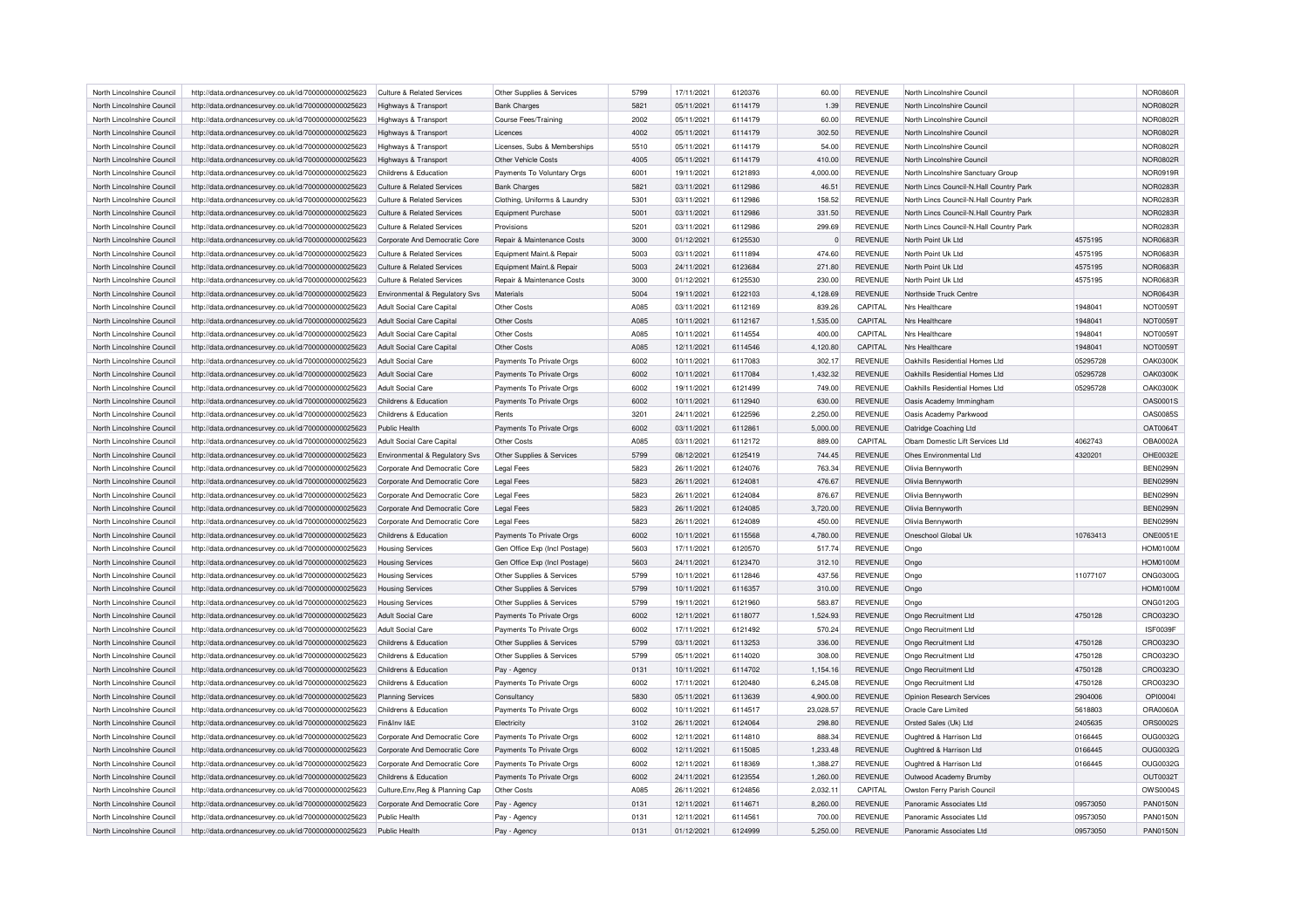| North Lincolnshire Council | http://data.ordnancesurvey.co.uk/id/7000000000025623 | <b>Culture &amp; Related Services</b> | Other Supplies & Services     | 5799        | 17/11/2021 | 6120376 | 60.00     | <b>REVENUE</b> | North Lincolnshire Council              |          | <b>NOR0860R</b> |
|----------------------------|------------------------------------------------------|---------------------------------------|-------------------------------|-------------|------------|---------|-----------|----------------|-----------------------------------------|----------|-----------------|
| North Lincolnshire Council | http://data.ordnancesurvey.co.uk/id/7000000000025623 | Highways & Transport                  | <b>Bank Charges</b>           | 5821        | 05/11/2021 | 6114179 | 1.39      | <b>REVENUE</b> | North Lincolnshire Council              |          | <b>NOR0802R</b> |
| North Lincolnshire Council | http://data.ordnancesurvey.co.uk/id/7000000000025623 | Highways & Transport                  | Course Fees/Training          | 2002        | 05/11/2021 | 6114179 | 60.00     | <b>REVENUE</b> | North Lincolnshire Council              |          | <b>NOR0802R</b> |
| North Lincolnshire Council | http://data.ordnancesurvey.co.uk/id/7000000000025623 | Highways & Transport                  | Licences                      | 4002        | 05/11/2021 | 6114179 | 302.50    | <b>REVENUE</b> | North Lincolnshire Council              |          | <b>NOR0802F</b> |
| North Lincolnshire Council | http://data.ordnancesurvey.co.uk/id/7000000000025623 | Highways & Transport                  | Licenses, Subs & Memberships  | 5510        | 05/11/2021 | 6114179 | 54.00     | <b>REVENUE</b> | North Lincolnshire Council              |          | <b>NOR0802R</b> |
| North Lincolnshire Council | http://data.ordnancesurvey.co.uk/id/7000000000025623 | Highways & Transport                  | Other Vehicle Costs           | 4005        | 05/11/2021 | 6114179 | 410.00    | <b>REVENUE</b> | North Lincolnshire Council              |          | <b>NOR0802R</b> |
| North Lincolnshire Council | http://data.ordnancesurvey.co.uk/id/7000000000025623 | Childrens & Education                 | Payments To Voluntary Orgs    | 6001        | 19/11/2021 | 6121893 | 4,000.00  | <b>REVENUE</b> | North Lincolnshire Sanctuary Group      |          | <b>NOR0919F</b> |
| North Lincolnshire Council | http://data.ordnancesurvey.co.uk/id/7000000000025623 | <b>Culture &amp; Related Services</b> | <b>Bank Charges</b>           | 5821        | 03/11/2021 | 6112986 | 46.51     | REVENUE        | North Lincs Council-N.Hall Country Park |          | <b>NOR0283R</b> |
| North Lincolnshire Council | http://data.ordnancesurvey.co.uk/id/7000000000025623 | Culture & Related Services            | Clothing, Uniforms & Laundry  | 5301        | 03/11/2021 | 6112986 | 158.52    | <b>REVENUE</b> | North Lincs Council-N.Hall Country Park |          | <b>NOR0283R</b> |
| North Lincolnshire Council | http://data.ordnancesurvey.co.uk/id/7000000000025623 | Culture & Related Services            | Equipment Purchase            | 5001        | 03/11/2021 | 6112986 | 331.50    | REVENUE        | North Lincs Council-N.Hall Country Park |          | <b>NOR0283F</b> |
| North Lincolnshire Council | http://data.ordnancesurvey.co.uk/id/7000000000025623 | Culture & Related Services            | Provisions                    | 5201        | 03/11/2021 | 6112986 | 299.69    | REVENUE        | North Lincs Council-N.Hall Country Park |          | <b>NOR0283R</b> |
| North Lincolnshire Council | http://data.ordnancesurvey.co.uk/id/7000000000025623 | Corporate And Democratic Core         | Repair & Maintenance Costs    | 3000        | 01/12/2021 | 6125530 | $\Omega$  | <b>REVENUE</b> | North Point Uk Ltd                      | 4575195  | <b>NOR0683R</b> |
| North Lincolnshire Council | http://data.ordnancesurvey.co.uk/id/7000000000025623 | <b>Culture &amp; Related Services</b> | Equipment Maint.& Repair      | 5003        | 03/11/2021 | 6111894 | 474.60    | REVENUE        | North Point Uk Ltd                      | 4575195  | <b>NOR0683F</b> |
| North Lincolnshire Council | http://data.ordnancesurvey.co.uk/id/7000000000025623 | <b>Culture &amp; Related Services</b> | Equipment Maint.& Repair      | 5003        | 24/11/2021 | 6123684 | 271.80    | REVENUE        | North Point Uk Ltd                      | 4575195  | <b>NOR0683R</b> |
| North Lincolnshire Council |                                                      |                                       |                               | 3000        |            | 6125530 |           | <b>REVENUE</b> | North Point Uk Ltd                      |          |                 |
|                            | http://data.ordnancesurvey.co.uk/id/7000000000025623 | <b>Culture &amp; Related Services</b> | Repair & Maintenance Costs    |             | 01/12/2021 |         | 230.00    |                |                                         | 4575195  | <b>NOR0683R</b> |
| North Lincolnshire Council | http://data.ordnancesurvey.co.uk/id/7000000000025623 | Environmental & Regulatory Svs        | Materials                     | 5004        | 19/11/2021 | 6122103 | 4,128.69  | <b>REVENUE</b> | Northside Truck Centre                  |          | <b>NOR0643R</b> |
| North Lincolnshire Council | http://data.ordnancesurvey.co.uk/id/7000000000025623 | Adult Social Care Capital             | Other Costs                   | A085        | 03/11/2021 | 6112169 | 839.26    | CAPITAL        | Nrs Healthcare                          | 1948041  | <b>NOT0059T</b> |
| North Lincolnshire Council | http://data.ordnancesurvey.co.uk/id/7000000000025623 | <b>Adult Social Care Capital</b>      | Other Costs                   | A085        | 10/11/2021 | 6112167 | 1,535.00  | CAPITAL        | Nrs Healthcare                          | 1948041  | <b>NOT0059T</b> |
| North Lincolnshire Council | http://data.ordnancesurvey.co.uk/id/7000000000025623 | <b>Adult Social Care Capital</b>      | Other Costs                   | A085        | 10/11/2021 | 6114554 | 400.00    | CAPITAL        | Nrs Healthcare                          | 1948041  | <b>NOT0059T</b> |
| North Lincolnshire Council | http://data.ordnancesurvey.co.uk/id/7000000000025623 | Adult Social Care Capital             | Other Costs                   | A085        | 12/11/2021 | 6114546 | 4,120.80  | CAPITAL        | Nrs Healthcare                          | 1948041  | <b>NOT0059T</b> |
| North Lincolnshire Council | http://data.ordnancesurvey.co.uk/id/7000000000025623 | <b>Adult Social Care</b>              | Payments To Private Orgs      | 6002        | 10/11/2021 | 6117083 | 302.17    | <b>REVENUE</b> | Oakhills Residential Homes Ltd          | 05295728 | <b>OAK0300K</b> |
| North Lincolnshire Council | http://data.ordnancesurvey.co.uk/id/7000000000025623 | <b>Adult Social Care</b>              | Payments To Private Orgs      | 6002        | 10/11/2021 | 6117084 | 1,432.32  | <b>REVENUE</b> | Oakhills Residential Homes Ltd          | 05295728 | <b>OAK0300K</b> |
| North Lincolnshire Council | http://data.ordnancesurvey.co.uk/id/7000000000025623 | <b>Adult Social Care</b>              | Payments To Private Orgs      | 6002        | 19/11/2021 | 6121499 | 749.00    | <b>REVENUE</b> | Oakhills Residential Homes Ltd          | 05295728 | <b>OAK0300K</b> |
| North Lincolnshire Council | http://data.ordnancesurvey.co.uk/id/7000000000025623 | Childrens & Education                 | Payments To Private Orgs      | 6002        | 10/11/2021 | 6112940 | 630.00    | <b>REVENUE</b> | Oasis Academy Immingham                 |          | OAS0001S        |
| North Lincolnshire Council | http://data.ordnancesurvey.co.uk/id/7000000000025623 | Childrens & Education                 | Rents                         | 3201        | 24/11/2021 | 6122596 | 2,250.00  | <b>REVENUE</b> | Oasis Academy Parkwood                  |          | OAS0085S        |
| North Lincolnshire Council | http://data.ordnancesurvey.co.uk/id/7000000000025623 | Public Health                         | Payments To Private Orgs      | 6002        | 03/11/2021 | 6112861 | 5,000.00  | REVENUE        | Oatridge Coaching Ltd                   |          | <b>OAT0064T</b> |
| North Lincolnshire Council | http://data.ordnancesurvey.co.uk/id/7000000000025623 | Adult Social Care Capital             | Other Costs                   | <b>A085</b> | 03/11/2021 | 6112172 | 889.00    | CAPITAL        | Obam Domestic Lift Services Ltd         | 4062743  | OBA0002A        |
| North Lincolnshire Council | http://data.ordnancesurvey.co.uk/id/7000000000025623 | Environmental & Regulatory Svs        | Other Supplies & Services     | 5799        | 08/12/2021 | 6125419 | 744.45    | <b>REVENUE</b> | Ohes Environmental Ltd                  | 4320201  | OHE0032E        |
| North Lincolnshire Council | http://data.ordnancesurvey.co.uk/id/7000000000025623 | Corporate And Democratic Core         | <b>Legal Fees</b>             | 5823        | 26/11/2021 | 6124076 | 763.34    | <b>REVENUE</b> | Olivia Bennyworth                       |          | <b>BEN0299N</b> |
| North Lincolnshire Council | http://data.ordnancesurvey.co.uk/id/7000000000025623 | Corporate And Democratic Core         | <b>Legal Fees</b>             | 5823        | 26/11/2021 | 612408  | 476.67    | <b>REVENUE</b> | Olivia Bennyworth                       |          | <b>BEN0299N</b> |
| North Lincolnshire Council | http://data.ordnancesurvey.co.uk/id/7000000000025623 | Corporate And Democratic Core         | <b>Legal Fees</b>             | 5823        | 26/11/2021 | 6124084 | 876.67    | <b>REVENUE</b> | Olivia Bennyworth                       |          | <b>BEN0299N</b> |
| North Lincolnshire Council | http://data.ordnancesurvey.co.uk/id/7000000000025623 | Corporate And Democratic Core         | <b>Legal Fees</b>             | 5823        | 26/11/2021 | 6124085 | 3,720.00  | <b>REVENUE</b> | Olivia Bennyworth                       |          | <b>BEN0299N</b> |
| North Lincolnshire Council | http://data.ordnancesurvey.co.uk/id/7000000000025623 | Corporate And Democratic Core         | <b>Legal Fees</b>             | 5823        | 26/11/2021 | 6124089 | 450.00    | <b>REVENUE</b> | Olivia Bennyworth                       |          | <b>BEN0299N</b> |
| North Lincolnshire Council | http://data.ordnancesurvey.co.uk/id/7000000000025623 | Childrens & Education                 | Payments To Private Orgs      | 6002        | 10/11/2021 | 6115568 | 4,780.00  | <b>REVENUE</b> | Oneschool Global Uk                     | 10763413 | <b>ONE0051E</b> |
| North Lincolnshire Council | http://data.ordnancesurvey.co.uk/id/7000000000025623 | <b>Housing Services</b>               | Gen Office Exp (Incl Postage) | 5603        | 17/11/2021 | 6120570 | 517.74    | <b>REVENUE</b> | Ongo                                    |          | <b>HOM0100M</b> |
| North Lincolnshire Council | http://data.ordnancesurvey.co.uk/id/7000000000025623 | <b>Housing Services</b>               | Gen Office Exp (Incl Postage) | 5603        | 24/11/2021 | 6123470 | 312.10    | <b>REVENUE</b> | Ongo                                    |          | <b>HOM0100N</b> |
|                            |                                                      |                                       |                               |             | 10/11/2021 |         | 437.56    |                |                                         | 11077107 | <b>ONG0300G</b> |
| North Lincolnshire Council | http://data.ordnancesurvey.co.uk/id/7000000000025623 | <b>Housing Services</b>               | Other Supplies & Services     | 5799        |            | 6112846 |           | <b>REVENUE</b> | Ongo                                    |          |                 |
| North Lincolnshire Council | http://data.ordnancesurvey.co.uk/id/7000000000025623 | <b>Housing Services</b>               | Other Supplies & Services     | 5799        | 10/11/2021 | 6116357 | 310.00    | <b>REVENUE</b> | Ongo                                    |          | <b>HOM0100M</b> |
| North Lincolnshire Council | http://data.ordnancesurvey.co.uk/id/7000000000025623 | <b>Housing Services</b>               | Other Supplies & Services     | 5799        | 19/11/2021 | 6121960 | 583.87    | <b>REVENUE</b> | Ongo                                    |          | <b>ONG0120G</b> |
| North Lincolnshire Council | http://data.ordnancesurvey.co.uk/id/7000000000025623 | <b>Adult Social Care</b>              | Payments To Private Orgs      | 6002        | 12/11/2021 | 6118077 | 1,524.93  | <b>REVENUE</b> | Ongo Recruitment Ltd                    | 4750128  | CRO0323O        |
| North Lincolnshire Council | http://data.ordnancesurvey.co.uk/id/7000000000025623 | <b>Adult Social Care</b>              | Payments To Private Orgs      | 6002        | 17/11/2021 | 6121492 | 570.24    | <b>REVENUE</b> | Ongo Recruitment Ltd                    |          | <b>ISF0039F</b> |
| North Lincolnshire Council | http://data.ordnancesurvey.co.uk/id/7000000000025623 | Childrens & Education                 | Other Supplies & Services     | 5799        | 03/11/2021 | 6113253 | 336.00    | <b>REVENUE</b> | Ongo Recruitment Ltd                    | 4750128  | CRO0323O        |
| North Lincolnshire Council | http://data.ordnancesurvey.co.uk/id/7000000000025623 | Childrens & Education                 | Other Supplies & Services     | 5799        | 05/11/2021 | 6114020 | 308.00    | <b>REVENUE</b> | Ongo Recruitment Ltd                    | 4750128  | CRO0323C        |
| North Lincolnshire Council | http://data.ordnancesurvey.co.uk/id/7000000000025623 | Childrens & Education                 | Pay - Agency                  | 0131        | 10/11/2021 | 6114702 | 1,154.16  | <b>REVENUE</b> | Ongo Recruitment Ltd                    | 4750128  | CRO0323O        |
| North Lincolnshire Council | http://data.ordnancesurvey.co.uk/id/7000000000025623 | Childrens & Education                 | Payments To Private Orgs      | 6002        | 17/11/2021 | 6120480 | 6,245.08  | <b>REVENUE</b> | Ongo Recruitment Ltd                    | 4750128  | CRO0323O        |
| North Lincolnshire Council | http://data.ordnancesurvey.co.uk/id/7000000000025623 | <b>Planning Services</b>              | Consultancy                   | 5830        | 05/11/2021 | 6113639 | 4,900.00  | <b>REVENUE</b> | <b>Opinion Research Services</b>        | 2904006  | OPI0004I        |
| North Lincolnshire Council | http://data.ordnancesurvey.co.uk/id/7000000000025623 | Childrens & Education                 | Payments To Private Orgs      | 6002        | 10/11/2021 | 6114517 | 23,028.57 | <b>REVENUE</b> | Oracle Care Limited                     | 5618803  | ORA0060A        |
| North Lincolnshire Council | http://data.ordnancesurvey.co.uk/id/7000000000025623 | Fin&Inv I&F                           | Electricity                   | 3102        | 26/11/2021 | 6124064 | 298.80    | <b>REVENUE</b> | Orsted Sales (Uk) Ltd                   | 2405635  | ORS0002S        |
| North Lincolnshire Council | http://data.ordnancesurvey.co.uk/id/7000000000025623 | Corporate And Democratic Core         | Payments To Private Orgs      | 6002        | 12/11/2021 | 6114810 | 888.34    | <b>REVENUE</b> | Oughtred & Harrison Ltd                 | 0166445  | OUG0032G        |
| North Lincolnshire Council | http://data.ordnancesurvey.co.uk/id/7000000000025623 | Corporate And Democratic Core         | Payments To Private Orgs      | 6002        | 12/11/2021 | 6115085 | 1,233.48  | <b>REVENUE</b> | Oughtred & Harrison Ltd                 | 0166445  | OUG0032G        |
| North Lincolnshire Council | http://data.ordnancesurvey.co.uk/id/7000000000025623 | Corporate And Democratic Core         | Payments To Private Orgs      | 6002        | 12/11/2021 | 6118369 | 1.388.27  | <b>REVENUE</b> | Oughtred & Harrison Ltd                 | 0166445  | OUG0032G        |
| North Lincolnshire Council | http://data.ordnancesurvey.co.uk/id/7000000000025623 | Childrens & Education                 | Payments To Private Orgs      | 6002        | 24/11/2021 | 6123554 | 1,260.00  | <b>REVENUE</b> | Outwood Academy Brumby                  |          | OUT0032T        |
| North Lincolnshire Council | http://data.ordnancesurvey.co.uk/id/7000000000025623 | Culture, Env, Reg & Planning Cap      | Other Costs                   | A085        | 26/11/2021 | 6124856 | 2,032.11  | <b>CAPITAL</b> | Owston Ferry Parish Council             |          | OWS0004S        |
| North Lincolnshire Council | http://data.ordnancesurvey.co.uk/id/7000000000025623 | Corporate And Democratic Core         | Pay - Agency                  | 0131        | 12/11/2021 | 611467  | 8,260.00  | <b>REVENUE</b> | Panoramic Associates Ltd                | 09573050 | <b>PAN0150N</b> |
| North Lincolnshire Council | http://data.ordnancesurvey.co.uk/id/7000000000025623 | Public Health                         | Pay - Agency                  | 0131        | 12/11/2021 | 611456  | 700.00    | <b>REVENUE</b> | Panoramic Associates Ltd                | 09573050 | <b>PAN0150N</b> |
| North Lincolnshire Council | http://data.ordnancesurvey.co.uk/id/7000000000025623 | Public Health                         | Pay - Agency                  | 0131        | 01/12/2021 | 6124999 | 5.250.00  | <b>REVENUE</b> | Panoramic Associates Ltd                | 09573050 | <b>PAN0150N</b> |
|                            |                                                      |                                       |                               |             |            |         |           |                |                                         |          |                 |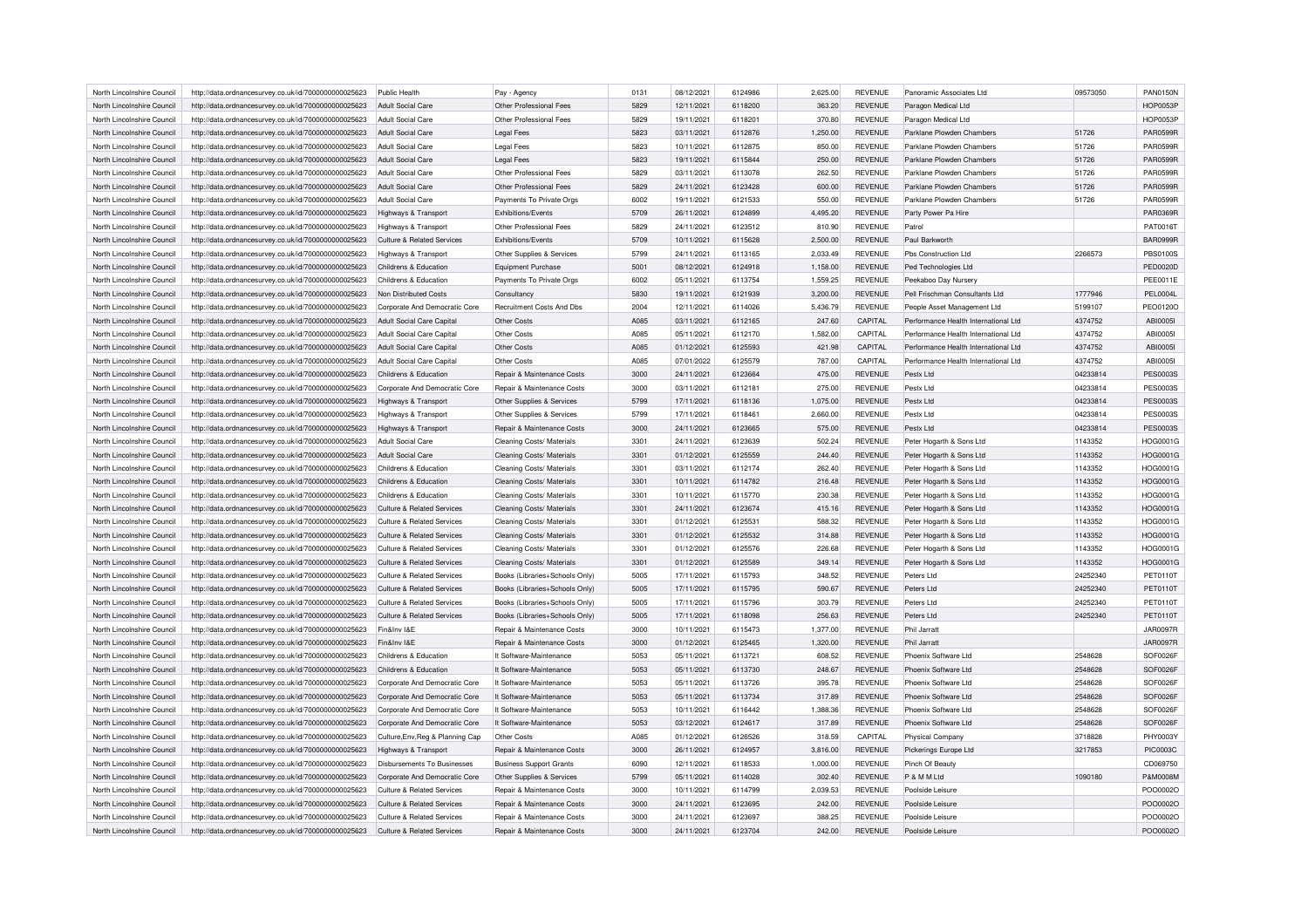| North Lincolnshire Council | http://data.ordnancesurvey.co.uk/id/7000000000025623 | Public Health                         | Pay - Agency                   | 0131        | 08/12/2021 | 6124986 | 2,625.00 | <b>REVENUE</b> | Panoramic Associates Ltd             | 09573050 | <b>PAN0150N</b> |
|----------------------------|------------------------------------------------------|---------------------------------------|--------------------------------|-------------|------------|---------|----------|----------------|--------------------------------------|----------|-----------------|
| North Lincolnshire Council | http://data.ordnancesurvey.co.uk/id/7000000000025623 | Adult Social Care                     | Other Professional Fees        | 5829        | 12/11/2021 | 6118200 | 363.20   | <b>REVENUE</b> | Paragon Medical Ltd                  |          | <b>HOP0053F</b> |
| North Lincolnshire Council | http://data.ordnancesurvey.co.uk/id/7000000000025623 | <b>Adult Social Care</b>              | Other Professional Fees        | 5829        | 19/11/2021 | 6118201 | 370.80   | <b>REVENUE</b> | Paragon Medical Ltd                  |          | <b>HOP0053P</b> |
| North Lincolnshire Council | http://data.ordnancesurvey.co.uk/id/7000000000025623 | <b>Adult Social Care</b>              | <b>Legal Fees</b>              | 5823        | 03/11/2021 | 6112876 | 1,250.00 | <b>REVENUE</b> | Parklane Plowden Chambers            | 51726    | <b>PAR0599F</b> |
| North Lincolnshire Council | http://data.ordnancesurvey.co.uk/id/7000000000025623 | <b>Adult Social Care</b>              | <b>Legal Fees</b>              | 5823        | 10/11/2021 | 6112875 | 850.00   | REVENUE        | Parklane Plowden Chambers            | 51726    | <b>PAR0599F</b> |
| North Lincolnshire Council | http://data.ordnancesurvey.co.uk/id/7000000000025623 | <b>Adult Social Care</b>              | Legal Fees                     | 5823        | 19/11/2021 | 6115844 | 250.00   | <b>REVENUE</b> | Parklane Plowden Chambers            | 51726    | <b>PAR0599R</b> |
| North Lincolnshire Council | http://data.ordnancesurvey.co.uk/id/7000000000025623 | <b>Adult Social Care</b>              | Other Professional Fees        | 5829        | 03/11/2021 | 6113078 | 262.50   | <b>REVENUE</b> | Parklane Plowden Chambers            | 51726    | <b>PAR0599F</b> |
| North Lincolnshire Council | http://data.ordnancesurvey.co.uk/id/7000000000025623 | <b>Adult Social Care</b>              | Other Professional Fees        | 5829        | 24/11/2021 | 6123428 | 600.00   | <b>REVENUE</b> | Parklane Plowden Chambers            | 51726    | <b>PAR0599R</b> |
| North Lincolnshire Council | http://data.ordnancesurvey.co.uk/id/7000000000025623 | <b>Adult Social Care</b>              | Payments To Private Orgs       | 6002        | 19/11/2021 | 6121533 | 550.00   | <b>REVENUE</b> | Parklane Plowden Chambers            | 51726    | <b>PAR0599R</b> |
| North Lincolnshire Council | http://data.ordnancesurvey.co.uk/id/7000000000025623 | Highways & Transport                  | Exhibitions/Events             | 5709        | 26/11/2021 | 6124899 | 4,495.20 | <b>REVENUE</b> | Party Power Pa Hire                  |          | PAR0369F        |
| North Lincolnshire Council | http://data.ordnancesurvey.co.uk/id/7000000000025623 | Highways & Transport                  | Other Professional Fees        | 5829        | 24/11/2021 | 6123512 | 810.90   | REVENUE        | Patrol                               |          | PAT0016T        |
| North Lincolnshire Council | http://data.ordnancesurvey.co.uk/id/7000000000025623 | <b>Culture &amp; Related Services</b> | Exhibitions/Events             | 5709        | 10/11/2021 | 6115628 | 2,500.00 | <b>REVENUE</b> | Paul Barkworth                       |          | <b>BAR0999R</b> |
| North Lincolnshire Council | http://data.ordnancesurvey.co.uk/id/7000000000025623 | Highways & Transport                  | Other Supplies & Services      | 5799        | 24/11/2021 | 6113165 | 2,033.49 | <b>REVENUE</b> | Pbs Construction Ltd                 | 2266573  | <b>PBS0100S</b> |
| North Lincolnshire Council | http://data.ordnancesurvey.co.uk/id/7000000000025623 | Childrens & Education                 | <b>Equipment Purchase</b>      | 5001        | 08/12/2021 | 6124918 | 1,158.00 | <b>REVENUE</b> | Ped Technologies Ltd                 |          | <b>PED0020D</b> |
|                            |                                                      |                                       |                                |             |            |         |          |                |                                      |          |                 |
| North Lincolnshire Council | http://data.ordnancesurvey.co.uk/id/7000000000025623 | Childrens & Education                 | Payments To Private Orgs       | 6002        | 05/11/2021 | 6113754 | 1,559.25 | <b>REVENUE</b> | Peekaboo Day Nursery                 |          | <b>PEE0011E</b> |
| North Lincolnshire Council | http://data.ordnancesurvey.co.uk/id/7000000000025623 | Non Distributed Costs                 | Consultancy                    | 5830        | 19/11/2021 | 6121939 | 3,200.00 | <b>REVENUE</b> | Pell Frischman Consultants Ltd       | 1777946  | <b>PEL0004L</b> |
| North Lincolnshire Council | http://data.ordnancesurvey.co.uk/id/7000000000025623 | Cornorate And Democratic Core         | Recruitment Costs And Dbs      | 2004        | 12/11/2021 | 6114026 | 5,436.79 | <b>REVENUE</b> | People Asset Management Ltd          | 5199107  | PEO0120O        |
| North Lincolnshire Council | http://data.ordnancesurvey.co.uk/id/7000000000025623 | Adult Social Care Capital             | Other Costs                    | A085        | 03/11/2021 | 6112165 | 247.60   | CAPITAL        | Performance Health International Ltd | 4374752  | ABI00051        |
| North Lincolnshire Council | http://data.ordnancesurvey.co.uk/id/7000000000025623 | Adult Social Care Capital             | Other Costs                    | A085        | 05/11/2021 | 6112170 | 1,582.00 | CAPITAL        | Performance Health International Ltd | 4374752  | ABI00051        |
| North Lincolnshire Council | http://data.ordnancesurvey.co.uk/id/7000000000025623 | Adult Social Care Capital             | Other Costs                    | A085        | 01/12/2021 | 6125593 | 421.98   | CAPITAL        | Performance Health International Ltd | 4374752  | ABI00051        |
| North Lincolnshire Council | http://data.ordnancesurvey.co.uk/id/7000000000025623 | Adult Social Care Capital             | Other Costs                    | <b>A085</b> | 07/01/2022 | 6125579 | 787.00   | CAPITAL        | Performance Health International Ltd | 4374752  | ABI00051        |
| North Lincolnshire Council | http://data.ordnancesurvey.co.uk/id/7000000000025623 | Childrens & Education                 | Repair & Maintenance Costs     | 3000        | 24/11/2021 | 6123664 | 475.00   | <b>REVENUE</b> | Pestx Ltd                            | 04233814 | <b>PES0003S</b> |
| North Lincolnshire Council | http://data.ordnancesurvey.co.uk/id/7000000000025623 | Corporate And Democratic Core         | Repair & Maintenance Costs     | 3000        | 03/11/2021 | 6112181 | 275.00   | <b>REVENUE</b> | Pestx Ltd                            | 04233814 | <b>PES0003S</b> |
| North Lincolnshire Council | http://data.ordnancesurvey.co.uk/id/7000000000025623 | Highways & Transport                  | Other Supplies & Services      | 5799        | 17/11/2021 | 6118136 | 1,075.00 | <b>REVENUE</b> | Pestx I td                           | 04233814 | <b>PES0003S</b> |
| North Lincolnshire Council | http://data.ordnancesurvey.co.uk/id/7000000000025623 | Highways & Transport                  | Other Supplies & Services      | 5799        | 17/11/2021 | 6118461 | 2,660.00 | <b>REVENUE</b> | Pestx Ltd                            | 04233814 | <b>PES0003S</b> |
| North Lincolnshire Council | http://data.ordnancesurvey.co.uk/id/7000000000025623 | Highways & Transport                  | Repair & Maintenance Costs     | 3000        | 24/11/2021 | 6123665 | 575.00   | <b>REVENUE</b> | Pestx Ltd                            | 04233814 | <b>PES0003S</b> |
| North Lincolnshire Council | http://data.ordnancesurvey.co.uk/id/7000000000025623 | Adult Social Care                     | Cleaning Costs/ Materials      | 3301        | 24/11/2021 | 6123639 | 502.24   | <b>REVENUE</b> | Peter Hogarth & Sons Ltd             | 1143352  | HOG0001G        |
| North Lincolnshire Council | http://data.ordnancesurvey.co.uk/id/7000000000025623 | <b>Adult Social Care</b>              | Cleaning Costs/ Materials      | 3301        | 01/12/2021 | 6125559 | 244.40   | <b>REVENUE</b> | Peter Hogarth & Sons Ltd             | 1143352  | HOG0001G        |
| North Lincolnshire Council | http://data.ordnancesurvey.co.uk/id/7000000000025623 | Childrens & Education                 | Cleaning Costs/ Materials      | 3301        | 03/11/2021 | 6112174 | 262.40   | REVENUE        | Peter Hogarth & Sons Ltd             | 1143352  | HOG0001G        |
| North Lincolnshire Council | http://data.ordnancesurvey.co.uk/id/7000000000025623 | Childrens & Education                 | Cleaning Costs/ Materials      | 3301        | 10/11/2021 | 6114782 | 216.48   | <b>REVENUE</b> | Peter Hogarth & Sons Ltd             | 1143352  | HOG0001G        |
|                            |                                                      |                                       |                                |             |            |         |          |                |                                      | 1143352  |                 |
| North Lincolnshire Council | http://data.ordnancesurvey.co.uk/id/7000000000025623 | Childrens & Education                 | Cleaning Costs/ Materials      | 3301        | 10/11/2021 | 6115770 | 230.38   | <b>REVENUE</b> | Peter Hogarth & Sons Ltd             |          | <b>HOG0001G</b> |
| North Lincolnshire Council | http://data.ordnancesurvey.co.uk/id/7000000000025623 | <b>Culture &amp; Related Services</b> | Cleaning Costs/ Materials      | 3301        | 24/11/2021 | 6123674 | 415.16   | REVENUE        | Peter Hogarth & Sons Ltd             | 1143352  | HOG0001G        |
| North Lincolnshire Council | http://data.ordnancesurvey.co.uk/id/7000000000025623 | <b>Culture &amp; Related Services</b> | Cleaning Costs/ Materials      | 3301        | 01/12/2021 | 6125531 | 588.32   | <b>REVENUE</b> | Peter Hogarth & Sons Ltd             | 1143352  | HOG0001G        |
| North Lincolnshire Council | http://data.ordnancesurvey.co.uk/id/7000000000025623 | <b>Culture &amp; Related Services</b> | Cleaning Costs/ Materials      | 3301        | 01/12/2021 | 6125532 | 314.88   | <b>REVENUE</b> | Peter Hogarth & Sons Ltd             | 1143352  | HOG0001G        |
| North Lincolnshire Council | http://data.ordnancesurvey.co.uk/id/7000000000025623 | <b>Culture &amp; Related Services</b> | Cleaning Costs/ Materials      | 3301        | 01/12/2021 | 6125576 | 226.68   | REVENUE        | Peter Hogarth & Sons Ltd             | 1143352  | HOG0001G        |
| North Lincolnshire Council | http://data.ordnancesurvey.co.uk/id/7000000000025623 | <b>Culture &amp; Related Services</b> | Cleaning Costs/ Materials      | 3301        | 01/12/2021 | 6125589 | 349.14   | <b>REVENUE</b> | Peter Hogarth & Sons Ltd             | 1143352  | HOG0001G        |
| North Lincolnshire Council | http://data.ordnancesurvey.co.uk/id/7000000000025623 | Culture & Related Services            | Books (Libraries+Schools Only) | 5005        | 17/11/2021 | 6115793 | 348.52   | <b>REVENUE</b> | Peters I to                          | 24252340 | PET0110T        |
| North Lincolnshire Council | http://data.ordnancesurvey.co.uk/id/7000000000025623 | Culture & Related Services            | Books (Libraries+Schools Only) | 5005        | 17/11/2021 | 6115795 | 590.67   | <b>REVENUE</b> | Peters Ltd                           | 24252340 | PET0110T        |
| North Lincolnshire Council | http://data.ordnancesurvey.co.uk/id/7000000000025623 | Culture & Related Services            | Books (Libraries+Schools Only) | 5005        | 17/11/2021 | 6115796 | 303.79   | <b>REVENUE</b> | Peters Ltd                           | 24252340 | PET0110T        |
| North Lincolnshire Council | http://data.ordnancesurvey.co.uk/id/7000000000025623 | <b>Culture &amp; Related Services</b> | Books (Libraries+Schools Only) | 5005        | 17/11/2021 | 6118098 | 256.63   | <b>REVENUE</b> | Peters Ltd                           | 24252340 | PET0110T        |
| North Lincolnshire Council | http://data.ordnancesurvey.co.uk/id/7000000000025623 | Fin&Inv I&E                           | Repair & Maintenance Costs     | 3000        | 10/11/2021 | 6115473 | 1.377.00 | <b>REVENUE</b> | Phil Jarratt                         |          | <b>JAR0097R</b> |
| North Lincolnshire Council | http://data.ordnancesurvey.co.uk/id/7000000000025623 | Fin&Inv I&E                           | Repair & Maintenance Costs     | 3000        | 01/12/2021 | 6125465 | 1,320.00 | <b>REVENUE</b> | Phil Jarratt                         |          | <b>JAR0097R</b> |
| North Lincolnshire Council | http://data.ordnancesurvey.co.uk/id/7000000000025623 | Childrens & Education                 | It Software-Maintenance        | 5053        | 05/11/2021 | 6113721 | 608.52   | <b>REVENUE</b> | Phoenix Software Ltd                 | 2548628  | SOF0026F        |
| North Lincolnshire Council | http://data.ordnancesurvey.co.uk/id/7000000000025623 | Childrens & Education                 | It Software-Maintenance        | 5053        | 05/11/2021 | 6113730 | 248.67   | <b>REVENUE</b> | Phoenix Software Ltd                 | 2548628  | SOF0026F        |
| North Lincolnshire Council | http://data.ordnancesurvey.co.uk/id/7000000000025623 | Corporate And Democratic Core         | It Software-Maintenance        | 5053        | 05/11/2021 | 6113726 | 395.78   | <b>REVENUE</b> | Phoenix Software Ltd                 | 2548628  | SOF0026F        |
| North Lincolnshire Council | http://data.ordnancesurvey.co.uk/id/7000000000025623 | Corporate And Democratic Core         | It Software-Maintenance        | 5053        | 05/11/2021 | 6113734 | 317.89   | <b>REVENUE</b> | Phoenix Software Ltd                 | 2548628  | SOF0026F        |
| North Lincolnshire Council | http://data.ordnancesurvey.co.uk/id/7000000000025623 | Corporate And Democratic Core         | It Software-Maintenance        | 5053        | 10/11/2021 | 6116442 | 1,388.36 | REVENUE        | Phoenix Software Ltd                 | 2548628  | SOF0026F        |
| North Lincolnshire Council |                                                      |                                       | It Software-Maintenance        | 5053        | 03/12/2021 | 6124617 |          | <b>REVENUE</b> | Phoenix Software Ltd                 | 2548628  | SOF0026F        |
|                            | http://data.ordnancesurvey.co.uk/id/7000000000025623 | Corporate And Democratic Core         |                                |             |            |         | 317.89   |                |                                      |          |                 |
| North Lincolnshire Council | http://data.ordnancesurvey.co.uk/id/7000000000025623 | Culture, Env, Reg & Planning Cap      | Other Costs                    | A085        | 01/12/2021 | 6126526 | 318.59   | CAPITAL        | Physical Company                     | 3718828  | PHY0003Y        |
| North Lincolnshire Council | http://data.ordnancesurvey.co.uk/id/7000000000025623 | Highways & Transport                  | Repair & Maintenance Costs     | 3000        | 26/11/2021 | 6124957 | 3,816.00 | <b>REVENUE</b> | Pickerings Europe Ltd                | 3217853  | <b>PIC0003C</b> |
| North Lincolnshire Council | http://data.ordnancesurvey.co.uk/id/7000000000025623 | Disbursements To Businesses           | <b>Business Support Grants</b> | 6090        | 12/11/2021 | 6118533 | 1,000.00 | <b>REVENUE</b> | Pinch Of Beauty                      |          | CD069750        |
| North Lincolnshire Council | http://data.ordnancesurvey.co.uk/id/7000000000025623 | Corporate And Democratic Core         | Other Supplies & Services      | 5799        | 05/11/2021 | 6114028 | 302.40   | <b>REVENUE</b> | P & M M Ltd                          | 1090180  | P&M0008M        |
| North Lincolnshire Council | http://data.ordnancesurvey.co.uk/id/7000000000025623 | <b>Culture &amp; Related Services</b> | Repair & Maintenance Costs     | 3000        | 10/11/2021 | 6114799 | 2,039.53 | REVENUE        | Poolside Leisure                     |          | POO0002O        |
| North Lincolnshire Council | http://data.ordnancesurvey.co.uk/id/7000000000025623 | Culture & Related Services            | Repair & Maintenance Costs     | 3000        | 24/11/2021 | 6123695 | 242.00   | <b>REVENUE</b> | Poolside Leisure                     |          | POO0002O        |
| North Lincolnshire Council | http://data.ordnancesurvey.co.uk/id/7000000000025623 | <b>Culture &amp; Related Services</b> | Repair & Maintenance Costs     | 3000        | 24/11/2021 | 6123697 | 388.25   | <b>REVENUE</b> | Poolside Leisure                     |          | POO0002O        |
| North Lincolnshire Council | http://data.ordnancesurvey.co.uk/id/7000000000025623 | Culture & Related Services            | Repair & Maintenance Costs     | 3000        | 24/11/2021 | 6123704 | 242.00   | <b>REVENUE</b> | Poolside Leisure                     |          | POO0002O        |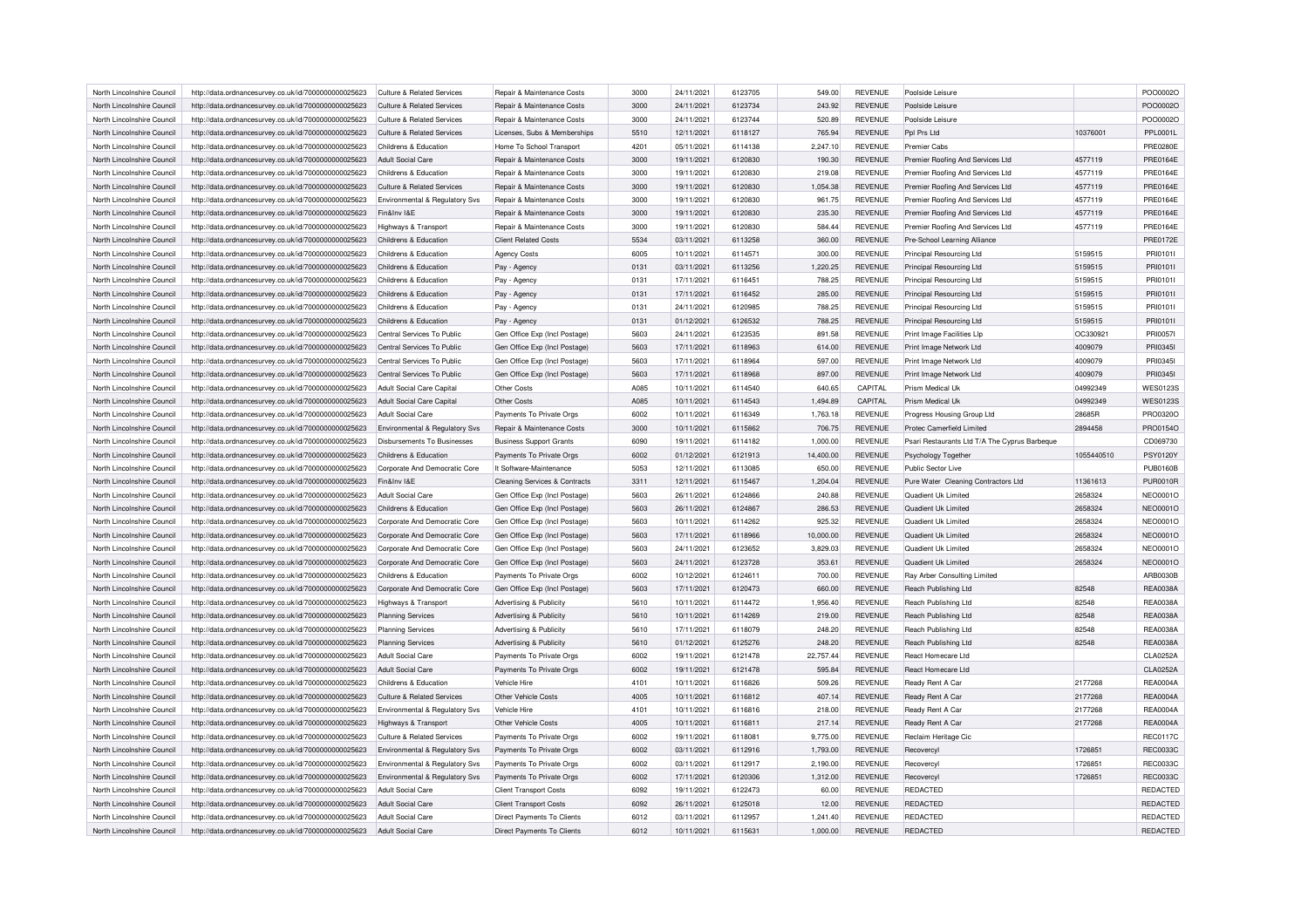| North Lincolnshire Council | http://data.ordnancesurvey.co.uk/id/7000000000025623                                                         | <b>Culture &amp; Related Services</b> | Repair & Maintenance Costs                                     | 3000 | 24/11/2021 | 6123705 | 549.00    | <b>REVENUE</b> | Poolside Leisure                              |            | POO0002O                    |
|----------------------------|--------------------------------------------------------------------------------------------------------------|---------------------------------------|----------------------------------------------------------------|------|------------|---------|-----------|----------------|-----------------------------------------------|------------|-----------------------------|
| North Lincolnshire Council | http://data.ordnancesurvey.co.uk/id/7000000000025623                                                         | <b>Culture &amp; Related Services</b> | Repair & Maintenance Costs                                     | 3000 | 24/11/2021 | 6123734 | 243.92    | <b>REVENUE</b> | Poolside Leisure                              |            | POO0002O                    |
| North Lincolnshire Council | http://data.ordnancesurvey.co.uk/id/7000000000025623                                                         | Culture & Related Services            | Repair & Maintenance Costs                                     | 3000 | 24/11/2021 | 6123744 | 520.89    | <b>REVENUE</b> | Poolside Leisure                              |            | POO0002O                    |
| North Lincolnshire Council | http://data.ordnancesurvey.co.uk/id/7000000000025623                                                         | <b>Culture &amp; Related Services</b> | Licenses, Subs & Memberships                                   | 5510 | 12/11/2021 | 6118127 | 765.94    | <b>REVENUE</b> | Pnl Prs I td                                  | 10376001   | <b>PPL0001L</b>             |
| North Lincolnshire Council | http://data.ordnancesurvey.co.uk/id/7000000000025623                                                         | Childrens & Education                 | Home To School Transport                                       | 4201 | 05/11/2021 | 6114138 | 2,247.10  | <b>REVENUE</b> | <b>Premier Cabs</b>                           |            | <b>PRE0280E</b>             |
| North Lincolnshire Council | http://data.ordnancesurvey.co.uk/id/7000000000025623                                                         | <b>Adult Social Care</b>              | Repair & Maintenance Costs                                     | 3000 | 19/11/2021 | 6120830 | 190.30    | <b>REVENUE</b> | Premier Roofing And Services Ltd              | 4577119    | <b>PRE0164E</b>             |
| North Lincolnshire Council | http://data.ordnancesurvey.co.uk/id/7000000000025623                                                         | Childrens & Education                 | Repair & Maintenance Costs                                     | 3000 | 19/11/2021 | 6120830 | 219.08    | <b>REVENUE</b> | Premier Roofing And Services Ltd              | 4577119    | PRE0164E                    |
| North Lincolnshire Council | http://data.ordnancesurvey.co.uk/id/7000000000025623                                                         | Culture & Related Services            | <b>Benair &amp; Maintenance Costs</b>                          | 3000 | 19/11/2021 | 6120830 | 1,054.38  | REVENUE        | Premier Roofing And Services Ltd              | 4577119    | <b>PRE0164E</b>             |
| North Lincolnshire Council | http://data.ordnancesurvey.co.uk/id/7000000000025623                                                         | Environmental & Regulatory Svs        | <b>Benair &amp; Maintenance Costs</b>                          | 3000 | 19/11/2021 | 6120830 | 961.75    | <b>REVENUE</b> | Premier Roofing And Services Ltd              | 4577119    | <b>PRE0164E</b>             |
| North Lincolnshire Council | http://data.ordnancesurvey.co.uk/id/7000000000025623                                                         | Fin&Inv I&E                           | Repair & Maintenance Costs                                     | 3000 | 19/11/2021 | 6120830 | 235.30    | <b>REVENUE</b> | Premier Roofing And Services Ltd              | 4577119    | PRE0164E                    |
| North Lincolnshire Council | http://data.ordnancesurvey.co.uk/id/7000000000025623                                                         | Highways & Transport                  | <b>Benair &amp; Maintenance Costs</b>                          | 3000 | 19/11/2021 | 6120830 | 584.44    | <b>REVENUE</b> | Premier Roofing And Services Ltd              | 4577119    | <b>PRE0164E</b>             |
| North Lincolnshire Council | http://data.ordnancesurvey.co.uk/id/7000000000025623                                                         | Childrens & Education                 | <b>Client Related Costs</b>                                    | 5534 | 03/11/2021 | 6113258 | 360.00    | <b>REVENUE</b> | Pre-School Learning Alliance                  |            | <b>PRE0172E</b>             |
| North Lincolnshire Council | http://data.ordnancesurvey.co.uk/id/7000000000025623                                                         | Childrens & Education                 | <b>Agency Costs</b>                                            | 6005 | 10/11/2021 | 6114571 | 300.00    | <b>REVENUE</b> | Principal Resourcing Ltd                      | 5159515    | PRI01011                    |
| North Lincolnshire Council | http://data.ordnancesurvey.co.uk/id/7000000000025623                                                         | Childrens & Education                 | Pay - Agency                                                   | 0131 | 03/11/2021 | 6113256 | 1,220.25  | <b>REVENUE</b> | Principal Resourcing Ltd                      | 5159515    | PRI01011                    |
| North Lincolnshire Council | http://data.ordnancesurvey.co.uk/id/7000000000025623                                                         | Childrens & Education                 | Pay - Agency                                                   | 0131 | 17/11/2021 | 6116451 | 788.25    | <b>REVENUE</b> | Principal Resourcing Ltd                      | 5159515    | PRI0101I                    |
| North Lincolnshire Council | http://data.ordnancesurvey.co.uk/id/7000000000025623                                                         | Childrens & Education                 | Pay - Agency                                                   | 0131 | 17/11/2021 | 6116452 | 285.00    | <b>REVENUE</b> | Principal Resourcing Ltd                      | 5159515    | PRI01011                    |
| North Lincolnshire Council | http://data.ordnancesurvey.co.uk/id/7000000000025623                                                         | Childrens & Education                 |                                                                | 0131 | 24/11/2021 | 6120985 | 788.25    | <b>REVENUE</b> | Principal Resourcing Ltd                      | 5159515    | PRI01011                    |
|                            |                                                                                                              |                                       | Pay - Agency                                                   |      |            |         |           |                |                                               |            |                             |
| North Lincolnshire Council | http://data.ordnancesurvey.co.uk/id/7000000000025623                                                         | Childrens & Education                 | Pay - Agency                                                   | 0131 | 01/12/2021 | 6126532 | 788.25    | <b>REVENUE</b> | Principal Resourcing Ltd                      | 5159515    | PRI01011                    |
| North Lincolnshire Council | http://data.ordnancesurvey.co.uk/id/7000000000025623                                                         | Central Services To Public            | Gen Office Exp (Incl Postage)                                  | 5603 | 24/11/2021 | 6123535 | 891.58    | <b>REVENUE</b> | Print Image Facilities Llp                    | OC330921   | PRI0057I                    |
| North Lincolnshire Council | http://data.ordnancesurvey.co.uk/id/7000000000025623                                                         | Central Services To Public            | Gen Office Exp (Incl Postage)                                  | 5603 | 17/11/2021 | 6118963 | 614.00    | <b>REVENUE</b> | Print Image Network Ltd                       | 4009079    | PRI0345I                    |
| North Lincolnshire Council | http://data.ordnancesurvey.co.uk/id/7000000000025623                                                         | Central Services To Public            | Gen Office Exp (Incl Postage)                                  | 5603 | 17/11/2021 | 6118964 | 597.00    | <b>REVENUE</b> | Print Image Network Ltd                       | 4009079    | PRI0345I                    |
| North Lincolnshire Council | http://data.ordnancesurvey.co.uk/id/7000000000025623                                                         | Central Services To Public            | Gen Office Exp (Incl Postage)                                  | 5603 | 17/11/2021 | 6118968 | 897.00    | <b>REVENUE</b> | Print Image Network Ltd                       | 4009079    | PRI03451                    |
| North Lincolnshire Council | http://data.ordnancesurvey.co.uk/id/7000000000025623                                                         | <b>Adult Social Care Capital</b>      | Other Costs                                                    | A085 | 10/11/2021 | 6114540 | 640.65    | CAPITAL        | Prism Medical Uk                              | 04992349   | <b>WES0123S</b>             |
| North Lincolnshire Council | http://data.ordnancesurvey.co.uk/id/7000000000025623                                                         | <b>Adult Social Care Capital</b>      | Other Costs                                                    | A085 | 10/11/2021 | 6114543 | 1,494.89  | CAPITAL        | Prism Medical Uk                              | 04992349   | <b>WES0123S</b>             |
| North Lincolnshire Council | http://data.ordnancesurvey.co.uk/id/7000000000025623                                                         | Adult Social Care                     | Payments To Private Orgs                                       | 6002 | 10/11/2021 | 6116349 | 1,763.18  | <b>REVENUE</b> | Progress Housing Group Ltd                    | 28685R     | PRO0320O                    |
| North Lincolnshire Council | http://data.ordnancesurvey.co.uk/id/7000000000025623                                                         | Environmental & Regulatory Svs        | Repair & Maintenance Costs                                     | 3000 | 10/11/2021 | 6115862 | 706.75    | REVENUE        | Protec Camerfield Limited                     | 2894458    | PRO0154O                    |
| North Lincolnshire Council | http://data.ordnancesurvey.co.uk/id/7000000000025623                                                         | Disbursements To Businesses           | <b>Business Support Grants</b>                                 | 6090 | 19/11/2021 | 6114182 | 1,000.00  | <b>REVENUE</b> | Psari Restaurants Ltd T/A The Cyprus Barbeque |            | CD069730                    |
| North Lincolnshire Council | http://data.ordnancesurvey.co.uk/id/7000000000025623                                                         | Childrens & Education                 | Payments To Private Orgs                                       | 6002 | 01/12/2021 | 6121913 | 14,400.00 | <b>REVENUE</b> | Psychology Together                           | 1055440510 | <b>PSY0120Y</b>             |
|                            |                                                                                                              |                                       |                                                                |      |            |         |           |                |                                               |            |                             |
| North Lincolnshire Council | http://data.ordnancesurvey.co.uk/id/7000000000025623                                                         | Corporate And Democratic Core         | It Software-Maintenance                                        | 5053 | 12/11/2021 | 6113085 | 650.00    | <b>REVENUE</b> | Public Sector Live                            |            | <b>PUB0160B</b>             |
| North Lincolnshire Council | http://data.ordnancesurvey.co.uk/id/7000000000025623                                                         | Fin&Inv I&E                           | <b>Cleaning Services &amp; Contracts</b>                       | 3311 | 12/11/2021 | 6115467 | 1.204.04  | <b>REVENUE</b> | Pure Water Cleaning Contractors Ltd           | 11361613   | <b>PUR0010R</b>             |
| North Lincolnshire Council | http://data.ordnancesurvey.co.uk/id/7000000000025623                                                         | <b>Adult Social Care</b>              | Gen Office Exp (Incl Postage)                                  | 5603 | 26/11/2021 | 6124866 | 240.88    | <b>REVENUE</b> | Quadient Uk Limited                           | 2658324    | NEO0001O                    |
| North Lincolnshire Council | http://data.ordnancesurvey.co.uk/id/7000000000025623                                                         | Childrens & Education                 | Gen Office Exp (Incl Postage)                                  | 5603 | 26/11/2021 | 6124867 | 286.53    | <b>REVENUE</b> | Quadient Uk Limited                           | 2658324    | NEO0001O                    |
| North Lincolnshire Council | http://data.ordnancesurvey.co.uk/id/7000000000025623                                                         | Corporate And Democratic Core         | Gen Office Exp (Incl Postage)                                  | 5603 | 10/11/2021 | 6114262 | 925.32    | <b>REVENUE</b> | Quadient Uk Limited                           | 2658324    | <b>NEO0001O</b>             |
| North Lincolnshire Council |                                                                                                              | Corporate And Democratic Core         | Gen Office Exp (Incl Postage)                                  | 5603 | 17/11/2021 | 6118966 | 10,000.00 | <b>REVENUE</b> | Quadient Uk Limited                           | 2658324    | NEO0001O                    |
| North Lincolnshire Council | http://data.ordnancesurvey.co.uk/id/7000000000025623<br>http://data.ordnancesurvey.co.uk/id/7000000000025623 | Corporate And Democratic Core         |                                                                | 5603 | 24/11/2021 | 6123652 | 3,829.03  | <b>REVENUE</b> | Quadient Uk Limited                           | 2658324    |                             |
| North Lincolnshire Council | http://data.ordnancesurvey.co.uk/id/7000000000025623                                                         | Corporate And Democratic Core         | Gen Office Exp (Incl Postage)<br>Gen Office Exp (Incl Postage) | 5603 | 24/11/2021 | 6123728 | 353.61    | <b>REVENUE</b> | Quadient Uk Limited                           | 2658324    | NEO0001O<br><b>NEO0001O</b> |
|                            |                                                                                                              | Childrens & Education                 |                                                                |      |            | 6124611 |           |                |                                               |            |                             |
| North Lincolnshire Council | http://data.ordnancesurvey.co.uk/id/7000000000025623                                                         |                                       | Payments To Private Orgs                                       | 6002 | 10/12/2021 |         | 700.00    | <b>REVENUE</b> | Ray Arber Consulting Limited                  |            | ARB0030B                    |
| North Lincolnshire Council | http://data.ordnancesurvey.co.uk/id/7000000000025623                                                         | Corporate And Democratic Core         | Gen Office Exp (Incl Postage)                                  | 5603 | 17/11/2021 | 6120473 | 660.00    | REVENUE        | Reach Publishing Ltd                          | 82548      | <b>REA0038A</b>             |
| North Lincolnshire Council | http://data.ordnancesurvey.co.uk/id/7000000000025623                                                         | Highways & Transport                  | Advertising & Publicity                                        | 5610 | 10/11/2021 | 6114472 | 1,956.40  | <b>REVENUE</b> | Reach Publishing Ltd                          | 82548      | <b>REA0038A</b>             |
| North Lincolnshire Council | http://data.ordnancesurvey.co.uk/id/7000000000025623                                                         | <b>Planning Services</b>              | Advertising & Publicity                                        | 5610 | 10/11/2021 | 6114269 | 219.00    | <b>REVENUE</b> | <b>Reach Publishing Ltd</b>                   | 82548      | <b>REA0038A</b>             |
| North Lincolnshire Council | http://data.ordnancesurvey.co.uk/id/7000000000025623                                                         | <b>Planning Services</b>              | Advertising & Publicity                                        | 5610 | 17/11/2021 | 6118079 | 248.20    | <b>REVENUE</b> | Reach Publishing Ltd                          | 82548      | <b>REA0038A</b>             |
| North Lincolnshire Council | http://data.ordnancesurvey.co.uk/id/7000000000025623                                                         | <b>Planning Services</b>              | Advertising & Publicity                                        | 5610 | 01/12/2021 | 6125276 | 248.20    | <b>REVENUE</b> | Reach Publishing Ltd                          | 82548      | <b>REA0038A</b>             |
| North Lincolnshire Council | http://data.ordnancesurvey.co.uk/id/7000000000025623                                                         | <b>Adult Social Care</b>              | Payments To Private Orgs                                       | 6002 | 19/11/2021 | 6121478 | 22,757.44 | <b>REVENUE</b> | React Homecare Ltd                            |            | <b>CLA0252A</b>             |
| North Lincolnshire Council | http://data.ordnancesurvey.co.uk/id/7000000000025623                                                         | <b>Adult Social Care</b>              | Payments To Private Orgs                                       | 6002 | 19/11/2021 | 6121478 | 595.84    | REVENUE        | React Homecare Ltd                            |            | <b>CLA0252A</b>             |
| North Lincolnshire Council | http://data.ordnancesurvey.co.uk/id/7000000000025623                                                         | Childrens & Education                 | Vehicle Hire                                                   | 4101 | 10/11/2021 | 6116826 | 509.26    | <b>REVENUE</b> | Ready Rent A Car                              | 2177268    | <b>REA0004A</b>             |
| North Lincolnshire Council | http://data.ordnancesurvey.co.uk/id/7000000000025623                                                         | Culture & Related Services            | Other Vehicle Costs                                            | 4005 | 10/11/2021 | 6116812 | 407.14    | <b>REVENUE</b> | Ready Rent A Car                              | 2177268    | <b>REA0004A</b>             |
| North Lincolnshire Council | http://data.ordnancesurvey.co.uk/id/7000000000025623                                                         | Environmental & Regulatory Svs        | Vehicle Hire                                                   | 4101 | 10/11/2021 | 6116816 | 218.00    | <b>REVENUE</b> | Ready Rent A Car                              | 2177268    | <b>REA0004A</b>             |
| North Lincolnshire Council | http://data.ordnancesurvey.co.uk/id/7000000000025623                                                         | Highways & Transport                  | Other Vehicle Costs                                            | 4005 | 10/11/2021 | 6116811 | 217.14    | <b>REVENUE</b> | Ready Rent A Car                              | 2177268    | <b>REA0004A</b>             |
| North Lincolnshire Council | http://data.ordnancesurvey.co.uk/id/7000000000025623                                                         | Culture & Related Services            | Payments To Private Orgs                                       | 6002 | 19/11/2021 | 6118081 | 9,775.00  | <b>REVENUE</b> | Reclaim Heritage Cic                          |            | <b>REC0117C</b>             |
| North Lincolnshire Council | http://data.ordnancesurvey.co.uk/id/7000000000025623                                                         | Environmental & Regulatory Svs        | Payments To Private Orgs                                       | 6002 | 03/11/2021 | 6112916 | 1,793.00  | <b>REVENUE</b> | Recovercyl                                    | 1726851    | <b>REC0033C</b>             |
| North Lincolnshire Council | http://data.ordnancesurvey.co.uk/id/7000000000025623                                                         | Environmental & Regulatory Svs        | Payments To Private Orgs                                       | 6002 | 03/11/2021 | 6112917 | 2.190.00  | <b>REVENUE</b> | Recovercy                                     | 1726851    | <b>REC0033C</b>             |
| North Lincolnshire Council | http://data.ordnancesurvey.co.uk/id/7000000000025623                                                         | Environmental & Regulatory Svs        | Payments To Private Orgs                                       | 6002 | 17/11/2021 | 6120306 | 1,312.00  | <b>REVENUE</b> | Recovercyl                                    | 1726851    | <b>REC0033C</b>             |
| North Lincolnshire Council | http://data.ordnancesurvey.co.uk/id/7000000000025623                                                         | <b>Adult Social Care</b>              | <b>Client Transport Costs</b>                                  | 6092 | 19/11/2021 | 6122473 | 60.00     | <b>REVENUE</b> | REDACTED                                      |            | REDACTED                    |
| North Lincolnshire Council | http://data.ordnancesurvey.co.uk/id/7000000000025623                                                         | <b>Adult Social Care</b>              | <b>Client Transport Costs</b>                                  | 6092 | 26/11/2021 | 6125018 | 12.00     | <b>REVENUE</b> | <b>REDACTED</b>                               |            | REDACTED                    |
| North Lincolnshire Council | http://data.ordnancesurvey.co.uk/id/7000000000025623                                                         | Adult Social Care                     | Direct Payments To Clients                                     | 6012 | 03/11/2021 | 6112957 | 1,241.40  | <b>REVENUE</b> | <b>REDACTED</b>                               |            | REDACTED                    |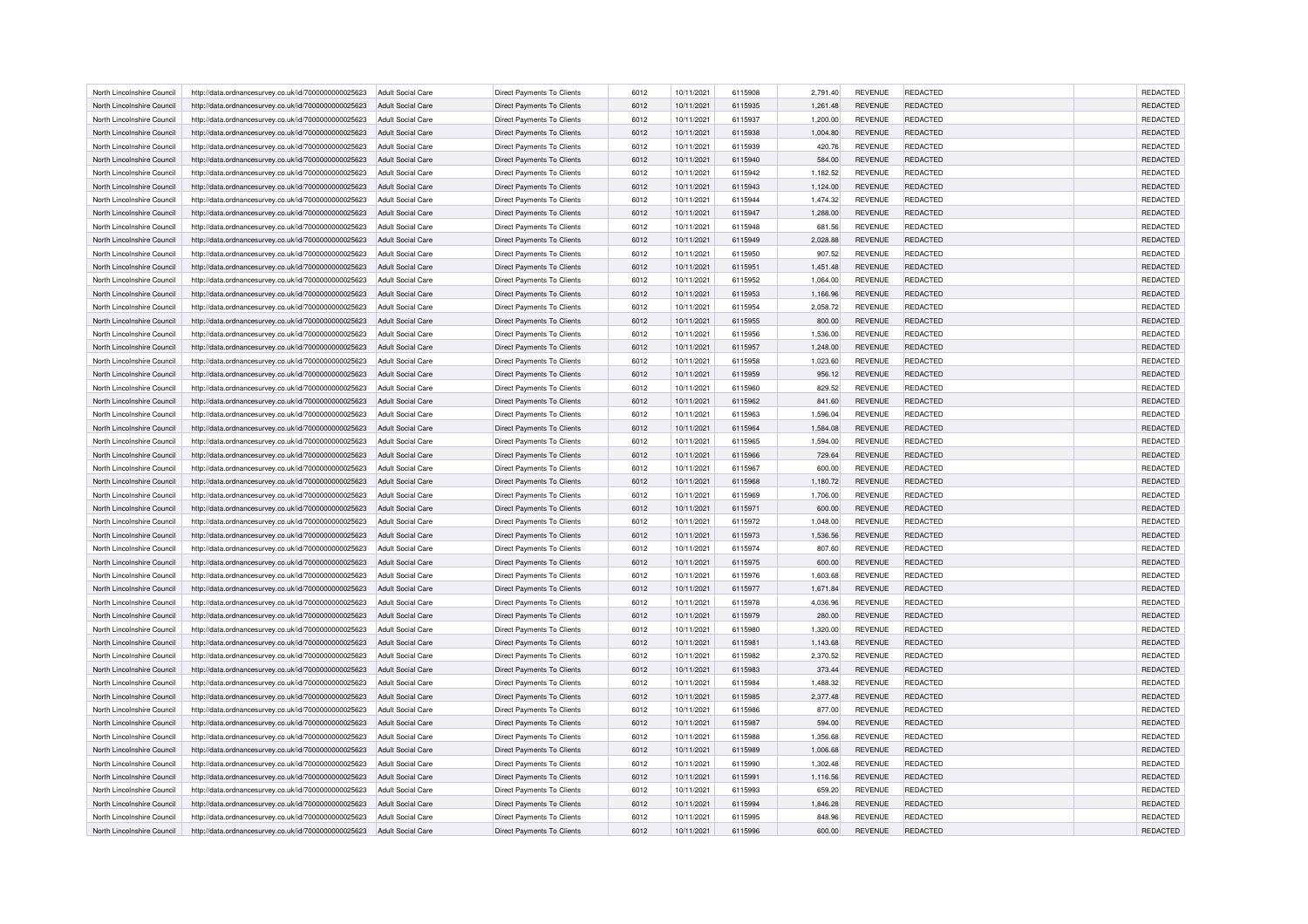| North Lincolnshire Council | http://data.ordnancesurvey.co.uk/id/7000000000025623 | Adult Social Care        | Direct Payments To Clients        | 6012 | 10/11/2021 | 6115908 | 2,791.40 | REVENUE        | <b>REDACTED</b> | REDACTED        |
|----------------------------|------------------------------------------------------|--------------------------|-----------------------------------|------|------------|---------|----------|----------------|-----------------|-----------------|
| North Lincolnshire Council | http://data.ordnancesurvey.co.uk/id/7000000000025623 | Adult Social Care        | Direct Payments To Clients        | 6012 | 10/11/2021 | 6115935 | 1,261.48 | <b>REVENUE</b> | REDACTED        | REDACTED        |
| North Lincolnshire Council | http://data.ordnancesurvey.co.uk/id/7000000000025623 | Adult Social Care        | Direct Payments To Clients        | 6012 | 10/11/2021 | 6115937 | 1.200.00 | <b>REVENUE</b> | REDACTED        | REDACTED        |
| North Lincolnshire Council | http://data.ordnancesurvey.co.uk/id/7000000000025623 | Adult Social Care        | Direct Payments To Clients        | 6012 | 10/11/2021 | 6115938 | 1,004.80 | <b>REVENUE</b> | <b>REDACTED</b> | REDACTED        |
| North Lincolnshire Council | http://data.ordnancesurvey.co.uk/id/7000000000025623 | Adult Social Care        | Direct Payments To Clients        | 6012 | 10/11/2021 | 6115939 | 420.76   | <b>REVENUE</b> | REDACTED        | <b>REDACTED</b> |
| North Lincolnshire Council | http://data.ordnancesurvey.co.uk/id/7000000000025623 | <b>Adult Social Care</b> | Direct Payments To Clients        | 6012 | 10/11/2021 | 6115940 | 584.00   | <b>REVENUE</b> | REDACTED        | REDACTED        |
| North Lincolnshire Council | http://data.ordnancesurvey.co.uk/id/7000000000025623 | Adult Social Care        | Direct Payments To Clients        | 6012 | 10/11/2021 | 6115942 | 1,182.52 | <b>REVENUE</b> | REDACTED        | REDACTED        |
| North Lincolnshire Council | http://data.ordnancesurvey.co.uk/id/7000000000025623 | <b>Adult Social Care</b> | <b>Direct Payments To Clients</b> | 6012 | 10/11/2021 | 6115943 | 1,124.00 | <b>REVENUE</b> | REDACTED        | REDACTED        |
| North Lincolnshire Council | http://data.ordnancesurvey.co.uk/id/7000000000025623 | <b>Adult Social Care</b> | <b>Direct Payments To Clients</b> | 6012 | 10/11/2021 | 6115944 | 1,474.32 | <b>REVENUE</b> | REDACTED        | REDACTED        |
| North Lincolnshire Council | http://data.ordnancesurvey.co.uk/id/7000000000025623 | <b>Adult Social Care</b> | Direct Payments To Clients        | 6012 | 10/11/2021 | 6115947 | 1,288.00 | <b>REVENUE</b> | <b>REDACTED</b> | REDACTED        |
| North Lincolnshire Council | http://data.ordnancesurvey.co.uk/id/7000000000025623 | <b>Adult Social Care</b> | Direct Payments To Clients        | 6012 | 10/11/2021 | 6115948 | 681.56   | <b>REVENUE</b> | REDACTED        | REDACTED        |
| North Lincolnshire Council | http://data.ordnancesurvey.co.uk/id/7000000000025623 | <b>Adult Social Care</b> | Direct Payments To Clients        | 6012 | 10/11/2021 | 6115949 | 2,028.88 | <b>REVENUE</b> | REDACTED        | REDACTED        |
| North Lincolnshire Council | http://data.ordnancesurvey.co.uk/id/7000000000025623 | Adult Social Care        | Direct Payments To Clients        | 6012 | 10/11/2021 | 6115950 | 907.52   | <b>REVENUE</b> | REDACTED        | REDACTED        |
| North Lincolnshire Council | http://data.ordnancesurvey.co.uk/id/7000000000025623 | <b>Adult Social Care</b> | Direct Payments To Clients        | 6012 | 10/11/2021 | 6115951 | 1,451.48 | <b>REVENUE</b> | REDACTED        | REDACTED        |
| North Lincolnshire Council | http://data.ordnancesurvey.co.uk/id/7000000000025623 | <b>Adult Social Care</b> | Direct Payments To Clients        | 6012 | 10/11/2021 | 6115952 | 1.064.00 | <b>REVENUE</b> | REDACTED        | REDACTED        |
| North Lincolnshire Council | http://data.ordnancesurvey.co.uk/id/7000000000025623 | <b>Adult Social Care</b> | Direct Payments To Clients        | 6012 | 10/11/2021 | 6115953 | 1,166.96 | <b>REVENUE</b> | REDACTED        | REDACTED        |
| North Lincolnshire Council | http://data.ordnancesurvey.co.uk/id/7000000000025623 | <b>Adult Social Care</b> | <b>Direct Payments To Clients</b> | 6012 | 10/11/2021 | 6115954 | 2,058.72 | <b>REVENUE</b> | <b>REDACTED</b> | REDACTED        |
| North Lincolnshire Council | http://data.ordnancesurvey.co.uk/id/7000000000025623 | <b>Adult Social Care</b> | Direct Payments To Clients        | 6012 | 10/11/2021 | 6115955 | 800.00   | <b>REVENUE</b> | REDACTED        | REDACTED        |
| North Lincolnshire Council | http://data.ordnancesurvey.co.uk/id/7000000000025623 | Adult Social Care        | Direct Payments To Clients        | 6012 | 10/11/2021 | 6115956 | 1,536.00 | REVENUE        | REDACTED        | REDACTED        |
| North Lincolnshire Council | http://data.ordnancesurvey.co.uk/id/7000000000025623 | <b>Adult Social Care</b> | Direct Payments To Clients        | 6012 | 10/11/2021 | 6115957 | 1,248.00 | <b>REVENUE</b> | REDACTED        | REDACTED        |
| North Lincolnshire Council | http://data.ordnancesurvey.co.uk/id/7000000000025623 | <b>Adult Social Care</b> | Direct Payments To Clients        | 6012 | 10/11/2021 | 6115958 | 1,023.60 | <b>REVENUE</b> | REDACTED        | REDACTED        |
| North Lincolnshire Council | http://data.ordnancesurvey.co.uk/id/7000000000025623 | Adult Social Care        | Direct Payments To Clients        | 6012 | 10/11/2021 | 6115959 | 956.12   | <b>REVENUE</b> | <b>REDACTED</b> | REDACTED        |
| North Lincolnshire Council | http://data.ordnancesurvey.co.uk/id/7000000000025623 | <b>Adult Social Care</b> | Direct Payments To Clients        | 6012 | 10/11/2021 | 6115960 | 829.52   | <b>REVENUE</b> | REDACTED        | REDACTED        |
| North Lincolnshire Council | http://data.ordnancesurvey.co.uk/id/7000000000025623 | Adult Social Care        | Direct Payments To Clients        | 6012 | 10/11/2021 | 6115962 | 841.60   | <b>REVENUE</b> | <b>REDACTED</b> | REDACTED        |
| North Lincolnshire Council | http://data.ordnancesurvey.co.uk/id/7000000000025623 | <b>Adult Social Care</b> | Direct Payments To Clients        | 6012 | 10/11/2021 | 6115963 | 1,596.04 | <b>REVENUE</b> | REDACTED        | REDACTED        |
| North Lincolnshire Council | http://data.ordnancesurvey.co.uk/id/7000000000025623 | <b>Adult Social Care</b> | Direct Payments To Clients        | 6012 | 10/11/2021 | 6115964 | 1,584.08 | <b>REVENUE</b> | REDACTED        | REDACTED        |
| North Lincolnshire Council | http://data.ordnancesurvey.co.uk/id/7000000000025623 | <b>Adult Social Care</b> | <b>Direct Payments To Clients</b> | 6012 | 10/11/2021 | 6115965 | 1.594.00 | <b>REVENUE</b> | <b>REDACTED</b> | REDACTED        |
| North Lincolnshire Council | http://data.ordnancesurvey.co.uk/id/7000000000025623 | Adult Social Care        | Direct Payments To Clients        | 6012 | 10/11/2021 | 6115966 | 729.64   | <b>REVENUE</b> | REDACTED        | REDACTED        |
| North Lincolnshire Council | http://data.ordnancesurvey.co.uk/id/7000000000025623 | <b>Adult Social Care</b> | Direct Payments To Clients        | 6012 | 10/11/2021 | 6115967 | 600.00   | <b>REVENUE</b> | REDACTED        | REDACTED        |
| North Lincolnshire Council | http://data.ordnancesurvey.co.uk/id/7000000000025623 | <b>Adult Social Care</b> | Direct Payments To Clients        | 6012 | 10/11/2021 | 6115968 | 1,180.72 | <b>REVENUE</b> | REDACTED        | REDACTED        |
| North Lincolnshire Council | http://data.ordnancesurvey.co.uk/id/7000000000025623 | Adult Social Care        | Direct Payments To Clients        | 6012 | 10/11/2021 | 6115969 | 1,706.00 | <b>REVENUE</b> | REDACTED        | REDACTED        |
| North Lincolnshire Council | http://data.ordnancesurvey.co.uk/id/7000000000025623 | <b>Adult Social Care</b> | <b>Direct Payments To Clients</b> | 6012 | 10/11/2021 | 6115971 | 600.00   | <b>REVENUE</b> | REDACTED        | REDACTED        |
| North Lincolnshire Council | http://data.ordnancesurvey.co.uk/id/7000000000025623 | <b>Adult Social Care</b> | <b>Direct Payments To Clients</b> | 6012 | 10/11/2021 | 6115972 | 1,048.00 | <b>REVENUE</b> | REDACTED        | REDACTED        |
| North Lincolnshire Council | http://data.ordnancesurvey.co.uk/id/7000000000025623 | <b>Adult Social Care</b> | Direct Payments To Clients        | 6012 | 10/11/2021 | 6115973 | 1,536.56 | <b>REVENUE</b> | <b>REDACTED</b> | REDACTED        |
| North Lincolnshire Council | http://data.ordnancesurvey.co.uk/id/7000000000025623 | <b>Adult Social Care</b> | Direct Payments To Clients        | 6012 | 10/11/2021 | 6115974 | 807.60   | <b>REVENUE</b> | REDACTED        | <b>REDACTED</b> |
| North Lincolnshire Council | http://data.ordnancesurvey.co.uk/id/7000000000025623 | <b>Adult Social Care</b> | Direct Payments To Clients        | 6012 | 10/11/2021 | 6115975 | 600.00   | <b>REVENUE</b> | REDACTED        | REDACTED        |
| North Lincolnshire Council | http://data.ordnancesurvey.co.uk/id/7000000000025623 | Adult Social Care        | Direct Payments To Clients        | 6012 | 10/11/2021 | 6115976 | 1,603.68 | <b>REVENUE</b> | REDACTED        | REDACTED        |
| North Lincolnshire Council | http://data.ordnancesurvey.co.uk/id/7000000000025623 | <b>Adult Social Care</b> | <b>Direct Payments To Clients</b> | 6012 | 10/11/2021 | 6115977 | 1,671.84 | <b>REVENUE</b> | REDACTED        | REDACTED        |
| North Lincolnshire Council | http://data.ordnancesurvey.co.uk/id/7000000000025623 | <b>Adult Social Care</b> | Direct Payments To Clients        | 6012 | 10/11/2021 | 6115978 | 4,036.96 | <b>REVENUE</b> | REDACTED        | REDACTED        |
| North Lincolnshire Council | http://data.ordnancesurvey.co.uk/id/7000000000025623 | <b>Adult Social Care</b> | Direct Payments To Clients        | 6012 | 10/11/2021 | 6115979 | 280.00   | <b>REVENUE</b> | REDACTED        | REDACTED        |
| North Lincolnshire Council | http://data.ordnancesurvey.co.uk/id/7000000000025623 | Adult Social Care        | Direct Payments To Clients        | 6012 | 10/11/2021 | 6115980 | 1,320.00 | <b>REVENUE</b> | REDACTED        | <b>REDACTED</b> |
| North Lincolnshire Council | http://data.ordnancesurvey.co.uk/id/7000000000025623 | <b>Adult Social Care</b> | Direct Payments To Clients        | 6012 | 10/11/2021 | 6115981 | 1,143.68 | <b>REVENUE</b> | REDACTED        | REDACTED        |
| North Lincolnshire Council | http://data.ordnancesurvey.co.uk/id/7000000000025623 | Adult Social Care        | Direct Payments To Clients        | 6012 | 10/11/2021 | 6115982 | 2,370.52 | REVENUE        | REDACTED        | REDACTED        |
| North Lincolnshire Council | http://data.ordnancesurvey.co.uk/id/7000000000025623 | <b>Adult Social Care</b> | Direct Payments To Clients        | 6012 | 10/11/2021 | 6115983 | 373.44   | <b>REVENUE</b> | <b>REDACTED</b> | REDACTED        |
| North Lincolnshire Council | http://data.ordnancesurvey.co.uk/id/7000000000025623 | Adult Social Care        | Direct Payments To Clients        | 6012 | 10/11/2021 | 6115984 | 1.488.32 | <b>REVENUE</b> | REDACTED        | REDACTED        |
| North Lincolnshire Council | http://data.ordnancesurvey.co.uk/id/7000000000025623 | Adult Social Care        | Direct Payments To Clients        | 6012 | 10/11/2021 | 6115985 | 2,377.48 | <b>REVENUE</b> | <b>REDACTED</b> | REDACTED        |
| North Lincolnshire Council | http://data.ordnancesurvey.co.uk/id/7000000000025623 | <b>Adult Social Care</b> | Direct Payments To Clients        | 6012 | 10/11/2021 | 6115986 | 877.00   | <b>REVENUE</b> | REDACTED        | REDACTED        |
| North Lincolnshire Council | http://data.ordnancesurvey.co.uk/id/7000000000025623 | Adult Social Care        | Direct Payments To Clients        | 6012 | 10/11/2021 | 6115987 | 594.00   | <b>REVENUE</b> | <b>REDACTED</b> | REDACTED        |
| North Lincolnshire Council | http://data.ordnancesurvey.co.uk/id/7000000000025623 | Adult Social Care        | Direct Payments To Clients        | 6012 | 10/11/2021 | 6115988 | 1,356.68 | REVENUE        | REDACTED        | REDACTED        |
| North Lincolnshire Council | http://data.ordnancesurvey.co.uk/id/7000000000025623 | Adult Social Care        | Direct Payments To Clients        | 6012 | 10/11/2021 | 6115989 | 1,006.68 | <b>REVENUE</b> | REDACTED        | REDACTED        |
| North Lincolnshire Council | http://data.ordnancesurvey.co.uk/id/7000000000025623 | <b>Adult Social Care</b> | Direct Payments To Clients        | 6012 | 10/11/2021 | 6115990 | 1.302.48 | <b>REVENUE</b> | <b>REDACTED</b> | REDACTED        |
| North Lincolnshire Council | http://data.ordnancesurvey.co.uk/id/7000000000025623 | Adult Social Care        | Direct Payments To Clients        | 6012 | 10/11/2021 | 6115991 | 1,116.56 | <b>REVENUE</b> | REDACTED        | REDACTED        |
| North Lincolnshire Council | http://data.ordnancesurvey.co.uk/id/7000000000025623 | <b>Adult Social Care</b> | Direct Payments To Clients        | 6012 | 10/11/2021 | 6115993 | 659.20   | <b>REVENUE</b> | REDACTED        | REDACTED        |
| North Lincolnshire Council | http://data.ordnancesurvey.co.uk/id/7000000000025623 | <b>Adult Social Care</b> | Direct Payments To Clients        | 6012 | 10/11/2021 | 6115994 | 1,846.28 | <b>REVENUE</b> | REDACTED        | REDACTED        |
| North Lincolnshire Council | http://data.ordnancesurvey.co.uk/id/7000000000025623 | Adult Social Care        | Direct Payments To Clients        | 6012 | 10/11/2021 | 6115995 | 848.96   | <b>REVENUE</b> | REDACTED        | REDACTED        |
| North Lincolnshire Council | http://data.ordnancesurvey.co.uk/id/7000000000025623 | Adult Social Care        | <b>Direct Payments To Clients</b> | 6012 | 10/11/2021 | 6115996 | 600.00   | <b>REVENUE</b> | <b>REDACTED</b> | REDACTED        |
|                            |                                                      |                          |                                   |      |            |         |          |                |                 |                 |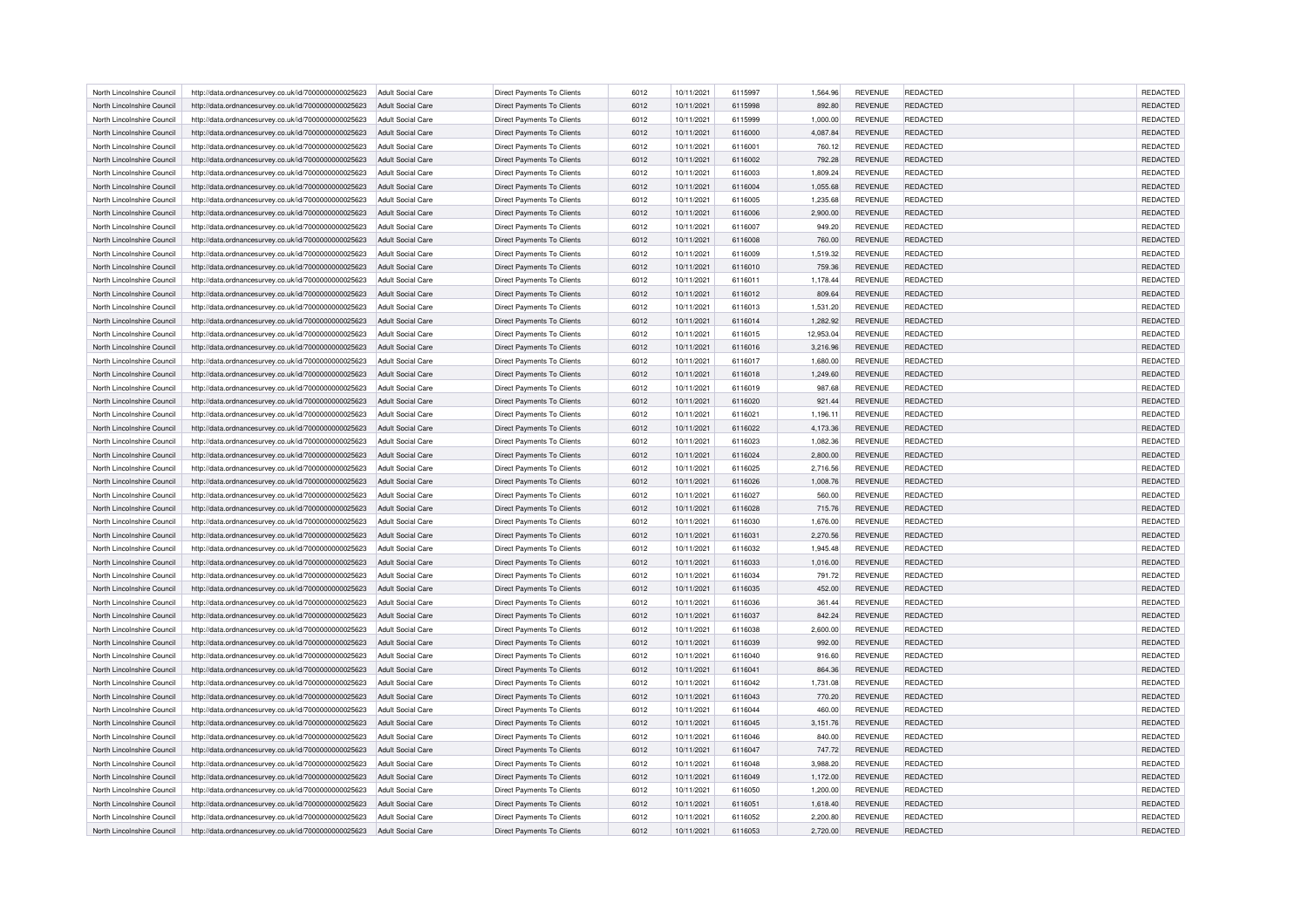| North Lincolnshire Council | http://data.ordnancesurvey.co.uk/id/7000000000025623                                                         | Adult Social Care        | Direct Payments To Clients                               | 6012 | 10/11/2021               | 6115997 | 1,564.96           | REVENUE        | <b>REDACTED</b> | REDACTED             |
|----------------------------|--------------------------------------------------------------------------------------------------------------|--------------------------|----------------------------------------------------------|------|--------------------------|---------|--------------------|----------------|-----------------|----------------------|
| North Lincolnshire Council | http://data.ordnancesurvey.co.uk/id/7000000000025623                                                         | Adult Social Care        | <b>Direct Payments To Clients</b>                        | 6012 | 10/11/2021               | 6115998 | 892.80             | <b>REVENUE</b> | REDACTED        | REDACTED             |
| North Lincolnshire Council | http://data.ordnancesurvey.co.uk/id/7000000000025623                                                         | Adult Social Care        | Direct Payments To Clients                               | 6012 | 10/11/2021               | 6115999 | 1.000.00           | <b>REVENUE</b> | REDACTED        | REDACTED             |
| North Lincolnshire Council | http://data.ordnancesurvey.co.uk/id/7000000000025623                                                         | Adult Social Care        | Direct Payments To Clients                               | 6012 | 10/11/2021               | 6116000 | 4,087.84           | <b>REVENUE</b> | <b>REDACTED</b> | REDACTED             |
| North Lincolnshire Council | http://data.ordnancesurvey.co.uk/id/7000000000025623                                                         | Adult Social Care        | Direct Payments To Clients                               | 6012 | 10/11/2021               | 6116001 | 760.12             | <b>REVENUE</b> | REDACTED        | <b>REDACTED</b>      |
| North Lincolnshire Council | http://data.ordnancesurvey.co.uk/id/7000000000025623                                                         | <b>Adult Social Care</b> | Direct Payments To Clients                               | 6012 | 10/11/2021               | 6116002 | 792.28             | <b>REVENUE</b> | REDACTED        | REDACTED             |
| North Lincolnshire Council | http://data.ordnancesurvey.co.uk/id/7000000000025623                                                         | Adult Social Care        | Direct Payments To Clients                               | 6012 | 10/11/2021               | 6116003 | 1,809.24           | <b>REVENUE</b> | REDACTED        | REDACTED             |
| North Lincolnshire Council | http://data.ordnancesurvey.co.uk/id/7000000000025623                                                         | Adult Social Care        | <b>Direct Payments To Clients</b>                        | 6012 | 10/11/2021               | 6116004 | 1,055.68           | <b>REVENUE</b> | REDACTED        | REDACTED             |
| North Lincolnshire Council | http://data.ordnancesurvey.co.uk/id/7000000000025623                                                         | <b>Adult Social Care</b> | <b>Direct Payments To Clients</b>                        | 6012 | 10/11/2021               | 6116005 | 1,235.68           | <b>REVENUE</b> | REDACTED        | REDACTED             |
| North Lincolnshire Council | http://data.ordnancesurvey.co.uk/id/7000000000025623                                                         | <b>Adult Social Care</b> | Direct Payments To Clients                               | 6012 | 10/11/2021               | 6116006 | 2,900.00           | <b>REVENUE</b> | <b>REDACTED</b> | REDACTED             |
| North Lincolnshire Council | http://data.ordnancesurvey.co.uk/id/7000000000025623                                                         | <b>Adult Social Care</b> | Direct Payments To Clients                               | 6012 | 10/11/2021               | 6116007 | 949.20             | <b>REVENUE</b> | REDACTED        | REDACTED             |
| North Lincolnshire Council | http://data.ordnancesurvey.co.uk/id/7000000000025623                                                         | <b>Adult Social Care</b> | Direct Payments To Clients                               | 6012 | 10/11/2021               | 6116008 | 760.00             | <b>REVENUE</b> | REDACTED        | REDACTED             |
| North Lincolnshire Council | http://data.ordnancesurvey.co.uk/id/7000000000025623                                                         | Adult Social Care        | Direct Payments To Clients                               | 6012 | 10/11/2021               | 6116009 | 1,519.32           | <b>REVENUE</b> | REDACTED        | REDACTED             |
| North Lincolnshire Council | http://data.ordnancesurvey.co.uk/id/7000000000025623                                                         | <b>Adult Social Care</b> | Direct Payments To Clients                               | 6012 | 10/11/2021               | 6116010 | 759.36             | <b>REVENUE</b> | REDACTED        | REDACTED             |
|                            |                                                                                                              |                          |                                                          |      |                          |         |                    |                |                 |                      |
| North Lincolnshire Council | http://data.ordnancesurvey.co.uk/id/7000000000025623                                                         | <b>Adult Social Care</b> | Direct Payments To Clients                               | 6012 | 10/11/2021               | 6116011 | 1,178.44           | <b>REVENUE</b> | REDACTED        | REDACTED             |
| North Lincolnshire Council | http://data.ordnancesurvey.co.uk/id/7000000000025623                                                         | <b>Adult Social Care</b> | Direct Payments To Clients                               | 6012 | 10/11/2021               | 6116012 | 809.64             | REVENUE        | REDACTED        | REDACTED             |
| North Lincolnshire Council | http://data.ordnancesurvey.co.uk/id/7000000000025623                                                         | <b>Adult Social Care</b> | <b>Direct Payments To Clients</b>                        | 6012 | 10/11/2021               | 6116013 | 1,531.20           | <b>REVENUE</b> | <b>REDACTED</b> | REDACTED             |
| North Lincolnshire Council | http://data.ordnancesurvey.co.uk/id/7000000000025623                                                         | <b>Adult Social Care</b> | Direct Payments To Clients                               | 6012 | 10/11/2021               | 6116014 | 1,282.92           | <b>REVENUE</b> | REDACTED        | REDACTED             |
| North Lincolnshire Council | http://data.ordnancesurvey.co.uk/id/7000000000025623                                                         | Adult Social Care        | Direct Payments To Clients                               | 6012 | 10/11/2021               | 6116015 | 12,953.04          | REVENUE        | REDACTED        | REDACTED             |
| North Lincolnshire Council | http://data.ordnancesurvey.co.uk/id/7000000000025623                                                         | <b>Adult Social Care</b> | Direct Payments To Clients                               | 6012 | 10/11/2021               | 6116016 | 3,216.96           | <b>REVENUE</b> | REDACTED        | REDACTED             |
| North Lincolnshire Council | http://data.ordnancesurvey.co.uk/id/7000000000025623                                                         | Adult Social Care        | Direct Payments To Clients                               | 6012 | 10/11/2021               | 6116017 | 1.680.00           | <b>REVENUE</b> | REDACTED        | REDACTED             |
| North Lincolnshire Council | http://data.ordnancesurvey.co.uk/id/7000000000025623                                                         | Adult Social Care        | Direct Payments To Clients                               | 6012 | 10/11/2021               | 6116018 | 1,249.60           | <b>REVENUE</b> | <b>REDACTED</b> | REDACTED             |
| North Lincolnshire Council | http://data.ordnancesurvey.co.uk/id/7000000000025623                                                         | <b>Adult Social Care</b> | Direct Payments To Clients                               | 6012 | 10/11/2021               | 6116019 | 987.68             | <b>REVENUE</b> | REDACTED        | REDACTED             |
| North Lincolnshire Council | http://data.ordnancesurvey.co.uk/id/7000000000025623                                                         | Adult Social Care        | Direct Payments To Clients                               | 6012 | 10/11/2021               | 6116020 | 921.44             | <b>REVENUE</b> | <b>REDACTED</b> | REDACTED             |
| North Lincolnshire Council | http://data.ordnancesurvey.co.uk/id/7000000000025623                                                         | <b>Adult Social Care</b> | Direct Payments To Clients                               | 6012 | 10/11/2021               | 6116021 | 1,196.11           | <b>REVENUE</b> | REDACTED        | REDACTED             |
| North Lincolnshire Council | http://data.ordnancesurvey.co.uk/id/7000000000025623                                                         | <b>Adult Social Care</b> | Direct Payments To Clients                               | 6012 | 10/11/2021               | 6116022 | 4,173.36           | <b>REVENUE</b> | REDACTED        | REDACTED             |
| North Lincolnshire Council | http://data.ordnancesurvey.co.uk/id/7000000000025623                                                         | <b>Adult Social Care</b> | <b>Direct Payments To Clients</b>                        | 6012 | 10/11/2021               | 6116023 | 1.082.36           | <b>REVENUE</b> | <b>REDACTED</b> | REDACTED             |
| North Lincolnshire Council | http://data.ordnancesurvey.co.uk/id/7000000000025623                                                         | Adult Social Care        | Direct Payments To Clients                               | 6012 | 10/11/2021               | 6116024 | 2,800.00           | <b>REVENUE</b> | REDACTED        | REDACTED             |
| North Lincolnshire Council | http://data.ordnancesurvey.co.uk/id/7000000000025623                                                         | <b>Adult Social Care</b> | Direct Payments To Clients                               | 6012 | 10/11/2021               | 6116025 | 2,716.56           | <b>REVENUE</b> | REDACTED        | REDACTED             |
| North Lincolnshire Council | http://data.ordnancesurvey.co.uk/id/7000000000025623                                                         | <b>Adult Social Care</b> | Direct Payments To Clients                               | 6012 | 10/11/2021               | 6116026 | 1,008.76           | <b>REVENUE</b> | REDACTED        | REDACTED             |
| North Lincolnshire Council | http://data.ordnancesurvey.co.uk/id/7000000000025623                                                         | Adult Social Care        | Direct Payments To Clients                               | 6012 | 10/11/2021               | 6116027 | 560.00             | <b>REVENUE</b> | REDACTED        | REDACTED             |
| North Lincolnshire Council | http://data.ordnancesurvey.co.uk/id/7000000000025623                                                         | <b>Adult Social Care</b> | <b>Direct Payments To Clients</b>                        | 6012 | 10/11/2021               | 6116028 | 715.76             | <b>REVENUE</b> | REDACTED        | REDACTED             |
| North Lincolnshire Council | http://data.ordnancesurvey.co.uk/id/7000000000025623                                                         | <b>Adult Social Care</b> | <b>Direct Payments To Clients</b>                        | 6012 | 10/11/2021               | 6116030 | 1,676.00           | <b>REVENUE</b> | REDACTED        | REDACTED             |
| North Lincolnshire Council | http://data.ordnancesurvey.co.uk/id/7000000000025623                                                         | <b>Adult Social Care</b> | Direct Payments To Clients                               | 6012 | 10/11/2021               | 6116031 | 2,270.56           | <b>REVENUE</b> | <b>REDACTED</b> | REDACTED             |
| North Lincolnshire Council | http://data.ordnancesurvey.co.uk/id/7000000000025623                                                         | <b>Adult Social Care</b> | Direct Payments To Clients                               | 6012 | 10/11/2021               | 6116032 | 1,945.48           | <b>REVENUE</b> | REDACTED        | <b>REDACTED</b>      |
| North Lincolnshire Council | http://data.ordnancesurvey.co.uk/id/7000000000025623                                                         | <b>Adult Social Care</b> | Direct Payments To Clients                               | 6012 | 10/11/2021               | 6116033 | 1,016.00           | <b>REVENUE</b> | REDACTED        | REDACTED             |
| North Lincolnshire Council | http://data.ordnancesurvey.co.uk/id/7000000000025623                                                         | Adult Social Care        | Direct Payments To Clients                               | 6012 | 10/11/2021               | 6116034 | 791.72             | <b>REVENUE</b> | REDACTED        | REDACTED             |
| North Lincolnshire Council | http://data.ordnancesurvey.co.uk/id/7000000000025623                                                         | <b>Adult Social Care</b> | <b>Direct Payments To Clients</b>                        | 6012 | 10/11/2021               | 6116035 | 452.00             | REVENUE        | REDACTED        | REDACTED             |
| North Lincolnshire Council | http://data.ordnancesurvey.co.uk/id/7000000000025623                                                         | <b>Adult Social Care</b> | Direct Payments To Clients                               | 6012 | 10/11/2021               | 6116036 | 361.44             | <b>REVENUE</b> | REDACTED        | REDACTED             |
| North Lincolnshire Council | http://data.ordnancesurvey.co.uk/id/7000000000025623                                                         | <b>Adult Social Care</b> | Direct Payments To Clients                               | 6012 | 10/11/2021               | 6116037 | 842.24             | REVENUE        | REDACTED        | REDACTED             |
| North Lincolnshire Council | http://data.ordnancesurvey.co.uk/id/7000000000025623                                                         | Adult Social Care        | Direct Payments To Clients                               | 6012 | 10/11/2021               | 6116038 | 2,600.00           | <b>REVENUE</b> | REDACTED        | <b>REDACTED</b>      |
| North Lincolnshire Council | http://data.ordnancesurvey.co.uk/id/7000000000025623                                                         | <b>Adult Social Care</b> | Direct Payments To Clients                               | 6012 | 10/11/2021               | 6116039 | 992.00             | <b>REVENUE</b> | REDACTED        | REDACTED             |
| North Lincolnshire Council | http://data.ordnancesurvey.co.uk/id/7000000000025623                                                         | Adult Social Care        | Direct Payments To Clients                               | 6012 | 10/11/2021               | 6116040 | 916.60             | REVENUE        | REDACTED        | REDACTED             |
| North Lincolnshire Council | http://data.ordnancesurvey.co.uk/id/7000000000025623                                                         | <b>Adult Social Care</b> | Direct Payments To Clients                               | 6012 | 10/11/2021               | 6116041 | 864.36             | <b>REVENUE</b> | <b>REDACTED</b> | REDACTED             |
| North Lincolnshire Council | http://data.ordnancesurvey.co.uk/id/7000000000025623                                                         | Adult Social Care        | Direct Payments To Clients                               | 6012 | 10/11/2021               | 6116042 | 1,731.08           | <b>REVENUE</b> | REDACTED        | REDACTED             |
| North Lincolnshire Council | http://data.ordnancesurvey.co.uk/id/7000000000025623                                                         | Adult Social Care        | Direct Payments To Clients                               | 6012 | 10/11/2021               | 6116043 | 770.20             | <b>REVENUE</b> | <b>REDACTED</b> | REDACTED             |
| North Lincolnshire Council |                                                                                                              | <b>Adult Social Care</b> |                                                          | 6012 |                          | 6116044 |                    | <b>REVENUE</b> | REDACTED        |                      |
| North Lincolnshire Council | http://data.ordnancesurvey.co.uk/id/7000000000025623<br>http://data.ordnancesurvey.co.uk/id/7000000000025623 | Adult Social Care        | Direct Payments To Clients<br>Direct Payments To Clients | 6012 | 10/11/2021<br>10/11/2021 | 6116045 | 460.00<br>3,151.76 | <b>REVENUE</b> | <b>REDACTED</b> | REDACTED<br>REDACTED |
|                            |                                                                                                              |                          |                                                          |      |                          |         |                    |                |                 |                      |
| North Lincolnshire Council | http://data.ordnancesurvey.co.uk/id/7000000000025623                                                         | Adult Social Care        | Direct Payments To Clients                               | 6012 | 10/11/2021               | 6116046 | 840.00             | REVENUE        | REDACTED        | REDACTED             |
| North Lincolnshire Council | http://data.ordnancesurvey.co.uk/id/7000000000025623                                                         | Adult Social Care        | Direct Payments To Clients                               | 6012 | 10/11/2021               | 6116047 | 747.72             | <b>REVENUE</b> | REDACTED        | REDACTED             |
| North Lincolnshire Council | http://data.ordnancesurvey.co.uk/id/7000000000025623                                                         | <b>Adult Social Care</b> | Direct Payments To Clients                               | 6012 | 10/11/2021               | 6116048 | 3.988.20           | <b>REVENUE</b> | <b>REDACTED</b> | REDACTED             |
| North Lincolnshire Council | http://data.ordnancesurvey.co.uk/id/7000000000025623                                                         | Adult Social Care        | Direct Payments To Clients                               | 6012 | 10/11/2021               | 6116049 | 1,172.00           | <b>REVENUE</b> | REDACTED        | REDACTED             |
| North Lincolnshire Council | http://data.ordnancesurvey.co.uk/id/7000000000025623                                                         | <b>Adult Social Care</b> | Direct Payments To Clients                               | 6012 | 10/11/2021               | 6116050 | 1,200.00           | <b>REVENUE</b> | REDACTED        | REDACTED             |
| North Lincolnshire Council | http://data.ordnancesurvey.co.uk/id/7000000000025623                                                         | <b>Adult Social Care</b> | Direct Payments To Clients                               | 6012 | 10/11/2021               | 6116051 | 1,618.40           | <b>REVENUE</b> | REDACTED        | REDACTED             |
| North Lincolnshire Council | http://data.ordnancesurvey.co.uk/id/7000000000025623                                                         | Adult Social Care        | Direct Payments To Clients                               | 6012 | 10/11/2021               | 6116052 | 2,200.80           | <b>REVENUE</b> | REDACTED        | REDACTED             |
| North Lincolnshire Council | http://data.ordnancesurvey.co.uk/id/7000000000025623                                                         | Adult Social Care        | <b>Direct Payments To Clients</b>                        | 6012 | 10/11/2021               | 6116053 | 2,720.00           | <b>REVENUE</b> | <b>REDACTED</b> | REDACTED             |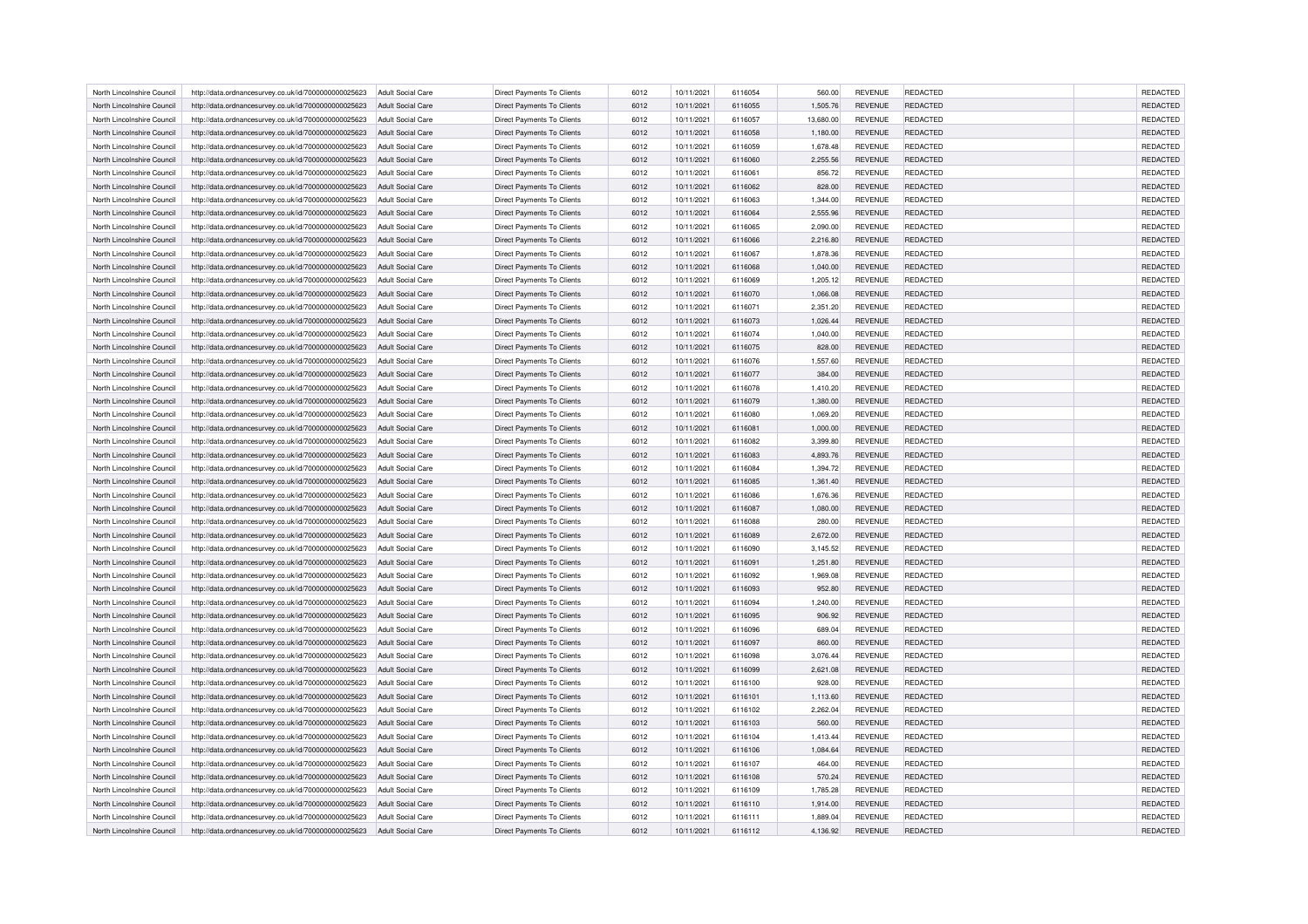| North Lincolnshire Council | http://data.ordnancesurvey.co.uk/id/7000000000025623 | Adult Social Care        | Direct Payments To Clients        | 6012 | 10/11/2021 | 6116054 | 560.00    | REVENUE        | <b>REDACTED</b> | REDACTED        |
|----------------------------|------------------------------------------------------|--------------------------|-----------------------------------|------|------------|---------|-----------|----------------|-----------------|-----------------|
| North Lincolnshire Council | http://data.ordnancesurvey.co.uk/id/7000000000025623 | Adult Social Care        | <b>Direct Payments To Clients</b> | 6012 | 10/11/2021 | 6116055 | 1,505.76  | <b>REVENUE</b> | REDACTED        | REDACTED        |
| North Lincolnshire Council | http://data.ordnancesurvey.co.uk/id/7000000000025623 | Adult Social Care        | Direct Payments To Clients        | 6012 | 10/11/2021 | 6116057 | 13,680.00 | <b>REVENUE</b> | REDACTED        | REDACTED        |
| North Lincolnshire Council | http://data.ordnancesurvey.co.uk/id/7000000000025623 | Adult Social Care        | Direct Payments To Clients        | 6012 | 10/11/2021 | 6116058 | 1,180.00  | <b>REVENUE</b> | <b>REDACTED</b> | REDACTED        |
| North Lincolnshire Council | http://data.ordnancesurvey.co.uk/id/7000000000025623 | Adult Social Care        | Direct Payments To Clients        | 6012 | 10/11/2021 | 6116059 | 1,678.48  | <b>REVENUE</b> | REDACTED        | <b>REDACTED</b> |
| North Lincolnshire Council | http://data.ordnancesurvey.co.uk/id/7000000000025623 | <b>Adult Social Care</b> | Direct Payments To Clients        | 6012 | 10/11/2021 | 6116060 | 2,255.56  | <b>REVENUE</b> | REDACTED        | REDACTED        |
| North Lincolnshire Council | http://data.ordnancesurvey.co.uk/id/7000000000025623 | Adult Social Care        | Direct Payments To Clients        | 6012 | 10/11/2021 | 6116061 | 856.72    | <b>REVENUE</b> | REDACTED        | REDACTED        |
| North Lincolnshire Council | http://data.ordnancesurvey.co.uk/id/7000000000025623 | Adult Social Care        | <b>Direct Payments To Clients</b> | 6012 | 10/11/2021 | 6116062 | 828.00    | <b>REVENUE</b> | REDACTED        | REDACTED        |
| North Lincolnshire Council | http://data.ordnancesurvey.co.uk/id/7000000000025623 | <b>Adult Social Care</b> | <b>Direct Payments To Clients</b> | 6012 | 10/11/2021 | 6116063 | 1,344.00  | <b>REVENUE</b> | REDACTED        | REDACTED        |
| North Lincolnshire Council | http://data.ordnancesurvey.co.uk/id/7000000000025623 | <b>Adult Social Care</b> | Direct Payments To Clients        | 6012 | 10/11/2021 | 6116064 | 2,555.96  | <b>REVENUE</b> | <b>REDACTED</b> | REDACTED        |
| North Lincolnshire Council | http://data.ordnancesurvey.co.uk/id/7000000000025623 | <b>Adult Social Care</b> | Direct Payments To Clients        | 6012 | 10/11/2021 | 6116065 | 2,090.00  | <b>REVENUE</b> | REDACTED        | REDACTED        |
| North Lincolnshire Council | http://data.ordnancesurvey.co.uk/id/7000000000025623 | <b>Adult Social Care</b> | Direct Payments To Clients        | 6012 | 10/11/2021 | 6116066 | 2,216.80  | <b>REVENUE</b> | REDACTED        | REDACTED        |
| North Lincolnshire Council | http://data.ordnancesurvey.co.uk/id/7000000000025623 | Adult Social Care        | Direct Payments To Clients        | 6012 | 10/11/2021 | 6116067 | 1,878.36  | <b>REVENUE</b> | REDACTED        | REDACTED        |
| North Lincolnshire Council | http://data.ordnancesurvey.co.uk/id/7000000000025623 | <b>Adult Social Care</b> | Direct Payments To Clients        | 6012 | 10/11/2021 | 6116068 | 1,040.00  | <b>REVENUE</b> | REDACTED        | REDACTED        |
| North Lincolnshire Council | http://data.ordnancesurvey.co.uk/id/7000000000025623 | <b>Adult Social Care</b> | Direct Payments To Clients        | 6012 | 10/11/2021 | 6116069 | 1,205.12  | <b>REVENUE</b> | REDACTED        | REDACTED        |
| North Lincolnshire Council | http://data.ordnancesurvey.co.uk/id/7000000000025623 | <b>Adult Social Care</b> | Direct Payments To Clients        | 6012 | 10/11/2021 | 6116070 | 1,066.08  | <b>REVENUE</b> | REDACTED        | REDACTED        |
| North Lincolnshire Council | http://data.ordnancesurvey.co.uk/id/7000000000025623 | <b>Adult Social Care</b> | <b>Direct Payments To Clients</b> | 6012 | 10/11/2021 | 6116071 | 2,351.20  | <b>REVENUE</b> | <b>REDACTED</b> | REDACTED        |
| North Lincolnshire Council | http://data.ordnancesurvey.co.uk/id/7000000000025623 | <b>Adult Social Care</b> | Direct Payments To Clients        | 6012 | 10/11/2021 | 6116073 | 1,026.44  | <b>REVENUE</b> | REDACTED        | REDACTED        |
| North Lincolnshire Council | http://data.ordnancesurvey.co.uk/id/7000000000025623 | Adult Social Care        | Direct Payments To Clients        | 6012 | 10/11/2021 | 6116074 | 1,040.00  | REVENUE        | REDACTED        | REDACTED        |
| North Lincolnshire Council | http://data.ordnancesurvey.co.uk/id/7000000000025623 | <b>Adult Social Care</b> | Direct Payments To Clients        | 6012 | 10/11/2021 | 6116075 | 828.00    | <b>REVENUE</b> | REDACTED        | REDACTED        |
| North Lincolnshire Council | http://data.ordnancesurvey.co.uk/id/7000000000025623 | Adult Social Care        | Direct Payments To Clients        | 6012 | 10/11/2021 | 6116076 | 1,557.60  | <b>REVENUE</b> | REDACTED        | REDACTED        |
| North Lincolnshire Council | http://data.ordnancesurvey.co.uk/id/7000000000025623 | Adult Social Care        | Direct Payments To Clients        | 6012 | 10/11/2021 | 6116077 | 384.00    | <b>REVENUE</b> | <b>REDACTED</b> | REDACTED        |
| North Lincolnshire Council | http://data.ordnancesurvey.co.uk/id/7000000000025623 | <b>Adult Social Care</b> | Direct Payments To Clients        | 6012 | 10/11/2021 | 6116078 | 1,410.20  | <b>REVENUE</b> | REDACTED        | REDACTED        |
| North Lincolnshire Council | http://data.ordnancesurvey.co.uk/id/7000000000025623 | Adult Social Care        | Direct Payments To Clients        | 6012 | 10/11/2021 | 6116079 | 1.380.00  | <b>REVENUE</b> | <b>REDACTED</b> | REDACTED        |
| North Lincolnshire Council | http://data.ordnancesurvey.co.uk/id/7000000000025623 | <b>Adult Social Care</b> | Direct Payments To Clients        | 6012 | 10/11/2021 | 6116080 | 1,069.20  | <b>REVENUE</b> | REDACTED        | REDACTED        |
| North Lincolnshire Council | http://data.ordnancesurvey.co.uk/id/7000000000025623 | <b>Adult Social Care</b> | Direct Payments To Clients        | 6012 | 10/11/2021 | 6116081 | 1,000.00  | <b>REVENUE</b> | REDACTED        | REDACTED        |
| North Lincolnshire Council | http://data.ordnancesurvey.co.uk/id/7000000000025623 | <b>Adult Social Care</b> | <b>Direct Payments To Clients</b> | 6012 | 10/11/2021 | 6116082 | 3.399.80  | <b>REVENUE</b> | <b>REDACTED</b> | REDACTED        |
| North Lincolnshire Council | http://data.ordnancesurvey.co.uk/id/7000000000025623 | Adult Social Care        | Direct Payments To Clients        | 6012 | 10/11/2021 | 6116083 | 4,893.76  | <b>REVENUE</b> | REDACTED        | REDACTED        |
| North Lincolnshire Council | http://data.ordnancesurvey.co.uk/id/7000000000025623 | <b>Adult Social Care</b> | Direct Payments To Clients        | 6012 | 10/11/2021 | 6116084 | 1,394.72  | <b>REVENUE</b> | REDACTED        | REDACTED        |
| North Lincolnshire Council | http://data.ordnancesurvey.co.uk/id/7000000000025623 | <b>Adult Social Care</b> | Direct Payments To Clients        | 6012 | 10/11/2021 | 6116085 | 1,361.40  | <b>REVENUE</b> | REDACTED        | REDACTED        |
| North Lincolnshire Council | http://data.ordnancesurvey.co.uk/id/7000000000025623 | Adult Social Care        | Direct Payments To Clients        | 6012 | 10/11/2021 | 6116086 | 1,676.36  | <b>REVENUE</b> | REDACTED        | REDACTED        |
| North Lincolnshire Council | http://data.ordnancesurvey.co.uk/id/7000000000025623 | <b>Adult Social Care</b> | <b>Direct Payments To Clients</b> | 6012 | 10/11/2021 | 6116087 | 1,080.00  | <b>REVENUE</b> | REDACTED        | REDACTED        |
| North Lincolnshire Council | http://data.ordnancesurvey.co.uk/id/7000000000025623 | <b>Adult Social Care</b> | <b>Direct Payments To Clients</b> | 6012 | 10/11/2021 | 6116088 | 280.00    | <b>REVENUE</b> | REDACTED        | REDACTED        |
| North Lincolnshire Council | http://data.ordnancesurvey.co.uk/id/7000000000025623 | <b>Adult Social Care</b> | Direct Payments To Clients        | 6012 | 10/11/2021 | 6116089 | 2,672.00  | <b>REVENUE</b> | <b>REDACTED</b> | REDACTED        |
| North Lincolnshire Council | http://data.ordnancesurvey.co.uk/id/7000000000025623 | <b>Adult Social Care</b> | Direct Payments To Clients        | 6012 | 10/11/2021 | 6116090 | 3,145.52  | <b>REVENUE</b> | REDACTED        | <b>REDACTED</b> |
| North Lincolnshire Council | http://data.ordnancesurvey.co.uk/id/7000000000025623 | <b>Adult Social Care</b> | Direct Payments To Clients        | 6012 | 10/11/2021 | 6116091 | 1,251.80  | <b>REVENUE</b> | REDACTED        | REDACTED        |
| North Lincolnshire Council | http://data.ordnancesurvey.co.uk/id/7000000000025623 | Adult Social Care        | Direct Payments To Clients        | 6012 | 10/11/2021 | 6116092 | 1,969.08  | REVENUE        | REDACTED        | REDACTED        |
| North Lincolnshire Council | http://data.ordnancesurvey.co.uk/id/7000000000025623 | <b>Adult Social Care</b> | <b>Direct Payments To Clients</b> | 6012 | 10/11/2021 | 6116093 | 952.80    | <b>REVENUE</b> | REDACTED        | REDACTED        |
| North Lincolnshire Council | http://data.ordnancesurvey.co.uk/id/7000000000025623 | <b>Adult Social Care</b> | Direct Payments To Clients        | 6012 | 10/11/2021 | 6116094 | 1,240.00  | <b>REVENUE</b> | REDACTED        | REDACTED        |
| North Lincolnshire Council | http://data.ordnancesurvey.co.uk/id/7000000000025623 | <b>Adult Social Care</b> | Direct Payments To Clients        | 6012 | 10/11/2021 | 6116095 | 906.92    | REVENUE        | REDACTED        | REDACTED        |
| North Lincolnshire Council | http://data.ordnancesurvey.co.uk/id/7000000000025623 | Adult Social Care        | Direct Payments To Clients        | 6012 | 10/11/2021 | 6116096 | 689.04    | <b>REVENUE</b> | REDACTED        | <b>REDACTED</b> |
| North Lincolnshire Council | http://data.ordnancesurvey.co.uk/id/7000000000025623 | <b>Adult Social Care</b> | Direct Payments To Clients        | 6012 | 10/11/2021 | 6116097 | 860.00    | <b>REVENUE</b> | REDACTED        | REDACTED        |
| North Lincolnshire Council | http://data.ordnancesurvey.co.uk/id/7000000000025623 | Adult Social Care        | Direct Payments To Clients        | 6012 | 10/11/2021 | 6116098 | 3,076.44  | REVENUE        | REDACTED        | REDACTED        |
| North Lincolnshire Council | http://data.ordnancesurvey.co.uk/id/7000000000025623 | <b>Adult Social Care</b> | Direct Payments To Clients        | 6012 | 10/11/2021 | 6116099 | 2,621.08  | <b>REVENUE</b> | <b>REDACTED</b> | REDACTED        |
| North Lincolnshire Council | http://data.ordnancesurvey.co.uk/id/7000000000025623 | Adult Social Care        | Direct Payments To Clients        | 6012 | 10/11/2021 | 6116100 | 928.00    | <b>REVENUE</b> | REDACTED        | REDACTED        |
| North Lincolnshire Council | http://data.ordnancesurvey.co.uk/id/7000000000025623 | Adult Social Care        | Direct Payments To Clients        | 6012 | 10/11/2021 | 6116101 | 1,113.60  | <b>REVENUE</b> | <b>REDACTED</b> | REDACTED        |
| North Lincolnshire Council | http://data.ordnancesurvey.co.uk/id/7000000000025623 | <b>Adult Social Care</b> | Direct Payments To Clients        | 6012 | 10/11/2021 | 6116102 | 2,262.04  | <b>REVENUE</b> | REDACTED        | REDACTED        |
| North Lincolnshire Council | http://data.ordnancesurvey.co.uk/id/7000000000025623 | Adult Social Care        | Direct Payments To Clients        | 6012 | 10/11/2021 | 6116103 | 560.00    | <b>REVENUE</b> | <b>REDACTED</b> | REDACTED        |
| North Lincolnshire Council | http://data.ordnancesurvey.co.uk/id/7000000000025623 | Adult Social Care        | Direct Payments To Clients        | 6012 | 10/11/2021 | 6116104 | 1,413.44  | REVENUE        | REDACTED        | REDACTED        |
| North Lincolnshire Council | http://data.ordnancesurvey.co.uk/id/7000000000025623 | Adult Social Care        | Direct Payments To Clients        | 6012 | 10/11/2021 | 6116106 | 1,084.64  | <b>REVENUE</b> | REDACTED        | REDACTED        |
| North Lincolnshire Council | http://data.ordnancesurvey.co.uk/id/7000000000025623 | <b>Adult Social Care</b> | Direct Payments To Clients        | 6012 | 10/11/2021 | 6116107 | 464.00    | <b>REVENUE</b> | <b>REDACTED</b> | REDACTED        |
| North Lincolnshire Council | http://data.ordnancesurvey.co.uk/id/7000000000025623 | Adult Social Care        | Direct Payments To Clients        | 6012 | 10/11/2021 | 6116108 | 570.24    | <b>REVENUE</b> | REDACTED        | REDACTED        |
| North Lincolnshire Council | http://data.ordnancesurvey.co.uk/id/7000000000025623 | <b>Adult Social Care</b> | Direct Payments To Clients        | 6012 | 10/11/2021 | 6116109 | 1,785.28  | <b>REVENUE</b> | REDACTED        | REDACTED        |
| North Lincolnshire Council | http://data.ordnancesurvey.co.uk/id/7000000000025623 | <b>Adult Social Care</b> | Direct Payments To Clients        | 6012 | 10/11/2021 | 6116110 | 1,914.00  | <b>REVENUE</b> | REDACTED        | REDACTED        |
| North Lincolnshire Council | http://data.ordnancesurvey.co.uk/id/7000000000025623 | Adult Social Care        | Direct Payments To Clients        | 6012 | 10/11/2021 | 6116111 | 1,889.04  | <b>REVENUE</b> | REDACTED        | REDACTED        |
| North Lincolnshire Council | http://data.ordnancesurvey.co.uk/id/7000000000025623 | Adult Social Care        | <b>Direct Payments To Clients</b> | 6012 | 10/11/2021 | 6116112 | 4,136.92  | <b>REVENUE</b> | <b>REDACTED</b> | REDACTED        |
|                            |                                                      |                          |                                   |      |            |         |           |                |                 |                 |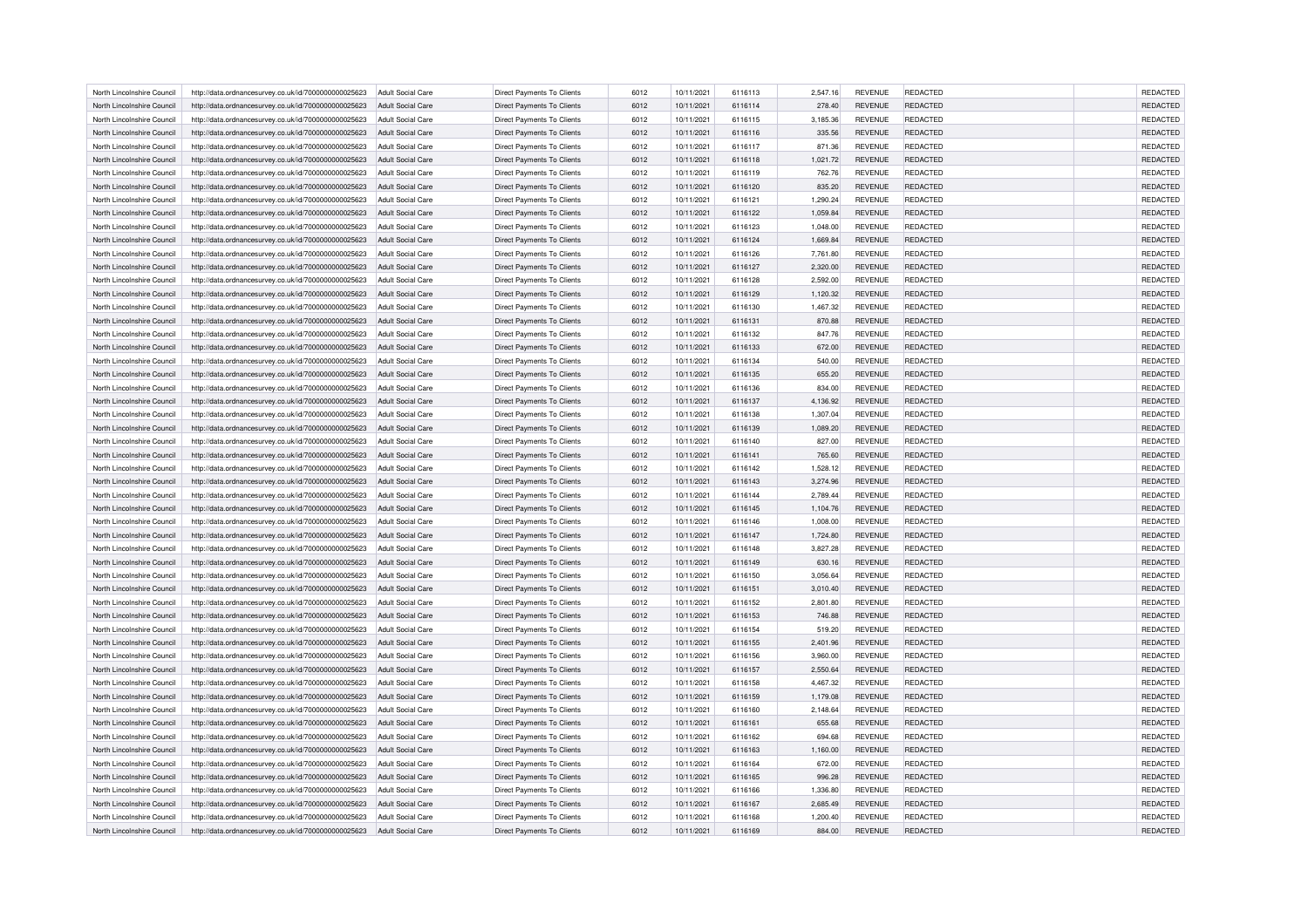| North Lincolnshire Council | http://data.ordnancesurvey.co.uk/id/7000000000025623 | Adult Social Care        | Direct Payments To Clients        | 6012 | 10/11/2021 | 6116113 | 2,547.16 | <b>REVENUE</b> | <b>REDACTED</b> | <b>REDACTED</b> |
|----------------------------|------------------------------------------------------|--------------------------|-----------------------------------|------|------------|---------|----------|----------------|-----------------|-----------------|
| North Lincolnshire Council | http://data.ordnancesurvey.co.uk/id/7000000000025623 | Adult Social Care        | <b>Direct Payments To Clients</b> | 6012 | 10/11/2021 | 6116114 | 278.40   | <b>REVENUE</b> | REDACTED        | REDACTED        |
| North Lincolnshire Council | http://data.ordnancesurvey.co.uk/id/7000000000025623 | <b>Adult Social Care</b> | Direct Payments To Clients        | 6012 | 10/11/2021 | 6116115 | 3,185.36 | <b>REVENUE</b> | <b>REDACTED</b> | <b>REDACTED</b> |
| North Lincolnshire Council | http://data.ordnancesurvey.co.uk/id/7000000000025623 | Adult Social Care        | Direct Payments To Clients        | 6012 | 10/11/2021 | 6116116 | 335.56   | <b>REVENUE</b> | <b>REDACTED</b> | REDACTED        |
| North Lincolnshire Council | http://data.ordnancesurvey.co.uk/id/7000000000025623 | <b>Adult Social Care</b> | <b>Direct Payments To Clients</b> | 6012 | 10/11/2021 | 6116117 | 871.36   | <b>REVENUE</b> | REDACTED        | REDACTED        |
| North Lincolnshire Council | http://data.ordnancesurvey.co.uk/id/7000000000025623 | Adult Social Care        | Direct Payments To Clients        | 6012 | 10/11/2021 | 6116118 | 1,021.72 | <b>REVENUE</b> | <b>REDACTED</b> | REDACTED        |
| North Lincolnshire Council | http://data.ordnancesurvey.co.uk/id/7000000000025623 | Adult Social Care        | Direct Payments To Clients        | 6012 | 10/11/2021 | 6116119 | 762.76   | REVENUE        | REDACTED        | REDACTED        |
| North Lincolnshire Council | http://data.ordnancesurvey.co.uk/id/7000000000025623 | Adult Social Care        | <b>Direct Payments To Clients</b> | 6012 | 10/11/2021 | 6116120 | 835.20   | <b>REVENUE</b> | REDACTED        | REDACTED        |
| North Lincolnshire Council | http://data.ordnancesurvey.co.uk/id/7000000000025623 | Adult Social Care        | Direct Payments To Clients        | 6012 | 10/11/2021 | 6116121 | 1,290.24 | <b>REVENUE</b> | REDACTED        | REDACTED        |
| North Lincolnshire Council | http://data.ordnancesurvey.co.uk/id/7000000000025623 | Adult Social Care        | Direct Payments To Clients        | 6012 | 10/11/2021 | 6116122 | 1,059.84 | REVENUE        | REDACTED        | REDACTED        |
| North Lincolnshire Council | http://data.ordnancesurvey.co.uk/id/7000000000025623 | Adult Social Care        | Direct Payments To Clients        | 6012 | 10/11/2021 | 6116123 | 1,048.00 | <b>REVENUE</b> | REDACTED        | REDACTED        |
| North Lincolnshire Council | http://data.ordnancesurvey.co.uk/id/7000000000025623 | Adult Social Care        | Direct Payments To Clients        | 6012 | 10/11/2021 | 6116124 | 1,669.84 | <b>REVENUE</b> | <b>REDACTED</b> | REDACTED        |
| North Lincolnshire Council | http://data.ordnancesurvey.co.uk/id/7000000000025623 | Adult Social Care        | Direct Payments To Clients        | 6012 | 10/11/2021 | 6116126 | 7,761.80 | <b>REVENUE</b> | <b>REDACTED</b> | REDACTED        |
| North Lincolnshire Council | http://data.ordnancesurvey.co.uk/id/7000000000025623 | <b>Adult Social Care</b> | Direct Payments To Clients        | 6012 | 10/11/2021 | 6116127 | 2,320.00 | <b>REVENUE</b> | REDACTED        | REDACTED        |
| North Lincolnshire Council | http://data.ordnancesurvey.co.uk/id/7000000000025623 | <b>Adult Social Care</b> | Direct Payments To Clients        | 6012 | 10/11/2021 | 6116128 | 2,592.00 | <b>REVENUE</b> | REDACTED        | <b>REDACTED</b> |
| North Lincolnshire Council | http://data.ordnancesurvey.co.uk/id/7000000000025623 | <b>Adult Social Care</b> | Direct Payments To Clients        | 6012 | 10/11/2021 | 6116129 | 1,120.32 | <b>REVENUE</b> | REDACTED        | REDACTED        |
| North Lincolnshire Council | http://data.ordnancesurvey.co.uk/id/7000000000025623 | <b>Adult Social Care</b> | <b>Direct Payments To Clients</b> | 6012 | 10/11/2021 | 6116130 | 1,467.32 | <b>REVENUE</b> | REDACTED        | REDACTED        |
| North Lincolnshire Council | http://data.ordnancesurvey.co.uk/id/7000000000025623 | <b>Adult Social Care</b> | Direct Payments To Clients        | 6012 | 10/11/2021 | 6116131 | 870.88   | <b>REVENUE</b> | REDACTED        | REDACTED        |
| North Lincolnshire Council | http://data.ordnancesurvey.co.uk/id/7000000000025623 | <b>Adult Social Care</b> | Direct Payments To Clients        | 6012 | 10/11/2021 | 6116132 | 847.76   | <b>REVENUE</b> | REDACTED        | REDACTED        |
| North Lincolnshire Council | http://data.ordnancesurvey.co.uk/id/7000000000025623 | <b>Adult Social Care</b> | <b>Direct Payments To Clients</b> | 6012 | 10/11/2021 | 6116133 | 672.00   | <b>REVENUE</b> | REDACTED        | REDACTED        |
| North Lincolnshire Council | http://data.ordnancesurvey.co.uk/id/7000000000025623 | <b>Adult Social Care</b> | Direct Payments To Clients        | 6012 | 10/11/2021 | 6116134 | 540.00   | <b>REVENUE</b> | REDACTED        | <b>REDACTED</b> |
| North Lincolnshire Council | http://data.ordnancesurvey.co.uk/id/7000000000025623 | <b>Adult Social Care</b> | Direct Payments To Clients        | 6012 | 10/11/2021 | 6116135 | 655.20   | <b>REVENUE</b> | <b>REDACTED</b> | REDACTED        |
| North Lincolnshire Council | http://data.ordnancesurvey.co.uk/id/7000000000025623 | Adult Social Care        | <b>Direct Payments To Clients</b> | 6012 | 10/11/2021 | 6116136 | 834.00   | <b>REVENUE</b> | REDACTED        | REDACTED        |
| North Lincolnshire Council |                                                      |                          |                                   |      |            | 6116137 |          |                | REDACTED        | REDACTED        |
|                            | http://data.ordnancesurvey.co.uk/id/7000000000025623 | Adult Social Care        | Direct Payments To Clients        | 6012 | 10/11/2021 |         | 4,136.92 | <b>REVENUE</b> |                 |                 |
| North Lincolnshire Council | http://data.ordnancesurvey.co.uk/id/7000000000025623 | Adult Social Care        | Direct Payments To Clients        | 6012 | 10/11/2021 | 6116138 | 1,307.04 | <b>REVENUE</b> | <b>REDACTED</b> | REDACTED        |
| North Lincolnshire Council | http://data.ordnancesurvey.co.uk/id/7000000000025623 | Adult Social Care        | <b>Direct Payments To Clients</b> | 6012 | 10/11/2021 | 6116139 | 1,089.20 | <b>REVENUE</b> | REDACTED        | REDACTED        |
| North Lincolnshire Council | http://data.ordnancesurvey.co.uk/id/7000000000025623 | Adult Social Care        | Direct Payments To Clients        | 6012 | 10/11/2021 | 6116140 | 827.00   | <b>REVENUE</b> | REDACTED        | REDACTED        |
| North Lincolnshire Council | http://data.ordnancesurvey.co.uk/id/7000000000025623 | Adult Social Care        | Direct Payments To Clients        | 6012 | 10/11/2021 | 6116141 | 765.60   | REVENUE        | <b>REDACTED</b> | REDACTED        |
| North Lincolnshire Council | http://data.ordnancesurvey.co.uk/id/7000000000025623 | Adult Social Care        | Direct Payments To Clients        | 6012 | 10/11/2021 | 6116142 | 1,528.12 | <b>REVENUE</b> | REDACTED        | <b>REDACTED</b> |
| North Lincolnshire Council | http://data.ordnancesurvey.co.uk/id/7000000000025623 | Adult Social Care        | Direct Payments To Clients        | 6012 | 10/11/2021 | 6116143 | 3,274.96 | <b>REVENUE</b> | REDACTED        | REDACTED        |
| North Lincolnshire Council | http://data.ordnancesurvey.co.uk/id/7000000000025623 | Adult Social Care        | Direct Payments To Clients        | 6012 | 10/11/2021 | 6116144 | 2,789.44 | REVENUE        | REDACTED        | REDACTED        |
| North Lincolnshire Council | http://data.ordnancesurvey.co.uk/id/7000000000025623 | <b>Adult Social Care</b> | Direct Payments To Clients        | 6012 | 10/11/2021 | 6116145 | 1,104.76 | <b>REVENUE</b> | REDACTED        | REDACTED        |
| North Lincolnshire Council | http://data.ordnancesurvey.co.uk/id/7000000000025623 | Adult Social Care        | Direct Payments To Clients        | 6012 | 10/11/2021 | 6116146 | 1.008.00 | <b>REVENUE</b> | REDACTED        | REDACTED        |
| North Lincolnshire Council | http://data.ordnancesurvey.co.uk/id/7000000000025623 | Adult Social Care        | Direct Payments To Clients        | 6012 | 10/11/2021 | 6116147 | 1,724.80 | <b>REVENUE</b> | <b>REDACTED</b> | REDACTED        |
| North Lincolnshire Council | http://data.ordnancesurvey.co.uk/id/7000000000025623 | <b>Adult Social Care</b> | Direct Payments To Clients        | 6012 | 10/11/2021 | 6116148 | 3,827.28 | <b>REVENUE</b> | REDACTED        | REDACTED        |
| North Lincolnshire Council | http://data.ordnancesurvey.co.uk/id/7000000000025623 | Adult Social Care        | Direct Payments To Clients        | 6012 | 10/11/2021 | 6116149 | 630.16   | <b>REVENUE</b> | <b>REDACTED</b> | REDACTED        |
| North Lincolnshire Council | http://data.ordnancesurvey.co.uk/id/7000000000025623 | <b>Adult Social Care</b> | Direct Payments To Clients        | 6012 | 10/11/2021 | 6116150 | 3,056.64 | <b>REVENUE</b> | REDACTED        | <b>REDACTED</b> |
| North Lincolnshire Council | http://data.ordnancesurvey.co.uk/id/7000000000025623 | <b>Adult Social Care</b> | <b>Direct Payments To Clients</b> | 6012 | 10/11/2021 | 6116151 | 3,010.40 | <b>REVENUE</b> | REDACTED        | REDACTED        |
| North Lincolnshire Council | http://data.ordnancesurvey.co.uk/id/7000000000025623 | <b>Adult Social Care</b> | Direct Payments To Clients        | 6012 | 10/11/2021 | 6116152 | 2,801.80 | <b>REVENUE</b> | REDACTED        | <b>REDACTED</b> |
| North Lincolnshire Council | http://data.ordnancesurvey.co.uk/id/7000000000025623 | <b>Adult Social Care</b> | Direct Payments To Clients        | 6012 | 10/11/2021 | 6116153 | 746.88   | <b>REVENUE</b> | <b>REDACTED</b> | REDACTED        |
| North Lincolnshire Council | http://data.ordnancesurvey.co.uk/id/7000000000025623 | <b>Adult Social Care</b> | <b>Direct Payments To Clients</b> | 6012 | 10/11/2021 | 6116154 | 519.20   | <b>REVENUE</b> | REDACTED        | <b>REDACTED</b> |
| North Lincolnshire Council | http://data.ordnancesurvey.co.uk/id/7000000000025623 | <b>Adult Social Care</b> | Direct Payments To Clients        | 6012 | 10/11/2021 | 6116155 | 2,401.96 | <b>REVENUE</b> | <b>REDACTED</b> | REDACTED        |
| North Lincolnshire Council | http://data.ordnancesurvey.co.uk/id/7000000000025623 | Adult Social Care        | Direct Payments To Clients        | 6012 | 10/11/2021 | 6116156 | 3,960.00 | REVENUE        | REDACTED        | REDACTED        |
| North Lincolnshire Council | http://data.ordnancesurvey.co.uk/id/7000000000025623 | <b>Adult Social Care</b> | <b>Direct Payments To Clients</b> | 6012 | 10/11/2021 | 6116157 | 2,550.64 | <b>REVENUE</b> | REDACTED        | REDACTED        |
| North Lincolnshire Council | http://data.ordnancesurvey.co.uk/id/7000000000025623 | Adult Social Care        | Direct Payments To Clients        | 6012 | 10/11/2021 | 6116158 | 4,467.32 | <b>REVENUE</b> | REDACTED        | REDACTED        |
| North Lincolnshire Council | http://data.ordnancesurvey.co.uk/id/7000000000025623 | Adult Social Care        | Direct Payments To Clients        | 6012 | 10/11/2021 | 6116159 | 1,179.08 | REVENUE        | <b>REDACTED</b> | REDACTED        |
| North Lincolnshire Council | http://data.ordnancesurvey.co.uk/id/7000000000025623 | Adult Social Care        | <b>Direct Payments To Clients</b> | 6012 | 10/11/2021 | 6116160 | 2,148.64 | <b>REVENUE</b> | REDACTED        | REDACTED        |
| North Lincolnshire Council | http://data.ordnancesurvey.co.uk/id/7000000000025623 | <b>Adult Social Care</b> | Direct Payments To Clients        | 6012 | 10/11/2021 | 6116161 | 655.68   | <b>REVENUE</b> | <b>REDACTED</b> | REDACTED        |
| North Lincolnshire Council | http://data.ordnancesurvey.co.uk/id/7000000000025623 | Adult Social Care        | Direct Payments To Clients        | 6012 | 10/11/2021 | 6116162 | 694.68   | REVENUE        | REDACTED        | REDACTED        |
| North Lincolnshire Council | http://data.ordnancesurvey.co.uk/id/7000000000025623 | Adult Social Care        | Direct Payments To Clients        | 6012 | 10/11/2021 | 6116163 | 1,160.00 | <b>REVENUE</b> | REDACTED        | REDACTED        |
| North Lincolnshire Council | http://data.ordnancesurvey.co.uk/id/7000000000025623 | Adult Social Care        | Direct Payments To Clients        | 6012 | 10/11/2021 | 6116164 | 672.00   | <b>REVENUE</b> | REDACTED        | REDACTED        |
| North Lincolnshire Council | http://data.ordnancesurvey.co.uk/id/7000000000025623 | Adult Social Care        | Direct Payments To Clients        | 6012 | 10/11/2021 | 6116165 | 996.28   | <b>REVENUE</b> | REDACTED        | REDACTED        |
| North Lincolnshire Council | http://data.ordnancesurvey.co.uk/id/7000000000025623 | Adult Social Care        | Direct Payments To Clients        | 6012 | 10/11/2021 | 6116166 | 1,336.80 | <b>REVENUE</b> | REDACTED        | REDACTED        |
| North Lincolnshire Council | http://data.ordnancesurvey.co.uk/id/7000000000025623 | <b>Adult Social Care</b> | Direct Payments To Clients        | 6012 | 10/11/2021 | 6116167 | 2.685.49 | <b>REVENUE</b> | <b>REDACTED</b> | REDACTED        |
| North Lincolnshire Council | http://data.ordnancesurvey.co.uk/id/7000000000025623 | Adult Social Care        | Direct Payments To Clients        | 6012 | 10/11/2021 | 6116168 | 1,200.40 | <b>REVENUE</b> | REDACTED        | REDACTED        |
| North Lincolnshire Council | http://data.ordnancesurvey.co.uk/id/7000000000025623 | Adult Social Care        | <b>Direct Payments To Clients</b> | 6012 | 10/11/2021 | 6116169 | 884.00   | <b>REVENUE</b> | <b>REDACTED</b> | REDACTED        |
|                            |                                                      |                          |                                   |      |            |         |          |                |                 |                 |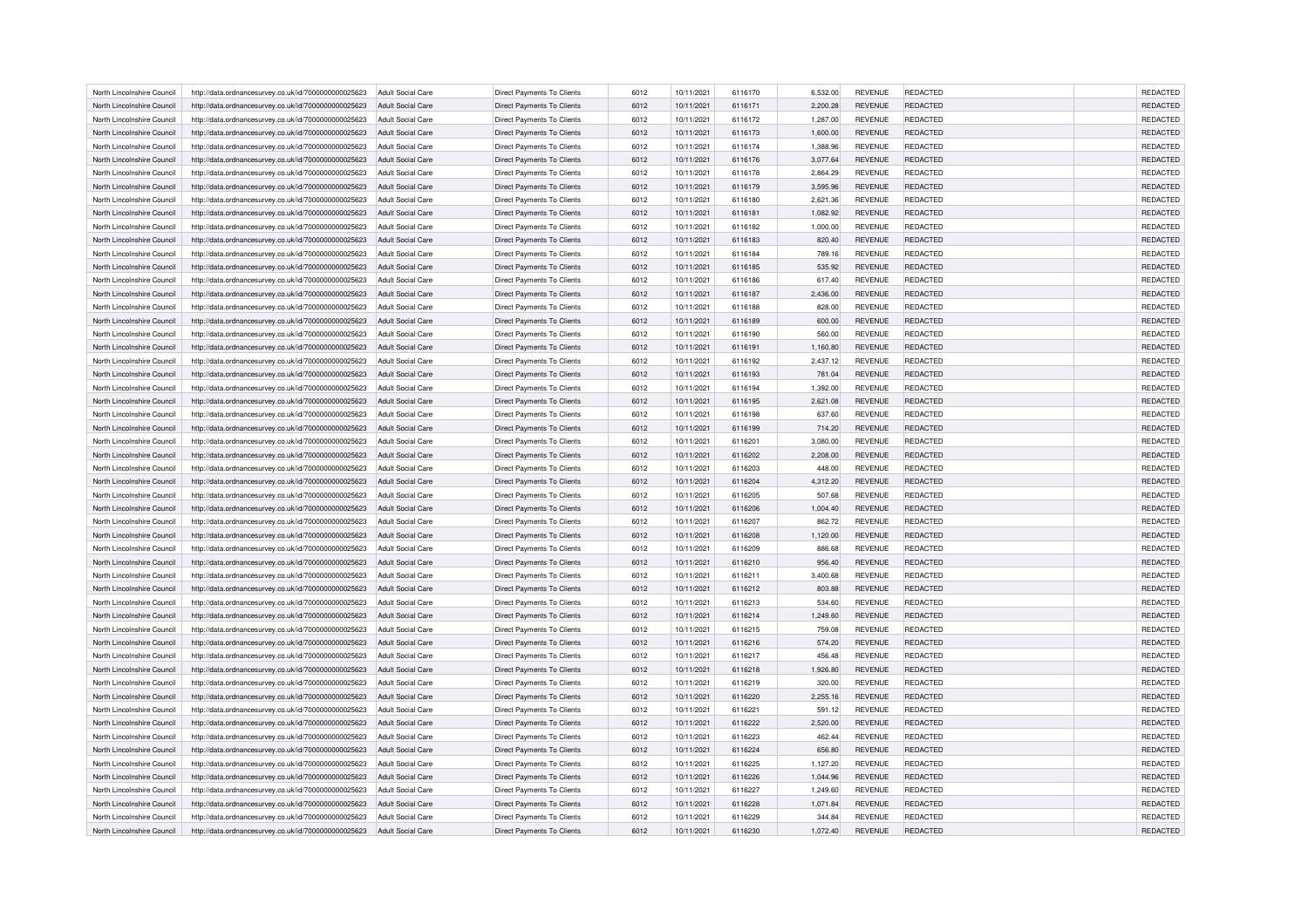| North Lincolnshire Council | http://data.ordnancesurvey.co.uk/id/7000000000025623 | Adult Social Care        | Direct Payments To Clients        | 6012 | 10/11/2021 | 6116170 | 6,532.00 | REVENUE        | <b>REDACTED</b> | REDACTED        |
|----------------------------|------------------------------------------------------|--------------------------|-----------------------------------|------|------------|---------|----------|----------------|-----------------|-----------------|
| North Lincolnshire Council | http://data.ordnancesurvey.co.uk/id/7000000000025623 | Adult Social Care        | <b>Direct Payments To Clients</b> | 6012 | 10/11/2021 | 6116171 | 2,200.28 | <b>REVENUE</b> | REDACTED        | REDACTED        |
| North Lincolnshire Council | http://data.ordnancesurvey.co.uk/id/7000000000025623 | Adult Social Care        | Direct Payments To Clients        | 6012 | 10/11/2021 | 6116172 | 1.287.00 | <b>REVENUE</b> | REDACTED        | REDACTED        |
| North Lincolnshire Council | http://data.ordnancesurvey.co.uk/id/7000000000025623 | Adult Social Care        | Direct Payments To Clients        | 6012 | 10/11/2021 | 6116173 | 1,600.00 | <b>REVENUE</b> | <b>REDACTED</b> | REDACTED        |
| North Lincolnshire Council | http://data.ordnancesurvey.co.uk/id/7000000000025623 | Adult Social Care        | Direct Payments To Clients        | 6012 | 10/11/2021 | 6116174 | 1,388.96 | <b>REVENUE</b> | REDACTED        | <b>REDACTED</b> |
| North Lincolnshire Council | http://data.ordnancesurvey.co.uk/id/7000000000025623 | <b>Adult Social Care</b> | Direct Payments To Clients        | 6012 | 10/11/2021 | 6116176 | 3,077.64 | <b>REVENUE</b> | REDACTED        | REDACTED        |
| North Lincolnshire Council | http://data.ordnancesurvey.co.uk/id/7000000000025623 | Adult Social Care        | Direct Payments To Clients        | 6012 | 10/11/2021 | 6116178 | 2,864.29 | <b>REVENUE</b> | REDACTED        | REDACTED        |
| North Lincolnshire Council | http://data.ordnancesurvey.co.uk/id/7000000000025623 | <b>Adult Social Care</b> | <b>Direct Payments To Clients</b> | 6012 | 10/11/2021 | 6116179 | 3,595.96 | <b>REVENUE</b> | REDACTED        | REDACTED        |
| North Lincolnshire Council | http://data.ordnancesurvey.co.uk/id/7000000000025623 | <b>Adult Social Care</b> | <b>Direct Payments To Clients</b> | 6012 | 10/11/2021 | 6116180 | 2,621.36 | <b>REVENUE</b> | REDACTED        | REDACTED        |
| North Lincolnshire Council | http://data.ordnancesurvey.co.uk/id/7000000000025623 | <b>Adult Social Care</b> | Direct Payments To Clients        | 6012 | 10/11/2021 | 6116181 | 1,082.92 | <b>REVENUE</b> | <b>REDACTED</b> | REDACTED        |
| North Lincolnshire Council | http://data.ordnancesurvey.co.uk/id/7000000000025623 | <b>Adult Social Care</b> | Direct Payments To Clients        | 6012 | 10/11/2021 | 6116182 | 1,000.00 | <b>REVENUE</b> | REDACTED        | REDACTED        |
| North Lincolnshire Council | http://data.ordnancesurvey.co.uk/id/7000000000025623 | <b>Adult Social Care</b> | Direct Payments To Clients        | 6012 | 10/11/2021 | 6116183 | 820.40   | <b>REVENUE</b> | REDACTED        | REDACTED        |
| North Lincolnshire Council | http://data.ordnancesurvey.co.uk/id/7000000000025623 | Adult Social Care        | Direct Payments To Clients        | 6012 | 10/11/2021 | 6116184 | 789.16   | REVENUE        | REDACTED        | REDACTED        |
| North Lincolnshire Council | http://data.ordnancesurvey.co.uk/id/7000000000025623 | <b>Adult Social Care</b> | Direct Payments To Clients        | 6012 | 10/11/2021 | 6116185 | 535.92   | <b>REVENUE</b> | REDACTED        | REDACTED        |
| North Lincolnshire Council | http://data.ordnancesurvey.co.uk/id/7000000000025623 | <b>Adult Social Care</b> | Direct Payments To Clients        | 6012 | 10/11/2021 | 6116186 | 617.40   | <b>REVENUE</b> | REDACTED        | REDACTED        |
| North Lincolnshire Council | http://data.ordnancesurvey.co.uk/id/7000000000025623 | <b>Adult Social Care</b> | Direct Payments To Clients        | 6012 | 10/11/2021 | 6116187 | 2,436.00 | REVENUE        | REDACTED        | REDACTED        |
| North Lincolnshire Council | http://data.ordnancesurvey.co.uk/id/7000000000025623 | <b>Adult Social Care</b> | <b>Direct Payments To Clients</b> | 6012 | 10/11/2021 | 6116188 | 828.00   | REVENUE        | <b>REDACTED</b> | REDACTED        |
| North Lincolnshire Council | http://data.ordnancesurvey.co.uk/id/7000000000025623 | <b>Adult Social Care</b> | Direct Payments To Clients        | 6012 | 10/11/2021 | 6116189 | 600.00   | <b>REVENUE</b> | REDACTED        | REDACTED        |
| North Lincolnshire Council | http://data.ordnancesurvey.co.uk/id/7000000000025623 | Adult Social Care        | Direct Payments To Clients        | 6012 | 10/11/2021 | 6116190 | 560.00   | REVENUE        | REDACTED        | REDACTED        |
| North Lincolnshire Council | http://data.ordnancesurvey.co.uk/id/7000000000025623 | <b>Adult Social Care</b> | Direct Payments To Clients        | 6012 | 10/11/2021 | 6116191 | 1,160.80 | <b>REVENUE</b> | REDACTED        | REDACTED        |
| North Lincolnshire Council | http://data.ordnancesurvey.co.uk/id/7000000000025623 | <b>Adult Social Care</b> | Direct Payments To Clients        | 6012 | 10/11/2021 | 6116192 | 2,437.12 | <b>REVENUE</b> | REDACTED        | REDACTED        |
| North Lincolnshire Council | http://data.ordnancesurvey.co.uk/id/7000000000025623 | Adult Social Care        | Direct Payments To Clients        | 6012 | 10/11/2021 | 6116193 | 781.04   | <b>REVENUE</b> | <b>REDACTED</b> | REDACTED        |
| North Lincolnshire Council | http://data.ordnancesurvey.co.uk/id/7000000000025623 | <b>Adult Social Care</b> | Direct Payments To Clients        | 6012 | 10/11/2021 | 6116194 | 1,392.00 | <b>REVENUE</b> | REDACTED        | REDACTED        |
| North Lincolnshire Council | http://data.ordnancesurvey.co.uk/id/7000000000025623 | <b>Adult Social Care</b> | Direct Payments To Clients        | 6012 | 10/11/2021 | 6116195 | 2.621.08 | <b>REVENUE</b> | <b>REDACTED</b> | REDACTED        |
| North Lincolnshire Council | http://data.ordnancesurvey.co.uk/id/7000000000025623 | <b>Adult Social Care</b> | Direct Payments To Clients        | 6012 | 10/11/2021 | 6116198 | 637.60   | <b>REVENUE</b> | REDACTED        | REDACTED        |
| North Lincolnshire Council | http://data.ordnancesurvey.co.uk/id/7000000000025623 | <b>Adult Social Care</b> | Direct Payments To Clients        | 6012 | 10/11/2021 | 6116199 | 714.20   | <b>REVENUE</b> | REDACTED        | REDACTED        |
| North Lincolnshire Council | http://data.ordnancesurvey.co.uk/id/7000000000025623 | <b>Adult Social Care</b> | <b>Direct Payments To Clients</b> | 6012 | 10/11/2021 | 6116201 | 3.080.00 | <b>REVENUE</b> | <b>REDACTED</b> | REDACTED        |
| North Lincolnshire Council | http://data.ordnancesurvey.co.uk/id/7000000000025623 | Adult Social Care        | Direct Payments To Clients        | 6012 | 10/11/2021 | 6116202 | 2,208.00 | <b>REVENUE</b> | REDACTED        | REDACTED        |
| North Lincolnshire Council | http://data.ordnancesurvey.co.uk/id/7000000000025623 | <b>Adult Social Care</b> | Direct Payments To Clients        | 6012 | 10/11/2021 | 6116203 | 448.00   | <b>REVENUE</b> | REDACTED        | REDACTED        |
| North Lincolnshire Council | http://data.ordnancesurvey.co.uk/id/7000000000025623 | <b>Adult Social Care</b> | Direct Payments To Clients        | 6012 | 10/11/2021 | 6116204 | 4,312.20 | <b>REVENUE</b> | REDACTED        | REDACTED        |
| North Lincolnshire Council | http://data.ordnancesurvey.co.uk/id/7000000000025623 | Adult Social Care        | Direct Payments To Clients        | 6012 | 10/11/2021 | 6116205 | 507.68   | <b>REVENUE</b> | REDACTED        | REDACTED        |
| North Lincolnshire Council | http://data.ordnancesurvey.co.uk/id/7000000000025623 | <b>Adult Social Care</b> | <b>Direct Payments To Clients</b> | 6012 | 10/11/2021 | 6116206 | 1,004.40 | <b>REVENUE</b> | REDACTED        | REDACTED        |
| North Lincolnshire Council | http://data.ordnancesurvey.co.uk/id/7000000000025623 | <b>Adult Social Care</b> | <b>Direct Payments To Clients</b> | 6012 | 10/11/2021 | 6116207 | 862.72   | <b>REVENUE</b> | REDACTED        | REDACTED        |
| North Lincolnshire Council | http://data.ordnancesurvey.co.uk/id/7000000000025623 | <b>Adult Social Care</b> | Direct Payments To Clients        | 6012 | 10/11/2021 | 6116208 | 1,120.00 | <b>REVENUE</b> | <b>REDACTED</b> | REDACTED        |
| North Lincolnshire Council | http://data.ordnancesurvey.co.uk/id/7000000000025623 | <b>Adult Social Care</b> | Direct Payments To Clients        | 6012 | 10/11/2021 | 6116209 | 886.68   | <b>REVENUE</b> | REDACTED        | <b>REDACTED</b> |
| North Lincolnshire Council | http://data.ordnancesurvey.co.uk/id/7000000000025623 | <b>Adult Social Care</b> | Direct Payments To Clients        | 6012 | 10/11/2021 | 6116210 | 956.40   | <b>REVENUE</b> | REDACTED        | REDACTED        |
| North Lincolnshire Council | http://data.ordnancesurvey.co.uk/id/7000000000025623 | Adult Social Care        | Direct Payments To Clients        | 6012 | 10/11/2021 | 6116211 | 3,400.68 | REVENUE        | REDACTED        | REDACTED        |
| North Lincolnshire Council | http://data.ordnancesurvey.co.uk/id/7000000000025623 | <b>Adult Social Care</b> | <b>Direct Payments To Clients</b> | 6012 | 10/11/2021 | 6116212 | 803.88   | <b>REVENUE</b> | REDACTED        | REDACTED        |
| North Lincolnshire Council | http://data.ordnancesurvey.co.uk/id/7000000000025623 | <b>Adult Social Care</b> | Direct Payments To Clients        | 6012 | 10/11/2021 | 6116213 | 534.60   | <b>REVENUE</b> | REDACTED        | REDACTED        |
| North Lincolnshire Council | http://data.ordnancesurvey.co.uk/id/7000000000025623 | <b>Adult Social Care</b> | Direct Payments To Clients        | 6012 | 10/11/2021 | 6116214 | 1,249.60 | REVENUE        | REDACTED        | REDACTED        |
| North Lincolnshire Council | http://data.ordnancesurvey.co.uk/id/7000000000025623 | Adult Social Care        | Direct Payments To Clients        | 6012 | 10/11/2021 | 6116215 | 759.08   | <b>REVENUE</b> | REDACTED        | <b>REDACTED</b> |
| North Lincolnshire Council | http://data.ordnancesurvey.co.uk/id/7000000000025623 | <b>Adult Social Care</b> | Direct Payments To Clients        | 6012 | 10/11/2021 | 6116216 | 574.20   | <b>REVENUE</b> | REDACTED        | REDACTED        |
| North Lincolnshire Council | http://data.ordnancesurvey.co.uk/id/7000000000025623 | Adult Social Care        | Direct Payments To Clients        | 6012 | 10/11/2021 | 6116217 | 456.48   | REVENUE        | REDACTED        | REDACTED        |
| North Lincolnshire Council | http://data.ordnancesurvey.co.uk/id/7000000000025623 | <b>Adult Social Care</b> | Direct Payments To Clients        | 6012 | 10/11/2021 | 6116218 | 1,926.80 | <b>REVENUE</b> | <b>REDACTED</b> | REDACTED        |
| North Lincolnshire Council | http://data.ordnancesurvey.co.uk/id/7000000000025623 | Adult Social Care        | Direct Payments To Clients        | 6012 | 10/11/2021 | 6116219 | 320.00   | <b>REVENUE</b> | REDACTED        | REDACTED        |
| North Lincolnshire Council | http://data.ordnancesurvey.co.uk/id/7000000000025623 | Adult Social Care        | Direct Payments To Clients        | 6012 | 10/11/2021 | 6116220 | 2,255.16 | <b>REVENUE</b> | <b>REDACTED</b> | REDACTED        |
| North Lincolnshire Council | http://data.ordnancesurvey.co.uk/id/7000000000025623 | <b>Adult Social Care</b> | Direct Payments To Clients        | 6012 | 10/11/2021 | 6116221 | 591.12   | <b>REVENUE</b> | REDACTED        | REDACTED        |
| North Lincolnshire Council | http://data.ordnancesurvey.co.uk/id/7000000000025623 | <b>Adult Social Care</b> | Direct Payments To Clients        | 6012 | 10/11/2021 | 6116222 | 2.520.00 | <b>REVENUE</b> | <b>REDACTED</b> | REDACTED        |
| North Lincolnshire Council | http://data.ordnancesurvey.co.uk/id/7000000000025623 | Adult Social Care        | Direct Payments To Clients        | 6012 | 10/11/2021 | 6116223 | 462.44   | REVENUE        | REDACTED        | REDACTED        |
| North Lincolnshire Council | http://data.ordnancesurvey.co.uk/id/7000000000025623 | <b>Adult Social Care</b> | Direct Payments To Clients        | 6012 | 10/11/2021 | 6116224 | 656.80   | <b>REVENUE</b> | REDACTED        | REDACTED        |
| North Lincolnshire Council | http://data.ordnancesurvey.co.uk/id/7000000000025623 | <b>Adult Social Care</b> | Direct Payments To Clients        | 6012 | 10/11/2021 | 6116225 | 1.127.20 | <b>REVENUE</b> | <b>REDACTED</b> | REDACTED        |
| North Lincolnshire Council | http://data.ordnancesurvey.co.uk/id/7000000000025623 | Adult Social Care        | Direct Payments To Clients        | 6012 | 10/11/2021 | 6116226 | 1,044.96 | <b>REVENUE</b> | REDACTED        | REDACTED        |
| North Lincolnshire Council | http://data.ordnancesurvey.co.uk/id/7000000000025623 | <b>Adult Social Care</b> | Direct Payments To Clients        | 6012 | 10/11/2021 | 6116227 | 1,249.60 | <b>REVENUE</b> | REDACTED        | REDACTED        |
| North Lincolnshire Council | http://data.ordnancesurvey.co.uk/id/7000000000025623 | <b>Adult Social Care</b> | Direct Payments To Clients        | 6012 | 10/11/2021 | 6116228 | 1,071.84 | <b>REVENUE</b> | REDACTED        | REDACTED        |
| North Lincolnshire Council | http://data.ordnancesurvey.co.uk/id/7000000000025623 | Adult Social Care        | Direct Payments To Clients        | 6012 | 10/11/2021 | 6116229 | 344.84   | <b>REVENUE</b> | REDACTED        | REDACTED        |
| North Lincolnshire Council | http://data.ordnancesurvey.co.uk/id/7000000000025623 | Adult Social Care        | <b>Direct Payments To Clients</b> | 6012 | 10/11/2021 | 6116230 | 1,072.40 | <b>REVENUE</b> | <b>REDACTED</b> | REDACTED        |
|                            |                                                      |                          |                                   |      |            |         |          |                |                 |                 |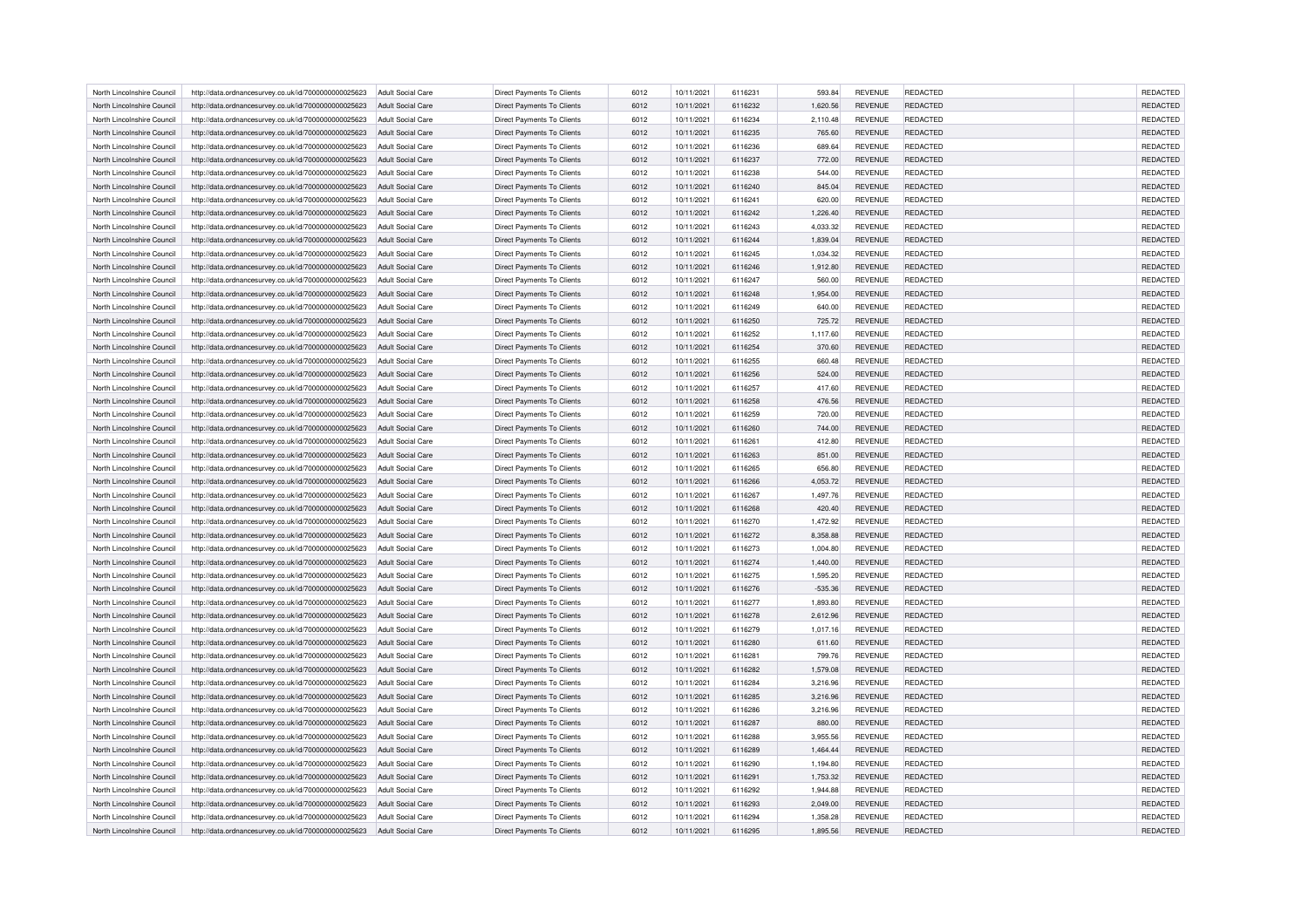| North Lincolnshire Council | http://data.ordnancesurvey.co.uk/id/7000000000025623 | Adult Social Care        | Direct Payments To Clients        | 6012 | 10/11/2021 | 6116231 | 593.84    | REVENUE        | <b>REDACTED</b> | REDACTED        |
|----------------------------|------------------------------------------------------|--------------------------|-----------------------------------|------|------------|---------|-----------|----------------|-----------------|-----------------|
| North Lincolnshire Council | http://data.ordnancesurvey.co.uk/id/7000000000025623 | Adult Social Care        | Direct Payments To Clients        | 6012 | 10/11/2021 | 6116232 | 1,620.56  | <b>REVENUE</b> | REDACTED        | REDACTED        |
| North Lincolnshire Council | http://data.ordnancesurvey.co.uk/id/7000000000025623 | Adult Social Care        | Direct Payments To Clients        | 6012 | 10/11/2021 | 6116234 | 2.110.48  | <b>REVENUE</b> | REDACTED        | REDACTED        |
| North Lincolnshire Council | http://data.ordnancesurvey.co.uk/id/7000000000025623 | Adult Social Care        | Direct Payments To Clients        | 6012 | 10/11/2021 | 6116235 | 765.60    | <b>REVENUE</b> | <b>REDACTED</b> | REDACTED        |
| North Lincolnshire Council | http://data.ordnancesurvey.co.uk/id/7000000000025623 | Adult Social Care        | Direct Payments To Clients        | 6012 | 10/11/2021 | 6116236 | 689.64    | <b>REVENUE</b> | REDACTED        | <b>REDACTED</b> |
| North Lincolnshire Council | http://data.ordnancesurvey.co.uk/id/7000000000025623 | <b>Adult Social Care</b> | Direct Payments To Clients        | 6012 | 10/11/2021 | 6116237 | 772.00    | <b>REVENUE</b> | REDACTED        | REDACTED        |
| North Lincolnshire Council | http://data.ordnancesurvey.co.uk/id/7000000000025623 | Adult Social Care        | Direct Payments To Clients        | 6012 | 10/11/2021 | 6116238 | 544.00    | <b>REVENUE</b> | REDACTED        | REDACTED        |
| North Lincolnshire Council | http://data.ordnancesurvey.co.uk/id/7000000000025623 | <b>Adult Social Care</b> | <b>Direct Payments To Clients</b> | 6012 | 10/11/2021 | 6116240 | 845.04    | <b>REVENUE</b> | REDACTED        | REDACTED        |
| North Lincolnshire Council | http://data.ordnancesurvey.co.uk/id/7000000000025623 | <b>Adult Social Care</b> | <b>Direct Payments To Clients</b> | 6012 | 10/11/2021 | 6116241 | 620.00    | <b>REVENUE</b> | REDACTED        | REDACTED        |
| North Lincolnshire Council | http://data.ordnancesurvey.co.uk/id/7000000000025623 | <b>Adult Social Care</b> | Direct Payments To Clients        | 6012 | 10/11/2021 | 6116242 | 1,226.40  | <b>REVENUE</b> | <b>REDACTED</b> | REDACTED        |
| North Lincolnshire Council | http://data.ordnancesurvey.co.uk/id/7000000000025623 | <b>Adult Social Care</b> | Direct Payments To Clients        | 6012 | 10/11/2021 | 6116243 | 4,033.32  | <b>REVENUE</b> | REDACTED        | REDACTED        |
| North Lincolnshire Council | http://data.ordnancesurvey.co.uk/id/7000000000025623 | <b>Adult Social Care</b> | Direct Payments To Clients        | 6012 | 10/11/2021 | 6116244 | 1,839.04  | <b>REVENUE</b> | REDACTED        | REDACTED        |
| North Lincolnshire Council | http://data.ordnancesurvey.co.uk/id/7000000000025623 | Adult Social Care        | Direct Payments To Clients        | 6012 | 10/11/2021 | 6116245 | 1,034.32  | REVENUE        | REDACTED        | REDACTED        |
| North Lincolnshire Council | http://data.ordnancesurvey.co.uk/id/7000000000025623 | <b>Adult Social Care</b> | Direct Payments To Clients        | 6012 | 10/11/2021 | 6116246 | 1,912.80  | <b>REVENUE</b> | REDACTED        | REDACTED        |
| North Lincolnshire Council | http://data.ordnancesurvey.co.uk/id/7000000000025623 | <b>Adult Social Care</b> | Direct Payments To Clients        | 6012 | 10/11/2021 | 6116247 | 560.00    | <b>REVENUE</b> | REDACTED        | REDACTED        |
| North Lincolnshire Council | http://data.ordnancesurvey.co.uk/id/7000000000025623 | <b>Adult Social Care</b> | Direct Payments To Clients        | 6012 | 10/11/2021 | 6116248 | 1,954.00  | REVENUE        | REDACTED        | REDACTED        |
| North Lincolnshire Council | http://data.ordnancesurvey.co.uk/id/7000000000025623 | <b>Adult Social Care</b> | <b>Direct Payments To Clients</b> | 6012 | 10/11/2021 | 6116249 | 640.00    | <b>REVENUE</b> | <b>REDACTED</b> | REDACTED        |
| North Lincolnshire Council | http://data.ordnancesurvey.co.uk/id/7000000000025623 | <b>Adult Social Care</b> | Direct Payments To Clients        | 6012 | 10/11/2021 | 6116250 | 725.72    | <b>REVENUE</b> | REDACTED        | REDACTED        |
| North Lincolnshire Council | http://data.ordnancesurvey.co.uk/id/7000000000025623 | Adult Social Care        | Direct Payments To Clients        | 6012 | 10/11/2021 | 6116252 | 1,117.60  | REVENUE        | REDACTED        | REDACTED        |
| North Lincolnshire Council | http://data.ordnancesurvey.co.uk/id/7000000000025623 | <b>Adult Social Care</b> | Direct Payments To Clients        | 6012 | 10/11/2021 | 6116254 | 370.60    | <b>REVENUE</b> | REDACTED        | REDACTED        |
| North Lincolnshire Council | http://data.ordnancesurvey.co.uk/id/7000000000025623 | <b>Adult Social Care</b> | Direct Payments To Clients        | 6012 | 10/11/2021 | 6116255 | 660.48    | <b>REVENUE</b> | REDACTED        | REDACTED        |
| North Lincolnshire Council | http://data.ordnancesurvey.co.uk/id/7000000000025623 | Adult Social Care        | Direct Payments To Clients        | 6012 | 10/11/2021 | 6116256 | 524.00    | <b>REVENUE</b> | <b>REDACTED</b> | REDACTED        |
| North Lincolnshire Council | http://data.ordnancesurvey.co.uk/id/7000000000025623 | <b>Adult Social Care</b> | Direct Payments To Clients        | 6012 | 10/11/2021 | 6116257 | 417.60    | <b>REVENUE</b> | REDACTED        | REDACTED        |
| North Lincolnshire Council | http://data.ordnancesurvey.co.uk/id/7000000000025623 | <b>Adult Social Care</b> | Direct Payments To Clients        | 6012 | 10/11/2021 | 6116258 | 476.56    | <b>REVENUE</b> | <b>REDACTED</b> | REDACTED        |
| North Lincolnshire Council | http://data.ordnancesurvey.co.uk/id/7000000000025623 | <b>Adult Social Care</b> | Direct Payments To Clients        | 6012 | 10/11/2021 | 6116259 | 720.00    | REVENUE        | REDACTED        | REDACTED        |
| North Lincolnshire Council | http://data.ordnancesurvey.co.uk/id/7000000000025623 | <b>Adult Social Care</b> | Direct Payments To Clients        | 6012 | 10/11/2021 | 6116260 | 744.00    | <b>REVENUE</b> | REDACTED        | REDACTED        |
| North Lincolnshire Council | http://data.ordnancesurvey.co.uk/id/7000000000025623 | <b>Adult Social Care</b> | <b>Direct Payments To Clients</b> | 6012 | 10/11/2021 | 6116261 | 412.80    | <b>REVENUE</b> | <b>REDACTED</b> | REDACTED        |
| North Lincolnshire Council | http://data.ordnancesurvey.co.uk/id/7000000000025623 | Adult Social Care        | Direct Payments To Clients        | 6012 | 10/11/2021 | 6116263 | 851.00    | <b>REVENUE</b> | REDACTED        | REDACTED        |
| North Lincolnshire Council | http://data.ordnancesurvey.co.uk/id/7000000000025623 | <b>Adult Social Care</b> | Direct Payments To Clients        | 6012 | 10/11/2021 | 6116265 | 656.80    | <b>REVENUE</b> | REDACTED        | REDACTED        |
| North Lincolnshire Council | http://data.ordnancesurvey.co.uk/id/7000000000025623 | <b>Adult Social Care</b> | Direct Payments To Clients        | 6012 | 10/11/2021 | 6116266 | 4,053.72  | <b>REVENUE</b> | REDACTED        | REDACTED        |
| North Lincolnshire Council | http://data.ordnancesurvey.co.uk/id/7000000000025623 | Adult Social Care        | Direct Payments To Clients        | 6012 | 10/11/2021 | 6116267 | 1,497.76  | <b>REVENUE</b> | REDACTED        | REDACTED        |
| North Lincolnshire Council | http://data.ordnancesurvey.co.uk/id/7000000000025623 | <b>Adult Social Care</b> | <b>Direct Payments To Clients</b> | 6012 | 10/11/2021 | 6116268 | 420.40    | <b>REVENUE</b> | REDACTED        | REDACTED        |
| North Lincolnshire Council | http://data.ordnancesurvey.co.uk/id/7000000000025623 | <b>Adult Social Care</b> | <b>Direct Payments To Clients</b> | 6012 | 10/11/2021 | 6116270 | 1,472.92  | <b>REVENUE</b> | REDACTED        | REDACTED        |
| North Lincolnshire Council | http://data.ordnancesurvey.co.uk/id/7000000000025623 | <b>Adult Social Care</b> | Direct Payments To Clients        | 6012 | 10/11/2021 | 6116272 | 8,358.88  | <b>REVENUE</b> | <b>REDACTED</b> | REDACTED        |
| North Lincolnshire Council | http://data.ordnancesurvey.co.uk/id/7000000000025623 | <b>Adult Social Care</b> | Direct Payments To Clients        | 6012 | 10/11/2021 | 6116273 | 1,004.80  | <b>REVENUE</b> | REDACTED        | <b>REDACTED</b> |
| North Lincolnshire Council | http://data.ordnancesurvey.co.uk/id/7000000000025623 | <b>Adult Social Care</b> | Direct Payments To Clients        | 6012 | 10/11/2021 | 6116274 | 1,440.00  | <b>REVENUE</b> | REDACTED        | REDACTED        |
| North Lincolnshire Council | http://data.ordnancesurvey.co.uk/id/7000000000025623 | Adult Social Care        | Direct Payments To Clients        | 6012 | 10/11/2021 | 6116275 | 1,595.20  | <b>REVENUE</b> | REDACTED        | REDACTED        |
| North Lincolnshire Council | http://data.ordnancesurvey.co.uk/id/7000000000025623 | <b>Adult Social Care</b> | <b>Direct Payments To Clients</b> | 6012 | 10/11/2021 | 6116276 | $-535.36$ | <b>REVENUE</b> | REDACTED        | REDACTED        |
| North Lincolnshire Council | http://data.ordnancesurvey.co.uk/id/7000000000025623 | <b>Adult Social Care</b> | Direct Payments To Clients        | 6012 | 10/11/2021 | 6116277 | 1,893.80  | <b>REVENUE</b> | REDACTED        | REDACTED        |
| North Lincolnshire Council | http://data.ordnancesurvey.co.uk/id/7000000000025623 | <b>Adult Social Care</b> | Direct Payments To Clients        | 6012 | 10/11/2021 | 6116278 | 2,612.96  | REVENUE        | REDACTED        | REDACTED        |
| North Lincolnshire Council | http://data.ordnancesurvey.co.uk/id/7000000000025623 | Adult Social Care        | Direct Payments To Clients        | 6012 | 10/11/2021 | 6116279 | 1,017.16  | <b>REVENUE</b> | REDACTED        | <b>REDACTED</b> |
| North Lincolnshire Council | http://data.ordnancesurvey.co.uk/id/7000000000025623 | <b>Adult Social Care</b> | Direct Payments To Clients        | 6012 | 10/11/2021 | 6116280 | 611.60    | <b>REVENUE</b> | REDACTED        | REDACTED        |
| North Lincolnshire Council | http://data.ordnancesurvey.co.uk/id/7000000000025623 | Adult Social Care        | Direct Payments To Clients        | 6012 | 10/11/2021 | 6116281 | 799.76    | REVENUE        | REDACTED        | REDACTED        |
| North Lincolnshire Council | http://data.ordnancesurvey.co.uk/id/7000000000025623 | <b>Adult Social Care</b> | Direct Payments To Clients        | 6012 | 10/11/2021 | 6116282 | 1,579.08  | <b>REVENUE</b> | <b>REDACTED</b> | REDACTED        |
| North Lincolnshire Council | http://data.ordnancesurvey.co.uk/id/7000000000025623 | Adult Social Care        | Direct Payments To Clients        | 6012 | 10/11/2021 | 6116284 | 3,216.96  | <b>REVENUE</b> | REDACTED        | REDACTED        |
| North Lincolnshire Council | http://data.ordnancesurvey.co.uk/id/7000000000025623 | Adult Social Care        | Direct Payments To Clients        | 6012 | 10/11/2021 | 6116285 | 3,216.96  | <b>REVENUE</b> | <b>REDACTED</b> | REDACTED        |
| North Lincolnshire Council | http://data.ordnancesurvey.co.uk/id/7000000000025623 | <b>Adult Social Care</b> | Direct Payments To Clients        | 6012 | 10/11/2021 | 6116286 | 3,216.96  | <b>REVENUE</b> | REDACTED        | REDACTED        |
| North Lincolnshire Council | http://data.ordnancesurvey.co.uk/id/7000000000025623 | <b>Adult Social Care</b> | Direct Payments To Clients        | 6012 | 10/11/2021 | 6116287 | 880.00    | <b>REVENUE</b> | <b>REDACTED</b> | REDACTED        |
| North Lincolnshire Council | http://data.ordnancesurvey.co.uk/id/7000000000025623 | Adult Social Care        | Direct Payments To Clients        | 6012 | 10/11/2021 | 6116288 | 3,955.56  | REVENUE        | REDACTED        | REDACTED        |
| North Lincolnshire Council | http://data.ordnancesurvey.co.uk/id/7000000000025623 | Adult Social Care        | Direct Payments To Clients        | 6012 | 10/11/2021 | 6116289 | 1,464.44  | <b>REVENUE</b> | REDACTED        | REDACTED        |
| North Lincolnshire Council | http://data.ordnancesurvey.co.uk/id/7000000000025623 | <b>Adult Social Care</b> | <b>Direct Payments To Clients</b> | 6012 | 10/11/2021 | 6116290 | 1.194.80  | <b>REVENUE</b> | <b>REDACTED</b> | REDACTED        |
| North Lincolnshire Council | http://data.ordnancesurvey.co.uk/id/7000000000025623 | Adult Social Care        | Direct Payments To Clients        | 6012 | 10/11/2021 | 6116291 | 1,753.32  | <b>REVENUE</b> | REDACTED        | REDACTED        |
| North Lincolnshire Council | http://data.ordnancesurvey.co.uk/id/7000000000025623 | <b>Adult Social Care</b> | Direct Payments To Clients        | 6012 | 10/11/2021 | 6116292 | 1,944.88  | <b>REVENUE</b> | REDACTED        | REDACTED        |
| North Lincolnshire Council | http://data.ordnancesurvey.co.uk/id/7000000000025623 | <b>Adult Social Care</b> | Direct Payments To Clients        | 6012 | 10/11/2021 | 6116293 | 2,049.00  | <b>REVENUE</b> | REDACTED        | REDACTED        |
| North Lincolnshire Council | http://data.ordnancesurvey.co.uk/id/7000000000025623 | Adult Social Care        | Direct Payments To Clients        | 6012 | 10/11/2021 | 6116294 | 1,358.28  | <b>REVENUE</b> | REDACTED        | REDACTED        |
| North Lincolnshire Council | http://data.ordnancesurvey.co.uk/id/7000000000025623 | Adult Social Care        | <b>Direct Payments To Clients</b> | 6012 | 10/11/2021 | 6116295 | 1,895.56  | <b>REVENUE</b> | <b>REDACTED</b> | REDACTED        |
|                            |                                                      |                          |                                   |      |            |         |           |                |                 |                 |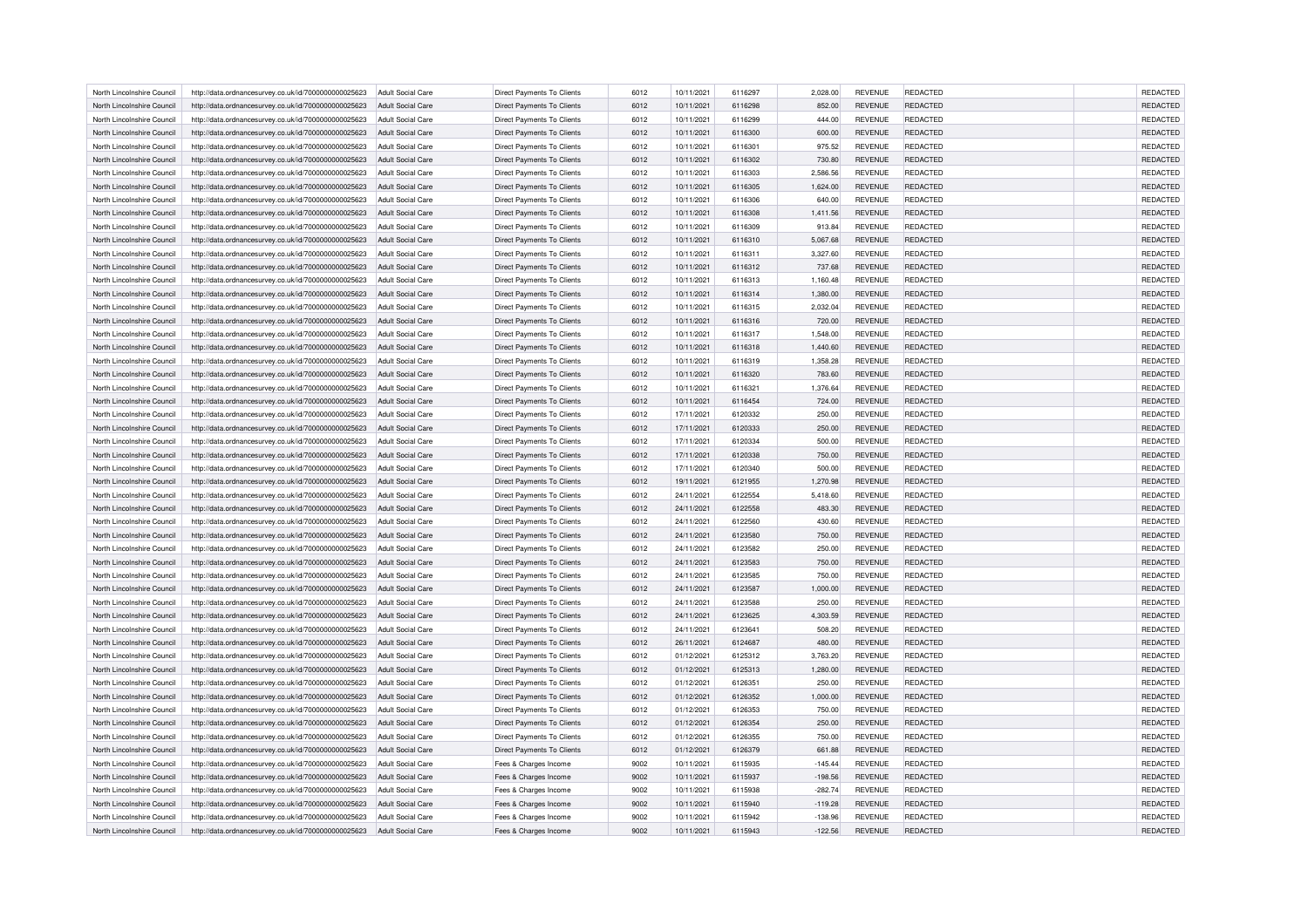| North Lincolnshire Council                               | http://data.ordnancesurvey.co.uk/id/7000000000025623                                                         | Adult Social Care                                    | Direct Payments To Clients                               | 6012         | 10/11/2021               | 6116297            | 2,028.00         | REVENUE                          | <b>REDACTED</b>             | REDACTED             |
|----------------------------------------------------------|--------------------------------------------------------------------------------------------------------------|------------------------------------------------------|----------------------------------------------------------|--------------|--------------------------|--------------------|------------------|----------------------------------|-----------------------------|----------------------|
| North Lincolnshire Council                               | http://data.ordnancesurvey.co.uk/id/7000000000025623                                                         | Adult Social Care                                    | Direct Payments To Clients                               | 6012         | 10/11/2021               | 6116298            | 852.00           | <b>REVENUE</b>                   | REDACTED                    | REDACTED             |
| North Lincolnshire Council                               | http://data.ordnancesurvey.co.uk/id/7000000000025623                                                         | Adult Social Care                                    | Direct Payments To Clients                               | 6012         | 10/11/2021               | 6116299            | 444.00           | <b>REVENUE</b>                   | REDACTED                    | REDACTED             |
| North Lincolnshire Council                               | http://data.ordnancesurvey.co.uk/id/7000000000025623                                                         | Adult Social Care                                    | Direct Payments To Clients                               | 6012         | 10/11/2021               | 6116300            | 600.00           | <b>REVENUE</b>                   | <b>REDACTED</b>             | REDACTED             |
| North Lincolnshire Council                               | http://data.ordnancesurvey.co.uk/id/7000000000025623                                                         | Adult Social Care                                    | Direct Payments To Clients                               | 6012         | 10/11/2021               | 6116301            | 975.52           | <b>REVENUE</b>                   | REDACTED                    | <b>REDACTED</b>      |
| North Lincolnshire Council                               | http://data.ordnancesurvey.co.uk/id/7000000000025623                                                         | <b>Adult Social Care</b>                             | Direct Payments To Clients                               | 6012         | 10/11/2021               | 6116302            | 730.80           | <b>REVENUE</b>                   | REDACTED                    | REDACTED             |
| North Lincolnshire Council                               | http://data.ordnancesurvey.co.uk/id/7000000000025623                                                         | Adult Social Care                                    | Direct Payments To Clients                               | 6012         | 10/11/2021               | 6116303            | 2,586.56         | <b>REVENUE</b>                   | REDACTED                    | REDACTED             |
| North Lincolnshire Council                               | http://data.ordnancesurvey.co.uk/id/7000000000025623                                                         | Adult Social Care                                    | <b>Direct Payments To Clients</b>                        | 6012         | 10/11/2021               | 6116305            | 1,624.00         | <b>REVENUE</b>                   | REDACTED                    | REDACTED             |
| North Lincolnshire Council                               | http://data.ordnancesurvey.co.uk/id/7000000000025623                                                         | <b>Adult Social Care</b>                             | <b>Direct Payments To Clients</b>                        | 6012         | 10/11/2021               | 6116306            | 640.00           | <b>REVENUE</b>                   | REDACTED                    | REDACTED             |
| North Lincolnshire Council                               | http://data.ordnancesurvey.co.uk/id/7000000000025623                                                         | <b>Adult Social Care</b>                             | Direct Payments To Clients                               | 6012         | 10/11/2021               | 6116308            | 1,411.56         | <b>REVENUE</b>                   | <b>REDACTED</b>             | REDACTED             |
| North Lincolnshire Council                               | http://data.ordnancesurvey.co.uk/id/7000000000025623                                                         | <b>Adult Social Care</b>                             | Direct Payments To Clients                               | 6012         | 10/11/2021               | 6116309            | 913.84           | <b>REVENUE</b>                   | REDACTED                    | REDACTED             |
| North Lincolnshire Council                               | http://data.ordnancesurvey.co.uk/id/7000000000025623                                                         | <b>Adult Social Care</b>                             | Direct Payments To Clients                               | 6012         | 10/11/2021               | 6116310            | 5,067.68         | <b>REVENUE</b>                   | REDACTED                    | REDACTED             |
| North Lincolnshire Council                               | http://data.ordnancesurvey.co.uk/id/7000000000025623                                                         | Adult Social Care                                    | Direct Payments To Clients                               | 6012         | 10/11/2021               | 6116311            | 3,327.60         | REVENUE                          | REDACTED                    | REDACTED             |
| North Lincolnshire Council                               | http://data.ordnancesurvey.co.uk/id/7000000000025623                                                         | <b>Adult Social Care</b>                             | Direct Payments To Clients                               | 6012         | 10/11/2021               | 6116312            | 737.68           | <b>REVENUE</b>                   | REDACTED                    | REDACTED             |
|                                                          |                                                                                                              |                                                      |                                                          |              |                          |                    |                  |                                  |                             |                      |
| North Lincolnshire Council                               | http://data.ordnancesurvey.co.uk/id/7000000000025623                                                         | <b>Adult Social Care</b>                             | Direct Payments To Clients                               | 6012         | 10/11/2021               | 6116313            | 1,160.48         | <b>REVENUE</b>                   | REDACTED                    | REDACTED             |
| North Lincolnshire Council                               | http://data.ordnancesurvey.co.uk/id/7000000000025623                                                         | <b>Adult Social Care</b>                             | Direct Payments To Clients                               | 6012         | 10/11/2021               | 6116314            | 1,380.00         | REVENUE                          | REDACTED                    | REDACTED             |
| North Lincolnshire Council                               | http://data.ordnancesurvey.co.uk/id/7000000000025623                                                         | <b>Adult Social Care</b>                             | <b>Direct Payments To Clients</b>                        | 6012         | 10/11/2021               | 6116315            | 2,032.04         | <b>REVENUE</b>                   | <b>REDACTED</b>             | REDACTED             |
| North Lincolnshire Council                               | http://data.ordnancesurvey.co.uk/id/7000000000025623                                                         | <b>Adult Social Care</b>                             | Direct Payments To Clients                               | 6012         | 10/11/2021               | 6116316            | 720.00           | <b>REVENUE</b>                   | REDACTED                    | REDACTED             |
| North Lincolnshire Council                               | http://data.ordnancesurvey.co.uk/id/7000000000025623                                                         | Adult Social Care                                    | Direct Payments To Clients                               | 6012         | 10/11/2021               | 6116317            | 1,548.00         | REVENUE                          | REDACTED                    | REDACTED             |
| North Lincolnshire Council                               | http://data.ordnancesurvey.co.uk/id/7000000000025623                                                         | <b>Adult Social Care</b>                             | Direct Payments To Clients                               | 6012         | 10/11/2021               | 6116318            | 1,440.60         | <b>REVENUE</b>                   | REDACTED                    | REDACTED             |
| North Lincolnshire Council                               | http://data.ordnancesurvey.co.uk/id/7000000000025623                                                         | Adult Social Care                                    | Direct Payments To Clients                               | 6012         | 10/11/2021               | 6116319            | 1.358.28         | <b>REVENUE</b>                   | REDACTED                    | REDACTED             |
| North Lincolnshire Council                               | http://data.ordnancesurvey.co.uk/id/7000000000025623                                                         | Adult Social Care                                    | Direct Payments To Clients                               | 6012         | 10/11/2021               | 6116320            | 783.60           | <b>REVENUE</b>                   | <b>REDACTED</b>             | REDACTED             |
| North Lincolnshire Council                               | http://data.ordnancesurvey.co.uk/id/7000000000025623                                                         | <b>Adult Social Care</b>                             | Direct Payments To Clients                               | 6012         | 10/11/2021               | 6116321            | 1,376.64         | <b>REVENUE</b>                   | REDACTED                    | REDACTED             |
| North Lincolnshire Council                               | http://data.ordnancesurvey.co.uk/id/7000000000025623                                                         | <b>Adult Social Care</b>                             | Direct Payments To Clients                               | 6012         | 10/11/2021               | 6116454            | 724.00           | <b>REVENUE</b>                   | <b>REDACTED</b>             | REDACTED             |
| North Lincolnshire Council                               | http://data.ordnancesurvey.co.uk/id/7000000000025623                                                         | <b>Adult Social Care</b>                             | Direct Payments To Clients                               | 6012         | 17/11/2021               | 6120332            | 250.00           | REVENUE                          | REDACTED                    | REDACTED             |
| North Lincolnshire Council                               | http://data.ordnancesurvey.co.uk/id/7000000000025623                                                         | <b>Adult Social Care</b>                             | Direct Payments To Clients                               | 6012         | 17/11/2021               | 6120333            | 250.00           | <b>REVENUE</b>                   | REDACTED                    | REDACTED             |
| North Lincolnshire Council                               | http://data.ordnancesurvey.co.uk/id/7000000000025623                                                         | <b>Adult Social Care</b>                             | Direct Payments To Clients                               | 6012         | 17/11/2021               | 6120334            | 500.00           | <b>REVENUE</b>                   | <b>REDACTED</b>             | REDACTED             |
| North Lincolnshire Council                               | http://data.ordnancesurvey.co.uk/id/7000000000025623                                                         | Adult Social Care                                    | Direct Payments To Clients                               | 6012         | 17/11/2021               | 6120338            | 750.00           | <b>REVENUE</b>                   | REDACTED                    | REDACTED             |
| North Lincolnshire Council                               | http://data.ordnancesurvey.co.uk/id/7000000000025623                                                         | <b>Adult Social Care</b>                             | Direct Payments To Clients                               | 6012         | 17/11/2021               | 6120340            | 500.00           | <b>REVENUE</b>                   | REDACTED                    | REDACTED             |
| North Lincolnshire Council                               | http://data.ordnancesurvey.co.uk/id/7000000000025623                                                         | <b>Adult Social Care</b>                             | Direct Payments To Clients                               | 6012         | 19/11/2021               | 6121955            | 1,270.98         | <b>REVENUE</b>                   | REDACTED                    | REDACTED             |
| North Lincolnshire Council                               | http://data.ordnancesurvey.co.uk/id/7000000000025623                                                         | Adult Social Care                                    | Direct Payments To Clients                               | 6012         | 24/11/2021               | 6122554            | 5,418.60         | <b>REVENUE</b>                   | REDACTED                    | REDACTED             |
| North Lincolnshire Council                               | http://data.ordnancesurvey.co.uk/id/7000000000025623                                                         | <b>Adult Social Care</b>                             | <b>Direct Payments To Clients</b>                        | 6012         | 24/11/2021               | 6122558            | 483.30           | <b>REVENUE</b>                   | REDACTED                    | REDACTED             |
| North Lincolnshire Council                               | http://data.ordnancesurvey.co.uk/id/7000000000025623                                                         | <b>Adult Social Care</b>                             | <b>Direct Payments To Clients</b>                        | 6012         | 24/11/2021               | 6122560            | 430.60           | <b>REVENUE</b>                   | REDACTED                    | REDACTED             |
| North Lincolnshire Council                               | http://data.ordnancesurvey.co.uk/id/7000000000025623                                                         | <b>Adult Social Care</b>                             | Direct Payments To Clients                               | 6012         | 24/11/2021               | 6123580            | 750.00           | <b>REVENUE</b>                   | <b>REDACTED</b>             | REDACTED             |
| North Lincolnshire Council                               | http://data.ordnancesurvey.co.uk/id/7000000000025623                                                         | <b>Adult Social Care</b>                             | Direct Payments To Clients                               | 6012         | 24/11/2021               | 6123582            | 250.00           | <b>REVENUE</b>                   | REDACTED                    | <b>REDACTED</b>      |
| North Lincolnshire Council                               | http://data.ordnancesurvey.co.uk/id/7000000000025623                                                         | <b>Adult Social Care</b>                             | Direct Payments To Clients                               | 6012         | 24/11/2021               | 6123583            | 750.00           | <b>REVENUE</b>                   | REDACTED                    | REDACTED             |
| North Lincolnshire Council                               | http://data.ordnancesurvey.co.uk/id/7000000000025623                                                         | Adult Social Care                                    | Direct Payments To Clients                               | 6012         | 24/11/2021               | 6123585            | 750.00           | REVENUE                          | REDACTED                    | REDACTED             |
| North Lincolnshire Council                               | http://data.ordnancesurvey.co.uk/id/7000000000025623                                                         | <b>Adult Social Care</b>                             | <b>Direct Payments To Clients</b>                        | 6012         | 24/11/2021               | 6123587            | 1,000.00         | <b>REVENUE</b>                   | REDACTED                    | REDACTED             |
| North Lincolnshire Council                               | http://data.ordnancesurvey.co.uk/id/7000000000025623                                                         | <b>Adult Social Care</b>                             | Direct Payments To Clients                               | 6012         | 24/11/2021               | 6123588            | 250.00           | <b>REVENUE</b>                   | REDACTED                    | REDACTED             |
| North Lincolnshire Council                               | http://data.ordnancesurvey.co.uk/id/7000000000025623                                                         | <b>Adult Social Care</b>                             | Direct Payments To Clients                               | 6012         | 24/11/2021               | 6123625            | 4,303.59         | REVENUE                          | REDACTED                    | REDACTED             |
| North Lincolnshire Council                               | http://data.ordnancesurvey.co.uk/id/7000000000025623                                                         | Adult Social Care                                    | Direct Payments To Clients                               | 6012         | 24/11/2021               | 6123641            | 508.20           | <b>REVENUE</b>                   | REDACTED                    | <b>REDACTED</b>      |
| North Lincolnshire Council                               | http://data.ordnancesurvey.co.uk/id/7000000000025623                                                         | Adult Social Care                                    | Direct Payments To Clients                               | 6012         | 26/11/2021               | 6124687            | 480.00           | <b>REVENUE</b>                   | REDACTED                    | REDACTED             |
| North Lincolnshire Council                               | http://data.ordnancesurvey.co.uk/id/7000000000025623                                                         | Adult Social Care                                    | Direct Payments To Clients                               | 6012         | 01/12/2021               | 6125312            | 3,763.20         | REVENUE                          | REDACTED                    | REDACTED             |
| North Lincolnshire Council                               | http://data.ordnancesurvey.co.uk/id/7000000000025623                                                         | <b>Adult Social Care</b>                             | Direct Payments To Clients                               | 6012         | 01/12/2021               | 6125313            | 1,280.00         | <b>REVENUE</b>                   | <b>REDACTED</b>             | REDACTED             |
| North Lincolnshire Council                               | http://data.ordnancesurvey.co.uk/id/7000000000025623                                                         | Adult Social Care                                    | Direct Payments To Clients                               | 6012         | 01/12/2021               | 6126351            | 250.00           | <b>REVENUE</b>                   | REDACTED                    | REDACTED             |
| North Lincolnshire Council                               | http://data.ordnancesurvey.co.uk/id/7000000000025623                                                         | Adult Social Care                                    | Direct Payments To Clients                               | 6012         | 01/12/2021               | 6126352            | 1,000.00         | <b>REVENUE</b>                   | <b>REDACTED</b>             | REDACTED             |
|                                                          |                                                                                                              |                                                      |                                                          |              |                          |                    |                  |                                  |                             |                      |
| North Lincolnshire Council<br>North Lincolnshire Council | http://data.ordnancesurvey.co.uk/id/7000000000025623<br>http://data.ordnancesurvey.co.uk/id/7000000000025623 | <b>Adult Social Care</b><br><b>Adult Social Care</b> | Direct Payments To Clients<br>Direct Payments To Clients | 6012<br>6012 | 01/12/2021<br>01/12/2021 | 6126353<br>6126354 | 750.00<br>250.00 | <b>REVENUE</b><br><b>REVENUE</b> | REDACTED<br><b>REDACTED</b> | REDACTED<br>REDACTED |
|                                                          |                                                                                                              |                                                      |                                                          |              |                          |                    |                  |                                  |                             |                      |
| North Lincolnshire Council                               | http://data.ordnancesurvey.co.uk/id/7000000000025623                                                         | Adult Social Care                                    | Direct Payments To Clients                               | 6012         | 01/12/2021               | 6126355            | 750.00           | REVENUE                          | REDACTED                    | REDACTED             |
| North Lincolnshire Council                               | http://data.ordnancesurvey.co.uk/id/7000000000025623                                                         | <b>Adult Social Care</b>                             | Direct Payments To Clients                               | 6012         | 01/12/2021               | 6126379            | 661.88           | <b>REVENUE</b>                   | REDACTED                    | REDACTED             |
| North Lincolnshire Council                               | http://data.ordnancesurvey.co.uk/id/7000000000025623                                                         | <b>Adult Social Care</b>                             | Fees & Charges Income                                    | 9002         | 10/11/2021               | 6115935            | $-145.44$        | <b>REVENUE</b>                   | <b>REDACTED</b>             | REDACTED             |
| North Lincolnshire Council                               | http://data.ordnancesurvey.co.uk/id/7000000000025623                                                         | Adult Social Care                                    | Fees & Charges Income                                    | 9002         | 10/11/2021               | 6115937            | $-198.56$        | <b>REVENUE</b>                   | REDACTED                    | REDACTED             |
| North Lincolnshire Council                               | http://data.ordnancesurvey.co.uk/id/7000000000025623                                                         | <b>Adult Social Care</b>                             | Fees & Charges Income                                    | 9002         | 10/11/2021               | 6115938            | $-282.74$        | <b>REVENUE</b>                   | REDACTED                    | REDACTED             |
| North Lincolnshire Council                               | http://data.ordnancesurvey.co.uk/id/7000000000025623                                                         | <b>Adult Social Care</b>                             | Fees & Charges Income                                    | 9002         | 10/11/2021               | 6115940            | $-119.28$        | <b>REVENUE</b>                   | REDACTED                    | REDACTED             |
| North Lincolnshire Council                               | http://data.ordnancesurvey.co.uk/id/7000000000025623                                                         | Adult Social Care                                    | Fees & Charges Income                                    | 9002         | 10/11/2021               | 6115942            | $-138.96$        | <b>REVENUE</b>                   | REDACTED                    | REDACTED             |
| North Lincolnshire Council                               | http://data.ordnancesurvey.co.uk/id/7000000000025623                                                         | Adult Social Care                                    | Fees & Charges Income                                    | 9002         | 10/11/2021               | 6115943            | $-122.56$        | <b>REVENUE</b>                   | <b>REDACTED</b>             | REDACTED             |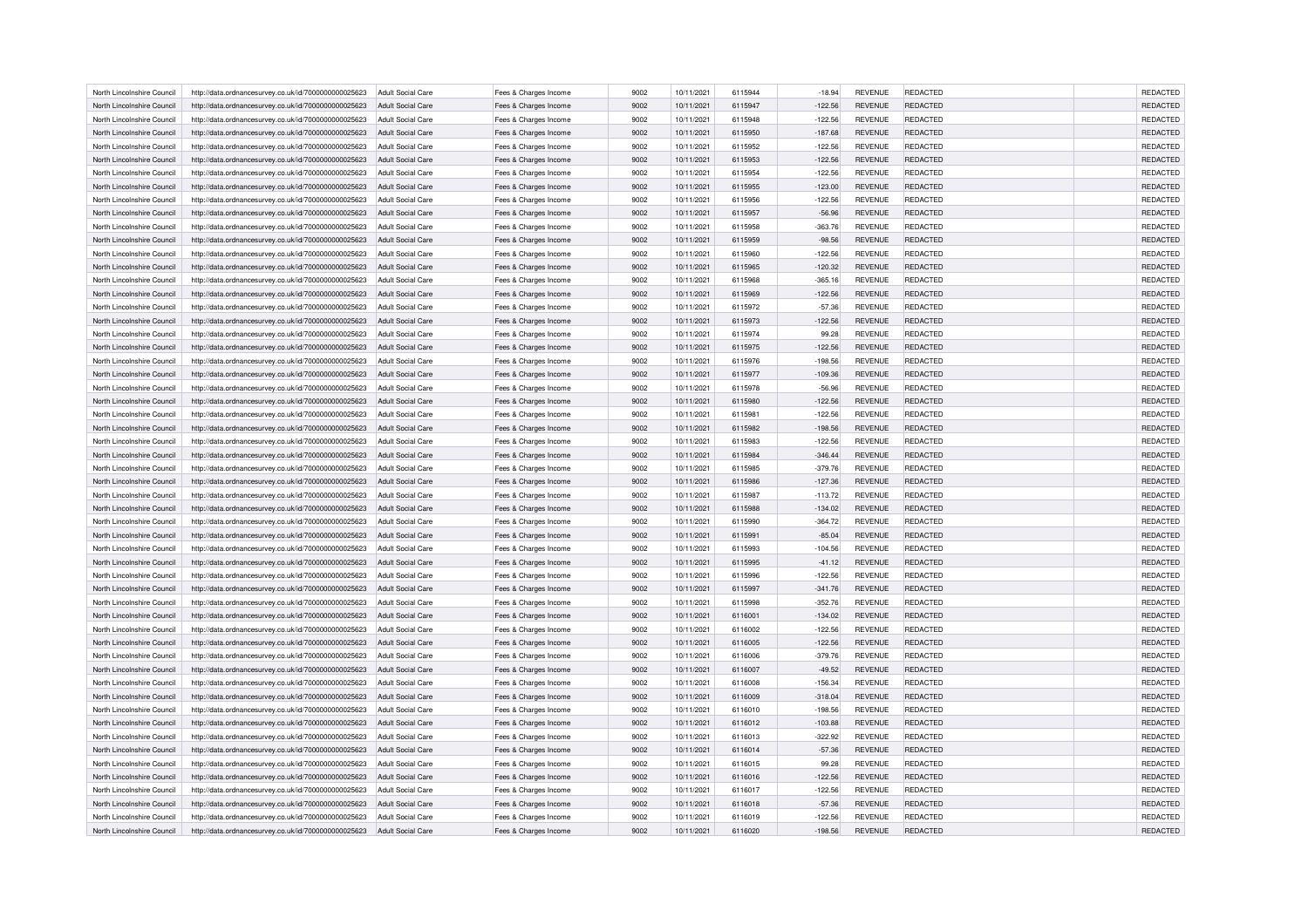| North Lincolnshire Council | http://data.ordnancesurvey.co.uk/id/7000000000025623 | Adult Social Care        | Fees & Charges Income | 9002 | 10/11/2021 | 6115944 | $-18.94$  | REVENUE        | REDACTED        | <b>REDACTED</b> |
|----------------------------|------------------------------------------------------|--------------------------|-----------------------|------|------------|---------|-----------|----------------|-----------------|-----------------|
| North Lincolnshire Council | http://data.ordnancesurvey.co.uk/id/7000000000025623 | <b>Adult Social Care</b> | Fees & Charges Income | 9002 | 10/11/2021 | 6115947 | $-122.56$ | <b>REVENUE</b> | REDACTED        | REDACTED        |
| North Lincolnshire Council | http://data.ordnancesurvey.co.uk/id/7000000000025623 | Adult Social Care        | Fees & Charges Income | 9002 | 10/11/2021 | 6115948 | $-122.56$ | <b>REVENUE</b> | REDACTED        | REDACTED        |
| North Lincolnshire Council | http://data.ordnancesurvey.co.uk/id/7000000000025623 | Adult Social Care        | Fees & Charges Income | 9002 | 10/11/2021 | 6115950 | $-187.68$ | <b>REVENUE</b> | <b>REDACTED</b> | REDACTED        |
| North Lincolnshire Council | http://data.ordnancesurvey.co.uk/id/7000000000025623 | Adult Social Care        | Fees & Charges Income | 9002 | 10/11/2021 | 6115952 | $-122.56$ | <b>REVENUE</b> | REDACTED        | REDACTED        |
| North Lincolnshire Council | http://data.ordnancesurvey.co.uk/id/7000000000025623 | <b>Adult Social Care</b> | Fees & Charges Income | 9002 | 10/11/2021 | 6115953 | $-122.56$ | <b>REVENUE</b> | REDACTED        | REDACTED        |
| North Lincolnshire Council | http://data.ordnancesurvey.co.uk/id/7000000000025623 | Adult Social Care        | Fees & Charges Income | 9002 | 10/11/2021 | 6115954 | $-122.56$ | <b>REVENUE</b> | REDACTED        | REDACTED        |
| North Lincolnshire Council | http://data.ordnancesurvey.co.uk/id/7000000000025623 | <b>Adult Social Care</b> | Fees & Charges Income | 9002 | 10/11/2021 | 6115955 | $-123.00$ | <b>REVENUE</b> | REDACTED        | REDACTED        |
| North Lincolnshire Council | http://data.ordnancesurvey.co.uk/id/7000000000025623 | <b>Adult Social Care</b> | Fees & Charges Income | 9002 | 10/11/2021 | 6115956 | $-122.56$ | <b>REVENUE</b> | REDACTED        | REDACTED        |
| North Lincolnshire Council | http://data.ordnancesurvey.co.uk/id/7000000000025623 | Adult Social Care        | Fees & Charges Income | 9002 | 10/11/2021 | 6115957 | $-56.96$  | <b>REVENUE</b> | <b>REDACTED</b> | REDACTED        |
| North Lincolnshire Council | http://data.ordnancesurvey.co.uk/id/7000000000025623 | <b>Adult Social Care</b> | Fees & Charges Income | 9002 | 10/11/2021 | 6115958 | $-363.76$ | <b>REVENUE</b> | REDACTED        | REDACTED        |
| North Lincolnshire Council | http://data.ordnancesurvey.co.uk/id/7000000000025623 | <b>Adult Social Care</b> | Fees & Charges Income | 9002 | 10/11/2021 | 6115959 | $-98.56$  | <b>REVENUE</b> | <b>REDACTED</b> | REDACTED        |
| North Lincolnshire Council | http://data.ordnancesurvey.co.uk/id/7000000000025623 | Adult Social Care        | Fees & Charges Income | 9002 | 10/11/2021 | 6115960 | $-122.56$ | <b>REVENUE</b> | REDACTED        | REDACTED        |
| North Lincolnshire Council | http://data.ordnancesurvey.co.uk/id/7000000000025623 | <b>Adult Social Care</b> | Fees & Charges Income | 9002 | 10/11/2021 | 6115965 | $-120.32$ | <b>REVENUE</b> | <b>REDACTED</b> | REDACTED        |
| North Lincolnshire Council |                                                      | <b>Adult Social Care</b> |                       | 9002 | 10/11/2021 | 6115968 | $-365.16$ | <b>REVENUE</b> | <b>REDACTED</b> | REDACTED        |
|                            | http://data.ordnancesurvey.co.uk/id/7000000000025623 |                          | Fees & Charges Income |      |            |         |           |                |                 |                 |
| North Lincolnshire Council | http://data.ordnancesurvey.co.uk/id/7000000000025623 | <b>Adult Social Care</b> | Fees & Charges Income | 9002 | 10/11/2021 | 6115969 | $-122.56$ | REVENUE        | REDACTED        | REDACTED        |
| North Lincolnshire Council | http://data.ordnancesurvey.co.uk/id/7000000000025623 | <b>Adult Social Care</b> | Fees & Charges Income | 9002 | 10/11/2021 | 6115972 | $-57.36$  | REVENUE        | REDACTED        | REDACTED        |
| North Lincolnshire Council | http://data.ordnancesurvey.co.uk/id/7000000000025623 | Adult Social Care        | Fees & Charges Income | 9002 | 10/11/2021 | 6115973 | $-122.56$ | <b>REVENUE</b> | <b>REDACTED</b> | REDACTED        |
| North Lincolnshire Council | http://data.ordnancesurvey.co.uk/id/7000000000025623 | Adult Social Care        | Fees & Charges Income | 9002 | 10/11/2021 | 6115974 | 99.28     | REVENUE        | REDACTED        | REDACTED        |
| North Lincolnshire Council | http://data.ordnancesurvey.co.uk/id/7000000000025623 | <b>Adult Social Care</b> | Fees & Charges Income | 9002 | 10/11/2021 | 6115975 | $-122.56$ | <b>REVENUE</b> | REDACTED        | REDACTED        |
| North Lincolnshire Council | http://data.ordnancesurvey.co.uk/id/7000000000025623 | Adult Social Care        | Fees & Charges Income | 9002 | 10/11/2021 | 6115976 | $-198.56$ | <b>REVENUE</b> | <b>REDACTED</b> | REDACTED        |
| North Lincolnshire Council | http://data.ordnancesurvey.co.uk/id/7000000000025623 | Adult Social Care        | Fees & Charges Income | 9002 | 10/11/2021 | 6115977 | $-109.36$ | <b>REVENUE</b> | <b>REDACTED</b> | REDACTED        |
| North Lincolnshire Council | http://data.ordnancesurvey.co.uk/id/7000000000025623 | <b>Adult Social Care</b> | Fees & Charges Income | 9002 | 10/11/2021 | 6115978 | $-56.96$  | REVENUE        | REDACTED        | REDACTED        |
| North Lincolnshire Council | http://data.ordnancesurvey.co.uk/id/7000000000025623 | <b>Adult Social Care</b> | Fees & Charges Income | 9002 | 10/11/2021 | 6115980 | $-122.56$ | <b>REVENUE</b> | <b>REDACTED</b> | REDACTED        |
| North Lincolnshire Council | http://data.ordnancesurvey.co.uk/id/7000000000025623 | Adult Social Care        | Fees & Charges Income | 9002 | 10/11/2021 | 6115981 | $-122.56$ | <b>REVENUE</b> | <b>REDACTED</b> | REDACTED        |
| North Lincolnshire Council | http://data.ordnancesurvey.co.uk/id/7000000000025623 | <b>Adult Social Care</b> | Fees & Charges Income | 9002 | 10/11/2021 | 6115982 | $-198.56$ | <b>REVENUE</b> | REDACTED        | REDACTED        |
| North Lincolnshire Council | http://data.ordnancesurvey.co.uk/id/7000000000025623 | <b>Adult Social Care</b> | Fees & Charges Income | 9002 | 10/11/2021 | 6115983 | $-122.56$ | <b>REVENUE</b> | <b>REDACTED</b> | REDACTED        |
| North Lincolnshire Council | http://data.ordnancesurvey.co.uk/id/7000000000025623 | Adult Social Care        | Fees & Charges Income | 9002 | 10/11/2021 | 6115984 | $-346.44$ | <b>REVENUE</b> | <b>REDACTED</b> | REDACTED        |
| North Lincolnshire Council | http://data.ordnancesurvey.co.uk/id/7000000000025623 | <b>Adult Social Care</b> | Fees & Charges Income | 9002 | 10/11/2021 | 6115985 | $-379.76$ | <b>REVENUE</b> | REDACTED        | REDACTED        |
| North Lincolnshire Council | http://data.ordnancesurvey.co.uk/id/7000000000025623 | <b>Adult Social Care</b> | Fees & Charges Income | 9002 | 10/11/2021 | 6115986 | $-127.36$ | <b>REVENUE</b> | <b>REDACTED</b> | REDACTED        |
| North Lincolnshire Council | http://data.ordnancesurvey.co.uk/id/7000000000025623 | Adult Social Care        | Fees & Charges Income | 9002 | 10/11/2021 | 6115987 | $-113.72$ | <b>REVENUE</b> | <b>REDACTED</b> | REDACTED        |
| North Lincolnshire Council | http://data.ordnancesurvey.co.uk/id/7000000000025623 | <b>Adult Social Care</b> | Fees & Charges Income | 9002 | 10/11/2021 | 6115988 | $-134.02$ | <b>REVENUE</b> | REDACTED        | REDACTED        |
| North Lincolnshire Council | http://data.ordnancesurvey.co.uk/id/7000000000025623 | <b>Adult Social Care</b> | Fees & Charges Income | 9002 | 10/11/2021 | 6115990 | $-364.72$ | <b>REVENUE</b> | <b>REDACTED</b> | REDACTED        |
| North Lincolnshire Council | http://data.ordnancesurvey.co.uk/id/7000000000025623 | Adult Social Care        | Fees & Charges Income | 9002 | 10/11/2021 | 6115991 | $-85.04$  | <b>REVENUE</b> | <b>REDACTED</b> | REDACTED        |
| North Lincolnshire Council | http://data.ordnancesurvey.co.uk/id/7000000000025623 | <b>Adult Social Care</b> | Fees & Charges Income | 9002 | 10/11/2021 | 6115993 | $-104.56$ | <b>REVENUE</b> | <b>REDACTED</b> | REDACTED        |
| North Lincolnshire Council | http://data.ordnancesurvey.co.uk/id/7000000000025623 | <b>Adult Social Care</b> | Fees & Charges Income | 9002 | 10/11/2021 | 6115995 | $-41.12$  | <b>REVENUE</b> | <b>REDACTED</b> | REDACTED        |
| North Lincolnshire Council | http://data.ordnancesurvey.co.uk/id/7000000000025623 | Adult Social Care        | Fees & Charges Income | 9002 | 10/11/2021 | 6115996 | $-122.56$ | REVENUE        | <b>REDACTED</b> | REDACTED        |
| North Lincolnshire Council | http://data.ordnancesurvey.co.uk/id/7000000000025623 | <b>Adult Social Care</b> | Fees & Charges Income | 9002 | 10/11/2021 | 6115997 | $-341.76$ | REVENUE        | REDACTED        | REDACTED        |
| North Lincolnshire Council | http://data.ordnancesurvey.co.uk/id/7000000000025623 | <b>Adult Social Care</b> | Fees & Charges Income | 9002 | 10/11/2021 | 6115998 | $-352.76$ | <b>REVENUE</b> | <b>REDACTED</b> | REDACTED        |
| North Lincolnshire Council | http://data.ordnancesurvey.co.uk/id/7000000000025623 | <b>Adult Social Care</b> | Fees & Charges Income | 9002 | 10/11/2021 | 6116001 | $-134.02$ | <b>REVENUE</b> | <b>REDACTED</b> | REDACTED        |
| North Lincolnshire Council | http://data.ordnancesurvey.co.uk/id/7000000000025623 | <b>Adult Social Care</b> | Fees & Charges Income | 9002 | 10/11/2021 | 6116002 | $-122.56$ | REVENUE        | <b>REDACTED</b> | <b>REDACTED</b> |
| North Lincolnshire Council | http://data.ordnancesurvey.co.uk/id/7000000000025623 | Adult Social Care        | Fees & Charges Income | 9002 | 10/11/2021 | 6116005 | $-122.56$ | <b>REVENUE</b> | <b>REDACTED</b> | REDACTED        |
| North Lincolnshire Council | http://data.ordnancesurvey.co.uk/id/7000000000025623 | Adult Social Care        | Fees & Charges Income | 9002 | 10/11/2021 | 6116006 | $-379.76$ | REVENUE        | <b>REDACTED</b> | REDACTED        |
| North Lincolnshire Council | http://data.ordnancesurvey.co.uk/id/7000000000025623 | <b>Adult Social Care</b> | Fees & Charges Income | 9002 | 10/11/2021 | 6116007 | $-49.52$  | <b>REVENUE</b> | <b>REDACTED</b> | REDACTED        |
| North Lincolnshire Council | http://data.ordnancesurvey.co.uk/id/7000000000025623 | Adult Social Care        | Fees & Charges Income | 9002 | 10/11/2021 | 6116008 | $-156.34$ | <b>REVENUE</b> | <b>REDACTED</b> | REDACTED        |
| North Lincolnshire Council | http://data.ordnancesurvey.co.uk/id/7000000000025623 | Adult Social Care        | Fees & Charges Income | 9002 | 10/11/2021 | 6116009 | $-318.04$ | <b>REVENUE</b> | <b>REDACTED</b> | REDACTED        |
| North Lincolnshire Council | http://data.ordnancesurvey.co.uk/id/7000000000025623 | <b>Adult Social Care</b> | Fees & Charges Income | 9002 | 10/11/2021 | 6116010 | $-198.56$ | REVENUE        | REDACTED        | REDACTED        |
| North Lincolnshire Council | http://data.ordnancesurvey.co.uk/id/7000000000025623 | Adult Social Care        | Fees & Charges Income | 9002 | 10/11/2021 | 6116012 | $-103.88$ | <b>REVENUE</b> | <b>REDACTED</b> | REDACTED        |
| North Lincolnshire Council | http://data.ordnancesurvey.co.uk/id/7000000000025623 | Adult Social Care        | Fees & Charges Income | 9002 | 10/11/2021 | 6116013 | $-322.92$ | REVENUE        | <b>REDACTED</b> | REDACTED        |
| North Lincolnshire Council | http://data.ordnancesurvey.co.uk/id/7000000000025623 | <b>Adult Social Care</b> | Fees & Charges Income | 9002 | 10/11/2021 | 6116014 | $-57.36$  | <b>REVENUE</b> | REDACTED        | REDACTED        |
| North Lincolnshire Council | http://data.ordnancesurvey.co.uk/id/7000000000025623 | Adult Social Care        | Fees & Charges Income | 9002 | 10/11/2021 | 6116015 | 99.28     | <b>REVENUE</b> | <b>REDACTED</b> | REDACTED        |
| North Lincolnshire Council | http://data.ordnancesurvey.co.uk/id/7000000000025623 | Adult Social Care        | Fees & Charges Income | 9002 | 10/11/2021 | 6116016 | $-122.56$ | <b>REVENUE</b> | <b>REDACTED</b> | REDACTED        |
| North Lincolnshire Council | http://data.ordnancesurvey.co.uk/id/7000000000025623 | <b>Adult Social Care</b> | Fees & Charges Income | 9002 | 10/11/2021 | 6116017 | $-122.56$ | REVENUE        | REDACTED        | REDACTED        |
| North Lincolnshire Council | http://data.ordnancesurvey.co.uk/id/7000000000025623 | <b>Adult Social Care</b> | Fees & Charges Income | 9002 | 10/11/2021 | 6116018 | $-57.36$  | <b>REVENUE</b> | <b>REDACTED</b> | REDACTED        |
| North Lincolnshire Council | http://data.ordnancesurvey.co.uk/id/7000000000025623 | <b>Adult Social Care</b> | Fees & Charges Income | 9002 | 10/11/2021 | 6116019 | $-122.56$ | <b>REVENUE</b> | <b>REDACTED</b> | REDACTED        |
|                            |                                                      |                          |                       | 9002 |            | 6116020 |           |                |                 | REDACTED        |
| North Lincolnshire Council | http://data.ordnancesurvey.co.uk/id/7000000000025623 | Adult Social Care        | Fees & Charges Income |      | 10/11/2021 |         | $-198.56$ | <b>REVENUE</b> | <b>REDACTED</b> |                 |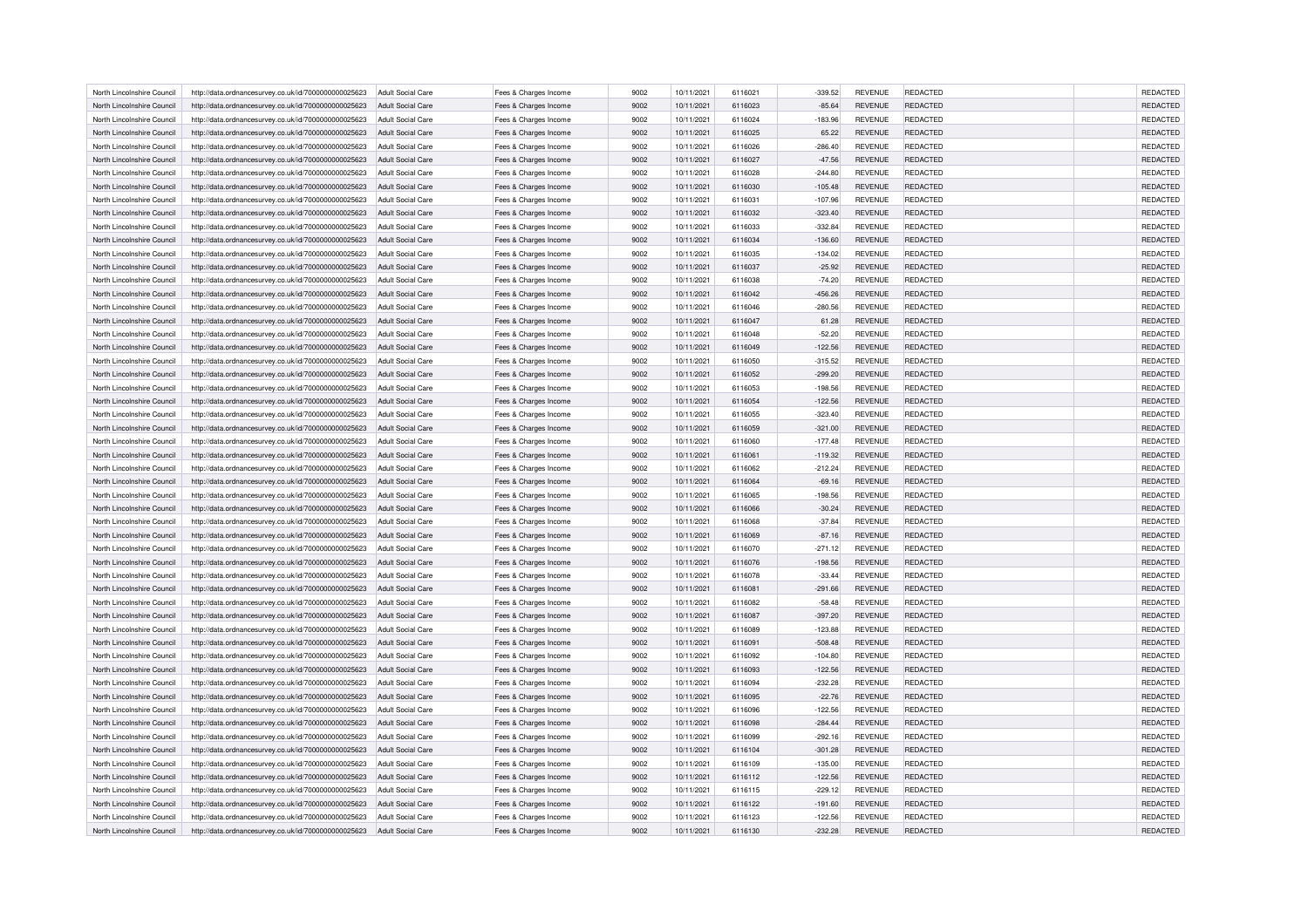| North Lincolnshire Council                               | http://data.ordnancesurvey.co.uk/id/7000000000025623                                                         | Adult Social Care                                    | Fees & Charges Income                          | 9002         | 10/11/2021               | 6116021            | $-339.52$              | REVENUE                          | REDACTED                           | <b>REDACTED</b>             |
|----------------------------------------------------------|--------------------------------------------------------------------------------------------------------------|------------------------------------------------------|------------------------------------------------|--------------|--------------------------|--------------------|------------------------|----------------------------------|------------------------------------|-----------------------------|
| North Lincolnshire Council                               | http://data.ordnancesurvey.co.uk/id/7000000000025623                                                         | <b>Adult Social Care</b>                             | Fees & Charges Income                          | 9002         | 10/11/2021               | 6116023            | $-85.64$               | <b>REVENUE</b>                   | REDACTED                           | REDACTED                    |
| North Lincolnshire Council                               | http://data.ordnancesurvey.co.uk/id/7000000000025623                                                         | Adult Social Care                                    | Fees & Charges Income                          | 9002         | 10/11/2021               | 6116024            | $-183.96$              | <b>REVENUE</b>                   | REDACTED                           | REDACTED                    |
| North Lincolnshire Council                               | http://data.ordnancesurvey.co.uk/id/7000000000025623                                                         | Adult Social Care                                    | Fees & Charges Income                          | 9002         | 10/11/2021               | 6116025            | 65.22                  | <b>REVENUE</b>                   | <b>REDACTED</b>                    | REDACTED                    |
| North Lincolnshire Council                               | http://data.ordnancesurvey.co.uk/id/7000000000025623                                                         | Adult Social Care                                    | Fees & Charges Income                          | 9002         | 10/11/2021               | 6116026            | $-286.40$              | <b>REVENUE</b>                   | REDACTED                           | REDACTED                    |
| North Lincolnshire Council                               | http://data.ordnancesurvey.co.uk/id/7000000000025623                                                         | <b>Adult Social Care</b>                             | Fees & Charges Income                          | 9002         | 10/11/2021               | 6116027            | $-47.56$               | <b>REVENUE</b>                   | REDACTED                           | REDACTED                    |
| North Lincolnshire Council                               | http://data.ordnancesurvey.co.uk/id/7000000000025623                                                         | Adult Social Care                                    | Fees & Charges Income                          | 9002         | 10/11/2021               | 6116028            | $-244.80$              | <b>REVENUE</b>                   | REDACTED                           | REDACTED                    |
| North Lincolnshire Council                               | http://data.ordnancesurvey.co.uk/id/7000000000025623                                                         | <b>Adult Social Care</b>                             | Fees & Charges Income                          | 9002         | 10/11/2021               | 6116030            | $-105.48$              | <b>REVENUE</b>                   | REDACTED                           | REDACTED                    |
| North Lincolnshire Council                               | http://data.ordnancesurvey.co.uk/id/7000000000025623                                                         | <b>Adult Social Care</b>                             | Fees & Charges Income                          | 9002         | 10/11/2021               | 6116031            | $-107.96$              | <b>REVENUE</b>                   | REDACTED                           | REDACTED                    |
| North Lincolnshire Council                               | http://data.ordnancesurvey.co.uk/id/7000000000025623                                                         | Adult Social Care                                    | Fees & Charges Income                          | 9002         | 10/11/2021               | 6116032            | $-323.40$              | <b>REVENUE</b>                   | <b>REDACTED</b>                    | REDACTED                    |
| North Lincolnshire Council                               | http://data.ordnancesurvey.co.uk/id/7000000000025623                                                         | <b>Adult Social Care</b>                             | Fees & Charges Income                          | 9002         | 10/11/2021               | 6116033            | $-332.84$              | <b>REVENUE</b>                   | REDACTED                           | REDACTED                    |
| North Lincolnshire Council                               | http://data.ordnancesurvey.co.uk/id/7000000000025623                                                         | <b>Adult Social Care</b>                             | Fees & Charges Income                          | 9002         | 10/11/2021               | 6116034            | $-136.60$              | <b>REVENUE</b>                   | <b>REDACTED</b>                    | REDACTED                    |
| North Lincolnshire Council                               | http://data.ordnancesurvey.co.uk/id/7000000000025623                                                         | Adult Social Care                                    | Fees & Charges Income                          | 9002         | 10/11/2021               | 6116035            | $-134.02$              | <b>REVENUE</b>                   | REDACTED                           | REDACTED                    |
| North Lincolnshire Council                               | http://data.ordnancesurvey.co.uk/id/7000000000025623                                                         | <b>Adult Social Care</b>                             | Fees & Charges Income                          | 9002         | 10/11/2021               | 6116037            | $-25.92$               | <b>REVENUE</b>                   | <b>REDACTED</b>                    | REDACTED                    |
| North Lincolnshire Council                               | http://data.ordnancesurvey.co.uk/id/7000000000025623                                                         | <b>Adult Social Care</b>                             | Fees & Charges Income                          | 9002         | 10/11/2021               | 6116038            | $-74.20$               | <b>REVENUE</b>                   | <b>REDACTED</b>                    | REDACTED                    |
| North Lincolnshire Council                               | http://data.ordnancesurvey.co.uk/id/7000000000025623                                                         | <b>Adult Social Care</b>                             | Fees & Charges Income                          | 9002         | 10/11/2021               | 6116042            | $-456.26$              | REVENUE                          | REDACTED                           | REDACTED                    |
| North Lincolnshire Council                               | http://data.ordnancesurvey.co.uk/id/7000000000025623                                                         | <b>Adult Social Care</b>                             | Fees & Charges Income                          | 9002         | 10/11/2021               | 6116046            | $-280.56$              | <b>REVENUE</b>                   | REDACTED                           | REDACTED                    |
| North Lincolnshire Council                               | http://data.ordnancesurvey.co.uk/id/7000000000025623                                                         | Adult Social Care                                    | Fees & Charges Income                          | 9002         | 10/11/2021               | 6116047            | 61.28                  | <b>REVENUE</b>                   | <b>REDACTED</b>                    | REDACTED                    |
| North Lincolnshire Council                               | http://data.ordnancesurvey.co.uk/id/7000000000025623                                                         | Adult Social Care                                    | Fees & Charges Income                          | 9002         | 10/11/2021               | 6116048            | $-52.20$               | REVENUE                          | REDACTED                           | REDACTED                    |
| North Lincolnshire Council                               | http://data.ordnancesurvey.co.uk/id/7000000000025623                                                         | <b>Adult Social Care</b>                             | Fees & Charges Income                          | 9002         | 10/11/2021               | 6116049            | $-122.56$              | <b>REVENUE</b>                   | <b>REDACTED</b>                    | REDACTED                    |
| North Lincolnshire Council                               | http://data.ordnancesurvey.co.uk/id/7000000000025623                                                         | Adult Social Care                                    | Fees & Charges Income                          | 9002         | 10/11/2021               | 6116050            | $-315.52$              | <b>REVENUE</b>                   | <b>REDACTED</b>                    | REDACTED                    |
| North Lincolnshire Council                               | http://data.ordnancesurvey.co.uk/id/7000000000025623                                                         | Adult Social Care                                    | Fees & Charges Income                          | 9002         | 10/11/2021               | 6116052            | $-299.20$              | <b>REVENUE</b>                   | <b>REDACTED</b>                    | REDACTED                    |
| North Lincolnshire Council                               | http://data.ordnancesurvey.co.uk/id/7000000000025623                                                         | <b>Adult Social Care</b>                             | Fees & Charges Income                          | 9002         | 10/11/2021               | 6116053            | $-198.56$              | REVENUE                          | REDACTED                           | REDACTED                    |
| North Lincolnshire Council                               | http://data.ordnancesurvey.co.uk/id/7000000000025623                                                         | <b>Adult Social Care</b>                             | Fees & Charges Income                          | 9002         | 10/11/2021               | 6116054            | $-122.56$              | <b>REVENUE</b>                   | <b>REDACTED</b>                    | REDACTED                    |
| North Lincolnshire Council                               | http://data.ordnancesurvey.co.uk/id/7000000000025623                                                         | Adult Social Care                                    | Fees & Charges Income                          | 9002         | 10/11/2021               | 6116055            | $-323.40$              | <b>REVENUE</b>                   | <b>REDACTED</b>                    | REDACTED                    |
| North Lincolnshire Council                               | http://data.ordnancesurvey.co.uk/id/7000000000025623                                                         | <b>Adult Social Care</b>                             | Fees & Charges Income                          | 9002         | 10/11/2021               | 6116059            | $-321.00$              | <b>REVENUE</b>                   | REDACTED                           | REDACTED                    |
| North Lincolnshire Council                               | http://data.ordnancesurvey.co.uk/id/7000000000025623                                                         | <b>Adult Social Care</b>                             | Fees & Charges Income                          | 9002         | 10/11/2021               | 6116060            | $-177.48$              | <b>REVENUE</b>                   | <b>REDACTED</b>                    | REDACTED                    |
| North Lincolnshire Council                               | http://data.ordnancesurvey.co.uk/id/7000000000025623                                                         | Adult Social Care                                    | Fees & Charges Income                          | 9002         | 10/11/2021               | 6116061            | $-119.32$              | <b>REVENUE</b>                   | <b>REDACTED</b>                    | REDACTED                    |
| North Lincolnshire Council                               | http://data.ordnancesurvey.co.uk/id/7000000000025623                                                         | <b>Adult Social Care</b>                             | Fees & Charges Income                          | 9002         | 10/11/2021               | 6116062            | $-212.24$              | <b>REVENUE</b>                   | REDACTED                           | REDACTED                    |
| North Lincolnshire Council                               | http://data.ordnancesurvey.co.uk/id/7000000000025623                                                         | <b>Adult Social Care</b>                             | Fees & Charges Income                          | 9002         | 10/11/2021               | 6116064            | $-69.16$               | <b>REVENUE</b>                   | <b>REDACTED</b>                    | REDACTED                    |
| North Lincolnshire Council                               | http://data.ordnancesurvey.co.uk/id/7000000000025623                                                         | Adult Social Care                                    | Fees & Charges Income                          | 9002         | 10/11/2021               | 6116065            | $-198.56$              | <b>REVENUE</b>                   | <b>REDACTED</b>                    | REDACTED                    |
| North Lincolnshire Council                               | http://data.ordnancesurvey.co.uk/id/7000000000025623                                                         | <b>Adult Social Care</b>                             | Fees & Charges Income                          | 9002         | 10/11/2021               | 6116066            | $-30.24$               | <b>REVENUE</b>                   | REDACTED                           | REDACTED                    |
| North Lincolnshire Council                               | http://data.ordnancesurvey.co.uk/id/7000000000025623                                                         | <b>Adult Social Care</b>                             | Fees & Charges Income                          | 9002         | 10/11/2021               | 6116068            | $-37.84$               | <b>REVENUE</b>                   | <b>REDACTED</b>                    | REDACTED                    |
| North Lincolnshire Council                               | http://data.ordnancesurvey.co.uk/id/7000000000025623                                                         | Adult Social Care                                    | Fees & Charges Income                          | 9002         | 10/11/2021               | 6116069            | $-87.16$               | <b>REVENUE</b>                   | <b>REDACTED</b>                    | REDACTED                    |
| North Lincolnshire Council                               | http://data.ordnancesurvey.co.uk/id/7000000000025623                                                         | <b>Adult Social Care</b>                             | Fees & Charges Income                          | 9002         | 10/11/2021               | 6116070            | $-271.12$              | <b>REVENUE</b>                   | <b>REDACTED</b>                    | REDACTED                    |
| North Lincolnshire Council                               | http://data.ordnancesurvey.co.uk/id/7000000000025623                                                         | <b>Adult Social Care</b>                             | Fees & Charges Income                          | 9002         | 10/11/2021               | 6116076            | $-198.56$              | <b>REVENUE</b>                   | <b>REDACTED</b>                    | REDACTED                    |
| North Lincolnshire Council                               |                                                                                                              | Adult Social Care                                    | Fees & Charges Income                          | 9002         | 10/11/2021               | 6116078            | $-33.44$               | REVENUE                          | <b>REDACTED</b>                    | REDACTED                    |
| North Lincolnshire Council                               | http://data.ordnancesurvey.co.uk/id/7000000000025623<br>http://data.ordnancesurvey.co.uk/id/7000000000025623 | <b>Adult Social Care</b>                             | Fees & Charges Income                          | 9002         | 10/11/2021               | 6116081            | $-291.66$              | REVENUE                          | REDACTED                           | REDACTED                    |
| North Lincolnshire Council                               | http://data.ordnancesurvey.co.uk/id/7000000000025623                                                         | <b>Adult Social Care</b>                             | Fees & Charges Income                          | 9002         | 10/11/2021               | 6116082            | $-58.48$               | <b>REVENUE</b>                   | <b>REDACTED</b>                    | REDACTED                    |
|                                                          |                                                                                                              |                                                      |                                                |              |                          |                    |                        |                                  |                                    |                             |
| North Lincolnshire Council<br>North Lincolnshire Council | http://data.ordnancesurvey.co.uk/id/7000000000025623                                                         | <b>Adult Social Care</b><br><b>Adult Social Care</b> | Fees & Charges Income                          | 9002<br>9002 | 10/11/2021<br>10/11/2021 | 6116087<br>6116089 | $-397.20$<br>$-123.88$ | <b>REVENUE</b><br>REVENUE        | <b>REDACTED</b><br><b>REDACTED</b> | REDACTED<br><b>REDACTED</b> |
| North Lincolnshire Council                               | http://data.ordnancesurvey.co.uk/id/7000000000025623<br>http://data.ordnancesurvey.co.uk/id/7000000000025623 | Adult Social Care                                    | Fees & Charges Income                          | 9002         | 10/11/2021               | 6116091            | $-508.48$              | <b>REVENUE</b>                   | <b>REDACTED</b>                    | REDACTED                    |
| North Lincolnshire Council                               |                                                                                                              |                                                      | Fees & Charges Income                          | 9002         |                          | 6116092            |                        |                                  |                                    | REDACTED                    |
| North Lincolnshire Council                               | http://data.ordnancesurvey.co.uk/id/7000000000025623                                                         | Adult Social Care<br><b>Adult Social Care</b>        | Fees & Charges Income                          | 9002         | 10/11/2021               | 6116093            | $-104.80$              | REVENUE<br><b>REVENUE</b>        | <b>REDACTED</b><br><b>REDACTED</b> |                             |
| North Lincolnshire Council                               | http://data.ordnancesurvey.co.uk/id/7000000000025623<br>http://data.ordnancesurvey.co.uk/id/7000000000025623 | Adult Social Care                                    | Fees & Charges Income                          | 9002         | 10/11/2021<br>10/11/2021 | 6116094            | $-122.56$<br>$-232.28$ | <b>REVENUE</b>                   | <b>REDACTED</b>                    | REDACTED<br>REDACTED        |
|                                                          |                                                                                                              |                                                      | Fees & Charges Income                          | 9002         |                          |                    |                        |                                  |                                    | REDACTED                    |
| North Lincolnshire Council                               | http://data.ordnancesurvey.co.uk/id/7000000000025623                                                         | Adult Social Care                                    | Fees & Charges Income                          |              | 10/11/2021               | 6116095            | $-22.76$               | <b>REVENUE</b>                   | <b>REDACTED</b>                    |                             |
| North Lincolnshire Council<br>North Lincolnshire Council | http://data.ordnancesurvey.co.uk/id/7000000000025623<br>http://data.ordnancesurvey.co.uk/id/7000000000025623 | <b>Adult Social Care</b><br><b>Adult Social Care</b> | Fees & Charges Income<br>Fees & Charges Income | 9002<br>9002 | 10/11/2021<br>10/11/2021 | 6116096<br>6116098 | $-122.56$<br>$-284.44$ | REVENUE<br><b>REVENUE</b>        | REDACTED<br><b>REDACTED</b>        | REDACTED<br>REDACTED        |
|                                                          |                                                                                                              |                                                      |                                                |              |                          |                    |                        |                                  |                                    |                             |
| North Lincolnshire Council                               | http://data.ordnancesurvey.co.uk/id/7000000000025623                                                         | Adult Social Care                                    | Fees & Charges Income                          | 9002         | 10/11/2021               | 6116099            | $-292.16$              | REVENUE                          | <b>REDACTED</b>                    | REDACTED                    |
| North Lincolnshire Council<br>North Lincolnshire Council | http://data.ordnancesurvey.co.uk/id/7000000000025623                                                         | <b>Adult Social Care</b><br>Adult Social Care        | Fees & Charges Income                          | 9002<br>9002 | 10/11/2021<br>10/11/2021 | 6116104<br>6116109 | $-301.28$<br>$-135.00$ | <b>REVENUE</b><br><b>REVENUE</b> | REDACTED<br><b>REDACTED</b>        | REDACTED<br>REDACTED        |
|                                                          | http://data.ordnancesurvey.co.uk/id/7000000000025623                                                         |                                                      | Fees & Charges Income                          | 9002         |                          |                    |                        |                                  | <b>REDACTED</b>                    | REDACTED                    |
| North Lincolnshire Council<br>North Lincolnshire Council | http://data.ordnancesurvey.co.uk/id/7000000000025623<br>http://data.ordnancesurvey.co.uk/id/7000000000025623 | Adult Social Care<br><b>Adult Social Care</b>        | Fees & Charges Income                          | 9002         | 10/11/2021<br>10/11/2021 | 6116112<br>6116115 | $-122.56$              | <b>REVENUE</b><br><b>REVENUE</b> | REDACTED                           |                             |
| North Lincolnshire Council                               | http://data.ordnancesurvey.co.uk/id/7000000000025623                                                         | <b>Adult Social Care</b>                             | Fees & Charges Income                          | 9002         | 10/11/2021               | 6116122            | $-229.12$<br>$-191.60$ | <b>REVENUE</b>                   | <b>REDACTED</b>                    | REDACTED<br>REDACTED        |
| North Lincolnshire Council                               |                                                                                                              | <b>Adult Social Care</b>                             | Fees & Charges Income                          | 9002         | 10/11/2021               | 6116123            | $-122.56$              | <b>REVENUE</b>                   | <b>REDACTED</b>                    | REDACTED                    |
| North Lincolnshire Council                               | http://data.ordnancesurvey.co.uk/id/7000000000025623<br>http://data.ordnancesurvey.co.uk/id/7000000000025623 | Adult Social Care                                    | Fees & Charges Income                          | 9002         | 10/11/2021               | 6116130            | $-232.28$              | <b>REVENUE</b>                   | <b>REDACTED</b>                    | REDACTED                    |
|                                                          |                                                                                                              |                                                      | Fees & Charges Income                          |              |                          |                    |                        |                                  |                                    |                             |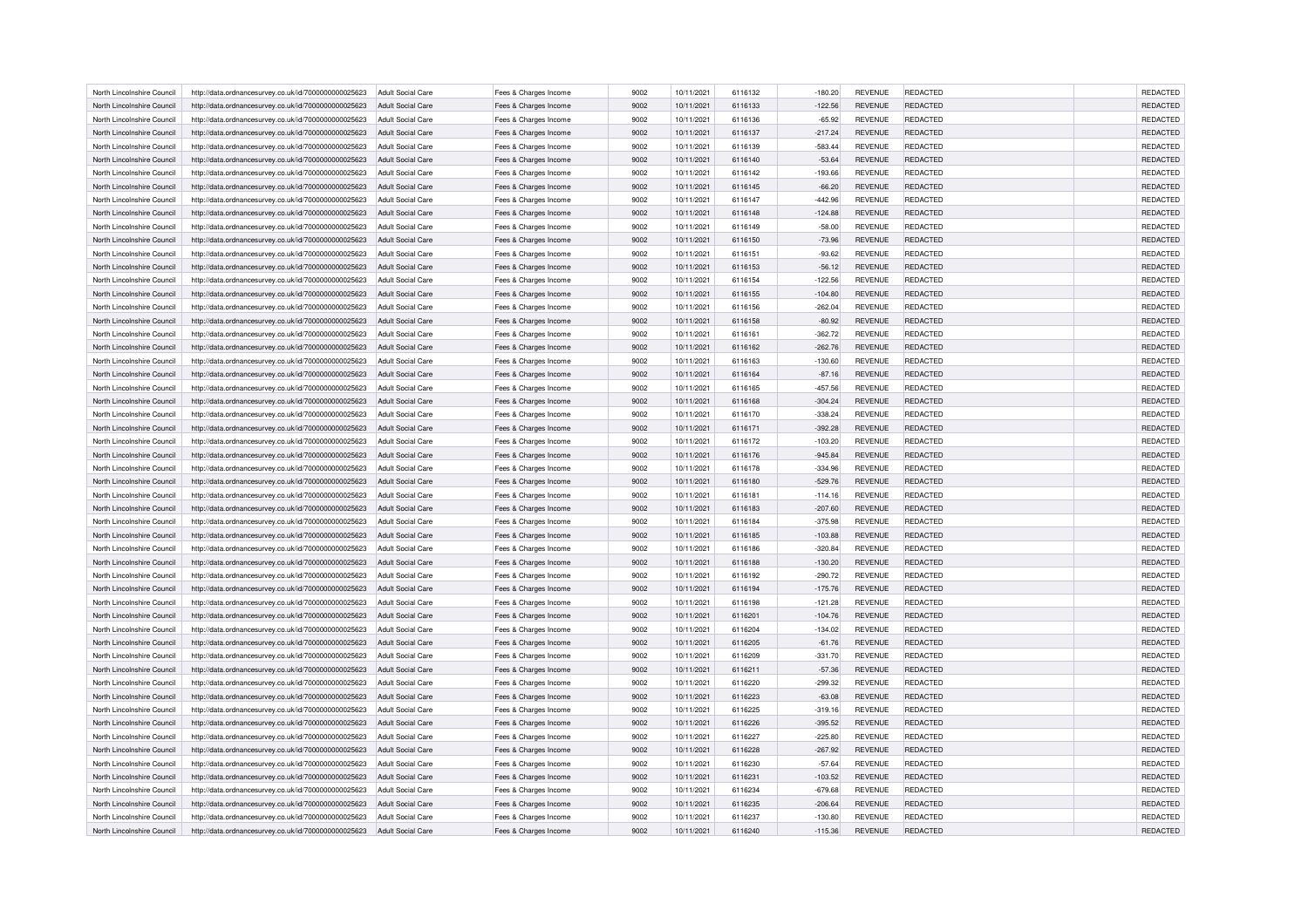| North Lincolnshire Council | http://data.ordnancesurvey.co.uk/id/7000000000025623 | Adult Social Care        | Fees & Charges Income | 9002 | 10/11/2021 | 6116132 | $-180.20$ | REVENUE        | REDACTED        | <b>REDACTED</b> |
|----------------------------|------------------------------------------------------|--------------------------|-----------------------|------|------------|---------|-----------|----------------|-----------------|-----------------|
| North Lincolnshire Council | http://data.ordnancesurvey.co.uk/id/7000000000025623 | <b>Adult Social Care</b> | Fees & Charges Income | 9002 | 10/11/2021 | 6116133 | $-122.56$ | <b>REVENUE</b> | REDACTED        | REDACTED        |
| North Lincolnshire Council | http://data.ordnancesurvey.co.uk/id/7000000000025623 | Adult Social Care        | Fees & Charges Income | 9002 | 10/11/2021 | 6116136 | $-65.92$  | <b>REVENUE</b> | REDACTED        | REDACTED        |
| North Lincolnshire Council | http://data.ordnancesurvey.co.uk/id/7000000000025623 | Adult Social Care        | Fees & Charges Income | 9002 | 10/11/2021 | 6116137 | $-217.24$ | <b>REVENUE</b> | <b>REDACTED</b> | REDACTED        |
| North Lincolnshire Council | http://data.ordnancesurvey.co.uk/id/7000000000025623 | Adult Social Care        | Fees & Charges Income | 9002 | 10/11/2021 | 6116139 | $-583.44$ | <b>REVENUE</b> | REDACTED        | REDACTED        |
| North Lincolnshire Council | http://data.ordnancesurvey.co.uk/id/7000000000025623 | <b>Adult Social Care</b> | Fees & Charges Income | 9002 | 10/11/2021 | 6116140 | $-53.64$  | <b>REVENUE</b> | REDACTED        | REDACTED        |
| North Lincolnshire Council | http://data.ordnancesurvey.co.uk/id/7000000000025623 | Adult Social Care        | Fees & Charges Income | 9002 | 10/11/2021 | 6116142 | $-193.66$ | <b>REVENUE</b> | REDACTED        | REDACTED        |
| North Lincolnshire Council | http://data.ordnancesurvey.co.uk/id/7000000000025623 | <b>Adult Social Care</b> | Fees & Charges Income | 9002 | 10/11/2021 | 6116145 | $-66.20$  | <b>REVENUE</b> | REDACTED        | REDACTED        |
| North Lincolnshire Council | http://data.ordnancesurvey.co.uk/id/7000000000025623 | <b>Adult Social Care</b> | Fees & Charges Income | 9002 | 10/11/2021 | 6116147 | $-442.96$ | <b>REVENUE</b> | REDACTED        | REDACTED        |
| North Lincolnshire Council | http://data.ordnancesurvey.co.uk/id/7000000000025623 | Adult Social Care        | Fees & Charges Income | 9002 | 10/11/2021 | 6116148 | $-124.88$ | <b>REVENUE</b> | <b>REDACTED</b> | REDACTED        |
| North Lincolnshire Council | http://data.ordnancesurvey.co.uk/id/7000000000025623 | <b>Adult Social Care</b> | Fees & Charges Income | 9002 | 10/11/2021 | 6116149 | $-58.00$  | <b>REVENUE</b> | REDACTED        | REDACTED        |
| North Lincolnshire Council | http://data.ordnancesurvey.co.uk/id/7000000000025623 | <b>Adult Social Care</b> | Fees & Charges Income | 9002 | 10/11/2021 | 6116150 | $-73.96$  | <b>REVENUE</b> | <b>REDACTED</b> | REDACTED        |
| North Lincolnshire Council | http://data.ordnancesurvey.co.uk/id/7000000000025623 | Adult Social Care        | Fees & Charges Income | 9002 | 10/11/2021 | 6116151 | $-93.62$  | <b>REVENUE</b> | REDACTED        | REDACTED        |
| North Lincolnshire Council | http://data.ordnancesurvey.co.uk/id/7000000000025623 | <b>Adult Social Care</b> | Fees & Charges Income | 9002 | 10/11/2021 | 6116153 | $-56.12$  | <b>REVENUE</b> | <b>REDACTED</b> | REDACTED        |
| North Lincolnshire Council | http://data.ordnancesurvey.co.uk/id/7000000000025623 | <b>Adult Social Care</b> | Fees & Charges Income | 9002 | 10/11/2021 | 6116154 | $-122.56$ | <b>REVENUE</b> | <b>REDACTED</b> | REDACTED        |
|                            |                                                      |                          |                       |      |            |         |           |                |                 |                 |
| North Lincolnshire Council | http://data.ordnancesurvey.co.uk/id/7000000000025623 | <b>Adult Social Care</b> | Fees & Charges Income | 9002 | 10/11/2021 | 6116155 | $-104.80$ | REVENUE        | REDACTED        | REDACTED        |
| North Lincolnshire Council | http://data.ordnancesurvey.co.uk/id/7000000000025623 | <b>Adult Social Care</b> | Fees & Charges Income | 9002 | 10/11/2021 | 6116156 | $-262.04$ | <b>REVENUE</b> | REDACTED        | REDACTED        |
| North Lincolnshire Council | http://data.ordnancesurvey.co.uk/id/7000000000025623 | Adult Social Care        | Fees & Charges Income | 9002 | 10/11/2021 | 6116158 | $-80.92$  | <b>REVENUE</b> | <b>REDACTED</b> | REDACTED        |
| North Lincolnshire Council | http://data.ordnancesurvey.co.uk/id/7000000000025623 | Adult Social Care        | Fees & Charges Income | 9002 | 10/11/2021 | 6116161 | $-362.72$ | REVENUE        | REDACTED        | REDACTED        |
| North Lincolnshire Council | http://data.ordnancesurvey.co.uk/id/7000000000025623 | <b>Adult Social Care</b> | Fees & Charges Income | 9002 | 10/11/2021 | 6116162 | $-262.76$ | <b>REVENUE</b> | REDACTED        | REDACTED        |
| North Lincolnshire Council | http://data.ordnancesurvey.co.uk/id/7000000000025623 | Adult Social Care        | Fees & Charges Income | 9002 | 10/11/2021 | 6116163 | $-130.60$ | <b>REVENUE</b> | <b>REDACTED</b> | REDACTED        |
| North Lincolnshire Council | http://data.ordnancesurvey.co.uk/id/7000000000025623 | Adult Social Care        | Fees & Charges Income | 9002 | 10/11/2021 | 6116164 | $-87.16$  | <b>REVENUE</b> | <b>REDACTED</b> | REDACTED        |
| North Lincolnshire Council | http://data.ordnancesurvey.co.uk/id/7000000000025623 | <b>Adult Social Care</b> | Fees & Charges Income | 9002 | 10/11/2021 | 6116165 | $-457.56$ | REVENUE        | REDACTED        | REDACTED        |
| North Lincolnshire Council | http://data.ordnancesurvey.co.uk/id/7000000000025623 | <b>Adult Social Care</b> | Fees & Charges Income | 9002 | 10/11/2021 | 6116168 | $-304.24$ | <b>REVENUE</b> | <b>REDACTED</b> | REDACTED        |
| North Lincolnshire Council | http://data.ordnancesurvey.co.uk/id/7000000000025623 | Adult Social Care        | Fees & Charges Income | 9002 | 10/11/2021 | 6116170 | $-338.24$ | <b>REVENUE</b> | <b>REDACTED</b> | REDACTED        |
| North Lincolnshire Council | http://data.ordnancesurvey.co.uk/id/7000000000025623 | <b>Adult Social Care</b> | Fees & Charges Income | 9002 | 10/11/2021 | 6116171 | $-392.28$ | <b>REVENUE</b> | REDACTED        | REDACTED        |
| North Lincolnshire Council | http://data.ordnancesurvey.co.uk/id/7000000000025623 | <b>Adult Social Care</b> | Fees & Charges Income | 9002 | 10/11/2021 | 6116172 | $-103.20$ | <b>REVENUE</b> | <b>REDACTED</b> | REDACTED        |
| North Lincolnshire Council | http://data.ordnancesurvey.co.uk/id/7000000000025623 | Adult Social Care        | Fees & Charges Income | 9002 | 10/11/2021 | 6116176 | $-945.84$ | <b>REVENUE</b> | <b>REDACTED</b> | REDACTED        |
| North Lincolnshire Council | http://data.ordnancesurvey.co.uk/id/7000000000025623 | <b>Adult Social Care</b> | Fees & Charges Income | 9002 | 10/11/2021 | 6116178 | $-334.96$ | <b>REVENUE</b> | REDACTED        | REDACTED        |
| North Lincolnshire Council | http://data.ordnancesurvey.co.uk/id/7000000000025623 | <b>Adult Social Care</b> | Fees & Charges Income | 9002 | 10/11/2021 | 6116180 | $-529.76$ | <b>REVENUE</b> | <b>REDACTED</b> | REDACTED        |
| North Lincolnshire Council | http://data.ordnancesurvey.co.uk/id/7000000000025623 | Adult Social Care        | Fees & Charges Income | 9002 | 10/11/2021 | 6116181 | $-114.16$ | <b>REVENUE</b> | <b>REDACTED</b> | REDACTED        |
| North Lincolnshire Council | http://data.ordnancesurvey.co.uk/id/7000000000025623 | <b>Adult Social Care</b> | Fees & Charges Income | 9002 | 10/11/2021 | 6116183 | $-207.60$ | <b>REVENUE</b> | REDACTED        | REDACTED        |
| North Lincolnshire Council | http://data.ordnancesurvey.co.uk/id/7000000000025623 | <b>Adult Social Care</b> | Fees & Charges Income | 9002 | 10/11/2021 | 6116184 | $-375.98$ | <b>REVENUE</b> | <b>REDACTED</b> | REDACTED        |
| North Lincolnshire Council | http://data.ordnancesurvey.co.uk/id/7000000000025623 | Adult Social Care        | Fees & Charges Income | 9002 | 10/11/2021 | 6116185 | $-103.88$ | <b>REVENUE</b> | <b>REDACTED</b> | REDACTED        |
| North Lincolnshire Council | http://data.ordnancesurvey.co.uk/id/7000000000025623 | Adult Social Care        | Fees & Charges Income | 9002 | 10/11/2021 | 6116186 | $-320.84$ | <b>REVENUE</b> | <b>REDACTED</b> | REDACTED        |
| North Lincolnshire Council | http://data.ordnancesurvey.co.uk/id/7000000000025623 | <b>Adult Social Care</b> | Fees & Charges Income | 9002 | 10/11/2021 | 6116188 | $-130.20$ | <b>REVENUE</b> | <b>REDACTED</b> | REDACTED        |
| North Lincolnshire Council | http://data.ordnancesurvey.co.uk/id/7000000000025623 | Adult Social Care        | Fees & Charges Income | 9002 | 10/11/2021 | 6116192 | $-290.72$ | REVENUE        | <b>REDACTED</b> | REDACTED        |
| North Lincolnshire Council | http://data.ordnancesurvey.co.uk/id/7000000000025623 | <b>Adult Social Care</b> | Fees & Charges Income | 9002 | 10/11/2021 | 6116194 | $-175.76$ | REVENUE        | REDACTED        | REDACTED        |
| North Lincolnshire Council | http://data.ordnancesurvey.co.uk/id/7000000000025623 | <b>Adult Social Care</b> | Fees & Charges Income | 9002 | 10/11/2021 | 6116198 | $-121.28$ | <b>REVENUE</b> | <b>REDACTED</b> | REDACTED        |
| North Lincolnshire Council | http://data.ordnancesurvey.co.uk/id/7000000000025623 | <b>Adult Social Care</b> | Fees & Charges Income | 9002 | 10/11/2021 | 6116201 | $-104.76$ | <b>REVENUE</b> | <b>REDACTED</b> | REDACTED        |
| North Lincolnshire Council | http://data.ordnancesurvey.co.uk/id/7000000000025623 | <b>Adult Social Care</b> | Fees & Charges Income | 9002 | 10/11/2021 | 6116204 | $-134.02$ | REVENUE        | <b>REDACTED</b> | <b>REDACTED</b> |
| North Lincolnshire Council | http://data.ordnancesurvey.co.uk/id/7000000000025623 | Adult Social Care        | Fees & Charges Income | 9002 | 10/11/2021 | 6116205 | $-61.76$  | <b>REVENUE</b> | <b>REDACTED</b> | REDACTED        |
| North Lincolnshire Council | http://data.ordnancesurvey.co.uk/id/7000000000025623 | Adult Social Care        | Fees & Charges Income | 9002 | 10/11/2021 | 6116209 | $-331.70$ | REVENUE        | <b>REDACTED</b> | REDACTED        |
| North Lincolnshire Council | http://data.ordnancesurvey.co.uk/id/7000000000025623 | <b>Adult Social Care</b> | Fees & Charges Income | 9002 | 10/11/2021 | 6116211 | $-57.36$  | <b>REVENUE</b> | <b>REDACTED</b> | REDACTED        |
| North Lincolnshire Council | http://data.ordnancesurvey.co.uk/id/7000000000025623 | Adult Social Care        | Fees & Charges Income | 9002 | 10/11/2021 | 6116220 | $-299.32$ | <b>REVENUE</b> | <b>REDACTED</b> | REDACTED        |
| North Lincolnshire Council | http://data.ordnancesurvey.co.uk/id/7000000000025623 | Adult Social Care        | Fees & Charges Income | 9002 | 10/11/2021 | 6116223 | $-63.08$  | <b>REVENUE</b> | <b>REDACTED</b> | REDACTED        |
| North Lincolnshire Council | http://data.ordnancesurvey.co.uk/id/7000000000025623 | <b>Adult Social Care</b> | Fees & Charges Income | 9002 | 10/11/2021 | 6116225 | $-319.16$ | <b>REVENUE</b> | REDACTED        | REDACTED        |
| North Lincolnshire Council | http://data.ordnancesurvey.co.uk/id/7000000000025623 | Adult Social Care        | Fees & Charges Income | 9002 | 10/11/2021 | 6116226 | $-395.52$ | <b>REVENUE</b> | <b>REDACTED</b> | REDACTED        |
| North Lincolnshire Council | http://data.ordnancesurvey.co.uk/id/7000000000025623 | Adult Social Care        | Fees & Charges Income | 9002 | 10/11/2021 | 6116227 | $-225.80$ | REVENUE        | <b>REDACTED</b> | REDACTED        |
| North Lincolnshire Council | http://data.ordnancesurvey.co.uk/id/7000000000025623 | <b>Adult Social Care</b> | Fees & Charges Income | 9002 | 10/11/2021 | 6116228 | $-267.92$ | <b>REVENUE</b> | REDACTED        | REDACTED        |
| North Lincolnshire Council | http://data.ordnancesurvey.co.uk/id/7000000000025623 | Adult Social Care        | Fees & Charges Income | 9002 | 10/11/2021 | 6116230 | $-57.64$  | <b>REVENUE</b> | <b>REDACTED</b> | REDACTED        |
| North Lincolnshire Council | http://data.ordnancesurvey.co.uk/id/7000000000025623 | Adult Social Care        | Fees & Charges Income | 9002 | 10/11/2021 | 6116231 | $-103.52$ | <b>REVENUE</b> | <b>REDACTED</b> | REDACTED        |
| North Lincolnshire Council | http://data.ordnancesurvey.co.uk/id/7000000000025623 | <b>Adult Social Care</b> | Fees & Charges Income | 9002 | 10/11/2021 | 6116234 | $-679.68$ | <b>REVENUE</b> | REDACTED        | REDACTED        |
| North Lincolnshire Council | http://data.ordnancesurvey.co.uk/id/7000000000025623 | <b>Adult Social Care</b> | Fees & Charges Income | 9002 | 10/11/2021 | 6116235 | $-206.64$ | <b>REVENUE</b> | <b>REDACTED</b> | REDACTED        |
| North Lincolnshire Council | http://data.ordnancesurvey.co.uk/id/7000000000025623 | <b>Adult Social Care</b> | Fees & Charges Income | 9002 | 10/11/2021 | 6116237 | $-130.80$ | <b>REVENUE</b> | <b>REDACTED</b> | REDACTED        |
| North Lincolnshire Council | http://data.ordnancesurvey.co.uk/id/7000000000025623 | Adult Social Care        | Fees & Charges Income | 9002 | 10/11/2021 | 6116240 | $-115.36$ | <b>REVENUE</b> | <b>REDACTED</b> | REDACTED        |
|                            |                                                      |                          |                       |      |            |         |           |                |                 |                 |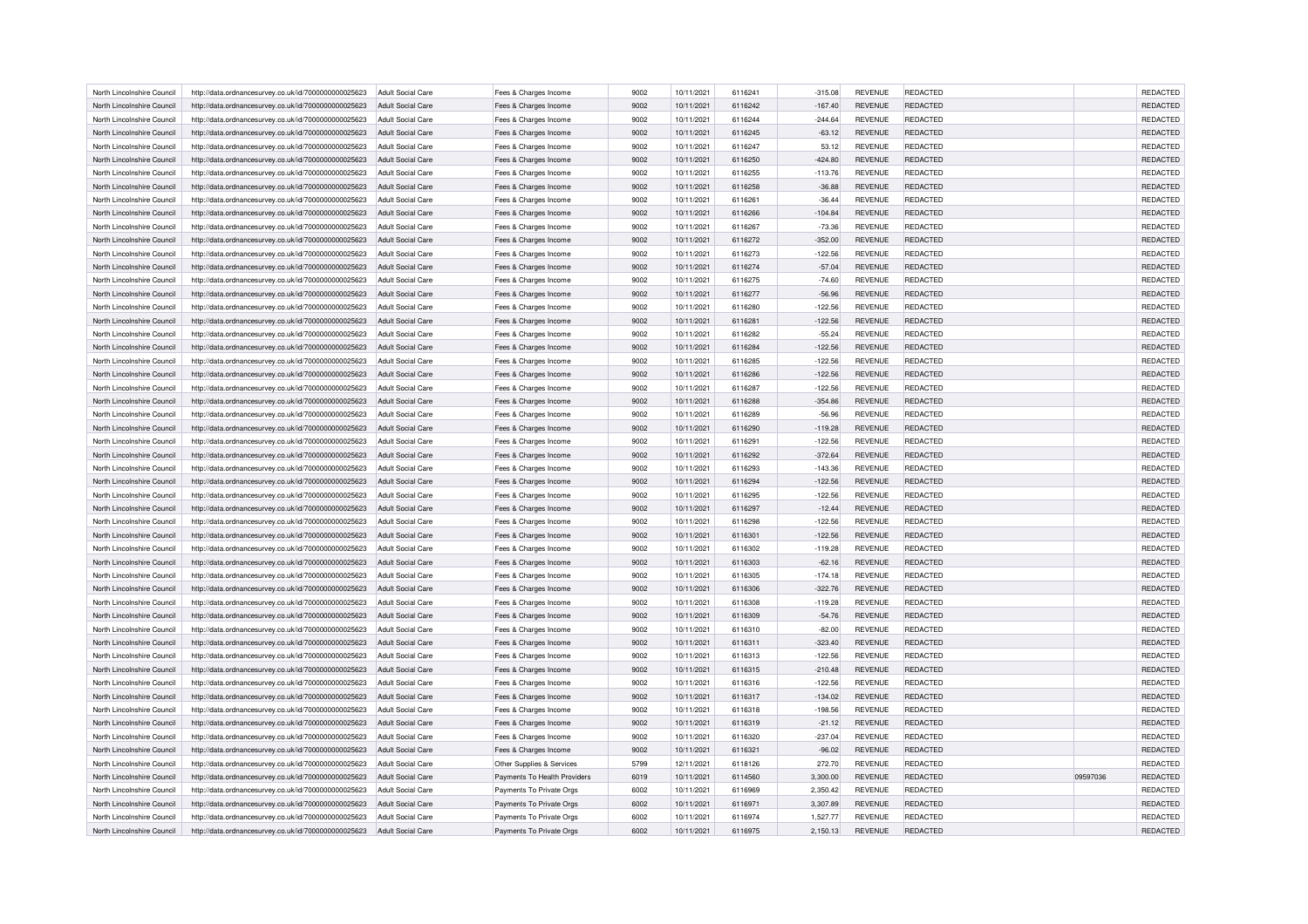| North Lincolnshire Council | http://data.ordnancesurvey.co.uk/id/7000000000025623 | Adult Social Care        | Fees & Charges Income        | 9002 | 10/11/2021 | 6116241 | $-315.08$ | <b>REVENUE</b> | <b>REDACTED</b> |          | <b>REDACTED</b> |
|----------------------------|------------------------------------------------------|--------------------------|------------------------------|------|------------|---------|-----------|----------------|-----------------|----------|-----------------|
| North Lincolnshire Council | http://data.ordnancesurvey.co.uk/id/7000000000025623 | Adult Social Care        | Fees & Charges Income        | 9002 | 10/11/2021 | 6116242 | $-167.40$ | REVENUE        | <b>REDACTED</b> |          | REDACTED        |
| North Lincolnshire Council | http://data.ordnancesurvey.co.uk/id/7000000000025623 | <b>Adult Social Care</b> | Fees & Charges Income        | 9002 | 10/11/2021 | 6116244 | $-244.64$ | <b>REVENUE</b> | REDACTED        |          | <b>REDACTED</b> |
| North Lincolnshire Council | http://data.ordnancesurvey.co.uk/id/7000000000025623 | Adult Social Care        | Fees & Charges Income        | 9002 | 10/11/2021 | 6116245 | $-63.12$  | REVENUE        | <b>REDACTED</b> |          | REDACTED        |
| North Lincolnshire Council | http://data.ordnancesurvey.co.uk/id/7000000000025623 | <b>Adult Social Care</b> | Fees & Charges Income        | 9002 | 10/11/2021 | 6116247 | 53.12     | <b>REVENUE</b> | REDACTED        |          | REDACTED        |
| North Lincolnshire Council | http://data.ordnancesurvey.co.uk/id/7000000000025623 | <b>Adult Social Care</b> | Fees & Charges Income        | 9002 | 10/11/2021 | 6116250 | $-424.80$ | <b>REVENUE</b> | <b>REDACTED</b> |          | REDACTED        |
| North Lincolnshire Council | http://data.ordnancesurvey.co.uk/id/7000000000025623 | Adult Social Care        | Fees & Charges Income        | 9002 | 10/11/2021 | 6116255 | $-113.76$ | <b>REVENUE</b> | REDACTED        |          | REDACTED        |
| North Lincolnshire Council | http://data.ordnancesurvey.co.uk/id/7000000000025623 | <b>Adult Social Care</b> | Fees & Charges Income        | 9002 | 10/11/2021 | 6116258 | $-36.88$  | <b>REVENUE</b> | REDACTED        |          | REDACTED        |
| North Lincolnshire Council | http://data.ordnancesurvey.co.uk/id/7000000000025623 | <b>Adult Social Care</b> | Fees & Charges Income        | 9002 | 10/11/2021 | 6116261 | $-36.44$  | REVENUE        | <b>REDACTED</b> |          | REDACTED        |
| North Lincolnshire Council | http://data.ordnancesurvey.co.uk/id/7000000000025623 | Adult Social Care        | Fees & Charges Income        | 9002 | 10/11/2021 | 6116266 | $-104.84$ | <b>REVENUE</b> | <b>REDACTED</b> |          | REDACTED        |
| North Lincolnshire Council | http://data.ordnancesurvey.co.uk/id/7000000000025623 | Adult Social Care        | Fees & Charges Income        | 9002 | 10/11/2021 | 6116267 | $-73.36$  | <b>REVENUE</b> | <b>REDACTED</b> |          | REDACTED        |
| North Lincolnshire Council | http://data.ordnancesurvey.co.uk/id/7000000000025623 | <b>Adult Social Care</b> | Fees & Charges Income        | 9002 | 10/11/2021 | 6116272 | $-352.00$ | <b>REVENUE</b> | <b>REDACTED</b> |          | REDACTED        |
| North Lincolnshire Council | http://data.ordnancesurvey.co.uk/id/7000000000025623 | Adult Social Care        | Fees & Charges Income        | 9002 | 10/11/2021 | 6116273 | $-122.56$ | <b>REVENUE</b> | <b>REDACTED</b> |          | REDACTED        |
| North Lincolnshire Council | http://data.ordnancesurvey.co.uk/id/7000000000025623 | <b>Adult Social Care</b> | Fees & Charges Income        | 9002 | 10/11/2021 | 6116274 | $-57.04$  | <b>REVENUE</b> | <b>REDACTED</b> |          | REDACTED        |
| North Lincolnshire Council | http://data.ordnancesurvey.co.uk/id/7000000000025623 | <b>Adult Social Care</b> | Fees & Charges Income        | 9002 | 10/11/2021 | 6116275 | $-74.60$  | REVENUE        | REDACTED        |          | <b>REDACTED</b> |
| North Lincolnshire Council | http://data.ordnancesurvey.co.uk/id/7000000000025623 | Adult Social Care        | Fees & Charges Income        | 9002 | 10/11/2021 | 6116277 | $-56.96$  | <b>REVENUE</b> | <b>REDACTED</b> |          | REDACTED        |
| North Lincolnshire Council | http://data.ordnancesurvey.co.uk/id/7000000000025623 | <b>Adult Social Care</b> | Fees & Charges Income        | 9002 | 10/11/2021 | 6116280 | $-122.56$ | REVENUE        | REDACTED        |          | REDACTED        |
| North Lincolnshire Council | http://data.ordnancesurvey.co.uk/id/7000000000025623 | <b>Adult Social Care</b> | Fees & Charges Income        | 9002 | 10/11/2021 | 6116281 | $-122.56$ | <b>REVENUE</b> | <b>REDACTED</b> |          | REDACTED        |
|                            |                                                      |                          |                              | 9002 | 10/11/2021 | 6116282 |           | <b>REVENUE</b> | REDACTED        |          | REDACTED        |
| North Lincolnshire Council | http://data.ordnancesurvey.co.uk/id/7000000000025623 | <b>Adult Social Care</b> | Fees & Charges Income        |      |            |         | $-55.24$  |                |                 |          | REDACTED        |
| North Lincolnshire Council | http://data.ordnancesurvey.co.uk/id/7000000000025623 | <b>Adult Social Care</b> | Fees & Charges Income        | 9002 | 10/11/2021 | 6116284 | $-122.56$ | <b>REVENUE</b> | <b>REDACTED</b> |          |                 |
| North Lincolnshire Council | http://data.ordnancesurvey.co.uk/id/7000000000025623 | <b>Adult Social Care</b> | Fees & Charges Income        | 9002 | 10/11/2021 | 6116285 | $-122.56$ | <b>REVENUE</b> | REDACTED        |          | REDACTED        |
| North Lincolnshire Council | http://data.ordnancesurvey.co.uk/id/7000000000025623 | Adult Social Care        | Fees & Charges Income        | 9002 | 10/11/2021 | 6116286 | $-122.56$ | <b>REVENUE</b> | <b>REDACTED</b> |          | REDACTED        |
| North Lincolnshire Council | http://data.ordnancesurvey.co.uk/id/7000000000025623 | Adult Social Care        | Fees & Charges Income        | 9002 | 10/11/2021 | 6116287 | $-122.56$ | <b>REVENUE</b> | <b>REDACTED</b> |          | REDACTED        |
| North Lincolnshire Council | http://data.ordnancesurvey.co.uk/id/7000000000025623 | <b>Adult Social Care</b> | Fees & Charges Income        | 9002 | 10/11/2021 | 6116288 | $-354.86$ | <b>REVENUE</b> | <b>REDACTED</b> |          | REDACTED        |
| North Lincolnshire Council | http://data.ordnancesurvey.co.uk/id/7000000000025623 | Adult Social Care        | Fees & Charges Income        | 9002 | 10/11/2021 | 6116289 | $-56.96$  | <b>REVENUE</b> | <b>REDACTED</b> |          | REDACTED        |
| North Lincolnshire Council | http://data.ordnancesurvey.co.uk/id/7000000000025623 | <b>Adult Social Care</b> | Fees & Charges Income        | 9002 | 10/11/2021 | 6116290 | $-119.28$ | <b>REVENUE</b> | <b>REDACTED</b> |          | REDACTED        |
| North Lincolnshire Council | http://data.ordnancesurvey.co.uk/id/7000000000025623 | <b>Adult Social Care</b> | Fees & Charges Income        | 9002 | 10/11/2021 | 6116291 | $-122.56$ | <b>REVENUE</b> | REDACTED        |          | REDACTED        |
| North Lincolnshire Council | http://data.ordnancesurvey.co.uk/id/7000000000025623 | Adult Social Care        | Fees & Charges Income        | 9002 | 10/11/2021 | 6116292 | $-372.64$ | <b>REVENUE</b> | <b>REDACTED</b> |          | REDACTED        |
| North Lincolnshire Council | http://data.ordnancesurvey.co.uk/id/7000000000025623 | <b>Adult Social Care</b> | Fees & Charges Income        | 9002 | 10/11/2021 | 6116293 | $-143.36$ | <b>REVENUE</b> | <b>REDACTED</b> |          | <b>REDACTED</b> |
| North Lincolnshire Council | http://data.ordnancesurvey.co.uk/id/7000000000025623 | <b>Adult Social Care</b> | Fees & Charges Income        | 9002 | 10/11/2021 | 6116294 | $-122.56$ | <b>REVENUE</b> | <b>REDACTED</b> |          | REDACTED        |
| North Lincolnshire Council | http://data.ordnancesurvey.co.uk/id/7000000000025623 | Adult Social Care        | Fees & Charges Income        | 9002 | 10/11/2021 | 6116295 | $-122.56$ | <b>REVENUE</b> | <b>REDACTED</b> |          | REDACTED        |
| North Lincolnshire Council | http://data.ordnancesurvey.co.uk/id/7000000000025623 | <b>Adult Social Care</b> | Fees & Charges Income        | 9002 | 10/11/2021 | 6116297 | $-12.44$  | <b>REVENUE</b> | <b>REDACTED</b> |          | REDACTED        |
| North Lincolnshire Council | http://data.ordnancesurvey.co.uk/id/7000000000025623 | <b>Adult Social Care</b> | Fees & Charges Income        | 9002 | 10/11/2021 | 6116298 | $-122.56$ | <b>REVENUE</b> | REDACTED        |          | REDACTED        |
| North Lincolnshire Council | http://data.ordnancesurvey.co.uk/id/7000000000025623 | Adult Social Care        | Fees & Charges Income        | 9002 | 10/11/2021 | 6116301 | $-122.56$ | <b>REVENUE</b> | <b>REDACTED</b> |          | REDACTED        |
| North Lincolnshire Council | http://data.ordnancesurvey.co.uk/id/7000000000025623 | <b>Adult Social Care</b> | Fees & Charges Income        | 9002 | 10/11/2021 | 6116302 | $-119.28$ | <b>REVENUE</b> | <b>REDACTED</b> |          | REDACTED        |
| North Lincolnshire Council | http://data.ordnancesurvey.co.uk/id/7000000000025623 | <b>Adult Social Care</b> | Fees & Charges Income        | 9002 | 10/11/2021 | 6116303 | $-62.16$  | <b>REVENUE</b> | REDACTED        |          | REDACTED        |
| North Lincolnshire Council | http://data.ordnancesurvey.co.uk/id/7000000000025623 | Adult Social Care        | Fees & Charges Income        | 9002 | 10/11/2021 | 6116305 | $-174.18$ | <b>REVENUE</b> | <b>REDACTED</b> |          | <b>REDACTED</b> |
| North Lincolnshire Council | http://data.ordnancesurvey.co.uk/id/7000000000025623 | <b>Adult Social Care</b> | Fees & Charges Income        | 9002 | 10/11/2021 | 6116306 | $-322.76$ | REVENUE        | REDACTED        |          | REDACTED        |
| North Lincolnshire Council | http://data.ordnancesurvey.co.uk/id/7000000000025623 | <b>Adult Social Care</b> | Fees & Charges Income        | 9002 | 10/11/2021 | 6116308 | $-119.28$ | <b>REVENUE</b> | <b>REDACTED</b> |          | <b>REDACTED</b> |
| North Lincolnshire Council | http://data.ordnancesurvey.co.uk/id/7000000000025623 | <b>Adult Social Care</b> | Fees & Charges Income        | 9002 | 10/11/2021 | 6116309 | $-54.76$  | <b>REVENUE</b> | <b>REDACTED</b> |          | REDACTED        |
| North Lincolnshire Council | http://data.ordnancesurvey.co.uk/id/7000000000025623 | <b>Adult Social Care</b> | Fees & Charges Income        | 9002 | 10/11/2021 | 6116310 | $-82.00$  | REVENUE        | REDACTED        |          | REDACTED        |
| North Lincolnshire Council | http://data.ordnancesurvey.co.uk/id/7000000000025623 | <b>Adult Social Care</b> | Fees & Charges Income        | 9002 | 10/11/2021 | 6116311 | $-323.40$ | <b>REVENUE</b> | <b>REDACTED</b> |          | REDACTED        |
| North Lincolnshire Council | http://data.ordnancesurvey.co.uk/id/7000000000025623 | Adult Social Care        | Fees & Charges Income        | 9002 | 10/11/2021 | 6116313 | $-122.56$ | <b>REVENUE</b> | <b>REDACTED</b> |          | REDACTED        |
| North Lincolnshire Council | http://data.ordnancesurvey.co.uk/id/7000000000025623 | <b>Adult Social Care</b> | Fees & Charges Income        | 9002 | 10/11/2021 | 6116315 | $-210.48$ | <b>REVENUE</b> | REDACTED        |          | REDACTED        |
| North Lincolnshire Council | http://data.ordnancesurvey.co.uk/id/7000000000025623 | <b>Adult Social Care</b> | Fees & Charges Income        | 9002 | 10/11/2021 | 6116316 | $-122.56$ | <b>REVENUE</b> | <b>REDACTED</b> |          | REDACTED        |
| North Lincolnshire Council | http://data.ordnancesurvey.co.uk/id/7000000000025623 | Adult Social Care        | Fees & Charges Income        | 9002 | 10/11/2021 | 6116317 | $-134.02$ | <b>REVENUE</b> | <b>REDACTED</b> |          | REDACTED        |
| North Lincolnshire Council | http://data.ordnancesurvey.co.uk/id/7000000000025623 | <b>Adult Social Care</b> | Fees & Charges Income        | 9002 | 10/11/2021 | 6116318 | $-198.56$ | REVENUE        | REDACTED        |          | REDACTED        |
| North Lincolnshire Council | http://data.ordnancesurvey.co.uk/id/7000000000025623 | Adult Social Care        | Fees & Charges Income        | 9002 | 10/11/2021 | 6116319 | $-21.12$  | <b>REVENUE</b> | <b>REDACTED</b> |          | REDACTED        |
| North Lincolnshire Council | http://data.ordnancesurvey.co.uk/id/7000000000025623 | Adult Social Care        | Fees & Charges Income        | 9002 | 10/11/2021 | 6116320 | $-237.04$ | <b>REVENUE</b> | <b>REDACTED</b> |          | REDACTED        |
| North Lincolnshire Council | http://data.ordnancesurvey.co.uk/id/7000000000025623 | <b>Adult Social Care</b> | Fees & Charges Income        | 9002 | 10/11/2021 | 6116321 | $-96.02$  | <b>REVENUE</b> | <b>REDACTED</b> |          | REDACTED        |
| North Lincolnshire Council | http://data.ordnancesurvey.co.uk/id/7000000000025623 | <b>Adult Social Care</b> | Other Supplies & Services    | 5799 | 12/11/2021 | 6118126 | 272.70    | <b>REVENUE</b> | <b>REDACTED</b> |          | REDACTED        |
| North Lincolnshire Council | http://data.ordnancesurvey.co.uk/id/7000000000025623 | Adult Social Care        | Payments To Health Providers | 6019 | 10/11/2021 | 6114560 | 3,300.00  | <b>REVENUE</b> | <b>REDACTED</b> | 09597036 | REDACTED        |
| North Lincolnshire Council | http://data.ordnancesurvey.co.uk/id/7000000000025623 | <b>Adult Social Care</b> | Payments To Private Orgs     | 6002 | 10/11/2021 | 6116969 | 2,350.42  | <b>REVENUE</b> | REDACTED        |          | REDACTED        |
| North Lincolnshire Council | http://data.ordnancesurvey.co.uk/id/7000000000025623 | <b>Adult Social Care</b> | Payments To Private Orgs     | 6002 | 10/11/2021 | 6116971 | 3,307.89  | <b>REVENUE</b> | <b>REDACTED</b> |          | REDACTED        |
| North Lincolnshire Council | http://data.ordnancesurvey.co.uk/id/7000000000025623 | Adult Social Care        | Payments To Private Orgs     | 6002 | 10/11/2021 | 6116974 | 1,527.77  | <b>REVENUE</b> | <b>REDACTED</b> |          | REDACTED        |
| North Lincolnshire Council | http://data.ordnancesurvey.co.uk/id/7000000000025623 | Adult Social Care        | Payments To Private Orgs     | 6002 | 10/11/2021 | 6116975 | 2,150.13  | <b>REVENUE</b> | <b>REDACTED</b> |          | REDACTED        |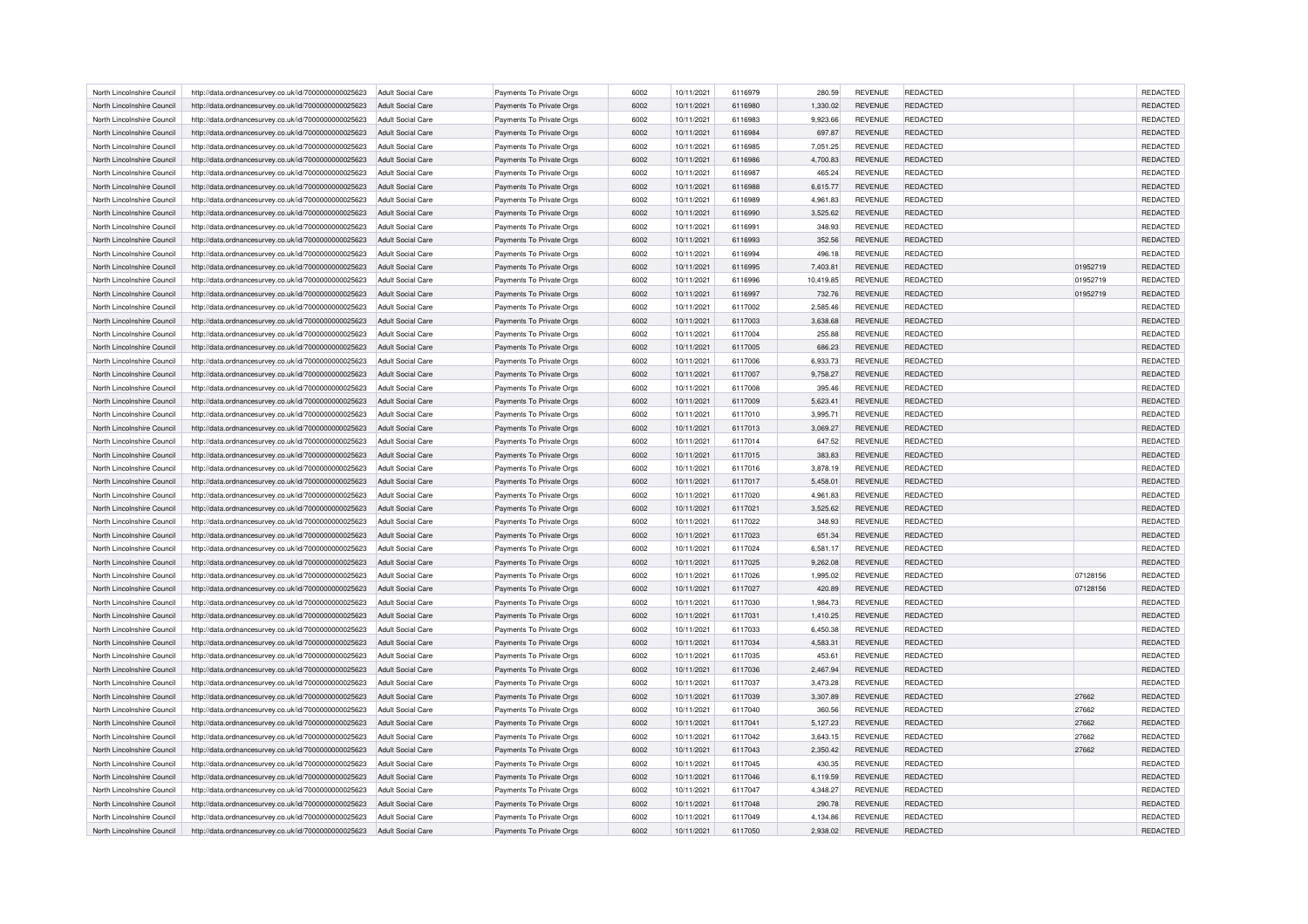| North Lincolnshire Council | http://data.ordnancesurvey.co.uk/id/7000000000025623                                                         | Adult Social Care        | Payments To Private Orgs | 6002 | 10/11/2021 | 6116979 | 280.59    | REVENUE        | REDACTED        |          | <b>REDACTED</b> |
|----------------------------|--------------------------------------------------------------------------------------------------------------|--------------------------|--------------------------|------|------------|---------|-----------|----------------|-----------------|----------|-----------------|
| North Lincolnshire Council | http://data.ordnancesurvey.co.uk/id/7000000000025623                                                         | Adult Social Care        | Payments To Private Orgs | 6002 | 10/11/2021 | 6116980 | 1,330.02  | <b>REVENUE</b> | REDACTED        |          | REDACTED        |
| North Lincolnshire Council | http://data.ordnancesurvey.co.uk/id/7000000000025623                                                         | Adult Social Care        | Payments To Private Orgs | 6002 | 10/11/2021 | 6116983 | 9.923.66  | <b>REVENUE</b> | <b>REDACTED</b> |          | REDACTED        |
| North Lincolnshire Council | http://data.ordnancesurvey.co.uk/id/7000000000025623                                                         | Adult Social Care        | Payments To Private Orgs | 6002 | 10/11/2021 | 6116984 | 697.87    | <b>REVENUE</b> | <b>REDACTED</b> |          | REDACTED        |
| North Lincolnshire Council | http://data.ordnancesurvey.co.uk/id/7000000000025623                                                         | Adult Social Care        | Payments To Private Orgs | 6002 | 10/11/2021 | 6116985 | 7,051.25  | <b>REVENUE</b> | REDACTED        |          | REDACTED        |
| North Lincolnshire Council | http://data.ordnancesurvey.co.uk/id/7000000000025623                                                         | <b>Adult Social Care</b> | Payments To Private Orgs | 6002 | 10/11/2021 | 6116986 | 4,700.83  | <b>REVENUE</b> | REDACTED        |          | REDACTED        |
| North Lincolnshire Council | http://data.ordnancesurvey.co.uk/id/7000000000025623                                                         | Adult Social Care        | Payments To Private Orgs | 6002 | 10/11/2021 | 6116987 | 465.24    | <b>REVENUE</b> | REDACTED        |          | REDACTED        |
| North Lincolnshire Council | http://data.ordnancesurvey.co.uk/id/7000000000025623                                                         | <b>Adult Social Care</b> | Payments To Private Orgs | 6002 | 10/11/2021 | 6116988 | 6,615.77  | <b>REVENUE</b> | REDACTED        |          | REDACTED        |
| North Lincolnshire Council | http://data.ordnancesurvey.co.uk/id/7000000000025623                                                         | <b>Adult Social Care</b> | Payments To Private Orgs | 6002 | 10/11/2021 | 6116989 | 4,961.83  | <b>REVENUE</b> | REDACTED        |          | REDACTED        |
| North Lincolnshire Council | http://data.ordnancesurvey.co.uk/id/7000000000025623                                                         | Adult Social Care        | Payments To Private Orgs | 6002 | 10/11/2021 | 6116990 | 3,525.62  | <b>REVENUE</b> | <b>REDACTED</b> |          | REDACTED        |
| North Lincolnshire Council | http://data.ordnancesurvey.co.uk/id/7000000000025623                                                         | Adult Social Care        | Payments To Private Orgs | 6002 | 10/11/2021 | 6116991 | 348.93    | <b>REVENUE</b> | REDACTED        |          | <b>REDACTED</b> |
| North Lincolnshire Council | http://data.ordnancesurvey.co.uk/id/7000000000025623                                                         | <b>Adult Social Care</b> | Payments To Private Orgs | 6002 | 10/11/2021 | 6116993 | 352.56    | <b>REVENUE</b> | REDACTED        |          | REDACTED        |
| North Lincolnshire Council |                                                                                                              | Adult Social Care        | Payments To Private Orgs | 6002 | 10/11/2021 | 6116994 | 496.18    | <b>REVENUE</b> | REDACTED        |          | REDACTED        |
| North Lincolnshire Council | http://data.ordnancesurvey.co.uk/id/7000000000025623<br>http://data.ordnancesurvey.co.uk/id/7000000000025623 | <b>Adult Social Care</b> | Payments To Private Orgs | 6002 | 10/11/2021 | 6116995 | 7,403.81  | <b>REVENUE</b> | <b>REDACTED</b> | 01952719 | REDACTED        |
|                            |                                                                                                              |                          |                          |      |            |         |           |                |                 |          |                 |
| North Lincolnshire Council | http://data.ordnancesurvey.co.uk/id/7000000000025623                                                         | <b>Adult Social Care</b> | Payments To Private Orgs | 6002 | 10/11/2021 | 6116996 | 10,419.85 | <b>REVENUE</b> | REDACTED        | 01952719 | <b>REDACTED</b> |
| North Lincolnshire Council | http://data.ordnancesurvey.co.uk/id/7000000000025623                                                         | <b>Adult Social Care</b> | Payments To Private Orgs | 6002 | 10/11/2021 | 6116997 | 732.76    | REVENUE        | <b>REDACTED</b> | 01952719 | REDACTED        |
| North Lincolnshire Council | http://data.ordnancesurvey.co.uk/id/7000000000025623                                                         | <b>Adult Social Care</b> | Payments To Private Orgs | 6002 | 10/11/2021 | 6117002 | 2,585.46  | <b>REVENUE</b> | <b>REDACTED</b> |          | REDACTED        |
| North Lincolnshire Council | http://data.ordnancesurvey.co.uk/id/7000000000025623                                                         | Adult Social Care        | Payments To Private Orgs | 6002 | 10/11/2021 | 6117003 | 3,638.68  | <b>REVENUE</b> | REDACTED        |          | REDACTED        |
| North Lincolnshire Council | http://data.ordnancesurvey.co.uk/id/7000000000025623                                                         | Adult Social Care        | Payments To Private Orgs | 6002 | 10/11/2021 | 6117004 | 255.88    | REVENUE        | REDACTED        |          | REDACTED        |
| North Lincolnshire Council | http://data.ordnancesurvey.co.uk/id/7000000000025623                                                         | Adult Social Care        | Payments To Private Orgs | 6002 | 10/11/2021 | 6117005 | 686.23    | <b>REVENUE</b> | REDACTED        |          | REDACTED        |
| North Lincolnshire Council | http://data.ordnancesurvey.co.uk/id/7000000000025623                                                         | Adult Social Care        | Payments To Private Orgs | 6002 | 10/11/2021 | 6117006 | 6,933.73  | <b>REVENUE</b> | REDACTED        |          | REDACTED        |
| North Lincolnshire Council | http://data.ordnancesurvey.co.uk/id/7000000000025623                                                         | Adult Social Care        | Payments To Private Orgs | 6002 | 10/11/2021 | 6117007 | 9,758.27  | <b>REVENUE</b> | <b>REDACTED</b> |          | REDACTED        |
| North Lincolnshire Council | http://data.ordnancesurvey.co.uk/id/7000000000025623                                                         | <b>Adult Social Care</b> | Payments To Private Orgs | 6002 | 10/11/2021 | 6117008 | 395.46    | <b>REVENUE</b> | REDACTED        |          | REDACTED        |
| North Lincolnshire Council | http://data.ordnancesurvey.co.uk/id/7000000000025623                                                         | Adult Social Care        | Payments To Private Orgs | 6002 | 10/11/2021 | 6117009 | 5.623.41  | <b>REVENUE</b> | <b>REDACTED</b> |          | REDACTED        |
| North Lincolnshire Council | http://data.ordnancesurvey.co.uk/id/7000000000025623                                                         | Adult Social Care        | Payments To Private Orgs | 6002 | 10/11/2021 | 6117010 | 3,995.71  | <b>REVENUE</b> | REDACTED        |          | REDACTED        |
| North Lincolnshire Council | http://data.ordnancesurvey.co.uk/id/7000000000025623                                                         | <b>Adult Social Care</b> | Payments To Private Orgs | 6002 | 10/11/2021 | 6117013 | 3,069.27  | <b>REVENUE</b> | <b>REDACTED</b> |          | REDACTED        |
| North Lincolnshire Council | http://data.ordnancesurvey.co.uk/id/7000000000025623                                                         | <b>Adult Social Care</b> | Payments To Private Orgs | 6002 | 10/11/2021 | 6117014 | 647.52    | <b>REVENUE</b> | <b>REDACTED</b> |          | REDACTED        |
| North Lincolnshire Council | http://data.ordnancesurvey.co.uk/id/7000000000025623                                                         | Adult Social Care        | Payments To Private Orgs | 6002 | 10/11/2021 | 6117015 | 383.83    | <b>REVENUE</b> | <b>REDACTED</b> |          | REDACTED        |
| North Lincolnshire Council | http://data.ordnancesurvey.co.uk/id/7000000000025623                                                         | Adult Social Care        | Payments To Private Orgs | 6002 | 10/11/2021 | 6117016 | 3,878.19  | <b>REVENUE</b> | REDACTED        |          | REDACTED        |
| North Lincolnshire Council | http://data.ordnancesurvey.co.uk/id/7000000000025623                                                         | <b>Adult Social Care</b> | Payments To Private Orgs | 6002 | 10/11/2021 | 6117017 | 5,458.01  | <b>REVENUE</b> | <b>REDACTED</b> |          | REDACTED        |
| North Lincolnshire Council | http://data.ordnancesurvey.co.uk/id/7000000000025623                                                         | <b>Adult Social Care</b> | Payments To Private Orgs | 6002 | 10/11/2021 | 6117020 | 4,961.83  | <b>REVENUE</b> | <b>REDACTED</b> |          | REDACTED        |
| North Lincolnshire Council | http://data.ordnancesurvey.co.uk/id/7000000000025623                                                         | <b>Adult Social Care</b> | Payments To Private Orgs | 6002 | 10/11/2021 | 6117021 | 3,525.62  | <b>REVENUE</b> | <b>REDACTED</b> |          | REDACTED        |
| North Lincolnshire Council | http://data.ordnancesurvey.co.uk/id/7000000000025623                                                         | <b>Adult Social Care</b> | Payments To Private Orgs | 6002 | 10/11/2021 | 6117022 | 348.93    | <b>REVENUE</b> | REDACTED        |          | REDACTED        |
| North Lincolnshire Council | http://data.ordnancesurvey.co.uk/id/7000000000025623                                                         | Adult Social Care        | Payments To Private Orgs | 6002 | 10/11/2021 | 6117023 | 651.34    | <b>REVENUE</b> | <b>REDACTED</b> |          | REDACTED        |
| North Lincolnshire Council | http://data.ordnancesurvey.co.uk/id/7000000000025623                                                         | Adult Social Care        | Payments To Private Orgs | 6002 | 10/11/2021 | 6117024 | 6,581.17  | <b>REVENUE</b> | REDACTED        |          | <b>REDACTED</b> |
| North Lincolnshire Council | http://data.ordnancesurvey.co.uk/id/7000000000025623                                                         | <b>Adult Social Care</b> | Payments To Private Orgs | 6002 | 10/11/2021 | 6117025 | 9,262.08  | <b>REVENUE</b> | <b>REDACTED</b> |          | REDACTED        |
| North Lincolnshire Council | http://data.ordnancesurvey.co.uk/id/7000000000025623                                                         | Adult Social Care        | Payments To Private Orgs | 6002 | 10/11/2021 | 6117026 | 1,995.02  | <b>REVENUE</b> | REDACTED        | 07128156 | REDACTED        |
| North Lincolnshire Council | http://data.ordnancesurvey.co.uk/id/7000000000025623                                                         | <b>Adult Social Care</b> | Payments To Private Orgs | 6002 | 10/11/2021 | 6117027 | 420.89    | <b>REVENUE</b> | <b>REDACTED</b> | 07128156 | REDACTED        |
| North Lincolnshire Council | http://data.ordnancesurvey.co.uk/id/7000000000025623                                                         | Adult Social Care        | Payments To Private Orgs | 6002 | 10/11/2021 | 6117030 | 1,984.73  | <b>REVENUE</b> | <b>REDACTED</b> |          | REDACTED        |
| North Lincolnshire Council | http://data.ordnancesurvey.co.uk/id/7000000000025623                                                         | Adult Social Care        | Payments To Private Orgs | 6002 | 10/11/2021 | 6117031 | 1,410.25  | <b>REVENUE</b> | <b>REDACTED</b> |          | REDACTED        |
| North Lincolnshire Council | http://data.ordnancesurvey.co.uk/id/7000000000025623                                                         | Adult Social Care        | Payments To Private Orgs | 6002 | 10/11/2021 | 6117033 | 6,450.38  | <b>REVENUE</b> | <b>REDACTED</b> |          | <b>REDACTED</b> |
| North Lincolnshire Council | http://data.ordnancesurvey.co.uk/id/7000000000025623                                                         | Adult Social Care        | Payments To Private Orgs | 6002 | 10/11/2021 | 6117034 | 4,583.31  | <b>REVENUE</b> | <b>REDACTED</b> |          | REDACTED        |
| North Lincolnshire Council | http://data.ordnancesurvey.co.uk/id/7000000000025623                                                         | Adult Social Care        | Payments To Private Orgs | 6002 | 10/11/2021 | 6117035 | 453.61    | REVENUE        | <b>REDACTED</b> |          | REDACTED        |
| North Lincolnshire Council | http://data.ordnancesurvey.co.uk/id/7000000000025623                                                         | <b>Adult Social Care</b> | Payments To Private Orgs | 6002 | 10/11/2021 | 6117036 | 2.467.94  | <b>REVENUE</b> | <b>REDACTED</b> |          | REDACTED        |
| North Lincolnshire Council | http://data.ordnancesurvey.co.uk/id/7000000000025623                                                         | Adult Social Care        | Payments To Private Orgs | 6002 | 10/11/2021 | 6117037 | 3,473.28  | <b>REVENUE</b> | <b>REDACTED</b> |          | REDACTED        |
| North Lincolnshire Council | http://data.ordnancesurvey.co.uk/id/7000000000025623                                                         | Adult Social Care        | Payments To Private Orgs | 6002 | 10/11/2021 | 6117039 | 3,307.89  | <b>REVENUE</b> | <b>REDACTED</b> | 27662    | REDACTED        |
| North Lincolnshire Council | http://data.ordnancesurvey.co.uk/id/7000000000025623                                                         | <b>Adult Social Care</b> | Payments To Private Orgs | 6002 | 10/11/2021 | 6117040 | 360.56    | <b>REVENUE</b> | REDACTED        | 27662    | REDACTED        |
| North Lincolnshire Council | http://data.ordnancesurvey.co.uk/id/7000000000025623                                                         | Adult Social Care        | Payments To Private Orgs | 6002 | 10/11/2021 | 6117041 | 5,127.23  | <b>REVENUE</b> | <b>REDACTED</b> | 27662    | REDACTED        |
| North Lincolnshire Council | http://data.ordnancesurvey.co.uk/id/7000000000025623                                                         | Adult Social Care        | Payments To Private Orgs | 6002 | 10/11/2021 | 6117042 | 3,643.15  | REVENUE        | <b>REDACTED</b> | 27662    | REDACTED        |
| North Lincolnshire Council | http://data.ordnancesurvey.co.uk/id/7000000000025623                                                         | <b>Adult Social Care</b> | Payments To Private Orgs | 6002 | 10/11/2021 | 6117043 | 2,350.42  | <b>REVENUE</b> | <b>REDACTED</b> | 27662    | REDACTED        |
| North Lincolnshire Council | http://data.ordnancesurvey.co.uk/id/7000000000025623                                                         | Adult Social Care        | Payments To Private Orgs | 6002 | 10/11/2021 | 6117045 | 430.35    | <b>REVENUE</b> | <b>REDACTED</b> |          | REDACTED        |
| North Lincolnshire Council |                                                                                                              |                          |                          | 6002 | 10/11/2021 | 6117046 |           | <b>REVENUE</b> | <b>REDACTED</b> |          | REDACTED        |
|                            | http://data.ordnancesurvey.co.uk/id/7000000000025623                                                         | Adult Social Care        | Payments To Private Orgs |      |            |         | 6,119.59  |                |                 |          |                 |
| North Lincolnshire Council | http://data.ordnancesurvey.co.uk/id/7000000000025623                                                         | <b>Adult Social Care</b> | Payments To Private Orgs | 6002 | 10/11/2021 | 6117047 | 4,348.27  | <b>REVENUE</b> | REDACTED        |          | REDACTED        |
| North Lincolnshire Council | http://data.ordnancesurvey.co.uk/id/7000000000025623                                                         | <b>Adult Social Care</b> | Payments To Private Orgs | 6002 | 10/11/2021 | 6117048 | 290.78    | <b>REVENUE</b> | <b>REDACTED</b> |          | REDACTED        |
| North Lincolnshire Council | http://data.ordnancesurvey.co.uk/id/7000000000025623                                                         | Adult Social Care        | Payments To Private Orgs | 6002 | 10/11/2021 | 6117049 | 4,134.86  | <b>REVENUE</b> | <b>REDACTED</b> |          | REDACTED        |
| North Lincolnshire Council | http://data.ordnancesurvey.co.uk/id/7000000000025623                                                         | Adult Social Care        | Payments To Private Orgs | 6002 | 10/11/2021 | 6117050 | 2,938.02  | <b>REVENUE</b> | <b>REDACTED</b> |          | REDACTED        |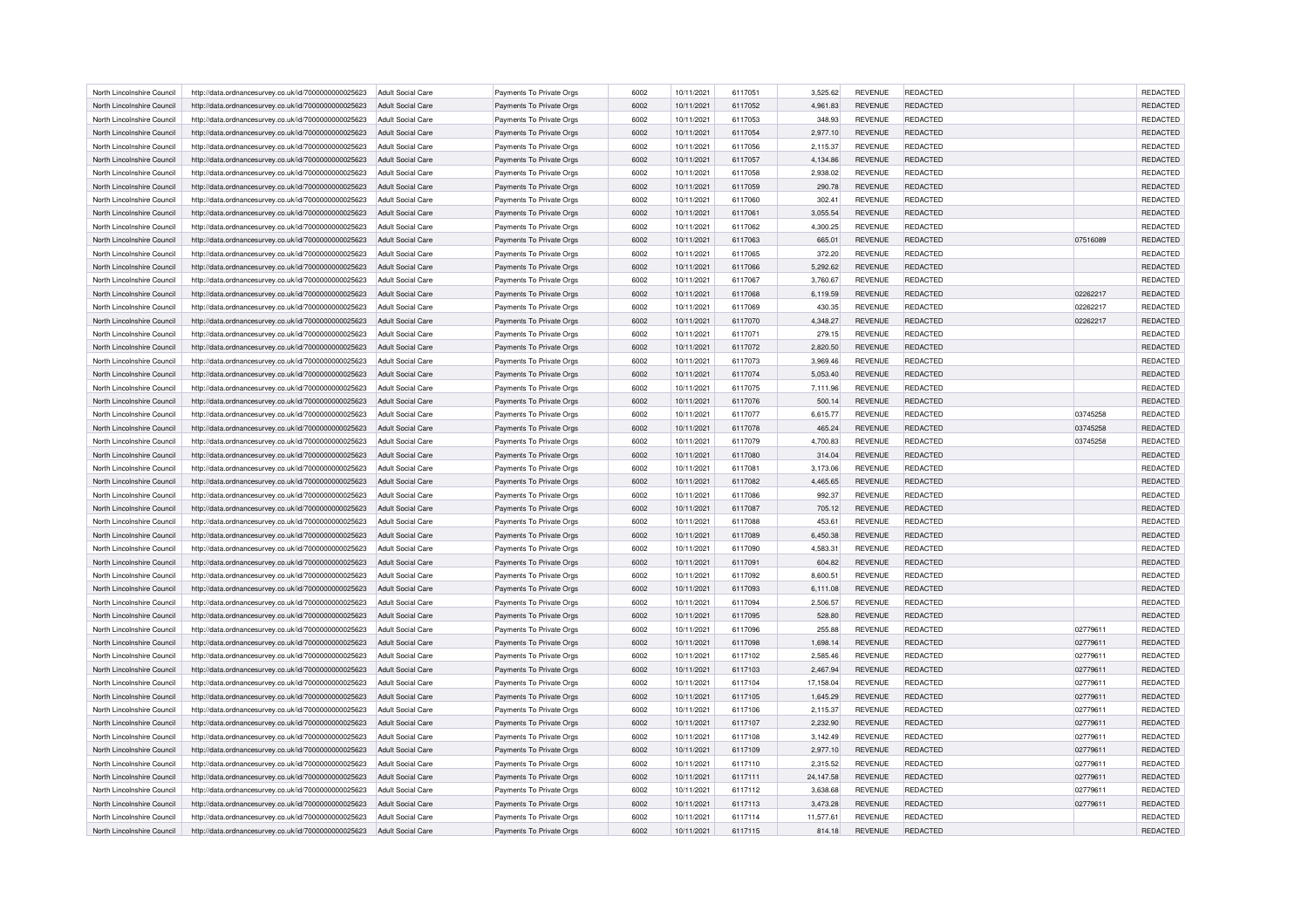| North Lincolnshire Council | http://data.ordnancesurvey.co.uk/id/7000000000025623                                                         | Adult Social Care        | Payments To Private Orgs | 6002 | 10/11/2021 | 6117051 | 3,525.62  | REVENUE        | REDACTED        |          | <b>REDACTED</b> |
|----------------------------|--------------------------------------------------------------------------------------------------------------|--------------------------|--------------------------|------|------------|---------|-----------|----------------|-----------------|----------|-----------------|
| North Lincolnshire Council | http://data.ordnancesurvey.co.uk/id/7000000000025623                                                         | Adult Social Care        | Payments To Private Orgs | 6002 | 10/11/2021 | 6117052 | 4,961.83  | <b>REVENUE</b> | REDACTED        |          | REDACTED        |
| North Lincolnshire Council | http://data.ordnancesurvey.co.uk/id/7000000000025623                                                         | Adult Social Care        | Payments To Private Orgs | 6002 | 10/11/2021 | 6117053 | 348.93    | <b>REVENUE</b> | <b>REDACTED</b> |          | REDACTED        |
| North Lincolnshire Council | http://data.ordnancesurvey.co.uk/id/7000000000025623                                                         | Adult Social Care        | Payments To Private Orgs | 6002 | 10/11/2021 | 6117054 | 2,977.10  | <b>REVENUE</b> | <b>REDACTED</b> |          | REDACTED        |
| North Lincolnshire Council | http://data.ordnancesurvey.co.uk/id/7000000000025623                                                         | Adult Social Care        | Payments To Private Orgs | 6002 | 10/11/2021 | 6117056 | 2,115.37  | <b>REVENUE</b> | REDACTED        |          | REDACTED        |
| North Lincolnshire Council | http://data.ordnancesurvey.co.uk/id/7000000000025623                                                         | <b>Adult Social Care</b> | Payments To Private Orgs | 6002 | 10/11/2021 | 6117057 | 4,134.86  | <b>REVENUE</b> | REDACTED        |          | REDACTED        |
| North Lincolnshire Council | http://data.ordnancesurvey.co.uk/id/7000000000025623                                                         | Adult Social Care        | Payments To Private Orgs | 6002 | 10/11/2021 | 6117058 | 2,938.02  | <b>REVENUE</b> | REDACTED        |          | REDACTED        |
| North Lincolnshire Council | http://data.ordnancesurvey.co.uk/id/7000000000025623                                                         | Adult Social Care        | Payments To Private Orgs | 6002 | 10/11/2021 | 6117059 | 290.78    | <b>REVENUE</b> | REDACTED        |          | REDACTED        |
| North Lincolnshire Council | http://data.ordnancesurvey.co.uk/id/7000000000025623                                                         | <b>Adult Social Care</b> | Payments To Private Orgs | 6002 | 10/11/2021 | 6117060 | 302.41    | <b>REVENUE</b> | REDACTED        |          | REDACTED        |
| North Lincolnshire Council | http://data.ordnancesurvey.co.uk/id/7000000000025623                                                         | Adult Social Care        | Payments To Private Orgs | 6002 | 10/11/2021 | 6117061 | 3,055.54  | <b>REVENUE</b> | <b>REDACTED</b> |          | REDACTED        |
| North Lincolnshire Council | http://data.ordnancesurvey.co.uk/id/7000000000025623                                                         | <b>Adult Social Care</b> | Payments To Private Orgs | 6002 | 10/11/2021 | 6117062 | 4,300.25  | <b>REVENUE</b> | REDACTED        |          | <b>REDACTED</b> |
| North Lincolnshire Council | http://data.ordnancesurvey.co.uk/id/7000000000025623                                                         | <b>Adult Social Care</b> | Payments To Private Orgs | 6002 | 10/11/2021 | 6117063 | 665.01    | <b>REVENUE</b> | REDACTED        | 07516089 | REDACTED        |
| North Lincolnshire Council |                                                                                                              | Adult Social Care        | Payments To Private Orgs | 6002 | 10/11/2021 | 6117065 | 372.20    | <b>REVENUE</b> | REDACTED        |          | REDACTED        |
| North Lincolnshire Council | http://data.ordnancesurvey.co.uk/id/7000000000025623<br>http://data.ordnancesurvey.co.uk/id/7000000000025623 | <b>Adult Social Care</b> | Payments To Private Orgs | 6002 | 10/11/2021 | 6117066 | 5,292.62  | <b>REVENUE</b> | <b>REDACTED</b> |          | REDACTED        |
|                            |                                                                                                              |                          |                          |      |            |         |           |                |                 |          |                 |
| North Lincolnshire Council | http://data.ordnancesurvey.co.uk/id/7000000000025623                                                         | <b>Adult Social Care</b> | Payments To Private Orgs | 6002 | 10/11/2021 | 6117067 | 3,760.67  | <b>REVENUE</b> | REDACTED        |          | REDACTED        |
| North Lincolnshire Council | http://data.ordnancesurvey.co.uk/id/7000000000025623                                                         | <b>Adult Social Care</b> | Payments To Private Orgs | 6002 | 10/11/2021 | 6117068 | 6,119.59  | REVENUE        | <b>REDACTED</b> | 02262217 | REDACTED        |
| North Lincolnshire Council | http://data.ordnancesurvey.co.uk/id/7000000000025623                                                         | <b>Adult Social Care</b> | Payments To Private Orgs | 6002 | 10/11/2021 | 6117069 | 430.35    | <b>REVENUE</b> | <b>REDACTED</b> | 02262217 | REDACTED        |
| North Lincolnshire Council | http://data.ordnancesurvey.co.uk/id/7000000000025623                                                         | Adult Social Care        | Payments To Private Orgs | 6002 | 10/11/2021 | 6117070 | 4,348.27  | <b>REVENUE</b> | REDACTED        | 02262217 | REDACTED        |
| North Lincolnshire Council | http://data.ordnancesurvey.co.uk/id/7000000000025623                                                         | Adult Social Care        | Payments To Private Orgs | 6002 | 10/11/2021 | 6117071 | 279.15    | REVENUE        | REDACTED        |          | REDACTED        |
| North Lincolnshire Council | http://data.ordnancesurvey.co.uk/id/7000000000025623                                                         | <b>Adult Social Care</b> | Payments To Private Orgs | 6002 | 10/11/2021 | 6117072 | 2,820.50  | <b>REVENUE</b> | REDACTED        |          | REDACTED        |
| North Lincolnshire Council | http://data.ordnancesurvey.co.uk/id/7000000000025623                                                         | Adult Social Care        | Payments To Private Orgs | 6002 | 10/11/2021 | 6117073 | 3.969.46  | <b>REVENUE</b> | <b>REDACTED</b> |          | REDACTED        |
| North Lincolnshire Council | http://data.ordnancesurvey.co.uk/id/7000000000025623                                                         | Adult Social Care        | Payments To Private Orgs | 6002 | 10/11/2021 | 6117074 | 5,053.40  | <b>REVENUE</b> | <b>REDACTED</b> |          | REDACTED        |
| North Lincolnshire Council | http://data.ordnancesurvey.co.uk/id/7000000000025623                                                         | <b>Adult Social Care</b> | Payments To Private Orgs | 6002 | 10/11/2021 | 6117075 | 7,111.96  | REVENUE        | REDACTED        |          | REDACTED        |
| North Lincolnshire Council | http://data.ordnancesurvey.co.uk/id/7000000000025623                                                         | Adult Social Care        | Payments To Private Orgs | 6002 | 10/11/2021 | 6117076 | 500.14    | <b>REVENUE</b> | <b>REDACTED</b> |          | REDACTED        |
| North Lincolnshire Council | http://data.ordnancesurvey.co.uk/id/7000000000025623                                                         | Adult Social Care        | Payments To Private Orgs | 6002 | 10/11/2021 | 6117077 | 6,615.77  | <b>REVENUE</b> | REDACTED        | 03745258 | REDACTED        |
| North Lincolnshire Council | http://data.ordnancesurvey.co.uk/id/7000000000025623                                                         | <b>Adult Social Care</b> | Payments To Private Orgs | 6002 | 10/11/2021 | 6117078 | 465.24    | <b>REVENUE</b> | <b>REDACTED</b> | 03745258 | REDACTED        |
| North Lincolnshire Council | http://data.ordnancesurvey.co.uk/id/7000000000025623                                                         | <b>Adult Social Care</b> | Payments To Private Orgs | 6002 | 10/11/2021 | 6117079 | 4.700.83  | <b>REVENUE</b> | <b>REDACTED</b> | 03745258 | REDACTED        |
| North Lincolnshire Council | http://data.ordnancesurvey.co.uk/id/7000000000025623                                                         | Adult Social Care        | Payments To Private Orgs | 6002 | 10/11/2021 | 6117080 | 314.04    | <b>REVENUE</b> | <b>REDACTED</b> |          | REDACTED        |
| North Lincolnshire Council | http://data.ordnancesurvey.co.uk/id/7000000000025623                                                         | <b>Adult Social Care</b> | Payments To Private Orgs | 6002 | 10/11/2021 | 6117081 | 3,173.06  | <b>REVENUE</b> | REDACTED        |          | REDACTED        |
| North Lincolnshire Council | http://data.ordnancesurvey.co.uk/id/7000000000025623                                                         | <b>Adult Social Care</b> | Payments To Private Orgs | 6002 | 10/11/2021 | 6117082 | 4,465.65  | <b>REVENUE</b> | <b>REDACTED</b> |          | REDACTED        |
| North Lincolnshire Council | http://data.ordnancesurvey.co.uk/id/7000000000025623                                                         | Adult Social Care        | Payments To Private Orgs | 6002 | 10/11/2021 | 6117086 | 992.37    | <b>REVENUE</b> | <b>REDACTED</b> |          | REDACTED        |
| North Lincolnshire Council | http://data.ordnancesurvey.co.uk/id/7000000000025623                                                         | <b>Adult Social Care</b> | Payments To Private Orgs | 6002 | 10/11/2021 | 6117087 | 705.12    | <b>REVENUE</b> | <b>REDACTED</b> |          | REDACTED        |
| North Lincolnshire Council | http://data.ordnancesurvey.co.uk/id/7000000000025623                                                         | <b>Adult Social Care</b> | Payments To Private Orgs | 6002 | 10/11/2021 | 6117088 | 453.61    | <b>REVENUE</b> | REDACTED        |          | REDACTED        |
| North Lincolnshire Council | http://data.ordnancesurvey.co.uk/id/7000000000025623                                                         | Adult Social Care        | Payments To Private Orgs | 6002 | 10/11/2021 | 6117089 | 6,450.38  | <b>REVENUE</b> | <b>REDACTED</b> |          | REDACTED        |
| North Lincolnshire Council | http://data.ordnancesurvey.co.uk/id/7000000000025623                                                         | <b>Adult Social Care</b> | Payments To Private Orgs | 6002 | 10/11/2021 | 6117090 | 4,583.31  | <b>REVENUE</b> | REDACTED        |          | REDACTED        |
| North Lincolnshire Council | http://data.ordnancesurvey.co.uk/id/7000000000025623                                                         | <b>Adult Social Care</b> | Payments To Private Orgs | 6002 | 10/11/2021 | 6117091 | 604.82    | <b>REVENUE</b> | <b>REDACTED</b> |          | REDACTED        |
| North Lincolnshire Council | http://data.ordnancesurvey.co.uk/id/7000000000025623                                                         | Adult Social Care        | Payments To Private Orgs | 6002 | 10/11/2021 | 6117092 | 8,600.51  | <b>REVENUE</b> | <b>REDACTED</b> |          | REDACTED        |
| North Lincolnshire Council | http://data.ordnancesurvey.co.uk/id/7000000000025623                                                         | <b>Adult Social Care</b> | Payments To Private Orgs | 6002 | 10/11/2021 | 6117093 | 6,111.08  | <b>REVENUE</b> | <b>REDACTED</b> |          | REDACTED        |
| North Lincolnshire Council | http://data.ordnancesurvey.co.uk/id/7000000000025623                                                         | Adult Social Care        | Payments To Private Orgs | 6002 | 10/11/2021 | 6117094 | 2,506.57  | <b>REVENUE</b> | <b>REDACTED</b> |          | <b>REDACTED</b> |
| North Lincolnshire Council | http://data.ordnancesurvey.co.uk/id/7000000000025623                                                         | <b>Adult Social Care</b> | Payments To Private Orgs | 6002 | 10/11/2021 | 6117095 | 528.80    | <b>REVENUE</b> | <b>REDACTED</b> |          | REDACTED        |
| North Lincolnshire Council | http://data.ordnancesurvey.co.uk/id/7000000000025623                                                         | Adult Social Care        | Payments To Private Orgs | 6002 | 10/11/2021 | 6117096 | 255.88    | <b>REVENUE</b> | <b>REDACTED</b> | 02779611 | <b>REDACTED</b> |
| North Lincolnshire Council | http://data.ordnancesurvey.co.uk/id/7000000000025623                                                         | Adult Social Care        | Payments To Private Orgs | 6002 | 10/11/2021 | 6117098 | 1,698.14  | <b>REVENUE</b> | <b>REDACTED</b> | 02779611 | REDACTED        |
| North Lincolnshire Council | http://data.ordnancesurvey.co.uk/id/7000000000025623                                                         | Adult Social Care        | Payments To Private Orgs | 6002 | 10/11/2021 | 6117102 | 2,585.46  | REVENUE        | <b>REDACTED</b> | 02779611 | REDACTED        |
| North Lincolnshire Council | http://data.ordnancesurvey.co.uk/id/7000000000025623                                                         | <b>Adult Social Care</b> | Payments To Private Orgs | 6002 | 10/11/2021 | 6117103 | 2,467.94  | <b>REVENUE</b> | <b>REDACTED</b> | 02779611 | REDACTED        |
| North Lincolnshire Council | http://data.ordnancesurvey.co.uk/id/7000000000025623                                                         | Adult Social Care        | Payments To Private Orgs | 6002 | 10/11/2021 | 6117104 | 17.158.04 | <b>REVENUE</b> | <b>REDACTED</b> | 02779611 | REDACTED        |
|                            |                                                                                                              |                          |                          | 6002 |            | 6117105 |           |                |                 |          |                 |
| North Lincolnshire Council | http://data.ordnancesurvey.co.uk/id/7000000000025623                                                         | Adult Social Care        | Payments To Private Orgs |      | 10/11/2021 |         | 1,645.29  | <b>REVENUE</b> | <b>REDACTED</b> | 02779611 | REDACTED        |
| North Lincolnshire Council | http://data.ordnancesurvey.co.uk/id/7000000000025623                                                         | Adult Social Care        | Payments To Private Orgs | 6002 | 10/11/2021 | 6117106 | 2,115.37  | <b>REVENUE</b> | REDACTED        | 02779611 | REDACTED        |
| North Lincolnshire Council | http://data.ordnancesurvey.co.uk/id/7000000000025623                                                         | Adult Social Care        | Payments To Private Orgs | 6002 | 10/11/2021 | 6117107 | 2.232.90  | <b>REVENUE</b> | <b>REDACTED</b> | 02779611 | REDACTED        |
| North Lincolnshire Council | http://data.ordnancesurvey.co.uk/id/7000000000025623                                                         | Adult Social Care        | Payments To Private Orgs | 6002 | 10/11/2021 | 6117108 | 3,142.49  | REVENUE        | <b>REDACTED</b> | 02779611 | REDACTED        |
| North Lincolnshire Council | http://data.ordnancesurvey.co.uk/id/7000000000025623                                                         | <b>Adult Social Care</b> | Payments To Private Orgs | 6002 | 10/11/2021 | 6117109 | 2,977.10  | <b>REVENUE</b> | <b>REDACTED</b> | 02779611 | REDACTED        |
| North Lincolnshire Council | http://data.ordnancesurvey.co.uk/id/7000000000025623                                                         | Adult Social Care        | Payments To Private Orgs | 6002 | 10/11/2021 | 6117110 | 2.315.52  | <b>REVENUE</b> | <b>REDACTED</b> | 02779611 | REDACTED        |
| North Lincolnshire Council | http://data.ordnancesurvey.co.uk/id/7000000000025623                                                         | Adult Social Care        | Payments To Private Orgs | 6002 | 10/11/2021 | 6117111 | 24,147.58 | <b>REVENUE</b> | <b>REDACTED</b> | 02779611 | REDACTED        |
| North Lincolnshire Council | http://data.ordnancesurvey.co.uk/id/7000000000025623                                                         | <b>Adult Social Care</b> | Payments To Private Orgs | 6002 | 10/11/2021 | 6117112 | 3,638.68  | <b>REVENUE</b> | REDACTED        | 02779611 | REDACTED        |
| North Lincolnshire Council | http://data.ordnancesurvey.co.uk/id/7000000000025623                                                         | <b>Adult Social Care</b> | Payments To Private Orgs | 6002 | 10/11/2021 | 6117113 | 3,473.28  | <b>REVENUE</b> | <b>REDACTED</b> | 02779611 | REDACTED        |
| North Lincolnshire Council | http://data.ordnancesurvey.co.uk/id/7000000000025623                                                         | Adult Social Care        | Payments To Private Orgs | 6002 | 10/11/2021 | 6117114 | 11,577.61 | <b>REVENUE</b> | <b>REDACTED</b> |          | REDACTED        |
| North Lincolnshire Council | http://data.ordnancesurvey.co.uk/id/7000000000025623                                                         | Adult Social Care        | Payments To Private Orgs | 6002 | 10/11/2021 | 6117115 | 814.18    | <b>REVENUE</b> | <b>REDACTED</b> |          | REDACTED        |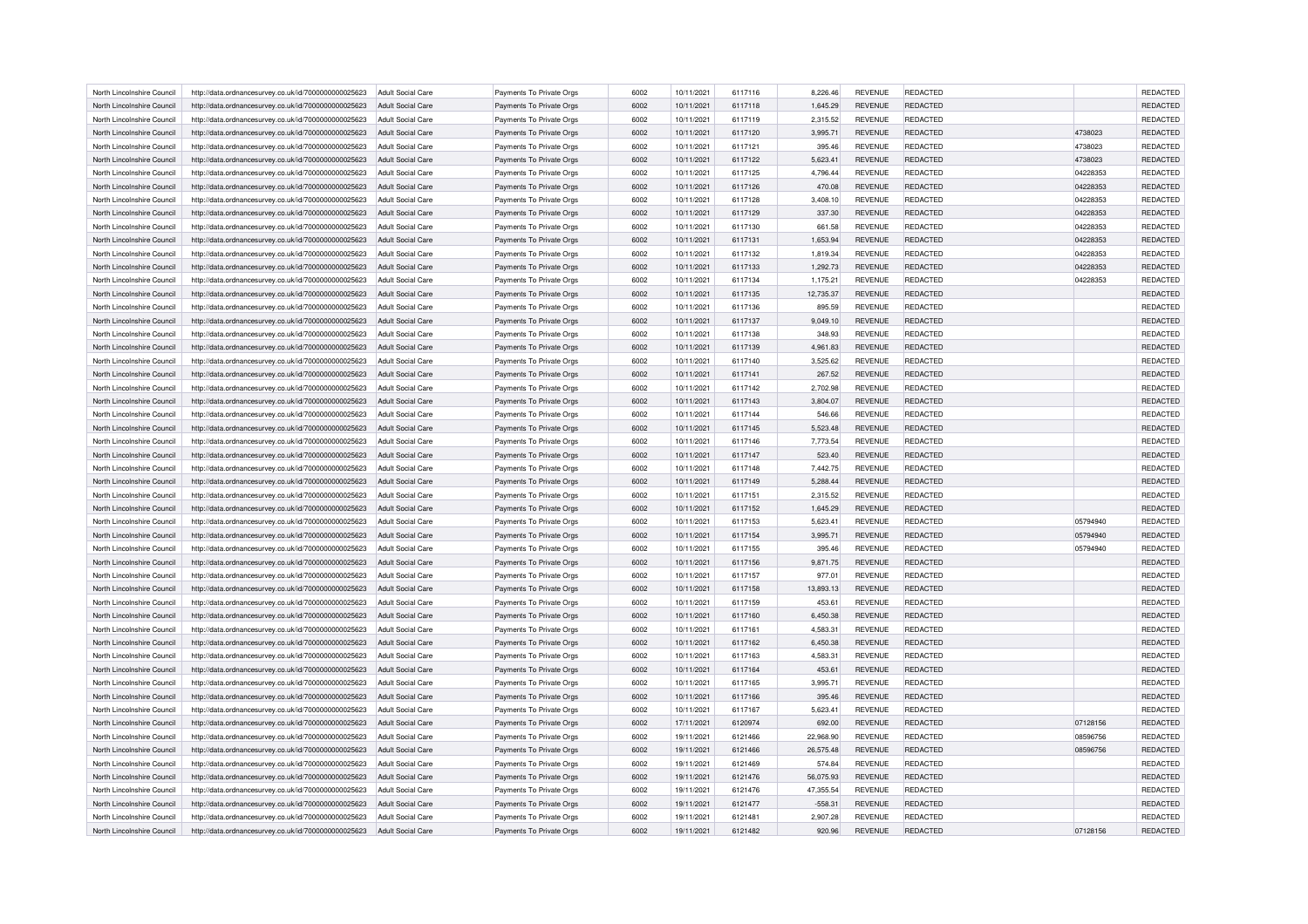| North Lincolnshire Council | http://data.ordnancesurvey.co.uk/id/7000000000025623                                                         | Adult Social Care        | Payments To Private Orgs | 6002 | 10/11/2021 | 6117116 | 8,226.46  | REVENUE        | REDACTED        |          | <b>REDACTED</b> |
|----------------------------|--------------------------------------------------------------------------------------------------------------|--------------------------|--------------------------|------|------------|---------|-----------|----------------|-----------------|----------|-----------------|
| North Lincolnshire Council | http://data.ordnancesurvey.co.uk/id/7000000000025623                                                         | Adult Social Care        | Payments To Private Orgs | 6002 | 10/11/2021 | 6117118 | 1,645.29  | <b>REVENUE</b> | REDACTED        |          | REDACTED        |
| North Lincolnshire Council | http://data.ordnancesurvey.co.uk/id/7000000000025623                                                         | Adult Social Care        | Payments To Private Orgs | 6002 | 10/11/2021 | 6117119 | 2.315.52  | <b>REVENUE</b> | <b>REDACTED</b> |          | REDACTED        |
| North Lincolnshire Council | http://data.ordnancesurvey.co.uk/id/7000000000025623                                                         | Adult Social Care        | Payments To Private Orgs | 6002 | 10/11/2021 | 6117120 | 3,995.71  | <b>REVENUE</b> | <b>REDACTED</b> | 4738023  | REDACTED        |
| North Lincolnshire Council | http://data.ordnancesurvey.co.uk/id/7000000000025623                                                         | Adult Social Care        | Payments To Private Orgs | 6002 | 10/11/2021 | 6117121 | 395.46    | <b>REVENUE</b> | REDACTED        | 4738023  | REDACTED        |
| North Lincolnshire Council | http://data.ordnancesurvey.co.uk/id/7000000000025623                                                         | <b>Adult Social Care</b> | Payments To Private Orgs | 6002 | 10/11/2021 | 6117122 | 5,623.41  | <b>REVENUE</b> | REDACTED        | 4738023  | REDACTED        |
| North Lincolnshire Council | http://data.ordnancesurvey.co.uk/id/7000000000025623                                                         | Adult Social Care        | Payments To Private Orgs | 6002 | 10/11/2021 | 6117125 | 4,796.44  | <b>REVENUE</b> | REDACTED        | 04228353 | <b>REDACTED</b> |
| North Lincolnshire Council | http://data.ordnancesurvey.co.uk/id/7000000000025623                                                         | Adult Social Care        | Payments To Private Orgs | 6002 | 10/11/2021 | 6117126 | 470.08    | <b>REVENUE</b> | REDACTED        | 04228353 | REDACTED        |
| North Lincolnshire Council | http://data.ordnancesurvey.co.uk/id/7000000000025623                                                         | <b>Adult Social Care</b> | Payments To Private Orgs | 6002 | 10/11/2021 | 6117128 | 3,408.10  | <b>REVENUE</b> | REDACTED        | 04228353 | REDACTED        |
| North Lincolnshire Council | http://data.ordnancesurvey.co.uk/id/7000000000025623                                                         | Adult Social Care        | Payments To Private Orgs | 6002 | 10/11/2021 | 6117129 | 337.30    | <b>REVENUE</b> | <b>REDACTED</b> | 04228353 | REDACTED        |
| North Lincolnshire Council | http://data.ordnancesurvey.co.uk/id/7000000000025623                                                         | <b>Adult Social Care</b> | Payments To Private Orgs | 6002 | 10/11/2021 | 6117130 | 661.58    | <b>REVENUE</b> | REDACTED        | 04228353 | <b>REDACTED</b> |
| North Lincolnshire Council | http://data.ordnancesurvey.co.uk/id/7000000000025623                                                         | <b>Adult Social Care</b> | Payments To Private Orgs | 6002 | 10/11/2021 | 6117131 | 1,653.94  | <b>REVENUE</b> | REDACTED        | 04228353 | REDACTED        |
| North Lincolnshire Council |                                                                                                              | Adult Social Care        | Payments To Private Orgs | 6002 | 10/11/2021 | 6117132 | 1,819.34  | <b>REVENUE</b> | REDACTED        | 04228353 | REDACTED        |
| North Lincolnshire Council | http://data.ordnancesurvey.co.uk/id/7000000000025623<br>http://data.ordnancesurvey.co.uk/id/7000000000025623 | <b>Adult Social Care</b> | Payments To Private Orgs | 6002 | 10/11/2021 | 6117133 | 1,292.73  | <b>REVENUE</b> | REDACTED        | 04228353 | REDACTED        |
|                            |                                                                                                              |                          |                          |      |            |         |           |                |                 |          |                 |
| North Lincolnshire Council | http://data.ordnancesurvey.co.uk/id/7000000000025623                                                         | <b>Adult Social Care</b> | Payments To Private Orgs | 6002 | 10/11/2021 | 6117134 | 1,175.21  | <b>REVENUE</b> | REDACTED        | 04228353 | <b>REDACTED</b> |
| North Lincolnshire Council | http://data.ordnancesurvey.co.uk/id/7000000000025623                                                         | <b>Adult Social Care</b> | Payments To Private Orgs | 6002 | 10/11/2021 | 6117135 | 12,735.37 | REVENUE        | <b>REDACTED</b> |          | REDACTED        |
| North Lincolnshire Council | http://data.ordnancesurvey.co.uk/id/7000000000025623                                                         | <b>Adult Social Care</b> | Payments To Private Orgs | 6002 | 10/11/2021 | 6117136 | 895.59    | REVENUE        | REDACTED        |          | REDACTED        |
| North Lincolnshire Council | http://data.ordnancesurvey.co.uk/id/7000000000025623                                                         | Adult Social Care        | Payments To Private Orgs | 6002 | 10/11/2021 | 6117137 | 9,049.10  | <b>REVENUE</b> | REDACTED        |          | REDACTED        |
| North Lincolnshire Council | http://data.ordnancesurvey.co.uk/id/7000000000025623                                                         | Adult Social Care        | Payments To Private Orgs | 6002 | 10/11/2021 | 6117138 | 348.93    | REVENUE        | REDACTED        |          | REDACTED        |
| North Lincolnshire Council | http://data.ordnancesurvey.co.uk/id/7000000000025623                                                         | Adult Social Care        | Payments To Private Orgs | 6002 | 10/11/2021 | 6117139 | 4,961.83  | <b>REVENUE</b> | REDACTED        |          | REDACTED        |
| North Lincolnshire Council | http://data.ordnancesurvey.co.uk/id/7000000000025623                                                         | Adult Social Care        | Payments To Private Orgs | 6002 | 10/11/2021 | 6117140 | 3.525.62  | <b>REVENUE</b> | REDACTED        |          | REDACTED        |
| North Lincolnshire Council | http://data.ordnancesurvey.co.uk/id/7000000000025623                                                         | Adult Social Care        | Payments To Private Orgs | 6002 | 10/11/2021 | 6117141 | 267.52    | <b>REVENUE</b> | <b>REDACTED</b> |          | REDACTED        |
| North Lincolnshire Council | http://data.ordnancesurvey.co.uk/id/7000000000025623                                                         | <b>Adult Social Care</b> | Payments To Private Orgs | 6002 | 10/11/2021 | 6117142 | 2,702.98  | <b>REVENUE</b> | REDACTED        |          | REDACTED        |
| North Lincolnshire Council | http://data.ordnancesurvey.co.uk/id/7000000000025623                                                         | <b>Adult Social Care</b> | Payments To Private Orgs | 6002 | 10/11/2021 | 6117143 | 3.804.07  | <b>REVENUE</b> | <b>REDACTED</b> |          | REDACTED        |
| North Lincolnshire Council | http://data.ordnancesurvey.co.uk/id/7000000000025623                                                         | Adult Social Care        | Payments To Private Orgs | 6002 | 10/11/2021 | 6117144 | 546.66    | <b>REVENUE</b> | REDACTED        |          | REDACTED        |
| North Lincolnshire Council | http://data.ordnancesurvey.co.uk/id/7000000000025623                                                         | <b>Adult Social Care</b> | Payments To Private Orgs | 6002 | 10/11/2021 | 6117145 | 5,523.48  | <b>REVENUE</b> | REDACTED        |          | REDACTED        |
| North Lincolnshire Council | http://data.ordnancesurvey.co.uk/id/7000000000025623                                                         | <b>Adult Social Care</b> | Payments To Private Orgs | 6002 | 10/11/2021 | 6117146 | 7.773.54  | <b>REVENUE</b> | <b>REDACTED</b> |          | REDACTED        |
| North Lincolnshire Council | http://data.ordnancesurvey.co.uk/id/7000000000025623                                                         | Adult Social Care        | Payments To Private Orgs | 6002 | 10/11/2021 | 6117147 | 523.40    | <b>REVENUE</b> | <b>REDACTED</b> |          | REDACTED        |
| North Lincolnshire Council | http://data.ordnancesurvey.co.uk/id/7000000000025623                                                         | <b>Adult Social Care</b> | Payments To Private Orgs | 6002 | 10/11/2021 | 6117148 | 7,442.75  | <b>REVENUE</b> | REDACTED        |          | REDACTED        |
| North Lincolnshire Council | http://data.ordnancesurvey.co.uk/id/7000000000025623                                                         | <b>Adult Social Care</b> | Payments To Private Orgs | 6002 | 10/11/2021 | 6117149 | 5,288.44  | <b>REVENUE</b> | <b>REDACTED</b> |          | REDACTED        |
| North Lincolnshire Council | http://data.ordnancesurvey.co.uk/id/7000000000025623                                                         | Adult Social Care        | Payments To Private Orgs | 6002 | 10/11/2021 | 6117151 | 2,315.52  | <b>REVENUE</b> | <b>REDACTED</b> |          | REDACTED        |
| North Lincolnshire Council | http://data.ordnancesurvey.co.uk/id/7000000000025623                                                         | <b>Adult Social Care</b> | Payments To Private Orgs | 6002 | 10/11/2021 | 6117152 | 1,645.29  | <b>REVENUE</b> | <b>REDACTED</b> |          | REDACTED        |
| North Lincolnshire Council | http://data.ordnancesurvey.co.uk/id/7000000000025623                                                         | <b>Adult Social Care</b> | Payments To Private Orgs | 6002 | 10/11/2021 | 6117153 | 5,623.41  | <b>REVENUE</b> | REDACTED        | 05794940 | REDACTED        |
| North Lincolnshire Council | http://data.ordnancesurvey.co.uk/id/7000000000025623                                                         | Adult Social Care        | Payments To Private Orgs | 6002 | 10/11/2021 | 6117154 | 3,995.71  | <b>REVENUE</b> | <b>REDACTED</b> | 05794940 | REDACTED        |
| North Lincolnshire Council | http://data.ordnancesurvey.co.uk/id/7000000000025623                                                         | <b>Adult Social Care</b> | Payments To Private Orgs | 6002 | 10/11/2021 | 6117155 | 395.46    | <b>REVENUE</b> | REDACTED        | 05794940 | REDACTED        |
| North Lincolnshire Council | http://data.ordnancesurvey.co.uk/id/7000000000025623                                                         | <b>Adult Social Care</b> | Payments To Private Orgs | 6002 | 10/11/2021 | 6117156 | 9,871.75  | <b>REVENUE</b> | <b>REDACTED</b> |          | REDACTED        |
| North Lincolnshire Council | http://data.ordnancesurvey.co.uk/id/7000000000025623                                                         | Adult Social Care        | Payments To Private Orgs | 6002 | 10/11/2021 | 6117157 | 977.01    | <b>REVENUE</b> | REDACTED        |          | REDACTED        |
| North Lincolnshire Council | http://data.ordnancesurvey.co.uk/id/7000000000025623                                                         | <b>Adult Social Care</b> | Payments To Private Orgs | 6002 | 10/11/2021 | 6117158 | 13,893.13 | <b>REVENUE</b> | <b>REDACTED</b> |          | REDACTED        |
| North Lincolnshire Council | http://data.ordnancesurvey.co.uk/id/7000000000025623                                                         | Adult Social Care        | Payments To Private Orgs | 6002 | 10/11/2021 | 6117159 | 453.61    | <b>REVENUE</b> | <b>REDACTED</b> |          | REDACTED        |
| North Lincolnshire Council | http://data.ordnancesurvey.co.uk/id/7000000000025623                                                         | <b>Adult Social Care</b> | Payments To Private Orgs | 6002 | 10/11/2021 | 6117160 | 6,450.38  | <b>REVENUE</b> | <b>REDACTED</b> |          | REDACTED        |
| North Lincolnshire Council | http://data.ordnancesurvey.co.uk/id/7000000000025623                                                         | Adult Social Care        | Payments To Private Orgs | 6002 | 10/11/2021 | 6117161 | 4,583.31  | <b>REVENUE</b> | <b>REDACTED</b> |          | <b>REDACTED</b> |
| North Lincolnshire Council | http://data.ordnancesurvey.co.uk/id/7000000000025623                                                         | Adult Social Care        | Payments To Private Orgs | 6002 | 10/11/2021 | 6117162 | 6,450.38  | <b>REVENUE</b> | <b>REDACTED</b> |          | REDACTED        |
| North Lincolnshire Council | http://data.ordnancesurvey.co.uk/id/7000000000025623                                                         | Adult Social Care        | Payments To Private Orgs | 6002 | 10/11/2021 | 6117163 | 4,583.31  | REVENUE        | REDACTED        |          | REDACTED        |
| North Lincolnshire Council | http://data.ordnancesurvey.co.uk/id/7000000000025623                                                         | <b>Adult Social Care</b> | Payments To Private Orgs | 6002 | 10/11/2021 | 6117164 | 453.61    | <b>REVENUE</b> | <b>REDACTED</b> |          | REDACTED        |
| North Lincolnshire Council | http://data.ordnancesurvey.co.uk/id/7000000000025623                                                         | Adult Social Care        | Payments To Private Orgs | 6002 | 10/11/2021 | 6117165 | 3.995.71  | <b>REVENUE</b> | <b>REDACTED</b> |          | REDACTED        |
| North Lincolnshire Council |                                                                                                              |                          |                          | 6002 | 10/11/2021 | 6117166 | 395.46    | <b>REVENUE</b> | <b>REDACTED</b> |          | REDACTED        |
|                            | http://data.ordnancesurvey.co.uk/id/7000000000025623                                                         | Adult Social Care        | Payments To Private Orgs |      |            |         |           |                |                 |          |                 |
| North Lincolnshire Council | http://data.ordnancesurvey.co.uk/id/7000000000025623                                                         | Adult Social Care        | Payments To Private Orgs | 6002 | 10/11/2021 | 6117167 | 5,623.41  | <b>REVENUE</b> | REDACTED        |          | REDACTED        |
| North Lincolnshire Council | http://data.ordnancesurvey.co.uk/id/7000000000025623                                                         | Adult Social Care        | Payments To Private Orgs | 6002 | 17/11/2021 | 6120974 | 692.00    | <b>REVENUE</b> | <b>REDACTED</b> | 07128156 | REDACTED        |
| North Lincolnshire Council | http://data.ordnancesurvey.co.uk/id/7000000000025623                                                         | Adult Social Care        | Payments To Private Orgs | 6002 | 19/11/2021 | 6121466 | 22,968.90 | REVENUE        | <b>REDACTED</b> | 08596756 | REDACTED        |
| North Lincolnshire Council | http://data.ordnancesurvey.co.uk/id/7000000000025623                                                         | <b>Adult Social Care</b> | Payments To Private Orgs | 6002 | 19/11/2021 | 6121466 | 26,575.48 | <b>REVENUE</b> | <b>REDACTED</b> | 08596756 | REDACTED        |
| North Lincolnshire Council | http://data.ordnancesurvey.co.uk/id/7000000000025623                                                         | Adult Social Care        | Payments To Private Orgs | 6002 | 19/11/2021 | 6121469 | 574.84    | <b>REVENUE</b> | <b>REDACTED</b> |          | REDACTED        |
| North Lincolnshire Council | http://data.ordnancesurvey.co.uk/id/7000000000025623                                                         | Adult Social Care        | Payments To Private Orgs | 6002 | 19/11/2021 | 6121476 | 56,075.93 | <b>REVENUE</b> | <b>REDACTED</b> |          | REDACTED        |
| North Lincolnshire Council | http://data.ordnancesurvey.co.uk/id/7000000000025623                                                         | <b>Adult Social Care</b> | Payments To Private Orgs | 6002 | 19/11/2021 | 6121476 | 47,355.54 | <b>REVENUE</b> | REDACTED        |          | REDACTED        |
| North Lincolnshire Council | http://data.ordnancesurvey.co.uk/id/7000000000025623                                                         | <b>Adult Social Care</b> | Payments To Private Orgs | 6002 | 19/11/2021 | 6121477 | $-558.31$ | <b>REVENUE</b> | <b>REDACTED</b> |          | REDACTED        |
| North Lincolnshire Council | http://data.ordnancesurvey.co.uk/id/7000000000025623                                                         | Adult Social Care        | Payments To Private Orgs | 6002 | 19/11/2021 | 6121481 | 2,907.28  | <b>REVENUE</b> | <b>REDACTED</b> |          | REDACTED        |
| North Lincolnshire Council | http://data.ordnancesurvey.co.uk/id/7000000000025623                                                         | Adult Social Care        | Payments To Private Orgs | 6002 | 19/11/2021 | 6121482 | 920.96    | <b>REVENUE</b> | <b>REDACTED</b> | 07128156 | REDACTED        |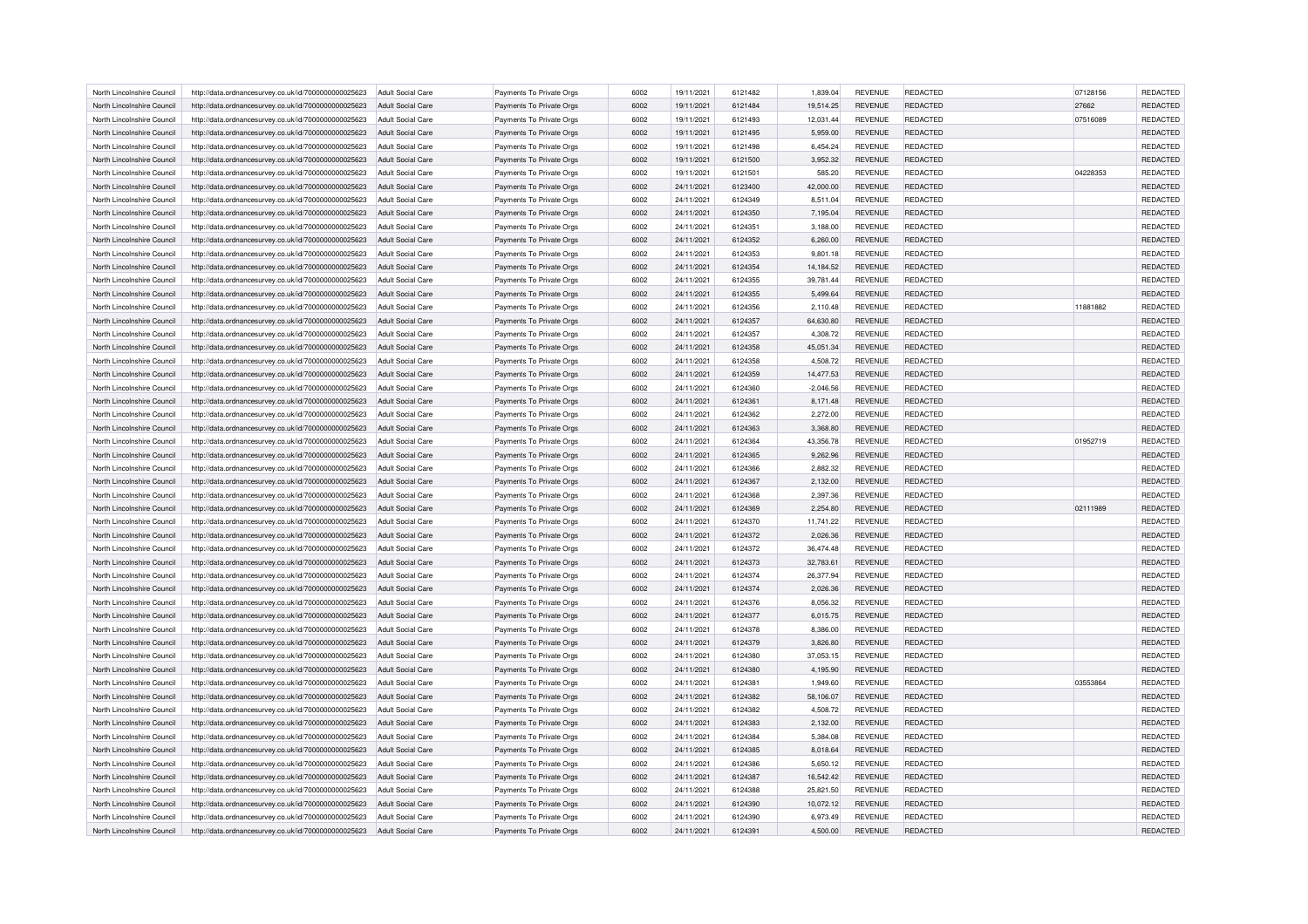| North Lincolnshire Council | http://data.ordnancesurvey.co.uk/id/7000000000025623 | Adult Social Care        | Payments To Private Orgs | 6002 | 19/11/2021 | 6121482 | 1,839.04    | <b>REVENUE</b> | <b>REDACTED</b> | 07128156 | REDACTED |
|----------------------------|------------------------------------------------------|--------------------------|--------------------------|------|------------|---------|-------------|----------------|-----------------|----------|----------|
| North Lincolnshire Council | http://data.ordnancesurvey.co.uk/id/7000000000025623 | <b>Adult Social Care</b> | Payments To Private Orgs | 6002 | 19/11/2021 | 6121484 | 19,514.25   | <b>REVENUE</b> | REDACTED        | 27662    | REDACTED |
| North Lincolnshire Council | http://data.ordnancesurvey.co.uk/id/7000000000025623 | <b>Adult Social Care</b> | Payments To Private Orgs | 6002 | 19/11/2021 | 6121493 | 12,031.44   | <b>REVENUE</b> | REDACTED        | 07516089 | REDACTED |
| North Lincolnshire Council | http://data.ordnancesurvey.co.uk/id/7000000000025623 | Adult Social Care        | Payments To Private Orgs | 6002 | 19/11/2021 | 6121495 | 5,959.00    | <b>REVENUE</b> | REDACTED        |          | REDACTED |
| North Lincolnshire Council | http://data.ordnancesurvey.co.uk/id/7000000000025623 | <b>Adult Social Care</b> | Payments To Private Orgs | 6002 | 19/11/2021 | 6121498 | 6,454.24    | REVENUE        | REDACTED        |          | REDACTED |
| North Lincolnshire Council | http://data.ordnancesurvey.co.uk/id/7000000000025623 | Adult Social Care        | Payments To Private Orgs | 6002 | 19/11/2021 | 6121500 | 3,952.32    | <b>REVENUE</b> | <b>REDACTED</b> |          | REDACTED |
| North Lincolnshire Council | http://data.ordnancesurvey.co.uk/id/7000000000025623 | Adult Social Care        | Payments To Private Orgs | 6002 | 19/11/2021 | 6121501 | 585.20      | <b>REVENUE</b> | REDACTED        | 04228353 | REDACTED |
| North Lincolnshire Council | http://data.ordnancesurvey.co.uk/id/7000000000025623 | <b>Adult Social Care</b> | Payments To Private Orgs | 6002 | 24/11/2021 | 6123400 | 42,000.00   | <b>REVENUE</b> | REDACTED        |          | REDACTED |
| North Lincolnshire Council | http://data.ordnancesurvey.co.uk/id/7000000000025623 | <b>Adult Social Care</b> | Payments To Private Orgs | 6002 | 24/11/2021 | 6124349 | 8,511.04    | <b>REVENUE</b> | <b>REDACTED</b> |          | REDACTED |
| North Lincolnshire Council | http://data.ordnancesurvey.co.uk/id/7000000000025623 | Adult Social Care        | Payments To Private Orgs | 6002 | 24/11/2021 | 6124350 | 7,195.04    | <b>REVENUE</b> | <b>REDACTED</b> |          | REDACTED |
| North Lincolnshire Council | http://data.ordnancesurvey.co.uk/id/7000000000025623 | <b>Adult Social Care</b> | Payments To Private Orgs | 6002 | 24/11/2021 | 6124351 | 3,188.00    | <b>REVENUE</b> | REDACTED        |          | REDACTED |
| North Lincolnshire Council | http://data.ordnancesurvey.co.uk/id/7000000000025623 | Adult Social Care        | Payments To Private Orgs | 6002 | 24/11/2021 | 6124352 | 6,260.00    | <b>REVENUE</b> | REDACTED        |          | REDACTED |
| North Lincolnshire Council | http://data.ordnancesurvey.co.uk/id/7000000000025623 | Adult Social Care        | Payments To Private Orgs | 6002 | 24/11/2021 | 6124353 | 9,801.18    | <b>REVENUE</b> | REDACTED        |          | REDACTED |
| North Lincolnshire Council | http://data.ordnancesurvey.co.uk/id/7000000000025623 | <b>Adult Social Care</b> | Payments To Private Orgs | 6002 | 24/11/2021 | 6124354 | 14,184.52   | <b>REVENUE</b> | REDACTED        |          | REDACTED |
| North Lincolnshire Council | http://data.ordnancesurvey.co.uk/id/7000000000025623 | <b>Adult Social Care</b> | Payments To Private Orgs | 6002 | 24/11/2021 | 6124355 | 39,781.44   | <b>REVENUE</b> | REDACTED        |          | REDACTED |
| North Lincolnshire Council | http://data.ordnancesurvey.co.uk/id/7000000000025623 | Adult Social Care        | Payments To Private Orgs | 6002 | 24/11/2021 | 6124355 | 5,499.64    | <b>REVENUE</b> | <b>REDACTED</b> |          | REDACTED |
| North Lincolnshire Council | http://data.ordnancesurvey.co.uk/id/7000000000025623 | <b>Adult Social Care</b> | Payments To Private Orgs | 6002 | 24/11/2021 | 6124356 | 2,110.48    | <b>REVENUE</b> | REDACTED        | 11881882 | REDACTED |
| North Lincolnshire Council | http://data.ordnancesurvey.co.uk/id/7000000000025623 | <b>Adult Social Care</b> | Payments To Private Orgs | 6002 | 24/11/2021 | 6124357 | 64,630.80   | <b>REVENUE</b> | <b>REDACTED</b> |          | REDACTED |
| North Lincolnshire Council | http://data.ordnancesurvey.co.uk/id/7000000000025623 | <b>Adult Social Care</b> | Payments To Private Orgs | 6002 | 24/11/2021 | 6124357 | 4,308.72    | <b>REVENUE</b> | <b>REDACTED</b> |          | REDACTED |
| North Lincolnshire Council | http://data.ordnancesurvey.co.uk/id/7000000000025623 | <b>Adult Social Care</b> | Payments To Private Orgs | 6002 | 24/11/2021 | 6124358 | 45,051.34   | <b>REVENUE</b> | <b>REDACTED</b> |          | REDACTED |
| North Lincolnshire Council | http://data.ordnancesurvey.co.uk/id/7000000000025623 | <b>Adult Social Care</b> | Payments To Private Orgs | 6002 | 24/11/2021 | 6124358 | 4,508.72    | <b>REVENUE</b> | <b>REDACTED</b> |          | REDACTED |
| North Lincolnshire Council | http://data.ordnancesurvey.co.uk/id/7000000000025623 | Adult Social Care        | Payments To Private Orgs | 6002 | 24/11/2021 | 6124359 | 14,477.53   | <b>REVENUE</b> | <b>REDACTED</b> |          | REDACTED |
| North Lincolnshire Council | http://data.ordnancesurvey.co.uk/id/7000000000025623 | <b>Adult Social Care</b> | Payments To Private Orgs | 6002 | 24/11/2021 | 6124360 | $-2,046.56$ | <b>REVENUE</b> | <b>REDACTED</b> |          | REDACTED |
| North Lincolnshire Council | http://data.ordnancesurvey.co.uk/id/7000000000025623 | <b>Adult Social Care</b> | Payments To Private Orgs | 6002 | 24/11/2021 | 6124361 | 8,171.48    | <b>REVENUE</b> | <b>REDACTED</b> |          | REDACTED |
| North Lincolnshire Council | http://data.ordnancesurvey.co.uk/id/7000000000025623 | Adult Social Care        | Payments To Private Orgs | 6002 | 24/11/2021 | 6124362 | 2,272.00    | <b>REVENUE</b> | <b>REDACTED</b> |          | REDACTED |
| North Lincolnshire Council | http://data.ordnancesurvey.co.uk/id/7000000000025623 | <b>Adult Social Care</b> | Payments To Private Orgs | 6002 | 24/11/2021 | 6124363 | 3,368.80    | <b>REVENUE</b> | REDACTED        |          | REDACTED |
| North Lincolnshire Council | http://data.ordnancesurvey.co.uk/id/7000000000025623 | <b>Adult Social Care</b> | Payments To Private Orgs | 6002 | 24/11/2021 | 6124364 | 43,356.78   | <b>REVENUE</b> | REDACTED        | 01952719 | REDACTED |
| North Lincolnshire Council | http://data.ordnancesurvey.co.uk/id/7000000000025623 | Adult Social Care        | Payments To Private Orgs | 6002 | 24/11/2021 | 6124365 | 9,262.96    | <b>REVENUE</b> | <b>REDACTED</b> |          | REDACTED |
| North Lincolnshire Council | http://data.ordnancesurvey.co.uk/id/7000000000025623 | <b>Adult Social Care</b> | Payments To Private Orgs | 6002 | 24/11/2021 | 6124366 | 2,882.32    | <b>REVENUE</b> | REDACTED        |          | REDACTED |
| North Lincolnshire Council | http://data.ordnancesurvey.co.uk/id/7000000000025623 | <b>Adult Social Care</b> | Payments To Private Orgs | 6002 | 24/11/2021 | 6124367 | 2,132.00    | <b>REVENUE</b> | REDACTED        |          | REDACTED |
| North Lincolnshire Council | http://data.ordnancesurvey.co.uk/id/7000000000025623 | <b>Adult Social Care</b> | Payments To Private Orgs | 6002 | 24/11/2021 | 6124368 | 2,397.36    | <b>REVENUE</b> | <b>REDACTED</b> |          | REDACTED |
| North Lincolnshire Council | http://data.ordnancesurvey.co.uk/id/7000000000025623 | <b>Adult Social Care</b> | Payments To Private Orgs | 6002 | 24/11/2021 | 6124369 | 2,254.80    | <b>REVENUE</b> | <b>REDACTED</b> | 02111989 | REDACTED |
| North Lincolnshire Council | http://data.ordnancesurvey.co.uk/id/7000000000025623 | <b>Adult Social Care</b> | Payments To Private Orgs | 6002 | 24/11/2021 | 6124370 | 11,741.22   | <b>REVENUE</b> | REDACTED        |          | REDACTED |
| North Lincolnshire Council | http://data.ordnancesurvey.co.uk/id/7000000000025623 | Adult Social Care        | Payments To Private Orgs | 6002 | 24/11/2021 | 6124372 | 2,026.36    | <b>REVENUE</b> | <b>REDACTED</b> |          | REDACTED |
| North Lincolnshire Council | http://data.ordnancesurvey.co.uk/id/7000000000025623 | <b>Adult Social Care</b> | Payments To Private Orgs | 6002 | 24/11/2021 | 6124372 | 36,474.48   | <b>REVENUE</b> | <b>REDACTED</b> |          | REDACTED |
| North Lincolnshire Council | http://data.ordnancesurvey.co.uk/id/7000000000025623 | <b>Adult Social Care</b> | Payments To Private Orgs | 6002 | 24/11/2021 | 6124373 | 32,783.61   | <b>REVENUE</b> | REDACTED        |          | REDACTED |
| North Lincolnshire Council | http://data.ordnancesurvey.co.uk/id/7000000000025623 | <b>Adult Social Care</b> | Payments To Private Orgs | 6002 | 24/11/2021 | 6124374 | 26,377.94   | REVENUE        | <b>REDACTED</b> |          | REDACTED |
| North Lincolnshire Council | http://data.ordnancesurvey.co.uk/id/7000000000025623 | <b>Adult Social Care</b> | Payments To Private Orgs | 6002 | 24/11/2021 | 6124374 | 2,026.36    | <b>REVENUE</b> | REDACTED        |          | REDACTED |
| North Lincolnshire Council | http://data.ordnancesurvey.co.uk/id/7000000000025623 | <b>Adult Social Care</b> | Payments To Private Orgs | 6002 | 24/11/2021 | 6124376 | 8,056.32    | <b>REVENUE</b> | <b>REDACTED</b> |          | REDACTED |
| North Lincolnshire Council | http://data.ordnancesurvey.co.uk/id/7000000000025623 | <b>Adult Social Care</b> | Payments To Private Orgs | 6002 | 24/11/2021 | 6124377 | 6,015.75    | <b>REVENUE</b> | REDACTED        |          | REDACTED |
| North Lincolnshire Council | http://data.ordnancesurvey.co.uk/id/7000000000025623 | <b>Adult Social Care</b> | Payments To Private Orgs | 6002 | 24/11/2021 | 6124378 | 8,386.00    | <b>REVENUE</b> | REDACTED        |          | REDACTED |
| North Lincolnshire Council | http://data.ordnancesurvey.co.uk/id/7000000000025623 | Adult Social Care        | Payments To Private Orgs | 6002 | 24/11/2021 | 6124379 | 3.826.80    | <b>REVENUE</b> | <b>REDACTED</b> |          | REDACTED |
| North Lincolnshire Council | http://data.ordnancesurvey.co.uk/id/7000000000025623 | <b>Adult Social Care</b> | Payments To Private Orgs | 6002 | 24/11/2021 | 6124380 | 37,053.15   | <b>REVENUE</b> | REDACTED        |          | REDACTED |
| North Lincolnshire Council | http://data.ordnancesurvey.co.uk/id/7000000000025623 | <b>Adult Social Care</b> | Payments To Private Orgs | 6002 | 24/11/2021 | 6124380 | 4,195.90    | <b>REVENUE</b> | REDACTED        |          | REDACTED |
| North Lincolnshire Council | http://data.ordnancesurvey.co.uk/id/7000000000025623 | Adult Social Care        | Payments To Private Orgs | 6002 | 24/11/2021 | 6124381 | 1.949.60    | <b>REVENUE</b> | <b>REDACTED</b> | 03553864 | REDACTED |
| North Lincolnshire Council | http://data.ordnancesurvey.co.uk/id/7000000000025623 | <b>Adult Social Care</b> | Payments To Private Orgs | 6002 | 24/11/2021 | 6124382 | 58,106.07   | <b>REVENUE</b> | <b>REDACTED</b> |          | REDACTED |
| North Lincolnshire Council | http://data.ordnancesurvey.co.uk/id/7000000000025623 | <b>Adult Social Care</b> | Payments To Private Orgs | 6002 | 24/11/2021 | 6124382 | 4,508.72    | <b>REVENUE</b> | REDACTED        |          | REDACTED |
| North Lincolnshire Council | http://data.ordnancesurvey.co.uk/id/7000000000025623 | <b>Adult Social Care</b> | Payments To Private Orgs | 6002 | 24/11/2021 | 6124383 | 2.132.00    | <b>REVENUE</b> | <b>REDACTED</b> |          | REDACTED |
| North Lincolnshire Council | http://data.ordnancesurvey.co.uk/id/7000000000025623 | Adult Social Care        | Payments To Private Orgs | 6002 | 24/11/2021 | 6124384 | 5,384.08    | <b>REVENUE</b> | <b>REDACTED</b> |          | REDACTED |
| North Lincolnshire Council | http://data.ordnancesurvey.co.uk/id/7000000000025623 | <b>Adult Social Care</b> | Payments To Private Orgs | 6002 | 24/11/2021 | 6124385 | 8,018.64    | <b>REVENUE</b> | REDACTED        |          | REDACTED |
| North Lincolnshire Council | http://data.ordnancesurvey.co.uk/id/7000000000025623 | Adult Social Care        | Payments To Private Orgs | 6002 | 24/11/2021 | 6124386 | 5.650.12    | <b>REVENUE</b> | <b>REDACTED</b> |          | REDACTED |
| North Lincolnshire Council | http://data.ordnancesurvey.co.uk/id/7000000000025623 | Adult Social Care        | Payments To Private Orgs | 6002 | 24/11/2021 | 6124387 | 16,542.42   | <b>REVENUE</b> | REDACTED        |          | REDACTED |
| North Lincolnshire Council | http://data.ordnancesurvey.co.uk/id/7000000000025623 | <b>Adult Social Care</b> | Payments To Private Orgs | 6002 | 24/11/2021 | 6124388 | 25,821.50   | <b>REVENUE</b> | REDACTED        |          | REDACTED |
| North Lincolnshire Council | http://data.ordnancesurvey.co.uk/id/7000000000025623 | <b>Adult Social Care</b> | Payments To Private Orgs | 6002 | 24/11/2021 | 6124390 | 10,072.12   | <b>REVENUE</b> | REDACTED        |          | REDACTED |
| North Lincolnshire Council | http://data.ordnancesurvey.co.uk/id/7000000000025623 | <b>Adult Social Care</b> | Payments To Private Orgs | 6002 | 24/11/2021 | 6124390 | 6,973.49    | <b>REVENUE</b> | REDACTED        |          | REDACTED |
| North Lincolnshire Council | http://data.ordnancesurvey.co.uk/id/7000000000025623 | Adult Social Care        | Payments To Private Orgs | 6002 | 24/11/2021 | 6124391 | 4,500.00    | <b>REVENUE</b> | REDACTED        |          | REDACTED |
|                            |                                                      |                          |                          |      |            |         |             |                |                 |          |          |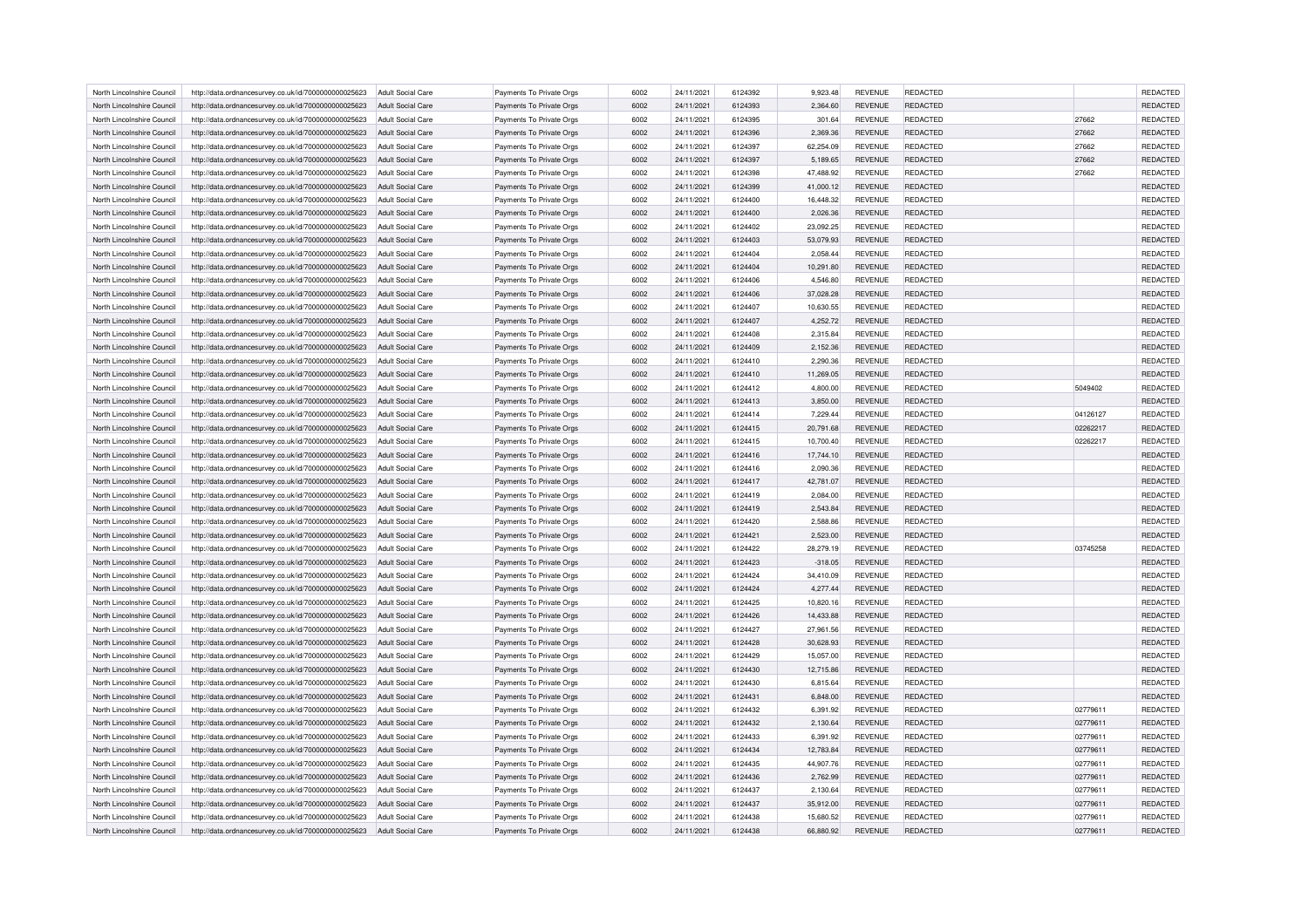| North Lincolnshire Council                               | http://data.ordnancesurvey.co.uk/id/7000000000025623                                                         | Adult Social Care                             | Payments To Private Orgs                             | 6002         | 24/11/2021               | 6124392            | 9,923.48             | REVENUE                          | <b>REDACTED</b>             |                      | <b>REDACTED</b>      |
|----------------------------------------------------------|--------------------------------------------------------------------------------------------------------------|-----------------------------------------------|------------------------------------------------------|--------------|--------------------------|--------------------|----------------------|----------------------------------|-----------------------------|----------------------|----------------------|
| North Lincolnshire Council                               | http://data.ordnancesurvey.co.uk/id/7000000000025623                                                         | Adult Social Care                             | Payments To Private Orgs                             | 6002         | 24/11/2021               | 6124393            | 2,364.60             | <b>REVENUE</b>                   | REDACTED                    |                      | REDACTED             |
| North Lincolnshire Council                               | http://data.ordnancesurvey.co.uk/id/7000000000025623                                                         | Adult Social Care                             | Payments To Private Orgs                             | 6002         | 24/11/2021               | 6124395            | 301.64               | <b>REVENUE</b>                   | <b>REDACTED</b>             | 27662                | REDACTED             |
| North Lincolnshire Council                               | http://data.ordnancesurvey.co.uk/id/7000000000025623                                                         | Adult Social Care                             | Payments To Private Orgs                             | 6002         | 24/11/2021               | 6124396            | 2,369.36             | <b>REVENUE</b>                   | <b>REDACTED</b>             | 27662                | REDACTED             |
| North Lincolnshire Council                               | http://data.ordnancesurvey.co.uk/id/7000000000025623                                                         | Adult Social Care                             | Payments To Private Orgs                             | 6002         | 24/11/2021               | 6124397            | 62,254.09            | <b>REVENUE</b>                   | REDACTED                    | 27662                | REDACTED             |
| North Lincolnshire Council                               | http://data.ordnancesurvey.co.uk/id/7000000000025623                                                         | <b>Adult Social Care</b>                      | Payments To Private Orgs                             | 6002         | 24/11/2021               | 6124397            | 5,189.65             | <b>REVENUE</b>                   | REDACTED                    | 27662                | REDACTED             |
| North Lincolnshire Council                               | http://data.ordnancesurvey.co.uk/id/7000000000025623                                                         | Adult Social Care                             | Payments To Private Orgs                             | 6002         | 24/11/2021               | 6124398            | 47,488.92            | <b>REVENUE</b>                   | REDACTED                    | 27662                | REDACTED             |
| North Lincolnshire Council                               | http://data.ordnancesurvey.co.uk/id/7000000000025623                                                         | Adult Social Care                             | Payments To Private Orgs                             | 6002         | 24/11/2021               | 6124399            | 41,000.12            | <b>REVENUE</b>                   | REDACTED                    |                      | REDACTED             |
| North Lincolnshire Council                               | http://data.ordnancesurvey.co.uk/id/7000000000025623                                                         | <b>Adult Social Care</b>                      | Payments To Private Orgs                             | 6002         | 24/11/2021               | 6124400            | 16,448.32            | <b>REVENUE</b>                   | REDACTED                    |                      | REDACTED             |
| North Lincolnshire Council                               | http://data.ordnancesurvey.co.uk/id/7000000000025623                                                         | Adult Social Care                             | Payments To Private Orgs                             | 6002         | 24/11/2021               | 6124400            | 2,026.36             | <b>REVENUE</b>                   | <b>REDACTED</b>             |                      | REDACTED             |
| North Lincolnshire Council                               | http://data.ordnancesurvey.co.uk/id/7000000000025623                                                         | <b>Adult Social Care</b>                      | Payments To Private Orgs                             | 6002         | 24/11/2021               | 6124402            | 23,092.25            | <b>REVENUE</b>                   | REDACTED                    |                      | REDACTED             |
| North Lincolnshire Council                               | http://data.ordnancesurvey.co.uk/id/7000000000025623                                                         | <b>Adult Social Care</b>                      | Payments To Private Orgs                             | 6002         | 24/11/2021               | 6124403            | 53,079.93            | <b>REVENUE</b>                   | REDACTED                    |                      | REDACTED             |
| North Lincolnshire Council                               |                                                                                                              | Adult Social Care                             | Payments To Private Orgs                             | 6002         | 24/11/2021               | 6124404            | 2,058.44             | <b>REVENUE</b>                   | <b>REDACTED</b>             |                      | REDACTED             |
| North Lincolnshire Council                               | http://data.ordnancesurvey.co.uk/id/7000000000025623<br>http://data.ordnancesurvey.co.uk/id/7000000000025623 | Adult Social Care                             | Payments To Private Orgs                             | 6002         | 24/11/2021               | 6124404            | 10,291.80            | <b>REVENUE</b>                   | <b>REDACTED</b>             |                      | REDACTED             |
|                                                          |                                                                                                              |                                               |                                                      |              |                          |                    |                      |                                  |                             |                      |                      |
| North Lincolnshire Council                               | http://data.ordnancesurvey.co.uk/id/7000000000025623                                                         | <b>Adult Social Care</b>                      | Payments To Private Orgs                             | 6002         | 24/11/2021               | 6124406            | 4,546.80             | <b>REVENUE</b>                   | <b>REDACTED</b>             |                      | <b>REDACTED</b>      |
| North Lincolnshire Council                               | http://data.ordnancesurvey.co.uk/id/7000000000025623                                                         | <b>Adult Social Care</b>                      | Payments To Private Orgs                             | 6002         | 24/11/2021               | 6124406            | 37,028.28            | <b>REVENUE</b>                   | <b>REDACTED</b>             |                      | REDACTED             |
| North Lincolnshire Council                               | http://data.ordnancesurvey.co.uk/id/7000000000025623                                                         | <b>Adult Social Care</b>                      | Payments To Private Orgs                             | 6002         | 24/11/2021               | 6124407            | 10,630.55            | <b>REVENUE</b>                   | REDACTED                    |                      | REDACTED             |
| North Lincolnshire Council                               | http://data.ordnancesurvey.co.uk/id/7000000000025623                                                         | Adult Social Care                             | Payments To Private Orgs                             | 6002         | 24/11/2021               | 6124407            | 4,252.72             | <b>REVENUE</b>                   | <b>REDACTED</b>             |                      | REDACTED             |
| North Lincolnshire Council                               | http://data.ordnancesurvey.co.uk/id/7000000000025623                                                         | Adult Social Care                             | Payments To Private Orgs                             | 6002         | 24/11/2021               | 6124408            | 2,315.84             | REVENUE                          | REDACTED                    |                      | REDACTED             |
| North Lincolnshire Council                               | http://data.ordnancesurvey.co.uk/id/7000000000025623                                                         | Adult Social Care                             | Payments To Private Orgs                             | 6002         | 24/11/2021               | 6124409            | 2,152.36             | <b>REVENUE</b>                   | <b>REDACTED</b>             |                      | REDACTED             |
| North Lincolnshire Council                               | http://data.ordnancesurvey.co.uk/id/7000000000025623                                                         | Adult Social Care                             | Payments To Private Orgs                             | 6002         | 24/11/2021               | 6124410            | 2.290.36             | <b>REVENUE</b>                   | <b>REDACTED</b>             |                      | REDACTED             |
| North Lincolnshire Council                               | http://data.ordnancesurvey.co.uk/id/7000000000025623                                                         | Adult Social Care                             | Payments To Private Orgs                             | 6002         | 24/11/2021               | 6124410            | 11,269.05            | <b>REVENUE</b>                   | <b>REDACTED</b>             |                      | REDACTED             |
| North Lincolnshire Council                               | http://data.ordnancesurvey.co.uk/id/7000000000025623                                                         | <b>Adult Social Care</b>                      | Payments To Private Orgs                             | 6002         | 24/11/2021               | 6124412            | 4,800.00             | <b>REVENUE</b>                   | REDACTED                    | 5049402              | REDACTED             |
| North Lincolnshire Council                               | http://data.ordnancesurvey.co.uk/id/7000000000025623                                                         | <b>Adult Social Care</b>                      | Payments To Private Orgs                             | 6002         | 24/11/2021               | 6124413            | 3.850.00             | <b>REVENUE</b>                   | <b>REDACTED</b>             |                      | REDACTED             |
| North Lincolnshire Council                               | http://data.ordnancesurvey.co.uk/id/7000000000025623                                                         | Adult Social Care                             | Payments To Private Orgs                             | 6002         | 24/11/2021               | 6124414            | 7,229.44             | <b>REVENUE</b>                   | REDACTED                    | 04126127             | REDACTED             |
| North Lincolnshire Council                               | http://data.ordnancesurvey.co.uk/id/7000000000025623                                                         | <b>Adult Social Care</b>                      | Payments To Private Orgs                             | 6002         | 24/11/2021               | 6124415            | 20,791.68            | <b>REVENUE</b>                   | <b>REDACTED</b>             | 02262217             | REDACTED             |
| North Lincolnshire Council                               | http://data.ordnancesurvey.co.uk/id/7000000000025623                                                         | Adult Social Care                             | Payments To Private Orgs                             | 6002         | 24/11/2021               | 6124415            | 10.700.40            | <b>REVENUE</b>                   | <b>REDACTED</b>             | 02262217             | REDACTED             |
| North Lincolnshire Council                               | http://data.ordnancesurvey.co.uk/id/7000000000025623                                                         | Adult Social Care                             | Payments To Private Orgs                             | 6002         | 24/11/2021               | 6124416            | 17,744.10            | <b>REVENUE</b>                   | <b>REDACTED</b>             |                      | REDACTED             |
| North Lincolnshire Council                               | http://data.ordnancesurvey.co.uk/id/7000000000025623                                                         | <b>Adult Social Care</b>                      | Payments To Private Orgs                             | 6002         | 24/11/2021               | 6124416            | 2,090.36             | <b>REVENUE</b>                   | REDACTED                    |                      | REDACTED             |
| North Lincolnshire Council                               | http://data.ordnancesurvey.co.uk/id/7000000000025623                                                         | <b>Adult Social Care</b>                      | Payments To Private Orgs                             | 6002         | 24/11/2021               | 6124417            | 42,781.07            | <b>REVENUE</b>                   | <b>REDACTED</b>             |                      | REDACTED             |
| North Lincolnshire Council                               | http://data.ordnancesurvey.co.uk/id/7000000000025623                                                         | Adult Social Care                             | Payments To Private Orgs                             | 6002         | 24/11/2021               | 6124419            | 2,084.00             | <b>REVENUE</b>                   | <b>REDACTED</b>             |                      | REDACTED             |
| North Lincolnshire Council                               | http://data.ordnancesurvey.co.uk/id/7000000000025623                                                         | <b>Adult Social Care</b>                      | Payments To Private Orgs                             | 6002         | 24/11/2021               | 6124419            | 2,543.84             | <b>REVENUE</b>                   | REDACTED                    |                      | REDACTED             |
| North Lincolnshire Council                               | http://data.ordnancesurvey.co.uk/id/7000000000025623                                                         | <b>Adult Social Care</b>                      | Payments To Private Orgs                             | 6002         | 24/11/2021               | 6124420            | 2,588.86             | <b>REVENUE</b>                   | <b>REDACTED</b>             |                      | REDACTED             |
| North Lincolnshire Council                               | http://data.ordnancesurvey.co.uk/id/7000000000025623                                                         | Adult Social Care                             | Payments To Private Orgs                             | 6002         | 24/11/2021               | 6124421            | 2,523.00             | <b>REVENUE</b>                   | <b>REDACTED</b>             |                      | REDACTED             |
| North Lincolnshire Council                               | http://data.ordnancesurvey.co.uk/id/7000000000025623                                                         | <b>Adult Social Care</b>                      | Payments To Private Orgs                             | 6002         | 24/11/2021               | 6124422            | 28,279.19            | <b>REVENUE</b>                   | <b>REDACTED</b>             | 03745258             | REDACTED             |
| North Lincolnshire Council                               | http://data.ordnancesurvey.co.uk/id/7000000000025623                                                         | <b>Adult Social Care</b>                      | Payments To Private Orgs                             | 6002         | 24/11/2021               | 6124423            | $-318.05$            | <b>REVENUE</b>                   | <b>REDACTED</b>             |                      | REDACTED             |
| North Lincolnshire Council                               | http://data.ordnancesurvey.co.uk/id/7000000000025623                                                         | Adult Social Care                             | Payments To Private Orgs                             | 6002         | 24/11/2021               | 6124424            | 34,410.09            | <b>REVENUE</b>                   | <b>REDACTED</b>             |                      | REDACTED             |
| North Lincolnshire Council                               | http://data.ordnancesurvey.co.uk/id/7000000000025623                                                         | <b>Adult Social Care</b>                      | Payments To Private Orgs                             | 6002         | 24/11/2021               | 6124424            | 4,277.44             | <b>REVENUE</b>                   | REDACTED                    |                      | REDACTED             |
| North Lincolnshire Council                               | http://data.ordnancesurvey.co.uk/id/7000000000025623                                                         | Adult Social Care                             | Payments To Private Orgs                             | 6002         | 24/11/2021               | 6124425            | 10,820.16            | <b>REVENUE</b>                   | <b>REDACTED</b>             |                      | REDACTED             |
| North Lincolnshire Council                               | http://data.ordnancesurvey.co.uk/id/7000000000025623                                                         | <b>Adult Social Care</b>                      | Payments To Private Orgs                             | 6002         | 24/11/2021               | 6124426            | 14,433.88            | <b>REVENUE</b>                   | <b>REDACTED</b>             |                      | REDACTED             |
| North Lincolnshire Council                               | http://data.ordnancesurvey.co.uk/id/7000000000025623                                                         | Adult Social Care                             | Payments To Private Orgs                             | 6002         | 24/11/2021               | 6124427            | 27,961.56            | <b>REVENUE</b>                   | <b>REDACTED</b>             |                      | <b>REDACTED</b>      |
| North Lincolnshire Council                               | http://data.ordnancesurvey.co.uk/id/7000000000025623                                                         | Adult Social Care                             | Payments To Private Orgs                             | 6002         | 24/11/2021               | 6124428            | 30,628.93            | <b>REVENUE</b>                   | <b>REDACTED</b>             |                      | REDACTED             |
| North Lincolnshire Council                               | http://data.ordnancesurvey.co.uk/id/7000000000025623                                                         | Adult Social Care                             | Payments To Private Orgs                             | 6002         | 24/11/2021               | 6124429            | 15,057.00            | REVENUE                          | <b>REDACTED</b>             |                      | REDACTED             |
| North Lincolnshire Council                               | http://data.ordnancesurvey.co.uk/id/7000000000025623                                                         | Adult Social Care                             | Payments To Private Orgs                             | 6002         | 24/11/2021               | 6124430            | 12,715.86            | <b>REVENUE</b>                   | <b>REDACTED</b>             |                      | REDACTED             |
| North Lincolnshire Council                               | http://data.ordnancesurvey.co.uk/id/7000000000025623                                                         | Adult Social Care                             | Payments To Private Orgs                             | 6002         | 24/11/2021               | 6124430            | 6.815.64             | <b>REVENUE</b>                   | <b>REDACTED</b>             |                      | REDACTED             |
| North Lincolnshire Council                               | http://data.ordnancesurvey.co.uk/id/7000000000025623                                                         | Adult Social Care                             | Payments To Private Orgs                             | 6002         | 24/11/2021               | 6124431            | 6,848.00             | <b>REVENUE</b>                   | <b>REDACTED</b>             |                      | REDACTED             |
|                                                          |                                                                                                              |                                               |                                                      |              |                          |                    |                      |                                  |                             |                      |                      |
| North Lincolnshire Council<br>North Lincolnshire Council | http://data.ordnancesurvey.co.uk/id/7000000000025623<br>http://data.ordnancesurvey.co.uk/id/7000000000025623 | <b>Adult Social Care</b><br>Adult Social Care | Payments To Private Orgs<br>Payments To Private Orgs | 6002<br>6002 | 24/11/2021<br>24/11/2021 | 6124432<br>6124432 | 6,391.92<br>2.130.64 | <b>REVENUE</b><br><b>REVENUE</b> | REDACTED<br><b>REDACTED</b> | 02779611<br>02779611 | REDACTED<br>REDACTED |
|                                                          |                                                                                                              |                                               |                                                      |              |                          |                    |                      |                                  |                             |                      |                      |
| North Lincolnshire Council                               | http://data.ordnancesurvey.co.uk/id/7000000000025623                                                         | Adult Social Care                             | Payments To Private Orgs                             | 6002         | 24/11/2021               | 6124433            | 6,391.92             | <b>REVENUE</b>                   | <b>REDACTED</b>             | 02779611             | REDACTED             |
| North Lincolnshire Council                               | http://data.ordnancesurvey.co.uk/id/7000000000025623                                                         | <b>Adult Social Care</b>                      | Payments To Private Orgs                             | 6002         | 24/11/2021               | 6124434            | 12,783.84            | <b>REVENUE</b>                   | <b>REDACTED</b>             | 02779611             | REDACTED             |
| North Lincolnshire Council                               | http://data.ordnancesurvey.co.uk/id/7000000000025623                                                         | Adult Social Care                             | Payments To Private Orgs                             | 6002         | 24/11/2021               | 6124435            | 44.907.76            | <b>REVENUE</b>                   | <b>REDACTED</b>             | 02779611             | REDACTED             |
| North Lincolnshire Council                               | http://data.ordnancesurvey.co.uk/id/7000000000025623                                                         | Adult Social Care                             | Payments To Private Orgs                             | 6002         | 24/11/2021               | 6124436            | 2,762.99             | <b>REVENUE</b>                   | <b>REDACTED</b>             | 02779611             | REDACTED             |
| North Lincolnshire Council                               | http://data.ordnancesurvey.co.uk/id/7000000000025623                                                         | <b>Adult Social Care</b>                      | Payments To Private Orgs                             | 6002         | 24/11/2021               | 6124437            | 2,130.64             | <b>REVENUE</b>                   | REDACTED                    | 02779611             | REDACTED             |
| North Lincolnshire Council                               | http://data.ordnancesurvey.co.uk/id/7000000000025623                                                         | <b>Adult Social Care</b>                      | Payments To Private Orgs                             | 6002         | 24/11/2021               | 6124437            | 35,912.00            | <b>REVENUE</b>                   | <b>REDACTED</b>             | 02779611             | REDACTED             |
| North Lincolnshire Council                               | http://data.ordnancesurvey.co.uk/id/7000000000025623                                                         | Adult Social Care                             | Payments To Private Orgs                             | 6002         | 24/11/2021               | 6124438            | 15,680.52            | <b>REVENUE</b>                   | <b>REDACTED</b>             | 0277961              | <b>REDACTED</b>      |
| North Lincolnshire Council                               | http://data.ordnancesurvey.co.uk/id/7000000000025623                                                         | Adult Social Care                             | Payments To Private Orgs                             | 6002         | 24/11/2021               | 6124438            | 66,880.92            | <b>REVENUE</b>                   | <b>REDACTED</b>             | 02779611             | REDACTED             |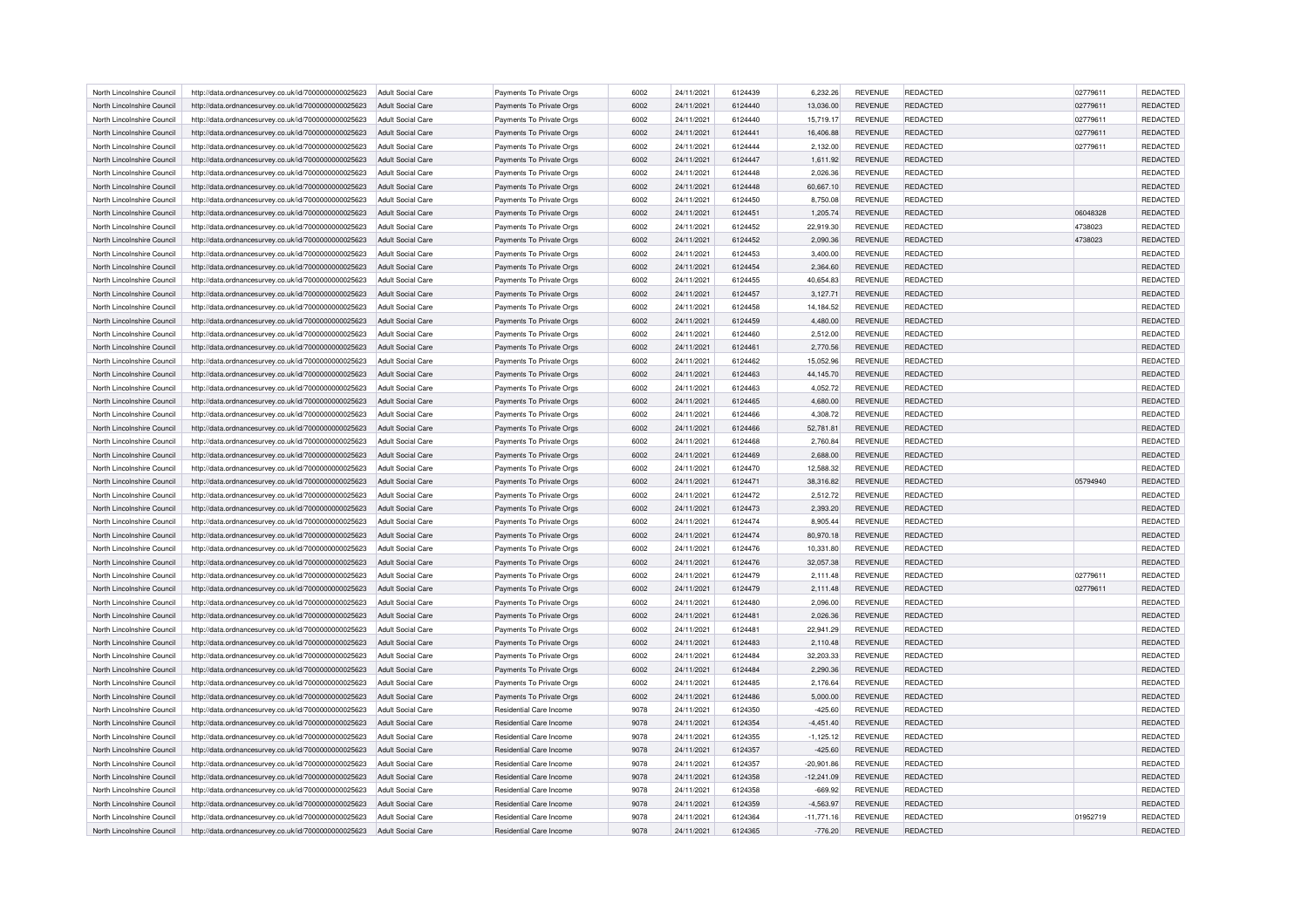| North Lincolnshire Council                               | http://data.ordnancesurvey.co.uk/id/7000000000025623                                                         | Adult Social Care                                    | Payments To Private Orgs                             | 6002         | 24/11/2021               | 6124439            | 6,232.26                  | <b>REVENUE</b>                   | <b>REDACTED</b>                    | 02779611 | REDACTED             |
|----------------------------------------------------------|--------------------------------------------------------------------------------------------------------------|------------------------------------------------------|------------------------------------------------------|--------------|--------------------------|--------------------|---------------------------|----------------------------------|------------------------------------|----------|----------------------|
| North Lincolnshire Council                               | http://data.ordnancesurvey.co.uk/id/7000000000025623                                                         | Adult Social Care                                    | Payments To Private Orgs                             | 6002         | 24/11/2021               | 6124440            | 13,036.00                 | REVENUE                          | <b>REDACTED</b>                    | 02779611 | REDACTED             |
| North Lincolnshire Council                               | http://data.ordnancesurvey.co.uk/id/7000000000025623                                                         | Adult Social Care                                    | Payments To Private Orgs                             | 6002         | 24/11/2021               | 6124440            | 15,719.17                 | <b>REVENUE</b>                   | REDACTED                           | 02779611 | <b>REDACTED</b>      |
| North Lincolnshire Council                               | http://data.ordnancesurvey.co.uk/id/7000000000025623                                                         | Adult Social Care                                    | Payments To Private Orgs                             | 6002         | 24/11/2021               | 6124441            | 16,406.88                 | <b>REVENUE</b>                   | <b>REDACTED</b>                    | 02779611 | REDACTED             |
| North Lincolnshire Council                               | http://data.ordnancesurvey.co.uk/id/7000000000025623                                                         | Adult Social Care                                    | Payments To Private Orgs                             | 6002         | 24/11/2021               | 6124444            | 2,132.00                  | <b>REVENUE</b>                   | REDACTED                           | 02779611 | REDACTED             |
| North Lincolnshire Council                               | http://data.ordnancesurvey.co.uk/id/7000000000025623                                                         | Adult Social Care                                    | Payments To Private Orgs                             | 6002         | 24/11/2021               | 6124447            | 1,611.92                  | <b>REVENUE</b>                   | <b>REDACTED</b>                    |          | REDACTED             |
| North Lincolnshire Council                               | http://data.ordnancesurvey.co.uk/id/7000000000025623                                                         | Adult Social Care                                    | Payments To Private Orgs                             | 6002         | 24/11/2021               | 6124448            | 2,026.36                  | <b>REVENUE</b>                   | REDACTED                           |          | REDACTED             |
| North Lincolnshire Council                               | http://data.ordnancesurvey.co.uk/id/7000000000025623                                                         | Adult Social Care                                    | Payments To Private Orgs                             | 6002         | 24/11/2021               | 6124448            | 60,667.10                 | <b>REVENUE</b>                   | REDACTED                           |          | REDACTED             |
| North Lincolnshire Council                               | http://data.ordnancesurvey.co.uk/id/7000000000025623                                                         | Adult Social Care                                    | Payments To Private Orgs                             | 6002         | 24/11/2021               | 6124450            | 8,750.08                  | <b>REVENUE</b>                   | REDACTED                           |          | REDACTED             |
| North Lincolnshire Council                               | http://data.ordnancesurvey.co.uk/id/7000000000025623                                                         | Adult Social Care                                    | Payments To Private Orgs                             | 6002         | 24/11/2021               | 6124451            | 1,205.74                  | <b>REVENUE</b>                   | <b>REDACTED</b>                    | 06048328 | REDACTED             |
| North Lincolnshire Council                               | http://data.ordnancesurvey.co.uk/id/7000000000025623                                                         | Adult Social Care                                    | Payments To Private Orgs                             | 6002         | 24/11/2021               | 6124452            | 22,919.30                 | <b>REVENUE</b>                   | REDACTED                           | 4738023  | REDACTED             |
| North Lincolnshire Council                               | http://data.ordnancesurvey.co.uk/id/7000000000025623                                                         | Adult Social Care                                    | Payments To Private Orgs                             | 6002         | 24/11/2021               | 6124452            | 2,090.36                  | <b>REVENUE</b>                   | REDACTED                           | 4738023  | REDACTED             |
| North Lincolnshire Council                               | http://data.ordnancesurvey.co.uk/id/7000000000025623                                                         | Adult Social Care                                    | Payments To Private Orgs                             | 6002         | 24/11/2021               | 6124453            | 3,400.00                  | <b>REVENUE</b>                   | REDACTED                           |          | REDACTED             |
| North Lincolnshire Council                               | http://data.ordnancesurvey.co.uk/id/7000000000025623                                                         | <b>Adult Social Care</b>                             | Payments To Private Orgs                             | 6002         | 24/11/2021               | 6124454            | 2,364.60                  | <b>REVENUE</b>                   | REDACTED                           |          | REDACTED             |
| North Lincolnshire Council                               | http://data.ordnancesurvey.co.uk/id/7000000000025623                                                         | <b>Adult Social Care</b>                             | Payments To Private Orgs                             | 6002         | 24/11/2021               | 6124455            | 40,654.83                 | <b>REVENUE</b>                   | REDACTED                           |          | <b>REDACTED</b>      |
| North Lincolnshire Council                               | http://data.ordnancesurvey.co.uk/id/7000000000025623                                                         | Adult Social Care                                    | Payments To Private Orgs                             | 6002         | 24/11/2021               | 6124457            | 3,127.71                  | <b>REVENUE</b>                   | <b>REDACTED</b>                    |          | REDACTED             |
| North Lincolnshire Council                               | http://data.ordnancesurvey.co.uk/id/7000000000025623                                                         | <b>Adult Social Care</b>                             | Payments To Private Orgs                             | 6002         | 24/11/2021               | 6124458            | 14,184.52                 | <b>REVENUE</b>                   | REDACTED                           |          | REDACTED             |
| North Lincolnshire Council                               | http://data.ordnancesurvey.co.uk/id/7000000000025623                                                         | <b>Adult Social Care</b>                             | Payments To Private Orgs                             | 6002         | 24/11/2021               | 6124459            | 4,480.00                  | <b>REVENUE</b>                   | REDACTED                           |          | REDACTED             |
| North Lincolnshire Council                               | http://data.ordnancesurvey.co.uk/id/7000000000025623                                                         | Adult Social Care                                    | Payments To Private Orgs                             | 6002         | 24/11/2021               | 6124460            | 2,512.00                  | <b>REVENUE</b>                   | REDACTED                           |          | REDACTED             |
| North Lincolnshire Council                               | http://data.ordnancesurvey.co.uk/id/7000000000025623                                                         | <b>Adult Social Care</b>                             | Payments To Private Orgs                             | 6002         | 24/11/2021               | 6124461            | 2,770.56                  | <b>REVENUE</b>                   | REDACTED                           |          | REDACTED             |
| North Lincolnshire Council                               | http://data.ordnancesurvey.co.uk/id/7000000000025623                                                         | <b>Adult Social Care</b>                             | Payments To Private Orgs                             | 6002         | 24/11/2021               | 6124462            | 15,052.96                 | <b>REVENUE</b>                   | REDACTED                           |          | REDACTED             |
| North Lincolnshire Council                               | http://data.ordnancesurvey.co.uk/id/7000000000025623                                                         | Adult Social Care                                    | Payments To Private Orgs                             | 6002         | 24/11/2021               | 6124463            | 44,145.70                 | <b>REVENUE</b>                   | <b>REDACTED</b>                    |          | REDACTED             |
| North Lincolnshire Council                               | http://data.ordnancesurvey.co.uk/id/7000000000025623                                                         | <b>Adult Social Care</b>                             | Payments To Private Orgs                             | 6002         | 24/11/2021               | 6124463            | 4,052.72                  | <b>REVENUE</b>                   | REDACTED                           |          | REDACTED             |
| North Lincolnshire Council                               | http://data.ordnancesurvey.co.uk/id/7000000000025623                                                         | <b>Adult Social Care</b>                             | Payments To Private Orgs                             | 6002         | 24/11/2021               | 6124465            | 4,680.00                  | <b>REVENUE</b>                   | <b>REDACTED</b>                    |          | REDACTED             |
| North Lincolnshire Council                               | http://data.ordnancesurvey.co.uk/id/7000000000025623                                                         | Adult Social Care                                    | Payments To Private Orgs                             | 6002         | 24/11/2021               | 6124466            | 4,308.72                  | <b>REVENUE</b>                   | REDACTED                           |          | REDACTED             |
| North Lincolnshire Council                               | http://data.ordnancesurvey.co.uk/id/7000000000025623                                                         | <b>Adult Social Care</b>                             | Payments To Private Orgs                             | 6002         | 24/11/2021               | 6124466            | 52,781.81                 | <b>REVENUE</b>                   | <b>REDACTED</b>                    |          | REDACTED             |
| North Lincolnshire Council                               | http://data.ordnancesurvey.co.uk/id/7000000000025623                                                         | <b>Adult Social Care</b>                             | Payments To Private Orgs                             | 6002         | 24/11/2021               | 6124468            | 2,760.84                  | <b>REVENUE</b>                   | REDACTED                           |          | REDACTED             |
| North Lincolnshire Council                               | http://data.ordnancesurvey.co.uk/id/7000000000025623                                                         | Adult Social Care                                    | Payments To Private Orgs                             | 6002         | 24/11/2021               | 6124469            | 2,688.00                  | <b>REVENUE</b>                   | <b>REDACTED</b>                    |          | REDACTED             |
| North Lincolnshire Council                               | http://data.ordnancesurvey.co.uk/id/7000000000025623                                                         | <b>Adult Social Care</b>                             | Payments To Private Orgs                             | 6002         | 24/11/2021               | 6124470            | 12,588.32                 | <b>REVENUE</b>                   | REDACTED                           |          | <b>REDACTED</b>      |
| North Lincolnshire Council                               | http://data.ordnancesurvey.co.uk/id/7000000000025623                                                         | <b>Adult Social Care</b>                             | Payments To Private Orgs                             | 6002         | 24/11/2021               | 6124471            | 38,316.82                 | <b>REVENUE</b>                   | <b>REDACTED</b>                    | 05794940 | REDACTED             |
| North Lincolnshire Council                               | http://data.ordnancesurvey.co.uk/id/7000000000025623                                                         | Adult Social Care                                    | Payments To Private Orgs                             | 6002         | 24/11/2021               | 6124472            | 2,512.72                  | <b>REVENUE</b>                   | <b>REDACTED</b>                    |          | REDACTED             |
| North Lincolnshire Council                               | http://data.ordnancesurvey.co.uk/id/7000000000025623                                                         | <b>Adult Social Care</b>                             | Payments To Private Orgs                             | 6002         | 24/11/2021               | 6124473            | 2,393.20                  | <b>REVENUE</b>                   | <b>REDACTED</b>                    |          | REDACTED             |
| North Lincolnshire Council                               | http://data.ordnancesurvey.co.uk/id/7000000000025623                                                         | <b>Adult Social Care</b>                             | Payments To Private Orgs                             | 6002         | 24/11/2021               | 6124474            | 8,905.44                  | <b>REVENUE</b>                   | REDACTED                           |          | <b>REDACTED</b>      |
| North Lincolnshire Council                               | http://data.ordnancesurvey.co.uk/id/7000000000025623                                                         | Adult Social Care                                    | Payments To Private Orgs                             | 6002         | 24/11/2021               | 6124474            | 80,970.18                 | <b>REVENUE</b>                   | <b>REDACTED</b>                    |          | REDACTED             |
| North Lincolnshire Council                               | http://data.ordnancesurvey.co.uk/id/7000000000025623                                                         | <b>Adult Social Care</b>                             | Payments To Private Orgs                             | 6002         | 24/11/2021               | 6124476            | 10,331.80                 | <b>REVENUE</b>                   | <b>REDACTED</b>                    |          | REDACTED             |
| North Lincolnshire Council                               | http://data.ordnancesurvey.co.uk/id/7000000000025623                                                         | <b>Adult Social Care</b>                             | Payments To Private Orgs                             | 6002         | 24/11/2021               | 6124476            | 32,057.38                 | <b>REVENUE</b>                   | REDACTED                           |          | REDACTED             |
| North Lincolnshire Council                               | http://data.ordnancesurvey.co.uk/id/7000000000025623                                                         | Adult Social Care                                    | Payments To Private Orgs                             | 6002         | 24/11/2021               | 6124479            | 2,111.48                  | <b>REVENUE</b>                   | <b>REDACTED</b>                    | 02779611 | <b>REDACTED</b>      |
|                                                          |                                                                                                              |                                                      |                                                      | 6002         |                          | 6124479            |                           | <b>REVENUE</b>                   |                                    | 02779611 |                      |
| North Lincolnshire Council<br>North Lincolnshire Council | http://data.ordnancesurvey.co.uk/id/7000000000025623<br>http://data.ordnancesurvey.co.uk/id/7000000000025623 | <b>Adult Social Care</b><br><b>Adult Social Care</b> | Payments To Private Orgs<br>Payments To Private Orgs | 6002         | 24/11/2021<br>24/11/2021 | 6124480            | 2,111.48<br>2.096.00      | <b>REVENUE</b>                   | REDACTED<br><b>REDACTED</b>        |          | REDACTED<br>REDACTED |
| North Lincolnshire Council                               |                                                                                                              |                                                      | Payments To Private Orgs                             | 6002         | 24/11/2021               | 6124481            | 2,026.36                  | <b>REVENUE</b>                   | <b>REDACTED</b>                    |          | REDACTED             |
| North Lincolnshire Council                               | http://data.ordnancesurvey.co.uk/id/7000000000025623<br>http://data.ordnancesurvey.co.uk/id/7000000000025623 | <b>Adult Social Care</b><br>Adult Social Care        | Payments To Private Orgs                             | 6002         | 24/11/2021               | 6124481            | 22,941.29                 | <b>REVENUE</b>                   | REDACTED                           |          | REDACTED             |
| North Lincolnshire Council                               | http://data.ordnancesurvey.co.uk/id/7000000000025623                                                         | <b>Adult Social Care</b>                             | Payments To Private Orgs                             | 6002         | 24/11/2021               | 6124483            | 2.110.48                  | <b>REVENUE</b>                   | <b>REDACTED</b>                    |          | REDACTED             |
| North Lincolnshire Council                               |                                                                                                              |                                                      |                                                      | 6002         |                          | 6124484            |                           | <b>REVENUE</b>                   |                                    |          | REDACTED             |
| North Lincolnshire Council                               | http://data.ordnancesurvey.co.uk/id/7000000000025623<br>http://data.ordnancesurvey.co.uk/id/7000000000025623 | Adult Social Care<br><b>Adult Social Care</b>        | Payments To Private Orgs                             | 6002         | 24/11/2021<br>24/11/2021 | 6124484            | 32,203.33<br>2,290.36     | <b>REVENUE</b>                   | <b>REDACTED</b><br>REDACTED        |          |                      |
| North Lincolnshire Council                               | http://data.ordnancesurvey.co.uk/id/7000000000025623                                                         | Adult Social Care                                    | Payments To Private Orgs<br>Payments To Private Orgs | 6002         | 24/11/2021               | 6124485            | 2.176.64                  | <b>REVENUE</b>                   | <b>REDACTED</b>                    |          | REDACTED<br>REDACTED |
|                                                          |                                                                                                              |                                                      |                                                      |              |                          | 6124486            |                           |                                  |                                    |          |                      |
| North Lincolnshire Council<br>North Lincolnshire Council | http://data.ordnancesurvey.co.uk/id/7000000000025623<br>http://data.ordnancesurvey.co.uk/id/7000000000025623 | Adult Social Care<br><b>Adult Social Care</b>        | Payments To Private Orgs<br>Residential Care Income  | 6002<br>9078 | 24/11/2021<br>24/11/2021 | 6124350            | 5,000.00<br>$-425.60$     | <b>REVENUE</b><br><b>REVENUE</b> | <b>REDACTED</b><br>REDACTED        |          | REDACTED<br>REDACTED |
| North Lincolnshire Council                               | http://data.ordnancesurvey.co.uk/id/7000000000025623                                                         | <b>Adult Social Care</b>                             | Residential Care Income                              | 9078         | 24/11/2021               | 6124354            | $-4.451.40$               | <b>REVENUE</b>                   | <b>REDACTED</b>                    |          | REDACTED             |
| North Lincolnshire Council                               | http://data.ordnancesurvey.co.uk/id/7000000000025623                                                         | Adult Social Care                                    | Residential Care Income                              | 9078         | 24/11/2021               | 6124355            | $-1,125.12$               | <b>REVENUE</b>                   | <b>REDACTED</b>                    |          | REDACTED             |
| North Lincolnshire Council                               | http://data.ordnancesurvey.co.uk/id/7000000000025623                                                         | Adult Social Care                                    | Residential Care Income                              | 9078         | 24/11/2021               | 6124357            | $-425.60$                 | <b>REVENUE</b>                   | <b>REDACTED</b>                    |          | REDACTED             |
| North Lincolnshire Council                               | http://data.ordnancesurvey.co.uk/id/7000000000025623                                                         | <b>Adult Social Care</b>                             | Residential Care Income                              | 9078         | 24/11/2021               | 6124357            | $-20.901.86$              | <b>REVENUE</b>                   | <b>REDACTED</b>                    |          | REDACTED             |
| North Lincolnshire Council                               | http://data.ordnancesurvey.co.uk/id/7000000000025623                                                         | Adult Social Care                                    | Residential Care Income                              | 9078         | 24/11/2021               | 6124358            | $-12,241.09$              | <b>REVENUE</b>                   | <b>REDACTED</b>                    |          | REDACTED             |
| North Lincolnshire Council                               | http://data.ordnancesurvey.co.uk/id/7000000000025623                                                         | <b>Adult Social Care</b>                             | Residential Care Income                              | 9078         | 24/11/2021               | 6124358            | $-669.92$                 | <b>REVENUE</b>                   | REDACTED                           |          | REDACTED             |
| North Lincolnshire Council                               |                                                                                                              | <b>Adult Social Care</b>                             | Residential Care Income                              | 9078         | 24/11/2021               | 6124359            | $-4,563.97$               | <b>REVENUE</b>                   | <b>REDACTED</b>                    |          | REDACTED             |
|                                                          |                                                                                                              |                                                      |                                                      |              |                          |                    |                           |                                  |                                    |          |                      |
|                                                          | http://data.ordnancesurvey.co.uk/id/7000000000025623                                                         |                                                      |                                                      |              |                          |                    |                           |                                  |                                    |          |                      |
| North Lincolnshire Council<br>North Lincolnshire Council | http://data.ordnancesurvey.co.uk/id/7000000000025623<br>http://data.ordnancesurvey.co.uk/id/7000000000025623 | Adult Social Care<br>Adult Social Care               | Residential Care Income<br>Residential Care Income   | 9078<br>9078 | 24/11/2021<br>24/11/2021 | 6124364<br>6124365 | $-11,771.16$<br>$-776.20$ | <b>REVENUE</b><br><b>REVENUE</b> | <b>REDACTED</b><br><b>REDACTED</b> | 01952719 | REDACTED<br>REDACTED |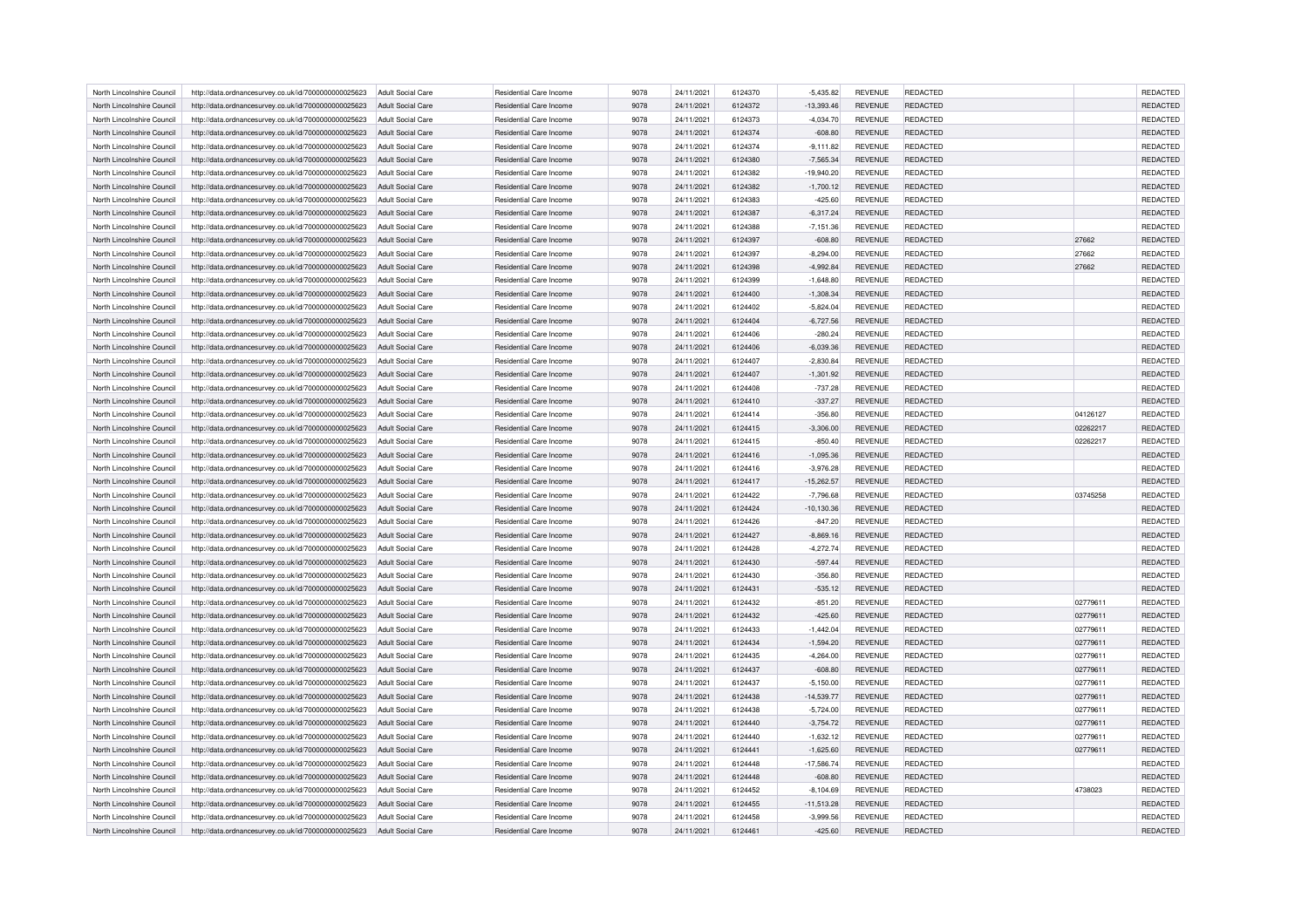| North Lincolnshire Council | http://data.ordnancesurvey.co.uk/id/7000000000025623                                                         | Adult Social Care        | Residential Care Income        | 9078 | 24/11/2021 | 6124370 | $-5,435.82$   | REVENUE        | <b>REDACTED</b> |          | REDACTED        |
|----------------------------|--------------------------------------------------------------------------------------------------------------|--------------------------|--------------------------------|------|------------|---------|---------------|----------------|-----------------|----------|-----------------|
| North Lincolnshire Council | http://data.ordnancesurvey.co.uk/id/7000000000025623                                                         | Adult Social Care        | Residential Care Income        | 9078 | 24/11/2021 | 6124372 | $-13,393.46$  | <b>REVENUE</b> | REDACTED        |          | REDACTED        |
| North Lincolnshire Council | http://data.ordnancesurvey.co.uk/id/7000000000025623                                                         | Adult Social Care        | Residential Care Income        | 9078 | 24/11/2021 | 6124373 | $-4.034.70$   | <b>REVENUE</b> | <b>REDACTED</b> |          | REDACTED        |
| North Lincolnshire Council | http://data.ordnancesurvey.co.uk/id/7000000000025623                                                         | Adult Social Care        | Residential Care Income        | 9078 | 24/11/2021 | 6124374 | $-608.80$     | <b>REVENUE</b> | <b>REDACTED</b> |          | REDACTED        |
| North Lincolnshire Council | http://data.ordnancesurvey.co.uk/id/7000000000025623                                                         | Adult Social Care        | Residential Care Income        | 9078 | 24/11/2021 | 6124374 | $-9,111.82$   | <b>REVENUE</b> | REDACTED        |          | REDACTED        |
| North Lincolnshire Council | http://data.ordnancesurvey.co.uk/id/7000000000025623                                                         | <b>Adult Social Care</b> | Residential Care Income        | 9078 | 24/11/2021 | 6124380 | $-7,565.34$   | <b>REVENUE</b> | REDACTED        |          | REDACTED        |
| North Lincolnshire Council | http://data.ordnancesurvey.co.uk/id/7000000000025623                                                         | Adult Social Care        | <b>Residential Care Income</b> | 9078 | 24/11/2021 | 6124382 | $-19,940.20$  | <b>REVENUE</b> | REDACTED        |          | <b>REDACTED</b> |
| North Lincolnshire Council | http://data.ordnancesurvey.co.uk/id/7000000000025623                                                         | <b>Adult Social Care</b> | Residential Care Income        | 9078 | 24/11/2021 | 6124382 | $-1,700.12$   | <b>REVENUE</b> | REDACTED        |          | REDACTED        |
| North Lincolnshire Council | http://data.ordnancesurvey.co.uk/id/7000000000025623                                                         | <b>Adult Social Care</b> | Residential Care Income        | 9078 | 24/11/2021 | 6124383 | $-425.60$     | <b>REVENUE</b> | REDACTED        |          | REDACTED        |
| North Lincolnshire Council | http://data.ordnancesurvey.co.uk/id/7000000000025623                                                         | Adult Social Care        | Residential Care Income        | 9078 | 24/11/2021 | 6124387 | $-6,317.24$   | <b>REVENUE</b> | <b>REDACTED</b> |          | REDACTED        |
| North Lincolnshire Council | http://data.ordnancesurvey.co.uk/id/7000000000025623                                                         | <b>Adult Social Care</b> | Residential Care Income        | 9078 | 24/11/2021 | 6124388 | $-7,151.36$   | <b>REVENUE</b> | REDACTED        |          | <b>REDACTED</b> |
| North Lincolnshire Council | http://data.ordnancesurvey.co.uk/id/7000000000025623                                                         | <b>Adult Social Care</b> | Residential Care Income        | 9078 | 24/11/2021 | 6124397 | $-608.80$     | <b>REVENUE</b> | REDACTED        | 27662    | REDACTED        |
| North Lincolnshire Council |                                                                                                              | Adult Social Care        | Residential Care Income        | 9078 | 24/11/2021 | 6124397 | $-8,294.00$   | <b>REVENUE</b> | REDACTED        | 27662    | REDACTED        |
| North Lincolnshire Council | http://data.ordnancesurvey.co.uk/id/7000000000025623<br>http://data.ordnancesurvey.co.uk/id/7000000000025623 | <b>Adult Social Care</b> | Residential Care Income        | 9078 | 24/11/2021 | 6124398 | $-4,992.84$   | <b>REVENUE</b> | <b>REDACTED</b> | 27662    | REDACTED        |
|                            |                                                                                                              |                          |                                |      |            |         |               |                |                 |          |                 |
| North Lincolnshire Council | http://data.ordnancesurvey.co.uk/id/7000000000025623                                                         | <b>Adult Social Care</b> | Residential Care Income        | 9078 | 24/11/2021 | 6124399 | $-1.648.80$   | <b>REVENUE</b> | <b>REDACTED</b> |          | <b>REDACTED</b> |
| North Lincolnshire Council | http://data.ordnancesurvey.co.uk/id/7000000000025623                                                         | <b>Adult Social Care</b> | Residential Care Income        | 9078 | 24/11/2021 | 6124400 | $-1.308.34$   | <b>REVENUE</b> | <b>REDACTED</b> |          | REDACTED        |
| North Lincolnshire Council | http://data.ordnancesurvey.co.uk/id/7000000000025623                                                         | <b>Adult Social Care</b> | Residential Care Income        | 9078 | 24/11/2021 | 6124402 | $-5,824.04$   | <b>REVENUE</b> | <b>REDACTED</b> |          | REDACTED        |
| North Lincolnshire Council | http://data.ordnancesurvey.co.uk/id/7000000000025623                                                         | Adult Social Care        | <b>Residential Care Income</b> | 9078 | 24/11/2021 | 6124404 | $-6,727.56$   | <b>REVENUE</b> | <b>REDACTED</b> |          | REDACTED        |
| North Lincolnshire Council | http://data.ordnancesurvey.co.uk/id/7000000000025623                                                         | Adult Social Care        | Residential Care Income        | 9078 | 24/11/2021 | 6124406 | $-280.24$     | REVENUE        | REDACTED        |          | REDACTED        |
| North Lincolnshire Council | http://data.ordnancesurvey.co.uk/id/7000000000025623                                                         | <b>Adult Social Care</b> | Residential Care Income        | 9078 | 24/11/2021 | 6124406 | $-6,039.36$   | <b>REVENUE</b> | REDACTED        |          | REDACTED        |
| North Lincolnshire Council | http://data.ordnancesurvey.co.uk/id/7000000000025623                                                         | Adult Social Care        | Residential Care Income        | 9078 | 24/11/2021 | 6124407 | $-2.830.84$   | <b>REVENUE</b> | <b>REDACTED</b> |          | REDACTED        |
| North Lincolnshire Council | http://data.ordnancesurvey.co.uk/id/7000000000025623                                                         | Adult Social Care        | Residential Care Income        | 9078 | 24/11/2021 | 6124407 | $-1,301.92$   | <b>REVENUE</b> | <b>REDACTED</b> |          | REDACTED        |
| North Lincolnshire Council | http://data.ordnancesurvey.co.uk/id/7000000000025623                                                         | Adult Social Care        | Residential Care Income        | 9078 | 24/11/2021 | 6124408 | $-737.28$     | REVENUE        | REDACTED        |          | REDACTED        |
| North Lincolnshire Council | http://data.ordnancesurvey.co.uk/id/7000000000025623                                                         | <b>Adult Social Care</b> | Residential Care Income        | 9078 | 24/11/2021 | 6124410 | $-337.27$     | <b>REVENUE</b> | <b>REDACTED</b> |          | <b>REDACTED</b> |
| North Lincolnshire Council | http://data.ordnancesurvey.co.uk/id/7000000000025623                                                         | Adult Social Care        | Residential Care Income        | 9078 | 24/11/2021 | 6124414 | $-356.80$     | <b>REVENUE</b> | REDACTED        | 04126127 | REDACTED        |
| North Lincolnshire Council | http://data.ordnancesurvey.co.uk/id/7000000000025623                                                         | <b>Adult Social Care</b> | Residential Care Income        | 9078 | 24/11/2021 | 6124415 | $-3,306.00$   | <b>REVENUE</b> | REDACTED        | 02262217 | REDACTED        |
| North Lincolnshire Council | http://data.ordnancesurvey.co.uk/id/7000000000025623                                                         | <b>Adult Social Care</b> | Residential Care Income        | 9078 | 24/11/2021 | 6124415 | $-850.40$     | <b>REVENUE</b> | <b>REDACTED</b> | 02262217 | REDACTED        |
| North Lincolnshire Council | http://data.ordnancesurvey.co.uk/id/7000000000025623                                                         | Adult Social Care        | Residential Care Income        | 9078 | 24/11/2021 | 6124416 | $-1,095.36$   | <b>REVENUE</b> | REDACTED        |          | REDACTED        |
| North Lincolnshire Council | http://data.ordnancesurvey.co.uk/id/7000000000025623                                                         | <b>Adult Social Care</b> | Residential Care Income        | 9078 | 24/11/2021 | 6124416 | $-3,976.28$   | <b>REVENUE</b> | REDACTED        |          | REDACTED        |
| North Lincolnshire Council | http://data.ordnancesurvey.co.uk/id/7000000000025623                                                         | <b>Adult Social Care</b> | Residential Care Income        | 9078 | 24/11/2021 | 6124417 | $-15,262.57$  | <b>REVENUE</b> | REDACTED        |          | REDACTED        |
| North Lincolnshire Council | http://data.ordnancesurvey.co.uk/id/7000000000025623                                                         | Adult Social Care        | <b>Residential Care Income</b> | 9078 | 24/11/2021 | 6124422 | $-7,796.68$   | <b>REVENUE</b> | <b>REDACTED</b> | 03745258 | <b>REDACTED</b> |
| North Lincolnshire Council | http://data.ordnancesurvey.co.uk/id/7000000000025623                                                         | <b>Adult Social Care</b> | Residential Care Income        | 9078 | 24/11/2021 | 6124424 | $-10, 130.36$ | <b>REVENUE</b> | <b>REDACTED</b> |          | REDACTED        |
| North Lincolnshire Council | http://data.ordnancesurvey.co.uk/id/7000000000025623                                                         | <b>Adult Social Care</b> | Residential Care Income        | 9078 | 24/11/2021 | 6124426 | $-847.20$     | <b>REVENUE</b> | REDACTED        |          | REDACTED        |
| North Lincolnshire Council | http://data.ordnancesurvey.co.uk/id/7000000000025623                                                         | Adult Social Care        | <b>Residential Care Income</b> | 9078 | 24/11/2021 | 6124427 | $-8,869.16$   | <b>REVENUE</b> | <b>REDACTED</b> |          | REDACTED        |
| North Lincolnshire Council | http://data.ordnancesurvey.co.uk/id/7000000000025623                                                         | <b>Adult Social Care</b> | Residential Care Income        | 9078 | 24/11/2021 | 6124428 | $-4,272.74$   | <b>REVENUE</b> | <b>REDACTED</b> |          | <b>REDACTED</b> |
| North Lincolnshire Council | http://data.ordnancesurvey.co.uk/id/7000000000025623                                                         | <b>Adult Social Care</b> | Residential Care Income        | 9078 | 24/11/2021 | 6124430 | $-597.44$     | <b>REVENUE</b> | <b>REDACTED</b> |          | REDACTED        |
| North Lincolnshire Council | http://data.ordnancesurvey.co.uk/id/7000000000025623                                                         | Adult Social Care        | Residential Care Income        | 9078 | 24/11/2021 | 6124430 | $-356.80$     | <b>REVENUE</b> | <b>REDACTED</b> |          | REDACTED        |
| North Lincolnshire Council | http://data.ordnancesurvey.co.uk/id/7000000000025623                                                         | <b>Adult Social Care</b> | Residential Care Income        | 9078 | 24/11/2021 | 6124431 | $-535.12$     | REVENUE        | REDACTED        |          | REDACTED        |
| North Lincolnshire Council | http://data.ordnancesurvey.co.uk/id/7000000000025623                                                         | Adult Social Care        | Residential Care Income        | 9078 | 24/11/2021 | 6124432 | $-851.20$     | <b>REVENUE</b> | <b>REDACTED</b> | 02779611 | <b>REDACTED</b> |
| North Lincolnshire Council | http://data.ordnancesurvey.co.uk/id/7000000000025623                                                         | <b>Adult Social Care</b> | Residential Care Income        | 9078 | 24/11/2021 | 6124432 | $-425.60$     | <b>REVENUE</b> | <b>REDACTED</b> | 02779611 | REDACTED        |
| North Lincolnshire Council | http://data.ordnancesurvey.co.uk/id/7000000000025623                                                         | Adult Social Care        | Residential Care Income        | 9078 | 24/11/2021 | 6124433 | $-1,442.04$   | <b>REVENUE</b> | <b>REDACTED</b> | 02779611 | <b>REDACTED</b> |
| North Lincolnshire Council | http://data.ordnancesurvey.co.uk/id/7000000000025623                                                         | Adult Social Care        | Residential Care Income        | 9078 | 24/11/2021 | 6124434 | $-1,594.20$   | <b>REVENUE</b> | <b>REDACTED</b> | 02779611 | REDACTED        |
| North Lincolnshire Council | http://data.ordnancesurvey.co.uk/id/7000000000025623                                                         | Adult Social Care        | Residential Care Income        | 9078 | 24/11/2021 | 6124435 | $-4,264.00$   | <b>REVENUE</b> | <b>REDACTED</b> | 02779611 | REDACTED        |
| North Lincolnshire Council | http://data.ordnancesurvey.co.uk/id/7000000000025623                                                         | <b>Adult Social Care</b> | Residential Care Income        | 9078 | 24/11/2021 | 6124437 | $-608.80$     | <b>REVENUE</b> | <b>REDACTED</b> | 02779611 | REDACTED        |
| North Lincolnshire Council | http://data.ordnancesurvey.co.uk/id/7000000000025623                                                         | Adult Social Care        | Residential Care Income        | 9078 | 24/11/2021 | 6124437 | $-5.150.00$   | <b>REVENUE</b> | <b>REDACTED</b> | 02779611 | REDACTED        |
| North Lincolnshire Council | http://data.ordnancesurvey.co.uk/id/7000000000025623                                                         | Adult Social Care        | Residential Care Income        | 9078 | 24/11/2021 | 6124438 | $-14,539.77$  | <b>REVENUE</b> | <b>REDACTED</b> | 02779611 | REDACTED        |
| North Lincolnshire Council | http://data.ordnancesurvey.co.uk/id/7000000000025623                                                         | Adult Social Care        | Residential Care Income        | 9078 | 24/11/2021 | 6124438 | $-5,724.00$   | <b>REVENUE</b> | REDACTED        | 02779611 | REDACTED        |
| North Lincolnshire Council | http://data.ordnancesurvey.co.uk/id/7000000000025623                                                         | <b>Adult Social Care</b> | Residential Care Income        | 9078 | 24/11/2021 | 6124440 | $-3.754.72$   | <b>REVENUE</b> | <b>REDACTED</b> | 02779611 | REDACTED        |
| North Lincolnshire Council | http://data.ordnancesurvey.co.uk/id/7000000000025623                                                         | Adult Social Care        | Residential Care Income        | 9078 | 24/11/2021 | 6124440 | $-1,632.12$   | <b>REVENUE</b> | <b>REDACTED</b> | 02779611 | REDACTED        |
| North Lincolnshire Council | http://data.ordnancesurvey.co.uk/id/7000000000025623                                                         | <b>Adult Social Care</b> | Residential Care Income        | 9078 | 24/11/2021 | 6124441 | $-1,625.60$   | <b>REVENUE</b> | <b>REDACTED</b> | 02779611 | REDACTED        |
| North Lincolnshire Council | http://data.ordnancesurvey.co.uk/id/7000000000025623                                                         | Adult Social Care        | Residential Care Income        | 9078 | 24/11/2021 | 6124448 | $-17.586.74$  | <b>REVENUE</b> | <b>REDACTED</b> |          | REDACTED        |
| North Lincolnshire Council | http://data.ordnancesurvey.co.uk/id/7000000000025623                                                         | Adult Social Care        | Residential Care Income        | 9078 | 24/11/2021 | 6124448 | $-608.80$     | <b>REVENUE</b> | <b>REDACTED</b> |          | REDACTED        |
| North Lincolnshire Council | http://data.ordnancesurvey.co.uk/id/7000000000025623                                                         | <b>Adult Social Care</b> | Residential Care Income        | 9078 | 24/11/2021 | 6124452 | $-8,104.69$   | <b>REVENUE</b> | REDACTED        | 4738023  | REDACTED        |
| North Lincolnshire Council | http://data.ordnancesurvey.co.uk/id/7000000000025623                                                         | <b>Adult Social Care</b> | Residential Care Income        | 9078 | 24/11/2021 | 6124455 | $-11,513.28$  | <b>REVENUE</b> | <b>REDACTED</b> |          | REDACTED        |
| North Lincolnshire Council |                                                                                                              | Adult Social Care        | Residential Care Income        | 9078 | 24/11/2021 | 6124458 | $-3,999.56$   | <b>REVENUE</b> | <b>REDACTED</b> |          | <b>REDACTED</b> |
|                            | http://data.ordnancesurvey.co.uk/id/7000000000025623                                                         |                          |                                |      |            |         |               |                |                 |          | REDACTED        |
| North Lincolnshire Council | http://data.ordnancesurvey.co.uk/id/7000000000025623                                                         | Adult Social Care        | Residential Care Income        | 9078 | 24/11/2021 | 6124461 | $-425.60$     | <b>REVENUE</b> | <b>REDACTED</b> |          |                 |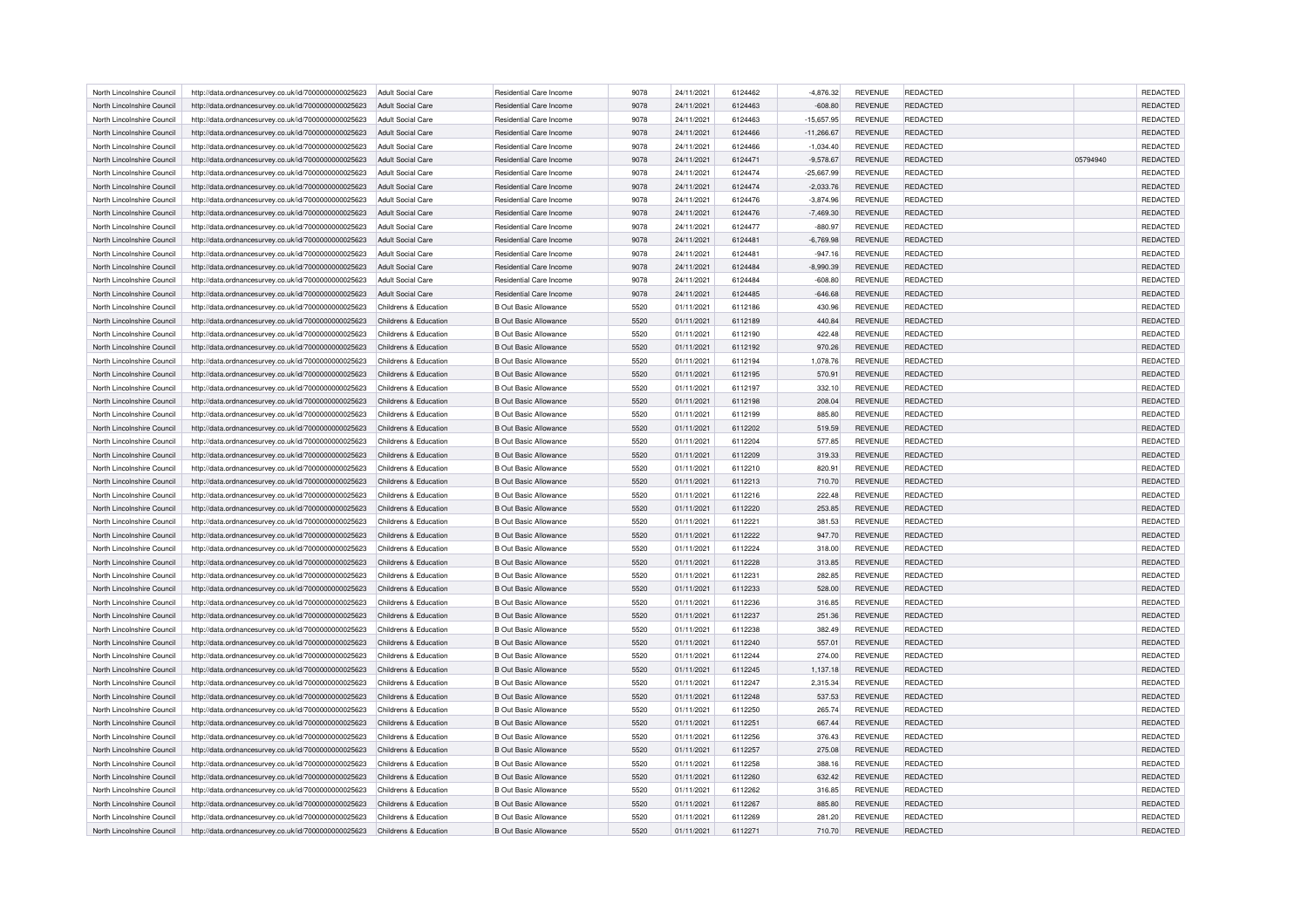| North Lincolnshire Council | http://data.ordnancesurvey.co.uk/id/7000000000025623 | Adult Social Care        | Residential Care Income      | 9078 | 24/11/2021 | 6124462 | $-4,876.32$  | REVENUE        | <b>REDACTED</b> |          | <b>REDACTED</b> |
|----------------------------|------------------------------------------------------|--------------------------|------------------------------|------|------------|---------|--------------|----------------|-----------------|----------|-----------------|
| North Lincolnshire Council | http://data.ordnancesurvey.co.uk/id/7000000000025623 | Adult Social Care        | Residential Care Income      | 9078 | 24/11/2021 | 6124463 | $-608.80$    | <b>REVENUE</b> | REDACTED        |          | REDACTED        |
| North Lincolnshire Council | http://data.ordnancesurvey.co.uk/id/7000000000025623 | Adult Social Care        | Residential Care Income      | 9078 | 24/11/2021 | 6124463 | $-15.657.95$ | <b>REVENUE</b> | REDACTED        |          | REDACTED        |
| North Lincolnshire Council | http://data.ordnancesurvey.co.uk/id/7000000000025623 | Adult Social Care        | Residential Care Income      | 9078 | 24/11/2021 | 6124466 | $-11,266.67$ | <b>REVENUE</b> | <b>REDACTED</b> |          | REDACTED        |
| North Lincolnshire Council | http://data.ordnancesurvey.co.uk/id/7000000000025623 | Adult Social Care        | Residential Care Income      | 9078 | 24/11/2021 | 6124466 | $-1,034.40$  | <b>REVENUE</b> | REDACTED        |          | <b>REDACTED</b> |
| North Lincolnshire Council | http://data.ordnancesurvey.co.uk/id/7000000000025623 | <b>Adult Social Care</b> | Residential Care Income      | 9078 | 24/11/2021 | 6124471 | $-9,578.67$  | <b>REVENUE</b> | REDACTED        | 05794940 | REDACTED        |
| North Lincolnshire Council | http://data.ordnancesurvey.co.uk/id/7000000000025623 | Adult Social Care        | Residential Care Income      | 9078 | 24/11/2021 | 6124474 | $-25,667.99$ | <b>REVENUE</b> | REDACTED        |          | <b>REDACTED</b> |
| North Lincolnshire Council | http://data.ordnancesurvey.co.uk/id/7000000000025623 | Adult Social Care        | Residential Care Income      | 9078 | 24/11/2021 | 6124474 | $-2,033.76$  | <b>REVENUE</b> | REDACTED        |          | REDACTED        |
| North Lincolnshire Council | http://data.ordnancesurvey.co.uk/id/7000000000025623 | <b>Adult Social Care</b> | Residential Care Income      | 9078 | 24/11/2021 | 6124476 | $-3,874.96$  | <b>REVENUE</b> | REDACTED        |          | REDACTED        |
| North Lincolnshire Council | http://data.ordnancesurvey.co.uk/id/7000000000025623 | Adult Social Care        | Residential Care Income      | 9078 | 24/11/2021 | 6124476 | $-7,469.30$  | <b>REVENUE</b> | <b>REDACTED</b> |          | REDACTED        |
| North Lincolnshire Council | http://data.ordnancesurvey.co.uk/id/7000000000025623 | <b>Adult Social Care</b> | Residential Care Income      | 9078 | 24/11/2021 | 6124477 | $-880.97$    | <b>REVENUE</b> | REDACTED        |          | <b>REDACTED</b> |
| North Lincolnshire Council | http://data.ordnancesurvey.co.uk/id/7000000000025623 | <b>Adult Social Care</b> | Residential Care Income      | 9078 | 24/11/2021 | 6124481 | $-6,769.98$  | <b>REVENUE</b> | REDACTED        |          | REDACTED        |
| North Lincolnshire Council | http://data.ordnancesurvey.co.uk/id/7000000000025623 | Adult Social Care        | Residential Care Income      | 9078 | 24/11/2021 | 6124481 | $-947.16$    | <b>REVENUE</b> | REDACTED        |          | REDACTED        |
| North Lincolnshire Council | http://data.ordnancesurvey.co.uk/id/7000000000025623 | <b>Adult Social Care</b> | Residential Care Income      | 9078 | 24/11/2021 | 6124484 | $-8,990.39$  | <b>REVENUE</b> | <b>REDACTED</b> |          | REDACTED        |
| North Lincolnshire Council | http://data.ordnancesurvey.co.uk/id/7000000000025623 | Adult Social Care        | Residential Care Income      | 9078 | 24/11/2021 | 6124484 | $-608.80$    | <b>REVENUE</b> | REDACTED        |          | <b>REDACTED</b> |
|                            |                                                      |                          |                              |      |            |         |              |                |                 |          |                 |
| North Lincolnshire Council | http://data.ordnancesurvey.co.uk/id/7000000000025623 | <b>Adult Social Care</b> | Residential Care Income      | 9078 | 24/11/2021 | 6124485 | $-646.68$    | <b>REVENUE</b> | <b>REDACTED</b> |          | REDACTED        |
| North Lincolnshire Council | http://data.ordnancesurvey.co.uk/id/7000000000025623 | Childrens & Education    | B Out Basic Allowance        | 5520 | 01/11/2021 | 6112186 | 430.96       | <b>REVENUE</b> | <b>REDACTED</b> |          | REDACTED        |
| North Lincolnshire Council | http://data.ordnancesurvey.co.uk/id/7000000000025623 | Childrens & Education    | <b>B Out Basic Allowance</b> | 5520 | 01/11/2021 | 6112189 | 440.84       | <b>REVENUE</b> | <b>REDACTED</b> |          | REDACTED        |
| North Lincolnshire Council | http://data.ordnancesurvey.co.uk/id/7000000000025623 | Childrens & Education    | <b>B Out Basic Allowance</b> | 5520 | 01/11/2021 | 6112190 | 422.48       | REVENUE        | REDACTED        |          | REDACTED        |
| North Lincolnshire Council | http://data.ordnancesurvey.co.uk/id/7000000000025623 | Childrens & Education    | <b>B Out Basic Allowance</b> | 5520 | 01/11/2021 | 6112192 | 970.26       | <b>REVENUE</b> | <b>REDACTED</b> |          | REDACTED        |
| North Lincolnshire Council | http://data.ordnancesurvey.co.uk/id/7000000000025623 | Childrens & Education    | B Out Basic Allowance        | 5520 | 01/11/2021 | 6112194 | 1.078.76     | <b>REVENUE</b> | <b>REDACTED</b> |          | REDACTED        |
| North Lincolnshire Council | http://data.ordnancesurvey.co.uk/id/7000000000025623 | Childrens & Education    | <b>B Out Basic Allowance</b> | 5520 | 01/11/2021 | 6112195 | 570.91       | <b>REVENUE</b> | <b>REDACTED</b> |          | REDACTED        |
| North Lincolnshire Council | http://data.ordnancesurvey.co.uk/id/7000000000025623 | Childrens & Education    | <b>B Out Basic Allowance</b> | 5520 | 01/11/2021 | 6112197 | 332.10       | <b>REVENUE</b> | REDACTED        |          | REDACTED        |
| North Lincolnshire Council | http://data.ordnancesurvey.co.uk/id/7000000000025623 | Childrens & Education    | <b>B Out Basic Allowance</b> | 5520 | 01/11/2021 | 6112198 | 208.04       | <b>REVENUE</b> | <b>REDACTED</b> |          | REDACTED        |
| North Lincolnshire Council | http://data.ordnancesurvey.co.uk/id/7000000000025623 | Childrens & Education    | <b>B Out Basic Allowance</b> | 5520 | 01/11/2021 | 6112199 | 885.80       | <b>REVENUE</b> | REDACTED        |          | REDACTED        |
| North Lincolnshire Council | http://data.ordnancesurvey.co.uk/id/7000000000025623 | Childrens & Education    | <b>B Out Basic Allowance</b> | 5520 | 01/11/2021 | 6112202 | 519.59       | <b>REVENUE</b> | <b>REDACTED</b> |          | REDACTED        |
| North Lincolnshire Council | http://data.ordnancesurvey.co.uk/id/7000000000025623 | Childrens & Education    | B Out Basic Allowance        | 5520 | 01/11/2021 | 6112204 | 577.85       | <b>REVENUE</b> | <b>REDACTED</b> |          | REDACTED        |
| North Lincolnshire Council | http://data.ordnancesurvey.co.uk/id/7000000000025623 | Childrens & Education    | <b>B Out Basic Allowance</b> | 5520 | 01/11/2021 | 6112209 | 319.33       | <b>REVENUE</b> | <b>REDACTED</b> |          | REDACTED        |
| North Lincolnshire Council | http://data.ordnancesurvey.co.uk/id/7000000000025623 | Childrens & Education    | <b>B Out Basic Allowance</b> | 5520 | 01/11/2021 | 6112210 | 820.91       | <b>REVENUE</b> | REDACTED        |          | REDACTED        |
| North Lincolnshire Council | http://data.ordnancesurvey.co.uk/id/7000000000025623 | Childrens & Education    | <b>B Out Basic Allowance</b> | 5520 | 01/11/2021 | 6112213 | 710.70       | <b>REVENUE</b> | <b>REDACTED</b> |          | REDACTED        |
| North Lincolnshire Council | http://data.ordnancesurvey.co.uk/id/7000000000025623 | Childrens & Education    | B Out Basic Allowance        | 5520 | 01/11/2021 | 6112216 | 222.48       | <b>REVENUE</b> | <b>REDACTED</b> |          | <b>REDACTED</b> |
| North Lincolnshire Council | http://data.ordnancesurvey.co.uk/id/7000000000025623 | Childrens & Education    | <b>B Out Basic Allowance</b> | 5520 | 01/11/2021 | 6112220 | 253.85       | <b>REVENUE</b> | REDACTED        |          | REDACTED        |
| North Lincolnshire Council | http://data.ordnancesurvey.co.uk/id/7000000000025623 | Childrens & Education    | <b>B Out Basic Allowance</b> | 5520 | 01/11/2021 | 6112221 | 381.53       | <b>REVENUE</b> | <b>REDACTED</b> |          | REDACTED        |
| North Lincolnshire Council | http://data.ordnancesurvey.co.uk/id/7000000000025623 | Childrens & Education    | B Out Basic Allowance        | 5520 | 01/11/2021 | 6112222 | 947.70       | <b>REVENUE</b> | <b>REDACTED</b> |          | REDACTED        |
| North Lincolnshire Council | http://data.ordnancesurvey.co.uk/id/7000000000025623 | Childrens & Education    | <b>B Out Basic Allowance</b> | 5520 | 01/11/2021 | 6112224 | 318.00       | <b>REVENUE</b> | <b>REDACTED</b> |          | <b>REDACTED</b> |
| North Lincolnshire Council | http://data.ordnancesurvey.co.uk/id/7000000000025623 | Childrens & Education    | <b>B Out Basic Allowance</b> | 5520 | 01/11/2021 | 6112228 | 313.85       | <b>REVENUE</b> | <b>REDACTED</b> |          | REDACTED        |
| North Lincolnshire Council | http://data.ordnancesurvey.co.uk/id/7000000000025623 | Childrens & Education    | B Out Basic Allowance        | 5520 | 01/11/2021 | 6112231 | 282.85       | <b>REVENUE</b> | <b>REDACTED</b> |          | REDACTED        |
| North Lincolnshire Council | http://data.ordnancesurvey.co.uk/id/7000000000025623 | Childrens & Education    | <b>B Out Basic Allowance</b> | 5520 | 01/11/2021 | 6112233 | 528.00       | <b>REVENUE</b> | REDACTED        |          | REDACTED        |
| North Lincolnshire Council | http://data.ordnancesurvey.co.uk/id/7000000000025623 | Childrens & Education    | B Out Basic Allowance        | 5520 | 01/11/2021 | 6112236 | 316.85       | <b>REVENUE</b> | <b>REDACTED</b> |          | <b>REDACTED</b> |
| North Lincolnshire Council | http://data.ordnancesurvey.co.uk/id/7000000000025623 | Childrens & Education    | <b>B Out Basic Allowance</b> | 5520 | 01/11/2021 | 6112237 | 251.36       | <b>REVENUE</b> | <b>REDACTED</b> |          | REDACTED        |
| North Lincolnshire Council | http://data.ordnancesurvey.co.uk/id/7000000000025623 | Childrens & Education    | B Out Basic Allowance        | 5520 | 01/11/2021 | 6112238 | 382.49       | <b>REVENUE</b> | REDACTED        |          | <b>REDACTED</b> |
| North Lincolnshire Council | http://data.ordnancesurvey.co.uk/id/7000000000025623 | Childrens & Education    | <b>B Out Basic Allowance</b> | 5520 | 01/11/2021 | 6112240 | 557.01       | <b>REVENUE</b> | <b>REDACTED</b> |          | REDACTED        |
| North Lincolnshire Council | http://data.ordnancesurvey.co.uk/id/7000000000025623 | Childrens & Education    | B Out Basic Allowance        | 5520 | 01/11/2021 | 6112244 | 274.00       | REVENUE        | <b>REDACTED</b> |          | REDACTED        |
| North Lincolnshire Council | http://data.ordnancesurvey.co.uk/id/7000000000025623 | Childrens & Education    | <b>B Out Basic Allowance</b> | 5520 | 01/11/2021 | 6112245 | 1,137.18     | <b>REVENUE</b> | <b>REDACTED</b> |          | REDACTED        |
| North Lincolnshire Council | http://data.ordnancesurvey.co.uk/id/7000000000025623 | Childrens & Education    | B Out Basic Allowance        | 5520 | 01/11/2021 | 6112247 | 2,315.34     | <b>REVENUE</b> | <b>REDACTED</b> |          | REDACTED        |
| North Lincolnshire Council | http://data.ordnancesurvey.co.uk/id/7000000000025623 | Childrens & Education    | <b>B Out Basic Allowance</b> | 5520 | 01/11/2021 | 6112248 | 537.53       | <b>REVENUE</b> | <b>REDACTED</b> |          | REDACTED        |
| North Lincolnshire Council | http://data.ordnancesurvey.co.uk/id/7000000000025623 | Childrens & Education    | <b>B Out Basic Allowance</b> | 5520 | 01/11/2021 | 6112250 | 265.74       | <b>REVENUE</b> | REDACTED        |          | REDACTED        |
| North Lincolnshire Council | http://data.ordnancesurvey.co.uk/id/7000000000025623 | Childrens & Education    | <b>B Out Basic Allowance</b> | 5520 | 01/11/2021 | 6112251 | 667.44       | <b>REVENUE</b> | <b>REDACTED</b> |          | REDACTED        |
| North Lincolnshire Council | http://data.ordnancesurvey.co.uk/id/7000000000025623 | Childrens & Education    | B Out Basic Allowance        | 5520 | 01/11/2021 | 6112256 | 376.43       | REVENUE        | <b>REDACTED</b> |          | REDACTED        |
| North Lincolnshire Council | http://data.ordnancesurvey.co.uk/id/7000000000025623 | Childrens & Education    | <b>B Out Basic Allowance</b> | 5520 | 01/11/2021 | 6112257 | 275.08       | <b>REVENUE</b> | <b>REDACTED</b> |          | REDACTED        |
| North Lincolnshire Council | http://data.ordnancesurvey.co.uk/id/7000000000025623 | Childrens & Education    | B Out Basic Allowance        | 5520 | 01/11/2021 | 6112258 | 388.16       | <b>REVENUE</b> | <b>REDACTED</b> |          | REDACTED        |
| North Lincolnshire Council | http://data.ordnancesurvey.co.uk/id/7000000000025623 | Childrens & Education    | <b>B Out Basic Allowance</b> | 5520 | 01/11/2021 | 6112260 | 632.42       | <b>REVENUE</b> | <b>REDACTED</b> |          | REDACTED        |
| North Lincolnshire Council | http://data.ordnancesurvey.co.uk/id/7000000000025623 | Childrens & Education    | <b>B Out Basic Allowance</b> | 5520 | 01/11/2021 | 6112262 | 316.85       | <b>REVENUE</b> | REDACTED        |          | REDACTED        |
| North Lincolnshire Council | http://data.ordnancesurvey.co.uk/id/7000000000025623 | Childrens & Education    | <b>B Out Basic Allowance</b> | 5520 | 01/11/2021 | 6112267 | 885.80       | <b>REVENUE</b> | <b>REDACTED</b> |          | REDACTED        |
| North Lincolnshire Council | http://data.ordnancesurvey.co.uk/id/7000000000025623 | Childrens & Education    | B Out Basic Allowance        | 5520 | 01/11/2021 | 6112269 | 281.20       | <b>REVENUE</b> | <b>REDACTED</b> |          | REDACTED        |
| North Lincolnshire Council | http://data.ordnancesurvey.co.uk/id/7000000000025623 | Childrens & Education    | <b>B Out Basic Allowance</b> | 5520 | 01/11/2021 | 6112271 | 710.70       | <b>REVENUE</b> | <b>REDACTED</b> |          | REDACTED        |
|                            |                                                      |                          |                              |      |            |         |              |                |                 |          |                 |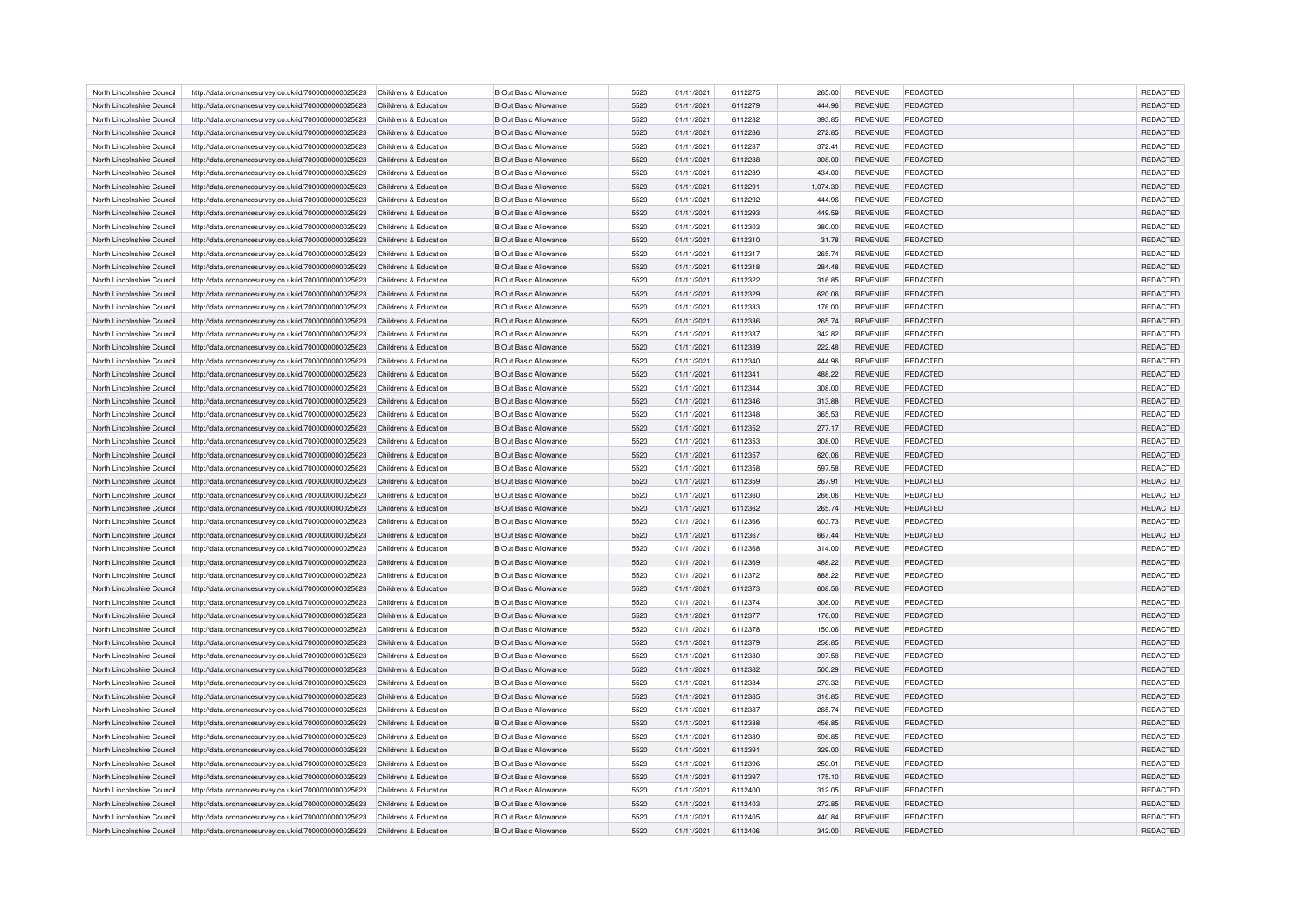| North Lincolnshire Council | http://data.ordnancesurvey.co.uk/id/7000000000025623                                                         | Childrens & Education | <b>B</b> Out Basic Allowance | 5520 | 01/11/2021 | 6112275 | 265.00   | REVENUE        | <b>REDACTED</b> | <b>REDACTED</b> |
|----------------------------|--------------------------------------------------------------------------------------------------------------|-----------------------|------------------------------|------|------------|---------|----------|----------------|-----------------|-----------------|
| North Lincolnshire Council | http://data.ordnancesurvey.co.uk/id/7000000000025623                                                         | Childrens & Education | <b>B Out Basic Allowance</b> | 5520 | 01/11/2021 | 6112279 | 444.96   | <b>REVENUE</b> | REDACTED        | REDACTED        |
| North Lincolnshire Council | http://data.ordnancesurvey.co.uk/id/7000000000025623                                                         | Childrens & Education | B Out Basic Allowance        | 5520 | 01/11/2021 | 6112282 | 393.85   | <b>REVENUE</b> | REDACTED        | REDACTED        |
| North Lincolnshire Council | http://data.ordnancesurvey.co.uk/id/7000000000025623                                                         | Childrens & Education | <b>B Out Basic Allowance</b> | 5520 | 01/11/2021 | 6112286 | 272.85   | <b>REVENUE</b> | <b>REDACTED</b> | REDACTED        |
| North Lincolnshire Council | http://data.ordnancesurvey.co.uk/id/7000000000025623                                                         | Childrens & Education | <b>B</b> Out Basic Allowance | 5520 | 01/11/2021 | 6112287 | 372.41   | <b>REVENUE</b> | REDACTED        | <b>REDACTED</b> |
| North Lincolnshire Council | http://data.ordnancesurvey.co.uk/id/7000000000025623                                                         | Childrens & Education | <b>B Out Basic Allowance</b> | 5520 | 01/11/2021 | 6112288 | 308.00   | <b>REVENUE</b> | REDACTED        | REDACTED        |
| North Lincolnshire Council | http://data.ordnancesurvey.co.uk/id/7000000000025623                                                         | Childrens & Education | B Out Basic Allowance        | 5520 | 01/11/2021 | 6112289 | 434.00   | <b>REVENUE</b> | REDACTED        | <b>REDACTED</b> |
| North Lincolnshire Council | http://data.ordnancesurvey.co.uk/id/7000000000025623                                                         | Childrens & Education | <b>B Out Basic Allowance</b> | 5520 | 01/11/2021 | 6112291 | 1,074.30 | <b>REVENUE</b> | REDACTED        | REDACTED        |
| North Lincolnshire Council | http://data.ordnancesurvey.co.uk/id/7000000000025623                                                         | Childrens & Education | <b>B Out Basic Allowance</b> | 5520 | 01/11/2021 | 6112292 | 444.96   | <b>REVENUE</b> | REDACTED        | REDACTED        |
| North Lincolnshire Council | http://data.ordnancesurvey.co.uk/id/7000000000025623                                                         | Childrens & Education | B Out Basic Allowance        | 5520 | 01/11/2021 | 6112293 | 449.59   | <b>REVENUE</b> | <b>REDACTED</b> | REDACTED        |
| North Lincolnshire Council | http://data.ordnancesurvey.co.uk/id/7000000000025623                                                         | Childrens & Education | <b>B Out Basic Allowance</b> | 5520 | 01/11/2021 | 6112303 | 380.00   | <b>REVENUE</b> | REDACTED        | <b>REDACTED</b> |
| North Lincolnshire Council | http://data.ordnancesurvey.co.uk/id/7000000000025623                                                         | Childrens & Education | <b>B Out Basic Allowance</b> | 5520 | 01/11/2021 | 6112310 | 31.78    | <b>REVENUE</b> | REDACTED        | REDACTED        |
| North Lincolnshire Council |                                                                                                              | Childrens & Education | <b>B Out Basic Allowance</b> | 5520 | 01/11/2021 | 6112317 | 265.74   | REVENUE        | REDACTED        | REDACTED        |
| North Lincolnshire Council | http://data.ordnancesurvey.co.uk/id/7000000000025623<br>http://data.ordnancesurvey.co.uk/id/7000000000025623 | Childrens & Education | <b>B Out Basic Allowance</b> | 5520 | 01/11/2021 | 6112318 | 284.48   | <b>REVENUE</b> | REDACTED        | REDACTED        |
|                            |                                                                                                              |                       |                              |      |            |         |          |                |                 |                 |
| North Lincolnshire Council | http://data.ordnancesurvey.co.uk/id/7000000000025623                                                         | Childrens & Education | B Out Basic Allowance        | 5520 | 01/11/2021 | 6112322 | 316.85   | <b>REVENUE</b> | <b>REDACTED</b> | <b>REDACTED</b> |
| North Lincolnshire Council | http://data.ordnancesurvey.co.uk/id/7000000000025623                                                         | Childrens & Education | <b>B Out Basic Allowance</b> | 5520 | 01/11/2021 | 6112329 | 620.06   | <b>REVENUE</b> | REDACTED        | REDACTED        |
| North Lincolnshire Council | http://data.ordnancesurvey.co.uk/id/7000000000025623                                                         | Childrens & Education | B Out Basic Allowance        | 5520 | 01/11/2021 | 6112333 | 176.00   | <b>REVENUE</b> | REDACTED        | REDACTED        |
| North Lincolnshire Council | http://data.ordnancesurvey.co.uk/id/7000000000025623                                                         | Childrens & Education | <b>B Out Basic Allowance</b> | 5520 | 01/11/2021 | 6112336 | 265.74   | <b>REVENUE</b> | <b>REDACTED</b> | REDACTED        |
| North Lincolnshire Council | http://data.ordnancesurvey.co.uk/id/7000000000025623                                                         | Childrens & Education | <b>B Out Basic Allowance</b> | 5520 | 01/11/2021 | 6112337 | 342.82   | REVENUE        | REDACTED        | REDACTED        |
| North Lincolnshire Council | http://data.ordnancesurvey.co.uk/id/7000000000025623                                                         | Childrens & Education | <b>B Out Basic Allowance</b> | 5520 | 01/11/2021 | 6112339 | 222.48   | <b>REVENUE</b> | REDACTED        | REDACTED        |
| North Lincolnshire Council | http://data.ordnancesurvey.co.uk/id/7000000000025623                                                         | Childrens & Education | B Out Basic Allowance        | 5520 | 01/11/2021 | 6112340 | 444.96   | <b>REVENUE</b> | <b>REDACTED</b> | REDACTED        |
| North Lincolnshire Council | http://data.ordnancesurvey.co.uk/id/7000000000025623                                                         | Childrens & Education | <b>B Out Basic Allowance</b> | 5520 | 01/11/2021 | 6112341 | 488.22   | <b>REVENUE</b> | <b>REDACTED</b> | REDACTED        |
| North Lincolnshire Council | http://data.ordnancesurvey.co.uk/id/7000000000025623                                                         | Childrens & Education | <b>B Out Basic Allowance</b> | 5520 | 01/11/2021 | 6112344 | 308.00   | <b>REVENUE</b> | REDACTED        | REDACTED        |
| North Lincolnshire Council | http://data.ordnancesurvey.co.uk/id/7000000000025623                                                         | Childrens & Education | <b>B Out Basic Allowance</b> | 5520 | 01/11/2021 | 6112346 | 313.88   | <b>REVENUE</b> | <b>REDACTED</b> | <b>REDACTED</b> |
| North Lincolnshire Council | http://data.ordnancesurvey.co.uk/id/7000000000025623                                                         | Childrens & Education | <b>B Out Basic Allowance</b> | 5520 | 01/11/2021 | 6112348 | 365.53   | <b>REVENUE</b> | <b>REDACTED</b> | REDACTED        |
| North Lincolnshire Council | http://data.ordnancesurvey.co.uk/id/7000000000025623                                                         | Childrens & Education | <b>B Out Basic Allowance</b> | 5520 | 01/11/2021 | 6112352 | 277.17   | <b>REVENUE</b> | <b>REDACTED</b> | REDACTED        |
| North Lincolnshire Council | http://data.ordnancesurvey.co.uk/id/7000000000025623                                                         | Childrens & Education | B Out Basic Allowance        | 5520 | 01/11/2021 | 6112353 | 308.00   | <b>REVENUE</b> | <b>REDACTED</b> | REDACTED        |
| North Lincolnshire Council | http://data.ordnancesurvey.co.uk/id/7000000000025623                                                         | Childrens & Education | <b>B Out Basic Allowance</b> | 5520 | 01/11/2021 | 6112357 | 620.06   | <b>REVENUE</b> | <b>REDACTED</b> | REDACTED        |
| North Lincolnshire Council | http://data.ordnancesurvey.co.uk/id/7000000000025623                                                         | Childrens & Education | <b>B Out Basic Allowance</b> | 5520 | 01/11/2021 | 6112358 | 597.58   | <b>REVENUE</b> | REDACTED        | REDACTED        |
| North Lincolnshire Council | http://data.ordnancesurvey.co.uk/id/7000000000025623                                                         | Childrens & Education | <b>B Out Basic Allowance</b> | 5520 | 01/11/2021 | 6112359 | 267.91   | <b>REVENUE</b> | <b>REDACTED</b> | REDACTED        |
| North Lincolnshire Council | http://data.ordnancesurvey.co.uk/id/7000000000025623                                                         | Childrens & Education | <b>B Out Basic Allowance</b> | 5520 | 01/11/2021 | 6112360 | 266.06   | <b>REVENUE</b> | <b>REDACTED</b> | <b>REDACTED</b> |
| North Lincolnshire Council | http://data.ordnancesurvey.co.uk/id/7000000000025623                                                         | Childrens & Education | <b>B Out Basic Allowance</b> | 5520 | 01/11/2021 | 6112362 | 265.74   | <b>REVENUE</b> | REDACTED        | REDACTED        |
| North Lincolnshire Council | http://data.ordnancesurvey.co.uk/id/7000000000025623                                                         | Childrens & Education | <b>B Out Basic Allowance</b> | 5520 | 01/11/2021 | 6112366 | 603.73   | <b>REVENUE</b> | <b>REDACTED</b> | REDACTED        |
| North Lincolnshire Council | http://data.ordnancesurvey.co.uk/id/7000000000025623                                                         | Childrens & Education | <b>B Out Basic Allowance</b> | 5520 | 01/11/2021 | 6112367 | 667.44   | <b>REVENUE</b> | <b>REDACTED</b> | REDACTED        |
| North Lincolnshire Council | http://data.ordnancesurvey.co.uk/id/7000000000025623                                                         | Childrens & Education | <b>B Out Basic Allowance</b> | 5520 | 01/11/2021 | 6112368 | 314.00   | <b>REVENUE</b> | <b>REDACTED</b> | <b>REDACTED</b> |
| North Lincolnshire Council | http://data.ordnancesurvey.co.uk/id/7000000000025623                                                         | Childrens & Education | <b>B Out Basic Allowance</b> | 5520 | 01/11/2021 | 6112369 | 488.22   | <b>REVENUE</b> | <b>REDACTED</b> | REDACTED        |
| North Lincolnshire Council | http://data.ordnancesurvey.co.uk/id/7000000000025623                                                         | Childrens & Education | B Out Basic Allowance        | 5520 | 01/11/2021 | 6112372 | 888.22   | REVENUE        | <b>REDACTED</b> | REDACTED        |
| North Lincolnshire Council | http://data.ordnancesurvey.co.uk/id/7000000000025623                                                         | Childrens & Education | <b>B Out Basic Allowance</b> | 5520 | 01/11/2021 | 6112373 | 608.56   | <b>REVENUE</b> | REDACTED        | REDACTED        |
| North Lincolnshire Council | http://data.ordnancesurvey.co.uk/id/7000000000025623                                                         | Childrens & Education | B Out Basic Allowance        | 5520 | 01/11/2021 | 6112374 | 308.00   | <b>REVENUE</b> | <b>REDACTED</b> | <b>REDACTED</b> |
| North Lincolnshire Council | http://data.ordnancesurvey.co.uk/id/7000000000025623                                                         | Childrens & Education | <b>B Out Basic Allowance</b> | 5520 | 01/11/2021 | 6112377 | 176.00   | <b>REVENUE</b> | <b>REDACTED</b> | REDACTED        |
| North Lincolnshire Council | http://data.ordnancesurvey.co.uk/id/7000000000025623                                                         | Childrens & Education | B Out Basic Allowance        | 5520 | 01/11/2021 | 6112378 | 150.06   | <b>REVENUE</b> | REDACTED        | <b>REDACTED</b> |
| North Lincolnshire Council | http://data.ordnancesurvey.co.uk/id/7000000000025623                                                         | Childrens & Education | <b>B Out Basic Allowance</b> | 5520 | 01/11/2021 | 6112379 | 256.85   | <b>REVENUE</b> | <b>REDACTED</b> | REDACTED        |
| North Lincolnshire Council | http://data.ordnancesurvey.co.uk/id/7000000000025623                                                         | Childrens & Education | B Out Basic Allowance        | 5520 | 01/11/2021 | 6112380 | 397.58   | REVENUE        | <b>REDACTED</b> | REDACTED        |
| North Lincolnshire Council | http://data.ordnancesurvey.co.uk/id/7000000000025623                                                         | Childrens & Education | <b>B Out Basic Allowance</b> | 5520 | 01/11/2021 | 6112382 | 500.29   | <b>REVENUE</b> | <b>REDACTED</b> | REDACTED        |
| North Lincolnshire Council | http://data.ordnancesurvey.co.uk/id/7000000000025623                                                         | Childrens & Education | B Out Basic Allowance        | 5520 | 01/11/2021 | 6112384 | 270.32   | <b>REVENUE</b> | <b>REDACTED</b> | REDACTED        |
| North Lincolnshire Council | http://data.ordnancesurvey.co.uk/id/7000000000025623                                                         | Childrens & Education | <b>B Out Basic Allowance</b> | 5520 | 01/11/2021 | 6112385 | 316.85   | <b>REVENUE</b> | <b>REDACTED</b> | REDACTED        |
| North Lincolnshire Council | http://data.ordnancesurvey.co.uk/id/7000000000025623                                                         | Childrens & Education | <b>B Out Basic Allowance</b> | 5520 | 01/11/2021 | 6112387 | 265.74   | <b>REVENUE</b> | REDACTED        | REDACTED        |
| North Lincolnshire Council | http://data.ordnancesurvey.co.uk/id/7000000000025623                                                         | Childrens & Education | <b>B Out Basic Allowance</b> | 5520 | 01/11/2021 | 6112388 | 456.85   | <b>REVENUE</b> | <b>REDACTED</b> | REDACTED        |
| North Lincolnshire Council | http://data.ordnancesurvey.co.uk/id/7000000000025623                                                         | Childrens & Education | B Out Basic Allowance        | 5520 | 01/11/2021 | 6112389 | 596.85   | REVENUE        | <b>REDACTED</b> | REDACTED        |
| North Lincolnshire Council | http://data.ordnancesurvey.co.uk/id/7000000000025623                                                         | Childrens & Education | <b>B Out Basic Allowance</b> | 5520 | 01/11/2021 | 6112391 | 329.00   | <b>REVENUE</b> | <b>REDACTED</b> | REDACTED        |
| North Lincolnshire Council | http://data.ordnancesurvey.co.uk/id/7000000000025623                                                         | Childrens & Education | B Out Basic Allowance        | 5520 | 01/11/2021 | 6112396 | 250.01   | <b>REVENUE</b> | <b>REDACTED</b> | REDACTED        |
| North Lincolnshire Council | http://data.ordnancesurvey.co.uk/id/7000000000025623                                                         | Childrens & Education | <b>B Out Basic Allowance</b> | 5520 | 01/11/2021 | 6112397 | 175.10   | <b>REVENUE</b> | <b>REDACTED</b> | REDACTED        |
| North Lincolnshire Council | http://data.ordnancesurvey.co.uk/id/7000000000025623                                                         | Childrens & Education | <b>B Out Basic Allowance</b> | 5520 | 01/11/2021 | 6112400 | 312.05   | <b>REVENUE</b> | REDACTED        | REDACTED        |
| North Lincolnshire Council | http://data.ordnancesurvey.co.uk/id/7000000000025623                                                         | Childrens & Education | <b>B Out Basic Allowance</b> | 5520 | 01/11/2021 | 6112403 | 272.85   | <b>REVENUE</b> | <b>REDACTED</b> | REDACTED        |
|                            |                                                                                                              |                       |                              | 5520 |            | 6112405 |          |                | <b>REDACTED</b> | <b>REDACTED</b> |
| North Lincolnshire Council | http://data.ordnancesurvey.co.uk/id/7000000000025623                                                         | Childrens & Education | <b>B Out Basic Allowance</b> |      | 01/11/2021 |         | 440.84   | <b>REVENUE</b> |                 |                 |
| North Lincolnshire Council | http://data.ordnancesurvey.co.uk/id/7000000000025623                                                         | Childrens & Education | <b>B Out Basic Allowance</b> | 5520 | 01/11/2021 | 6112406 | 342.00   | <b>REVENUE</b> | <b>REDACTED</b> | REDACTED        |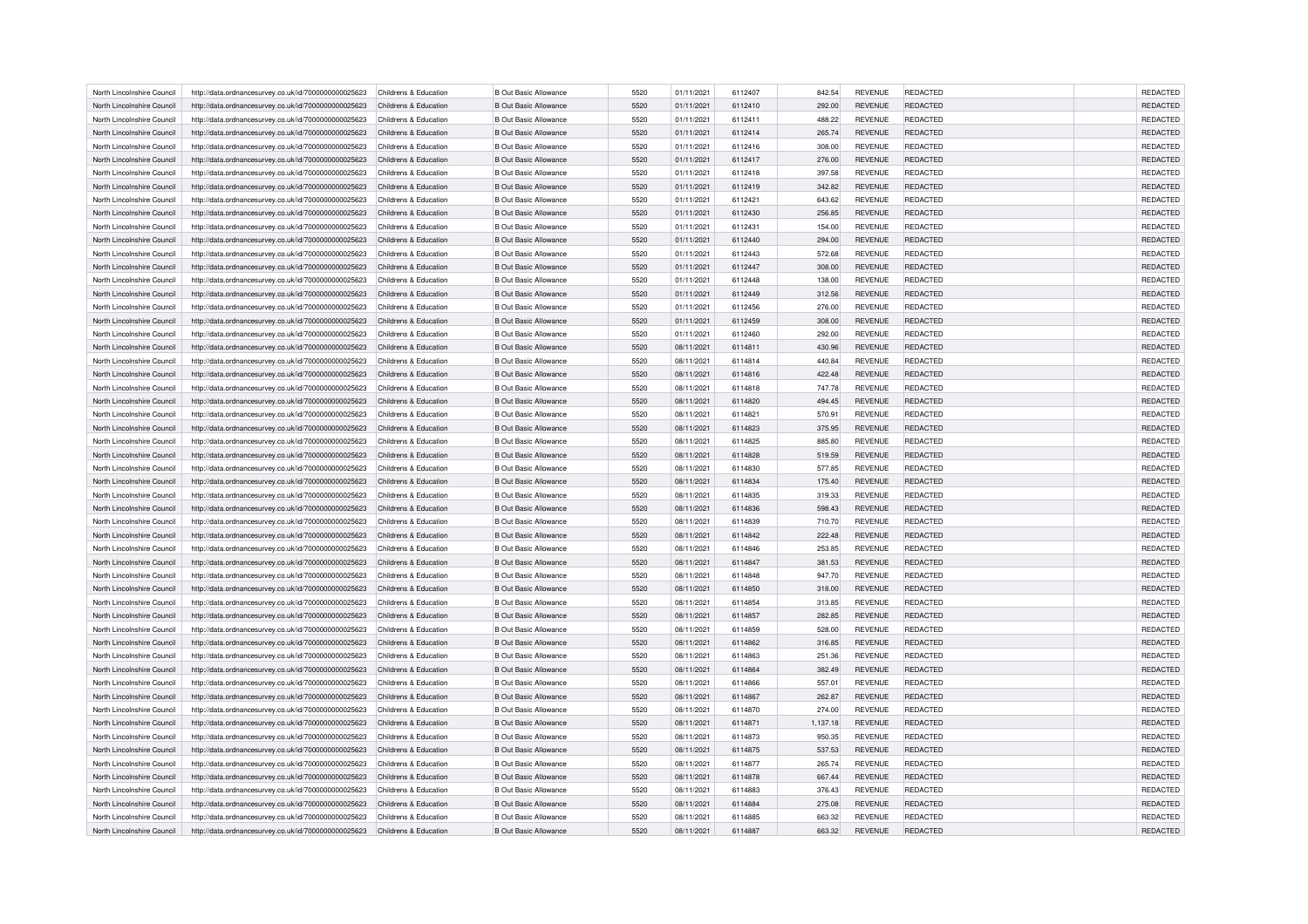| North Lincolnshire Council | http://data.ordnancesurvey.co.uk/id/7000000000025623                                                         | Childrens & Education | <b>B</b> Out Basic Allowance | 5520 | 01/11/2021 | 6112407 | 842.54   | REVENUE        | <b>REDACTED</b> | <b>REDACTED</b> |
|----------------------------|--------------------------------------------------------------------------------------------------------------|-----------------------|------------------------------|------|------------|---------|----------|----------------|-----------------|-----------------|
| North Lincolnshire Council | http://data.ordnancesurvey.co.uk/id/7000000000025623                                                         | Childrens & Education | <b>B</b> Out Basic Allowance | 5520 | 01/11/2021 | 6112410 | 292.00   | <b>REVENUE</b> | REDACTED        | REDACTED        |
| North Lincolnshire Council | http://data.ordnancesurvey.co.uk/id/7000000000025623                                                         | Childrens & Education | B Out Basic Allowance        | 5520 | 01/11/2021 | 6112411 | 488.22   | <b>REVENUE</b> | REDACTED        | REDACTED        |
| North Lincolnshire Council | http://data.ordnancesurvey.co.uk/id/7000000000025623                                                         | Childrens & Education | <b>B</b> Out Basic Allowance | 5520 | 01/11/2021 | 6112414 | 265.74   | <b>REVENUE</b> | <b>REDACTED</b> | REDACTED        |
| North Lincolnshire Council | http://data.ordnancesurvey.co.uk/id/7000000000025623                                                         | Childrens & Education | <b>B</b> Out Basic Allowance | 5520 | 01/11/2021 | 6112416 | 308.00   | <b>REVENUE</b> | REDACTED        | <b>REDACTED</b> |
| North Lincolnshire Council | http://data.ordnancesurvey.co.uk/id/7000000000025623                                                         | Childrens & Education | <b>B Out Basic Allowance</b> | 5520 | 01/11/2021 | 6112417 | 276.00   | <b>REVENUE</b> | REDACTED        | REDACTED        |
| North Lincolnshire Council | http://data.ordnancesurvey.co.uk/id/7000000000025623                                                         | Childrens & Education | B Out Basic Allowance        | 5520 | 01/11/2021 | 6112418 | 397.58   | <b>REVENUE</b> | REDACTED        | <b>REDACTED</b> |
| North Lincolnshire Council | http://data.ordnancesurvey.co.uk/id/7000000000025623                                                         | Childrens & Education | <b>B Out Basic Allowance</b> | 5520 | 01/11/2021 | 6112419 | 342.82   | <b>REVENUE</b> | REDACTED        | REDACTED        |
| North Lincolnshire Council | http://data.ordnancesurvey.co.uk/id/7000000000025623                                                         | Childrens & Education | <b>B Out Basic Allowance</b> | 5520 | 01/11/2021 | 6112421 | 643.62   | <b>REVENUE</b> | REDACTED        | REDACTED        |
| North Lincolnshire Council | http://data.ordnancesurvey.co.uk/id/7000000000025623                                                         | Childrens & Education | B Out Basic Allowance        | 5520 | 01/11/2021 | 6112430 | 256.85   | <b>REVENUE</b> | <b>REDACTED</b> | REDACTED        |
| North Lincolnshire Council | http://data.ordnancesurvey.co.uk/id/7000000000025623                                                         | Childrens & Education | <b>B Out Basic Allowance</b> | 5520 | 01/11/2021 | 6112431 | 154.00   | <b>REVENUE</b> | REDACTED        | <b>REDACTED</b> |
| North Lincolnshire Council | http://data.ordnancesurvey.co.uk/id/7000000000025623                                                         | Childrens & Education | <b>B Out Basic Allowance</b> | 5520 | 01/11/2021 | 6112440 | 294.00   | <b>REVENUE</b> | <b>REDACTED</b> | REDACTED        |
| North Lincolnshire Council |                                                                                                              | Childrens & Education | <b>B Out Basic Allowance</b> | 5520 | 01/11/2021 | 6112443 | 572.68   | <b>REVENUE</b> | REDACTED        | REDACTED        |
| North Lincolnshire Council | http://data.ordnancesurvey.co.uk/id/7000000000025623<br>http://data.ordnancesurvey.co.uk/id/7000000000025623 | Childrens & Education | <b>B Out Basic Allowance</b> | 5520 | 01/11/2021 | 6112447 | 308.00   | <b>REVENUE</b> | <b>REDACTED</b> | REDACTED        |
|                            |                                                                                                              |                       |                              |      |            |         |          |                |                 |                 |
| North Lincolnshire Council | http://data.ordnancesurvey.co.uk/id/7000000000025623                                                         | Childrens & Education | B Out Basic Allowance        | 5520 | 01/11/2021 | 6112448 | 138.00   | <b>REVENUE</b> | <b>REDACTED</b> | <b>REDACTED</b> |
| North Lincolnshire Council | http://data.ordnancesurvey.co.uk/id/7000000000025623                                                         | Childrens & Education | <b>B Out Basic Allowance</b> | 5520 | 01/11/2021 | 6112449 | 312.56   | <b>REVENUE</b> | REDACTED        | REDACTED        |
| North Lincolnshire Council | http://data.ordnancesurvey.co.uk/id/7000000000025623                                                         | Childrens & Education | B Out Basic Allowance        | 5520 | 01/11/2021 | 6112456 | 276.00   | <b>REVENUE</b> | <b>REDACTED</b> | REDACTED        |
| North Lincolnshire Council | http://data.ordnancesurvey.co.uk/id/7000000000025623                                                         | Childrens & Education | <b>B Out Basic Allowance</b> | 5520 | 01/11/2021 | 6112459 | 308.00   | <b>REVENUE</b> | <b>REDACTED</b> | REDACTED        |
| North Lincolnshire Council | http://data.ordnancesurvey.co.uk/id/7000000000025623                                                         | Childrens & Education | <b>B Out Basic Allowance</b> | 5520 | 01/11/2021 | 6112460 | 292.00   | REVENUE        | REDACTED        | REDACTED        |
| North Lincolnshire Council | http://data.ordnancesurvey.co.uk/id/7000000000025623                                                         | Childrens & Education | <b>B Out Basic Allowance</b> | 5520 | 08/11/2021 | 6114811 | 430.96   | <b>REVENUE</b> | REDACTED        | REDACTED        |
| North Lincolnshire Council | http://data.ordnancesurvey.co.uk/id/7000000000025623                                                         | Childrens & Education | B Out Basic Allowance        | 5520 | 08/11/2021 | 6114814 | 440.84   | <b>REVENUE</b> | <b>REDACTED</b> | REDACTED        |
| North Lincolnshire Council | http://data.ordnancesurvey.co.uk/id/7000000000025623                                                         | Childrens & Education | <b>B Out Basic Allowance</b> | 5520 | 08/11/2021 | 6114816 | 422.48   | <b>REVENUE</b> | <b>REDACTED</b> | REDACTED        |
| North Lincolnshire Council | http://data.ordnancesurvey.co.uk/id/7000000000025623                                                         | Childrens & Education | <b>B Out Basic Allowance</b> | 5520 | 08/11/2021 | 6114818 | 747.78   | <b>REVENUE</b> | REDACTED        | REDACTED        |
| North Lincolnshire Council | http://data.ordnancesurvey.co.uk/id/7000000000025623                                                         | Childrens & Education | <b>B Out Basic Allowance</b> | 5520 | 08/11/2021 | 6114820 | 494.45   | <b>REVENUE</b> | <b>REDACTED</b> | REDACTED        |
| North Lincolnshire Council | http://data.ordnancesurvey.co.uk/id/7000000000025623                                                         | Childrens & Education | <b>B Out Basic Allowance</b> | 5520 | 08/11/2021 | 6114821 | 570.91   | REVENUE        | <b>REDACTED</b> | REDACTED        |
| North Lincolnshire Council | http://data.ordnancesurvey.co.uk/id/7000000000025623                                                         | Childrens & Education | <b>B Out Basic Allowance</b> | 5520 | 08/11/2021 | 6114823 | 375.95   | <b>REVENUE</b> | <b>REDACTED</b> | REDACTED        |
| North Lincolnshire Council | http://data.ordnancesurvey.co.uk/id/7000000000025623                                                         | Childrens & Education | B Out Basic Allowance        | 5520 | 08/11/2021 | 6114825 | 885.80   | <b>REVENUE</b> | <b>REDACTED</b> | REDACTED        |
| North Lincolnshire Council | http://data.ordnancesurvey.co.uk/id/7000000000025623                                                         | Childrens & Education | <b>B Out Basic Allowance</b> | 5520 | 08/11/2021 | 6114828 | 519.59   | <b>REVENUE</b> | <b>REDACTED</b> | REDACTED        |
| North Lincolnshire Council | http://data.ordnancesurvey.co.uk/id/7000000000025623                                                         | Childrens & Education | <b>B Out Basic Allowance</b> | 5520 | 08/11/2021 | 6114830 | 577.85   | <b>REVENUE</b> | REDACTED        | REDACTED        |
| North Lincolnshire Council | http://data.ordnancesurvey.co.uk/id/7000000000025623                                                         | Childrens & Education | <b>B Out Basic Allowance</b> | 5520 | 08/11/2021 | 6114834 | 175.40   | <b>REVENUE</b> | <b>REDACTED</b> | REDACTED        |
| North Lincolnshire Council | http://data.ordnancesurvey.co.uk/id/7000000000025623                                                         | Childrens & Education | <b>B Out Basic Allowance</b> | 5520 | 08/11/2021 | 6114835 | 319.33   | <b>REVENUE</b> | <b>REDACTED</b> | <b>REDACTED</b> |
| North Lincolnshire Council | http://data.ordnancesurvey.co.uk/id/7000000000025623                                                         | Childrens & Education | <b>B Out Basic Allowance</b> | 5520 | 08/11/2021 | 6114836 | 598.43   | <b>REVENUE</b> | REDACTED        | REDACTED        |
| North Lincolnshire Council | http://data.ordnancesurvey.co.uk/id/7000000000025623                                                         | Childrens & Education | <b>B Out Basic Allowance</b> | 5520 | 08/11/2021 | 6114839 | 710.70   | <b>REVENUE</b> | <b>REDACTED</b> | REDACTED        |
| North Lincolnshire Council | http://data.ordnancesurvey.co.uk/id/7000000000025623                                                         | Childrens & Education | <b>B Out Basic Allowance</b> | 5520 | 08/11/2021 | 6114842 | 222.48   | <b>REVENUE</b> | <b>REDACTED</b> | REDACTED        |
| North Lincolnshire Council | http://data.ordnancesurvey.co.uk/id/7000000000025623                                                         | Childrens & Education | <b>B Out Basic Allowance</b> | 5520 | 08/11/2021 | 6114846 | 253.85   | <b>REVENUE</b> | <b>REDACTED</b> | <b>REDACTED</b> |
| North Lincolnshire Council | http://data.ordnancesurvey.co.uk/id/7000000000025623                                                         | Childrens & Education | <b>B Out Basic Allowance</b> | 5520 | 08/11/2021 | 6114847 | 381.53   | <b>REVENUE</b> | <b>REDACTED</b> | REDACTED        |
| North Lincolnshire Council | http://data.ordnancesurvey.co.uk/id/7000000000025623                                                         | Childrens & Education | B Out Basic Allowance        | 5520 | 08/11/2021 | 6114848 | 947.70   | REVENUE        | <b>REDACTED</b> | REDACTED        |
| North Lincolnshire Council | http://data.ordnancesurvey.co.uk/id/7000000000025623                                                         | Childrens & Education | <b>B Out Basic Allowance</b> | 5520 | 08/11/2021 | 6114850 | 318.00   | <b>REVENUE</b> | REDACTED        | REDACTED        |
| North Lincolnshire Council | http://data.ordnancesurvey.co.uk/id/7000000000025623                                                         | Childrens & Education | B Out Basic Allowance        | 5520 | 08/11/2021 | 6114854 | 313.85   | <b>REVENUE</b> | <b>REDACTED</b> | <b>REDACTED</b> |
| North Lincolnshire Council | http://data.ordnancesurvey.co.uk/id/7000000000025623                                                         | Childrens & Education | <b>B Out Basic Allowance</b> | 5520 | 08/11/2021 | 6114857 | 282.85   | <b>REVENUE</b> | <b>REDACTED</b> | REDACTED        |
| North Lincolnshire Council | http://data.ordnancesurvey.co.uk/id/7000000000025623                                                         | Childrens & Education | B Out Basic Allowance        | 5520 | 08/11/2021 | 6114859 | 528.00   | <b>REVENUE</b> | REDACTED        | <b>REDACTED</b> |
| North Lincolnshire Council | http://data.ordnancesurvey.co.uk/id/7000000000025623                                                         | Childrens & Education | <b>B Out Basic Allowance</b> | 5520 | 08/11/2021 | 6114862 | 316.85   | <b>REVENUE</b> | <b>REDACTED</b> | REDACTED        |
| North Lincolnshire Council | http://data.ordnancesurvey.co.uk/id/7000000000025623                                                         | Childrens & Education | B Out Basic Allowance        | 5520 | 08/11/2021 | 6114863 | 251.36   | REVENUE        | <b>REDACTED</b> | REDACTED        |
| North Lincolnshire Council | http://data.ordnancesurvey.co.uk/id/7000000000025623                                                         | Childrens & Education | <b>B Out Basic Allowance</b> | 5520 | 08/11/2021 | 6114864 | 382.49   | <b>REVENUE</b> | <b>REDACTED</b> | REDACTED        |
| North Lincolnshire Council | http://data.ordnancesurvey.co.uk/id/7000000000025623                                                         | Childrens & Education | B Out Basic Allowance        | 5520 | 08/11/2021 | 6114866 | 557.01   | <b>REVENUE</b> | <b>REDACTED</b> | REDACTED        |
| North Lincolnshire Council | http://data.ordnancesurvey.co.uk/id/7000000000025623                                                         | Childrens & Education | <b>B Out Basic Allowance</b> | 5520 | 08/11/2021 | 6114867 | 262.87   | <b>REVENUE</b> | <b>REDACTED</b> | REDACTED        |
| North Lincolnshire Council | http://data.ordnancesurvey.co.uk/id/7000000000025623                                                         | Childrens & Education | <b>B Out Basic Allowance</b> | 5520 | 08/11/2021 | 6114870 | 274.00   | <b>REVENUE</b> | REDACTED        | REDACTED        |
| North Lincolnshire Council | http://data.ordnancesurvey.co.uk/id/7000000000025623                                                         | Childrens & Education | <b>B Out Basic Allowance</b> | 5520 | 08/11/2021 | 6114871 | 1,137.18 | <b>REVENUE</b> | <b>REDACTED</b> | REDACTED        |
| North Lincolnshire Council | http://data.ordnancesurvey.co.uk/id/7000000000025623                                                         | Childrens & Education | B Out Basic Allowance        | 5520 | 08/11/2021 | 6114873 | 950.35   | REVENUE        | <b>REDACTED</b> | REDACTED        |
| North Lincolnshire Council | http://data.ordnancesurvey.co.uk/id/7000000000025623                                                         | Childrens & Education | <b>B Out Basic Allowance</b> | 5520 | 08/11/2021 | 6114875 | 537.53   | <b>REVENUE</b> | <b>REDACTED</b> | REDACTED        |
| North Lincolnshire Council | http://data.ordnancesurvey.co.uk/id/7000000000025623                                                         | Childrens & Education | B Out Basic Allowance        | 5520 | 08/11/2021 | 6114877 | 265.74   | <b>REVENUE</b> | <b>REDACTED</b> | REDACTED        |
| North Lincolnshire Council | http://data.ordnancesurvey.co.uk/id/7000000000025623                                                         | Childrens & Education | <b>B Out Basic Allowance</b> | 5520 | 08/11/2021 | 6114878 | 667.44   | <b>REVENUE</b> | <b>REDACTED</b> | REDACTED        |
| North Lincolnshire Council | http://data.ordnancesurvey.co.uk/id/7000000000025623                                                         | Childrens & Education | <b>B Out Basic Allowance</b> | 5520 | 08/11/2021 | 6114883 | 376.43   | <b>REVENUE</b> | REDACTED        | REDACTED        |
| North Lincolnshire Council | http://data.ordnancesurvey.co.uk/id/7000000000025623                                                         | Childrens & Education | <b>B Out Basic Allowance</b> | 5520 | 08/11/2021 | 6114884 | 275.08   | <b>REVENUE</b> | <b>REDACTED</b> | REDACTED        |
|                            |                                                                                                              |                       |                              | 5520 |            | 6114885 |          |                | <b>REDACTED</b> | <b>REDACTED</b> |
| North Lincolnshire Council | http://data.ordnancesurvey.co.uk/id/7000000000025623                                                         | Childrens & Education | <b>B Out Basic Allowance</b> |      | 08/11/2021 |         | 663.32   | <b>REVENUE</b> |                 |                 |
| North Lincolnshire Council | http://data.ordnancesurvey.co.uk/id/7000000000025623                                                         | Childrens & Education | <b>B Out Basic Allowance</b> | 5520 | 08/11/2021 | 6114887 | 663.32   | <b>REVENUE</b> | <b>REDACTED</b> | REDACTED        |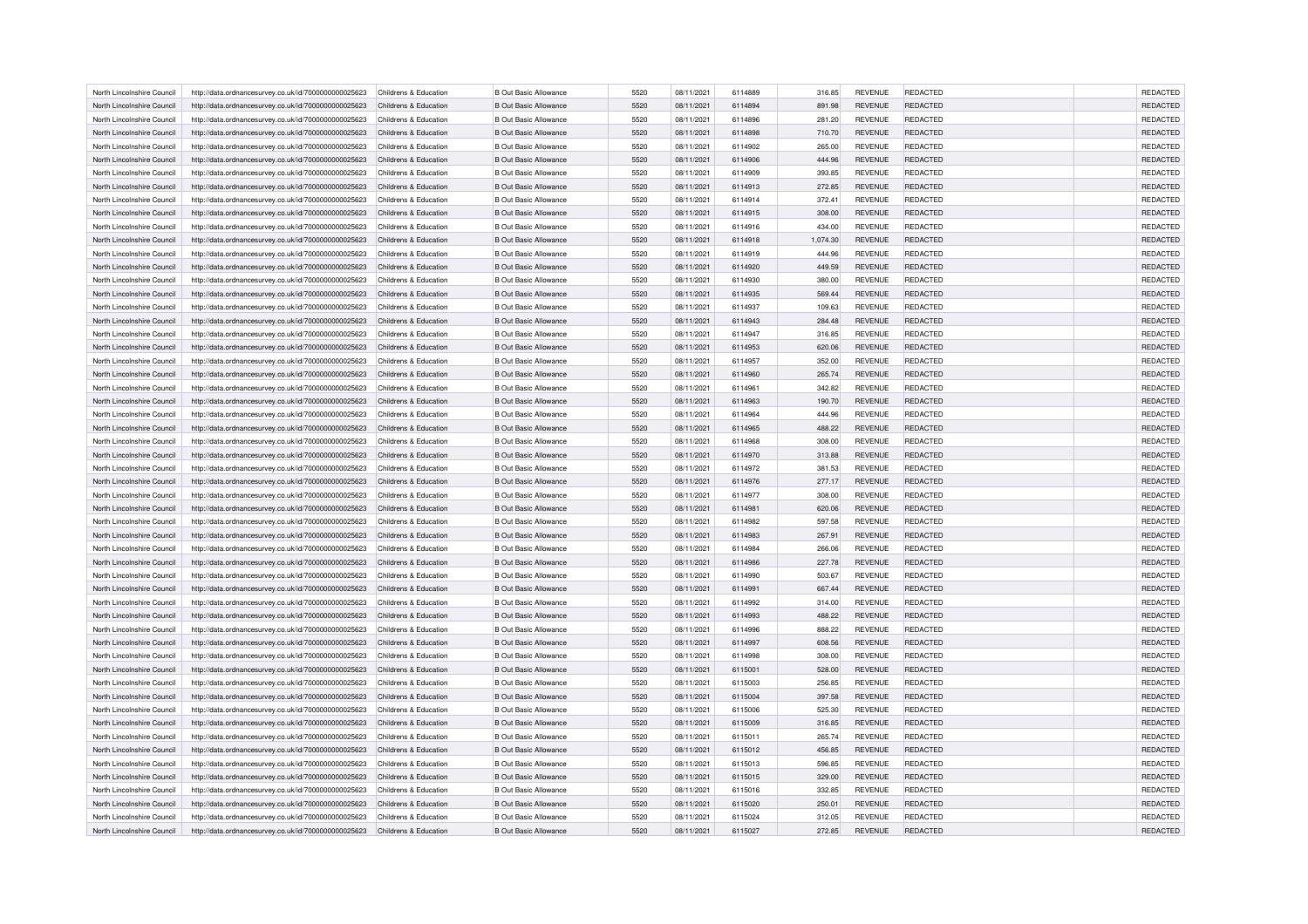| North Lincolnshire Council | http://data.ordnancesurvey.co.uk/id/7000000000025623 | Childrens & Education | <b>B</b> Out Basic Allowance | 5520 | 08/11/2021 | 6114889 | 316.85   | REVENUE        | <b>REDACTED</b> | <b>REDACTED</b> |
|----------------------------|------------------------------------------------------|-----------------------|------------------------------|------|------------|---------|----------|----------------|-----------------|-----------------|
| North Lincolnshire Council | http://data.ordnancesurvey.co.uk/id/7000000000025623 | Childrens & Education | <b>B</b> Out Basic Allowance | 5520 | 08/11/2021 | 6114894 | 891.98   | <b>REVENUE</b> | REDACTED        | REDACTED        |
| North Lincolnshire Council | http://data.ordnancesurvey.co.uk/id/7000000000025623 | Childrens & Education | B Out Basic Allowance        | 5520 | 08/11/2021 | 6114896 | 281.20   | <b>REVENUE</b> | REDACTED        | REDACTED        |
| North Lincolnshire Council | http://data.ordnancesurvey.co.uk/id/7000000000025623 | Childrens & Education | <b>B Out Basic Allowance</b> | 5520 | 08/11/2021 | 6114898 | 710.70   | <b>REVENUE</b> | <b>REDACTED</b> | REDACTED        |
| North Lincolnshire Council | http://data.ordnancesurvey.co.uk/id/7000000000025623 | Childrens & Education | <b>B</b> Out Basic Allowance | 5520 | 08/11/2021 | 6114902 | 265.00   | <b>REVENUE</b> | REDACTED        | <b>REDACTED</b> |
| North Lincolnshire Council | http://data.ordnancesurvey.co.uk/id/7000000000025623 | Childrens & Education | <b>B Out Basic Allowance</b> | 5520 | 08/11/2021 | 6114906 | 444.96   | <b>REVENUE</b> | REDACTED        | REDACTED        |
| North Lincolnshire Council | http://data.ordnancesurvey.co.uk/id/7000000000025623 | Childrens & Education | B Out Basic Allowance        | 5520 | 08/11/2021 | 6114909 | 393.85   | <b>REVENUE</b> | REDACTED        | <b>REDACTED</b> |
| North Lincolnshire Council | http://data.ordnancesurvey.co.uk/id/7000000000025623 | Childrens & Education | <b>B Out Basic Allowance</b> | 5520 | 08/11/2021 | 6114913 | 272.85   | <b>REVENUE</b> | REDACTED        | REDACTED        |
| North Lincolnshire Council | http://data.ordnancesurvey.co.uk/id/7000000000025623 | Childrens & Education | <b>B Out Basic Allowance</b> | 5520 | 08/11/2021 | 6114914 | 372.41   | <b>REVENUE</b> | REDACTED        | REDACTED        |
| North Lincolnshire Council | http://data.ordnancesurvey.co.uk/id/7000000000025623 | Childrens & Education | B Out Basic Allowance        | 5520 | 08/11/2021 | 6114915 | 308.00   | <b>REVENUE</b> | <b>REDACTED</b> | REDACTED        |
| North Lincolnshire Council | http://data.ordnancesurvey.co.uk/id/7000000000025623 | Childrens & Education | <b>B Out Basic Allowance</b> | 5520 | 08/11/2021 | 6114916 | 434.00   | <b>REVENUE</b> | REDACTED        | <b>REDACTED</b> |
| North Lincolnshire Council | http://data.ordnancesurvey.co.uk/id/7000000000025623 | Childrens & Education | <b>B Out Basic Allowance</b> | 5520 | 08/11/2021 | 6114918 | 1,074.30 | <b>REVENUE</b> | <b>REDACTED</b> | REDACTED        |
| North Lincolnshire Council | http://data.ordnancesurvey.co.uk/id/7000000000025623 | Childrens & Education | <b>B Out Basic Allowance</b> | 5520 | 08/11/2021 | 6114919 | 444.96   | <b>REVENUE</b> | REDACTED        | REDACTED        |
| North Lincolnshire Council | http://data.ordnancesurvey.co.uk/id/7000000000025623 | Childrens & Education | <b>B Out Basic Allowance</b> | 5520 | 08/11/2021 | 6114920 | 449.59   | <b>REVENUE</b> | REDACTED        | REDACTED        |
| North Lincolnshire Council | http://data.ordnancesurvey.co.uk/id/7000000000025623 | Childrens & Education | B Out Basic Allowance        | 5520 | 08/11/2021 | 6114930 | 380.00   | <b>REVENUE</b> | <b>REDACTED</b> | <b>REDACTED</b> |
|                            |                                                      |                       |                              | 5520 |            |         |          |                |                 |                 |
| North Lincolnshire Council | http://data.ordnancesurvey.co.uk/id/7000000000025623 | Childrens & Education | <b>B Out Basic Allowance</b> |      | 08/11/2021 | 6114935 | 569.44   | REVENUE        | <b>REDACTED</b> | REDACTED        |
| North Lincolnshire Council | http://data.ordnancesurvey.co.uk/id/7000000000025623 | Childrens & Education | B Out Basic Allowance        | 5520 | 08/11/2021 | 6114937 | 109.63   | <b>REVENUE</b> | <b>REDACTED</b> | REDACTED        |
| North Lincolnshire Council | http://data.ordnancesurvey.co.uk/id/7000000000025623 | Childrens & Education | <b>B Out Basic Allowance</b> | 5520 | 08/11/2021 | 6114943 | 284.48   | <b>REVENUE</b> | <b>REDACTED</b> | REDACTED        |
| North Lincolnshire Council | http://data.ordnancesurvey.co.uk/id/7000000000025623 | Childrens & Education | <b>B Out Basic Allowance</b> | 5520 | 08/11/2021 | 6114947 | 316.85   | REVENUE        | REDACTED        | REDACTED        |
| North Lincolnshire Council | http://data.ordnancesurvey.co.uk/id/7000000000025623 | Childrens & Education | <b>B Out Basic Allowance</b> | 5520 | 08/11/2021 | 6114953 | 620.06   | <b>REVENUE</b> | REDACTED        | REDACTED        |
| North Lincolnshire Council | http://data.ordnancesurvey.co.uk/id/7000000000025623 | Childrens & Education | B Out Basic Allowance        | 5520 | 08/11/2021 | 6114957 | 352.00   | <b>REVENUE</b> | <b>REDACTED</b> | REDACTED        |
| North Lincolnshire Council | http://data.ordnancesurvey.co.uk/id/7000000000025623 | Childrens & Education | <b>B Out Basic Allowance</b> | 5520 | 08/11/2021 | 6114960 | 265.74   | <b>REVENUE</b> | <b>REDACTED</b> | REDACTED        |
| North Lincolnshire Council | http://data.ordnancesurvey.co.uk/id/7000000000025623 | Childrens & Education | <b>B Out Basic Allowance</b> | 5520 | 08/11/2021 | 6114961 | 342.82   | <b>REVENUE</b> | REDACTED        | REDACTED        |
| North Lincolnshire Council | http://data.ordnancesurvey.co.uk/id/7000000000025623 | Childrens & Education | <b>B Out Basic Allowance</b> | 5520 | 08/11/2021 | 6114963 | 190.70   | <b>REVENUE</b> | <b>REDACTED</b> | REDACTED        |
| North Lincolnshire Council | http://data.ordnancesurvey.co.uk/id/7000000000025623 | Childrens & Education | <b>B Out Basic Allowance</b> | 5520 | 08/11/2021 | 6114964 | 444.96   | REVENUE        | <b>REDACTED</b> | REDACTED        |
| North Lincolnshire Council | http://data.ordnancesurvey.co.uk/id/7000000000025623 | Childrens & Education | <b>B Out Basic Allowance</b> | 5520 | 08/11/2021 | 6114965 | 488.22   | <b>REVENUE</b> | <b>REDACTED</b> | REDACTED        |
| North Lincolnshire Council | http://data.ordnancesurvey.co.uk/id/7000000000025623 | Childrens & Education | B Out Basic Allowance        | 5520 | 08/11/2021 | 6114968 | 308.00   | <b>REVENUE</b> | <b>REDACTED</b> | REDACTED        |
| North Lincolnshire Council | http://data.ordnancesurvey.co.uk/id/7000000000025623 | Childrens & Education | <b>B Out Basic Allowance</b> | 5520 | 08/11/2021 | 6114970 | 313.88   | <b>REVENUE</b> | <b>REDACTED</b> | REDACTED        |
| North Lincolnshire Council | http://data.ordnancesurvey.co.uk/id/7000000000025623 | Childrens & Education | <b>B Out Basic Allowance</b> | 5520 | 08/11/2021 | 6114972 | 381.53   | <b>REVENUE</b> | REDACTED        | REDACTED        |
| North Lincolnshire Council | http://data.ordnancesurvey.co.uk/id/7000000000025623 | Childrens & Education | <b>B Out Basic Allowance</b> | 5520 | 08/11/2021 | 6114976 | 277.17   | <b>REVENUE</b> | <b>REDACTED</b> | REDACTED        |
| North Lincolnshire Council | http://data.ordnancesurvey.co.uk/id/7000000000025623 | Childrens & Education | <b>B Out Basic Allowance</b> | 5520 | 08/11/2021 | 6114977 | 308.00   | <b>REVENUE</b> | <b>REDACTED</b> | <b>REDACTED</b> |
| North Lincolnshire Council | http://data.ordnancesurvey.co.uk/id/7000000000025623 | Childrens & Education | <b>B Out Basic Allowance</b> | 5520 | 08/11/2021 | 6114981 | 620.06   | <b>REVENUE</b> | REDACTED        | REDACTED        |
| North Lincolnshire Council | http://data.ordnancesurvey.co.uk/id/7000000000025623 | Childrens & Education | <b>B Out Basic Allowance</b> | 5520 | 08/11/2021 | 6114982 | 597.58   | <b>REVENUE</b> | <b>REDACTED</b> | REDACTED        |
| North Lincolnshire Council | http://data.ordnancesurvey.co.uk/id/7000000000025623 | Childrens & Education | <b>B Out Basic Allowance</b> | 5520 | 08/11/2021 | 6114983 | 267.91   | <b>REVENUE</b> | <b>REDACTED</b> | REDACTED        |
| North Lincolnshire Council | http://data.ordnancesurvey.co.uk/id/7000000000025623 | Childrens & Education | <b>B Out Basic Allowance</b> | 5520 | 08/11/2021 | 6114984 | 266.06   | <b>REVENUE</b> | <b>REDACTED</b> | <b>REDACTED</b> |
| North Lincolnshire Council | http://data.ordnancesurvey.co.uk/id/7000000000025623 | Childrens & Education | <b>B Out Basic Allowance</b> | 5520 | 08/11/2021 | 6114986 | 227.78   | <b>REVENUE</b> | <b>REDACTED</b> | REDACTED        |
| North Lincolnshire Council | http://data.ordnancesurvey.co.uk/id/7000000000025623 | Childrens & Education | B Out Basic Allowance        | 5520 | 08/11/2021 | 6114990 | 503.67   | REVENUE        | <b>REDACTED</b> | REDACTED        |
| North Lincolnshire Council | http://data.ordnancesurvey.co.uk/id/7000000000025623 | Childrens & Education | <b>B Out Basic Allowance</b> | 5520 | 08/11/2021 | 6114991 | 667.44   | <b>REVENUE</b> | REDACTED        | REDACTED        |
| North Lincolnshire Council | http://data.ordnancesurvey.co.uk/id/7000000000025623 | Childrens & Education | B Out Basic Allowance        | 5520 | 08/11/2021 | 6114992 | 314.00   | <b>REVENUE</b> | <b>REDACTED</b> | <b>REDACTED</b> |
| North Lincolnshire Council | http://data.ordnancesurvey.co.uk/id/7000000000025623 | Childrens & Education | <b>B Out Basic Allowance</b> | 5520 | 08/11/2021 | 6114993 | 488.22   | <b>REVENUE</b> | <b>REDACTED</b> | REDACTED        |
| North Lincolnshire Council | http://data.ordnancesurvey.co.uk/id/7000000000025623 | Childrens & Education | B Out Basic Allowance        | 5520 | 08/11/2021 | 6114996 | 888.22   | <b>REVENUE</b> | REDACTED        | <b>REDACTED</b> |
| North Lincolnshire Council | http://data.ordnancesurvey.co.uk/id/7000000000025623 | Childrens & Education | <b>B Out Basic Allowance</b> | 5520 | 08/11/2021 | 6114997 | 608.56   | <b>REVENUE</b> | <b>REDACTED</b> | REDACTED        |
| North Lincolnshire Council | http://data.ordnancesurvey.co.uk/id/7000000000025623 | Childrens & Education | B Out Basic Allowance        | 5520 | 08/11/2021 | 6114998 | 308.00   | REVENUE        | <b>REDACTED</b> | REDACTED        |
| North Lincolnshire Council | http://data.ordnancesurvey.co.uk/id/7000000000025623 | Childrens & Education | <b>B Out Basic Allowance</b> | 5520 | 08/11/2021 | 6115001 | 528.00   | <b>REVENUE</b> | <b>REDACTED</b> | REDACTED        |
| North Lincolnshire Council | http://data.ordnancesurvey.co.uk/id/7000000000025623 | Childrens & Education | B Out Basic Allowance        | 5520 | 08/11/2021 | 6115003 | 256.85   | <b>REVENUE</b> | <b>REDACTED</b> | REDACTED        |
| North Lincolnshire Council | http://data.ordnancesurvey.co.uk/id/7000000000025623 | Childrens & Education | <b>B Out Basic Allowance</b> | 5520 | 08/11/2021 | 6115004 | 397.58   | <b>REVENUE</b> | <b>REDACTED</b> | REDACTED        |
| North Lincolnshire Council | http://data.ordnancesurvey.co.uk/id/7000000000025623 | Childrens & Education | <b>B Out Basic Allowance</b> | 5520 | 08/11/2021 | 6115006 | 525.30   | <b>REVENUE</b> | REDACTED        | REDACTED        |
| North Lincolnshire Council | http://data.ordnancesurvey.co.uk/id/7000000000025623 | Childrens & Education | <b>B Out Basic Allowance</b> | 5520 | 08/11/2021 | 6115009 | 316.85   | <b>REVENUE</b> | <b>REDACTED</b> | REDACTED        |
| North Lincolnshire Council | http://data.ordnancesurvey.co.uk/id/7000000000025623 | Childrens & Education | B Out Basic Allowance        | 5520 | 08/11/2021 | 6115011 | 265.74   | REVENUE        | <b>REDACTED</b> | REDACTED        |
| North Lincolnshire Council | http://data.ordnancesurvey.co.uk/id/7000000000025623 | Childrens & Education | <b>B Out Basic Allowance</b> | 5520 | 08/11/2021 | 6115012 | 456.85   | <b>REVENUE</b> | <b>REDACTED</b> | REDACTED        |
| North Lincolnshire Council | http://data.ordnancesurvey.co.uk/id/7000000000025623 | Childrens & Education | B Out Basic Allowance        | 5520 | 08/11/2021 | 6115013 | 596.85   | <b>REVENUE</b> | <b>REDACTED</b> | REDACTED        |
| North Lincolnshire Council | http://data.ordnancesurvey.co.uk/id/7000000000025623 | Childrens & Education | <b>B Out Basic Allowance</b> | 5520 | 08/11/2021 | 6115015 | 329.00   | <b>REVENUE</b> | <b>REDACTED</b> | REDACTED        |
| North Lincolnshire Council | http://data.ordnancesurvey.co.uk/id/7000000000025623 | Childrens & Education | <b>B Out Basic Allowance</b> | 5520 | 08/11/2021 | 6115016 | 332.85   | <b>REVENUE</b> | REDACTED        | REDACTED        |
| North Lincolnshire Council | http://data.ordnancesurvey.co.uk/id/7000000000025623 | Childrens & Education | <b>B Out Basic Allowance</b> | 5520 | 08/11/2021 | 6115020 | 250.01   | <b>REVENUE</b> | <b>REDACTED</b> | REDACTED        |
| North Lincolnshire Council | http://data.ordnancesurvey.co.uk/id/7000000000025623 | Childrens & Education | <b>B Out Basic Allowance</b> | 5520 | 08/11/2021 | 6115024 | 312.05   | <b>REVENUE</b> | <b>REDACTED</b> | <b>REDACTED</b> |
| North Lincolnshire Council | http://data.ordnancesurvey.co.uk/id/7000000000025623 | Childrens & Education | <b>B Out Basic Allowance</b> | 5520 | 08/11/2021 | 6115027 | 272.85   | <b>REVENUE</b> | <b>REDACTED</b> | REDACTED        |
|                            |                                                      |                       |                              |      |            |         |          |                |                 |                 |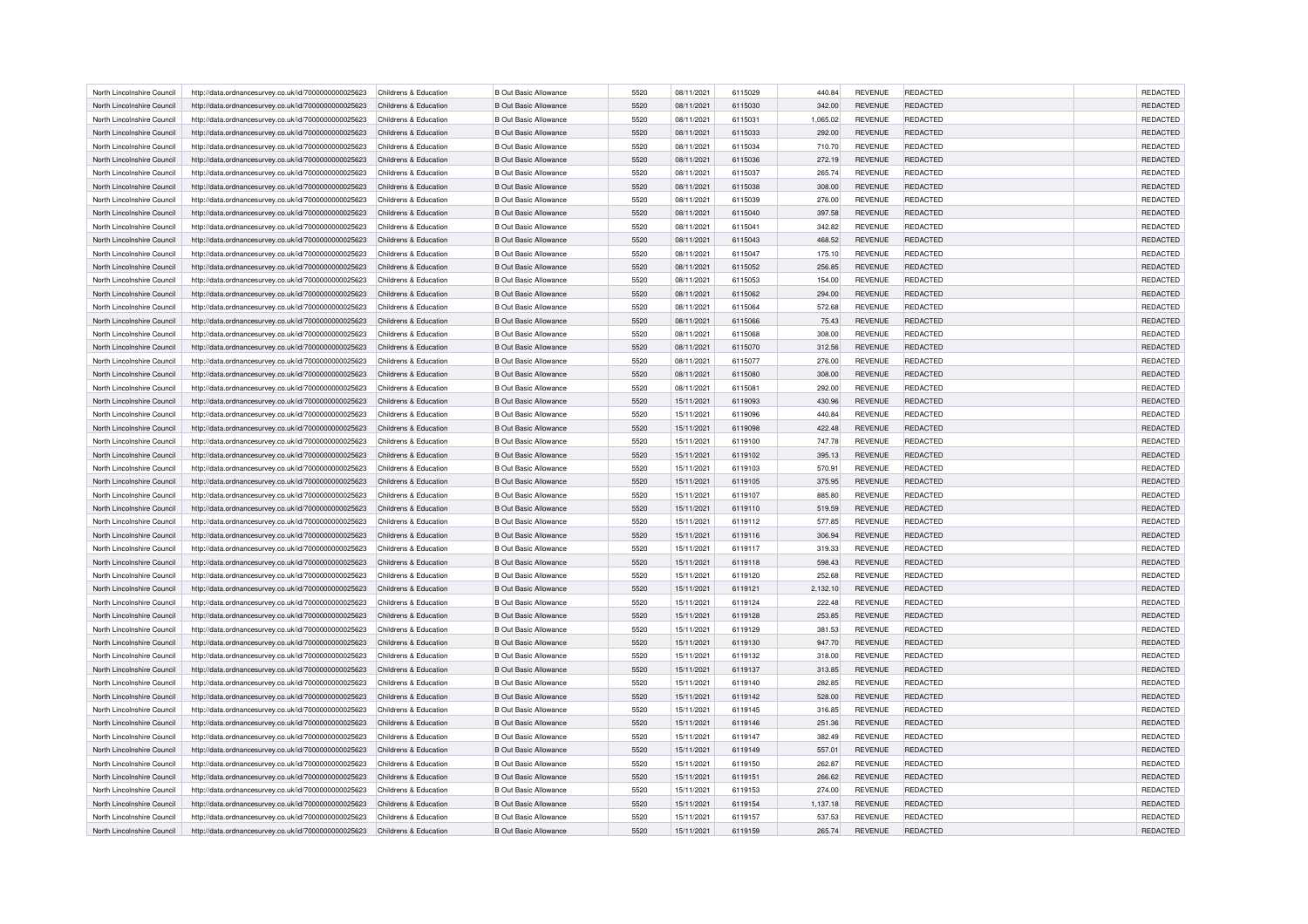| North Lincolnshire Council | http://data.ordnancesurvey.co.uk/id/7000000000025623                                                         | Childrens & Education | <b>B</b> Out Basic Allowance | 5520 | 08/11/2021 | 6115029 | 440.84   | REVENUE        | REDACTED        | <b>REDACTED</b> |
|----------------------------|--------------------------------------------------------------------------------------------------------------|-----------------------|------------------------------|------|------------|---------|----------|----------------|-----------------|-----------------|
| North Lincolnshire Council | http://data.ordnancesurvey.co.uk/id/7000000000025623                                                         | Childrens & Education | <b>B</b> Out Basic Allowance | 5520 | 08/11/2021 | 6115030 | 342.00   | <b>REVENUE</b> | REDACTED        | REDACTED        |
| North Lincolnshire Council | http://data.ordnancesurvey.co.uk/id/7000000000025623                                                         | Childrens & Education | B Out Basic Allowance        | 5520 | 08/11/2021 | 6115031 | 1.065.02 | <b>REVENUE</b> | REDACTED        | REDACTED        |
| North Lincolnshire Council | http://data.ordnancesurvey.co.uk/id/7000000000025623                                                         | Childrens & Education | <b>B</b> Out Basic Allowance | 5520 | 08/11/2021 | 6115033 | 292.00   | <b>REVENUE</b> | <b>REDACTED</b> | REDACTED        |
| North Lincolnshire Council | http://data.ordnancesurvey.co.uk/id/7000000000025623                                                         | Childrens & Education | <b>B</b> Out Basic Allowance | 5520 | 08/11/2021 | 6115034 | 710.70   | <b>REVENUE</b> | REDACTED        | <b>REDACTED</b> |
| North Lincolnshire Council | http://data.ordnancesurvey.co.uk/id/7000000000025623                                                         | Childrens & Education | <b>B Out Basic Allowance</b> | 5520 | 08/11/2021 | 6115036 | 272.19   | <b>REVENUE</b> | REDACTED        | REDACTED        |
| North Lincolnshire Council | http://data.ordnancesurvey.co.uk/id/7000000000025623                                                         | Childrens & Education | B Out Basic Allowance        | 5520 | 08/11/2021 | 6115037 | 265.74   | <b>REVENUE</b> | REDACTED        | <b>REDACTED</b> |
| North Lincolnshire Council | http://data.ordnancesurvey.co.uk/id/7000000000025623                                                         | Childrens & Education | <b>B Out Basic Allowance</b> | 5520 | 08/11/2021 | 6115038 | 308.00   | <b>REVENUE</b> | REDACTED        | REDACTED        |
| North Lincolnshire Council | http://data.ordnancesurvey.co.uk/id/7000000000025623                                                         | Childrens & Education | <b>B Out Basic Allowance</b> | 5520 | 08/11/2021 | 6115039 | 276.00   | <b>REVENUE</b> | REDACTED        | REDACTED        |
| North Lincolnshire Council | http://data.ordnancesurvey.co.uk/id/7000000000025623                                                         | Childrens & Education | B Out Basic Allowance        | 5520 | 08/11/2021 | 6115040 | 397.58   | <b>REVENUE</b> | <b>REDACTED</b> | REDACTED        |
| North Lincolnshire Council | http://data.ordnancesurvey.co.uk/id/7000000000025623                                                         | Childrens & Education | <b>B Out Basic Allowance</b> | 5520 | 08/11/2021 | 6115041 | 342.82   | <b>REVENUE</b> | REDACTED        | <b>REDACTED</b> |
| North Lincolnshire Council | http://data.ordnancesurvey.co.uk/id/7000000000025623                                                         | Childrens & Education | <b>B Out Basic Allowance</b> | 5520 | 08/11/2021 | 6115043 | 468.52   | <b>REVENUE</b> | REDACTED        | REDACTED        |
| North Lincolnshire Council |                                                                                                              | Childrens & Education | <b>B Out Basic Allowance</b> | 5520 | 08/11/2021 | 6115047 | 175.10   | REVENUE        | REDACTED        | REDACTED        |
| North Lincolnshire Council | http://data.ordnancesurvey.co.uk/id/7000000000025623<br>http://data.ordnancesurvey.co.uk/id/7000000000025623 | Childrens & Education | <b>B Out Basic Allowance</b> | 5520 | 08/11/2021 | 6115052 | 256.85   | <b>REVENUE</b> | REDACTED        | REDACTED        |
|                            |                                                                                                              |                       |                              |      |            |         |          |                |                 |                 |
| North Lincolnshire Council | http://data.ordnancesurvey.co.uk/id/7000000000025623                                                         | Childrens & Education | B Out Basic Allowance        | 5520 | 08/11/2021 | 6115053 | 154.00   | <b>REVENUE</b> | <b>REDACTED</b> | <b>REDACTED</b> |
| North Lincolnshire Council | http://data.ordnancesurvey.co.uk/id/7000000000025623                                                         | Childrens & Education | <b>B Out Basic Allowance</b> | 5520 | 08/11/2021 | 6115062 | 294.00   | REVENUE        | REDACTED        | REDACTED        |
| North Lincolnshire Council | http://data.ordnancesurvey.co.uk/id/7000000000025623                                                         | Childrens & Education | B Out Basic Allowance        | 5520 | 08/11/2021 | 6115064 | 572.68   | <b>REVENUE</b> | <b>REDACTED</b> | REDACTED        |
| North Lincolnshire Council | http://data.ordnancesurvey.co.uk/id/7000000000025623                                                         | Childrens & Education | <b>B Out Basic Allowance</b> | 5520 | 08/11/2021 | 6115066 | 75.43    | <b>REVENUE</b> | <b>REDACTED</b> | REDACTED        |
| North Lincolnshire Council | http://data.ordnancesurvey.co.uk/id/7000000000025623                                                         | Childrens & Education | <b>B Out Basic Allowance</b> | 5520 | 08/11/2021 | 6115068 | 308.00   | REVENUE        | REDACTED        | REDACTED        |
| North Lincolnshire Council | http://data.ordnancesurvey.co.uk/id/7000000000025623                                                         | Childrens & Education | <b>B Out Basic Allowance</b> | 5520 | 08/11/2021 | 6115070 | 312.56   | <b>REVENUE</b> | REDACTED        | REDACTED        |
| North Lincolnshire Council | http://data.ordnancesurvey.co.uk/id/7000000000025623                                                         | Childrens & Education | B Out Basic Allowance        | 5520 | 08/11/2021 | 6115077 | 276.00   | <b>REVENUE</b> | <b>REDACTED</b> | REDACTED        |
| North Lincolnshire Council | http://data.ordnancesurvey.co.uk/id/7000000000025623                                                         | Childrens & Education | <b>B Out Basic Allowance</b> | 5520 | 08/11/2021 | 6115080 | 308.00   | <b>REVENUE</b> | <b>REDACTED</b> | REDACTED        |
| North Lincolnshire Council | http://data.ordnancesurvey.co.uk/id/7000000000025623                                                         | Childrens & Education | <b>B Out Basic Allowance</b> | 5520 | 08/11/2021 | 6115081 | 292.00   | <b>REVENUE</b> | REDACTED        | REDACTED        |
| North Lincolnshire Council | http://data.ordnancesurvey.co.uk/id/7000000000025623                                                         | Childrens & Education | <b>B Out Basic Allowance</b> | 5520 | 15/11/2021 | 6119093 | 430.96   | <b>REVENUE</b> | <b>REDACTED</b> | <b>REDACTED</b> |
| North Lincolnshire Council | http://data.ordnancesurvey.co.uk/id/7000000000025623                                                         | Childrens & Education | <b>B Out Basic Allowance</b> | 5520 | 15/11/2021 | 6119096 | 440.84   | <b>REVENUE</b> | <b>REDACTED</b> | REDACTED        |
| North Lincolnshire Council | http://data.ordnancesurvey.co.uk/id/7000000000025623                                                         | Childrens & Education | <b>B Out Basic Allowance</b> | 5520 | 15/11/2021 | 6119098 | 422.48   | <b>REVENUE</b> | <b>REDACTED</b> | REDACTED        |
| North Lincolnshire Council | http://data.ordnancesurvey.co.uk/id/7000000000025623                                                         | Childrens & Education | B Out Basic Allowance        | 5520 | 15/11/2021 | 6119100 | 747.78   | <b>REVENUE</b> | <b>REDACTED</b> | REDACTED        |
| North Lincolnshire Council | http://data.ordnancesurvey.co.uk/id/7000000000025623                                                         | Childrens & Education | <b>B Out Basic Allowance</b> | 5520 | 15/11/2021 | 6119102 | 395.13   | <b>REVENUE</b> | <b>REDACTED</b> | REDACTED        |
| North Lincolnshire Council | http://data.ordnancesurvey.co.uk/id/7000000000025623                                                         | Childrens & Education | <b>B Out Basic Allowance</b> | 5520 | 15/11/2021 | 6119103 | 570.91   | <b>REVENUE</b> | REDACTED        | REDACTED        |
| North Lincolnshire Council | http://data.ordnancesurvey.co.uk/id/7000000000025623                                                         | Childrens & Education | <b>B Out Basic Allowance</b> | 5520 | 15/11/2021 | 6119105 | 375.95   | <b>REVENUE</b> | <b>REDACTED</b> | REDACTED        |
| North Lincolnshire Council | http://data.ordnancesurvey.co.uk/id/7000000000025623                                                         | Childrens & Education | <b>B Out Basic Allowance</b> | 5520 | 15/11/2021 | 6119107 | 885.80   | <b>REVENUE</b> | <b>REDACTED</b> | <b>REDACTED</b> |
| North Lincolnshire Council | http://data.ordnancesurvey.co.uk/id/7000000000025623                                                         | Childrens & Education | <b>B Out Basic Allowance</b> | 5520 | 15/11/2021 | 6119110 | 519.59   | <b>REVENUE</b> | REDACTED        | REDACTED        |
| North Lincolnshire Council | http://data.ordnancesurvey.co.uk/id/7000000000025623                                                         | Childrens & Education | <b>B Out Basic Allowance</b> | 5520 | 15/11/2021 | 6119112 | 577.85   | <b>REVENUE</b> | <b>REDACTED</b> | REDACTED        |
| North Lincolnshire Council | http://data.ordnancesurvey.co.uk/id/7000000000025623                                                         | Childrens & Education | <b>B Out Basic Allowance</b> | 5520 | 15/11/2021 | 6119116 | 306.94   | <b>REVENUE</b> | <b>REDACTED</b> | REDACTED        |
| North Lincolnshire Council | http://data.ordnancesurvey.co.uk/id/7000000000025623                                                         | Childrens & Education | <b>B Out Basic Allowance</b> | 5520 | 15/11/2021 | 6119117 | 319.33   | <b>REVENUE</b> | <b>REDACTED</b> | <b>REDACTED</b> |
| North Lincolnshire Council | http://data.ordnancesurvey.co.uk/id/7000000000025623                                                         | Childrens & Education | <b>B Out Basic Allowance</b> | 5520 | 15/11/2021 | 6119118 | 598.43   | <b>REVENUE</b> | <b>REDACTED</b> | REDACTED        |
| North Lincolnshire Council | http://data.ordnancesurvey.co.uk/id/7000000000025623                                                         | Childrens & Education | B Out Basic Allowance        | 5520 | 15/11/2021 | 6119120 | 252.68   | REVENUE        | <b>REDACTED</b> | REDACTED        |
| North Lincolnshire Council | http://data.ordnancesurvey.co.uk/id/7000000000025623                                                         | Childrens & Education | <b>B Out Basic Allowance</b> | 5520 | 15/11/2021 | 6119121 | 2,132.10 | <b>REVENUE</b> | REDACTED        | REDACTED        |
| North Lincolnshire Council | http://data.ordnancesurvey.co.uk/id/7000000000025623                                                         | Childrens & Education | B Out Basic Allowance        | 5520 | 15/11/2021 | 6119124 | 222.48   | <b>REVENUE</b> | <b>REDACTED</b> | <b>REDACTED</b> |
| North Lincolnshire Council | http://data.ordnancesurvey.co.uk/id/7000000000025623                                                         | Childrens & Education | <b>B Out Basic Allowance</b> | 5520 | 15/11/2021 | 6119128 | 253.85   | <b>REVENUE</b> | <b>REDACTED</b> | REDACTED        |
| North Lincolnshire Council | http://data.ordnancesurvey.co.uk/id/7000000000025623                                                         | Childrens & Education | B Out Basic Allowance        | 5520 | 15/11/2021 | 6119129 | 381.53   | <b>REVENUE</b> | <b>REDACTED</b> | <b>REDACTED</b> |
| North Lincolnshire Council | http://data.ordnancesurvey.co.uk/id/7000000000025623                                                         | Childrens & Education | <b>B Out Basic Allowance</b> | 5520 | 15/11/2021 | 6119130 | 947.70   | <b>REVENUE</b> | <b>REDACTED</b> | REDACTED        |
| North Lincolnshire Council | http://data.ordnancesurvey.co.uk/id/7000000000025623                                                         | Childrens & Education | B Out Basic Allowance        | 5520 | 15/11/2021 | 6119132 | 318.00   | REVENUE        | <b>REDACTED</b> | REDACTED        |
| North Lincolnshire Council | http://data.ordnancesurvey.co.uk/id/7000000000025623                                                         | Childrens & Education | <b>B Out Basic Allowance</b> | 5520 | 15/11/2021 | 6119137 | 313.85   | <b>REVENUE</b> | <b>REDACTED</b> | REDACTED        |
| North Lincolnshire Council | http://data.ordnancesurvey.co.uk/id/7000000000025623                                                         | Childrens & Education | B Out Basic Allowance        | 5520 | 15/11/2021 | 6119140 | 282.85   | <b>REVENUE</b> | <b>REDACTED</b> | REDACTED        |
| North Lincolnshire Council | http://data.ordnancesurvey.co.uk/id/7000000000025623                                                         | Childrens & Education | <b>B Out Basic Allowance</b> | 5520 | 15/11/2021 | 6119142 | 528.00   | <b>REVENUE</b> | <b>REDACTED</b> | REDACTED        |
| North Lincolnshire Council | http://data.ordnancesurvey.co.uk/id/7000000000025623                                                         | Childrens & Education | <b>B Out Basic Allowance</b> | 5520 | 15/11/2021 | 6119145 | 316.85   | <b>REVENUE</b> | REDACTED        | REDACTED        |
| North Lincolnshire Council | http://data.ordnancesurvey.co.uk/id/7000000000025623                                                         | Childrens & Education | <b>B Out Basic Allowance</b> | 5520 | 15/11/2021 | 6119146 | 251.36   | <b>REVENUE</b> | <b>REDACTED</b> | REDACTED        |
|                            |                                                                                                              |                       |                              |      |            |         |          |                |                 |                 |
| North Lincolnshire Council | http://data.ordnancesurvey.co.uk/id/7000000000025623                                                         | Childrens & Education | B Out Basic Allowance        | 5520 | 15/11/2021 | 6119147 | 382.49   | REVENUE        | <b>REDACTED</b> | REDACTED        |
| North Lincolnshire Council | http://data.ordnancesurvey.co.uk/id/7000000000025623                                                         | Childrens & Education | <b>B Out Basic Allowance</b> | 5520 | 15/11/2021 | 6119149 | 557.01   | <b>REVENUE</b> | <b>REDACTED</b> | REDACTED        |
| North Lincolnshire Council | http://data.ordnancesurvey.co.uk/id/7000000000025623                                                         | Childrens & Education | B Out Basic Allowance        | 5520 | 15/11/2021 | 6119150 | 262.87   | <b>REVENUE</b> | <b>REDACTED</b> | REDACTED        |
| North Lincolnshire Council | http://data.ordnancesurvey.co.uk/id/7000000000025623                                                         | Childrens & Education | <b>B Out Basic Allowance</b> | 5520 | 15/11/2021 | 6119151 | 266.62   | <b>REVENUE</b> | <b>REDACTED</b> | REDACTED        |
| North Lincolnshire Council | http://data.ordnancesurvey.co.uk/id/7000000000025623                                                         | Childrens & Education | <b>B Out Basic Allowance</b> | 5520 | 15/11/2021 | 6119153 | 274.00   | <b>REVENUE</b> | REDACTED        | REDACTED        |
| North Lincolnshire Council | http://data.ordnancesurvey.co.uk/id/7000000000025623                                                         | Childrens & Education | <b>B Out Basic Allowance</b> | 5520 | 15/11/2021 | 6119154 | 1,137.18 | <b>REVENUE</b> | <b>REDACTED</b> | REDACTED        |
| North Lincolnshire Council | http://data.ordnancesurvey.co.uk/id/7000000000025623                                                         | Childrens & Education | <b>B Out Basic Allowance</b> | 5520 | 15/11/2021 | 6119157 | 537.53   | <b>REVENUE</b> | <b>REDACTED</b> | <b>REDACTED</b> |
| North Lincolnshire Council | http://data.ordnancesurvey.co.uk/id/7000000000025623                                                         | Childrens & Education | <b>B Out Basic Allowance</b> | 5520 | 15/11/2021 | 6119159 | 265.74   | <b>REVENUE</b> | <b>REDACTED</b> | REDACTED        |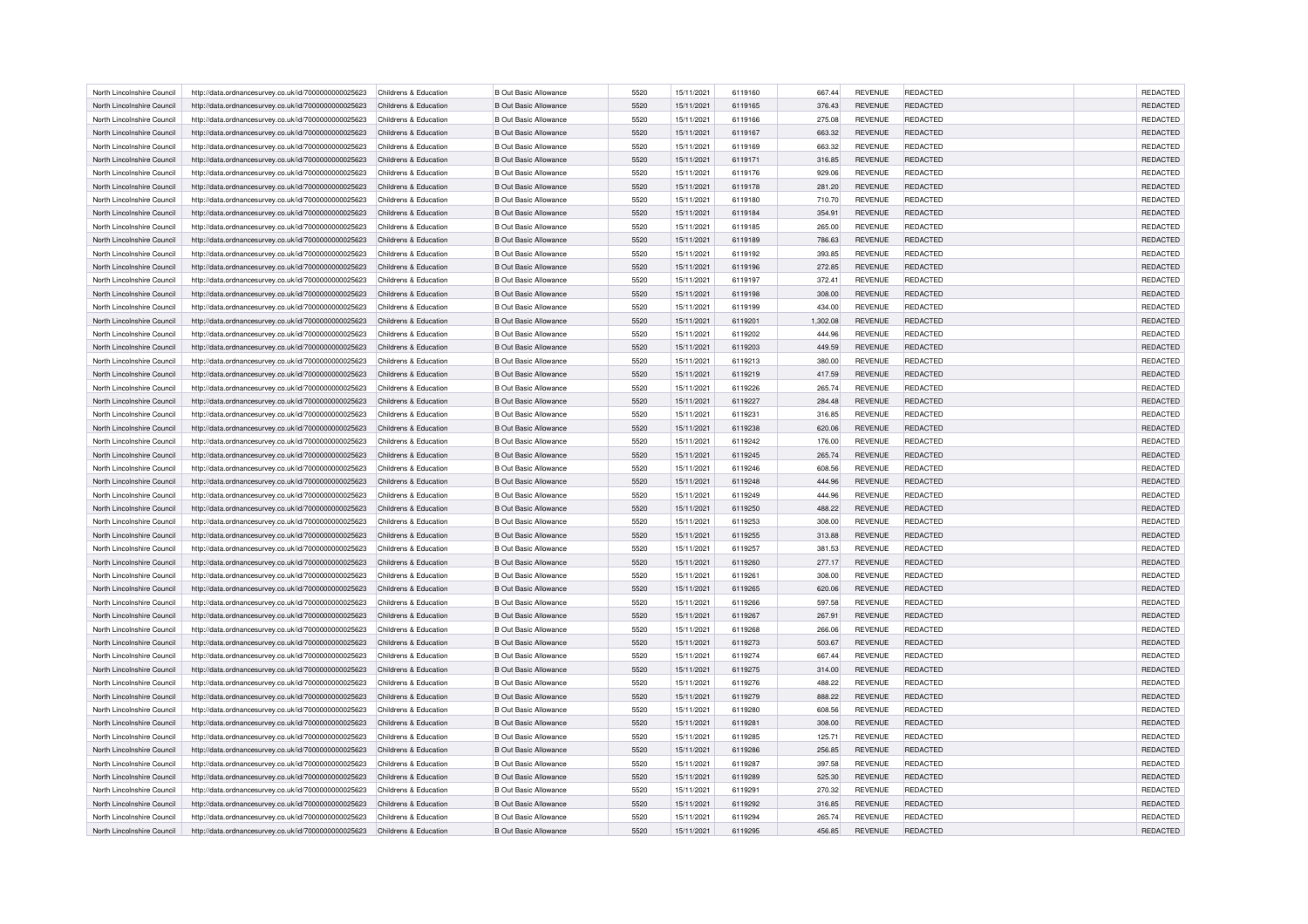| North Lincolnshire Council | http://data.ordnancesurvey.co.uk/id/7000000000025623 | Childrens & Education | <b>B</b> Out Basic Allowance | 5520 | 15/11/2021 | 6119160 | 667.44   | REVENUE        | <b>REDACTED</b> | <b>REDACTED</b> |
|----------------------------|------------------------------------------------------|-----------------------|------------------------------|------|------------|---------|----------|----------------|-----------------|-----------------|
| North Lincolnshire Council | http://data.ordnancesurvey.co.uk/id/7000000000025623 | Childrens & Education | <b>B</b> Out Basic Allowance | 5520 | 15/11/2021 | 6119165 | 376.43   | <b>REVENUE</b> | REDACTED        | REDACTED        |
| North Lincolnshire Council | http://data.ordnancesurvey.co.uk/id/7000000000025623 | Childrens & Education | B Out Basic Allowance        | 5520 | 15/11/2021 | 6119166 | 275.08   | <b>REVENUE</b> | REDACTED        | REDACTED        |
| North Lincolnshire Council | http://data.ordnancesurvey.co.uk/id/7000000000025623 | Childrens & Education | <b>B</b> Out Basic Allowance | 5520 | 15/11/2021 | 6119167 | 663.32   | <b>REVENUE</b> | <b>REDACTED</b> | REDACTED        |
| North Lincolnshire Council | http://data.ordnancesurvey.co.uk/id/7000000000025623 | Childrens & Education | <b>B</b> Out Basic Allowance | 5520 | 15/11/2021 | 6119169 | 663.32   | <b>REVENUE</b> | REDACTED        | <b>REDACTED</b> |
| North Lincolnshire Council | http://data.ordnancesurvey.co.uk/id/7000000000025623 | Childrens & Education | <b>B Out Basic Allowance</b> | 5520 | 15/11/2021 | 6119171 | 316.85   | <b>REVENUE</b> | REDACTED        | REDACTED        |
| North Lincolnshire Council | http://data.ordnancesurvey.co.uk/id/7000000000025623 | Childrens & Education | B Out Basic Allowance        | 5520 | 15/11/2021 | 6119176 | 929.06   | <b>REVENUE</b> | REDACTED        | <b>REDACTED</b> |
| North Lincolnshire Council | http://data.ordnancesurvey.co.uk/id/7000000000025623 | Childrens & Education | <b>B Out Basic Allowance</b> | 5520 | 15/11/2021 | 6119178 | 281.20   | <b>REVENUE</b> | REDACTED        | REDACTED        |
| North Lincolnshire Council | http://data.ordnancesurvey.co.uk/id/7000000000025623 | Childrens & Education | <b>B Out Basic Allowance</b> | 5520 | 15/11/2021 | 6119180 | 710.70   | <b>REVENUE</b> | REDACTED        | REDACTED        |
| North Lincolnshire Council | http://data.ordnancesurvey.co.uk/id/7000000000025623 | Childrens & Education | B Out Basic Allowance        | 5520 | 15/11/2021 | 6119184 | 354.91   | <b>REVENUE</b> | <b>REDACTED</b> | REDACTED        |
| North Lincolnshire Council | http://data.ordnancesurvey.co.uk/id/7000000000025623 | Childrens & Education | <b>B Out Basic Allowance</b> | 5520 | 15/11/2021 | 6119185 | 265.00   | <b>REVENUE</b> | REDACTED        | <b>REDACTED</b> |
| North Lincolnshire Council | http://data.ordnancesurvey.co.uk/id/7000000000025623 | Childrens & Education | <b>B Out Basic Allowance</b> | 5520 | 15/11/2021 | 6119189 | 786.63   | <b>REVENUE</b> | REDACTED        | REDACTED        |
| North Lincolnshire Council | http://data.ordnancesurvey.co.uk/id/7000000000025623 | Childrens & Education | <b>B Out Basic Allowance</b> | 5520 | 15/11/2021 | 6119192 | 393.85   | <b>REVENUE</b> | REDACTED        | REDACTED        |
| North Lincolnshire Council | http://data.ordnancesurvey.co.uk/id/7000000000025623 | Childrens & Education | <b>B Out Basic Allowance</b> | 5520 | 15/11/2021 | 6119196 | 272.85   | <b>REVENUE</b> | REDACTED        | REDACTED        |
| North Lincolnshire Council | http://data.ordnancesurvey.co.uk/id/7000000000025623 | Childrens & Education | B Out Basic Allowance        | 5520 | 15/11/2021 | 6119197 | 372.41   | <b>REVENUE</b> | <b>REDACTED</b> | <b>REDACTED</b> |
|                            |                                                      |                       |                              | 5520 |            |         |          |                |                 |                 |
| North Lincolnshire Council | http://data.ordnancesurvey.co.uk/id/7000000000025623 | Childrens & Education | <b>B Out Basic Allowance</b> |      | 15/11/2021 | 6119198 | 308.00   | <b>REVENUE</b> | <b>REDACTED</b> | REDACTED        |
| North Lincolnshire Council | http://data.ordnancesurvey.co.uk/id/7000000000025623 | Childrens & Education | B Out Basic Allowance        | 5520 | 15/11/2021 | 6119199 | 434.00   | <b>REVENUE</b> | REDACTED        | REDACTED        |
| North Lincolnshire Council | http://data.ordnancesurvey.co.uk/id/7000000000025623 | Childrens & Education | <b>B Out Basic Allowance</b> | 5520 | 15/11/2021 | 6119201 | 1,302.08 | <b>REVENUE</b> | <b>REDACTED</b> | REDACTED        |
| North Lincolnshire Council | http://data.ordnancesurvey.co.uk/id/7000000000025623 | Childrens & Education | <b>B Out Basic Allowance</b> | 5520 | 15/11/2021 | 6119202 | 444.96   | REVENUE        | REDACTED        | REDACTED        |
| North Lincolnshire Council | http://data.ordnancesurvey.co.uk/id/7000000000025623 | Childrens & Education | <b>B Out Basic Allowance</b> | 5520 | 15/11/2021 | 6119203 | 449.59   | <b>REVENUE</b> | REDACTED        | REDACTED        |
| North Lincolnshire Council | http://data.ordnancesurvey.co.uk/id/7000000000025623 | Childrens & Education | B Out Basic Allowance        | 5520 | 15/11/2021 | 6119213 | 380.00   | <b>REVENUE</b> | <b>REDACTED</b> | REDACTED        |
| North Lincolnshire Council | http://data.ordnancesurvey.co.uk/id/7000000000025623 | Childrens & Education | <b>B Out Basic Allowance</b> | 5520 | 15/11/2021 | 6119219 | 417.59   | <b>REVENUE</b> | <b>REDACTED</b> | REDACTED        |
| North Lincolnshire Council | http://data.ordnancesurvey.co.uk/id/7000000000025623 | Childrens & Education | <b>B Out Basic Allowance</b> | 5520 | 15/11/2021 | 6119226 | 265.74   | <b>REVENUE</b> | REDACTED        | REDACTED        |
| North Lincolnshire Council | http://data.ordnancesurvey.co.uk/id/7000000000025623 | Childrens & Education | <b>B Out Basic Allowance</b> | 5520 | 15/11/2021 | 6119227 | 284.48   | <b>REVENUE</b> | <b>REDACTED</b> | <b>REDACTED</b> |
| North Lincolnshire Council | http://data.ordnancesurvey.co.uk/id/7000000000025623 | Childrens & Education | <b>B Out Basic Allowance</b> | 5520 | 15/11/2021 | 6119231 | 316.85   | REVENUE        | <b>REDACTED</b> | REDACTED        |
| North Lincolnshire Council | http://data.ordnancesurvey.co.uk/id/7000000000025623 | Childrens & Education | <b>B Out Basic Allowance</b> | 5520 | 15/11/2021 | 6119238 | 620.06   | <b>REVENUE</b> | <b>REDACTED</b> | REDACTED        |
| North Lincolnshire Council | http://data.ordnancesurvey.co.uk/id/7000000000025623 | Childrens & Education | B Out Basic Allowance        | 5520 | 15/11/2021 | 6119242 | 176.00   | <b>REVENUE</b> | <b>REDACTED</b> | REDACTED        |
| North Lincolnshire Council | http://data.ordnancesurvey.co.uk/id/7000000000025623 | Childrens & Education | <b>B Out Basic Allowance</b> | 5520 | 15/11/2021 | 6119245 | 265.74   | <b>REVENUE</b> | <b>REDACTED</b> | REDACTED        |
| North Lincolnshire Council | http://data.ordnancesurvey.co.uk/id/7000000000025623 | Childrens & Education | <b>B Out Basic Allowance</b> | 5520 | 15/11/2021 | 6119246 | 608.56   | <b>REVENUE</b> | REDACTED        | REDACTED        |
| North Lincolnshire Council | http://data.ordnancesurvey.co.uk/id/7000000000025623 | Childrens & Education | <b>B Out Basic Allowance</b> | 5520 | 15/11/2021 | 6119248 | 444.96   | <b>REVENUE</b> | <b>REDACTED</b> | REDACTED        |
| North Lincolnshire Council | http://data.ordnancesurvey.co.uk/id/7000000000025623 | Childrens & Education | <b>B Out Basic Allowance</b> | 5520 | 15/11/2021 | 6119249 | 444.96   | <b>REVENUE</b> | <b>REDACTED</b> | <b>REDACTED</b> |
| North Lincolnshire Council | http://data.ordnancesurvey.co.uk/id/7000000000025623 | Childrens & Education | <b>B Out Basic Allowance</b> | 5520 | 15/11/2021 | 6119250 | 488.22   | <b>REVENUE</b> | REDACTED        | REDACTED        |
| North Lincolnshire Council | http://data.ordnancesurvey.co.uk/id/7000000000025623 | Childrens & Education | <b>B Out Basic Allowance</b> | 5520 | 15/11/2021 | 6119253 | 308.00   | <b>REVENUE</b> | <b>REDACTED</b> | REDACTED        |
| North Lincolnshire Council | http://data.ordnancesurvey.co.uk/id/7000000000025623 | Childrens & Education | <b>B Out Basic Allowance</b> | 5520 | 15/11/2021 | 6119255 | 313.88   | <b>REVENUE</b> | <b>REDACTED</b> | REDACTED        |
| North Lincolnshire Council | http://data.ordnancesurvey.co.uk/id/7000000000025623 | Childrens & Education | <b>B Out Basic Allowance</b> | 5520 | 15/11/2021 | 6119257 | 381.53   | <b>REVENUE</b> | <b>REDACTED</b> | <b>REDACTED</b> |
| North Lincolnshire Council | http://data.ordnancesurvey.co.uk/id/7000000000025623 | Childrens & Education | <b>B Out Basic Allowance</b> | 5520 | 15/11/2021 | 6119260 | 277.17   | <b>REVENUE</b> | <b>REDACTED</b> | REDACTED        |
| North Lincolnshire Council | http://data.ordnancesurvey.co.uk/id/7000000000025623 | Childrens & Education | B Out Basic Allowance        | 5520 | 15/11/2021 | 6119261 | 308.00   | REVENUE        | <b>REDACTED</b> | REDACTED        |
| North Lincolnshire Council | http://data.ordnancesurvey.co.uk/id/7000000000025623 | Childrens & Education | <b>B Out Basic Allowance</b> | 5520 | 15/11/2021 | 6119265 | 620.06   | <b>REVENUE</b> | REDACTED        | REDACTED        |
| North Lincolnshire Council | http://data.ordnancesurvey.co.uk/id/7000000000025623 | Childrens & Education | B Out Basic Allowance        | 5520 | 15/11/2021 | 6119266 | 597.58   | <b>REVENUE</b> | <b>REDACTED</b> | <b>REDACTED</b> |
| North Lincolnshire Council | http://data.ordnancesurvey.co.uk/id/7000000000025623 | Childrens & Education | <b>B Out Basic Allowance</b> | 5520 | 15/11/2021 | 6119267 | 267.91   | <b>REVENUE</b> | <b>REDACTED</b> | REDACTED        |
| North Lincolnshire Council | http://data.ordnancesurvey.co.uk/id/7000000000025623 | Childrens & Education | B Out Basic Allowance        | 5520 | 15/11/2021 | 6119268 | 266.06   | <b>REVENUE</b> | REDACTED        | <b>REDACTED</b> |
| North Lincolnshire Council | http://data.ordnancesurvey.co.uk/id/7000000000025623 | Childrens & Education | <b>B Out Basic Allowance</b> | 5520 | 15/11/2021 | 6119273 | 503.67   | <b>REVENUE</b> | <b>REDACTED</b> | REDACTED        |
| North Lincolnshire Council | http://data.ordnancesurvey.co.uk/id/7000000000025623 | Childrens & Education | B Out Basic Allowance        | 5520 | 15/11/2021 | 6119274 | 667.44   | REVENUE        | <b>REDACTED</b> | REDACTED        |
| North Lincolnshire Council | http://data.ordnancesurvey.co.uk/id/7000000000025623 | Childrens & Education | <b>B Out Basic Allowance</b> | 5520 | 15/11/2021 | 6119275 | 314.00   | <b>REVENUE</b> | <b>REDACTED</b> | REDACTED        |
| North Lincolnshire Council | http://data.ordnancesurvey.co.uk/id/7000000000025623 | Childrens & Education | B Out Basic Allowance        | 5520 | 15/11/2021 | 6119276 | 488.22   | <b>REVENUE</b> | <b>REDACTED</b> | REDACTED        |
| North Lincolnshire Council | http://data.ordnancesurvey.co.uk/id/7000000000025623 | Childrens & Education | <b>B Out Basic Allowance</b> | 5520 | 15/11/2021 | 6119279 | 888.22   | <b>REVENUE</b> | <b>REDACTED</b> | REDACTED        |
| North Lincolnshire Council | http://data.ordnancesurvey.co.uk/id/7000000000025623 | Childrens & Education | <b>B Out Basic Allowance</b> | 5520 | 15/11/2021 | 6119280 | 608.56   | <b>REVENUE</b> | REDACTED        | REDACTED        |
| North Lincolnshire Council | http://data.ordnancesurvey.co.uk/id/7000000000025623 | Childrens & Education | <b>B Out Basic Allowance</b> | 5520 | 15/11/2021 | 6119281 | 308.00   | <b>REVENUE</b> | <b>REDACTED</b> | REDACTED        |
| North Lincolnshire Council | http://data.ordnancesurvey.co.uk/id/7000000000025623 | Childrens & Education | B Out Basic Allowance        | 5520 | 15/11/2021 | 6119285 | 125.71   | REVENUE        | <b>REDACTED</b> | REDACTED        |
| North Lincolnshire Council | http://data.ordnancesurvey.co.uk/id/7000000000025623 | Childrens & Education | <b>B Out Basic Allowance</b> | 5520 | 15/11/2021 | 6119286 | 256.85   | <b>REVENUE</b> | <b>REDACTED</b> | REDACTED        |
| North Lincolnshire Council | http://data.ordnancesurvey.co.uk/id/7000000000025623 | Childrens & Education | B Out Basic Allowance        | 5520 | 15/11/2021 | 6119287 | 397.58   | <b>REVENUE</b> | <b>REDACTED</b> | REDACTED        |
| North Lincolnshire Council | http://data.ordnancesurvey.co.uk/id/7000000000025623 | Childrens & Education | <b>B Out Basic Allowance</b> | 5520 | 15/11/2021 | 6119289 | 525.30   | <b>REVENUE</b> | <b>REDACTED</b> | REDACTED        |
| North Lincolnshire Council | http://data.ordnancesurvey.co.uk/id/7000000000025623 | Childrens & Education | <b>B Out Basic Allowance</b> | 5520 | 15/11/2021 | 6119291 | 270.32   | <b>REVENUE</b> | REDACTED        | REDACTED        |
| North Lincolnshire Council | http://data.ordnancesurvey.co.uk/id/7000000000025623 | Childrens & Education | <b>B Out Basic Allowance</b> | 5520 | 15/11/2021 | 6119292 | 316.85   | <b>REVENUE</b> | <b>REDACTED</b> | REDACTED        |
| North Lincolnshire Council | http://data.ordnancesurvey.co.uk/id/7000000000025623 | Childrens & Education | <b>B Out Basic Allowance</b> | 5520 | 15/11/2021 | 6119294 | 265.74   | <b>REVENUE</b> | <b>REDACTED</b> | <b>REDACTED</b> |
| North Lincolnshire Council | http://data.ordnancesurvey.co.uk/id/7000000000025623 | Childrens & Education | <b>B Out Basic Allowance</b> | 5520 | 15/11/2021 | 6119295 | 456.85   | <b>REVENUE</b> | <b>REDACTED</b> | REDACTED        |
|                            |                                                      |                       |                              |      |            |         |          |                |                 |                 |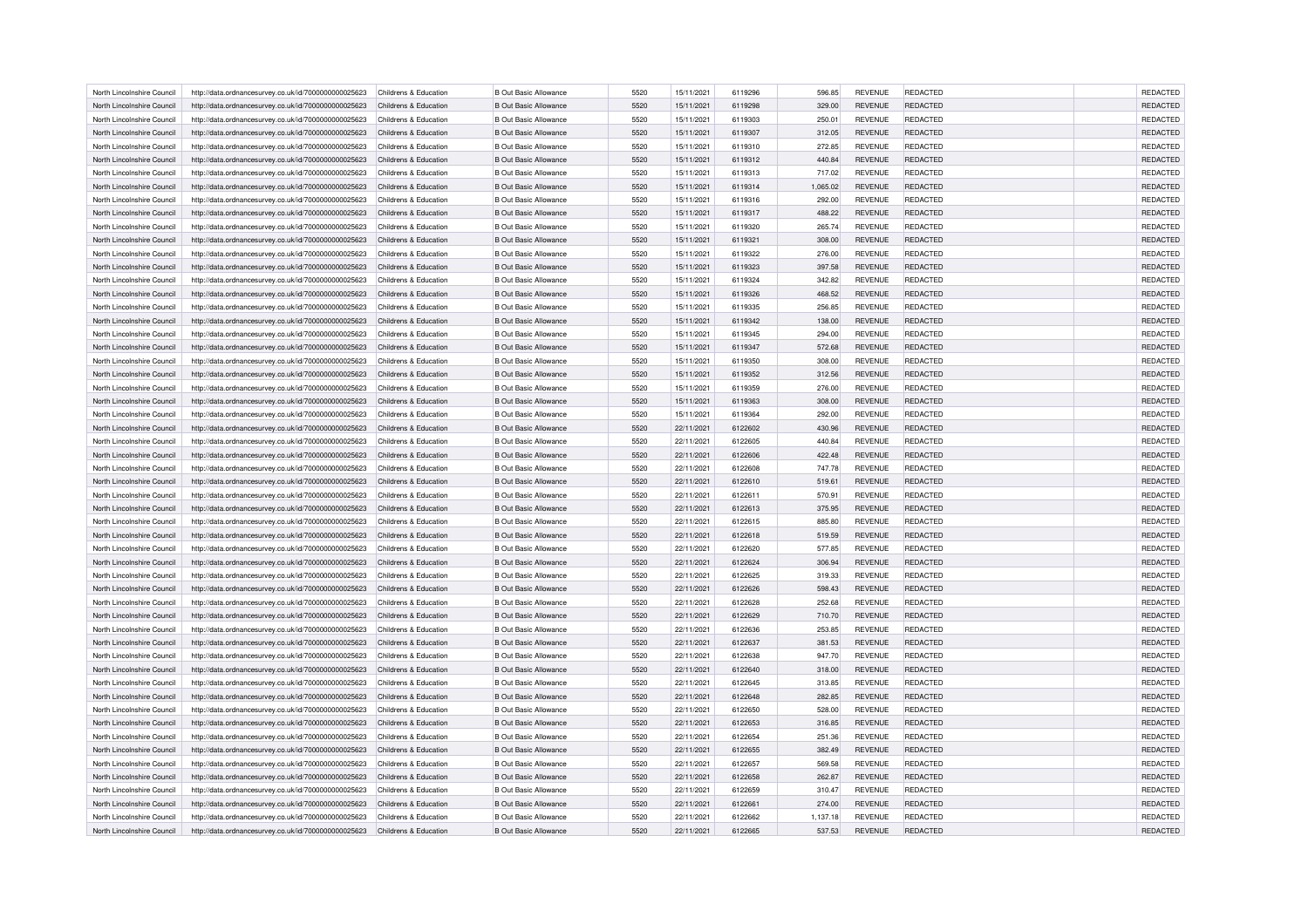| North Lincolnshire Council | http://data.ordnancesurvey.co.uk/id/7000000000025623                                                         | Childrens & Education | <b>B</b> Out Basic Allowance | 5520 | 15/11/2021 | 6119296 | 596.85   | REVENUE        | REDACTED        | <b>REDACTED</b> |
|----------------------------|--------------------------------------------------------------------------------------------------------------|-----------------------|------------------------------|------|------------|---------|----------|----------------|-----------------|-----------------|
| North Lincolnshire Council | http://data.ordnancesurvey.co.uk/id/7000000000025623                                                         | Childrens & Education | <b>B Out Basic Allowance</b> | 5520 | 15/11/2021 | 6119298 | 329.00   | <b>REVENUE</b> | REDACTED        | REDACTED        |
| North Lincolnshire Council | http://data.ordnancesurvey.co.uk/id/7000000000025623                                                         | Childrens & Education | B Out Basic Allowance        | 5520 | 15/11/2021 | 6119303 | 250.01   | <b>REVENUE</b> | REDACTED        | REDACTED        |
| North Lincolnshire Council | http://data.ordnancesurvey.co.uk/id/7000000000025623                                                         | Childrens & Education | <b>B Out Basic Allowance</b> | 5520 | 15/11/2021 | 6119307 | 312.05   | <b>REVENUE</b> | <b>REDACTED</b> | REDACTED        |
| North Lincolnshire Council | http://data.ordnancesurvey.co.uk/id/7000000000025623                                                         | Childrens & Education | <b>B</b> Out Basic Allowance | 5520 | 15/11/2021 | 6119310 | 272.85   | <b>REVENUE</b> | REDACTED        | <b>REDACTED</b> |
| North Lincolnshire Council | http://data.ordnancesurvey.co.uk/id/7000000000025623                                                         | Childrens & Education | <b>B Out Basic Allowance</b> | 5520 | 15/11/2021 | 6119312 | 440.84   | <b>REVENUE</b> | REDACTED        | REDACTED        |
| North Lincolnshire Council | http://data.ordnancesurvey.co.uk/id/7000000000025623                                                         | Childrens & Education | B Out Basic Allowance        | 5520 | 15/11/2021 | 6119313 | 717.02   | <b>REVENUE</b> | REDACTED        | <b>REDACTED</b> |
| North Lincolnshire Council | http://data.ordnancesurvey.co.uk/id/7000000000025623                                                         | Childrens & Education | <b>B Out Basic Allowance</b> | 5520 | 15/11/2021 | 6119314 | 1,065.02 | <b>REVENUE</b> | REDACTED        | REDACTED        |
| North Lincolnshire Council | http://data.ordnancesurvey.co.uk/id/7000000000025623                                                         | Childrens & Education | <b>B Out Basic Allowance</b> | 5520 | 15/11/2021 | 6119316 | 292.00   | <b>REVENUE</b> | REDACTED        | REDACTED        |
| North Lincolnshire Council | http://data.ordnancesurvey.co.uk/id/7000000000025623                                                         | Childrens & Education | B Out Basic Allowance        | 5520 | 15/11/2021 | 6119317 | 488.22   | <b>REVENUE</b> | <b>REDACTED</b> | REDACTED        |
| North Lincolnshire Council | http://data.ordnancesurvey.co.uk/id/7000000000025623                                                         | Childrens & Education | <b>B Out Basic Allowance</b> | 5520 | 15/11/2021 | 6119320 | 265.74   | <b>REVENUE</b> | REDACTED        | <b>REDACTED</b> |
| North Lincolnshire Council | http://data.ordnancesurvey.co.uk/id/7000000000025623                                                         | Childrens & Education | <b>B Out Basic Allowance</b> | 5520 | 15/11/2021 | 6119321 | 308.00   | <b>REVENUE</b> | REDACTED        | REDACTED        |
| North Lincolnshire Council |                                                                                                              | Childrens & Education | B Out Basic Allowance        | 5520 | 15/11/2021 | 6119322 | 276.00   | <b>REVENUE</b> | REDACTED        | REDACTED        |
| North Lincolnshire Council | http://data.ordnancesurvey.co.uk/id/7000000000025623<br>http://data.ordnancesurvey.co.uk/id/7000000000025623 | Childrens & Education | <b>B Out Basic Allowance</b> | 5520 | 15/11/2021 | 6119323 | 397.58   | <b>REVENUE</b> | REDACTED        | REDACTED        |
|                            |                                                                                                              |                       |                              |      |            |         |          |                |                 |                 |
| North Lincolnshire Council | http://data.ordnancesurvey.co.uk/id/7000000000025623                                                         | Childrens & Education | B Out Basic Allowance        | 5520 | 15/11/2021 | 6119324 | 342.82   | <b>REVENUE</b> | <b>REDACTED</b> | <b>REDACTED</b> |
| North Lincolnshire Council | http://data.ordnancesurvey.co.uk/id/7000000000025623                                                         | Childrens & Education | <b>B Out Basic Allowance</b> | 5520 | 15/11/2021 | 6119326 | 468.52   | REVENUE        | REDACTED        | REDACTED        |
| North Lincolnshire Council | http://data.ordnancesurvey.co.uk/id/7000000000025623                                                         | Childrens & Education | B Out Basic Allowance        | 5520 | 15/11/2021 | 6119335 | 256.85   | <b>REVENUE</b> | REDACTED        | REDACTED        |
| North Lincolnshire Council | http://data.ordnancesurvey.co.uk/id/7000000000025623                                                         | Childrens & Education | <b>B Out Basic Allowance</b> | 5520 | 15/11/2021 | 6119342 | 138.00   | <b>REVENUE</b> | <b>REDACTED</b> | REDACTED        |
| North Lincolnshire Council | http://data.ordnancesurvey.co.uk/id/7000000000025623                                                         | Childrens & Education | <b>B Out Basic Allowance</b> | 5520 | 15/11/2021 | 6119345 | 294.00   | REVENUE        | REDACTED        | REDACTED        |
| North Lincolnshire Council | http://data.ordnancesurvey.co.uk/id/7000000000025623                                                         | Childrens & Education | <b>B Out Basic Allowance</b> | 5520 | 15/11/2021 | 6119347 | 572.68   | <b>REVENUE</b> | REDACTED        | REDACTED        |
| North Lincolnshire Council | http://data.ordnancesurvey.co.uk/id/7000000000025623                                                         | Childrens & Education | B Out Basic Allowance        | 5520 | 15/11/2021 | 6119350 | 308.00   | <b>REVENUE</b> | <b>REDACTED</b> | REDACTED        |
| North Lincolnshire Council | http://data.ordnancesurvey.co.uk/id/7000000000025623                                                         | Childrens & Education | <b>B Out Basic Allowance</b> | 5520 | 15/11/2021 | 6119352 | 312.56   | <b>REVENUE</b> | <b>REDACTED</b> | REDACTED        |
| North Lincolnshire Council | http://data.ordnancesurvey.co.uk/id/7000000000025623                                                         | Childrens & Education | <b>B Out Basic Allowance</b> | 5520 | 15/11/2021 | 6119359 | 276.00   | <b>REVENUE</b> | REDACTED        | REDACTED        |
| North Lincolnshire Council | http://data.ordnancesurvey.co.uk/id/7000000000025623                                                         | Childrens & Education | <b>B Out Basic Allowance</b> | 5520 | 15/11/2021 | 6119363 | 308.00   | <b>REVENUE</b> | <b>REDACTED</b> | <b>REDACTED</b> |
| North Lincolnshire Council | http://data.ordnancesurvey.co.uk/id/7000000000025623                                                         | Childrens & Education | <b>B Out Basic Allowance</b> | 5520 | 15/11/2021 | 6119364 | 292.00   | <b>REVENUE</b> | <b>REDACTED</b> | REDACTED        |
| North Lincolnshire Council | http://data.ordnancesurvey.co.uk/id/7000000000025623                                                         | Childrens & Education | <b>B Out Basic Allowance</b> | 5520 | 22/11/2021 | 6122602 | 430.96   | <b>REVENUE</b> | <b>REDACTED</b> | REDACTED        |
| North Lincolnshire Council | http://data.ordnancesurvey.co.uk/id/7000000000025623                                                         | Childrens & Education | B Out Basic Allowance        | 5520 | 22/11/2021 | 6122605 | 440.84   | <b>REVENUE</b> | <b>REDACTED</b> | REDACTED        |
| North Lincolnshire Council | http://data.ordnancesurvey.co.uk/id/7000000000025623                                                         | Childrens & Education | <b>B Out Basic Allowance</b> | 5520 | 22/11/2021 | 6122606 | 422.48   | <b>REVENUE</b> | <b>REDACTED</b> | REDACTED        |
| North Lincolnshire Council | http://data.ordnancesurvey.co.uk/id/7000000000025623                                                         | Childrens & Education | <b>B Out Basic Allowance</b> | 5520 | 22/11/2021 | 6122608 | 747.78   | <b>REVENUE</b> | REDACTED        | REDACTED        |
| North Lincolnshire Council | http://data.ordnancesurvey.co.uk/id/7000000000025623                                                         | Childrens & Education | <b>B Out Basic Allowance</b> | 5520 | 22/11/2021 | 6122610 | 519.61   | <b>REVENUE</b> | <b>REDACTED</b> | REDACTED        |
| North Lincolnshire Council | http://data.ordnancesurvey.co.uk/id/7000000000025623                                                         | Childrens & Education | <b>B Out Basic Allowance</b> | 5520 | 22/11/2021 | 6122611 | 570.91   | <b>REVENUE</b> | <b>REDACTED</b> | <b>REDACTED</b> |
| North Lincolnshire Council | http://data.ordnancesurvey.co.uk/id/7000000000025623                                                         | Childrens & Education | <b>B Out Basic Allowance</b> | 5520 | 22/11/2021 | 6122613 | 375.95   | <b>REVENUE</b> | REDACTED        | REDACTED        |
| North Lincolnshire Council | http://data.ordnancesurvey.co.uk/id/7000000000025623                                                         | Childrens & Education | <b>B Out Basic Allowance</b> | 5520 | 22/11/2021 | 6122615 | 885.80   | <b>REVENUE</b> | <b>REDACTED</b> | REDACTED        |
| North Lincolnshire Council | http://data.ordnancesurvey.co.uk/id/7000000000025623                                                         | Childrens & Education | <b>B Out Basic Allowance</b> | 5520 | 22/11/2021 | 6122618 | 519.59   | <b>REVENUE</b> | <b>REDACTED</b> | REDACTED        |
| North Lincolnshire Council | http://data.ordnancesurvey.co.uk/id/7000000000025623                                                         | Childrens & Education | <b>B Out Basic Allowance</b> | 5520 | 22/11/2021 | 6122620 | 577.85   | <b>REVENUE</b> | <b>REDACTED</b> | <b>REDACTED</b> |
| North Lincolnshire Council | http://data.ordnancesurvey.co.uk/id/7000000000025623                                                         | Childrens & Education | <b>B Out Basic Allowance</b> | 5520 | 22/11/2021 | 6122624 | 306.94   | <b>REVENUE</b> | <b>REDACTED</b> | REDACTED        |
| North Lincolnshire Council | http://data.ordnancesurvey.co.uk/id/7000000000025623                                                         | Childrens & Education | B Out Basic Allowance        | 5520 | 22/11/2021 | 6122625 | 319.33   | REVENUE        | <b>REDACTED</b> | REDACTED        |
| North Lincolnshire Council | http://data.ordnancesurvey.co.uk/id/7000000000025623                                                         | Childrens & Education | <b>B Out Basic Allowance</b> | 5520 | 22/11/2021 | 6122626 | 598.43   | <b>REVENUE</b> | REDACTED        | REDACTED        |
| North Lincolnshire Council | http://data.ordnancesurvey.co.uk/id/7000000000025623                                                         | Childrens & Education | B Out Basic Allowance        | 5520 | 22/11/2021 | 6122628 | 252.68   | <b>REVENUE</b> | <b>REDACTED</b> | <b>REDACTED</b> |
| North Lincolnshire Council | http://data.ordnancesurvey.co.uk/id/7000000000025623                                                         | Childrens & Education | <b>B Out Basic Allowance</b> | 5520 | 22/11/2021 | 6122629 | 710.70   | <b>REVENUE</b> | <b>REDACTED</b> | REDACTED        |
| North Lincolnshire Council | http://data.ordnancesurvey.co.uk/id/7000000000025623                                                         | Childrens & Education | B Out Basic Allowance        | 5520 | 22/11/2021 | 6122636 | 253.85   | <b>REVENUE</b> | REDACTED        | <b>REDACTED</b> |
| North Lincolnshire Council | http://data.ordnancesurvey.co.uk/id/7000000000025623                                                         | Childrens & Education | <b>B Out Basic Allowance</b> | 5520 | 22/11/2021 | 6122637 | 381.53   | <b>REVENUE</b> | <b>REDACTED</b> | REDACTED        |
| North Lincolnshire Council | http://data.ordnancesurvey.co.uk/id/7000000000025623                                                         | Childrens & Education | B Out Basic Allowance        | 5520 | 22/11/2021 | 6122638 | 947.70   | REVENUE        | <b>REDACTED</b> | REDACTED        |
| North Lincolnshire Council | http://data.ordnancesurvey.co.uk/id/7000000000025623                                                         | Childrens & Education | <b>B Out Basic Allowance</b> | 5520 | 22/11/2021 | 6122640 | 318.00   | <b>REVENUE</b> | <b>REDACTED</b> | REDACTED        |
| North Lincolnshire Council | http://data.ordnancesurvey.co.uk/id/7000000000025623                                                         | Childrens & Education | B Out Basic Allowance        | 5520 | 22/11/2021 | 6122645 | 313.85   | <b>REVENUE</b> | <b>REDACTED</b> | REDACTED        |
| North Lincolnshire Council | http://data.ordnancesurvey.co.uk/id/7000000000025623                                                         | Childrens & Education | <b>B Out Basic Allowance</b> | 5520 | 22/11/2021 | 6122648 | 282.85   | <b>REVENUE</b> | <b>REDACTED</b> | REDACTED        |
| North Lincolnshire Council | http://data.ordnancesurvey.co.uk/id/7000000000025623                                                         | Childrens & Education | <b>B Out Basic Allowance</b> | 5520 | 22/11/2021 | 6122650 | 528.00   | <b>REVENUE</b> | REDACTED        | REDACTED        |
| North Lincolnshire Council | http://data.ordnancesurvey.co.uk/id/7000000000025623                                                         | Childrens & Education | <b>B Out Basic Allowance</b> | 5520 | 22/11/2021 | 6122653 | 316.85   | <b>REVENUE</b> | <b>REDACTED</b> | REDACTED        |
| North Lincolnshire Council | http://data.ordnancesurvey.co.uk/id/7000000000025623                                                         | Childrens & Education | B Out Basic Allowance        | 5520 | 22/11/2021 | 6122654 | 251.36   | REVENUE        | <b>REDACTED</b> | REDACTED        |
| North Lincolnshire Council | http://data.ordnancesurvey.co.uk/id/7000000000025623                                                         | Childrens & Education | <b>B Out Basic Allowance</b> | 5520 | 22/11/2021 | 6122655 | 382.49   | <b>REVENUE</b> | <b>REDACTED</b> | REDACTED        |
| North Lincolnshire Council | http://data.ordnancesurvey.co.uk/id/7000000000025623                                                         | Childrens & Education | B Out Basic Allowance        | 5520 | 22/11/2021 | 6122657 | 569.58   | <b>REVENUE</b> | <b>REDACTED</b> | REDACTED        |
| North Lincolnshire Council | http://data.ordnancesurvey.co.uk/id/7000000000025623                                                         | Childrens & Education | <b>B Out Basic Allowance</b> | 5520 | 22/11/2021 | 6122658 | 262.87   | <b>REVENUE</b> | <b>REDACTED</b> | REDACTED        |
| North Lincolnshire Council | http://data.ordnancesurvey.co.uk/id/7000000000025623                                                         | Childrens & Education | <b>B Out Basic Allowance</b> | 5520 | 22/11/2021 | 6122659 | 310.47   | <b>REVENUE</b> | REDACTED        | REDACTED        |
| North Lincolnshire Council | http://data.ordnancesurvey.co.uk/id/7000000000025623                                                         | Childrens & Education | <b>B Out Basic Allowance</b> | 5520 | 22/11/2021 | 6122661 | 274.00   | <b>REVENUE</b> | <b>REDACTED</b> | REDACTED        |
| North Lincolnshire Council |                                                                                                              | Childrens & Education | <b>B Out Basic Allowance</b> | 5520 | 22/11/2021 | 6122662 | 1,137.18 | <b>REVENUE</b> | <b>REDACTED</b> | <b>REDACTED</b> |
|                            | http://data.ordnancesurvey.co.uk/id/7000000000025623                                                         |                       |                              |      |            |         |          |                |                 | REDACTED        |
| North Lincolnshire Council | http://data.ordnancesurvey.co.uk/id/7000000000025623                                                         | Childrens & Education | <b>B Out Basic Allowance</b> | 5520 | 22/11/2021 | 6122665 | 537.53   | <b>REVENUE</b> | <b>REDACTED</b> |                 |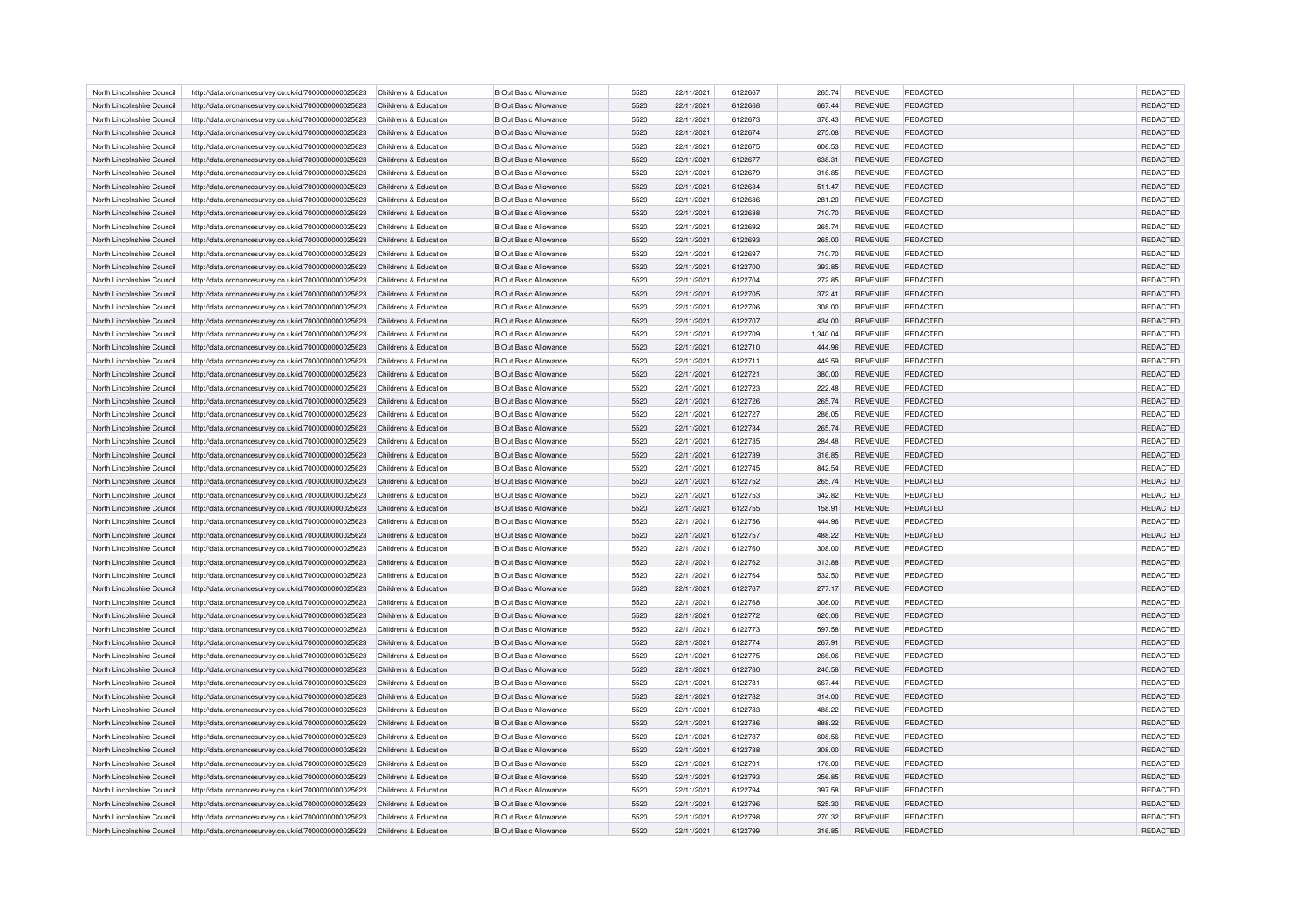| North Lincolnshire Council | http://data.ordnancesurvey.co.uk/id/7000000000025623 | Childrens & Education | <b>B</b> Out Basic Allowance | 5520 | 22/11/2021 | 6122667 | 265.74   | REVENUE        | <b>REDACTED</b> | <b>REDACTED</b> |
|----------------------------|------------------------------------------------------|-----------------------|------------------------------|------|------------|---------|----------|----------------|-----------------|-----------------|
| North Lincolnshire Council | http://data.ordnancesurvey.co.uk/id/7000000000025623 | Childrens & Education | <b>B</b> Out Basic Allowance | 5520 | 22/11/2021 | 6122668 | 667.44   | <b>REVENUE</b> | REDACTED        | REDACTED        |
| North Lincolnshire Council | http://data.ordnancesurvey.co.uk/id/7000000000025623 | Childrens & Education | B Out Basic Allowance        | 5520 | 22/11/2021 | 6122673 | 376.43   | <b>REVENUE</b> | REDACTED        | REDACTED        |
| North Lincolnshire Council | http://data.ordnancesurvey.co.uk/id/7000000000025623 | Childrens & Education | <b>B</b> Out Basic Allowance | 5520 | 22/11/2021 | 6122674 | 275.08   | <b>REVENUE</b> | <b>REDACTED</b> | REDACTED        |
| North Lincolnshire Council | http://data.ordnancesurvey.co.uk/id/7000000000025623 | Childrens & Education | <b>B</b> Out Basic Allowance | 5520 | 22/11/2021 | 6122675 | 606.53   | <b>REVENUE</b> | REDACTED        | REDACTED        |
| North Lincolnshire Council | http://data.ordnancesurvey.co.uk/id/7000000000025623 | Childrens & Education | <b>B Out Basic Allowance</b> | 5520 | 22/11/2021 | 6122677 | 638.31   | <b>REVENUE</b> | REDACTED        | REDACTED        |
| North Lincolnshire Council | http://data.ordnancesurvey.co.uk/id/7000000000025623 | Childrens & Education | B Out Basic Allowance        | 5520 | 22/11/2021 | 6122679 | 316.85   | <b>REVENUE</b> | REDACTED        | <b>REDACTED</b> |
| North Lincolnshire Council | http://data.ordnancesurvey.co.uk/id/7000000000025623 | Childrens & Education | <b>B Out Basic Allowance</b> | 5520 | 22/11/2021 | 6122684 | 511.47   | <b>REVENUE</b> | REDACTED        | REDACTED        |
| North Lincolnshire Council | http://data.ordnancesurvey.co.uk/id/7000000000025623 | Childrens & Education | <b>B Out Basic Allowance</b> | 5520 | 22/11/2021 | 6122686 | 281.20   | <b>REVENUE</b> | REDACTED        | REDACTED        |
| North Lincolnshire Council | http://data.ordnancesurvey.co.uk/id/7000000000025623 | Childrens & Education | B Out Basic Allowance        | 5520 | 22/11/2021 | 6122688 | 710.70   | <b>REVENUE</b> | <b>REDACTED</b> | REDACTED        |
| North Lincolnshire Council | http://data.ordnancesurvey.co.uk/id/7000000000025623 | Childrens & Education | <b>B Out Basic Allowance</b> | 5520 | 22/11/2021 | 6122692 | 265.74   | <b>REVENUE</b> | REDACTED        | <b>REDACTED</b> |
| North Lincolnshire Council | http://data.ordnancesurvey.co.uk/id/7000000000025623 | Childrens & Education | <b>B Out Basic Allowance</b> | 5520 | 22/11/2021 | 6122693 | 265.00   | <b>REVENUE</b> | <b>REDACTED</b> | REDACTED        |
| North Lincolnshire Council | http://data.ordnancesurvey.co.uk/id/7000000000025623 | Childrens & Education | B Out Basic Allowance        | 5520 | 22/11/2021 | 6122697 | 710.70   | <b>REVENUE</b> | REDACTED        | REDACTED        |
| North Lincolnshire Council | http://data.ordnancesurvey.co.uk/id/7000000000025623 | Childrens & Education | <b>B Out Basic Allowance</b> | 5520 | 22/11/2021 | 6122700 | 393.85   | <b>REVENUE</b> | <b>REDACTED</b> | REDACTED        |
| North Lincolnshire Council | http://data.ordnancesurvey.co.uk/id/7000000000025623 | Childrens & Education | B Out Basic Allowance        | 5520 | 22/11/2021 | 6122704 | 272.85   | <b>REVENUE</b> | <b>REDACTED</b> | <b>REDACTED</b> |
|                            |                                                      |                       |                              | 5520 |            |         |          |                |                 |                 |
| North Lincolnshire Council | http://data.ordnancesurvey.co.uk/id/7000000000025623 | Childrens & Education | <b>B Out Basic Allowance</b> |      | 22/11/2021 | 6122705 | 372.41   | <b>REVENUE</b> | REDACTED        | REDACTED        |
| North Lincolnshire Council | http://data.ordnancesurvey.co.uk/id/7000000000025623 | Childrens & Education | B Out Basic Allowance        | 5520 | 22/11/2021 | 6122706 | 308.00   | <b>REVENUE</b> | REDACTED        | REDACTED        |
| North Lincolnshire Council | http://data.ordnancesurvey.co.uk/id/7000000000025623 | Childrens & Education | <b>B Out Basic Allowance</b> | 5520 | 22/11/2021 | 6122707 | 434.00   | <b>REVENUE</b> | <b>REDACTED</b> | REDACTED        |
| North Lincolnshire Council | http://data.ordnancesurvey.co.uk/id/7000000000025623 | Childrens & Education | B Out Basic Allowance        | 5520 | 22/11/2021 | 6122709 | 1,340.04 | REVENUE        | REDACTED        | REDACTED        |
| North Lincolnshire Council | http://data.ordnancesurvey.co.uk/id/7000000000025623 | Childrens & Education | <b>B Out Basic Allowance</b> | 5520 | 22/11/2021 | 6122710 | 444.96   | <b>REVENUE</b> | REDACTED        | REDACTED        |
| North Lincolnshire Council | http://data.ordnancesurvey.co.uk/id/7000000000025623 | Childrens & Education | B Out Basic Allowance        | 5520 | 22/11/2021 | 6122711 | 449.59   | <b>REVENUE</b> | <b>REDACTED</b> | REDACTED        |
| North Lincolnshire Council | http://data.ordnancesurvey.co.uk/id/7000000000025623 | Childrens & Education | <b>B Out Basic Allowance</b> | 5520 | 22/11/2021 | 6122721 | 380.00   | <b>REVENUE</b> | <b>REDACTED</b> | REDACTED        |
| North Lincolnshire Council | http://data.ordnancesurvey.co.uk/id/7000000000025623 | Childrens & Education | <b>B Out Basic Allowance</b> | 5520 | 22/11/2021 | 6122723 | 222.48   | <b>REVENUE</b> | REDACTED        | REDACTED        |
| North Lincolnshire Council | http://data.ordnancesurvey.co.uk/id/7000000000025623 | Childrens & Education | <b>B Out Basic Allowance</b> | 5520 | 22/11/2021 | 6122726 | 265.74   | <b>REVENUE</b> | <b>REDACTED</b> | REDACTED        |
| North Lincolnshire Council | http://data.ordnancesurvey.co.uk/id/7000000000025623 | Childrens & Education | <b>B Out Basic Allowance</b> | 5520 | 22/11/2021 | 6122727 | 286.05   | REVENUE        | <b>REDACTED</b> | REDACTED        |
| North Lincolnshire Council | http://data.ordnancesurvey.co.uk/id/7000000000025623 | Childrens & Education | <b>B Out Basic Allowance</b> | 5520 | 22/11/2021 | 6122734 | 265.74   | <b>REVENUE</b> | <b>REDACTED</b> | REDACTED        |
| North Lincolnshire Council | http://data.ordnancesurvey.co.uk/id/7000000000025623 | Childrens & Education | B Out Basic Allowance        | 5520 | 22/11/2021 | 6122735 | 284.48   | <b>REVENUE</b> | <b>REDACTED</b> | REDACTED        |
| North Lincolnshire Council | http://data.ordnancesurvey.co.uk/id/7000000000025623 | Childrens & Education | <b>B Out Basic Allowance</b> | 5520 | 22/11/2021 | 6122739 | 316.85   | <b>REVENUE</b> | <b>REDACTED</b> | REDACTED        |
| North Lincolnshire Council | http://data.ordnancesurvey.co.uk/id/7000000000025623 | Childrens & Education | <b>B Out Basic Allowance</b> | 5520 | 22/11/2021 | 6122745 | 842.54   | <b>REVENUE</b> | REDACTED        | REDACTED        |
| North Lincolnshire Council | http://data.ordnancesurvey.co.uk/id/7000000000025623 | Childrens & Education | <b>B Out Basic Allowance</b> | 5520 | 22/11/2021 | 6122752 | 265.74   | <b>REVENUE</b> | <b>REDACTED</b> | REDACTED        |
| North Lincolnshire Council | http://data.ordnancesurvey.co.uk/id/7000000000025623 | Childrens & Education | <b>B Out Basic Allowance</b> | 5520 | 22/11/2021 | 6122753 | 342.82   | <b>REVENUE</b> | <b>REDACTED</b> | <b>REDACTED</b> |
| North Lincolnshire Council | http://data.ordnancesurvey.co.uk/id/7000000000025623 | Childrens & Education | <b>B Out Basic Allowance</b> | 5520 | 22/11/2021 | 6122755 | 158.91   | <b>REVENUE</b> | REDACTED        | REDACTED        |
| North Lincolnshire Council | http://data.ordnancesurvey.co.uk/id/7000000000025623 | Childrens & Education | <b>B Out Basic Allowance</b> | 5520 | 22/11/2021 | 6122756 | 444.96   | <b>REVENUE</b> | <b>REDACTED</b> | REDACTED        |
| North Lincolnshire Council | http://data.ordnancesurvey.co.uk/id/7000000000025623 | Childrens & Education | <b>B Out Basic Allowance</b> | 5520 | 22/11/2021 | 6122757 | 488.22   | <b>REVENUE</b> | <b>REDACTED</b> | REDACTED        |
| North Lincolnshire Council | http://data.ordnancesurvey.co.uk/id/7000000000025623 | Childrens & Education | <b>B Out Basic Allowance</b> | 5520 | 22/11/2021 | 6122760 | 308.00   | <b>REVENUE</b> | <b>REDACTED</b> | <b>REDACTED</b> |
| North Lincolnshire Council | http://data.ordnancesurvey.co.uk/id/7000000000025623 | Childrens & Education | <b>B Out Basic Allowance</b> | 5520 | 22/11/2021 | 6122762 | 313.88   | <b>REVENUE</b> | <b>REDACTED</b> | REDACTED        |
| North Lincolnshire Council | http://data.ordnancesurvey.co.uk/id/7000000000025623 | Childrens & Education | <b>B Out Basic Allowance</b> | 5520 | 22/11/2021 | 6122764 | 532.50   | REVENUE        | <b>REDACTED</b> | REDACTED        |
| North Lincolnshire Council | http://data.ordnancesurvey.co.uk/id/7000000000025623 | Childrens & Education | <b>B Out Basic Allowance</b> | 5520 | 22/11/2021 | 6122767 | 277.17   | <b>REVENUE</b> | REDACTED        | REDACTED        |
| North Lincolnshire Council | http://data.ordnancesurvey.co.uk/id/7000000000025623 | Childrens & Education | B Out Basic Allowance        | 5520 | 22/11/2021 | 6122768 | 308.00   | <b>REVENUE</b> | <b>REDACTED</b> | <b>REDACTED</b> |
| North Lincolnshire Council | http://data.ordnancesurvey.co.uk/id/7000000000025623 | Childrens & Education | <b>B Out Basic Allowance</b> | 5520 | 22/11/2021 | 6122772 | 620.06   | <b>REVENUE</b> | <b>REDACTED</b> | REDACTED        |
| North Lincolnshire Council | http://data.ordnancesurvey.co.uk/id/7000000000025623 | Childrens & Education | B Out Basic Allowance        | 5520 | 22/11/2021 | 6122773 | 597.58   | <b>REVENUE</b> | <b>REDACTED</b> | <b>REDACTED</b> |
| North Lincolnshire Council | http://data.ordnancesurvey.co.uk/id/7000000000025623 | Childrens & Education | <b>B Out Basic Allowance</b> | 5520 | 22/11/2021 | 6122774 | 267.91   | <b>REVENUE</b> | <b>REDACTED</b> | REDACTED        |
| North Lincolnshire Council | http://data.ordnancesurvey.co.uk/id/7000000000025623 | Childrens & Education | B Out Basic Allowance        | 5520 | 22/11/2021 | 6122775 | 266.06   | REVENUE        | <b>REDACTED</b> | REDACTED        |
| North Lincolnshire Council | http://data.ordnancesurvey.co.uk/id/7000000000025623 | Childrens & Education | <b>B Out Basic Allowance</b> | 5520 | 22/11/2021 | 6122780 | 240.58   | <b>REVENUE</b> | <b>REDACTED</b> | REDACTED        |
| North Lincolnshire Council | http://data.ordnancesurvey.co.uk/id/7000000000025623 | Childrens & Education | B Out Basic Allowance        | 5520 | 22/11/2021 | 6122781 | 667.44   | <b>REVENUE</b> | <b>REDACTED</b> | REDACTED        |
| North Lincolnshire Council | http://data.ordnancesurvey.co.uk/id/7000000000025623 | Childrens & Education | <b>B Out Basic Allowance</b> | 5520 | 22/11/2021 | 6122782 | 314.00   | <b>REVENUE</b> | <b>REDACTED</b> | REDACTED        |
| North Lincolnshire Council | http://data.ordnancesurvey.co.uk/id/7000000000025623 | Childrens & Education | <b>B Out Basic Allowance</b> | 5520 | 22/11/2021 | 6122783 | 488.22   | <b>REVENUE</b> | REDACTED        | REDACTED        |
| North Lincolnshire Council | http://data.ordnancesurvey.co.uk/id/7000000000025623 | Childrens & Education | <b>B Out Basic Allowance</b> | 5520 | 22/11/2021 | 6122786 | 888.22   | <b>REVENUE</b> | <b>REDACTED</b> | REDACTED        |
| North Lincolnshire Council | http://data.ordnancesurvey.co.uk/id/7000000000025623 | Childrens & Education | B Out Basic Allowance        | 5520 | 22/11/2021 | 6122787 | 608.56   | REVENUE        | <b>REDACTED</b> | REDACTED        |
| North Lincolnshire Council | http://data.ordnancesurvey.co.uk/id/7000000000025623 | Childrens & Education | <b>B Out Basic Allowance</b> | 5520 | 22/11/2021 | 6122788 | 308.00   | <b>REVENUE</b> | <b>REDACTED</b> | REDACTED        |
| North Lincolnshire Council | http://data.ordnancesurvey.co.uk/id/7000000000025623 | Childrens & Education | B Out Basic Allowance        | 5520 | 22/11/2021 | 6122791 | 176.00   | <b>REVENUE</b> | <b>REDACTED</b> | REDACTED        |
| North Lincolnshire Council | http://data.ordnancesurvey.co.uk/id/7000000000025623 | Childrens & Education | <b>B Out Basic Allowance</b> | 5520 | 22/11/2021 | 6122793 | 256.85   | <b>REVENUE</b> | <b>REDACTED</b> | REDACTED        |
| North Lincolnshire Council | http://data.ordnancesurvey.co.uk/id/7000000000025623 | Childrens & Education | <b>B Out Basic Allowance</b> | 5520 | 22/11/2021 | 6122794 | 397.58   | <b>REVENUE</b> | REDACTED        | REDACTED        |
| North Lincolnshire Council | http://data.ordnancesurvey.co.uk/id/7000000000025623 | Childrens & Education | <b>B Out Basic Allowance</b> | 5520 | 22/11/2021 | 6122796 | 525.30   | <b>REVENUE</b> | <b>REDACTED</b> | REDACTED        |
| North Lincolnshire Council | http://data.ordnancesurvey.co.uk/id/7000000000025623 | Childrens & Education | <b>B Out Basic Allowance</b> | 5520 | 22/11/2021 | 6122798 | 270.32   | <b>REVENUE</b> | <b>REDACTED</b> | <b>REDACTED</b> |
| North Lincolnshire Council | http://data.ordnancesurvey.co.uk/id/7000000000025623 | Childrens & Education | <b>B Out Basic Allowance</b> | 5520 | 22/11/2021 | 6122799 | 316.85   | <b>REVENUE</b> | <b>REDACTED</b> | REDACTED        |
|                            |                                                      |                       |                              |      |            |         |          |                |                 |                 |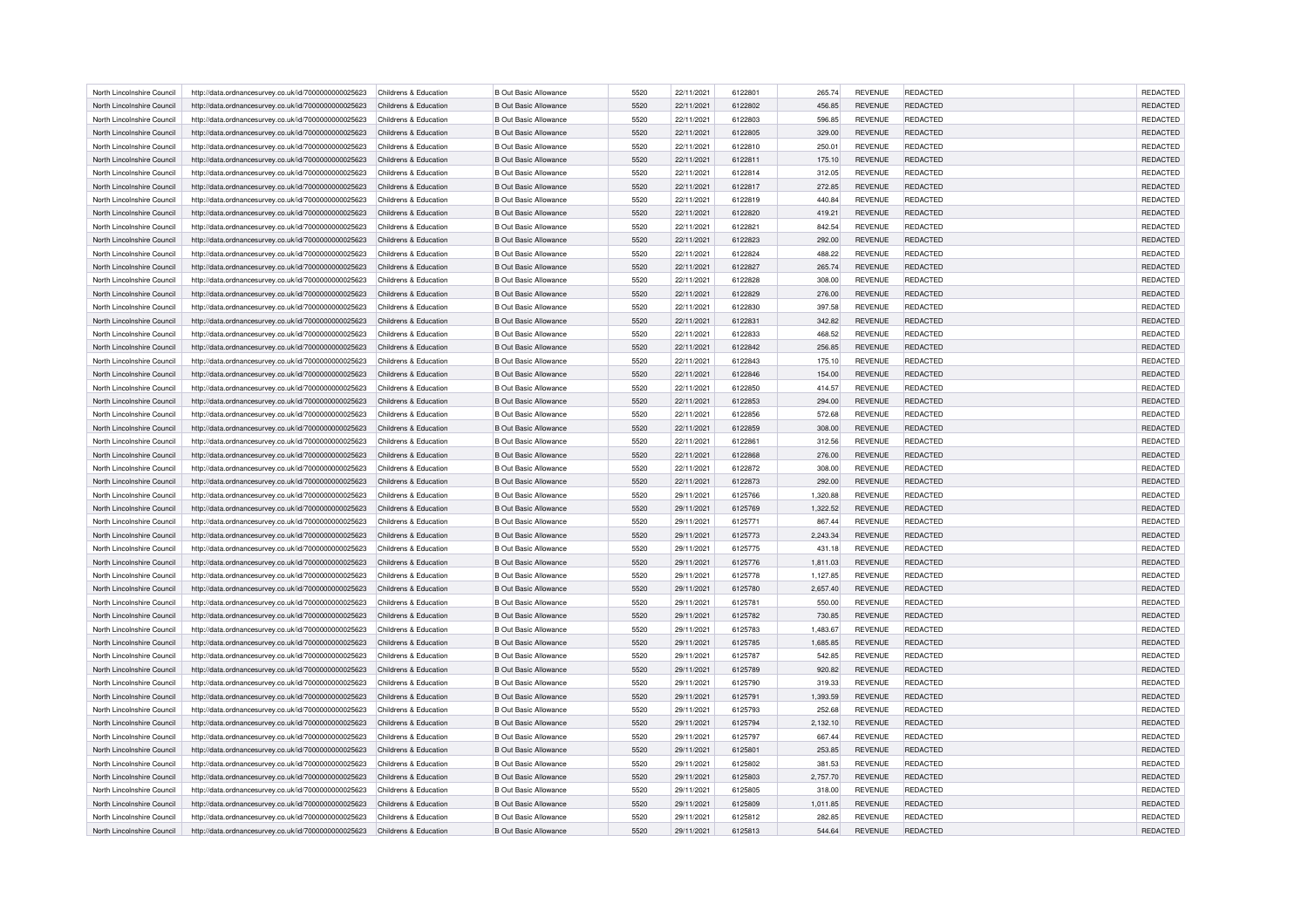| North Lincolnshire Council | http://data.ordnancesurvey.co.uk/id/7000000000025623 | Childrens & Education | <b>B</b> Out Basic Allowance | 5520 | 22/11/2021 | 6122801 | 265.74   | REVENUE        | REDACTED        | <b>REDACTED</b> |
|----------------------------|------------------------------------------------------|-----------------------|------------------------------|------|------------|---------|----------|----------------|-----------------|-----------------|
| North Lincolnshire Council | http://data.ordnancesurvey.co.uk/id/7000000000025623 | Childrens & Education | <b>B</b> Out Basic Allowance | 5520 | 22/11/2021 | 6122802 | 456.85   | <b>REVENUE</b> | REDACTED        | REDACTED        |
| North Lincolnshire Council | http://data.ordnancesurvey.co.uk/id/7000000000025623 | Childrens & Education | B Out Basic Allowance        | 5520 | 22/11/2021 | 6122803 | 596.85   | <b>REVENUE</b> | REDACTED        | REDACTED        |
| North Lincolnshire Council | http://data.ordnancesurvey.co.uk/id/7000000000025623 | Childrens & Education | <b>B</b> Out Basic Allowance | 5520 | 22/11/2021 | 6122805 | 329.00   | <b>REVENUE</b> | <b>REDACTED</b> | REDACTED        |
| North Lincolnshire Council | http://data.ordnancesurvey.co.uk/id/7000000000025623 | Childrens & Education | <b>B</b> Out Basic Allowance | 5520 | 22/11/2021 | 6122810 | 250.01   | <b>REVENUE</b> | REDACTED        | <b>REDACTED</b> |
| North Lincolnshire Council | http://data.ordnancesurvey.co.uk/id/7000000000025623 | Childrens & Education | <b>B Out Basic Allowance</b> | 5520 | 22/11/2021 | 6122811 | 175.10   | <b>REVENUE</b> | REDACTED        | REDACTED        |
| North Lincolnshire Council | http://data.ordnancesurvey.co.uk/id/7000000000025623 | Childrens & Education | B Out Basic Allowance        | 5520 | 22/11/2021 | 6122814 | 312.05   | <b>REVENUE</b> | REDACTED        | <b>REDACTED</b> |
| North Lincolnshire Council | http://data.ordnancesurvey.co.uk/id/7000000000025623 | Childrens & Education | <b>B Out Basic Allowance</b> | 5520 | 22/11/2021 | 6122817 | 272.85   | <b>REVENUE</b> | REDACTED        | REDACTED        |
| North Lincolnshire Council | http://data.ordnancesurvey.co.uk/id/7000000000025623 | Childrens & Education | <b>B Out Basic Allowance</b> | 5520 | 22/11/2021 | 6122819 | 440.84   | <b>REVENUE</b> | REDACTED        | REDACTED        |
| North Lincolnshire Council | http://data.ordnancesurvey.co.uk/id/7000000000025623 | Childrens & Education | B Out Basic Allowance        | 5520 | 22/11/2021 | 6122820 | 419.21   | <b>REVENUE</b> | <b>REDACTED</b> | REDACTED        |
| North Lincolnshire Council | http://data.ordnancesurvey.co.uk/id/7000000000025623 | Childrens & Education | <b>B Out Basic Allowance</b> | 5520 | 22/11/2021 | 6122821 | 842.54   | <b>REVENUE</b> | REDACTED        | <b>REDACTED</b> |
| North Lincolnshire Council | http://data.ordnancesurvey.co.uk/id/7000000000025623 | Childrens & Education | <b>B Out Basic Allowance</b> | 5520 | 22/11/2021 | 6122823 | 292.00   | <b>REVENUE</b> | <b>REDACTED</b> | REDACTED        |
| North Lincolnshire Council | http://data.ordnancesurvey.co.uk/id/7000000000025623 | Childrens & Education | B Out Basic Allowance        | 5520 | 22/11/2021 | 6122824 | 488.22   | <b>REVENUE</b> | REDACTED        | REDACTED        |
| North Lincolnshire Council | http://data.ordnancesurvey.co.uk/id/7000000000025623 | Childrens & Education | <b>B Out Basic Allowance</b> | 5520 | 22/11/2021 | 6122827 | 265.74   | <b>REVENUE</b> | <b>REDACTED</b> | REDACTED        |
| North Lincolnshire Council | http://data.ordnancesurvey.co.uk/id/7000000000025623 | Childrens & Education | B Out Basic Allowance        | 5520 | 22/11/2021 | 6122828 | 308.00   | <b>REVENUE</b> | <b>REDACTED</b> | <b>REDACTED</b> |
|                            |                                                      |                       |                              | 5520 |            |         |          |                |                 |                 |
| North Lincolnshire Council | http://data.ordnancesurvey.co.uk/id/7000000000025623 | Childrens & Education | <b>B Out Basic Allowance</b> |      | 22/11/2021 | 6122829 | 276.00   | <b>REVENUE</b> | REDACTED        | REDACTED        |
| North Lincolnshire Council | http://data.ordnancesurvey.co.uk/id/7000000000025623 | Childrens & Education | B Out Basic Allowance        | 5520 | 22/11/2021 | 6122830 | 397.58   | <b>REVENUE</b> | REDACTED        | REDACTED        |
| North Lincolnshire Council | http://data.ordnancesurvey.co.uk/id/7000000000025623 | Childrens & Education | <b>B Out Basic Allowance</b> | 5520 | 22/11/2021 | 6122831 | 342.82   | <b>REVENUE</b> | <b>REDACTED</b> | REDACTED        |
| North Lincolnshire Council | http://data.ordnancesurvey.co.uk/id/7000000000025623 | Childrens & Education | B Out Basic Allowance        | 5520 | 22/11/2021 | 6122833 | 468.52   | REVENUE        | REDACTED        | REDACTED        |
| North Lincolnshire Council | http://data.ordnancesurvey.co.uk/id/7000000000025623 | Childrens & Education | <b>B Out Basic Allowance</b> | 5520 | 22/11/2021 | 6122842 | 256.85   | <b>REVENUE</b> | REDACTED        | REDACTED        |
| North Lincolnshire Council | http://data.ordnancesurvey.co.uk/id/7000000000025623 | Childrens & Education | B Out Basic Allowance        | 5520 | 22/11/2021 | 6122843 | 175.10   | <b>REVENUE</b> | <b>REDACTED</b> | REDACTED        |
| North Lincolnshire Council | http://data.ordnancesurvey.co.uk/id/7000000000025623 | Childrens & Education | <b>B Out Basic Allowance</b> | 5520 | 22/11/2021 | 6122846 | 154.00   | <b>REVENUE</b> | <b>REDACTED</b> | REDACTED        |
| North Lincolnshire Council | http://data.ordnancesurvey.co.uk/id/7000000000025623 | Childrens & Education | <b>B Out Basic Allowance</b> | 5520 | 22/11/2021 | 6122850 | 414.57   | <b>REVENUE</b> | REDACTED        | REDACTED        |
| North Lincolnshire Council | http://data.ordnancesurvey.co.uk/id/7000000000025623 | Childrens & Education | <b>B Out Basic Allowance</b> | 5520 | 22/11/2021 | 6122853 | 294.00   | <b>REVENUE</b> | <b>REDACTED</b> | <b>REDACTED</b> |
| North Lincolnshire Council | http://data.ordnancesurvey.co.uk/id/7000000000025623 | Childrens & Education | <b>B Out Basic Allowance</b> | 5520 | 22/11/2021 | 6122856 | 572.68   | REVENUE        | <b>REDACTED</b> | REDACTED        |
| North Lincolnshire Council | http://data.ordnancesurvey.co.uk/id/7000000000025623 | Childrens & Education | <b>B Out Basic Allowance</b> | 5520 | 22/11/2021 | 6122859 | 308.00   | <b>REVENUE</b> | <b>REDACTED</b> | REDACTED        |
| North Lincolnshire Council | http://data.ordnancesurvey.co.uk/id/7000000000025623 | Childrens & Education | B Out Basic Allowance        | 5520 | 22/11/2021 | 6122861 | 312.56   | <b>REVENUE</b> | <b>REDACTED</b> | REDACTED        |
| North Lincolnshire Council | http://data.ordnancesurvey.co.uk/id/7000000000025623 | Childrens & Education | <b>B Out Basic Allowance</b> | 5520 | 22/11/2021 | 6122868 | 276.00   | <b>REVENUE</b> | <b>REDACTED</b> | REDACTED        |
| North Lincolnshire Council | http://data.ordnancesurvey.co.uk/id/7000000000025623 | Childrens & Education | <b>B Out Basic Allowance</b> | 5520 | 22/11/2021 | 6122872 | 308.00   | <b>REVENUE</b> | REDACTED        | REDACTED        |
| North Lincolnshire Council | http://data.ordnancesurvey.co.uk/id/7000000000025623 | Childrens & Education | <b>B Out Basic Allowance</b> | 5520 | 22/11/2021 | 6122873 | 292.00   | <b>REVENUE</b> | <b>REDACTED</b> | REDACTED        |
| North Lincolnshire Council | http://data.ordnancesurvey.co.uk/id/7000000000025623 | Childrens & Education | <b>B Out Basic Allowance</b> | 5520 | 29/11/2021 | 6125766 | 1,320.88 | <b>REVENUE</b> | <b>REDACTED</b> | <b>REDACTED</b> |
| North Lincolnshire Council | http://data.ordnancesurvey.co.uk/id/7000000000025623 | Childrens & Education | <b>B Out Basic Allowance</b> | 5520 | 29/11/2021 | 6125769 | 1,322.52 | <b>REVENUE</b> | REDACTED        | REDACTED        |
| North Lincolnshire Council | http://data.ordnancesurvey.co.uk/id/7000000000025623 | Childrens & Education | <b>B Out Basic Allowance</b> | 5520 | 29/11/2021 | 6125771 | 867.44   | <b>REVENUE</b> | <b>REDACTED</b> | REDACTED        |
| North Lincolnshire Council | http://data.ordnancesurvey.co.uk/id/7000000000025623 | Childrens & Education | <b>B Out Basic Allowance</b> | 5520 | 29/11/2021 | 6125773 | 2,243.34 | <b>REVENUE</b> | <b>REDACTED</b> | REDACTED        |
| North Lincolnshire Council | http://data.ordnancesurvey.co.uk/id/7000000000025623 | Childrens & Education | <b>B Out Basic Allowance</b> | 5520 | 29/11/2021 | 6125775 | 431.18   | <b>REVENUE</b> | <b>REDACTED</b> | <b>REDACTED</b> |
| North Lincolnshire Council | http://data.ordnancesurvey.co.uk/id/7000000000025623 | Childrens & Education | <b>B Out Basic Allowance</b> | 5520 | 29/11/2021 | 6125776 | 1,811.03 | <b>REVENUE</b> | <b>REDACTED</b> | REDACTED        |
| North Lincolnshire Council | http://data.ordnancesurvey.co.uk/id/7000000000025623 | Childrens & Education | <b>B Out Basic Allowance</b> | 5520 | 29/11/2021 | 6125778 | 1,127.85 | REVENUE        | <b>REDACTED</b> | REDACTED        |
| North Lincolnshire Council | http://data.ordnancesurvey.co.uk/id/7000000000025623 | Childrens & Education | <b>B Out Basic Allowance</b> | 5520 | 29/11/2021 | 6125780 | 2,657.40 | <b>REVENUE</b> | REDACTED        | REDACTED        |
| North Lincolnshire Council | http://data.ordnancesurvey.co.uk/id/7000000000025623 | Childrens & Education | B Out Basic Allowance        | 5520 | 29/11/2021 | 6125781 | 550.00   | <b>REVENUE</b> | <b>REDACTED</b> | <b>REDACTED</b> |
| North Lincolnshire Council | http://data.ordnancesurvey.co.uk/id/7000000000025623 | Childrens & Education | <b>B Out Basic Allowance</b> | 5520 | 29/11/2021 | 6125782 | 730.85   | <b>REVENUE</b> | <b>REDACTED</b> | REDACTED        |
| North Lincolnshire Council | http://data.ordnancesurvey.co.uk/id/7000000000025623 | Childrens & Education | B Out Basic Allowance        | 5520 | 29/11/2021 | 6125783 | 1,483.67 | <b>REVENUE</b> | <b>REDACTED</b> | <b>REDACTED</b> |
| North Lincolnshire Council | http://data.ordnancesurvey.co.uk/id/7000000000025623 | Childrens & Education | <b>B Out Basic Allowance</b> | 5520 | 29/11/2021 | 6125785 | 1,685.85 | <b>REVENUE</b> | <b>REDACTED</b> | REDACTED        |
| North Lincolnshire Council | http://data.ordnancesurvey.co.uk/id/7000000000025623 | Childrens & Education | B Out Basic Allowance        | 5520 | 29/11/2021 | 6125787 | 542.85   | REVENUE        | <b>REDACTED</b> | REDACTED        |
| North Lincolnshire Council | http://data.ordnancesurvey.co.uk/id/7000000000025623 | Childrens & Education | <b>B Out Basic Allowance</b> | 5520 | 29/11/2021 | 6125789 | 920.82   | <b>REVENUE</b> | <b>REDACTED</b> | REDACTED        |
| North Lincolnshire Council | http://data.ordnancesurvey.co.uk/id/7000000000025623 | Childrens & Education | B Out Basic Allowance        | 5520 | 29/11/2021 | 6125790 | 319.33   | <b>REVENUE</b> | <b>REDACTED</b> | REDACTED        |
| North Lincolnshire Council | http://data.ordnancesurvey.co.uk/id/7000000000025623 | Childrens & Education | <b>B Out Basic Allowance</b> | 5520 | 29/11/2021 | 6125791 | 1,393.59 | <b>REVENUE</b> | <b>REDACTED</b> | REDACTED        |
| North Lincolnshire Council | http://data.ordnancesurvey.co.uk/id/7000000000025623 | Childrens & Education | <b>B Out Basic Allowance</b> | 5520 | 29/11/2021 | 6125793 | 252.68   | <b>REVENUE</b> | REDACTED        | REDACTED        |
| North Lincolnshire Council | http://data.ordnancesurvey.co.uk/id/7000000000025623 | Childrens & Education | <b>B Out Basic Allowance</b> | 5520 | 29/11/2021 | 6125794 | 2,132.10 | <b>REVENUE</b> | <b>REDACTED</b> | REDACTED        |
| North Lincolnshire Council | http://data.ordnancesurvey.co.uk/id/7000000000025623 | Childrens & Education | B Out Basic Allowance        | 5520 | 29/11/2021 | 6125797 | 667.44   | REVENUE        | <b>REDACTED</b> | REDACTED        |
| North Lincolnshire Council | http://data.ordnancesurvey.co.uk/id/7000000000025623 | Childrens & Education | <b>B Out Basic Allowance</b> | 5520 | 29/11/2021 | 6125801 | 253.85   | <b>REVENUE</b> | <b>REDACTED</b> | REDACTED        |
| North Lincolnshire Council | http://data.ordnancesurvey.co.uk/id/7000000000025623 | Childrens & Education | B Out Basic Allowance        | 5520 | 29/11/2021 | 6125802 | 381.53   | <b>REVENUE</b> | <b>REDACTED</b> | REDACTED        |
| North Lincolnshire Council | http://data.ordnancesurvey.co.uk/id/7000000000025623 | Childrens & Education | <b>B Out Basic Allowance</b> | 5520 | 29/11/2021 | 6125803 | 2,757.70 | <b>REVENUE</b> | <b>REDACTED</b> | REDACTED        |
| North Lincolnshire Council | http://data.ordnancesurvey.co.uk/id/7000000000025623 | Childrens & Education | <b>B Out Basic Allowance</b> | 5520 | 29/11/2021 | 6125805 | 318.00   | <b>REVENUE</b> | REDACTED        | REDACTED        |
| North Lincolnshire Council | http://data.ordnancesurvey.co.uk/id/7000000000025623 | Childrens & Education | <b>B Out Basic Allowance</b> | 5520 | 29/11/2021 | 6125809 | 1,011.85 | <b>REVENUE</b> | <b>REDACTED</b> | REDACTED        |
| North Lincolnshire Council | http://data.ordnancesurvey.co.uk/id/7000000000025623 | Childrens & Education | <b>B Out Basic Allowance</b> | 5520 | 29/11/2021 | 6125812 | 282.85   | <b>REVENUE</b> | <b>REDACTED</b> | <b>REDACTED</b> |
| North Lincolnshire Council | http://data.ordnancesurvey.co.uk/id/7000000000025623 | Childrens & Education | <b>B Out Basic Allowance</b> | 5520 | 29/11/2021 | 6125813 | 544.64   | <b>REVENUE</b> | <b>REDACTED</b> | REDACTED        |
|                            |                                                      |                       |                              |      |            |         |          |                |                 |                 |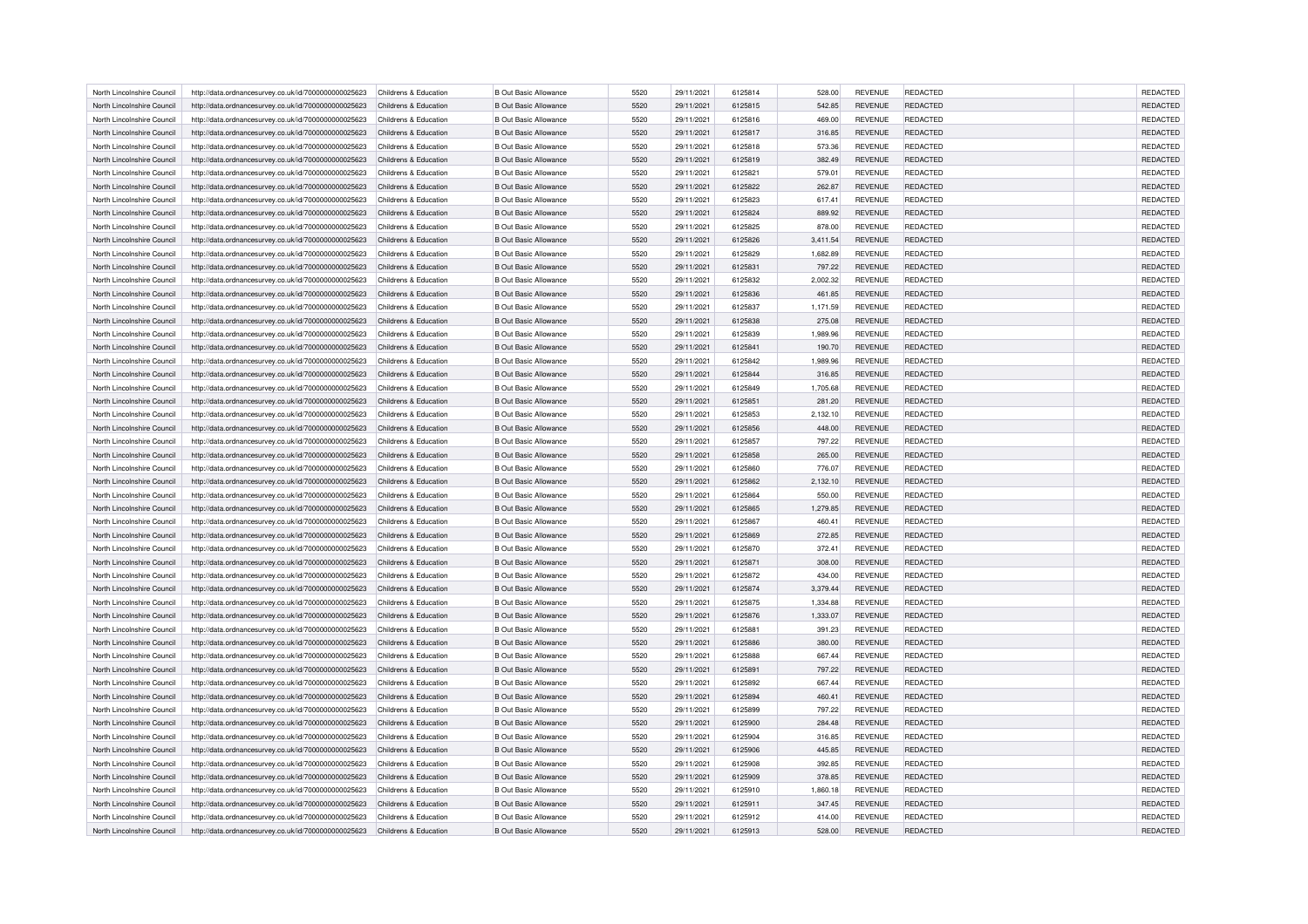| North Lincolnshire Council | http://data.ordnancesurvey.co.uk/id/7000000000025623                                                         | Childrens & Education | <b>B</b> Out Basic Allowance | 5520 | 29/11/2021 | 6125814 | 528.00   | REVENUE        | <b>REDACTED</b> | <b>REDACTED</b> |
|----------------------------|--------------------------------------------------------------------------------------------------------------|-----------------------|------------------------------|------|------------|---------|----------|----------------|-----------------|-----------------|
| North Lincolnshire Council | http://data.ordnancesurvey.co.uk/id/7000000000025623                                                         | Childrens & Education | <b>B</b> Out Basic Allowance | 5520 | 29/11/2021 | 6125815 | 542.85   | <b>REVENUE</b> | REDACTED        | REDACTED        |
| North Lincolnshire Council | http://data.ordnancesurvey.co.uk/id/7000000000025623                                                         | Childrens & Education | B Out Basic Allowance        | 5520 | 29/11/2021 | 6125816 | 469.00   | <b>REVENUE</b> | REDACTED        | REDACTED        |
| North Lincolnshire Council | http://data.ordnancesurvey.co.uk/id/7000000000025623                                                         | Childrens & Education | <b>B Out Basic Allowance</b> | 5520 | 29/11/2021 | 6125817 | 316.85   | <b>REVENUE</b> | <b>REDACTED</b> | REDACTED        |
| North Lincolnshire Council | http://data.ordnancesurvey.co.uk/id/7000000000025623                                                         | Childrens & Education | <b>B</b> Out Basic Allowance | 5520 | 29/11/2021 | 6125818 | 573.36   | <b>REVENUE</b> | REDACTED        | <b>REDACTED</b> |
| North Lincolnshire Council | http://data.ordnancesurvey.co.uk/id/7000000000025623                                                         | Childrens & Education | <b>B Out Basic Allowance</b> | 5520 | 29/11/2021 | 6125819 | 382.49   | <b>REVENUE</b> | REDACTED        | REDACTED        |
| North Lincolnshire Council | http://data.ordnancesurvey.co.uk/id/7000000000025623                                                         | Childrens & Education | B Out Basic Allowance        | 5520 | 29/11/2021 | 6125821 | 579.01   | <b>REVENUE</b> | REDACTED        | <b>REDACTED</b> |
| North Lincolnshire Council | http://data.ordnancesurvey.co.uk/id/7000000000025623                                                         | Childrens & Education | <b>B Out Basic Allowance</b> | 5520 | 29/11/2021 | 6125822 | 262.87   | <b>REVENUE</b> | REDACTED        | REDACTED        |
| North Lincolnshire Council | http://data.ordnancesurvey.co.uk/id/7000000000025623                                                         | Childrens & Education | <b>B Out Basic Allowance</b> | 5520 | 29/11/2021 | 6125823 | 617.41   | <b>REVENUE</b> | REDACTED        | REDACTED        |
| North Lincolnshire Council | http://data.ordnancesurvey.co.uk/id/7000000000025623                                                         | Childrens & Education | B Out Basic Allowance        | 5520 | 29/11/2021 | 6125824 | 889.92   | <b>REVENUE</b> | <b>REDACTED</b> | REDACTED        |
| North Lincolnshire Council | http://data.ordnancesurvey.co.uk/id/7000000000025623                                                         | Childrens & Education | <b>B Out Basic Allowance</b> | 5520 | 29/11/2021 | 6125825 | 878.00   | <b>REVENUE</b> | REDACTED        | <b>REDACTED</b> |
| North Lincolnshire Council | http://data.ordnancesurvey.co.uk/id/7000000000025623                                                         | Childrens & Education | <b>B Out Basic Allowance</b> | 5520 | 29/11/2021 | 6125826 | 3,411.54 | <b>REVENUE</b> | REDACTED        | REDACTED        |
| North Lincolnshire Council |                                                                                                              | Childrens & Education | <b>B Out Basic Allowance</b> | 5520 | 29/11/2021 | 6125829 | 1,682.89 | <b>REVENUE</b> | REDACTED        | REDACTED        |
| North Lincolnshire Council | http://data.ordnancesurvey.co.uk/id/7000000000025623<br>http://data.ordnancesurvey.co.uk/id/7000000000025623 | Childrens & Education | <b>B Out Basic Allowance</b> | 5520 | 29/11/2021 | 6125831 | 797.22   | <b>REVENUE</b> | <b>REDACTED</b> | REDACTED        |
|                            |                                                                                                              |                       |                              |      |            |         |          |                |                 |                 |
| North Lincolnshire Council | http://data.ordnancesurvey.co.uk/id/7000000000025623                                                         | Childrens & Education | B Out Basic Allowance        | 5520 | 29/11/2021 | 6125832 | 2,002.32 | <b>REVENUE</b> | <b>REDACTED</b> | <b>REDACTED</b> |
| North Lincolnshire Council | http://data.ordnancesurvey.co.uk/id/7000000000025623                                                         | Childrens & Education | <b>B Out Basic Allowance</b> | 5520 | 29/11/2021 | 6125836 | 461.85   | REVENUE        | <b>REDACTED</b> | REDACTED        |
| North Lincolnshire Council | http://data.ordnancesurvey.co.uk/id/7000000000025623                                                         | Childrens & Education | B Out Basic Allowance        | 5520 | 29/11/2021 | 6125837 | 1,171.59 | <b>REVENUE</b> | REDACTED        | REDACTED        |
| North Lincolnshire Council | http://data.ordnancesurvey.co.uk/id/7000000000025623                                                         | Childrens & Education | <b>B Out Basic Allowance</b> | 5520 | 29/11/2021 | 6125838 | 275.08   | <b>REVENUE</b> | <b>REDACTED</b> | REDACTED        |
| North Lincolnshire Council | http://data.ordnancesurvey.co.uk/id/7000000000025623                                                         | Childrens & Education | <b>B Out Basic Allowance</b> | 5520 | 29/11/2021 | 6125839 | 1,989.96 | REVENUE        | REDACTED        | REDACTED        |
| North Lincolnshire Council | http://data.ordnancesurvey.co.uk/id/7000000000025623                                                         | Childrens & Education | <b>B Out Basic Allowance</b> | 5520 | 29/11/2021 | 6125841 | 190.70   | <b>REVENUE</b> | REDACTED        | REDACTED        |
| North Lincolnshire Council | http://data.ordnancesurvey.co.uk/id/7000000000025623                                                         | Childrens & Education | B Out Basic Allowance        | 5520 | 29/11/2021 | 6125842 | 1.989.96 | <b>REVENUE</b> | <b>REDACTED</b> | REDACTED        |
| North Lincolnshire Council | http://data.ordnancesurvey.co.uk/id/7000000000025623                                                         | Childrens & Education | <b>B Out Basic Allowance</b> | 5520 | 29/11/2021 | 6125844 | 316.85   | <b>REVENUE</b> | <b>REDACTED</b> | REDACTED        |
| North Lincolnshire Council | http://data.ordnancesurvey.co.uk/id/7000000000025623                                                         | Childrens & Education | <b>B Out Basic Allowance</b> | 5520 | 29/11/2021 | 6125849 | 1,705.68 | <b>REVENUE</b> | REDACTED        | REDACTED        |
| North Lincolnshire Council | http://data.ordnancesurvey.co.uk/id/7000000000025623                                                         | Childrens & Education | <b>B Out Basic Allowance</b> | 5520 | 29/11/2021 | 6125851 | 281.20   | <b>REVENUE</b> | <b>REDACTED</b> | <b>REDACTED</b> |
| North Lincolnshire Council | http://data.ordnancesurvey.co.uk/id/7000000000025623                                                         | Childrens & Education | <b>B Out Basic Allowance</b> | 5520 | 29/11/2021 | 6125853 | 2,132.10 | REVENUE        | <b>REDACTED</b> | REDACTED        |
| North Lincolnshire Council | http://data.ordnancesurvey.co.uk/id/7000000000025623                                                         | Childrens & Education | <b>B Out Basic Allowance</b> | 5520 | 29/11/2021 | 6125856 | 448.00   | <b>REVENUE</b> | <b>REDACTED</b> | REDACTED        |
| North Lincolnshire Council | http://data.ordnancesurvey.co.uk/id/7000000000025623                                                         | Childrens & Education | B Out Basic Allowance        | 5520 | 29/11/2021 | 6125857 | 797.22   | <b>REVENUE</b> | <b>REDACTED</b> | REDACTED        |
| North Lincolnshire Council | http://data.ordnancesurvey.co.uk/id/7000000000025623                                                         | Childrens & Education | <b>B Out Basic Allowance</b> | 5520 | 29/11/2021 | 6125858 | 265.00   | <b>REVENUE</b> | <b>REDACTED</b> | REDACTED        |
| North Lincolnshire Council | http://data.ordnancesurvey.co.uk/id/7000000000025623                                                         | Childrens & Education | <b>B Out Basic Allowance</b> | 5520 | 29/11/2021 | 6125860 | 776.07   | <b>REVENUE</b> | REDACTED        | REDACTED        |
| North Lincolnshire Council | http://data.ordnancesurvey.co.uk/id/7000000000025623                                                         | Childrens & Education | <b>B Out Basic Allowance</b> | 5520 | 29/11/2021 | 6125862 | 2,132.10 | <b>REVENUE</b> | <b>REDACTED</b> | REDACTED        |
| North Lincolnshire Council | http://data.ordnancesurvey.co.uk/id/7000000000025623                                                         | Childrens & Education | <b>B Out Basic Allowance</b> | 5520 | 29/11/2021 | 6125864 | 550.00   | <b>REVENUE</b> | <b>REDACTED</b> | <b>REDACTED</b> |
| North Lincolnshire Council | http://data.ordnancesurvey.co.uk/id/7000000000025623                                                         | Childrens & Education | <b>B Out Basic Allowance</b> | 5520 | 29/11/2021 | 6125865 | 1,279.85 | <b>REVENUE</b> | REDACTED        | REDACTED        |
| North Lincolnshire Council | http://data.ordnancesurvey.co.uk/id/7000000000025623                                                         | Childrens & Education | <b>B Out Basic Allowance</b> | 5520 | 29/11/2021 | 6125867 | 460.41   | <b>REVENUE</b> | <b>REDACTED</b> | REDACTED        |
| North Lincolnshire Council | http://data.ordnancesurvey.co.uk/id/7000000000025623                                                         | Childrens & Education | <b>B Out Basic Allowance</b> | 5520 | 29/11/2021 | 6125869 | 272.85   | <b>REVENUE</b> | <b>REDACTED</b> | REDACTED        |
| North Lincolnshire Council | http://data.ordnancesurvey.co.uk/id/7000000000025623                                                         | Childrens & Education | <b>B Out Basic Allowance</b> | 5520 | 29/11/2021 | 6125870 | 372.41   | <b>REVENUE</b> | <b>REDACTED</b> | <b>REDACTED</b> |
| North Lincolnshire Council | http://data.ordnancesurvey.co.uk/id/7000000000025623                                                         | Childrens & Education | <b>B Out Basic Allowance</b> | 5520 | 29/11/2021 | 6125871 | 308.00   | <b>REVENUE</b> | <b>REDACTED</b> | REDACTED        |
| North Lincolnshire Council | http://data.ordnancesurvey.co.uk/id/7000000000025623                                                         | Childrens & Education | B Out Basic Allowance        | 5520 | 29/11/2021 | 6125872 | 434.00   | REVENUE        | <b>REDACTED</b> | REDACTED        |
| North Lincolnshire Council | http://data.ordnancesurvey.co.uk/id/7000000000025623                                                         | Childrens & Education | <b>B Out Basic Allowance</b> | 5520 | 29/11/2021 | 6125874 | 3,379.44 | <b>REVENUE</b> | REDACTED        | REDACTED        |
| North Lincolnshire Council | http://data.ordnancesurvey.co.uk/id/7000000000025623                                                         | Childrens & Education | B Out Basic Allowance        | 5520 | 29/11/2021 | 6125875 | 1,334.88 | <b>REVENUE</b> | <b>REDACTED</b> | <b>REDACTED</b> |
| North Lincolnshire Council | http://data.ordnancesurvey.co.uk/id/7000000000025623                                                         | Childrens & Education | <b>B Out Basic Allowance</b> | 5520 | 29/11/2021 | 6125876 | 1,333.07 | <b>REVENUE</b> | <b>REDACTED</b> | REDACTED        |
| North Lincolnshire Council | http://data.ordnancesurvey.co.uk/id/7000000000025623                                                         | Childrens & Education | B Out Basic Allowance        | 5520 | 29/11/2021 | 6125881 | 391.23   | REVENUE        | REDACTED        | <b>REDACTED</b> |
| North Lincolnshire Council | http://data.ordnancesurvey.co.uk/id/7000000000025623                                                         | Childrens & Education | <b>B Out Basic Allowance</b> | 5520 | 29/11/2021 | 6125886 | 380.00   | <b>REVENUE</b> | <b>REDACTED</b> | REDACTED        |
| North Lincolnshire Council | http://data.ordnancesurvey.co.uk/id/7000000000025623                                                         | Childrens & Education | B Out Basic Allowance        | 5520 | 29/11/2021 | 6125888 | 667.44   | REVENUE        | <b>REDACTED</b> | REDACTED        |
| North Lincolnshire Council | http://data.ordnancesurvey.co.uk/id/7000000000025623                                                         | Childrens & Education | <b>B Out Basic Allowance</b> | 5520 | 29/11/2021 | 6125891 | 797.22   | <b>REVENUE</b> | <b>REDACTED</b> | REDACTED        |
| North Lincolnshire Council | http://data.ordnancesurvey.co.uk/id/7000000000025623                                                         | Childrens & Education | B Out Basic Allowance        | 5520 | 29/11/2021 | 6125892 | 667.44   | <b>REVENUE</b> | <b>REDACTED</b> | REDACTED        |
| North Lincolnshire Council | http://data.ordnancesurvey.co.uk/id/7000000000025623                                                         | Childrens & Education | <b>B Out Basic Allowance</b> | 5520 | 29/11/2021 | 6125894 | 460.41   | <b>REVENUE</b> | <b>REDACTED</b> | REDACTED        |
| North Lincolnshire Council | http://data.ordnancesurvey.co.uk/id/7000000000025623                                                         | Childrens & Education | <b>B Out Basic Allowance</b> | 5520 | 29/11/2021 | 6125899 | 797.22   | <b>REVENUE</b> | REDACTED        | REDACTED        |
| North Lincolnshire Council | http://data.ordnancesurvey.co.uk/id/7000000000025623                                                         | Childrens & Education | <b>B Out Basic Allowance</b> | 5520 | 29/11/2021 | 6125900 | 284.48   | <b>REVENUE</b> | <b>REDACTED</b> | REDACTED        |
| North Lincolnshire Council | http://data.ordnancesurvey.co.uk/id/7000000000025623                                                         | Childrens & Education | B Out Basic Allowance        | 5520 | 29/11/2021 | 6125904 | 316.85   | REVENUE        | <b>REDACTED</b> | REDACTED        |
| North Lincolnshire Council | http://data.ordnancesurvey.co.uk/id/7000000000025623                                                         | Childrens & Education | <b>B Out Basic Allowance</b> | 5520 | 29/11/2021 | 6125906 | 445.85   | <b>REVENUE</b> | <b>REDACTED</b> | REDACTED        |
| North Lincolnshire Council | http://data.ordnancesurvey.co.uk/id/7000000000025623                                                         | Childrens & Education | B Out Basic Allowance        | 5520 | 29/11/2021 | 6125908 | 392.85   | <b>REVENUE</b> | <b>REDACTED</b> | REDACTED        |
| North Lincolnshire Council | http://data.ordnancesurvey.co.uk/id/7000000000025623                                                         | Childrens & Education | <b>B Out Basic Allowance</b> | 5520 | 29/11/2021 | 6125909 | 378.85   | <b>REVENUE</b> | <b>REDACTED</b> | REDACTED        |
| North Lincolnshire Council | http://data.ordnancesurvey.co.uk/id/7000000000025623                                                         | Childrens & Education | <b>B Out Basic Allowance</b> | 5520 | 29/11/2021 | 6125910 | 1,860.18 | <b>REVENUE</b> | REDACTED        | REDACTED        |
| North Lincolnshire Council | http://data.ordnancesurvey.co.uk/id/7000000000025623                                                         | Childrens & Education | <b>B Out Basic Allowance</b> | 5520 | 29/11/2021 | 6125911 | 347.45   | <b>REVENUE</b> | <b>REDACTED</b> | REDACTED        |
| North Lincolnshire Council |                                                                                                              | Childrens & Education | <b>B Out Basic Allowance</b> | 5520 | 29/11/2021 | 6125912 | 414.00   | <b>REVENUE</b> | <b>REDACTED</b> | <b>REDACTED</b> |
|                            | http://data.ordnancesurvey.co.uk/id/7000000000025623                                                         |                       |                              |      |            |         |          |                |                 | REDACTED        |
| North Lincolnshire Council | http://data.ordnancesurvey.co.uk/id/7000000000025623                                                         | Childrens & Education | <b>B Out Basic Allowance</b> | 5520 | 29/11/2021 | 6125913 | 528.00   | <b>REVENUE</b> | <b>REDACTED</b> |                 |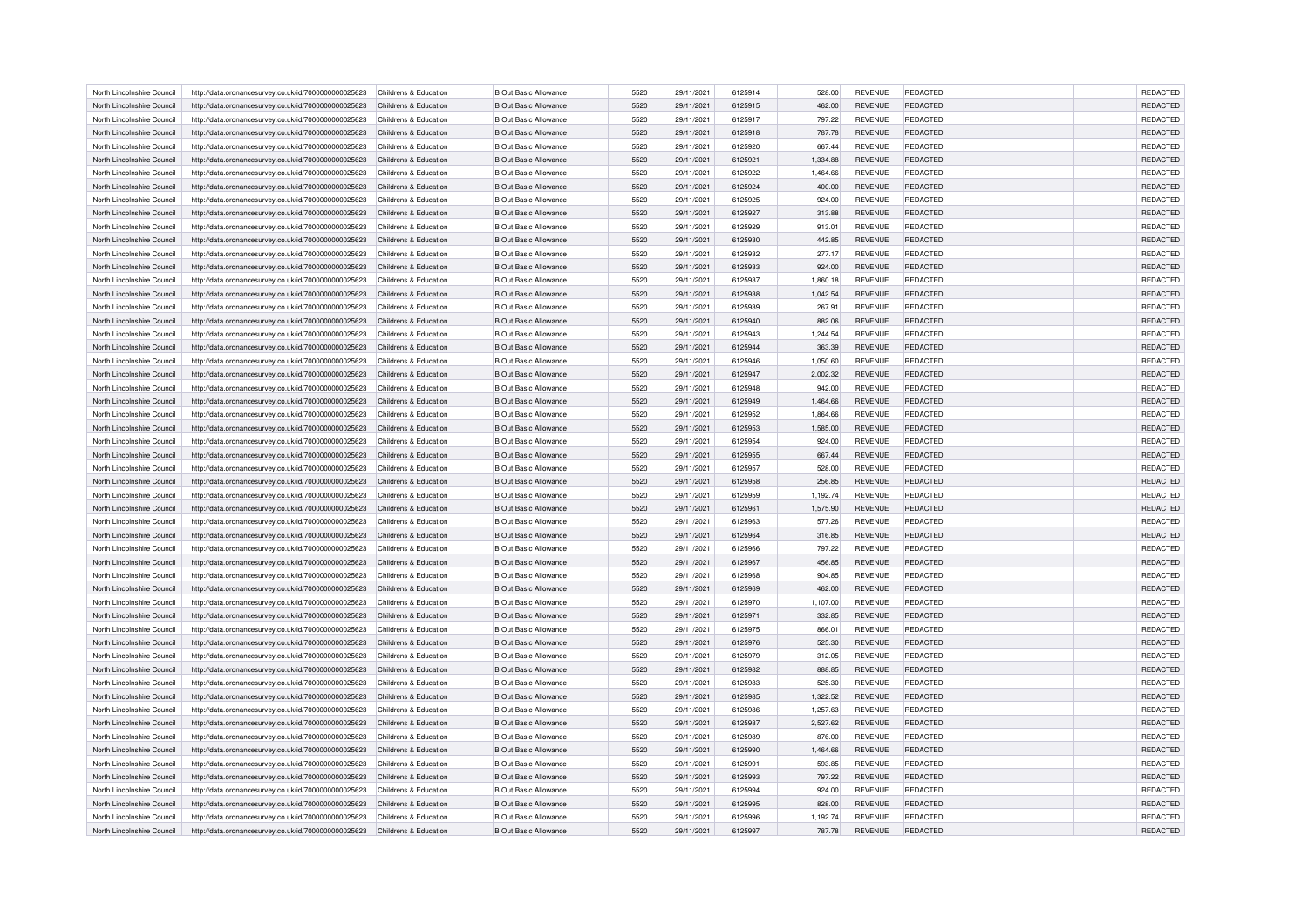| North Lincolnshire Council | http://data.ordnancesurvey.co.uk/id/7000000000025623                                                         | Childrens & Education | <b>B</b> Out Basic Allowance | 5520 | 29/11/2021 | 6125914 | 528.00   | REVENUE        | REDACTED        | <b>REDACTED</b> |
|----------------------------|--------------------------------------------------------------------------------------------------------------|-----------------------|------------------------------|------|------------|---------|----------|----------------|-----------------|-----------------|
| North Lincolnshire Council | http://data.ordnancesurvey.co.uk/id/7000000000025623                                                         | Childrens & Education | <b>B</b> Out Basic Allowance | 5520 | 29/11/2021 | 6125915 | 462.00   | <b>REVENUE</b> | REDACTED        | REDACTED        |
| North Lincolnshire Council | http://data.ordnancesurvey.co.uk/id/7000000000025623                                                         | Childrens & Education | B Out Basic Allowance        | 5520 | 29/11/2021 | 6125917 | 797.22   | <b>REVENUE</b> | REDACTED        | REDACTED        |
| North Lincolnshire Council | http://data.ordnancesurvey.co.uk/id/7000000000025623                                                         | Childrens & Education | <b>B Out Basic Allowance</b> | 5520 | 29/11/2021 | 6125918 | 787.78   | <b>REVENUE</b> | <b>REDACTED</b> | REDACTED        |
| North Lincolnshire Council | http://data.ordnancesurvey.co.uk/id/7000000000025623                                                         | Childrens & Education | <b>B</b> Out Basic Allowance | 5520 | 29/11/2021 | 6125920 | 667.44   | <b>REVENUE</b> | REDACTED        | <b>REDACTED</b> |
| North Lincolnshire Council | http://data.ordnancesurvey.co.uk/id/7000000000025623                                                         | Childrens & Education | <b>B Out Basic Allowance</b> | 5520 | 29/11/2021 | 6125921 | 1,334.88 | <b>REVENUE</b> | REDACTED        | REDACTED        |
| North Lincolnshire Council | http://data.ordnancesurvey.co.uk/id/7000000000025623                                                         | Childrens & Education | B Out Basic Allowance        | 5520 | 29/11/2021 | 6125922 | 1,464.66 | <b>REVENUE</b> | REDACTED        | <b>REDACTED</b> |
| North Lincolnshire Council | http://data.ordnancesurvey.co.uk/id/7000000000025623                                                         | Childrens & Education | <b>B Out Basic Allowance</b> | 5520 | 29/11/2021 | 6125924 | 400.00   | <b>REVENUE</b> | REDACTED        | REDACTED        |
| North Lincolnshire Council | http://data.ordnancesurvey.co.uk/id/7000000000025623                                                         | Childrens & Education | <b>B Out Basic Allowance</b> | 5520 | 29/11/2021 | 6125925 | 924.00   | <b>REVENUE</b> | REDACTED        | REDACTED        |
| North Lincolnshire Council | http://data.ordnancesurvey.co.uk/id/7000000000025623                                                         | Childrens & Education | B Out Basic Allowance        | 5520 | 29/11/2021 | 6125927 | 313.88   | <b>REVENUE</b> | <b>REDACTED</b> | REDACTED        |
| North Lincolnshire Council | http://data.ordnancesurvey.co.uk/id/7000000000025623                                                         | Childrens & Education | <b>B Out Basic Allowance</b> | 5520 | 29/11/2021 | 6125929 | 913.01   | <b>REVENUE</b> | REDACTED        | <b>REDACTED</b> |
| North Lincolnshire Council | http://data.ordnancesurvey.co.uk/id/7000000000025623                                                         | Childrens & Education | <b>B Out Basic Allowance</b> | 5520 | 29/11/2021 | 6125930 | 442.85   | <b>REVENUE</b> | <b>REDACTED</b> | REDACTED        |
| North Lincolnshire Council |                                                                                                              | Childrens & Education | <b>B Out Basic Allowance</b> | 5520 | 29/11/2021 | 6125932 | 277.17   | REVENUE        | REDACTED        | REDACTED        |
| North Lincolnshire Council | http://data.ordnancesurvey.co.uk/id/7000000000025623<br>http://data.ordnancesurvey.co.uk/id/7000000000025623 | Childrens & Education | <b>B Out Basic Allowance</b> | 5520 | 29/11/2021 | 6125933 | 924.00   | <b>REVENUE</b> | <b>REDACTED</b> | REDACTED        |
|                            |                                                                                                              |                       |                              |      |            |         |          |                |                 |                 |
| North Lincolnshire Council | http://data.ordnancesurvey.co.uk/id/7000000000025623                                                         | Childrens & Education | B Out Basic Allowance        | 5520 | 29/11/2021 | 6125937 | 1,860.18 | <b>REVENUE</b> | <b>REDACTED</b> | <b>REDACTED</b> |
| North Lincolnshire Council | http://data.ordnancesurvey.co.uk/id/7000000000025623                                                         | Childrens & Education | <b>B Out Basic Allowance</b> | 5520 | 29/11/2021 | 6125938 | 1,042.54 | REVENUE        | <b>REDACTED</b> | REDACTED        |
| North Lincolnshire Council | http://data.ordnancesurvey.co.uk/id/7000000000025623                                                         | Childrens & Education | B Out Basic Allowance        | 5520 | 29/11/2021 | 6125939 | 267.91   | <b>REVENUE</b> | REDACTED        | REDACTED        |
| North Lincolnshire Council | http://data.ordnancesurvey.co.uk/id/7000000000025623                                                         | Childrens & Education | <b>B Out Basic Allowance</b> | 5520 | 29/11/2021 | 6125940 | 882.06   | <b>REVENUE</b> | <b>REDACTED</b> | REDACTED        |
| North Lincolnshire Council | http://data.ordnancesurvey.co.uk/id/7000000000025623                                                         | Childrens & Education | <b>B Out Basic Allowance</b> | 5520 | 29/11/2021 | 6125943 | 1,244.54 | REVENUE        | REDACTED        | REDACTED        |
| North Lincolnshire Council | http://data.ordnancesurvey.co.uk/id/7000000000025623                                                         | Childrens & Education | <b>B Out Basic Allowance</b> | 5520 | 29/11/2021 | 6125944 | 363.39   | <b>REVENUE</b> | REDACTED        | REDACTED        |
| North Lincolnshire Council | http://data.ordnancesurvey.co.uk/id/7000000000025623                                                         | Childrens & Education | B Out Basic Allowance        | 5520 | 29/11/2021 | 6125946 | 1,050.60 | <b>REVENUE</b> | <b>REDACTED</b> | REDACTED        |
| North Lincolnshire Council | http://data.ordnancesurvey.co.uk/id/7000000000025623                                                         | Childrens & Education | <b>B Out Basic Allowance</b> | 5520 | 29/11/2021 | 6125947 | 2,002.32 | <b>REVENUE</b> | <b>REDACTED</b> | REDACTED        |
| North Lincolnshire Council | http://data.ordnancesurvey.co.uk/id/7000000000025623                                                         | Childrens & Education | <b>B Out Basic Allowance</b> | 5520 | 29/11/2021 | 6125948 | 942.00   | <b>REVENUE</b> | REDACTED        | REDACTED        |
| North Lincolnshire Council | http://data.ordnancesurvey.co.uk/id/7000000000025623                                                         | Childrens & Education | <b>B Out Basic Allowance</b> | 5520 | 29/11/2021 | 6125949 | 1.464.66 | <b>REVENUE</b> | <b>REDACTED</b> | <b>REDACTED</b> |
| North Lincolnshire Council | http://data.ordnancesurvey.co.uk/id/7000000000025623                                                         | Childrens & Education | <b>B Out Basic Allowance</b> | 5520 | 29/11/2021 | 6125952 | 1,864.66 | <b>REVENUE</b> | <b>REDACTED</b> | REDACTED        |
| North Lincolnshire Council | http://data.ordnancesurvey.co.uk/id/7000000000025623                                                         | Childrens & Education | <b>B Out Basic Allowance</b> | 5520 | 29/11/2021 | 6125953 | 1,585.00 | <b>REVENUE</b> | <b>REDACTED</b> | REDACTED        |
| North Lincolnshire Council | http://data.ordnancesurvey.co.uk/id/7000000000025623                                                         | Childrens & Education | B Out Basic Allowance        | 5520 | 29/11/2021 | 6125954 | 924.00   | <b>REVENUE</b> | <b>REDACTED</b> | REDACTED        |
| North Lincolnshire Council | http://data.ordnancesurvey.co.uk/id/7000000000025623                                                         | Childrens & Education | <b>B Out Basic Allowance</b> | 5520 | 29/11/2021 | 6125955 | 667.44   | <b>REVENUE</b> | <b>REDACTED</b> | REDACTED        |
| North Lincolnshire Council | http://data.ordnancesurvey.co.uk/id/7000000000025623                                                         | Childrens & Education | <b>B Out Basic Allowance</b> | 5520 | 29/11/2021 | 6125957 | 528.00   | <b>REVENUE</b> | REDACTED        | REDACTED        |
| North Lincolnshire Council | http://data.ordnancesurvey.co.uk/id/7000000000025623                                                         | Childrens & Education | <b>B Out Basic Allowance</b> | 5520 | 29/11/2021 | 6125958 | 256.85   | <b>REVENUE</b> | <b>REDACTED</b> | REDACTED        |
| North Lincolnshire Council | http://data.ordnancesurvey.co.uk/id/7000000000025623                                                         | Childrens & Education | <b>B Out Basic Allowance</b> | 5520 | 29/11/2021 | 6125959 | 1,192.74 | <b>REVENUE</b> | <b>REDACTED</b> | <b>REDACTED</b> |
| North Lincolnshire Council | http://data.ordnancesurvey.co.uk/id/7000000000025623                                                         | Childrens & Education | <b>B Out Basic Allowance</b> | 5520 | 29/11/2021 | 6125961 | 1,575.90 | <b>REVENUE</b> | REDACTED        | REDACTED        |
| North Lincolnshire Council | http://data.ordnancesurvey.co.uk/id/7000000000025623                                                         | Childrens & Education | <b>B Out Basic Allowance</b> | 5520 | 29/11/2021 | 6125963 | 577.26   | <b>REVENUE</b> | <b>REDACTED</b> | REDACTED        |
| North Lincolnshire Council | http://data.ordnancesurvey.co.uk/id/7000000000025623                                                         | Childrens & Education | <b>B Out Basic Allowance</b> | 5520 | 29/11/2021 | 6125964 | 316.85   | <b>REVENUE</b> | <b>REDACTED</b> | REDACTED        |
| North Lincolnshire Council | http://data.ordnancesurvey.co.uk/id/7000000000025623                                                         | Childrens & Education | <b>B Out Basic Allowance</b> | 5520 | 29/11/2021 | 6125966 | 797.22   | <b>REVENUE</b> | <b>REDACTED</b> | <b>REDACTED</b> |
| North Lincolnshire Council | http://data.ordnancesurvey.co.uk/id/7000000000025623                                                         | Childrens & Education | <b>B Out Basic Allowance</b> | 5520 | 29/11/2021 | 6125967 | 456.85   | <b>REVENUE</b> | <b>REDACTED</b> | REDACTED        |
| North Lincolnshire Council | http://data.ordnancesurvey.co.uk/id/7000000000025623                                                         | Childrens & Education | B Out Basic Allowance        | 5520 | 29/11/2021 | 6125968 | 904.85   | REVENUE        | <b>REDACTED</b> | REDACTED        |
| North Lincolnshire Council | http://data.ordnancesurvey.co.uk/id/7000000000025623                                                         | Childrens & Education | <b>B Out Basic Allowance</b> | 5520 | 29/11/2021 | 6125969 | 462.00   | <b>REVENUE</b> | REDACTED        | REDACTED        |
| North Lincolnshire Council | http://data.ordnancesurvey.co.uk/id/7000000000025623                                                         | Childrens & Education | B Out Basic Allowance        | 5520 | 29/11/2021 | 6125970 | 1,107.00 | <b>REVENUE</b> | <b>REDACTED</b> | <b>REDACTED</b> |
| North Lincolnshire Council | http://data.ordnancesurvey.co.uk/id/7000000000025623                                                         | Childrens & Education | <b>B Out Basic Allowance</b> | 5520 | 29/11/2021 | 6125971 | 332.85   | <b>REVENUE</b> | <b>REDACTED</b> | REDACTED        |
| North Lincolnshire Council | http://data.ordnancesurvey.co.uk/id/7000000000025623                                                         | Childrens & Education | B Out Basic Allowance        | 5520 | 29/11/2021 | 6125975 | 866.01   | <b>REVENUE</b> | <b>REDACTED</b> | <b>REDACTED</b> |
| North Lincolnshire Council | http://data.ordnancesurvey.co.uk/id/7000000000025623                                                         | Childrens & Education | <b>B Out Basic Allowance</b> | 5520 | 29/11/2021 | 6125976 | 525.30   | <b>REVENUE</b> | <b>REDACTED</b> | REDACTED        |
| North Lincolnshire Council | http://data.ordnancesurvey.co.uk/id/7000000000025623                                                         | Childrens & Education | B Out Basic Allowance        | 5520 | 29/11/2021 | 6125979 | 312.05   | REVENUE        | <b>REDACTED</b> | REDACTED        |
| North Lincolnshire Council | http://data.ordnancesurvey.co.uk/id/7000000000025623                                                         | Childrens & Education | <b>B Out Basic Allowance</b> | 5520 | 29/11/2021 | 6125982 | 888.85   | <b>REVENUE</b> | <b>REDACTED</b> | REDACTED        |
| North Lincolnshire Council | http://data.ordnancesurvey.co.uk/id/7000000000025623                                                         | Childrens & Education | B Out Basic Allowance        | 5520 | 29/11/2021 | 6125983 | 525.30   | <b>REVENUE</b> | <b>REDACTED</b> | REDACTED        |
| North Lincolnshire Council | http://data.ordnancesurvey.co.uk/id/7000000000025623                                                         | Childrens & Education | <b>B Out Basic Allowance</b> | 5520 | 29/11/2021 | 6125985 | 1,322.52 | <b>REVENUE</b> | <b>REDACTED</b> | REDACTED        |
| North Lincolnshire Council | http://data.ordnancesurvey.co.uk/id/7000000000025623                                                         | Childrens & Education | <b>B Out Basic Allowance</b> | 5520 | 29/11/2021 | 6125986 | 1,257.63 | <b>REVENUE</b> | REDACTED        | REDACTED        |
| North Lincolnshire Council | http://data.ordnancesurvey.co.uk/id/7000000000025623                                                         | Childrens & Education | <b>B Out Basic Allowance</b> | 5520 | 29/11/2021 | 6125987 | 2,527.62 | <b>REVENUE</b> | <b>REDACTED</b> | REDACTED        |
| North Lincolnshire Council | http://data.ordnancesurvey.co.uk/id/7000000000025623                                                         | Childrens & Education | B Out Basic Allowance        | 5520 | 29/11/2021 | 6125989 | 876.00   | REVENUE        | <b>REDACTED</b> | REDACTED        |
| North Lincolnshire Council | http://data.ordnancesurvey.co.uk/id/7000000000025623                                                         | Childrens & Education | <b>B Out Basic Allowance</b> | 5520 | 29/11/2021 | 6125990 | 1,464.66 | <b>REVENUE</b> | <b>REDACTED</b> | REDACTED        |
| North Lincolnshire Council |                                                                                                              | Childrens & Education | B Out Basic Allowance        | 5520 | 29/11/2021 | 6125991 | 593.85   | <b>REVENUE</b> | <b>REDACTED</b> | REDACTED        |
|                            | http://data.ordnancesurvey.co.uk/id/7000000000025623                                                         |                       |                              |      |            |         |          |                |                 |                 |
| North Lincolnshire Council | http://data.ordnancesurvey.co.uk/id/7000000000025623                                                         | Childrens & Education | <b>B Out Basic Allowance</b> | 5520 | 29/11/2021 | 6125993 | 797.22   | <b>REVENUE</b> | <b>REDACTED</b> | REDACTED        |
| North Lincolnshire Council | http://data.ordnancesurvey.co.uk/id/7000000000025623                                                         | Childrens & Education | <b>B Out Basic Allowance</b> | 5520 | 29/11/2021 | 6125994 | 924.00   | <b>REVENUE</b> | REDACTED        | REDACTED        |
| North Lincolnshire Council | http://data.ordnancesurvey.co.uk/id/7000000000025623                                                         | Childrens & Education | <b>B Out Basic Allowance</b> | 5520 | 29/11/2021 | 6125995 | 828.00   | <b>REVENUE</b> | <b>REDACTED</b> | REDACTED        |
| North Lincolnshire Council | http://data.ordnancesurvey.co.uk/id/7000000000025623                                                         | Childrens & Education | <b>B Out Basic Allowance</b> | 5520 | 29/11/2021 | 6125996 | 1,192.74 | <b>REVENUE</b> | <b>REDACTED</b> | <b>REDACTED</b> |
| North Lincolnshire Council | http://data.ordnancesurvey.co.uk/id/7000000000025623                                                         | Childrens & Education | <b>B Out Basic Allowance</b> | 5520 | 29/11/2021 | 6125997 | 787.78   | <b>REVENUE</b> | <b>REDACTED</b> | REDACTED        |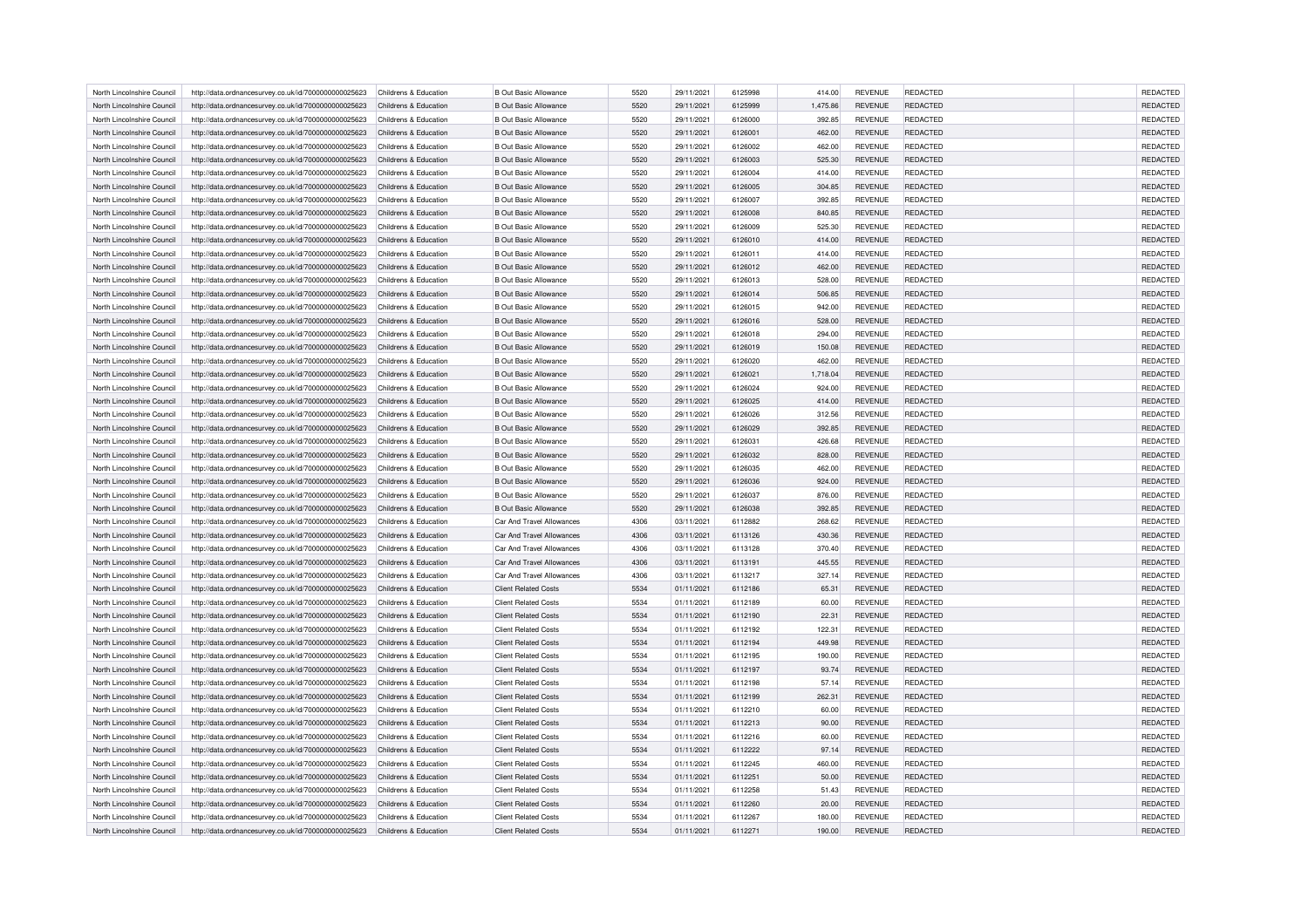| North Lincolnshire Council | http://data.ordnancesurvey.co.uk/id/7000000000025623                                                         | Childrens & Education | <b>B</b> Out Basic Allowance | 5520 | 29/11/2021 | 6125998 | 414.00   | REVENUE        | <b>REDACTED</b> | <b>REDACTED</b> |
|----------------------------|--------------------------------------------------------------------------------------------------------------|-----------------------|------------------------------|------|------------|---------|----------|----------------|-----------------|-----------------|
| North Lincolnshire Council | http://data.ordnancesurvey.co.uk/id/7000000000025623                                                         | Childrens & Education | <b>B Out Basic Allowance</b> | 5520 | 29/11/2021 | 6125999 | 1,475.86 | <b>REVENUE</b> | REDACTED        | REDACTED        |
| North Lincolnshire Council | http://data.ordnancesurvey.co.uk/id/7000000000025623                                                         | Childrens & Education | B Out Basic Allowance        | 5520 | 29/11/2021 | 6126000 | 392.85   | <b>REVENUE</b> | <b>REDACTED</b> | REDACTED        |
| North Lincolnshire Council | http://data.ordnancesurvey.co.uk/id/7000000000025623                                                         | Childrens & Education | <b>B</b> Out Basic Allowance | 5520 | 29/11/2021 | 6126001 | 462.00   | <b>REVENUE</b> | <b>REDACTED</b> | REDACTED        |
| North Lincolnshire Council | http://data.ordnancesurvey.co.uk/id/7000000000025623                                                         | Childrens & Education | <b>B</b> Out Basic Allowance | 5520 | 29/11/2021 | 6126002 | 462.00   | <b>REVENUE</b> | REDACTED        | <b>REDACTED</b> |
| North Lincolnshire Council | http://data.ordnancesurvey.co.uk/id/7000000000025623                                                         | Childrens & Education | <b>B Out Basic Allowance</b> | 5520 | 29/11/2021 | 6126003 | 525.30   | <b>REVENUE</b> | REDACTED        | REDACTED        |
| North Lincolnshire Council | http://data.ordnancesurvey.co.uk/id/7000000000025623                                                         | Childrens & Education | B Out Basic Allowance        | 5520 | 29/11/2021 | 6126004 | 414.00   | <b>REVENUE</b> | REDACTED        | <b>REDACTED</b> |
| North Lincolnshire Council | http://data.ordnancesurvey.co.uk/id/7000000000025623                                                         | Childrens & Education | <b>B Out Basic Allowance</b> | 5520 | 29/11/2021 | 6126005 | 304.85   | <b>REVENUE</b> | REDACTED        | REDACTED        |
| North Lincolnshire Council | http://data.ordnancesurvey.co.uk/id/7000000000025623                                                         | Childrens & Education | <b>B Out Basic Allowance</b> | 5520 | 29/11/2021 | 6126007 | 392.85   | <b>REVENUE</b> | REDACTED        | REDACTED        |
| North Lincolnshire Council | http://data.ordnancesurvey.co.uk/id/7000000000025623                                                         | Childrens & Education | B Out Basic Allowance        | 5520 | 29/11/2021 | 6126008 | 840.85   | <b>REVENUE</b> | <b>REDACTED</b> | REDACTED        |
| North Lincolnshire Council | http://data.ordnancesurvey.co.uk/id/7000000000025623                                                         | Childrens & Education | <b>B Out Basic Allowance</b> | 5520 | 29/11/2021 | 6126009 | 525.30   | <b>REVENUE</b> | REDACTED        | <b>REDACTED</b> |
| North Lincolnshire Council | http://data.ordnancesurvey.co.uk/id/7000000000025623                                                         | Childrens & Education | <b>B Out Basic Allowance</b> | 5520 | 29/11/2021 | 6126010 | 414.00   | <b>REVENUE</b> | <b>REDACTED</b> | REDACTED        |
| North Lincolnshire Council |                                                                                                              | Childrens & Education | B Out Basic Allowance        | 5520 | 29/11/2021 | 6126011 | 414.00   | <b>REVENUE</b> | REDACTED        | REDACTED        |
| North Lincolnshire Council | http://data.ordnancesurvey.co.uk/id/7000000000025623<br>http://data.ordnancesurvey.co.uk/id/7000000000025623 | Childrens & Education | <b>B Out Basic Allowance</b> | 5520 | 29/11/2021 | 6126012 | 462.00   | <b>REVENUE</b> | <b>REDACTED</b> | REDACTED        |
|                            |                                                                                                              |                       |                              |      |            |         |          |                |                 |                 |
| North Lincolnshire Council | http://data.ordnancesurvey.co.uk/id/7000000000025623                                                         | Childrens & Education | B Out Basic Allowance        | 5520 | 29/11/2021 | 6126013 | 528.00   | <b>REVENUE</b> | <b>REDACTED</b> | <b>REDACTED</b> |
| North Lincolnshire Council | http://data.ordnancesurvey.co.uk/id/7000000000025623                                                         | Childrens & Education | <b>B Out Basic Allowance</b> | 5520 | 29/11/2021 | 6126014 | 506.85   | <b>REVENUE</b> | <b>REDACTED</b> | REDACTED        |
| North Lincolnshire Council | http://data.ordnancesurvey.co.uk/id/7000000000025623                                                         | Childrens & Education | B Out Basic Allowance        | 5520 | 29/11/2021 | 6126015 | 942.00   | <b>REVENUE</b> | REDACTED        | REDACTED        |
| North Lincolnshire Council | http://data.ordnancesurvey.co.uk/id/7000000000025623                                                         | Childrens & Education | <b>B Out Basic Allowance</b> | 5520 | 29/11/2021 | 6126016 | 528.00   | <b>REVENUE</b> | <b>REDACTED</b> | REDACTED        |
| North Lincolnshire Council | http://data.ordnancesurvey.co.uk/id/7000000000025623                                                         | Childrens & Education | B Out Basic Allowance        | 5520 | 29/11/2021 | 6126018 | 294.00   | REVENUE        | REDACTED        | REDACTED        |
| North Lincolnshire Council | http://data.ordnancesurvey.co.uk/id/7000000000025623                                                         | Childrens & Education | <b>B Out Basic Allowance</b> | 5520 | 29/11/2021 | 6126019 | 150.08   | <b>REVENUE</b> | REDACTED        | REDACTED        |
| North Lincolnshire Council | http://data.ordnancesurvey.co.uk/id/7000000000025623                                                         | Childrens & Education | B Out Basic Allowance        | 5520 | 29/11/2021 | 6126020 | 462.00   | <b>REVENUE</b> | <b>REDACTED</b> | REDACTED        |
| North Lincolnshire Council | http://data.ordnancesurvey.co.uk/id/7000000000025623                                                         | Childrens & Education | <b>B Out Basic Allowance</b> | 5520 | 29/11/2021 | 6126021 | 1,718.04 | <b>REVENUE</b> | <b>REDACTED</b> | REDACTED        |
| North Lincolnshire Council | http://data.ordnancesurvey.co.uk/id/7000000000025623                                                         | Childrens & Education | <b>B Out Basic Allowance</b> | 5520 | 29/11/2021 | 6126024 | 924.00   | <b>REVENUE</b> | REDACTED        | REDACTED        |
| North Lincolnshire Council | http://data.ordnancesurvey.co.uk/id/7000000000025623                                                         | Childrens & Education | <b>B Out Basic Allowance</b> | 5520 | 29/11/2021 | 6126025 | 414.00   | <b>REVENUE</b> | <b>REDACTED</b> | REDACTED        |
| North Lincolnshire Council | http://data.ordnancesurvey.co.uk/id/7000000000025623                                                         | Childrens & Education | <b>B Out Basic Allowance</b> | 5520 | 29/11/2021 | 6126026 | 312.56   | REVENUE        | <b>REDACTED</b> | REDACTED        |
| North Lincolnshire Council | http://data.ordnancesurvey.co.uk/id/7000000000025623                                                         | Childrens & Education | <b>B Out Basic Allowance</b> | 5520 | 29/11/2021 | 6126029 | 392.85   | <b>REVENUE</b> | <b>REDACTED</b> | REDACTED        |
| North Lincolnshire Council | http://data.ordnancesurvey.co.uk/id/7000000000025623                                                         | Childrens & Education | B Out Basic Allowance        | 5520 | 29/11/2021 | 6126031 | 426.68   | <b>REVENUE</b> | <b>REDACTED</b> | REDACTED        |
| North Lincolnshire Council | http://data.ordnancesurvey.co.uk/id/7000000000025623                                                         | Childrens & Education | <b>B Out Basic Allowance</b> | 5520 | 29/11/2021 | 6126032 | 828.00   | <b>REVENUE</b> | <b>REDACTED</b> | REDACTED        |
| North Lincolnshire Council | http://data.ordnancesurvey.co.uk/id/7000000000025623                                                         | Childrens & Education | <b>B Out Basic Allowance</b> | 5520 | 29/11/2021 | 6126035 | 462.00   | <b>REVENUE</b> | REDACTED        | REDACTED        |
| North Lincolnshire Council | http://data.ordnancesurvey.co.uk/id/7000000000025623                                                         | Childrens & Education | <b>B Out Basic Allowance</b> | 5520 | 29/11/2021 | 6126036 | 924.00   | <b>REVENUE</b> | <b>REDACTED</b> | REDACTED        |
| North Lincolnshire Council | http://data.ordnancesurvey.co.uk/id/7000000000025623                                                         | Childrens & Education | <b>B Out Basic Allowance</b> | 5520 | 29/11/2021 | 6126037 | 876.00   | <b>REVENUE</b> | <b>REDACTED</b> | <b>REDACTED</b> |
| North Lincolnshire Council | http://data.ordnancesurvey.co.uk/id/7000000000025623                                                         | Childrens & Education | <b>B Out Basic Allowance</b> | 5520 | 29/11/2021 | 6126038 | 392.85   | <b>REVENUE</b> | REDACTED        | REDACTED        |
| North Lincolnshire Council | http://data.ordnancesurvey.co.uk/id/7000000000025623                                                         | Childrens & Education | Car And Travel Allowances    | 4306 | 03/11/2021 | 6112882 | 268.62   | <b>REVENUE</b> | <b>REDACTED</b> | REDACTED        |
| North Lincolnshire Council | http://data.ordnancesurvey.co.uk/id/7000000000025623                                                         | Childrens & Education | Car And Travel Allowances    | 4306 | 03/11/2021 | 6113126 | 430.36   | <b>REVENUE</b> | <b>REDACTED</b> | REDACTED        |
| North Lincolnshire Council | http://data.ordnancesurvey.co.uk/id/7000000000025623                                                         | Childrens & Education | Car And Travel Allowances    | 4306 | 03/11/2021 | 6113128 | 370.40   | <b>REVENUE</b> | <b>REDACTED</b> | <b>REDACTED</b> |
| North Lincolnshire Council | http://data.ordnancesurvey.co.uk/id/7000000000025623                                                         | Childrens & Education | Car And Travel Allowances    | 4306 | 03/11/2021 | 6113191 | 445.55   | <b>REVENUE</b> | <b>REDACTED</b> | REDACTED        |
| North Lincolnshire Council | http://data.ordnancesurvey.co.uk/id/7000000000025623                                                         | Childrens & Education | Car And Travel Allowances    | 4306 | 03/11/2021 | 6113217 | 327.14   | REVENUE        | <b>REDACTED</b> | REDACTED        |
| North Lincolnshire Council | http://data.ordnancesurvey.co.uk/id/7000000000025623                                                         | Childrens & Education | <b>Client Related Costs</b>  | 5534 | 01/11/2021 | 6112186 | 65.31    | <b>REVENUE</b> | REDACTED        | REDACTED        |
| North Lincolnshire Council | http://data.ordnancesurvey.co.uk/id/7000000000025623                                                         | Childrens & Education | <b>Client Related Costs</b>  | 5534 | 01/11/2021 | 6112189 | 60.00    | <b>REVENUE</b> | <b>REDACTED</b> | <b>REDACTED</b> |
| North Lincolnshire Council | http://data.ordnancesurvey.co.uk/id/7000000000025623                                                         | Childrens & Education | <b>Client Related Costs</b>  | 5534 | 01/11/2021 | 6112190 | 22.31    | <b>REVENUE</b> | <b>REDACTED</b> | REDACTED        |
| North Lincolnshire Council | http://data.ordnancesurvey.co.uk/id/7000000000025623                                                         | Childrens & Education | <b>Client Related Costs</b>  | 5534 | 01/11/2021 | 6112192 | 122.31   | <b>REVENUE</b> | REDACTED        | <b>REDACTED</b> |
| North Lincolnshire Council | http://data.ordnancesurvey.co.uk/id/7000000000025623                                                         | Childrens & Education | <b>Client Related Costs</b>  | 5534 | 01/11/2021 | 6112194 | 449.98   | <b>REVENUE</b> | <b>REDACTED</b> | REDACTED        |
| North Lincolnshire Council | http://data.ordnancesurvey.co.uk/id/7000000000025623                                                         | Childrens & Education | <b>Client Related Costs</b>  | 5534 | 01/11/2021 | 6112195 | 190.00   | REVENUE        | <b>REDACTED</b> | REDACTED        |
| North Lincolnshire Council | http://data.ordnancesurvey.co.uk/id/7000000000025623                                                         | Childrens & Education | <b>Client Related Costs</b>  | 5534 | 01/11/2021 | 6112197 | 93.74    | <b>REVENUE</b> | <b>REDACTED</b> | REDACTED        |
| North Lincolnshire Council | http://data.ordnancesurvey.co.uk/id/7000000000025623                                                         | Childrens & Education | <b>Client Related Costs</b>  | 5534 | 01/11/2021 | 6112198 | 57.14    | <b>REVENUE</b> | <b>REDACTED</b> | REDACTED        |
| North Lincolnshire Council | http://data.ordnancesurvey.co.uk/id/7000000000025623                                                         | Childrens & Education | <b>Client Related Costs</b>  | 5534 | 01/11/2021 | 6112199 | 262.31   | <b>REVENUE</b> | <b>REDACTED</b> | REDACTED        |
| North Lincolnshire Council | http://data.ordnancesurvey.co.uk/id/7000000000025623                                                         | Childrens & Education | <b>Client Related Costs</b>  | 5534 | 01/11/2021 | 6112210 | 60.00    | <b>REVENUE</b> | REDACTED        | REDACTED        |
| North Lincolnshire Council | http://data.ordnancesurvey.co.uk/id/7000000000025623                                                         | Childrens & Education | <b>Client Related Costs</b>  | 5534 | 01/11/2021 | 6112213 | 90.00    | <b>REVENUE</b> | <b>REDACTED</b> | REDACTED        |
| North Lincolnshire Council | http://data.ordnancesurvey.co.uk/id/7000000000025623                                                         | Childrens & Education | <b>Client Related Costs</b>  | 5534 | 01/11/2021 | 6112216 | 60.00    | REVENUE        | <b>REDACTED</b> | REDACTED        |
| North Lincolnshire Council | http://data.ordnancesurvey.co.uk/id/7000000000025623                                                         | Childrens & Education | <b>Client Related Costs</b>  | 5534 | 01/11/2021 | 6112222 | 97.14    | <b>REVENUE</b> | <b>REDACTED</b> | REDACTED        |
| North Lincolnshire Council | http://data.ordnancesurvey.co.uk/id/7000000000025623                                                         | Childrens & Education | <b>Client Related Costs</b>  | 5534 | 01/11/2021 | 6112245 | 460.00   | <b>REVENUE</b> | <b>REDACTED</b> | REDACTED        |
| North Lincolnshire Council | http://data.ordnancesurvey.co.uk/id/7000000000025623                                                         | Childrens & Education | <b>Client Related Costs</b>  | 5534 | 01/11/2021 | 6112251 | 50.00    | <b>REVENUE</b> | <b>REDACTED</b> | REDACTED        |
| North Lincolnshire Council | http://data.ordnancesurvey.co.uk/id/7000000000025623                                                         | Childrens & Education | <b>Client Related Costs</b>  | 5534 | 01/11/2021 | 6112258 | 51.43    | <b>REVENUE</b> | REDACTED        | REDACTED        |
| North Lincolnshire Council | http://data.ordnancesurvey.co.uk/id/7000000000025623                                                         | Childrens & Education | <b>Client Related Costs</b>  | 5534 | 01/11/2021 | 6112260 | 20.00    | <b>REVENUE</b> | <b>REDACTED</b> | REDACTED        |
| North Lincolnshire Council | http://data.ordnancesurvey.co.uk/id/7000000000025623                                                         | Childrens & Education | <b>Client Related Costs</b>  | 5534 | 01/11/2021 | 6112267 | 180.00   | <b>REVENUE</b> | <b>REDACTED</b> | <b>REDACTED</b> |
|                            |                                                                                                              |                       |                              |      |            |         |          |                |                 | REDACTED        |
| North Lincolnshire Council | http://data.ordnancesurvey.co.uk/id/7000000000025623                                                         | Childrens & Education | <b>Client Related Costs</b>  | 5534 | 01/11/2021 | 6112271 | 190.00   | <b>REVENUE</b> | <b>REDACTED</b> |                 |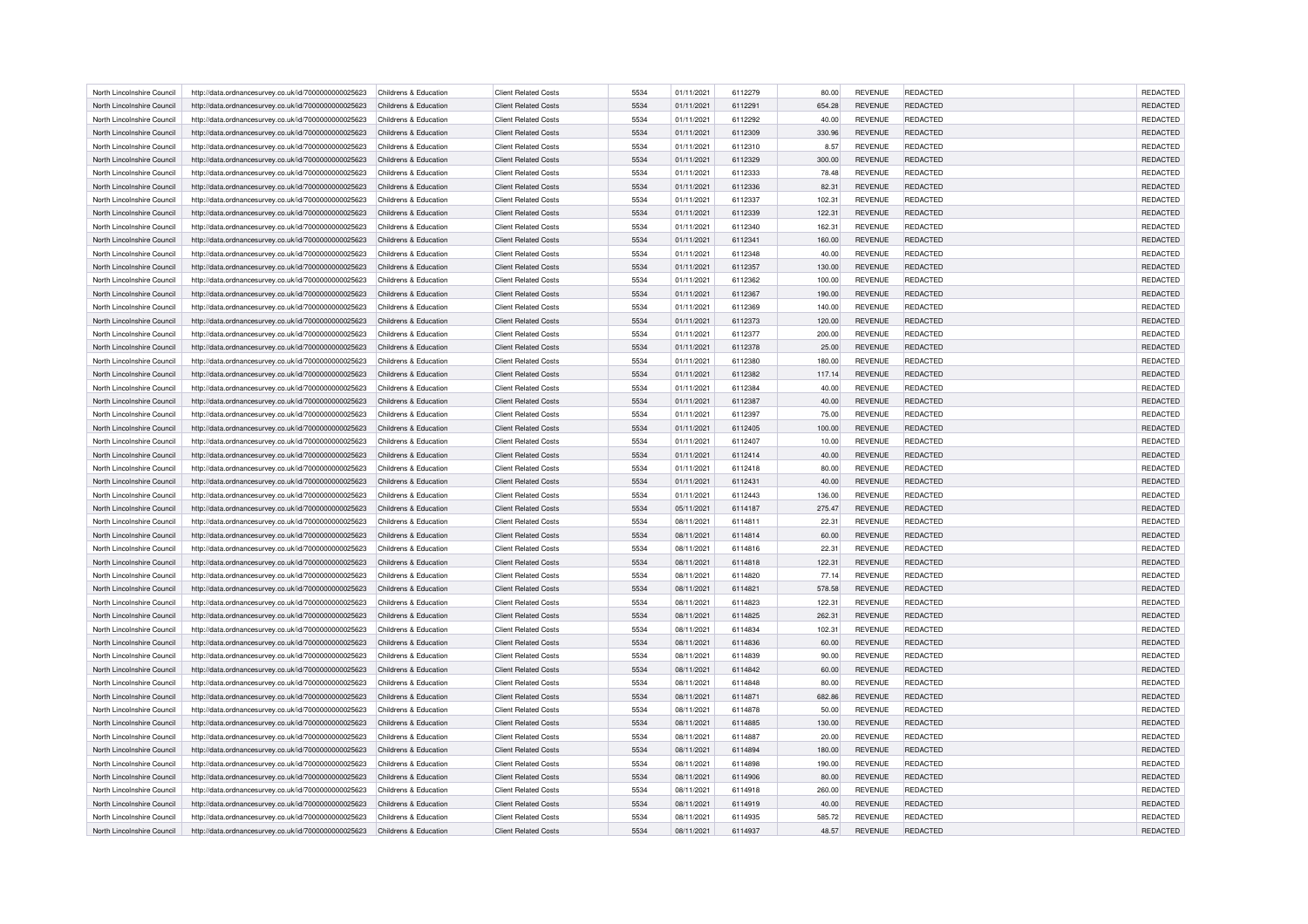| North Lincolnshire Council                               | http://data.ordnancesurvey.co.uk/id/7000000000025623                                                         | Childrens & Education                          | <b>Client Related Costs</b>                                | 5534         | 01/11/2021               | 6112279            | 80.00           | REVENUE        | REDACTED        | REDACTED        |
|----------------------------------------------------------|--------------------------------------------------------------------------------------------------------------|------------------------------------------------|------------------------------------------------------------|--------------|--------------------------|--------------------|-----------------|----------------|-----------------|-----------------|
| North Lincolnshire Council                               | http://data.ordnancesurvey.co.uk/id/7000000000025623                                                         | Childrens & Education                          | <b>Client Related Costs</b>                                | 5534         | 01/11/2021               | 6112291            | 654.28          | <b>REVENUE</b> | REDACTED        | REDACTED        |
| North Lincolnshire Council                               | http://data.ordnancesurvey.co.uk/id/7000000000025623                                                         | Childrens & Education                          | <b>Client Related Costs</b>                                | 5534         | 01/11/2021               | 6112292            | 40.00           | <b>REVENUE</b> | <b>REDACTED</b> | REDACTED        |
| North Lincolnshire Council                               | http://data.ordnancesurvey.co.uk/id/7000000000025623                                                         | Childrens & Education                          | <b>Client Related Costs</b>                                | 5534         | 01/11/2021               | 6112309            | 330.96          | <b>REVENUE</b> | <b>REDACTED</b> | REDACTED        |
| North Lincolnshire Council                               | http://data.ordnancesurvey.co.uk/id/7000000000025623                                                         | Childrens & Education                          | <b>Client Related Costs</b>                                | 5534         | 01/11/2021               | 6112310            | 8.57            | <b>REVENUE</b> | REDACTED        | REDACTED        |
| North Lincolnshire Council                               | http://data.ordnancesurvey.co.uk/id/7000000000025623                                                         | Childrens & Education                          | <b>Client Related Costs</b>                                | 5534         | 01/11/2021               | 6112329            | 300.00          | <b>REVENUE</b> | REDACTED        | REDACTED        |
| North Lincolnshire Council                               | http://data.ordnancesurvey.co.uk/id/7000000000025623                                                         | Childrens & Education                          | <b>Client Related Costs</b>                                | 5534         | 01/11/2021               | 6112333            | 78.48           | <b>REVENUE</b> | REDACTED        | <b>REDACTED</b> |
| North Lincolnshire Council                               | http://data.ordnancesurvey.co.uk/id/7000000000025623                                                         | Childrens & Education                          | <b>Client Related Costs</b>                                | 5534         | 01/11/2021               | 6112336            | 82.31           | <b>REVENUE</b> | REDACTED        | REDACTED        |
| North Lincolnshire Council                               | http://data.ordnancesurvey.co.uk/id/7000000000025623                                                         | Childrens & Education                          | <b>Client Related Costs</b>                                | 5534         | 01/11/2021               | 6112337            | 102.31          | <b>REVENUE</b> | REDACTED        | <b>REDACTED</b> |
| North Lincolnshire Council                               | http://data.ordnancesurvey.co.uk/id/7000000000025623                                                         | Childrens & Education                          | <b>Client Related Costs</b>                                | 5534         | 01/11/2021               | 6112339            | 122.31          | <b>REVENUE</b> | <b>REDACTED</b> | REDACTED        |
| North Lincolnshire Council                               | http://data.ordnancesurvey.co.uk/id/7000000000025623                                                         | Childrens & Education                          | <b>Client Related Costs</b>                                | 5534         | 01/11/2021               | 6112340            | 162.31          | <b>REVENUE</b> | REDACTED        | <b>REDACTED</b> |
| North Lincolnshire Council                               | http://data.ordnancesurvey.co.uk/id/7000000000025623                                                         | Childrens & Education                          | <b>Client Related Costs</b>                                | 5534         | 01/11/2021               | 6112341            | 160.00          | <b>REVENUE</b> | REDACTED        | REDACTED        |
| North Lincolnshire Council                               |                                                                                                              |                                                | <b>Client Related Costs</b>                                | 5534         |                          | 6112348            |                 | <b>REVENUE</b> | REDACTED        | REDACTED        |
| North Lincolnshire Council                               | http://data.ordnancesurvey.co.uk/id/7000000000025623<br>http://data.ordnancesurvey.co.uk/id/7000000000025623 | Childrens & Education<br>Childrens & Education | <b>Client Related Costs</b>                                | 5534         | 01/11/2021<br>01/11/2021 | 6112357            | 40.00<br>130.00 | <b>REVENUE</b> | <b>REDACTED</b> | REDACTED        |
|                                                          |                                                                                                              |                                                |                                                            |              |                          |                    |                 |                |                 |                 |
| North Lincolnshire Council                               | http://data.ordnancesurvey.co.uk/id/7000000000025623                                                         | Childrens & Education                          | <b>Client Related Costs</b>                                | 5534         | 01/11/2021               | 6112362            | 100.00          | <b>REVENUE</b> | REDACTED        | <b>REDACTED</b> |
| North Lincolnshire Council                               | http://data.ordnancesurvey.co.uk/id/7000000000025623                                                         | Childrens & Education                          | <b>Client Related Costs</b>                                | 5534         | 01/11/2021               | 6112367            | 190.00          | <b>REVENUE</b> | <b>REDACTED</b> | REDACTED        |
| North Lincolnshire Council                               | http://data.ordnancesurvey.co.uk/id/7000000000025623                                                         | Childrens & Education                          | <b>Client Related Costs</b>                                | 5534         | 01/11/2021               | 6112369            | 140.00          | <b>REVENUE</b> | <b>REDACTED</b> | REDACTED        |
| North Lincolnshire Council                               | http://data.ordnancesurvey.co.uk/id/7000000000025623                                                         | Childrens & Education                          | <b>Client Related Costs</b>                                | 5534         | 01/11/2021               | 6112373            | 120.00          | <b>REVENUE</b> | <b>REDACTED</b> | REDACTED        |
| North Lincolnshire Council                               | http://data.ordnancesurvey.co.uk/id/7000000000025623                                                         | Childrens & Education                          | <b>Client Related Costs</b>                                | 5534         | 01/11/2021               | 6112377            | 200.00          | REVENUE        | REDACTED        | REDACTED        |
| North Lincolnshire Council                               | http://data.ordnancesurvey.co.uk/id/7000000000025623                                                         | Childrens & Education                          | <b>Client Related Costs</b>                                | 5534         | 01/11/2021               | 6112378            | 25.00           | <b>REVENUE</b> | REDACTED        | REDACTED        |
| North Lincolnshire Council                               | http://data.ordnancesurvey.co.uk/id/7000000000025623                                                         | Childrens & Education                          | <b>Client Related Costs</b>                                | 5534         | 01/11/2021               | 6112380            | 180.00          | <b>REVENUE</b> | REDACTED        | REDACTED        |
| North Lincolnshire Council                               | http://data.ordnancesurvey.co.uk/id/7000000000025623                                                         | Childrens & Education                          | <b>Client Related Costs</b>                                | 5534         | 01/11/2021               | 6112382            | 117.14          | <b>REVENUE</b> | <b>REDACTED</b> | REDACTED        |
| North Lincolnshire Council                               | http://data.ordnancesurvey.co.uk/id/7000000000025623                                                         | Childrens & Education                          | <b>Client Related Costs</b>                                | 5534         | 01/11/2021               | 6112384            | 40.00           | REVENUE        | REDACTED        | REDACTED        |
| North Lincolnshire Council                               | http://data.ordnancesurvey.co.uk/id/7000000000025623                                                         | Childrens & Education                          | <b>Client Related Costs</b>                                | 5534         | 01/11/2021               | 6112387            | 40.00           | <b>REVENUE</b> | <b>REDACTED</b> | <b>REDACTED</b> |
| North Lincolnshire Council                               | http://data.ordnancesurvey.co.uk/id/7000000000025623                                                         | Childrens & Education                          | <b>Client Related Costs</b>                                | 5534         | 01/11/2021               | 6112397            | 75.00           | REVENUE        | REDACTED        | REDACTED        |
| North Lincolnshire Council                               | http://data.ordnancesurvey.co.uk/id/7000000000025623                                                         | Childrens & Education                          | <b>Client Related Costs</b>                                | 5534         | 01/11/2021               | 6112405            | 100.00          | <b>REVENUE</b> | REDACTED        | REDACTED        |
| North Lincolnshire Council                               | http://data.ordnancesurvey.co.uk/id/7000000000025623                                                         | Childrens & Education                          | <b>Client Related Costs</b>                                | 5534         | 01/11/2021               | 6112407            | 10.00           | <b>REVENUE</b> | <b>REDACTED</b> | REDACTED        |
| North Lincolnshire Council                               | http://data.ordnancesurvey.co.uk/id/7000000000025623                                                         | Childrens & Education                          | <b>Client Related Costs</b>                                | 5534         | 01/11/2021               | 6112414            | 40.00           | <b>REVENUE</b> | <b>REDACTED</b> | REDACTED        |
| North Lincolnshire Council                               | http://data.ordnancesurvey.co.uk/id/7000000000025623                                                         | Childrens & Education                          | <b>Client Related Costs</b>                                | 5534         | 01/11/2021               | 6112418            | 80.00           | <b>REVENUE</b> | REDACTED        | REDACTED        |
| North Lincolnshire Council                               | http://data.ordnancesurvey.co.uk/id/7000000000025623                                                         | Childrens & Education                          | <b>Client Related Costs</b>                                | 5534         | 01/11/2021               | 6112431            | 40.00           | <b>REVENUE</b> | REDACTED        | REDACTED        |
| North Lincolnshire Council                               | http://data.ordnancesurvey.co.uk/id/7000000000025623                                                         | Childrens & Education                          | <b>Client Related Costs</b>                                | 5534         | 01/11/2021               | 6112443            | 136.00          | <b>REVENUE</b> | REDACTED        | <b>REDACTED</b> |
| North Lincolnshire Council                               | http://data.ordnancesurvey.co.uk/id/7000000000025623                                                         | Childrens & Education                          | <b>Client Related Costs</b>                                | 5534         | 05/11/2021               | 6114187            | 275.47          | <b>REVENUE</b> | REDACTED        | REDACTED        |
| North Lincolnshire Council                               | http://data.ordnancesurvey.co.uk/id/7000000000025623                                                         | Childrens & Education                          | <b>Client Related Costs</b>                                | 5534         | 08/11/2021               | 6114811            | 22.31           | <b>REVENUE</b> | REDACTED        | REDACTED        |
| North Lincolnshire Council                               | http://data.ordnancesurvey.co.uk/id/7000000000025623                                                         | Childrens & Education                          | <b>Client Related Costs</b>                                | 5534         | 08/11/2021               | 6114814            | 60.00           | <b>REVENUE</b> | <b>REDACTED</b> | REDACTED        |
| North Lincolnshire Council                               | http://data.ordnancesurvey.co.uk/id/7000000000025623                                                         | Childrens & Education                          | <b>Client Related Costs</b>                                | 5534         | 08/11/2021               | 6114816            | 22.31           | <b>REVENUE</b> | REDACTED        | REDACTED        |
| North Lincolnshire Council                               | http://data.ordnancesurvey.co.uk/id/7000000000025623                                                         | Childrens & Education                          | <b>Client Related Costs</b>                                | 5534         | 08/11/2021               | 6114818            | 122.31          | <b>REVENUE</b> | REDACTED        | REDACTED        |
| North Lincolnshire Council                               | http://data.ordnancesurvey.co.uk/id/7000000000025623                                                         | Childrens & Education                          | <b>Client Related Costs</b>                                | 5534         | 08/11/2021               | 6114820            | 77.14           | REVENUE        | <b>REDACTED</b> | REDACTED        |
| North Lincolnshire Council                               | http://data.ordnancesurvey.co.uk/id/7000000000025623                                                         | Childrens & Education                          | <b>Client Related Costs</b>                                | 5534         | 08/11/2021               | 6114821            | 578.58          | <b>REVENUE</b> | REDACTED        | REDACTED        |
| North Lincolnshire Council                               | http://data.ordnancesurvey.co.uk/id/7000000000025623                                                         | Childrens & Education                          | <b>Client Related Costs</b>                                | 5534         | 08/11/2021               | 6114823            | 122.31          | <b>REVENUE</b> | <b>REDACTED</b> | <b>REDACTED</b> |
| North Lincolnshire Council                               | http://data.ordnancesurvey.co.uk/id/7000000000025623                                                         | Childrens & Education                          | <b>Client Related Costs</b>                                | 5534         | 08/11/2021               | 6114825            | 262.31          | <b>REVENUE</b> | REDACTED        | REDACTED        |
| North Lincolnshire Council                               | http://data.ordnancesurvey.co.uk/id/7000000000025623                                                         | Childrens & Education                          | <b>Client Related Costs</b>                                | 5534         | 08/11/2021               | 6114834            | 102.31          | <b>REVENUE</b> | REDACTED        | <b>REDACTED</b> |
| North Lincolnshire Council                               | http://data.ordnancesurvey.co.uk/id/7000000000025623                                                         | Childrens & Education                          | <b>Client Related Costs</b>                                | 5534         | 08/11/2021               | 6114836            | 60.00           | <b>REVENUE</b> | <b>REDACTED</b> | REDACTED        |
| North Lincolnshire Council                               | http://data.ordnancesurvey.co.uk/id/7000000000025623                                                         | Childrens & Education                          | <b>Client Related Costs</b>                                | 5534         | 08/11/2021               | 6114839            | 90.00           | REVENUE        | <b>REDACTED</b> | REDACTED        |
| North Lincolnshire Council                               | http://data.ordnancesurvey.co.uk/id/7000000000025623                                                         | Childrens & Education                          | <b>Client Related Costs</b>                                | 5534         | 08/11/2021               | 6114842            | 60.00           | <b>REVENUE</b> | <b>REDACTED</b> | REDACTED        |
| North Lincolnshire Council                               | http://data.ordnancesurvey.co.uk/id/7000000000025623                                                         | Childrens & Education                          | <b>Client Related Costs</b>                                | 5534         | 08/11/2021               | 6114848            | 80.00           | <b>REVENUE</b> | REDACTED        | REDACTED        |
| North Lincolnshire Council                               | http://data.ordnancesurvey.co.uk/id/7000000000025623                                                         | Childrens & Education                          | <b>Client Related Costs</b>                                | 5534         | 08/11/2021               | 6114871            | 682.86          | <b>REVENUE</b> | <b>REDACTED</b> | REDACTED        |
| North Lincolnshire Council                               | http://data.ordnancesurvey.co.uk/id/7000000000025623                                                         | Childrens & Education                          | <b>Client Related Costs</b>                                | 5534         | 08/11/2021               | 6114878            | 50.00           | <b>REVENUE</b> | REDACTED        | REDACTED        |
| North Lincolnshire Council                               | http://data.ordnancesurvey.co.uk/id/7000000000025623                                                         | Childrens & Education                          | <b>Client Related Costs</b>                                | 5534         | 08/11/2021               | 6114885            | 130.00          | <b>REVENUE</b> | <b>REDACTED</b> | REDACTED        |
| North Lincolnshire Council                               | http://data.ordnancesurvey.co.uk/id/7000000000025623                                                         | Childrens & Education                          | <b>Client Related Costs</b>                                | 5534         | 08/11/2021               | 6114887            | 20.00           | REVENUE        | REDACTED        | REDACTED        |
| North Lincolnshire Council                               | http://data.ordnancesurvey.co.uk/id/7000000000025623                                                         | Childrens & Education                          | <b>Client Related Costs</b>                                | 5534         | 08/11/2021               | 6114894            | 180.00          | <b>REVENUE</b> | REDACTED        | REDACTED        |
| North Lincolnshire Council                               | http://data.ordnancesurvey.co.uk/id/7000000000025623                                                         | Childrens & Education                          | <b>Client Related Costs</b>                                | 5534         | 08/11/2021               | 6114898            | 190.00          | <b>REVENUE</b> | REDACTED        | REDACTED        |
| North Lincolnshire Council                               |                                                                                                              | Childrens & Education                          | <b>Client Related Costs</b>                                | 5534         | 08/11/2021               | 6114906            | 80.00           | <b>REVENUE</b> | <b>REDACTED</b> | REDACTED        |
|                                                          | http://data.ordnancesurvey.co.uk/id/7000000000025623                                                         |                                                |                                                            |              |                          |                    |                 |                |                 |                 |
| North Lincolnshire Council<br>North Lincolnshire Council | http://data.ordnancesurvey.co.uk/id/7000000000025623<br>http://data.ordnancesurvey.co.uk/id/7000000000025623 | Childrens & Education                          | <b>Client Related Costs</b>                                | 5534<br>5534 | 08/11/2021               | 6114918            | 260.00<br>40.00 | <b>REVENUE</b> | REDACTED        | REDACTED        |
|                                                          |                                                                                                              | Childrens & Education                          | <b>Client Related Costs</b><br><b>Client Related Costs</b> | 5534         | 08/11/2021               | 6114919<br>6114935 |                 | <b>REVENUE</b> | REDACTED        | REDACTED        |
| North Lincolnshire Council                               | http://data.ordnancesurvey.co.uk/id/7000000000025623                                                         | Childrens & Education                          |                                                            |              | 08/11/2021               |                    | 585.72          | <b>REVENUE</b> | REDACTED        | <b>REDACTED</b> |
| North Lincolnshire Council                               | http://data.ordnancesurvey.co.uk/id/7000000000025623                                                         | Childrens & Education                          | <b>Client Related Costs</b>                                | 5534         | 08/11/2021               | 6114937            | 48.57           | <b>REVENUE</b> | <b>REDACTED</b> | REDACTED        |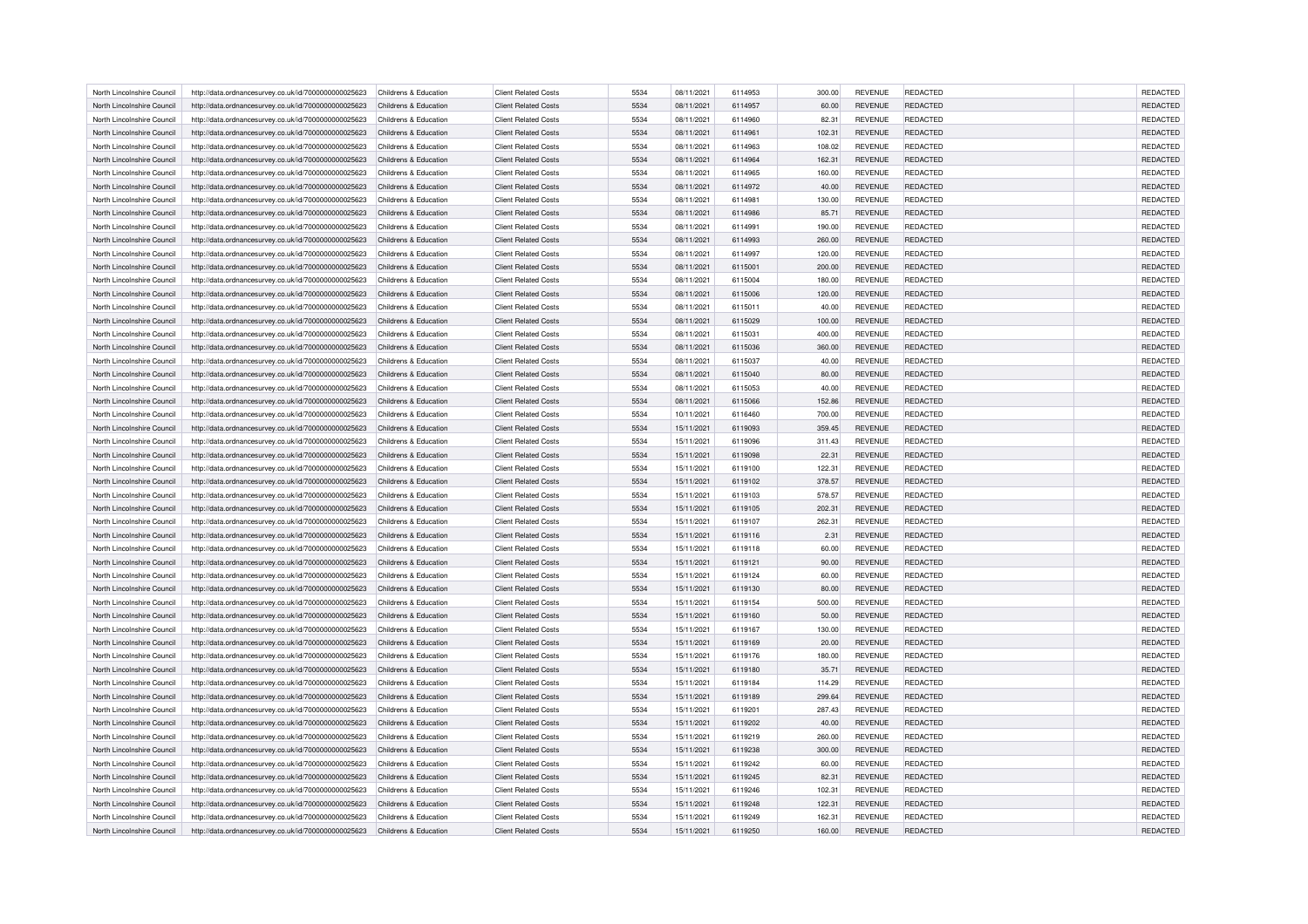| North Lincolnshire Council | http://data.ordnancesurvey.co.uk/id/7000000000025623                                                         | Childrens & Education | <b>Client Related Costs</b> | 5534 | 08/11/2021 | 6114953 | 300.00 | REVENUE        | REDACTED        | REDACTED        |
|----------------------------|--------------------------------------------------------------------------------------------------------------|-----------------------|-----------------------------|------|------------|---------|--------|----------------|-----------------|-----------------|
| North Lincolnshire Council | http://data.ordnancesurvey.co.uk/id/7000000000025623                                                         | Childrens & Education | <b>Client Related Costs</b> | 5534 | 08/11/2021 | 6114957 | 60.00  | <b>REVENUE</b> | REDACTED        | REDACTED        |
| North Lincolnshire Council | http://data.ordnancesurvey.co.uk/id/7000000000025623                                                         | Childrens & Education | <b>Client Related Costs</b> | 5534 | 08/11/2021 | 6114960 | 82.31  | <b>REVENUE</b> | <b>REDACTED</b> | REDACTED        |
| North Lincolnshire Council | http://data.ordnancesurvey.co.uk/id/7000000000025623                                                         | Childrens & Education | <b>Client Related Costs</b> | 5534 | 08/11/2021 | 6114961 | 102.31 | <b>REVENUE</b> | <b>REDACTED</b> | REDACTED        |
| North Lincolnshire Council | http://data.ordnancesurvey.co.uk/id/7000000000025623                                                         | Childrens & Education | <b>Client Related Costs</b> | 5534 | 08/11/2021 | 6114963 | 108.02 | <b>REVENUE</b> | REDACTED        | REDACTED        |
| North Lincolnshire Council | http://data.ordnancesurvey.co.uk/id/7000000000025623                                                         | Childrens & Education | <b>Client Related Costs</b> | 5534 | 08/11/2021 | 6114964 | 162.31 | <b>REVENUE</b> | REDACTED        | REDACTED        |
| North Lincolnshire Council | http://data.ordnancesurvey.co.uk/id/7000000000025623                                                         | Childrens & Education | <b>Client Related Costs</b> | 5534 | 08/11/2021 | 6114965 | 160.00 | <b>REVENUE</b> | REDACTED        | <b>REDACTED</b> |
| North Lincolnshire Council | http://data.ordnancesurvey.co.uk/id/7000000000025623                                                         | Childrens & Education | <b>Client Related Costs</b> | 5534 | 08/11/2021 | 6114972 | 40.00  | <b>REVENUE</b> | REDACTED        | REDACTED        |
| North Lincolnshire Council | http://data.ordnancesurvey.co.uk/id/7000000000025623                                                         | Childrens & Education | <b>Client Related Costs</b> | 5534 | 08/11/2021 | 6114981 | 130.00 | <b>REVENUE</b> | REDACTED        | <b>REDACTED</b> |
| North Lincolnshire Council | http://data.ordnancesurvey.co.uk/id/7000000000025623                                                         | Childrens & Education | <b>Client Related Costs</b> | 5534 | 08/11/2021 | 6114986 | 85.71  | <b>REVENUE</b> | <b>REDACTED</b> | REDACTED        |
| North Lincolnshire Council | http://data.ordnancesurvey.co.uk/id/7000000000025623                                                         | Childrens & Education | <b>Client Related Costs</b> | 5534 | 08/11/2021 | 6114991 | 190.00 | <b>REVENUE</b> | REDACTED        | <b>REDACTED</b> |
| North Lincolnshire Council | http://data.ordnancesurvey.co.uk/id/7000000000025623                                                         | Childrens & Education | <b>Client Related Costs</b> | 5534 | 08/11/2021 | 6114993 | 260.00 | <b>REVENUE</b> | REDACTED        | REDACTED        |
| North Lincolnshire Council |                                                                                                              | Childrens & Education | <b>Client Related Costs</b> | 5534 | 08/11/2021 | 6114997 | 120.00 | <b>REVENUE</b> | REDACTED        | REDACTED        |
| North Lincolnshire Council | http://data.ordnancesurvey.co.uk/id/7000000000025623<br>http://data.ordnancesurvey.co.uk/id/7000000000025623 | Childrens & Education | <b>Client Related Costs</b> | 5534 | 08/11/2021 | 6115001 | 200.00 | <b>REVENUE</b> | <b>REDACTED</b> | REDACTED        |
|                            |                                                                                                              |                       |                             |      |            |         |        |                |                 |                 |
| North Lincolnshire Council | http://data.ordnancesurvey.co.uk/id/7000000000025623                                                         | Childrens & Education | <b>Client Related Costs</b> | 5534 | 08/11/2021 | 6115004 | 180.00 | <b>REVENUE</b> | REDACTED        | <b>REDACTED</b> |
| North Lincolnshire Council | http://data.ordnancesurvey.co.uk/id/7000000000025623                                                         | Childrens & Education | <b>Client Related Costs</b> | 5534 | 08/11/2021 | 6115006 | 120.00 | <b>REVENUE</b> | <b>REDACTED</b> | REDACTED        |
| North Lincolnshire Council | http://data.ordnancesurvey.co.uk/id/7000000000025623                                                         | Childrens & Education | <b>Client Related Costs</b> | 5534 | 08/11/2021 | 6115011 | 40.00  | <b>REVENUE</b> | REDACTED        | REDACTED        |
| North Lincolnshire Council | http://data.ordnancesurvey.co.uk/id/7000000000025623                                                         | Childrens & Education | <b>Client Related Costs</b> | 5534 | 08/11/2021 | 6115029 | 100.00 | <b>REVENUE</b> | <b>REDACTED</b> | REDACTED        |
| North Lincolnshire Council | http://data.ordnancesurvey.co.uk/id/7000000000025623                                                         | Childrens & Education | <b>Client Related Costs</b> | 5534 | 08/11/2021 | 6115031 | 400.00 | REVENUE        | REDACTED        | REDACTED        |
| North Lincolnshire Council | http://data.ordnancesurvey.co.uk/id/7000000000025623                                                         | Childrens & Education | <b>Client Related Costs</b> | 5534 | 08/11/2021 | 6115036 | 360.00 | <b>REVENUE</b> | REDACTED        | REDACTED        |
| North Lincolnshire Council | http://data.ordnancesurvey.co.uk/id/7000000000025623                                                         | Childrens & Education | <b>Client Related Costs</b> | 5534 | 08/11/2021 | 6115037 | 40.00  | <b>REVENUE</b> | REDACTED        | REDACTED        |
| North Lincolnshire Council | http://data.ordnancesurvey.co.uk/id/7000000000025623                                                         | Childrens & Education | <b>Client Related Costs</b> | 5534 | 08/11/2021 | 6115040 | 80.00  | <b>REVENUE</b> | <b>REDACTED</b> | REDACTED        |
| North Lincolnshire Council | http://data.ordnancesurvey.co.uk/id/7000000000025623                                                         | Childrens & Education | <b>Client Related Costs</b> | 5534 | 08/11/2021 | 6115053 | 40.00  | <b>REVENUE</b> | REDACTED        | REDACTED        |
| North Lincolnshire Council | http://data.ordnancesurvey.co.uk/id/7000000000025623                                                         | Childrens & Education | <b>Client Related Costs</b> | 5534 | 08/11/2021 | 6115066 | 152.86 | <b>REVENUE</b> | <b>REDACTED</b> | REDACTED        |
| North Lincolnshire Council | http://data.ordnancesurvey.co.uk/id/7000000000025623                                                         | Childrens & Education | <b>Client Related Costs</b> | 5534 | 10/11/2021 | 6116460 | 700.00 | <b>REVENUE</b> | REDACTED        | REDACTED        |
| North Lincolnshire Council | http://data.ordnancesurvey.co.uk/id/7000000000025623                                                         | Childrens & Education | <b>Client Related Costs</b> | 5534 | 15/11/2021 | 6119093 | 359.45 | <b>REVENUE</b> | REDACTED        | REDACTED        |
| North Lincolnshire Council | http://data.ordnancesurvey.co.uk/id/7000000000025623                                                         | Childrens & Education | <b>Client Related Costs</b> | 5534 | 15/11/2021 | 6119096 | 311.43 | <b>REVENUE</b> | REDACTED        | REDACTED        |
| North Lincolnshire Council | http://data.ordnancesurvey.co.uk/id/7000000000025623                                                         | Childrens & Education | <b>Client Related Costs</b> | 5534 | 15/11/2021 | 6119098 | 22.31  | <b>REVENUE</b> | <b>REDACTED</b> | REDACTED        |
| North Lincolnshire Council | http://data.ordnancesurvey.co.uk/id/7000000000025623                                                         | Childrens & Education | <b>Client Related Costs</b> | 5534 | 15/11/2021 | 6119100 | 122.31 | <b>REVENUE</b> | REDACTED        | REDACTED        |
| North Lincolnshire Council | http://data.ordnancesurvey.co.uk/id/7000000000025623                                                         | Childrens & Education | <b>Client Related Costs</b> | 5534 | 15/11/2021 | 6119102 | 378.57 | <b>REVENUE</b> | REDACTED        | REDACTED        |
| North Lincolnshire Council | http://data.ordnancesurvey.co.uk/id/7000000000025623                                                         | Childrens & Education | <b>Client Related Costs</b> | 5534 | 15/11/2021 | 6119103 | 578.57 | <b>REVENUE</b> | REDACTED        | <b>REDACTED</b> |
| North Lincolnshire Council | http://data.ordnancesurvey.co.uk/id/7000000000025623                                                         | Childrens & Education | <b>Client Related Costs</b> | 5534 | 15/11/2021 | 6119105 | 202.31 | <b>REVENUE</b> | REDACTED        | REDACTED        |
| North Lincolnshire Council | http://data.ordnancesurvey.co.uk/id/7000000000025623                                                         | Childrens & Education | <b>Client Related Costs</b> | 5534 | 15/11/2021 | 6119107 | 262.31 | <b>REVENUE</b> | REDACTED        | REDACTED        |
| North Lincolnshire Council | http://data.ordnancesurvey.co.uk/id/7000000000025623                                                         | Childrens & Education | <b>Client Related Costs</b> | 5534 | 15/11/2021 | 6119116 | 2.31   | <b>REVENUE</b> | <b>REDACTED</b> | REDACTED        |
| North Lincolnshire Council | http://data.ordnancesurvey.co.uk/id/7000000000025623                                                         | Childrens & Education | <b>Client Related Costs</b> | 5534 | 15/11/2021 | 6119118 | 60.00  | <b>REVENUE</b> | REDACTED        | REDACTED        |
| North Lincolnshire Council | http://data.ordnancesurvey.co.uk/id/7000000000025623                                                         | Childrens & Education | <b>Client Related Costs</b> | 5534 | 15/11/2021 | 6119121 | 90.00  | <b>REVENUE</b> | REDACTED        | REDACTED        |
| North Lincolnshire Council | http://data.ordnancesurvey.co.uk/id/7000000000025623                                                         | Childrens & Education | <b>Client Related Costs</b> | 5534 | 15/11/2021 | 6119124 | 60.00  | REVENUE        | <b>REDACTED</b> | REDACTED        |
| North Lincolnshire Council | http://data.ordnancesurvey.co.uk/id/7000000000025623                                                         | Childrens & Education | <b>Client Related Costs</b> | 5534 | 15/11/2021 | 6119130 | 80.00  | <b>REVENUE</b> | REDACTED        | REDACTED        |
| North Lincolnshire Council | http://data.ordnancesurvey.co.uk/id/7000000000025623                                                         | Childrens & Education | <b>Client Related Costs</b> | 5534 | 15/11/2021 | 6119154 | 500.00 | <b>REVENUE</b> | <b>REDACTED</b> | <b>REDACTED</b> |
| North Lincolnshire Council | http://data.ordnancesurvey.co.uk/id/7000000000025623                                                         | Childrens & Education | <b>Client Related Costs</b> | 5534 | 15/11/2021 | 6119160 | 50.00  | <b>REVENUE</b> | REDACTED        | REDACTED        |
| North Lincolnshire Council | http://data.ordnancesurvey.co.uk/id/7000000000025623                                                         | Childrens & Education | <b>Client Related Costs</b> | 5534 | 15/11/2021 | 6119167 | 130.00 | <b>REVENUE</b> | REDACTED        | <b>REDACTED</b> |
| North Lincolnshire Council | http://data.ordnancesurvey.co.uk/id/7000000000025623                                                         | Childrens & Education | <b>Client Related Costs</b> | 5534 | 15/11/2021 | 6119169 | 20.00  | <b>REVENUE</b> | <b>REDACTED</b> | REDACTED        |
| North Lincolnshire Council | http://data.ordnancesurvey.co.uk/id/7000000000025623                                                         | Childrens & Education | <b>Client Related Costs</b> | 5534 | 15/11/2021 | 6119176 | 180.00 | REVENUE        | <b>REDACTED</b> | REDACTED        |
| North Lincolnshire Council | http://data.ordnancesurvey.co.uk/id/7000000000025623                                                         | Childrens & Education | <b>Client Related Costs</b> | 5534 | 15/11/2021 | 6119180 | 35.71  | <b>REVENUE</b> | <b>REDACTED</b> | REDACTED        |
| North Lincolnshire Council | http://data.ordnancesurvey.co.uk/id/7000000000025623                                                         | Childrens & Education | <b>Client Related Costs</b> | 5534 | 15/11/2021 | 6119184 | 114.29 | <b>REVENUE</b> | REDACTED        | REDACTED        |
| North Lincolnshire Council | http://data.ordnancesurvey.co.uk/id/7000000000025623                                                         | Childrens & Education | <b>Client Related Costs</b> | 5534 | 15/11/2021 | 6119189 | 299.64 | <b>REVENUE</b> | <b>REDACTED</b> | REDACTED        |
| North Lincolnshire Council | http://data.ordnancesurvey.co.uk/id/7000000000025623                                                         | Childrens & Education | <b>Client Related Costs</b> | 5534 | 15/11/2021 | 6119201 | 287.43 | <b>REVENUE</b> | REDACTED        | REDACTED        |
| North Lincolnshire Council | http://data.ordnancesurvey.co.uk/id/7000000000025623                                                         | Childrens & Education | <b>Client Related Costs</b> | 5534 | 15/11/2021 | 6119202 | 40.00  | <b>REVENUE</b> | <b>REDACTED</b> | REDACTED        |
| North Lincolnshire Council | http://data.ordnancesurvey.co.uk/id/7000000000025623                                                         | Childrens & Education | <b>Client Related Costs</b> | 5534 | 15/11/2021 | 6119219 | 260.00 | REVENUE        | REDACTED        | REDACTED        |
| North Lincolnshire Council | http://data.ordnancesurvey.co.uk/id/7000000000025623                                                         | Childrens & Education | <b>Client Related Costs</b> | 5534 | 15/11/2021 | 6119238 | 300.00 | <b>REVENUE</b> | REDACTED        | REDACTED        |
| North Lincolnshire Council | http://data.ordnancesurvey.co.uk/id/7000000000025623                                                         | Childrens & Education | <b>Client Related Costs</b> | 5534 | 15/11/2021 | 6119242 | 60.00  | <b>REVENUE</b> | REDACTED        | REDACTED        |
| North Lincolnshire Council |                                                                                                              | Childrens & Education | <b>Client Related Costs</b> | 5534 | 15/11/2021 | 6119245 | 82.31  | <b>REVENUE</b> | <b>REDACTED</b> | REDACTED        |
|                            | http://data.ordnancesurvey.co.uk/id/7000000000025623                                                         |                       |                             |      |            |         |        |                |                 |                 |
| North Lincolnshire Council | http://data.ordnancesurvey.co.uk/id/7000000000025623                                                         | Childrens & Education | <b>Client Related Costs</b> | 5534 | 15/11/2021 | 6119246 | 102.31 | <b>REVENUE</b> | REDACTED        | REDACTED        |
| North Lincolnshire Council | http://data.ordnancesurvey.co.uk/id/7000000000025623                                                         | Childrens & Education | <b>Client Related Costs</b> | 5534 | 15/11/2021 | 6119248 | 122.31 | <b>REVENUE</b> | REDACTED        | REDACTED        |
| North Lincolnshire Council | http://data.ordnancesurvey.co.uk/id/7000000000025623                                                         | Childrens & Education | <b>Client Related Costs</b> | 5534 | 15/11/2021 | 6119249 | 162.31 | <b>REVENUE</b> | REDACTED        | <b>REDACTED</b> |
| North Lincolnshire Council | http://data.ordnancesurvey.co.uk/id/7000000000025623                                                         | Childrens & Education | <b>Client Related Costs</b> | 5534 | 15/11/2021 | 6119250 | 160.00 | <b>REVENUE</b> | <b>REDACTED</b> | REDACTED        |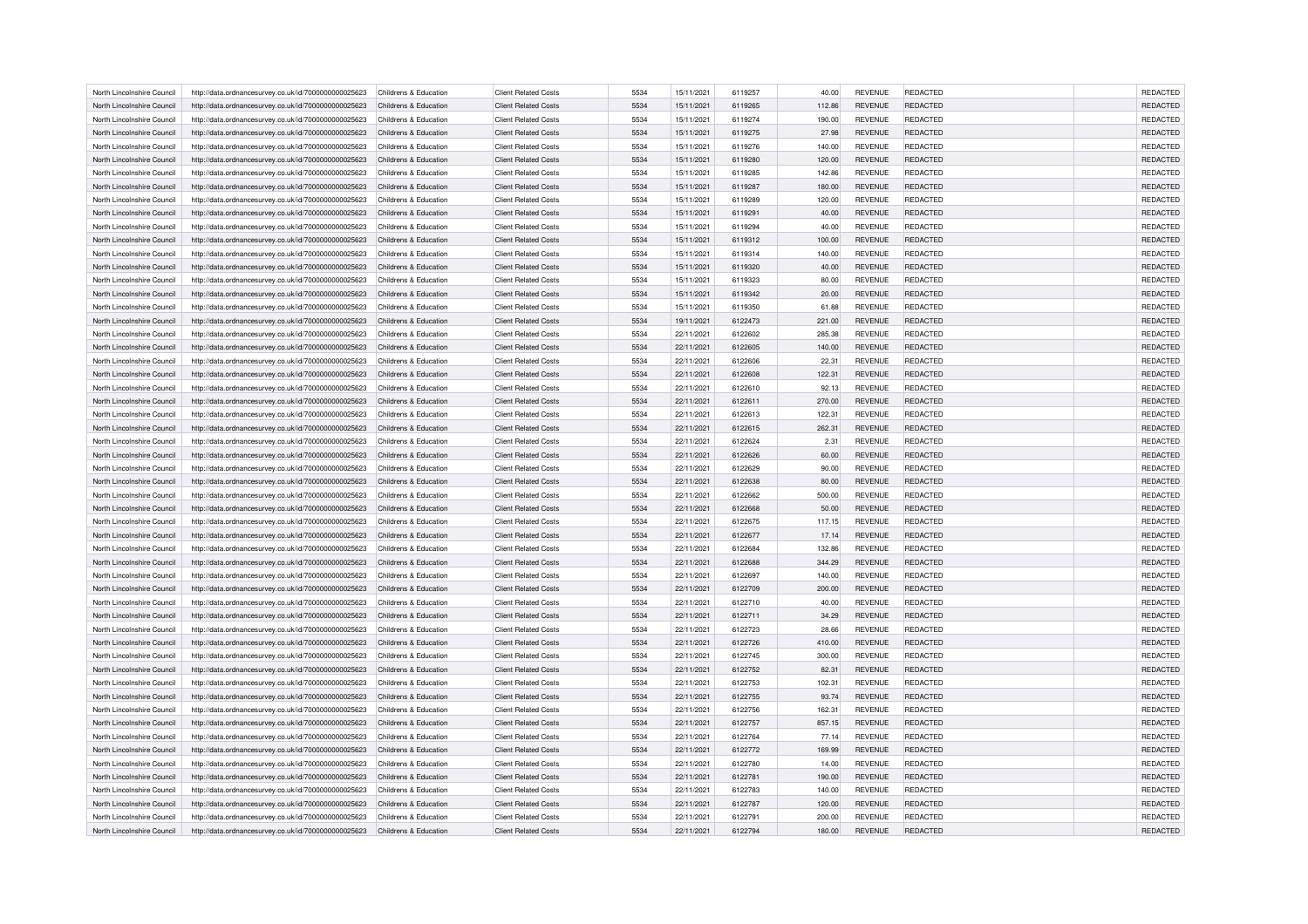| North Lincolnshire Council | http://data.ordnancesurvey.co.uk/id/7000000000025623                                                         | Childrens & Education | <b>Client Related Costs</b> | 5534 | 15/11/2021 | 6119257 | 40.00  | REVENUE        | REDACTED        | REDACTED        |
|----------------------------|--------------------------------------------------------------------------------------------------------------|-----------------------|-----------------------------|------|------------|---------|--------|----------------|-----------------|-----------------|
| North Lincolnshire Council | http://data.ordnancesurvey.co.uk/id/7000000000025623                                                         | Childrens & Education | <b>Client Related Costs</b> | 5534 | 15/11/2021 | 6119265 | 112.86 | <b>REVENUE</b> | REDACTED        | REDACTED        |
| North Lincolnshire Council | http://data.ordnancesurvey.co.uk/id/7000000000025623                                                         | Childrens & Education | <b>Client Related Costs</b> | 5534 | 15/11/2021 | 6119274 | 190.00 | <b>REVENUE</b> | <b>REDACTED</b> | REDACTED        |
| North Lincolnshire Council | http://data.ordnancesurvey.co.uk/id/7000000000025623                                                         | Childrens & Education | <b>Client Related Costs</b> | 5534 | 15/11/2021 | 6119275 | 27.98  | <b>REVENUE</b> | <b>REDACTED</b> | REDACTED        |
| North Lincolnshire Council | http://data.ordnancesurvey.co.uk/id/7000000000025623                                                         | Childrens & Education | <b>Client Related Costs</b> | 5534 | 15/11/2021 | 6119276 | 140.00 | <b>REVENUE</b> | REDACTED        | REDACTED        |
| North Lincolnshire Council | http://data.ordnancesurvey.co.uk/id/7000000000025623                                                         | Childrens & Education | <b>Client Related Costs</b> | 5534 | 15/11/2021 | 6119280 | 120.00 | <b>REVENUE</b> | REDACTED        | REDACTED        |
| North Lincolnshire Council | http://data.ordnancesurvey.co.uk/id/7000000000025623                                                         | Childrens & Education | <b>Client Related Costs</b> | 5534 | 15/11/2021 | 6119285 | 142.86 | <b>REVENUE</b> | REDACTED        | <b>REDACTED</b> |
| North Lincolnshire Council | http://data.ordnancesurvey.co.uk/id/7000000000025623                                                         | Childrens & Education | <b>Client Related Costs</b> | 5534 | 15/11/2021 | 6119287 | 180.00 | <b>REVENUE</b> | REDACTED        | REDACTED        |
| North Lincolnshire Council | http://data.ordnancesurvey.co.uk/id/7000000000025623                                                         | Childrens & Education | <b>Client Related Costs</b> | 5534 | 15/11/2021 | 6119289 | 120.00 | <b>REVENUE</b> | REDACTED        | <b>REDACTED</b> |
| North Lincolnshire Council | http://data.ordnancesurvey.co.uk/id/7000000000025623                                                         | Childrens & Education | <b>Client Related Costs</b> | 5534 | 15/11/2021 | 6119291 | 40.00  | <b>REVENUE</b> | <b>REDACTED</b> | REDACTED        |
| North Lincolnshire Council | http://data.ordnancesurvey.co.uk/id/7000000000025623                                                         | Childrens & Education | <b>Client Related Costs</b> | 5534 | 15/11/2021 | 6119294 | 40.00  | <b>REVENUE</b> | REDACTED        | <b>REDACTED</b> |
| North Lincolnshire Council | http://data.ordnancesurvey.co.uk/id/7000000000025623                                                         | Childrens & Education | <b>Client Related Costs</b> | 5534 | 15/11/2021 | 6119312 | 100.00 | <b>REVENUE</b> | REDACTED        | REDACTED        |
| North Lincolnshire Council |                                                                                                              | Childrens & Education | <b>Client Related Costs</b> | 5534 | 15/11/2021 | 6119314 | 140.00 | <b>REVENUE</b> | REDACTED        | REDACTED        |
| North Lincolnshire Council | http://data.ordnancesurvey.co.uk/id/7000000000025623<br>http://data.ordnancesurvey.co.uk/id/7000000000025623 | Childrens & Education | <b>Client Related Costs</b> | 5534 | 15/11/2021 | 6119320 | 40.00  | <b>REVENUE</b> | REDACTED        | REDACTED        |
|                            |                                                                                                              |                       |                             |      |            |         |        |                |                 |                 |
| North Lincolnshire Council | http://data.ordnancesurvey.co.uk/id/7000000000025623                                                         | Childrens & Education | <b>Client Related Costs</b> | 5534 | 15/11/2021 | 6119323 | 80.00  | <b>REVENUE</b> | REDACTED        | <b>REDACTED</b> |
| North Lincolnshire Council | http://data.ordnancesurvey.co.uk/id/7000000000025623                                                         | Childrens & Education | <b>Client Related Costs</b> | 5534 | 15/11/2021 | 6119342 | 20.00  | <b>REVENUE</b> | <b>REDACTED</b> | REDACTED        |
| North Lincolnshire Council | http://data.ordnancesurvey.co.uk/id/7000000000025623                                                         | Childrens & Education | <b>Client Related Costs</b> | 5534 | 15/11/2021 | 6119350 | 61.88  | REVENUE        | REDACTED        | REDACTED        |
| North Lincolnshire Council | http://data.ordnancesurvey.co.uk/id/7000000000025623                                                         | Childrens & Education | <b>Client Related Costs</b> | 5534 | 19/11/2021 | 6122473 | 221.00 | <b>REVENUE</b> | <b>REDACTED</b> | REDACTED        |
| North Lincolnshire Council | http://data.ordnancesurvey.co.uk/id/7000000000025623                                                         | Childrens & Education | <b>Client Related Costs</b> | 5534 | 22/11/2021 | 6122602 | 285.38 | REVENUE        | REDACTED        | REDACTED        |
| North Lincolnshire Council | http://data.ordnancesurvey.co.uk/id/7000000000025623                                                         | Childrens & Education | <b>Client Related Costs</b> | 5534 | 22/11/2021 | 6122605 | 140.00 | <b>REVENUE</b> | REDACTED        | REDACTED        |
| North Lincolnshire Council | http://data.ordnancesurvey.co.uk/id/7000000000025623                                                         | Childrens & Education | <b>Client Related Costs</b> | 5534 | 22/11/2021 | 6122606 | 22.31  | <b>REVENUE</b> | REDACTED        | REDACTED        |
| North Lincolnshire Council | http://data.ordnancesurvey.co.uk/id/7000000000025623                                                         | Childrens & Education | <b>Client Related Costs</b> | 5534 | 22/11/2021 | 6122608 | 122.31 | <b>REVENUE</b> | <b>REDACTED</b> | REDACTED        |
| North Lincolnshire Council | http://data.ordnancesurvey.co.uk/id/7000000000025623                                                         | Childrens & Education | <b>Client Related Costs</b> | 5534 | 22/11/2021 | 6122610 | 92.13  | <b>REVENUE</b> | REDACTED        | REDACTED        |
| North Lincolnshire Council | http://data.ordnancesurvey.co.uk/id/7000000000025623                                                         | Childrens & Education | <b>Client Related Costs</b> | 5534 | 22/11/2021 | 6122611 | 270.00 | <b>REVENUE</b> | <b>REDACTED</b> | <b>REDACTED</b> |
| North Lincolnshire Council | http://data.ordnancesurvey.co.uk/id/7000000000025623                                                         | Childrens & Education | <b>Client Related Costs</b> | 5534 | 22/11/2021 | 6122613 | 122.31 | REVENUE        | REDACTED        | REDACTED        |
| North Lincolnshire Council | http://data.ordnancesurvey.co.uk/id/7000000000025623                                                         | Childrens & Education | <b>Client Related Costs</b> | 5534 | 22/11/2021 | 6122615 | 262.31 | <b>REVENUE</b> | REDACTED        | REDACTED        |
| North Lincolnshire Council | http://data.ordnancesurvey.co.uk/id/7000000000025623                                                         | Childrens & Education | <b>Client Related Costs</b> | 5534 | 22/11/2021 | 6122624 | 2.31   | <b>REVENUE</b> | REDACTED        | REDACTED        |
| North Lincolnshire Council | http://data.ordnancesurvey.co.uk/id/7000000000025623                                                         | Childrens & Education | <b>Client Related Costs</b> | 5534 | 22/11/2021 | 6122626 | 60.00  | <b>REVENUE</b> | <b>REDACTED</b> | REDACTED        |
| North Lincolnshire Council | http://data.ordnancesurvey.co.uk/id/7000000000025623                                                         | Childrens & Education | <b>Client Related Costs</b> | 5534 | 22/11/2021 | 6122629 | 90.00  | <b>REVENUE</b> | REDACTED        | REDACTED        |
| North Lincolnshire Council | http://data.ordnancesurvey.co.uk/id/7000000000025623                                                         | Childrens & Education | <b>Client Related Costs</b> | 5534 | 22/11/2021 | 6122638 | 80.00  | <b>REVENUE</b> | REDACTED        | REDACTED        |
| North Lincolnshire Council | http://data.ordnancesurvey.co.uk/id/7000000000025623                                                         | Childrens & Education | <b>Client Related Costs</b> | 5534 | 22/11/2021 | 6122662 | 500.00 | <b>REVENUE</b> | REDACTED        | <b>REDACTED</b> |
| North Lincolnshire Council | http://data.ordnancesurvey.co.uk/id/7000000000025623                                                         | Childrens & Education | <b>Client Related Costs</b> | 5534 | 22/11/2021 | 6122668 | 50.00  | <b>REVENUE</b> | REDACTED        | REDACTED        |
| North Lincolnshire Council | http://data.ordnancesurvey.co.uk/id/7000000000025623                                                         | Childrens & Education | <b>Client Related Costs</b> | 5534 | 22/11/2021 | 6122675 | 117.15 | <b>REVENUE</b> | REDACTED        | REDACTED        |
| North Lincolnshire Council | http://data.ordnancesurvey.co.uk/id/7000000000025623                                                         | Childrens & Education | <b>Client Related Costs</b> | 5534 | 22/11/2021 | 6122677 | 17.14  | <b>REVENUE</b> | <b>REDACTED</b> | REDACTED        |
| North Lincolnshire Council | http://data.ordnancesurvey.co.uk/id/7000000000025623                                                         | Childrens & Education | <b>Client Related Costs</b> | 5534 | 22/11/2021 | 6122684 | 132.86 | <b>REVENUE</b> | REDACTED        | REDACTED        |
| North Lincolnshire Council | http://data.ordnancesurvey.co.uk/id/7000000000025623                                                         | Childrens & Education | <b>Client Related Costs</b> | 5534 | 22/11/2021 | 6122688 | 344.29 | <b>REVENUE</b> | REDACTED        | REDACTED        |
| North Lincolnshire Council | http://data.ordnancesurvey.co.uk/id/7000000000025623                                                         | Childrens & Education | <b>Client Related Costs</b> | 5534 | 22/11/2021 | 6122697 | 140.00 | REVENUE        | <b>REDACTED</b> | REDACTED        |
| North Lincolnshire Council | http://data.ordnancesurvey.co.uk/id/7000000000025623                                                         | Childrens & Education | <b>Client Related Costs</b> | 5534 | 22/11/2021 | 6122709 | 200.00 | <b>REVENUE</b> | REDACTED        | REDACTED        |
| North Lincolnshire Council | http://data.ordnancesurvey.co.uk/id/7000000000025623                                                         | Childrens & Education | <b>Client Related Costs</b> | 5534 | 22/11/2021 | 6122710 | 40.00  | <b>REVENUE</b> | <b>REDACTED</b> | <b>REDACTED</b> |
| North Lincolnshire Council | http://data.ordnancesurvey.co.uk/id/7000000000025623                                                         | Childrens & Education | <b>Client Related Costs</b> | 5534 | 22/11/2021 | 6122711 | 34.29  | <b>REVENUE</b> | REDACTED        | REDACTED        |
| North Lincolnshire Council | http://data.ordnancesurvey.co.uk/id/7000000000025623                                                         | Childrens & Education | <b>Client Related Costs</b> | 5534 | 22/11/2021 | 6122723 | 28.66  | <b>REVENUE</b> | REDACTED        | <b>REDACTED</b> |
| North Lincolnshire Council | http://data.ordnancesurvey.co.uk/id/7000000000025623                                                         | Childrens & Education | <b>Client Related Costs</b> | 5534 | 22/11/2021 | 6122726 | 410.00 | <b>REVENUE</b> | <b>REDACTED</b> | REDACTED        |
| North Lincolnshire Council | http://data.ordnancesurvey.co.uk/id/7000000000025623                                                         | Childrens & Education | <b>Client Related Costs</b> | 5534 | 22/11/2021 | 6122745 | 300.00 | REVENUE        | REDACTED        | REDACTED        |
| North Lincolnshire Council | http://data.ordnancesurvey.co.uk/id/7000000000025623                                                         | Childrens & Education | <b>Client Related Costs</b> | 5534 | 22/11/2021 | 6122752 | 82.31  | <b>REVENUE</b> | <b>REDACTED</b> | REDACTED        |
| North Lincolnshire Council | http://data.ordnancesurvey.co.uk/id/7000000000025623                                                         | Childrens & Education | <b>Client Related Costs</b> | 5534 | 22/11/2021 | 6122753 | 102.31 | <b>REVENUE</b> | REDACTED        | REDACTED        |
| North Lincolnshire Council | http://data.ordnancesurvey.co.uk/id/7000000000025623                                                         | Childrens & Education | <b>Client Related Costs</b> | 5534 | 22/11/2021 | 6122755 | 93.74  | <b>REVENUE</b> | <b>REDACTED</b> | REDACTED        |
| North Lincolnshire Council | http://data.ordnancesurvey.co.uk/id/7000000000025623                                                         | Childrens & Education | <b>Client Related Costs</b> | 5534 | 22/11/2021 | 6122756 | 162.31 | <b>REVENUE</b> | REDACTED        | REDACTED        |
| North Lincolnshire Council | http://data.ordnancesurvey.co.uk/id/7000000000025623                                                         | Childrens & Education | <b>Client Related Costs</b> | 5534 | 22/11/2021 | 6122757 | 857.15 | <b>REVENUE</b> | <b>REDACTED</b> | REDACTED        |
| North Lincolnshire Council | http://data.ordnancesurvey.co.uk/id/7000000000025623                                                         | Childrens & Education | <b>Client Related Costs</b> | 5534 | 22/11/2021 | 6122764 | 77.14  | REVENUE        | REDACTED        | REDACTED        |
| North Lincolnshire Council | http://data.ordnancesurvey.co.uk/id/7000000000025623                                                         | Childrens & Education | <b>Client Related Costs</b> | 5534 | 22/11/2021 | 6122772 | 169.99 | <b>REVENUE</b> | REDACTED        | REDACTED        |
| North Lincolnshire Council | http://data.ordnancesurvey.co.uk/id/7000000000025623                                                         | Childrens & Education | <b>Client Related Costs</b> | 5534 | 22/11/2021 | 6122780 | 14.00  | <b>REVENUE</b> | REDACTED        | REDACTED        |
| North Lincolnshire Council | http://data.ordnancesurvey.co.uk/id/7000000000025623                                                         | Childrens & Education | <b>Client Related Costs</b> | 5534 | 22/11/2021 | 6122781 | 190.00 | <b>REVENUE</b> | <b>REDACTED</b> | REDACTED        |
| North Lincolnshire Council | http://data.ordnancesurvey.co.uk/id/7000000000025623                                                         | Childrens & Education | <b>Client Related Costs</b> | 5534 | 22/11/2021 | 6122783 | 140.00 | <b>REVENUE</b> | REDACTED        | REDACTED        |
| North Lincolnshire Council | http://data.ordnancesurvey.co.uk/id/7000000000025623                                                         | Childrens & Education | <b>Client Related Costs</b> | 5534 | 22/11/2021 | 6122787 | 120.00 | <b>REVENUE</b> | REDACTED        | REDACTED        |
| North Lincolnshire Council |                                                                                                              |                       | <b>Client Related Costs</b> | 5534 |            | 6122791 |        |                |                 | <b>REDACTED</b> |
|                            | http://data.ordnancesurvey.co.uk/id/7000000000025623                                                         | Childrens & Education |                             |      | 22/11/2021 |         | 200.00 | <b>REVENUE</b> | REDACTED        |                 |
| North Lincolnshire Council | http://data.ordnancesurvey.co.uk/id/7000000000025623                                                         | Childrens & Education | <b>Client Related Costs</b> | 5534 | 22/11/2021 | 6122794 | 180.00 | <b>REVENUE</b> | <b>REDACTED</b> | REDACTED        |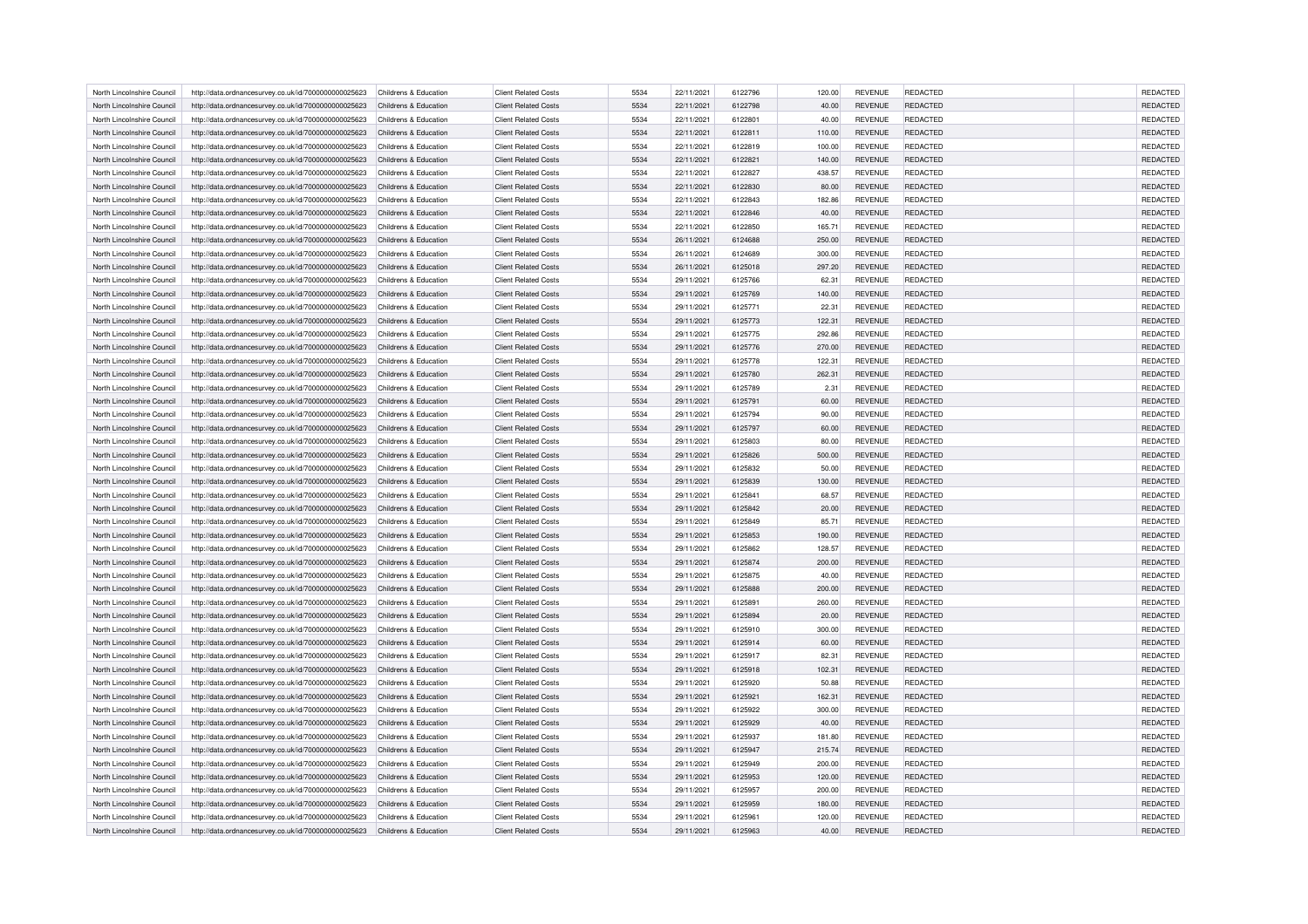| North Lincolnshire Council | http://data.ordnancesurvey.co.uk/id/7000000000025623                                                         | Childrens & Education | <b>Client Related Costs</b> | 5534 | 22/11/2021 | 6122796 | 120.00 | REVENUE        | REDACTED        | REDACTED        |
|----------------------------|--------------------------------------------------------------------------------------------------------------|-----------------------|-----------------------------|------|------------|---------|--------|----------------|-----------------|-----------------|
| North Lincolnshire Council | http://data.ordnancesurvey.co.uk/id/7000000000025623                                                         | Childrens & Education | <b>Client Related Costs</b> | 5534 | 22/11/2021 | 6122798 | 40.00  | <b>REVENUE</b> | REDACTED        | REDACTED        |
| North Lincolnshire Council | http://data.ordnancesurvey.co.uk/id/7000000000025623                                                         | Childrens & Education | <b>Client Related Costs</b> | 5534 | 22/11/2021 | 6122801 | 40.00  | <b>REVENUE</b> | <b>REDACTED</b> | REDACTED        |
| North Lincolnshire Council | http://data.ordnancesurvey.co.uk/id/7000000000025623                                                         | Childrens & Education | <b>Client Related Costs</b> | 5534 | 22/11/2021 | 6122811 | 110.00 | <b>REVENUE</b> | <b>REDACTED</b> | REDACTED        |
| North Lincolnshire Council | http://data.ordnancesurvey.co.uk/id/7000000000025623                                                         | Childrens & Education | <b>Client Related Costs</b> | 5534 | 22/11/2021 | 6122819 | 100.00 | <b>REVENUE</b> | REDACTED        | REDACTED        |
| North Lincolnshire Council | http://data.ordnancesurvey.co.uk/id/7000000000025623                                                         | Childrens & Education | <b>Client Related Costs</b> | 5534 | 22/11/2021 | 6122821 | 140.00 | <b>REVENUE</b> | REDACTED        | REDACTED        |
| North Lincolnshire Council | http://data.ordnancesurvey.co.uk/id/7000000000025623                                                         | Childrens & Education | <b>Client Related Costs</b> | 5534 | 22/11/2021 | 6122827 | 438.57 | <b>REVENUE</b> | REDACTED        | <b>REDACTED</b> |
| North Lincolnshire Council | http://data.ordnancesurvey.co.uk/id/7000000000025623                                                         | Childrens & Education | <b>Client Related Costs</b> | 5534 | 22/11/2021 | 6122830 | 80.00  | <b>REVENUE</b> | REDACTED        | REDACTED        |
| North Lincolnshire Council | http://data.ordnancesurvey.co.uk/id/7000000000025623                                                         | Childrens & Education | <b>Client Related Costs</b> | 5534 | 22/11/2021 | 6122843 | 182.86 | <b>REVENUE</b> | REDACTED        | <b>REDACTED</b> |
| North Lincolnshire Council | http://data.ordnancesurvey.co.uk/id/7000000000025623                                                         | Childrens & Education | <b>Client Related Costs</b> | 5534 | 22/11/2021 | 6122846 | 40.00  | <b>REVENUE</b> | <b>REDACTED</b> | REDACTED        |
| North Lincolnshire Council | http://data.ordnancesurvey.co.uk/id/7000000000025623                                                         | Childrens & Education | <b>Client Related Costs</b> | 5534 | 22/11/2021 | 6122850 | 165.71 | <b>REVENUE</b> | REDACTED        | <b>REDACTED</b> |
| North Lincolnshire Council | http://data.ordnancesurvey.co.uk/id/7000000000025623                                                         | Childrens & Education | <b>Client Related Costs</b> | 5534 | 26/11/2021 | 6124688 | 250.00 | <b>REVENUE</b> | REDACTED        | REDACTED        |
| North Lincolnshire Council |                                                                                                              | Childrens & Education | <b>Client Related Costs</b> | 5534 | 26/11/2021 | 6124689 | 300.00 | <b>REVENUE</b> | REDACTED        | REDACTED        |
| North Lincolnshire Council | http://data.ordnancesurvey.co.uk/id/7000000000025623<br>http://data.ordnancesurvey.co.uk/id/7000000000025623 | Childrens & Education | <b>Client Related Costs</b> | 5534 | 26/11/2021 | 6125018 | 297.20 | <b>REVENUE</b> | REDACTED        | REDACTED        |
|                            |                                                                                                              |                       |                             |      |            |         |        |                |                 |                 |
| North Lincolnshire Council | http://data.ordnancesurvey.co.uk/id/7000000000025623                                                         | Childrens & Education | <b>Client Related Costs</b> | 5534 | 29/11/2021 | 6125766 | 62.31  | <b>REVENUE</b> | REDACTED        | <b>REDACTED</b> |
| North Lincolnshire Council | http://data.ordnancesurvey.co.uk/id/7000000000025623                                                         | Childrens & Education | <b>Client Related Costs</b> | 5534 | 29/11/2021 | 6125769 | 140.00 | <b>REVENUE</b> | <b>REDACTED</b> | REDACTED        |
| North Lincolnshire Council | http://data.ordnancesurvey.co.uk/id/7000000000025623                                                         | Childrens & Education | <b>Client Related Costs</b> | 5534 | 29/11/2021 | 6125771 | 22.31  | <b>REVENUE</b> | REDACTED        | REDACTED        |
| North Lincolnshire Council | http://data.ordnancesurvey.co.uk/id/7000000000025623                                                         | Childrens & Education | <b>Client Related Costs</b> | 5534 | 29/11/2021 | 6125773 | 122.31 | <b>REVENUE</b> | <b>REDACTED</b> | REDACTED        |
| North Lincolnshire Council | http://data.ordnancesurvey.co.uk/id/7000000000025623                                                         | Childrens & Education | <b>Client Related Costs</b> | 5534 | 29/11/2021 | 6125775 | 292.86 | REVENUE        | REDACTED        | REDACTED        |
| North Lincolnshire Council | http://data.ordnancesurvey.co.uk/id/7000000000025623                                                         | Childrens & Education | <b>Client Related Costs</b> | 5534 | 29/11/2021 | 6125776 | 270.00 | <b>REVENUE</b> | REDACTED        | REDACTED        |
| North Lincolnshire Council | http://data.ordnancesurvey.co.uk/id/7000000000025623                                                         | Childrens & Education | <b>Client Related Costs</b> | 5534 | 29/11/2021 | 6125778 | 122.31 | <b>REVENUE</b> | REDACTED        | REDACTED        |
| North Lincolnshire Council | http://data.ordnancesurvey.co.uk/id/7000000000025623                                                         | Childrens & Education | <b>Client Related Costs</b> | 5534 | 29/11/2021 | 6125780 | 262.31 | <b>REVENUE</b> | <b>REDACTED</b> | REDACTED        |
| North Lincolnshire Council | http://data.ordnancesurvey.co.uk/id/7000000000025623                                                         | Childrens & Education | <b>Client Related Costs</b> | 5534 | 29/11/2021 | 6125789 | 2.31   | <b>REVENUE</b> | REDACTED        | REDACTED        |
| North Lincolnshire Council | http://data.ordnancesurvey.co.uk/id/7000000000025623                                                         | Childrens & Education | <b>Client Related Costs</b> | 5534 | 29/11/2021 | 6125791 | 60.00  | <b>REVENUE</b> | <b>REDACTED</b> | REDACTED        |
| North Lincolnshire Council | http://data.ordnancesurvey.co.uk/id/7000000000025623                                                         | Childrens & Education | <b>Client Related Costs</b> | 5534 | 29/11/2021 | 6125794 | 90.00  | REVENUE        | REDACTED        | REDACTED        |
| North Lincolnshire Council | http://data.ordnancesurvey.co.uk/id/7000000000025623                                                         | Childrens & Education | <b>Client Related Costs</b> | 5534 | 29/11/2021 | 6125797 | 60.00  | <b>REVENUE</b> | REDACTED        | REDACTED        |
| North Lincolnshire Council | http://data.ordnancesurvey.co.uk/id/7000000000025623                                                         | Childrens & Education | <b>Client Related Costs</b> | 5534 | 29/11/2021 | 6125803 | 80.00  | <b>REVENUE</b> | REDACTED        | REDACTED        |
| North Lincolnshire Council | http://data.ordnancesurvey.co.uk/id/7000000000025623                                                         | Childrens & Education | <b>Client Related Costs</b> | 5534 | 29/11/2021 | 6125826 | 500.00 | <b>REVENUE</b> | <b>REDACTED</b> | REDACTED        |
| North Lincolnshire Council | http://data.ordnancesurvey.co.uk/id/7000000000025623                                                         | Childrens & Education | <b>Client Related Costs</b> | 5534 | 29/11/2021 | 6125832 | 50.00  | <b>REVENUE</b> | REDACTED        | REDACTED        |
| North Lincolnshire Council | http://data.ordnancesurvey.co.uk/id/7000000000025623                                                         | Childrens & Education | <b>Client Related Costs</b> | 5534 | 29/11/2021 | 6125839 | 130.00 | <b>REVENUE</b> | REDACTED        | REDACTED        |
| North Lincolnshire Council | http://data.ordnancesurvey.co.uk/id/7000000000025623                                                         | Childrens & Education | <b>Client Related Costs</b> | 5534 | 29/11/2021 | 6125841 | 68.57  | <b>REVENUE</b> | REDACTED        | <b>REDACTED</b> |
| North Lincolnshire Council | http://data.ordnancesurvey.co.uk/id/7000000000025623                                                         | Childrens & Education | <b>Client Related Costs</b> | 5534 | 29/11/2021 | 6125842 | 20.00  | <b>REVENUE</b> | REDACTED        | REDACTED        |
| North Lincolnshire Council | http://data.ordnancesurvey.co.uk/id/7000000000025623                                                         | Childrens & Education | <b>Client Related Costs</b> | 5534 | 29/11/2021 | 6125849 | 85.71  | <b>REVENUE</b> | REDACTED        | REDACTED        |
| North Lincolnshire Council | http://data.ordnancesurvey.co.uk/id/7000000000025623                                                         | Childrens & Education | <b>Client Related Costs</b> | 5534 | 29/11/2021 | 6125853 | 190.00 | <b>REVENUE</b> | <b>REDACTED</b> | REDACTED        |
| North Lincolnshire Council | http://data.ordnancesurvey.co.uk/id/7000000000025623                                                         | Childrens & Education | <b>Client Related Costs</b> | 5534 | 29/11/2021 | 6125862 | 128.57 | <b>REVENUE</b> | REDACTED        | REDACTED        |
| North Lincolnshire Council | http://data.ordnancesurvey.co.uk/id/7000000000025623                                                         | Childrens & Education | <b>Client Related Costs</b> | 5534 | 29/11/2021 | 6125874 | 200.00 | <b>REVENUE</b> | REDACTED        | REDACTED        |
| North Lincolnshire Council | http://data.ordnancesurvey.co.uk/id/7000000000025623                                                         | Childrens & Education | <b>Client Related Costs</b> | 5534 | 29/11/2021 | 6125875 | 40.00  | REVENUE        | <b>REDACTED</b> | REDACTED        |
| North Lincolnshire Council | http://data.ordnancesurvey.co.uk/id/7000000000025623                                                         | Childrens & Education | <b>Client Related Costs</b> | 5534 | 29/11/2021 | 6125888 | 200.00 | <b>REVENUE</b> | REDACTED        | REDACTED        |
| North Lincolnshire Council | http://data.ordnancesurvey.co.uk/id/7000000000025623                                                         | Childrens & Education | <b>Client Related Costs</b> | 5534 | 29/11/2021 | 6125891 | 260.00 | <b>REVENUE</b> | <b>REDACTED</b> | <b>REDACTED</b> |
| North Lincolnshire Council | http://data.ordnancesurvey.co.uk/id/7000000000025623                                                         | Childrens & Education | <b>Client Related Costs</b> | 5534 | 29/11/2021 | 6125894 | 20.00  | <b>REVENUE</b> | REDACTED        | REDACTED        |
| North Lincolnshire Council | http://data.ordnancesurvey.co.uk/id/7000000000025623                                                         | Childrens & Education | <b>Client Related Costs</b> | 5534 | 29/11/2021 | 6125910 | 300.00 | <b>REVENUE</b> | REDACTED        | <b>REDACTED</b> |
| North Lincolnshire Council | http://data.ordnancesurvey.co.uk/id/7000000000025623                                                         | Childrens & Education | <b>Client Related Costs</b> | 5534 | 29/11/2021 | 6125914 | 60.00  | <b>REVENUE</b> | <b>REDACTED</b> | REDACTED        |
| North Lincolnshire Council | http://data.ordnancesurvey.co.uk/id/7000000000025623                                                         | Childrens & Education | <b>Client Related Costs</b> | 5534 | 29/11/2021 | 6125917 | 82.31  | REVENUE        | REDACTED        | REDACTED        |
| North Lincolnshire Council | http://data.ordnancesurvey.co.uk/id/7000000000025623                                                         | Childrens & Education | <b>Client Related Costs</b> | 5534 | 29/11/2021 | 6125918 | 102.31 | <b>REVENUE</b> | <b>REDACTED</b> | REDACTED        |
| North Lincolnshire Council | http://data.ordnancesurvey.co.uk/id/7000000000025623                                                         | Childrens & Education | <b>Client Related Costs</b> | 5534 | 29/11/2021 | 6125920 | 50.88  | <b>REVENUE</b> | REDACTED        | REDACTED        |
| North Lincolnshire Council | http://data.ordnancesurvey.co.uk/id/7000000000025623                                                         | Childrens & Education | <b>Client Related Costs</b> | 5534 | 29/11/2021 | 6125921 | 162.31 | <b>REVENUE</b> | <b>REDACTED</b> | REDACTED        |
| North Lincolnshire Council | http://data.ordnancesurvey.co.uk/id/7000000000025623                                                         | Childrens & Education | <b>Client Related Costs</b> | 5534 | 29/11/2021 | 6125922 | 300.00 | <b>REVENUE</b> | REDACTED        | REDACTED        |
| North Lincolnshire Council | http://data.ordnancesurvey.co.uk/id/7000000000025623                                                         | Childrens & Education | <b>Client Related Costs</b> | 5534 | 29/11/2021 | 6125929 | 40.00  | <b>REVENUE</b> | <b>REDACTED</b> | REDACTED        |
| North Lincolnshire Council | http://data.ordnancesurvey.co.uk/id/7000000000025623                                                         | Childrens & Education | <b>Client Related Costs</b> | 5534 | 29/11/2021 | 6125937 | 181.80 | REVENUE        | REDACTED        | REDACTED        |
| North Lincolnshire Council | http://data.ordnancesurvey.co.uk/id/7000000000025623                                                         | Childrens & Education | <b>Client Related Costs</b> | 5534 | 29/11/2021 | 6125947 | 215.74 | <b>REVENUE</b> | REDACTED        | REDACTED        |
| North Lincolnshire Council | http://data.ordnancesurvey.co.uk/id/7000000000025623                                                         | Childrens & Education | <b>Client Related Costs</b> | 5534 | 29/11/2021 | 6125949 | 200.00 | <b>REVENUE</b> | REDACTED        | REDACTED        |
| North Lincolnshire Council | http://data.ordnancesurvey.co.uk/id/7000000000025623                                                         | Childrens & Education | <b>Client Related Costs</b> | 5534 | 29/11/2021 | 6125953 | 120.00 | <b>REVENUE</b> | <b>REDACTED</b> | REDACTED        |
| North Lincolnshire Council | http://data.ordnancesurvey.co.uk/id/7000000000025623                                                         | Childrens & Education | <b>Client Related Costs</b> | 5534 | 29/11/2021 | 6125957 | 200.00 | <b>REVENUE</b> | REDACTED        | REDACTED        |
| North Lincolnshire Council | http://data.ordnancesurvey.co.uk/id/7000000000025623                                                         | Childrens & Education | <b>Client Related Costs</b> | 5534 | 29/11/2021 | 6125959 | 180.00 | <b>REVENUE</b> | REDACTED        | REDACTED        |
| North Lincolnshire Council |                                                                                                              |                       | <b>Client Related Costs</b> | 5534 |            | 6125961 |        |                |                 | <b>REDACTED</b> |
|                            | http://data.ordnancesurvey.co.uk/id/7000000000025623                                                         | Childrens & Education |                             |      | 29/11/2021 |         | 120.00 | <b>REVENUE</b> | REDACTED        |                 |
| North Lincolnshire Council | http://data.ordnancesurvey.co.uk/id/7000000000025623                                                         | Childrens & Education | <b>Client Related Costs</b> | 5534 | 29/11/2021 | 6125963 | 40.00  | <b>REVENUE</b> | <b>REDACTED</b> | REDACTED        |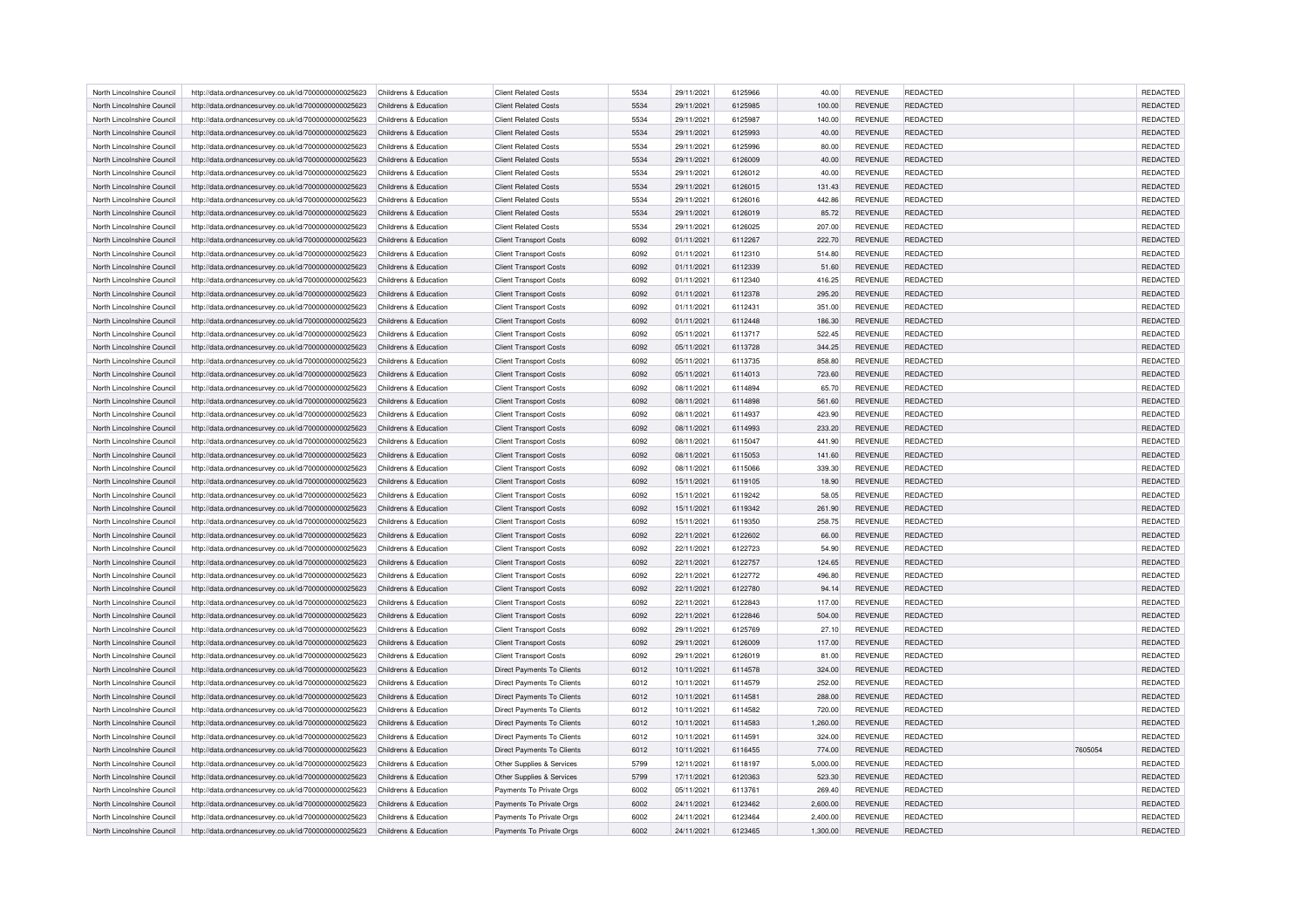| North Lincolnshire Council | http://data.ordnancesurvey.co.uk/id/7000000000025623 | Childrens & Education | <b>Client Related Costs</b>   | 5534 | 29/11/2021 | 6125966 | 40.00    | REVENUE        | <b>REDACTED</b> |         | REDACTED        |
|----------------------------|------------------------------------------------------|-----------------------|-------------------------------|------|------------|---------|----------|----------------|-----------------|---------|-----------------|
| North Lincolnshire Council | http://data.ordnancesurvey.co.uk/id/7000000000025623 | Childrens & Education | <b>Client Related Costs</b>   | 5534 | 29/11/2021 | 6125985 | 100.00   | <b>REVENUE</b> | REDACTED        |         | REDACTED        |
| North Lincolnshire Council | http://data.ordnancesurvey.co.uk/id/7000000000025623 | Childrens & Education | <b>Client Related Costs</b>   | 5534 | 29/11/2021 | 6125987 | 140.00   | <b>REVENUE</b> | <b>REDACTED</b> |         | REDACTED        |
| North Lincolnshire Council | http://data.ordnancesurvey.co.uk/id/7000000000025623 | Childrens & Education | <b>Client Related Costs</b>   | 5534 | 29/11/2021 | 6125993 | 40.00    | <b>REVENUE</b> | <b>REDACTED</b> |         | REDACTED        |
| North Lincolnshire Council | http://data.ordnancesurvey.co.uk/id/7000000000025623 | Childrens & Education | <b>Client Related Costs</b>   | 5534 | 29/11/2021 | 6125996 | 80.00    | <b>REVENUE</b> | REDACTED        |         | REDACTED        |
| North Lincolnshire Council | http://data.ordnancesurvey.co.uk/id/7000000000025623 | Childrens & Education | <b>Client Related Costs</b>   | 5534 | 29/11/2021 | 6126009 | 40.00    | <b>REVENUE</b> | REDACTED        |         | REDACTED        |
| North Lincolnshire Council | http://data.ordnancesurvey.co.uk/id/7000000000025623 | Childrens & Education | <b>Client Related Costs</b>   | 5534 | 29/11/2021 | 6126012 | 40.00    | <b>REVENUE</b> | REDACTED        |         | <b>REDACTED</b> |
| North Lincolnshire Council | http://data.ordnancesurvey.co.uk/id/7000000000025623 | Childrens & Education | <b>Client Related Costs</b>   | 5534 | 29/11/2021 | 6126015 | 131.43   | <b>REVENUE</b> | REDACTED        |         | REDACTED        |
| North Lincolnshire Council | http://data.ordnancesurvey.co.uk/id/7000000000025623 | Childrens & Education | <b>Client Related Costs</b>   | 5534 | 29/11/2021 | 6126016 | 442.86   | <b>REVENUE</b> | REDACTED        |         | REDACTED        |
| North Lincolnshire Council | http://data.ordnancesurvey.co.uk/id/7000000000025623 | Childrens & Education | <b>Client Related Costs</b>   | 5534 | 29/11/2021 | 6126019 | 85.72    | <b>REVENUE</b> | <b>REDACTED</b> |         | REDACTED        |
| North Lincolnshire Council | http://data.ordnancesurvey.co.uk/id/7000000000025623 | Childrens & Education | <b>Client Related Costs</b>   | 5534 | 29/11/2021 | 6126025 | 207.00   | <b>REVENUE</b> | REDACTED        |         | <b>REDACTED</b> |
| North Lincolnshire Council | http://data.ordnancesurvey.co.uk/id/7000000000025623 | Childrens & Education | <b>Client Transport Costs</b> | 6092 | 01/11/2021 | 6112267 | 222.70   | <b>REVENUE</b> | REDACTED        |         | REDACTED        |
| North Lincolnshire Council |                                                      |                       |                               |      |            |         |          | <b>REVENUE</b> |                 |         |                 |
|                            | http://data.ordnancesurvey.co.uk/id/7000000000025623 | Childrens & Education | <b>Client Transport Costs</b> | 6092 | 01/11/2021 | 6112310 | 514.80   |                | REDACTED        |         | REDACTED        |
| North Lincolnshire Council | http://data.ordnancesurvey.co.uk/id/7000000000025623 | Childrens & Education | <b>Client Transport Costs</b> | 6092 | 01/11/2021 | 6112339 | 51.60    | <b>REVENUE</b> | REDACTED        |         | REDACTED        |
| North Lincolnshire Council | http://data.ordnancesurvey.co.uk/id/7000000000025623 | Childrens & Education | <b>Client Transport Costs</b> | 6092 | 01/11/2021 | 6112340 | 416.25   | <b>REVENUE</b> | REDACTED        |         | <b>REDACTED</b> |
| North Lincolnshire Council | http://data.ordnancesurvey.co.uk/id/7000000000025623 | Childrens & Education | <b>Client Transport Costs</b> | 6092 | 01/11/2021 | 6112378 | 295.20   | <b>REVENUE</b> | REDACTED        |         | REDACTED        |
| North Lincolnshire Council | http://data.ordnancesurvey.co.uk/id/7000000000025623 | Childrens & Education | <b>Client Transport Costs</b> | 6092 | 01/11/2021 | 6112431 | 351.00   | <b>REVENUE</b> | REDACTED        |         | REDACTED        |
| North Lincolnshire Council | http://data.ordnancesurvey.co.uk/id/7000000000025623 | Childrens & Education | <b>Client Transport Costs</b> | 6092 | 01/11/2021 | 6112448 | 186.30   | <b>REVENUE</b> | REDACTED        |         | REDACTED        |
| North Lincolnshire Council | http://data.ordnancesurvey.co.uk/id/7000000000025623 | Childrens & Education | <b>Client Transport Costs</b> | 6092 | 05/11/2021 | 6113717 | 522.45   | REVENUE        | REDACTED        |         | REDACTED        |
| North Lincolnshire Council | http://data.ordnancesurvey.co.uk/id/7000000000025623 | Childrens & Education | <b>Client Transport Costs</b> | 6092 | 05/11/2021 | 6113728 | 344.25   | <b>REVENUE</b> | REDACTED        |         | REDACTED        |
| North Lincolnshire Council | http://data.ordnancesurvey.co.uk/id/7000000000025623 | Childrens & Education | <b>Client Transport Costs</b> | 6092 | 05/11/2021 | 6113735 | 858.80   | <b>REVENUE</b> | REDACTED        |         | REDACTED        |
| North Lincolnshire Council | http://data.ordnancesurvey.co.uk/id/7000000000025623 | Childrens & Education | <b>Client Transport Costs</b> | 6092 | 05/11/2021 | 6114013 | 723.60   | <b>REVENUE</b> | <b>REDACTED</b> |         | REDACTED        |
| North Lincolnshire Council | http://data.ordnancesurvey.co.uk/id/7000000000025623 | Childrens & Education | <b>Client Transport Costs</b> | 6092 | 08/11/2021 | 6114894 | 65.70    | REVENUE        | REDACTED        |         | REDACTED        |
| North Lincolnshire Council | http://data.ordnancesurvey.co.uk/id/7000000000025623 | Childrens & Education | <b>Client Transport Costs</b> | 6092 | 08/11/2021 | 6114898 | 561.60   | <b>REVENUE</b> | <b>REDACTED</b> |         | <b>REDACTED</b> |
| North Lincolnshire Council | http://data.ordnancesurvey.co.uk/id/7000000000025623 | Childrens & Education | <b>Client Transport Costs</b> | 6092 | 08/11/2021 | 6114937 | 423.90   | REVENUE        | REDACTED        |         | REDACTED        |
| North Lincolnshire Council | http://data.ordnancesurvey.co.uk/id/7000000000025623 | Childrens & Education | <b>Client Transport Costs</b> | 6092 | 08/11/2021 | 6114993 | 233.20   | <b>REVENUE</b> | REDACTED        |         | REDACTED        |
| North Lincolnshire Council | http://data.ordnancesurvey.co.uk/id/7000000000025623 | Childrens & Education | <b>Client Transport Costs</b> | 6092 | 08/11/2021 | 6115047 | 441.90   | <b>REVENUE</b> | REDACTED        |         | REDACTED        |
| North Lincolnshire Council | http://data.ordnancesurvey.co.uk/id/7000000000025623 | Childrens & Education | <b>Client Transport Costs</b> | 6092 | 08/11/2021 | 6115053 | 141.60   | <b>REVENUE</b> | REDACTED        |         | REDACTED        |
| North Lincolnshire Council | http://data.ordnancesurvey.co.uk/id/7000000000025623 | Childrens & Education | <b>Client Transport Costs</b> | 6092 | 08/11/2021 | 6115066 | 339.30   | <b>REVENUE</b> | REDACTED        |         | REDACTED        |
| North Lincolnshire Council | http://data.ordnancesurvey.co.uk/id/7000000000025623 | Childrens & Education | <b>Client Transport Costs</b> | 6092 | 15/11/2021 | 6119105 | 18.90    | <b>REVENUE</b> | REDACTED        |         | REDACTED        |
| North Lincolnshire Council | http://data.ordnancesurvey.co.uk/id/7000000000025623 | Childrens & Education | <b>Client Transport Costs</b> | 6092 | 15/11/2021 | 6119242 | 58.05    | <b>REVENUE</b> | REDACTED        |         | <b>REDACTED</b> |
| North Lincolnshire Council | http://data.ordnancesurvey.co.uk/id/7000000000025623 | Childrens & Education | <b>Client Transport Costs</b> | 6092 | 15/11/2021 | 6119342 | 261.90   | <b>REVENUE</b> | REDACTED        |         | REDACTED        |
| North Lincolnshire Council | http://data.ordnancesurvey.co.uk/id/7000000000025623 | Childrens & Education | <b>Client Transport Costs</b> | 6092 | 15/11/2021 | 6119350 | 258.75   | <b>REVENUE</b> | REDACTED        |         | REDACTED        |
| North Lincolnshire Council | http://data.ordnancesurvey.co.uk/id/7000000000025623 | Childrens & Education | <b>Client Transport Costs</b> | 6092 | 22/11/2021 | 6122602 | 66.00    | <b>REVENUE</b> | <b>REDACTED</b> |         | REDACTED        |
| North Lincolnshire Council | http://data.ordnancesurvey.co.uk/id/7000000000025623 | Childrens & Education | <b>Client Transport Costs</b> | 6092 | 22/11/2021 | 6122723 | 54.90    | <b>REVENUE</b> | REDACTED        |         | REDACTED        |
| North Lincolnshire Council | http://data.ordnancesurvey.co.uk/id/7000000000025623 | Childrens & Education | <b>Client Transport Costs</b> | 6092 | 22/11/2021 | 6122757 | 124.65   | <b>REVENUE</b> | REDACTED        |         | REDACTED        |
| North Lincolnshire Council | http://data.ordnancesurvey.co.uk/id/7000000000025623 | Childrens & Education | <b>Client Transport Costs</b> | 6092 | 22/11/2021 | 6122772 | 496.80   | REVENUE        | REDACTED        |         | REDACTED        |
| North Lincolnshire Council | http://data.ordnancesurvey.co.uk/id/7000000000025623 | Childrens & Education | <b>Client Transport Costs</b> | 6092 | 22/11/2021 | 6122780 | 94.14    | <b>REVENUE</b> | REDACTED        |         | REDACTED        |
| North Lincolnshire Council | http://data.ordnancesurvey.co.uk/id/7000000000025623 | Childrens & Education | <b>Client Transport Costs</b> | 6092 | 22/11/2021 | 6122843 | 117.00   | <b>REVENUE</b> | <b>REDACTED</b> |         | <b>REDACTED</b> |
| North Lincolnshire Council | http://data.ordnancesurvey.co.uk/id/7000000000025623 | Childrens & Education | <b>Client Transport Costs</b> | 6092 | 22/11/2021 | 6122846 | 504.00   | <b>REVENUE</b> | REDACTED        |         | REDACTED        |
| North Lincolnshire Council | http://data.ordnancesurvey.co.uk/id/7000000000025623 | Childrens & Education | <b>Client Transport Costs</b> | 6092 | 29/11/2021 | 6125769 | 27.10    | <b>REVENUE</b> | REDACTED        |         | <b>REDACTED</b> |
| North Lincolnshire Council | http://data.ordnancesurvey.co.uk/id/7000000000025623 | Childrens & Education | <b>Client Transport Costs</b> | 6092 | 29/11/2021 | 6126009 | 117.00   | <b>REVENUE</b> | REDACTED        |         | REDACTED        |
|                            |                                                      |                       |                               |      |            |         |          |                |                 |         | REDACTED        |
| North Lincolnshire Council | http://data.ordnancesurvey.co.uk/id/7000000000025623 | Childrens & Education | <b>Client Transport Costs</b> | 6092 | 29/11/2021 | 6126019 | 81.00    | REVENUE        | REDACTED        |         |                 |
| North Lincolnshire Council | http://data.ordnancesurvey.co.uk/id/7000000000025623 | Childrens & Education | Direct Payments To Clients    | 6012 | 10/11/2021 | 6114578 | 324.00   | <b>REVENUE</b> | <b>REDACTED</b> |         | REDACTED        |
| North Lincolnshire Council | http://data.ordnancesurvey.co.uk/id/7000000000025623 | Childrens & Education | Direct Payments To Clients    | 6012 | 10/11/2021 | 6114579 | 252.00   | <b>REVENUE</b> | REDACTED        |         | REDACTED        |
| North Lincolnshire Council | http://data.ordnancesurvey.co.uk/id/7000000000025623 | Childrens & Education | Direct Payments To Clients    | 6012 | 10/11/2021 | 6114581 | 288.00   | <b>REVENUE</b> | <b>REDACTED</b> |         | REDACTED        |
| North Lincolnshire Council | http://data.ordnancesurvey.co.uk/id/7000000000025623 | Childrens & Education | Direct Payments To Clients    | 6012 | 10/11/2021 | 6114582 | 720.00   | <b>REVENUE</b> | REDACTED        |         | REDACTED        |
| North Lincolnshire Council | http://data.ordnancesurvey.co.uk/id/7000000000025623 | Childrens & Education | Direct Payments To Clients    | 6012 | 10/11/2021 | 6114583 | 1,260.00 | <b>REVENUE</b> | <b>REDACTED</b> |         | REDACTED        |
| North Lincolnshire Council | http://data.ordnancesurvey.co.uk/id/7000000000025623 | Childrens & Education | Direct Payments To Clients    | 6012 | 10/11/2021 | 6114591 | 324.00   | REVENUE        | REDACTED        |         | REDACTED        |
| North Lincolnshire Council | http://data.ordnancesurvey.co.uk/id/7000000000025623 | Childrens & Education | Direct Payments To Clients    | 6012 | 10/11/2021 | 6116455 | 774.00   | <b>REVENUE</b> | REDACTED        | 7605054 | REDACTED        |
| North Lincolnshire Council | http://data.ordnancesurvey.co.uk/id/7000000000025623 | Childrens & Education | Other Supplies & Services     | 5799 | 12/11/2021 | 6118197 | 5.000.00 | <b>REVENUE</b> | REDACTED        |         | REDACTED        |
| North Lincolnshire Council | http://data.ordnancesurvey.co.uk/id/7000000000025623 | Childrens & Education | Other Supplies & Services     | 5799 | 17/11/2021 | 6120363 | 523.30   | <b>REVENUE</b> | REDACTED        |         | REDACTED        |
| North Lincolnshire Council | http://data.ordnancesurvey.co.uk/id/7000000000025623 | Childrens & Education | Payments To Private Orgs      | 6002 | 05/11/2021 | 6113761 | 269.40   | <b>REVENUE</b> | REDACTED        |         | REDACTED        |
| North Lincolnshire Council | http://data.ordnancesurvey.co.uk/id/7000000000025623 | Childrens & Education | Payments To Private Orgs      | 6002 | 24/11/2021 | 6123462 | 2,600.00 | <b>REVENUE</b> | REDACTED        |         | REDACTED        |
| North Lincolnshire Council | http://data.ordnancesurvey.co.uk/id/7000000000025623 | Childrens & Education | Payments To Private Orgs      | 6002 | 24/11/2021 | 6123464 | 2,400.00 | <b>REVENUE</b> | REDACTED        |         | <b>REDACTED</b> |
| North Lincolnshire Council | http://data.ordnancesurvey.co.uk/id/7000000000025623 | Childrens & Education | Payments To Private Orgs      | 6002 | 24/11/2021 | 6123465 | 1,300.00 | <b>REVENUE</b> | <b>REDACTED</b> |         | REDACTED        |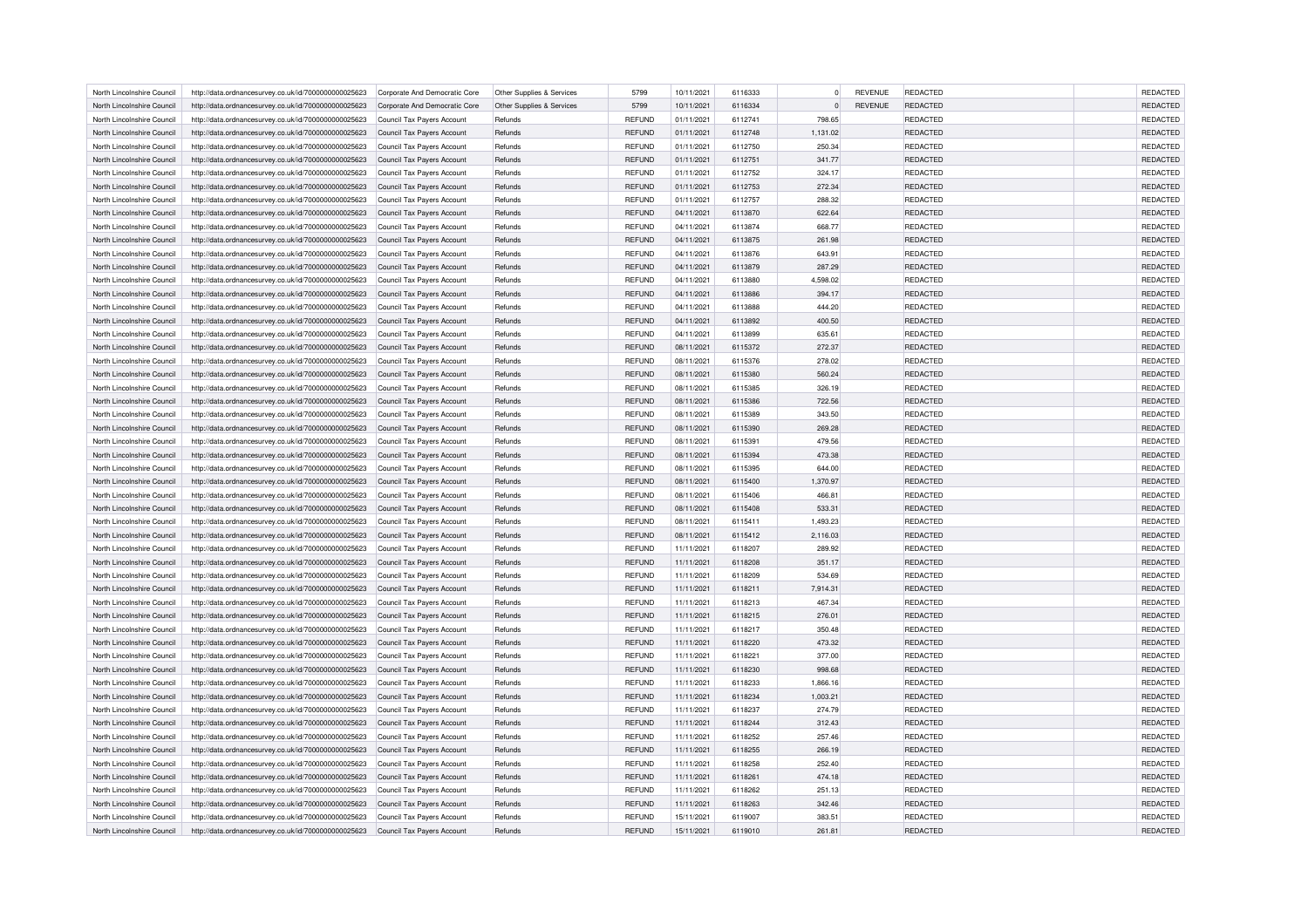| North Lincolnshire Council                               | http://data.ordnancesurvey.co.uk/id/7000000000025623                                                         | Corporate And Democratic Core                            | Other Supplies & Services | 5799          | 10/11/2021 | 6116333 | $\Omega$ | REVENUE        | REDACTED        | REDACTED |
|----------------------------------------------------------|--------------------------------------------------------------------------------------------------------------|----------------------------------------------------------|---------------------------|---------------|------------|---------|----------|----------------|-----------------|----------|
| North Lincolnshire Council                               | http://data.ordnancesurvey.co.uk/id/7000000000025623                                                         | Corporate And Democratic Core                            | Other Supplies & Services | 5799          | 10/11/2021 | 6116334 | $\circ$  | <b>REVENUE</b> | <b>REDACTED</b> | REDACTED |
| North Lincolnshire Council                               | http://data.ordnancesurvey.co.uk/id/7000000000025623                                                         | Council Tax Payers Account                               | Refunds                   | <b>REFUND</b> | 01/11/2021 | 6112741 | 798.65   |                | <b>REDACTED</b> | REDACTED |
| North Lincolnshire Council                               | http://data.ordnancesurvey.co.uk/id/7000000000025623                                                         | Council Tax Payers Account                               | Refunds                   | <b>REFUND</b> | 01/11/2021 | 6112748 | 1,131.02 |                | REDACTED        | REDACTED |
| North Lincolnshire Council                               | http://data.ordnancesurvey.co.uk/id/7000000000025623                                                         | Council Tax Payers Account                               | Refunds                   | <b>REFUND</b> | 01/11/2021 | 6112750 | 250.34   |                | REDACTED        | REDACTED |
| North Lincolnshire Council                               | http://data.ordnancesurvey.co.uk/id/7000000000025623                                                         | Council Tax Payers Account                               | Refunds                   | <b>REFUND</b> | 01/11/2021 | 6112751 | 341.77   |                | REDACTED        | REDACTED |
| North Lincolnshire Council                               | http://data.ordnancesurvey.co.uk/id/7000000000025623                                                         | Council Tax Payers Account                               | Refunds                   | <b>REFUND</b> | 01/11/2021 | 6112752 | 324.17   |                | REDACTED        | REDACTED |
| North Lincolnshire Council                               | http://data.ordnancesurvey.co.uk/id/7000000000025623                                                         | Council Tax Payers Account                               | Refunds                   | <b>REFUND</b> | 01/11/2021 | 6112753 | 272.34   |                | REDACTED        | REDACTED |
| North Lincolnshire Council                               | http://data.ordnancesurvey.co.uk/id/7000000000025623                                                         | Council Tax Payers Account                               | Refunds                   | <b>REFUND</b> | 01/11/2021 | 6112757 | 288.32   |                | REDACTED        | REDACTED |
| North Lincolnshire Council                               | http://data.ordnancesurvey.co.uk/id/7000000000025623                                                         | Council Tax Payers Account                               | Refunds                   | <b>REFUND</b> | 04/11/2021 | 6113870 | 622.64   |                | REDACTED        | REDACTED |
| North Lincolnshire Council                               | http://data.ordnancesurvey.co.uk/id/7000000000025623                                                         | Council Tax Payers Account                               | Refunds                   | <b>REFUND</b> | 04/11/2021 | 6113874 | 668.77   |                | REDACTED        | REDACTED |
| North Lincolnshire Council                               | http://data.ordnancesurvey.co.uk/id/7000000000025623                                                         | Council Tax Payers Account                               | Refunds                   | <b>REFUND</b> | 04/11/2021 | 6113875 | 261.98   |                | REDACTED        | REDACTED |
| North Lincolnshire Council                               | http://data.ordnancesurvey.co.uk/id/7000000000025623                                                         | Council Tax Payers Account                               | Refunds                   | <b>REFUND</b> | 04/11/2021 | 6113876 | 643.91   |                | <b>REDACTED</b> | REDACTED |
| North Lincolnshire Council                               | http://data.ordnancesurvey.co.uk/id/7000000000025623                                                         | Council Tax Pavers Account                               | Refunds                   | <b>REFUND</b> | 04/11/2021 | 6113879 | 287.29   |                | REDACTED        | REDACTED |
| North Lincolnshire Council                               | http://data.ordnancesurvey.co.uk/id/7000000000025623                                                         | Council Tax Payers Account                               | Refunds                   | <b>REFUND</b> | 04/11/2021 | 6113880 | 4,598.02 |                | <b>REDACTED</b> | REDACTED |
| North Lincolnshire Council                               | http://data.ordnancesurvey.co.uk/id/7000000000025623                                                         | Council Tax Payers Account                               | Refunds                   | <b>REFUND</b> | 04/11/2021 | 6113886 | 394.17   |                | REDACTED        | REDACTED |
| North Lincolnshire Council                               | http://data.ordnancesurvey.co.uk/id/7000000000025623                                                         | Council Tax Payers Account                               | Refunds                   | <b>REFUND</b> | 04/11/2021 | 6113888 | 444.20   |                | <b>REDACTED</b> | REDACTED |
| North Lincolnshire Council                               | http://data.ordnancesurvey.co.uk/id/7000000000025623                                                         | Council Tax Payers Account                               | Refunds                   | <b>REFUND</b> | 04/11/2021 | 6113892 | 400.50   |                | <b>REDACTED</b> | REDACTED |
| North Lincolnshire Council                               | http://data.ordnancesurvey.co.uk/id/7000000000025623                                                         | Council Tax Payers Account                               | Refunds                   | <b>REFUND</b> | 04/11/2021 | 6113899 | 635.61   |                | <b>REDACTED</b> | REDACTED |
| North Lincolnshire Council                               | http://data.ordnancesurvey.co.uk/id/7000000000025623                                                         | Council Tax Payers Account                               | Refunds                   | <b>REFUND</b> | 08/11/2021 | 6115372 | 272.37   |                | REDACTED        | REDACTED |
| North Lincolnshire Council                               | http://data.ordnancesurvey.co.uk/id/7000000000025623                                                         | Council Tax Payers Account                               | Refunds                   | <b>REFUND</b> | 08/11/2021 | 6115376 | 278.02   |                | <b>REDACTED</b> | REDACTED |
| North Lincolnshire Council                               | http://data.ordnancesurvey.co.uk/id/7000000000025623                                                         | Council Tax Payers Account                               | Refunds                   | <b>REFUND</b> | 08/11/2021 | 6115380 | 560.24   |                | <b>REDACTED</b> | REDACTED |
| North Lincolnshire Council                               | http://data.ordnancesurvey.co.uk/id/7000000000025623                                                         | Council Tax Payers Account                               | Refunds                   | <b>REFUND</b> | 08/11/2021 | 6115385 | 326.19   |                | <b>REDACTED</b> | REDACTED |
| North Lincolnshire Council                               | http://data.ordnancesurvey.co.uk/id/7000000000025623                                                         | Council Tax Payers Account                               | Refunds                   | <b>REFUND</b> | 08/11/2021 | 6115386 | 722.56   |                | <b>REDACTED</b> | REDACTED |
| North Lincolnshire Council                               | http://data.ordnancesurvey.co.uk/id/7000000000025623                                                         | Council Tax Payers Account                               | Refunds                   | <b>REFUND</b> | 08/11/2021 | 6115389 | 343.50   |                | REDACTED        | REDACTED |
| North Lincolnshire Council                               | http://data.ordnancesurvey.co.uk/id/7000000000025623                                                         | Council Tax Payers Account                               | Refunds                   | <b>REFUND</b> | 08/11/2021 | 6115390 | 269.28   |                | REDACTED        | REDACTED |
| North Lincolnshire Council                               | http://data.ordnancesurvey.co.uk/id/7000000000025623                                                         | Council Tax Payers Account                               | Refunds                   | <b>REFUND</b> | 08/11/2021 | 6115391 | 479.56   |                | <b>REDACTED</b> | REDACTED |
| North Lincolnshire Council                               | http://data.ordnancesurvey.co.uk/id/7000000000025623                                                         | Council Tax Payers Account                               | Refunds                   | <b>REFUND</b> | 08/11/2021 | 6115394 | 473.38   |                | <b>REDACTED</b> | REDACTED |
| North Lincolnshire Council                               | http://data.ordnancesurvey.co.uk/id/7000000000025623                                                         | Council Tax Payers Account                               | Refunds                   | <b>REFUND</b> | 08/11/2021 | 6115395 | 644.00   |                | <b>REDACTED</b> | REDACTED |
| North Lincolnshire Council                               | http://data.ordnancesurvey.co.uk/id/7000000000025623                                                         | Council Tax Payers Account                               | Refunds                   | <b>REFUND</b> | 08/11/2021 | 6115400 | 1,370.97 |                | REDACTED        | REDACTED |
| North Lincolnshire Council                               | http://data.ordnancesurvey.co.uk/id/7000000000025623                                                         | Council Tax Payers Account                               | Refunds                   | <b>REFUND</b> | 08/11/2021 | 6115406 | 466.81   |                | <b>REDACTED</b> | REDACTED |
| North Lincolnshire Council                               | http://data.ordnancesurvey.co.uk/id/7000000000025623                                                         | Council Tax Payers Account                               | Refunds                   | <b>REFUND</b> | 08/11/2021 | 6115408 | 533.31   |                | REDACTED        | REDACTED |
| North Lincolnshire Council                               | http://data.ordnancesurvey.co.uk/id/7000000000025623                                                         | Council Tax Payers Account                               | Refunds                   | <b>REFUND</b> | 08/11/2021 | 6115411 | 1,493.23 |                | REDACTED        | REDACTED |
| North Lincolnshire Council                               | http://data.ordnancesurvey.co.uk/id/7000000000025623                                                         | Council Tax Payers Account                               | Refunds                   | <b>REFUND</b> | 08/11/2021 | 6115412 | 2,116.03 |                | <b>REDACTED</b> | REDACTED |
| North Lincolnshire Council                               | http://data.ordnancesurvey.co.uk/id/7000000000025623                                                         | Council Tax Payers Account                               | Refunds                   | <b>REFUND</b> | 11/11/2021 | 6118207 | 289.92   |                | REDACTED        | REDACTED |
| North Lincolnshire Council                               | http://data.ordnancesurvey.co.uk/id/7000000000025623                                                         | Council Tax Payers Account                               | Refunds                   | <b>REFUND</b> | 11/11/2021 | 6118208 | 351.17   |                | REDACTED        | REDACTED |
| North Lincolnshire Council                               | http://data.ordnancesurvey.co.uk/id/7000000000025623                                                         | Council Tax Payers Account                               | Refunds                   | <b>REFUND</b> | 11/11/2021 | 6118209 | 534.69   |                | REDACTED        | REDACTED |
| North Lincolnshire Council                               | http://data.ordnancesurvey.co.uk/id/7000000000025623                                                         | <b>Council Tax Payers Account</b>                        | Refunds                   | <b>REFUND</b> | 11/11/2021 | 6118211 | 7,914.31 |                | <b>REDACTED</b> | REDACTED |
| North Lincolnshire Council                               | http://data.ordnancesurvey.co.uk/id/7000000000025623                                                         | Council Tax Payers Account                               | Refunds                   | REFUND        | 11/11/2021 | 6118213 | 467.34   |                | <b>REDACTED</b> | REDACTED |
| North Lincolnshire Council                               | http://data.ordnancesurvey.co.uk/id/7000000000025623                                                         | Council Tax Payers Account                               | Refunds                   | <b>REFUND</b> | 11/11/2021 | 6118215 | 276.01   |                | REDACTED        | REDACTED |
| North Lincolnshire Council                               | http://data.ordnancesurvey.co.uk/id/7000000000025623                                                         | Council Tax Payers Account                               | Refunds                   | <b>REFUND</b> | 11/11/2021 | 6118217 | 350.48   |                | <b>REDACTED</b> | REDACTED |
| North Lincolnshire Council                               | http://data.ordnancesurvey.co.uk/id/7000000000025623                                                         | Council Tax Payers Account                               | Refunds                   | <b>REFUND</b> | 11/11/2021 | 6118220 | 473.32   |                | <b>REDACTED</b> | REDACTED |
| North Lincolnshire Council                               | http://data.ordnancesurvey.co.uk/id/7000000000025623                                                         | Council Tax Payers Account                               | Refunds                   | <b>REFUND</b> | 11/11/2021 | 6118221 | 377.00   |                | <b>REDACTED</b> | REDACTED |
| North Lincolnshire Council                               | http://data.ordnancesurvey.co.uk/id/7000000000025623                                                         | Council Tax Payers Account                               | Refunds                   | <b>REFUND</b> | 11/11/2021 | 6118230 | 998.68   |                | REDACTED        | REDACTED |
| North Lincolnshire Council                               | http://data.ordnancesurvey.co.uk/id/7000000000025623                                                         | Council Tax Payers Account                               | Refunds                   | REFUND        | 11/11/2021 | 6118233 | 1,866.16 |                | <b>REDACTED</b> | REDACTED |
| North Lincolnshire Council                               | http://data.ordnancesurvey.co.uk/id/7000000000025623                                                         | Council Tax Payers Account                               | Refunds                   | <b>REFUND</b> | 11/11/2021 | 6118234 | 1,003.21 |                | REDACTED        | REDACTED |
|                                                          |                                                                                                              |                                                          | Refunds                   | <b>REFUND</b> | 11/11/2021 | 6118237 | 274.79   |                | <b>REDACTED</b> | REDACTED |
| North Lincolnshire Council<br>North Lincolnshire Council | http://data.ordnancesurvey.co.uk/id/7000000000025623<br>http://data.ordnancesurvey.co.uk/id/7000000000025623 | Council Tax Payers Account<br>Council Tax Payers Account | Refunds                   | <b>REFUND</b> | 11/11/2021 | 6118244 | 312.43   |                | <b>REDACTED</b> | REDACTED |
| North Lincolnshire Council                               | http://data.ordnancesurvey.co.uk/id/7000000000025623                                                         | Council Tax Payers Account                               | Refunds                   | <b>REFUND</b> | 11/11/2021 | 6118252 | 257.46   |                | REDACTED        | REDACTED |
| North Lincolnshire Council                               | http://data.ordnancesurvey.co.uk/id/7000000000025623                                                         | Council Tax Payers Account                               | Refunds                   | <b>REFUND</b> | 11/11/2021 | 6118255 | 266.19   |                | REDACTED        | REDACTED |
| North Lincolnshire Council                               | http://data.ordnancesurvey.co.uk/id/7000000000025623                                                         | Council Tax Payers Account                               | Refunds                   | <b>REFUND</b> | 11/11/2021 | 6118258 | 252.40   |                | <b>REDACTED</b> | REDACTED |
| North Lincolnshire Council                               | http://data.ordnancesurvey.co.uk/id/7000000000025623                                                         | Council Tax Payers Account                               | Refunds                   | <b>REFUND</b> | 11/11/2021 | 6118261 | 474.18   |                | <b>REDACTED</b> | REDACTED |
| North Lincolnshire Council                               | http://data.ordnancesurvey.co.uk/id/7000000000025623                                                         | Council Tax Payers Account                               | Refunds                   | <b>REFUND</b> | 11/11/2021 | 6118262 | 251.13   |                | <b>REDACTED</b> | REDACTED |
| North Lincolnshire Council                               | http://data.ordnancesurvey.co.uk/id/7000000000025623                                                         | Council Tax Payers Account                               | Refunds                   | <b>REFUND</b> | 11/11/2021 | 6118263 | 342.46   |                | REDACTED        | REDACTED |
| North Lincolnshire Council                               | http://data.ordnancesurvey.co.uk/id/7000000000025623                                                         | Council Tax Payers Account                               | Refunds                   | <b>REFUND</b> | 15/11/2021 | 6119007 | 383.51   |                | REDACTED        | REDACTED |
| North Lincolnshire Council                               | http://data.ordnancesurvey.co.uk/id/7000000000025623                                                         | Council Tax Payers Account                               | Refunds                   | <b>REFUND</b> | 15/11/2021 | 6119010 | 261.81   |                | REDACTED        | REDACTED |
|                                                          |                                                                                                              |                                                          |                           |               |            |         |          |                |                 |          |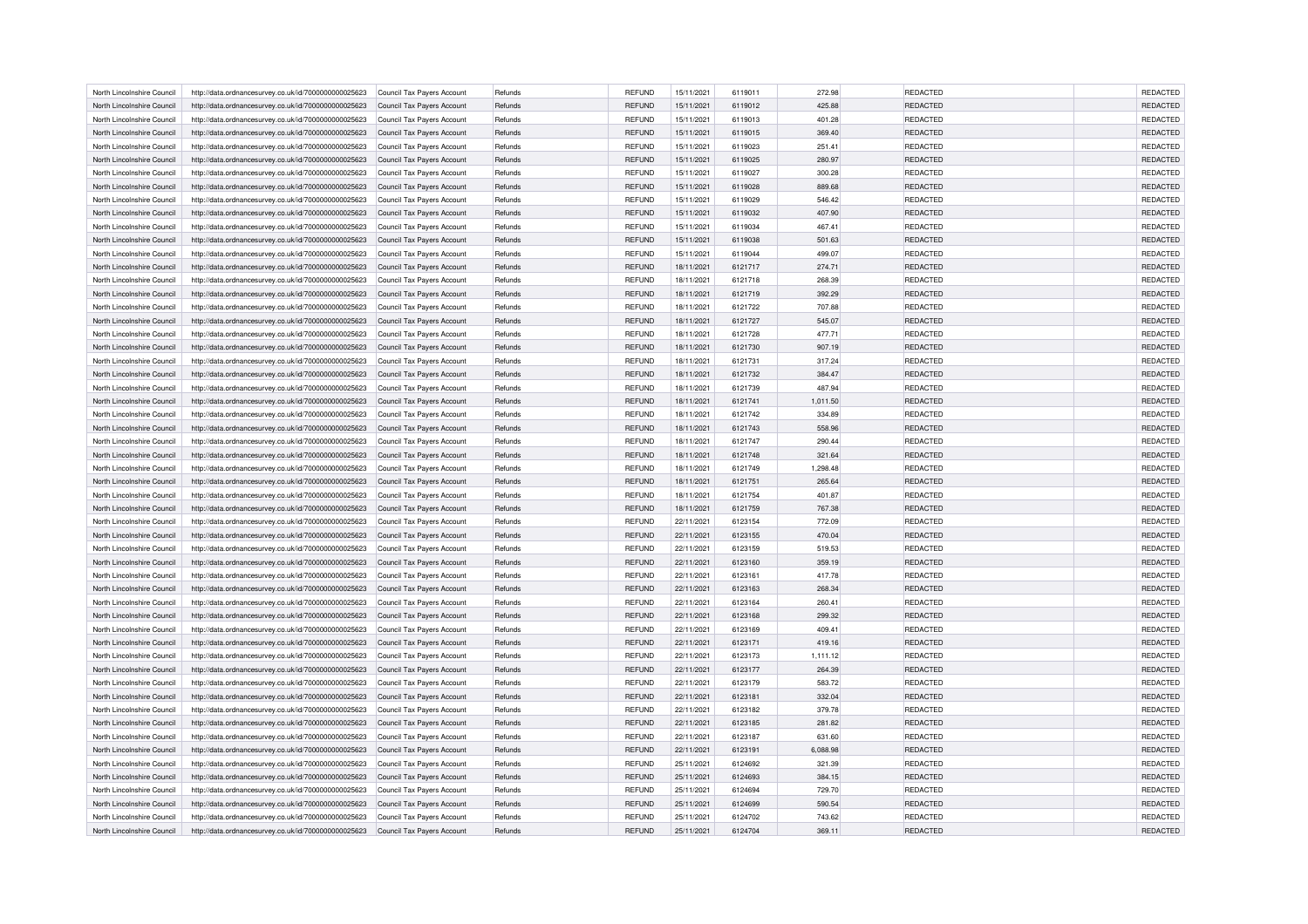| North Lincolnshire Council | http://data.ordnancesurvey.co.uk/id/7000000000025623 | Council Tax Payers Account        | Refunds | <b>REFUND</b> | 15/11/2021 | 6119011 | 272.98   | REDACTED        | REDACTED             |
|----------------------------|------------------------------------------------------|-----------------------------------|---------|---------------|------------|---------|----------|-----------------|----------------------|
| North Lincolnshire Council | http://data.ordnancesurvey.co.uk/id/7000000000025623 | Council Tax Payers Account        | Refunds | <b>REFUND</b> | 15/11/2021 | 6119012 | 425.88   | <b>REDACTED</b> | REDACTED             |
| North Lincolnshire Council | http://data.ordnancesurvey.co.uk/id/7000000000025623 | Council Tax Payers Account        | Refunds | <b>REFUND</b> | 15/11/2021 | 6119013 | 401.28   | <b>REDACTED</b> | REDACTED             |
| North Lincolnshire Council | http://data.ordnancesurvey.co.uk/id/7000000000025623 | Council Tax Payers Account        | Refunds | <b>REFUND</b> | 15/11/2021 | 6119015 | 369.40   | <b>REDACTED</b> | REDACTED             |
| North Lincolnshire Council | http://data.ordnancesurvey.co.uk/id/7000000000025623 | Council Tax Payers Account        | Refunds | <b>REFUND</b> | 15/11/2021 | 6119023 | 251.41   | <b>REDACTED</b> | REDACTED             |
| North Lincolnshire Council | http://data.ordnancesurvey.co.uk/id/7000000000025623 | Council Tax Payers Account        | Refunds | <b>REFUND</b> | 15/11/2021 | 6119025 | 280.97   | REDACTED        | REDACTED             |
| North Lincolnshire Council | http://data.ordnancesurvey.co.uk/id/7000000000025623 | Council Tax Payers Account        | Refunds | <b>REFUND</b> | 15/11/2021 | 6119027 | 300.28   | <b>REDACTED</b> | <b>REDACTED</b>      |
| North Lincolnshire Council | http://data.ordnancesurvey.co.uk/id/7000000000025623 | Council Tax Pavers Account        | Refunds | <b>REFUND</b> | 15/11/2021 | 6119028 | 889.68   | <b>REDACTED</b> | REDACTED             |
| North Lincolnshire Council | http://data.ordnancesurvey.co.uk/id/7000000000025623 | Council Tax Payers Account        | Refunds | <b>REFUND</b> | 15/11/2021 | 6119029 | 546.42   | <b>REDACTED</b> | REDACTED             |
| North Lincolnshire Council | http://data.ordnancesurvey.co.uk/id/7000000000025623 | Council Tax Payers Account        | Refunds | <b>REFUND</b> | 15/11/2021 | 6119032 | 407.90   | REDACTED        | REDACTED             |
| North Lincolnshire Council | http://data.ordnancesurvey.co.uk/id/7000000000025623 | Council Tax Pavers Account        | Refunds | <b>REFUND</b> | 15/11/2021 | 6119034 | 467.41   | <b>REDACTED</b> | <b>REDACTED</b>      |
| North Lincolnshire Council | http://data.ordnancesurvey.co.uk/id/7000000000025623 | Council Tax Payers Account        | Refunds | <b>REFUND</b> | 15/11/2021 | 6119038 | 501.63   | <b>REDACTED</b> | REDACTED             |
| North Lincolnshire Council | http://data.ordnancesurvey.co.uk/id/7000000000025623 | Council Tax Payers Account        | Refunds | <b>REFUND</b> | 15/11/2021 | 6119044 | 499.07   | <b>REDACTED</b> | REDACTED             |
| North Lincolnshire Council | http://data.ordnancesurvey.co.uk/id/7000000000025623 | Council Tax Payers Account        | Refunds | <b>REFUND</b> | 18/11/2021 | 6121717 | 274.71   | <b>REDACTED</b> | REDACTED             |
| North Lincolnshire Council | http://data.ordnancesurvey.co.uk/id/7000000000025623 | Council Tax Payers Account        | Refunds | <b>REFUND</b> | 18/11/2021 | 6121718 | 268.39   | <b>REDACTED</b> | <b>REDACTED</b>      |
| North Lincolnshire Council | http://data.ordnancesurvey.co.uk/id/7000000000025623 | Council Tax Payers Account        | Refunds | <b>REFUND</b> | 18/11/2021 | 6121719 | 392.29   | REDACTED        | REDACTED             |
| North Lincolnshire Council | http://data.ordnancesurvey.co.uk/id/7000000000025623 | Council Tax Payers Account        | Refunds | <b>REFUND</b> | 18/11/2021 | 6121722 | 707.88   | <b>REDACTED</b> | REDACTED             |
| North Lincolnshire Council | http://data.ordnancesurvey.co.uk/id/7000000000025623 | <b>Council Tax Payers Account</b> | Refunds | <b>REFUND</b> | 18/11/2021 | 6121727 | 545.07   | <b>REDACTED</b> | REDACTED             |
| North Lincolnshire Council | http://data.ordnancesurvey.co.uk/id/7000000000025623 | Council Tax Payers Account        | Refunds | <b>REFUND</b> | 18/11/2021 | 6121728 | 477.71   | <b>REDACTED</b> | REDACTED             |
| North Lincolnshire Council | http://data.ordnancesurvey.co.uk/id/7000000000025623 |                                   | Refunds | <b>REFUND</b> | 18/11/2021 | 6121730 | 907.19   | <b>REDACTED</b> | REDACTED             |
| North Lincolnshire Council | http://data.ordnancesurvey.co.uk/id/7000000000025623 | Council Tax Payers Account        | Refunds | <b>REFUND</b> | 18/11/2021 | 6121731 | 317.24   | <b>REDACTED</b> | REDACTED             |
|                            |                                                      | Council Tax Payers Account        | Refunds | <b>REFUND</b> | 18/11/2021 | 6121732 | 384.47   | <b>REDACTED</b> | REDACTED             |
| North Lincolnshire Council | http://data.ordnancesurvey.co.uk/id/7000000000025623 | Council Tax Payers Account        |         |               |            |         |          |                 |                      |
| North Lincolnshire Council | http://data.ordnancesurvey.co.uk/id/7000000000025623 | Council Tax Payers Account        | Refunds | <b>REFUND</b> | 18/11/2021 | 6121739 | 487.94   | <b>REDACTED</b> | REDACTED             |
| North Lincolnshire Council | http://data.ordnancesurvey.co.uk/id/7000000000025623 | Council Tax Payers Account        | Refunds | <b>REFUND</b> | 18/11/2021 | 6121741 | 1,011.50 | <b>REDACTED</b> | REDACTED             |
| North Lincolnshire Council | http://data.ordnancesurvey.co.uk/id/7000000000025623 | Council Tax Payers Account        | Refunds | <b>REFUND</b> | 18/11/2021 | 6121742 | 334.89   | REDACTED        | REDACTED             |
| North Lincolnshire Council | http://data.ordnancesurvey.co.uk/id/7000000000025623 | Council Tax Pavers Account        | Refunds | <b>REFUND</b> | 18/11/2021 | 6121743 | 558.96   | <b>REDACTED</b> | REDACTED             |
| North Lincolnshire Council | http://data.ordnancesurvey.co.uk/id/7000000000025623 | Council Tax Payers Account        | Refunds | <b>REFUND</b> | 18/11/2021 | 6121747 | 290.44   | <b>REDACTED</b> | REDACTED             |
| North Lincolnshire Council | http://data.ordnancesurvey.co.uk/id/7000000000025623 | Council Tax Payers Account        | Refunds | <b>REFUND</b> | 18/11/2021 | 6121748 | 321.64   | REDACTED        | REDACTED             |
| North Lincolnshire Council | http://data.ordnancesurvey.co.uk/id/7000000000025623 | Council Tax Pavers Accoun         | Refunds | <b>REFUND</b> | 18/11/2021 | 6121749 | 1,298.48 | <b>REDACTED</b> | REDACTED             |
| North Lincolnshire Council | http://data.ordnancesurvey.co.uk/id/7000000000025623 | Council Tax Payers Account        | Refunds | <b>REFUND</b> | 18/11/2021 | 6121751 | 265.64   | <b>REDACTED</b> | REDACTED             |
| North Lincolnshire Council | http://data.ordnancesurvey.co.uk/id/7000000000025623 | Council Tax Payers Account        | Refunds | <b>REFUND</b> | 18/11/2021 | 6121754 | 401.87   | REDACTED        | REDACTED             |
| North Lincolnshire Council | http://data.ordnancesurvey.co.uk/id/7000000000025623 | Council Tax Payers Account        | Refunds | <b>REFUND</b> | 18/11/2021 | 6121759 | 767.38   | REDACTED        | REDACTED             |
| North Lincolnshire Council | http://data.ordnancesurvey.co.uk/id/7000000000025623 | Council Tax Payers Account        | Refunds | <b>REFUND</b> | 22/11/2021 | 6123154 | 772.09   | REDACTED        | <b>REDACTED</b>      |
| North Lincolnshire Council | http://data.ordnancesurvey.co.uk/id/7000000000025623 | Council Tax Payers Account        | Refunds | <b>REFUND</b> | 22/11/2021 | 6123155 | 470.04   | <b>REDACTED</b> | REDACTED             |
| North Lincolnshire Council | http://data.ordnancesurvey.co.uk/id/7000000000025623 | Council Tax Payers Account        | Refunds | <b>REFUND</b> |            |         |          | <b>REDACTED</b> |                      |
| North Lincolnshire Council | http://data.ordnancesurvey.co.uk/id/7000000000025623 |                                   |         |               | 22/11/2021 | 6123159 | 519.53   |                 | REDACTED             |
| North Lincolnshire Council |                                                      | Council Tax Payers Account        | Refunds | <b>REFUND</b> | 22/11/2021 | 6123160 | 359.19   | <b>REDACTED</b> | REDACTED             |
|                            | http://data.ordnancesurvey.co.uk/id/7000000000025623 | Council Tax Payers Account        | Refunds | <b>REFUND</b> | 22/11/2021 | 6123161 | 417.78   | <b>REDACTED</b> | <b>REDACTED</b>      |
| North Lincolnshire Council | http://data.ordnancesurvey.co.uk/id/7000000000025623 | Council Tax Payers Account        | Refunds | <b>REFUND</b> | 22/11/2021 | 6123163 | 268.34   | <b>REDACTED</b> | REDACTED             |
| North Lincolnshire Council | http://data.ordnancesurvey.co.uk/id/7000000000025623 | Council Tax Payers Account        | Refunds | <b>REFUND</b> | 22/11/2021 | 6123164 | 260.41   | REDACTED        | REDACTED             |
| North Lincolnshire Council | http://data.ordnancesurvey.co.uk/id/7000000000025623 | Council Tax Payers Account        | Refunds | <b>REFUND</b> | 22/11/2021 | 6123168 | 299.32   | <b>REDACTED</b> | REDACTED             |
| North Lincolnshire Council | http://data.ordnancesurvey.co.uk/id/7000000000025623 | Council Tax Payers Account        | Refunds | <b>REFUND</b> | 22/11/2021 | 6123169 | 409.41   | <b>REDACTED</b> | REDACTED             |
| North Lincolnshire Council | http://data.ordnancesurvey.co.uk/id/7000000000025623 | Council Tax Payers Account        | Refunds | <b>REFUND</b> | 22/11/2021 | 6123171 | 419.16   | <b>REDACTED</b> | REDACTED             |
| North Lincolnshire Council | http://data.ordnancesurvey.co.uk/id/7000000000025623 | Council Tax Payers Account        | Refunds | <b>REFUND</b> | 22/11/2021 | 6123173 | 1,111.12 | <b>REDACTED</b> | REDACTED             |
| North Lincolnshire Council | http://data.ordnancesurvey.co.uk/id/7000000000025623 | Council Tax Pavers Account        | Refunds | <b>REFUND</b> | 22/11/2021 | 6123177 | 264.39   | <b>REDACTED</b> | REDACTED             |
| North Lincolnshire Council | http://data.ordnancesurvey.co.uk/id/7000000000025623 | Council Tax Payers Account        | Refunds | <b>REFUND</b> | 22/11/2021 | 6123179 | 583.72   | REDACTED        | REDACTED             |
| North Lincolnshire Council | http://data.ordnancesurvey.co.uk/id/7000000000025623 | Council Tax Payers Account        | Refunds | <b>REFUND</b> | 22/11/2021 | 6123181 | 332.04   | REDACTED        | REDACTED             |
| North Lincolnshire Council | http://data.ordnancesurvey.co.uk/id/7000000000025623 | Council Tax Payers Account        | Refunds | <b>REFUND</b> | 22/11/2021 | 6123182 | 379.78   | <b>REDACTED</b> | REDACTED             |
| North Lincolnshire Council | http://data.ordnancesurvey.co.uk/id/7000000000025623 | Council Tax Payers Account        | Refunds | <b>REFUND</b> | 22/11/2021 | 6123185 | 281.82   | <b>REDACTED</b> | REDACTED             |
| North Lincolnshire Council | http://data.ordnancesurvey.co.uk/id/7000000000025623 | Council Tax Payers Account        | Refunds | <b>REFUND</b> | 22/11/2021 | 6123187 | 631.60   | REDACTED        | REDACTED             |
| North Lincolnshire Council | http://data.ordnancesurvey.co.uk/id/7000000000025623 | Council Tax Payers Account        | Refunds | <b>REFUND</b> | 22/11/2021 | 6123191 | 6,088.98 | REDACTED        | REDACTED             |
| North Lincolnshire Council | http://data.ordnancesurvey.co.uk/id/7000000000025623 | Council Tax Payers Account        | Refunds | <b>REFUND</b> | 25/11/2021 | 6124692 | 321.39   | REDACTED        | <b>REDACTED</b>      |
| North Lincolnshire Council | http://data.ordnancesurvey.co.uk/id/7000000000025623 | Council Tax Payers Account        | Refunds | <b>REFUND</b> | 25/11/2021 | 6124693 | 384.15   | REDACTED        | REDACTED             |
| North Lincolnshire Council | http://data.ordnancesurvey.co.uk/id/7000000000025623 | Council Tax Payers Account        | Refunds | <b>REFUND</b> | 25/11/2021 | 6124694 | 729.70   | <b>REDACTED</b> | REDACTED             |
| North Lincolnshire Council | http://data.ordnancesurvey.co.uk/id/7000000000025623 | Council Tax Payers Account        | Refunds | <b>REFUND</b> | 25/11/2021 | 6124699 | 590.54   | REDACTED        | REDACTED             |
| North Lincolnshire Council | http://data.ordnancesurvey.co.uk/id/7000000000025623 | Council Tax Pavers Account        | Refunds | <b>REFUND</b> | 25/11/2021 | 6124702 | 743.62   | <b>REDACTED</b> | REDACTED<br>REDACTED |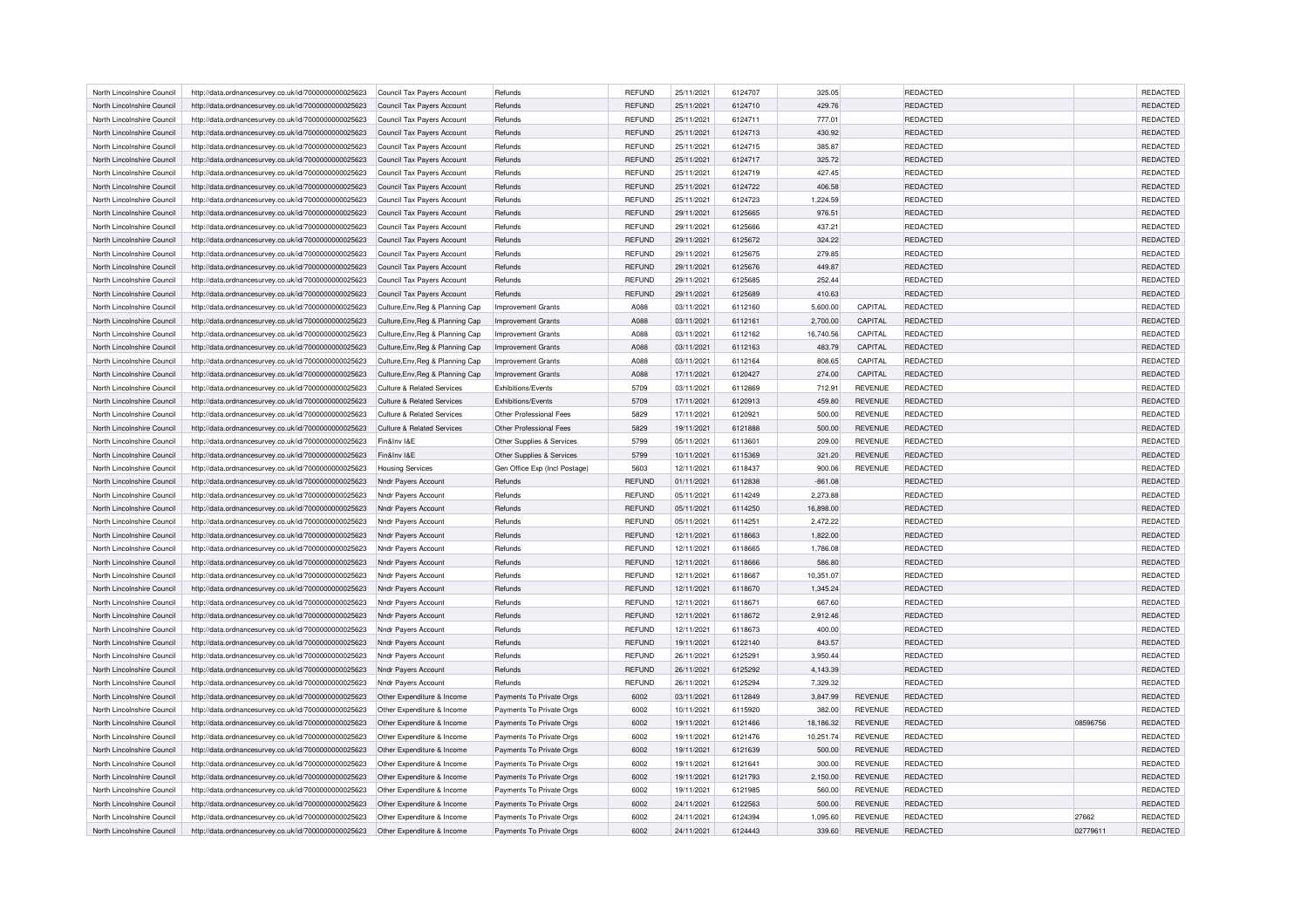| North Lincolnshire Council                               | http://data.ordnancesurvey.co.uk/id/7000000000025623                                                         | Council Tax Payers Account                               | Refunds                                              | <b>REFUND</b> | 25/11/2021               | 6124707            | 325.05             |                                  | REDACTED                           |                   | REDACTED                    |
|----------------------------------------------------------|--------------------------------------------------------------------------------------------------------------|----------------------------------------------------------|------------------------------------------------------|---------------|--------------------------|--------------------|--------------------|----------------------------------|------------------------------------|-------------------|-----------------------------|
| North Lincolnshire Council                               | http://data.ordnancesurvey.co.uk/id/7000000000025623                                                         | Council Tax Payers Account                               | Refunds                                              | <b>REFUND</b> | 25/11/2021               | 6124710            | 429.76             |                                  | <b>REDACTED</b>                    |                   | REDACTED                    |
| North Lincolnshire Council                               | http://data.ordnancesurvey.co.uk/id/7000000000025623                                                         | Council Tax Payers Account                               | Refunds                                              | <b>REFUND</b> | 25/11/2021               | 6124711            | 777.01             |                                  | <b>REDACTED</b>                    |                   | REDACTED                    |
| North Lincolnshire Council                               | http://data.ordnancesurvey.co.uk/id/7000000000025623                                                         | Council Tax Payers Account                               | Refunds                                              | <b>REFUND</b> | 25/11/2021               | 6124713            | 430.92             |                                  | <b>REDACTED</b>                    |                   | REDACTED                    |
| North Lincolnshire Council                               | http://data.ordnancesurvey.co.uk/id/7000000000025623                                                         | Council Tax Payers Account                               | Refunds                                              | <b>REFUND</b> | 25/11/2021               | 6124715            | 385.87             |                                  | <b>REDACTED</b>                    |                   | REDACTED                    |
| North Lincolnshire Council                               | http://data.ordnancesurvey.co.uk/id/7000000000025623                                                         | Council Tax Payers Account                               | Refunds                                              | <b>REFUND</b> | 25/11/2021               | 6124717            | 325.72             |                                  | REDACTED                           |                   | REDACTED                    |
| North Lincolnshire Council                               | http://data.ordnancesurvey.co.uk/id/7000000000025623                                                         | Council Tax Payers Account                               | Refunds                                              | <b>REFUND</b> | 25/11/2021               | 6124719            | 427.45             |                                  | <b>REDACTED</b>                    |                   | <b>REDACTED</b>             |
| North Lincolnshire Council                               | http://data.ordnancesurvey.co.uk/id/7000000000025623                                                         | Council Tax Payers Account                               | Refunds                                              | <b>REFUND</b> | 25/11/2021               | 6124722            | 406.58             |                                  | <b>REDACTED</b>                    |                   | REDACTED                    |
| North Lincolnshire Council                               | http://data.ordnancesurvey.co.uk/id/7000000000025623                                                         | Council Tax Payers Account                               | Refunds                                              | <b>REFUND</b> | 25/11/2021               | 6124723            | 1,224.59           |                                  | REDACTED                           |                   | REDACTED                    |
| North Lincolnshire Council                               | http://data.ordnancesurvey.co.uk/id/7000000000025623                                                         | Council Tax Payers Account                               | Refunds                                              | <b>REFUND</b> | 29/11/2021               | 6125665            | 976.51             |                                  | <b>REDACTED</b>                    |                   | REDACTED                    |
| North Lincolnshire Council                               | http://data.ordnancesurvey.co.uk/id/7000000000025623                                                         | Council Tax Payers Account                               | Refunds                                              | <b>REFUND</b> | 29/11/2021               | 6125666            | 437.21             |                                  | <b>REDACTED</b>                    |                   | REDACTED                    |
| North Lincolnshire Council                               | http://data.ordnancesurvey.co.uk/id/7000000000025623                                                         | Council Tax Payers Account                               | Refunds                                              | <b>REFUND</b> | 29/11/2021               | 6125672            | 324.22             |                                  | REDACTED                           |                   | REDACTED                    |
| North Lincolnshire Council                               |                                                                                                              |                                                          | Refunds                                              | REFUND        | 29/11/2021               | 6125675            | 279.85             |                                  | REDACTED                           |                   | REDACTED                    |
| North Lincolnshire Council                               | http://data.ordnancesurvey.co.uk/id/7000000000025623<br>http://data.ordnancesurvey.co.uk/id/7000000000025623 | Council Tax Payers Account<br>Council Tax Payers Account | Refunds                                              | <b>REFUND</b> | 29/11/2021               | 6125676            | 449.87             |                                  | <b>REDACTED</b>                    |                   | REDACTED                    |
|                                                          |                                                                                                              |                                                          |                                                      |               |                          |                    |                    |                                  |                                    |                   |                             |
| North Lincolnshire Council                               | http://data.ordnancesurvey.co.uk/id/7000000000025623                                                         | Council Tax Payers Account                               | Refunds                                              | REFUND        | 29/11/2021               | 6125685            | 252.44             |                                  | <b>REDACTED</b>                    |                   | <b>REDACTED</b>             |
| North Lincolnshire Council                               | http://data.ordnancesurvey.co.uk/id/7000000000025623                                                         | Council Tax Payers Account                               | Refunds                                              | REFUND        | 29/11/2021               | 6125689            | 410.63             |                                  | REDACTED                           |                   | REDACTED                    |
| North Lincolnshire Council                               | http://data.ordnancesurvey.co.uk/id/7000000000025623                                                         | Culture, Env, Reg & Planning Cap                         | <b>Improvement Grants</b>                            | A088          | 03/11/2021               | 6112160            | 5,600.00           | CAPITAL                          | REDACTED                           |                   | REDACTED                    |
| North Lincolnshire Council                               | http://data.ordnancesurvey.co.uk/id/7000000000025623                                                         | Culture, Env, Reg & Planning Cap                         | <b>Improvement Grants</b>                            | A088          | 03/11/2021               | 6112161            | 2,700.00           | CAPITAL                          | <b>REDACTED</b>                    |                   | REDACTED                    |
| North Lincolnshire Council                               | http://data.ordnancesurvey.co.uk/id/7000000000025623                                                         | Culture, Env, Reg & Planning Cap                         | Improvement Grants                                   | A088          | 03/11/2021               | 6112162            | 16,740.56          | CAPITAL                          | REDACTED                           |                   | REDACTED                    |
| North Lincolnshire Council                               | http://data.ordnancesurvey.co.uk/id/7000000000025623                                                         | Culture, Env, Reg & Planning Cap                         | <b>Improvement Grants</b>                            | A088          | 03/11/2021               | 6112163            | 483.79             | CAPITAL                          | REDACTED                           |                   | REDACTED                    |
| North Lincolnshire Council                               | http://data.ordnancesurvey.co.uk/id/7000000000025623                                                         | Culture, Env, Reg & Planning Cap                         | <b>Improvement Grants</b>                            | A088          | 03/11/2021               | 6112164            | 808.65             | CAPITAL                          | <b>REDACTED</b>                    |                   | REDACTED                    |
| North Lincolnshire Council                               | http://data.ordnancesurvey.co.uk/id/7000000000025623                                                         | Culture, Env, Reg & Planning Cap                         | Improvement Grants                                   | A088          | 17/11/2021               | 6120427            | 274.00             | CAPITAL                          | REDACTED                           |                   | REDACTED                    |
| North Lincolnshire Council                               | http://data.ordnancesurvey.co.uk/id/7000000000025623                                                         | <b>Culture &amp; Related Services</b>                    | Exhibitions/Events                                   | 5709          | 03/11/2021               | 6112869            | 712.91             | REVENUE                          | REDACTED                           |                   | REDACTED                    |
| North Lincolnshire Council                               | http://data.ordnancesurvey.co.uk/id/7000000000025623                                                         | Culture & Related Services                               | Exhibitions/Events                                   | 5709          | 17/11/2021               | 6120913            | 459.80             | <b>REVENUE</b>                   | <b>REDACTED</b>                    |                   | REDACTED                    |
| North Lincolnshire Council                               | http://data.ordnancesurvey.co.uk/id/7000000000025623                                                         | <b>Culture &amp; Related Services</b>                    | Other Professional Fees                              | 5829          | 17/11/2021               | 6120921            | 500.00             | <b>REVENUE</b>                   | REDACTED                           |                   | REDACTED                    |
| North Lincolnshire Council                               | http://data.ordnancesurvey.co.uk/id/7000000000025623                                                         | <b>Culture &amp; Related Services</b>                    | Other Professional Fees                              | 5829          | 19/11/2021               | 6121888            | 500.00             | <b>REVENUE</b>                   | REDACTED                           |                   | REDACTED                    |
| North Lincolnshire Council                               | http://data.ordnancesurvey.co.uk/id/7000000000025623                                                         | Fin&Inv I&E                                              | Other Supplies & Services                            | 5799          | 05/11/2021               | 6113601            | 209.00             | <b>REVENUE</b>                   | <b>REDACTED</b>                    |                   | REDACTED                    |
| North Lincolnshire Council                               | http://data.ordnancesurvey.co.uk/id/7000000000025623                                                         | Fin&Inv I&E                                              | Other Supplies & Services                            | 5799          | 10/11/2021               | 6115369            | 321.20             | <b>REVENUE</b>                   | <b>REDACTED</b>                    |                   | REDACTED                    |
| North Lincolnshire Council                               | http://data.ordnancesurvey.co.uk/id/7000000000025623                                                         | <b>Housing Services</b>                                  | Gen Office Exp (Incl Postage)                        | 5603          | 12/11/2021               | 6118437            | 900.06             | REVENUE                          | <b>REDACTED</b>                    |                   | REDACTED                    |
| North Lincolnshire Council                               | http://data.ordnancesurvey.co.uk/id/7000000000025623                                                         | Nndr Payers Account                                      | Refunds                                              | <b>REFUND</b> | 01/11/2021               | 6112838            | $-861.08$          |                                  | <b>REDACTED</b>                    |                   | REDACTED                    |
| North Lincolnshire Council                               | http://data.ordnancesurvey.co.uk/id/7000000000025623                                                         | Nndr Payers Account                                      | Refunds                                              | REFUND        | 05/11/2021               | 6114249            | 2,273.88           |                                  | <b>REDACTED</b>                    |                   | <b>REDACTED</b>             |
| North Lincolnshire Council                               | http://data.ordnancesurvey.co.uk/id/7000000000025623                                                         | <b>Nndr Pavers Account</b>                               | Refunds                                              | <b>REFUND</b> | 05/11/2021               | 6114250            | 16,898.00          |                                  | <b>REDACTED</b>                    |                   | REDACTED                    |
| North Lincolnshire Council                               | http://data.ordnancesurvey.co.uk/id/7000000000025623                                                         | Nndr Payers Account                                      | Refunds                                              | <b>REFUND</b> | 05/11/2021               | 6114251            | 2,472.22           |                                  | <b>REDACTED</b>                    |                   | REDACTED                    |
| North Lincolnshire Council                               | http://data.ordnancesurvey.co.uk/id/7000000000025623                                                         | Nndr Payers Account                                      |                                                      |               |                          |                    |                    |                                  |                                    |                   |                             |
| North Lincolnshire Council                               |                                                                                                              |                                                          | Refunds                                              | <b>REFUND</b> | 12/11/2021               | 6118663            | 1,822.00           |                                  | <b>REDACTED</b>                    |                   | REDACTED                    |
|                                                          | http://data.ordnancesurvey.co.uk/id/7000000000025623                                                         | Nndr Pavers Account                                      | Refunds                                              | <b>REFUND</b> | 12/11/2021               | 6118665            | 1,786.08           |                                  | <b>REDACTED</b>                    |                   | REDACTED                    |
| North Lincolnshire Council                               |                                                                                                              |                                                          | Refunds                                              | <b>REFUND</b> | 12/11/2021               | 6118666            | 586.80             |                                  | <b>REDACTED</b>                    |                   | REDACTED                    |
|                                                          | http://data.ordnancesurvey.co.uk/id/7000000000025623                                                         | Nndr Payers Account                                      |                                                      |               |                          | 6118667            |                    |                                  |                                    |                   |                             |
| North Lincolnshire Council                               | http://data.ordnancesurvey.co.uk/id/7000000000025623                                                         | Nndr Payers Account                                      | Refunds                                              | REFUND        | 12/11/2021               |                    | 10,351.07          |                                  | REDACTED                           |                   | REDACTED                    |
| North Lincolnshire Council                               | http://data.ordnancesurvey.co.uk/id/7000000000025623                                                         | Nndr Payers Account                                      | Refunds                                              | <b>REFUND</b> | 12/11/2021               | 6118670            | 1,345.24           |                                  | <b>REDACTED</b>                    |                   | REDACTED                    |
| North Lincolnshire Council                               | http://data.ordnancesurvey.co.uk/id/7000000000025623                                                         | Nndr Payers Account                                      | Refunds                                              | REFUND        | 12/11/2021               | 6118671            | 667.60             |                                  | <b>REDACTED</b>                    |                   | <b>REDACTED</b>             |
| North Lincolnshire Council                               | http://data.ordnancesurvey.co.uk/id/7000000000025623                                                         | Nndr Payers Account                                      | Refunds                                              | <b>REFUND</b> | 12/11/2021               | 6118672            | 2,912.46           |                                  | <b>REDACTED</b>                    |                   | REDACTED                    |
| North Lincolnshire Council                               | http://data.ordnancesurvey.co.uk/id/7000000000025623                                                         | Nndr Payers Account                                      | Refunds                                              | <b>REFUND</b> | 12/11/2021               | 6118673            | 400.00             |                                  | <b>REDACTED</b>                    |                   | <b>REDACTED</b>             |
| North Lincolnshire Council                               | http://data.ordnancesurvey.co.uk/id/7000000000025623                                                         | Nndr Payers Account                                      | Refunds                                              | <b>REFUND</b> | 19/11/2021               | 6122140            | 843.57             |                                  | <b>REDACTED</b>                    |                   | REDACTED                    |
| North Lincolnshire Council                               | http://data.ordnancesurvey.co.uk/id/7000000000025623                                                         | Nndr Payers Account                                      | Refunds                                              | REFUND        | 26/11/2021               | 6125291            | 3,950.44           |                                  | <b>REDACTED</b>                    |                   | REDACTED                    |
| North Lincolnshire Council                               | http://data.ordnancesurvey.co.uk/id/7000000000025623                                                         | Nndr Payers Account                                      | Refunds                                              | <b>REFUND</b> | 26/11/2021               | 6125292            | 4,143.39           |                                  | <b>REDACTED</b>                    |                   | REDACTED                    |
| North Lincolnshire Council                               | http://data.ordnancesurvey.co.uk/id/7000000000025623                                                         | Nndr Payers Account                                      | Refunds                                              | REFUND        | 26/11/2021               | 6125294            | 7,329.32           |                                  | <b>REDACTED</b>                    |                   | REDACTED                    |
| North Lincolnshire Council                               | http://data.ordnancesurvey.co.uk/id/7000000000025623                                                         | Other Expenditure & Income                               | Payments To Private Orgs                             | 6002          | 03/11/2021               | 6112849            | 3,847.99           | <b>REVENUE</b>                   | REDACTED                           |                   | REDACTED                    |
| North Lincolnshire Council                               | http://data.ordnancesurvey.co.uk/id/7000000000025623                                                         | Other Expenditure & Income                               | Payments To Private Orgs                             | 6002          | 10/11/2021               | 6115920            | 382.00             | REVENUE                          | REDACTED                           |                   | REDACTED                    |
| North Lincolnshire Council                               | http://data.ordnancesurvey.co.uk/id/7000000000025623                                                         | Other Expenditure & Income                               | Payments To Private Orgs                             | 6002          | 19/11/2021               | 6121466            | 18,186.32          | <b>REVENUE</b>                   | <b>REDACTED</b>                    | 08596756          | REDACTED                    |
| North Lincolnshire Council                               | http://data.ordnancesurvey.co.uk/id/7000000000025623                                                         | Other Expenditure & Income                               | Payments To Private Orgs                             | 6002          | 19/11/2021               | 6121476            | 10,251.74          | REVENUE                          | <b>REDACTED</b>                    |                   | REDACTED                    |
| North Lincolnshire Council                               | http://data.ordnancesurvey.co.uk/id/7000000000025623                                                         | Other Expenditure & Income                               | Payments To Private Orgs                             | 6002          | 19/11/2021               | 6121639            | 500.00             | <b>REVENUE</b>                   | REDACTED                           |                   | REDACTED                    |
| North Lincolnshire Council                               | http://data.ordnancesurvey.co.uk/id/7000000000025623                                                         | Other Expenditure & Income                               | Payments To Private Orgs                             | 6002          | 19/11/2021               | 6121641            | 300.00             | <b>REVENUE</b>                   | <b>REDACTED</b>                    |                   | REDACTED                    |
| North Lincolnshire Council                               | http://data.ordnancesurvey.co.uk/id/7000000000025623                                                         | Other Expenditure & Income                               | Payments To Private Orgs                             | 6002          | 19/11/2021               | 6121793            | 2,150.00           | <b>REVENUE</b>                   | <b>REDACTED</b>                    |                   | REDACTED                    |
| North Lincolnshire Council                               | http://data.ordnancesurvey.co.uk/id/7000000000025623                                                         | Other Expenditure & Income                               | Payments To Private Orgs                             | 6002          | 19/11/2021               | 6121985            | 560.00             | REVENUE                          | REDACTED                           |                   | REDACTED                    |
| North Lincolnshire Council                               | http://data.ordnancesurvey.co.uk/id/7000000000025623                                                         | Other Expenditure & Income                               | Payments To Private Orgs                             | 6002          | 24/11/2021               | 6122563            | 500.00             | <b>REVENUE</b>                   | <b>REDACTED</b>                    |                   | REDACTED                    |
| North Lincolnshire Council<br>North Lincolnshire Council | http://data.ordnancesurvey.co.uk/id/7000000000025623<br>http://data.ordnancesurvey.co.uk/id/7000000000025623 | Other Expenditure & Income<br>Other Expenditure & Income | Payments To Private Orgs<br>Payments To Private Orgs | 6002<br>6002  | 24/11/2021<br>24/11/2021 | 6124394<br>6124443 | 1,095.60<br>339.60 | <b>REVENUE</b><br><b>REVENUE</b> | <b>REDACTED</b><br><b>REDACTED</b> | 27662<br>02779611 | <b>REDACTED</b><br>REDACTED |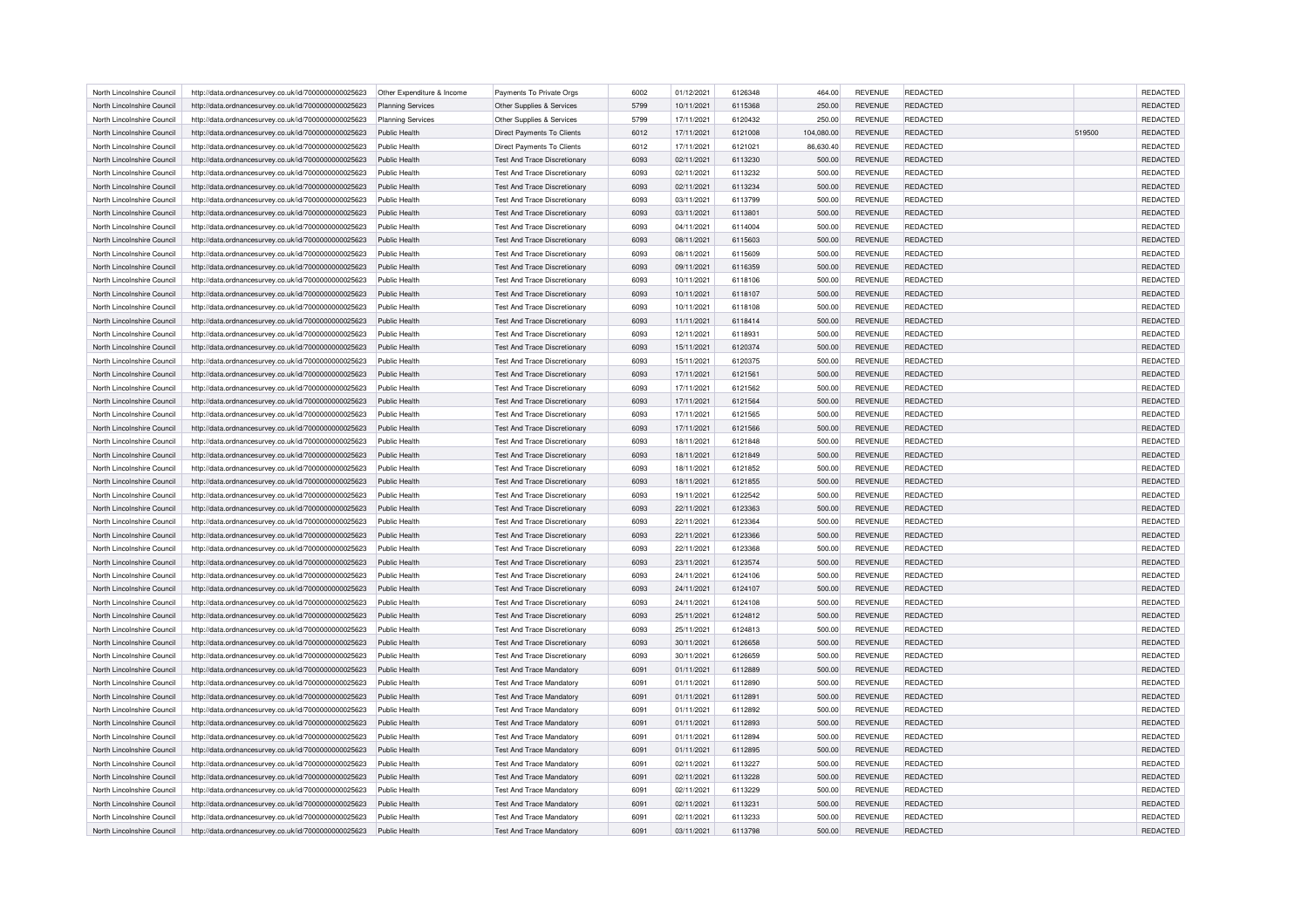| North Lincolnshire Council                               | http://data.ordnancesurvey.co.uk/id/7000000000025623                                                         | Other Expenditure & Income            | Payments To Private Orgs                                           | 6002         | 01/12/2021               | 6126348            | 464.00           | REVENUE                          | <b>REDACTED</b>             |        | <b>REDACTED</b>      |
|----------------------------------------------------------|--------------------------------------------------------------------------------------------------------------|---------------------------------------|--------------------------------------------------------------------|--------------|--------------------------|--------------------|------------------|----------------------------------|-----------------------------|--------|----------------------|
| North Lincolnshire Council                               | http://data.ordnancesurvey.co.uk/id/7000000000025623                                                         | <b>Planning Services</b>              | Other Supplies & Services                                          | 5799         | 10/11/2021               | 6115368            | 250.00           | <b>REVENUE</b>                   | REDACTED                    |        | REDACTED             |
| North Lincolnshire Council                               | http://data.ordnancesurvey.co.uk/id/7000000000025623                                                         | Planning Services                     | Other Supplies & Services                                          | 5799         | 17/11/2021               | 6120432            | 250.00           | <b>REVENUE</b>                   | <b>REDACTED</b>             |        | REDACTED             |
| North Lincolnshire Council                               | http://data.ordnancesurvey.co.uk/id/7000000000025623                                                         | Public Health                         | Direct Payments To Clients                                         | 6012         | 17/11/2021               | 6121008            | 104,080.00       | <b>REVENUE</b>                   | <b>REDACTED</b>             | 519500 | REDACTED             |
| North Lincolnshire Council                               | http://data.ordnancesurvey.co.uk/id/7000000000025623                                                         | Public Health                         | <b>Direct Payments To Clients</b>                                  | 6012         | 17/11/2021               | 6121021            | 86,630.40        | <b>REVENUE</b>                   | REDACTED                    |        | REDACTED             |
| North Lincolnshire Council                               | http://data.ordnancesurvey.co.uk/id/7000000000025623                                                         | Public Health                         | Test And Trace Discretionary                                       | 6093         | 02/11/2021               | 6113230            | 500.00           | <b>REVENUE</b>                   | REDACTED                    |        | REDACTED             |
| North Lincolnshire Council                               | http://data.ordnancesurvey.co.uk/id/7000000000025623                                                         | Public Health                         | <b>Test And Trace Discretionary</b>                                | 6093         | 02/11/2021               | 6113232            | 500.00           | <b>REVENUE</b>                   | REDACTED                    |        | REDACTED             |
| North Lincolnshire Council                               | http://data.ordnancesurvey.co.uk/id/7000000000025623                                                         | Public Health                         | <b>Test And Trace Discretionary</b>                                | 6093         | 02/11/2021               | 6113234            | 500.00           | <b>REVENUE</b>                   | REDACTED                    |        | REDACTED             |
| North Lincolnshire Council                               | http://data.ordnancesurvey.co.uk/id/7000000000025623                                                         | Public Health                         | Test And Trace Discretionary                                       | 6093         | 03/11/2021               | 6113799            | 500.00           | <b>REVENUE</b>                   | REDACTED                    |        | REDACTED             |
| North Lincolnshire Council                               | http://data.ordnancesurvey.co.uk/id/7000000000025623                                                         | Public Health                         | <b>Test And Trace Discretionary</b>                                | 6093         | 03/11/2021               | 6113801            | 500.00           | <b>REVENUE</b>                   | <b>REDACTED</b>             |        | REDACTED             |
| North Lincolnshire Council                               | http://data.ordnancesurvey.co.uk/id/7000000000025623                                                         | Public Health                         | <b>Test And Trace Discretionary</b>                                | 6093         | 04/11/2021               | 6114004            | 500.00           | <b>REVENUE</b>                   | REDACTED                    |        | <b>REDACTED</b>      |
| North Lincolnshire Council                               | http://data.ordnancesurvey.co.uk/id/7000000000025623                                                         | Public Health                         | Test And Trace Discretionary                                       | 6093         | 08/11/2021               | 6115603            | 500.00           | <b>REVENUE</b>                   | REDACTED                    |        | REDACTED             |
| North Lincolnshire Council                               |                                                                                                              | Public Health                         | <b>Test And Trace Discretionary</b>                                | 6093         | 08/11/2021               | 6115609            | 500.00           | <b>REVENUE</b>                   | REDACTED                    |        | REDACTED             |
| North Lincolnshire Council                               | http://data.ordnancesurvey.co.uk/id/7000000000025623<br>http://data.ordnancesurvey.co.uk/id/7000000000025623 | Public Health                         | <b>Test And Trace Discretionary</b>                                | 6093         | 09/11/2021               | 6116359            | 500.00           | <b>REVENUE</b>                   | REDACTED                    |        | REDACTED             |
|                                                          |                                                                                                              |                                       |                                                                    |              |                          |                    |                  |                                  |                             |        |                      |
| North Lincolnshire Council                               | http://data.ordnancesurvey.co.uk/id/7000000000025623                                                         | Public Health                         | <b>Test And Trace Discretionary</b>                                | 6093         | 10/11/2021               | 6118106            | 500.00           | <b>REVENUE</b>                   | REDACTED                    |        | <b>REDACTED</b>      |
| North Lincolnshire Council                               | http://data.ordnancesurvey.co.uk/id/7000000000025623                                                         | Public Health                         | <b>Test And Trace Discretionary</b>                                | 6093         | 10/11/2021               | 6118107            | 500.00           | <b>REVENUE</b>                   | <b>REDACTED</b>             |        | REDACTED             |
| North Lincolnshire Council                               | http://data.ordnancesurvey.co.uk/id/7000000000025623                                                         | Public Health                         | <b>Test And Trace Discretionary</b>                                | 6093         | 10/11/2021               | 6118108            | 500.00           | REVENUE                          | <b>REDACTED</b>             |        | REDACTED             |
| North Lincolnshire Council                               | http://data.ordnancesurvey.co.uk/id/7000000000025623                                                         | Public Health                         | <b>Test And Trace Discretionary</b>                                | 6093         | 11/11/2021               | 6118414            | 500.00           | <b>REVENUE</b>                   | REDACTED                    |        | REDACTED             |
| North Lincolnshire Council                               | http://data.ordnancesurvey.co.uk/id/7000000000025623                                                         | Public Health                         | <b>Test And Trace Discretionary</b>                                | 6093         | 12/11/2021               | 6118931            | 500.00           | REVENUE                          | REDACTED                    |        | REDACTED             |
| North Lincolnshire Council                               | http://data.ordnancesurvey.co.uk/id/7000000000025623                                                         | Public Health                         | <b>Test And Trace Discretionary</b>                                | 6093         | 15/11/2021               | 6120374            | 500.00           | <b>REVENUE</b>                   | REDACTED                    |        | REDACTED             |
| North Lincolnshire Council                               | http://data.ordnancesurvey.co.uk/id/7000000000025623                                                         | Public Health                         | <b>Test And Trace Discretionary</b>                                | 6093         | 15/11/2021               | 6120375            | 500.00           | <b>REVENUE</b>                   | REDACTED                    |        | REDACTED             |
| North Lincolnshire Council                               | http://data.ordnancesurvey.co.uk/id/7000000000025623                                                         | Public Health                         | <b>Test And Trace Discretionary</b>                                | 6093         | 17/11/2021               | 6121561            | 500.00           | <b>REVENUE</b>                   | <b>REDACTED</b>             |        | REDACTED             |
| North Lincolnshire Council                               | http://data.ordnancesurvey.co.uk/id/7000000000025623                                                         | <b>Public Health</b>                  | <b>Test And Trace Discretionary</b>                                | 6093         | 17/11/2021               | 6121562            | 500.00           | <b>REVENUE</b>                   | REDACTED                    |        | REDACTED             |
| North Lincolnshire Council                               | http://data.ordnancesurvey.co.uk/id/7000000000025623                                                         | Public Health                         | <b>Test And Trace Discretionary</b>                                | 6093         | 17/11/2021               | 6121564            | 500.00           | <b>REVENUE</b>                   | <b>REDACTED</b>             |        | REDACTED             |
| North Lincolnshire Council                               | http://data.ordnancesurvey.co.uk/id/7000000000025623                                                         | Public Health                         | <b>Test And Trace Discretionary</b>                                | 6093         | 17/11/2021               | 6121565            | 500.00           | REVENUE                          | REDACTED                    |        | REDACTED             |
| North Lincolnshire Council                               | http://data.ordnancesurvey.co.uk/id/7000000000025623                                                         | Public Health                         | <b>Test And Trace Discretionary</b>                                | 6093         | 17/11/2021               | 6121566            | 500.00           | <b>REVENUE</b>                   | REDACTED                    |        | REDACTED             |
| North Lincolnshire Council                               | http://data.ordnancesurvey.co.uk/id/7000000000025623                                                         | Public Health                         | <b>Test And Trace Discretionary</b>                                | 6093         | 18/11/2021               | 6121848            | 500.00           | <b>REVENUE</b>                   | <b>REDACTED</b>             |        | REDACTED             |
| North Lincolnshire Council                               | http://data.ordnancesurvey.co.uk/id/7000000000025623                                                         | Public Health                         | <b>Test And Trace Discretionary</b>                                | 6093         | 18/11/2021               | 6121849            | 500.00           | <b>REVENUE</b>                   | <b>REDACTED</b>             |        | REDACTED             |
| North Lincolnshire Council                               | http://data.ordnancesurvey.co.uk/id/7000000000025623                                                         | Public Health                         | <b>Test And Trace Discretionary</b>                                | 6093         | 18/11/2021               | 6121852            | 500.00           | <b>REVENUE</b>                   | REDACTED                    |        | REDACTED             |
| North Lincolnshire Council                               | http://data.ordnancesurvey.co.uk/id/7000000000025623                                                         | Public Health                         | Test And Trace Discretionary                                       | 6093         | 18/11/2021               | 6121855            | 500.00           | <b>REVENUE</b>                   | REDACTED                    |        | REDACTED             |
| North Lincolnshire Council                               | http://data.ordnancesurvey.co.uk/id/7000000000025623                                                         | Public Health                         | <b>Test And Trace Discretionary</b>                                | 6093         | 19/11/2021               | 6122542            | 500.00           | <b>REVENUE</b>                   | REDACTED                    |        | REDACTED             |
| North Lincolnshire Council                               | http://data.ordnancesurvey.co.uk/id/7000000000025623                                                         | Public Health                         | <b>Test And Trace Discretionary</b>                                | 6093         | 22/11/2021               | 6123363            | 500.00           | <b>REVENUE</b>                   | REDACTED                    |        | REDACTED             |
| North Lincolnshire Council                               | http://data.ordnancesurvey.co.uk/id/7000000000025623                                                         | Public Health                         | Test And Trace Discretionary                                       | 6093         | 22/11/2021               | 6123364            | 500.00           | <b>REVENUE</b>                   | REDACTED                    |        | REDACTED             |
| North Lincolnshire Council                               | http://data.ordnancesurvey.co.uk/id/7000000000025623                                                         | Public Health                         | <b>Test And Trace Discretionary</b>                                | 6093         | 22/11/2021               | 6123366            | 500.00           | <b>REVENUE</b>                   | <b>REDACTED</b>             |        | REDACTED             |
| North Lincolnshire Council                               | http://data.ordnancesurvey.co.uk/id/7000000000025623                                                         | Public Health                         | <b>Test And Trace Discretionary</b>                                | 6093         | 22/11/2021               | 6123368            | 500.00           | <b>REVENUE</b>                   | REDACTED                    |        | <b>REDACTED</b>      |
| North Lincolnshire Council                               | http://data.ordnancesurvey.co.uk/id/7000000000025623                                                         | Public Health                         | Test And Trace Discretionary                                       | 6093         | 23/11/2021               | 6123574            | 500.00           | <b>REVENUE</b>                   | REDACTED                    |        | REDACTED             |
| North Lincolnshire Council                               | http://data.ordnancesurvey.co.uk/id/7000000000025623                                                         | Public Health                         | <b>Test And Trace Discretionary</b>                                | 6093         | 24/11/2021               | 6124106            | 500.00           | REVENUE                          | <b>REDACTED</b>             |        | REDACTED             |
| North Lincolnshire Council                               | http://data.ordnancesurvey.co.uk/id/7000000000025623                                                         | Public Health                         | <b>Test And Trace Discretionary</b>                                | 6093         | 24/11/2021               | 6124107            | 500.00           | <b>REVENUE</b>                   | REDACTED                    |        | REDACTED             |
| North Lincolnshire Council                               | http://data.ordnancesurvey.co.uk/id/7000000000025623                                                         | Public Health                         | <b>Test And Trace Discretionary</b>                                | 6093         | 24/11/2021               | 6124108            | 500.00           | <b>REVENUE</b>                   | <b>REDACTED</b>             |        | REDACTED             |
| North Lincolnshire Council                               | http://data.ordnancesurvey.co.uk/id/7000000000025623                                                         | Public Health                         | <b>Test And Trace Discretionary</b>                                | 6093         | 25/11/2021               | 6124812            | 500.00           | <b>REVENUE</b>                   | REDACTED                    |        | REDACTED             |
| North Lincolnshire Council                               | http://data.ordnancesurvey.co.uk/id/7000000000025623                                                         | Public Health                         | <b>Test And Trace Discretionary</b>                                | 6093         | 25/11/2021               | 6124813            | 500.00           | <b>REVENUE</b>                   | REDACTED                    |        | <b>REDACTED</b>      |
| North Lincolnshire Council                               | http://data.ordnancesurvey.co.uk/id/7000000000025623                                                         | Public Health                         | <b>Test And Trace Discretionary</b>                                | 6093         | 30/11/2021               | 6126658            | 500.00           | <b>REVENUE</b>                   | <b>REDACTED</b>             |        | REDACTED             |
| North Lincolnshire Council                               | http://data.ordnancesurvey.co.uk/id/7000000000025623                                                         | Public Health                         | <b>Test And Trace Discretionary</b>                                | 6093         | 30/11/2021               | 6126659            | 500.00           | REVENUE                          | REDACTED                    |        | REDACTED             |
| North Lincolnshire Council                               | http://data.ordnancesurvey.co.uk/id/7000000000025623                                                         | Public Health                         | <b>Test And Trace Mandatory</b>                                    | 6091         | 01/11/2021               | 6112889            | 500.00           | <b>REVENUE</b>                   | <b>REDACTED</b>             |        | REDACTED             |
| North Lincolnshire Council                               | http://data.ordnancesurvey.co.uk/id/7000000000025623                                                         | Public Health                         | <b>Test And Trace Mandatory</b>                                    | 6091         | 01/11/2021               | 6112890            | 500.00           | <b>REVENUE</b>                   | REDACTED                    |        | REDACTED             |
| North Lincolnshire Council                               | http://data.ordnancesurvey.co.uk/id/7000000000025623                                                         | Public Health                         | <b>Test And Trace Mandatory</b>                                    | 6091         | 01/11/2021               | 6112891            | 500.00           | <b>REVENUE</b>                   | <b>REDACTED</b>             |        | REDACTED             |
|                                                          |                                                                                                              |                                       |                                                                    |              |                          |                    |                  |                                  |                             |        |                      |
| North Lincolnshire Council<br>North Lincolnshire Council | http://data.ordnancesurvey.co.uk/id/7000000000025623<br>http://data.ordnancesurvey.co.uk/id/7000000000025623 | <b>Public Health</b><br>Public Health | <b>Test And Trace Mandatory</b><br><b>Test And Trace Mandatory</b> | 6091<br>6091 | 01/11/2021<br>01/11/2021 | 6112892<br>6112893 | 500.00<br>500.00 | <b>REVENUE</b><br><b>REVENUE</b> | REDACTED<br><b>REDACTED</b> |        | REDACTED<br>REDACTED |
|                                                          |                                                                                                              |                                       |                                                                    |              |                          |                    |                  |                                  |                             |        |                      |
| North Lincolnshire Council                               | http://data.ordnancesurvey.co.uk/id/7000000000025623                                                         | Public Health                         | <b>Test And Trace Mandatory</b>                                    | 6091         | 01/11/2021               | 6112894            | 500.00           | REVENUE                          | REDACTED                    |        | REDACTED             |
| North Lincolnshire Council                               | http://data.ordnancesurvey.co.uk/id/7000000000025623                                                         | Public Health                         | <b>Test And Trace Mandatory</b>                                    | 6091         | 01/11/2021               | 6112895            | 500.00           | <b>REVENUE</b>                   | <b>REDACTED</b>             |        | REDACTED             |
| North Lincolnshire Council                               | http://data.ordnancesurvey.co.uk/id/7000000000025623                                                         | Public Health                         | <b>Test And Trace Mandatory</b>                                    | 6091         | 02/11/2021               | 6113227            | 500.00           | <b>REVENUE</b>                   | <b>REDACTED</b>             |        | REDACTED             |
| North Lincolnshire Council                               | http://data.ordnancesurvey.co.uk/id/7000000000025623                                                         | Public Health                         | <b>Test And Trace Mandatory</b>                                    | 6091         | 02/11/2021               | 6113228            | 500.00           | <b>REVENUE</b>                   | <b>REDACTED</b>             |        | REDACTED             |
| North Lincolnshire Council                               | http://data.ordnancesurvey.co.uk/id/7000000000025623                                                         | Public Health                         | <b>Test And Trace Mandatory</b>                                    | 6091         | 02/11/2021               | 6113229            | 500.00           | <b>REVENUE</b>                   | REDACTED                    |        | REDACTED             |
| North Lincolnshire Council                               | http://data.ordnancesurvey.co.uk/id/7000000000025623                                                         | Public Health                         | <b>Test And Trace Mandatory</b>                                    | 6091         | 02/11/2021               | 6113231            | 500.00           | <b>REVENUE</b>                   | <b>REDACTED</b>             |        | REDACTED             |
| North Lincolnshire Council                               | http://data.ordnancesurvey.co.uk/id/7000000000025623                                                         | Public Health                         | <b>Test And Trace Mandatory</b>                                    | 6091         | 02/11/2021               | 6113233            | 500.00           | <b>REVENUE</b>                   | <b>REDACTED</b>             |        | REDACTED             |
| North Lincolnshire Council                               | http://data.ordnancesurvey.co.uk/id/7000000000025623                                                         | Public Health                         | <b>Test And Trace Mandatory</b>                                    | 6091         | 03/11/2021               | 6113798            | 500.00           | <b>REVENUE</b>                   | <b>REDACTED</b>             |        | REDACTED             |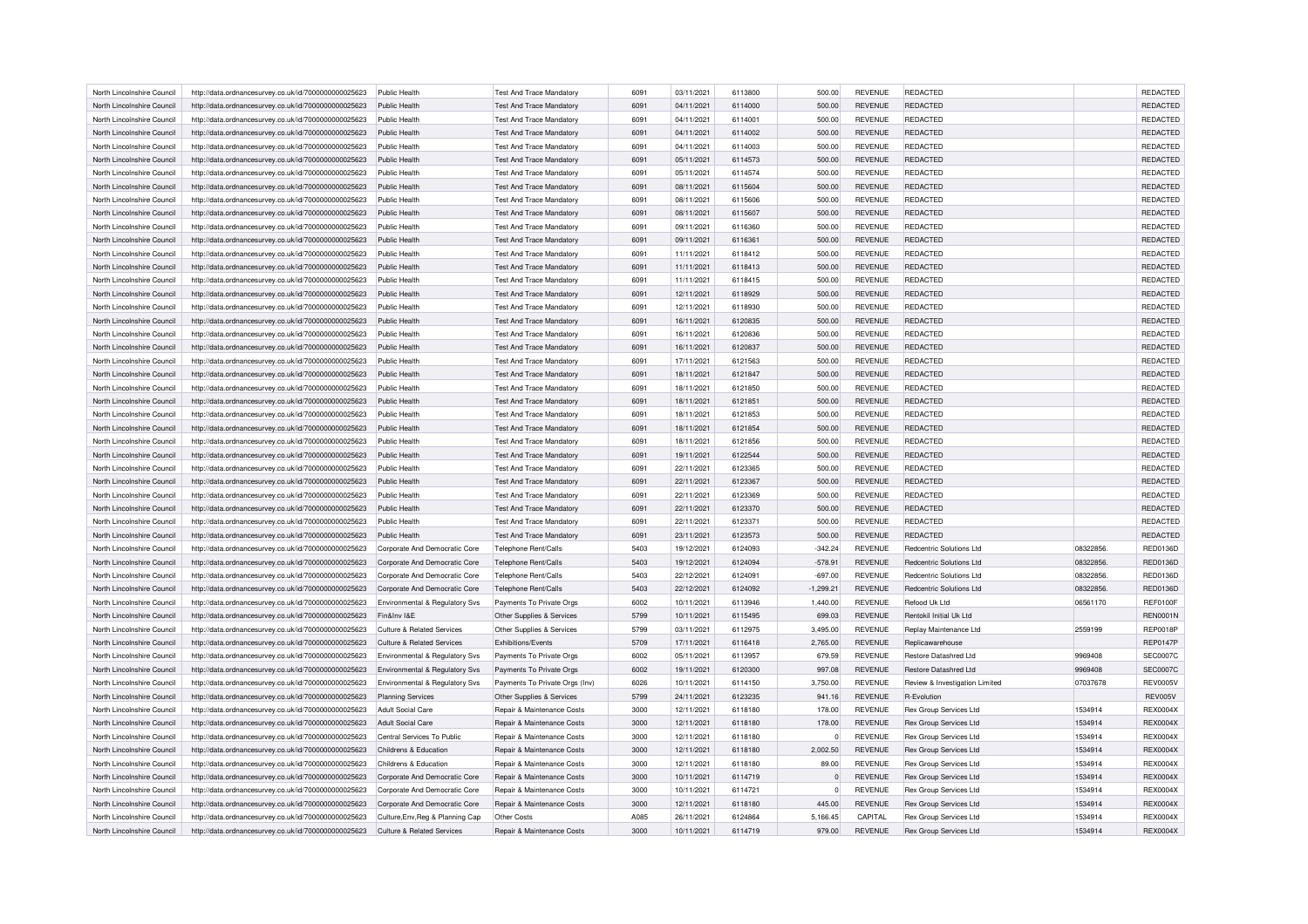| North Lincolnshire Council | http://data.ordnancesurvey.co.uk/id/7000000000025623 | Public Health                    | <b>Test And Trace Mandatory</b>       | 6091 | 03/11/2021 | 6113800 | 500.00      | <b>REVENUE</b> | <b>REDACTED</b>                |           | REDACTED        |
|----------------------------|------------------------------------------------------|----------------------------------|---------------------------------------|------|------------|---------|-------------|----------------|--------------------------------|-----------|-----------------|
| North Lincolnshire Council | http://data.ordnancesurvey.co.uk/id/7000000000025623 | Public Health                    | <b>Test And Trace Mandatory</b>       | 6091 | 04/11/2021 | 6114000 | 500.00      | REVENUE        | <b>REDACTED</b>                |           | REDACTED        |
| North Lincolnshire Council | http://data.ordnancesurvey.co.uk/id/7000000000025623 | Public Health                    | <b>Test And Trace Mandatory</b>       | 6091 | 04/11/2021 | 6114001 | 500.00      | <b>REVENUE</b> | REDACTED                       |           | <b>REDACTED</b> |
| North Lincolnshire Council | http://data.ordnancesurvey.co.uk/id/7000000000025623 | Public Health                    | <b>Test And Trace Mandatory</b>       | 6091 | 04/11/2021 | 6114002 | 500.00      | <b>REVENUE</b> | <b>REDACTED</b>                |           | REDACTED        |
| North Lincolnshire Council | http://data.ordnancesurvey.co.uk/id/7000000000025623 | Public Health                    | <b>Test And Trace Mandatory</b>       | 6091 | 04/11/2021 | 6114003 | 500.00      | <b>REVENUE</b> | REDACTED                       |           | REDACTED        |
| North Lincolnshire Council | http://data.ordnancesurvey.co.uk/id/7000000000025623 | Public Health                    | <b>Test And Trace Mandatory</b>       | 6091 | 05/11/2021 | 6114573 | 500.00      | <b>REVENUE</b> | REDACTED                       |           | REDACTED        |
| North Lincolnshire Council | http://data.ordnancesurvey.co.uk/id/7000000000025623 | Public Health                    | <b>Test And Trace Mandatory</b>       | 6091 | 05/11/2021 | 6114574 | 500.00      | <b>REVENUE</b> | REDACTED                       |           | REDACTED        |
| North Lincolnshire Council | http://data.ordnancesurvey.co.uk/id/7000000000025623 | Public Health                    | <b>Test And Trace Mandatory</b>       | 6091 | 08/11/2021 | 6115604 | 500.00      | REVENUE        | <b>REDACTED</b>                |           | REDACTED        |
| North Lincolnshire Council | http://data.ordnancesurvey.co.uk/id/7000000000025623 | Public Health                    | <b>Test And Trace Mandatory</b>       | 6091 | 08/11/2021 | 6115606 | 500.00      | <b>REVENUE</b> | REDACTED                       |           | REDACTED        |
| North Lincolnshire Council | http://data.ordnancesurvey.co.uk/id/7000000000025623 | Public Health                    | <b>Test And Trace Mandatory</b>       | 6091 | 08/11/2021 | 6115607 | 500.00      | <b>REVENUE</b> | <b>REDACTED</b>                |           | REDACTED        |
| North Lincolnshire Council | http://data.ordnancesurvey.co.uk/id/7000000000025623 | Public Health                    | <b>Test And Trace Mandatory</b>       | 6091 | 09/11/2021 | 6116360 | 500.00      | <b>REVENUE</b> | <b>REDACTED</b>                |           | REDACTED        |
| North Lincolnshire Council | http://data.ordnancesurvey.co.uk/id/7000000000025623 | Public Health                    | Test And Trace Mandatory              | 6091 | 09/11/2021 | 6116361 | 500.00      | <b>REVENUE</b> | <b>REDACTED</b>                |           | REDACTED        |
| North Lincolnshire Council | http://data.ordnancesurvey.co.uk/id/7000000000025623 | Public Health                    | <b>Test And Trace Mandatory</b>       | 6091 | 11/11/2021 | 6118412 | 500.00      | <b>REVENUE</b> | <b>REDACTED</b>                |           | REDACTED        |
| North Lincolnshire Council | http://data.ordnancesurvey.co.uk/id/7000000000025623 | Public Health                    | <b>Test And Trace Mandatory</b>       | 6091 | 11/11/2021 | 6118413 | 500.00      | <b>REVENUE</b> | REDACTED                       |           | REDACTED        |
| North Lincolnshire Council | http://data.ordnancesurvey.co.uk/id/7000000000025623 | Public Health                    | <b>Test And Trace Mandatory</b>       | 6091 | 11/11/2021 | 6118415 | 500.00      | <b>REVENUE</b> | <b>REDACTED</b>                |           | REDACTED        |
| North Lincolnshire Council | http://data.ordnancesurvey.co.uk/id/7000000000025623 | Public Health                    | <b>Test And Trace Mandatory</b>       | 6091 | 12/11/2021 | 6118929 | 500.00      | <b>REVENUE</b> | <b>REDACTED</b>                |           | REDACTED        |
| North Lincolnshire Council | http://data.ordnancesurvey.co.uk/id/7000000000025623 | Public Health                    | <b>Test And Trace Mandatory</b>       | 6091 | 12/11/2021 | 6118930 | 500.00      | REVENUE        | REDACTED                       |           | REDACTED        |
| North Lincolnshire Council | http://data.ordnancesurvey.co.uk/id/7000000000025623 | Public Health                    | <b>Test And Trace Mandatory</b>       | 6091 | 16/11/2021 | 6120835 | 500.00      | <b>REVENUE</b> | <b>REDACTED</b>                |           | REDACTED        |
| North Lincolnshire Council | http://data.ordnancesurvey.co.uk/id/7000000000025623 | Public Health                    | <b>Test And Trace Mandatory</b>       | 6091 | 16/11/2021 | 6120836 | 500.00      | REVENUE        | REDACTED                       |           | REDACTED        |
| North Lincolnshire Council | http://data.ordnancesurvey.co.uk/id/7000000000025623 | Public Health                    | <b>Test And Trace Mandatory</b>       | 6091 | 16/11/2021 | 6120837 | 500.00      | <b>REVENUE</b> | <b>REDACTED</b>                |           | REDACTED        |
| North Lincolnshire Council | http://data.ordnancesurvey.co.uk/id/7000000000025623 | Public Health                    | <b>Test And Trace Mandatory</b>       | 6091 | 17/11/2021 | 6121563 | 500.00      | <b>REVENUE</b> | <b>REDACTED</b>                |           | REDACTED        |
| North Lincolnshire Council | http://data.ordnancesurvey.co.uk/id/7000000000025623 | Public Health                    | <b>Test And Trace Mandatory</b>       | 6091 | 18/11/2021 | 6121847 | 500.00      | REVENUE        | <b>REDACTED</b>                |           | REDACTED        |
| North Lincolnshire Council | http://data.ordnancesurvey.co.uk/id/7000000000025623 | Public Health                    | <b>Test And Trace Mandatory</b>       | 6091 | 18/11/2021 | 6121850 | 500.00      | <b>REVENUE</b> | <b>REDACTED</b>                |           | REDACTED        |
| North Lincolnshire Council | http://data.ordnancesurvey.co.uk/id/7000000000025623 | Public Health                    | <b>Test And Trace Mandatory</b>       | 6091 | 18/11/2021 | 6121851 | 500.00      | <b>REVENUE</b> | <b>REDACTED</b>                |           | REDACTED        |
| North Lincolnshire Council | http://data.ordnancesurvey.co.uk/id/7000000000025623 | Public Health                    | <b>Test And Trace Mandatory</b>       | 6091 | 18/11/2021 | 6121853 | 500.00      | <b>REVENUE</b> | <b>REDACTED</b>                |           | REDACTED        |
| North Lincolnshire Council | http://data.ordnancesurvey.co.uk/id/7000000000025623 | Public Health                    | <b>Test And Trace Mandatory</b>       | 6091 | 18/11/2021 | 6121854 | 500.00      | <b>REVENUE</b> | <b>REDACTED</b>                |           | REDACTED        |
| North Lincolnshire Council | http://data.ordnancesurvey.co.uk/id/7000000000025623 | Public Health                    | <b>Test And Trace Mandatory</b>       | 6091 | 18/11/2021 | 6121856 | 500.00      | <b>REVENUE</b> | <b>REDACTED</b>                |           | REDACTED        |
| North Lincolnshire Council | http://data.ordnancesurvey.co.uk/id/7000000000025623 | Public Health                    | <b>Test And Trace Mandatory</b>       | 6091 | 19/11/2021 | 6122544 | 500.00      | <b>REVENUE</b> | <b>REDACTED</b>                |           | REDACTED        |
| North Lincolnshire Council | http://data.ordnancesurvey.co.uk/id/7000000000025623 | Public Health                    | <b>Test And Trace Mandatory</b>       | 6091 | 22/11/2021 | 6123365 | 500.00      | <b>REVENUE</b> | <b>REDACTED</b>                |           | REDACTED        |
| North Lincolnshire Council | http://data.ordnancesurvey.co.uk/id/7000000000025623 | Public Health                    | <b>Test And Trace Mandatory</b>       | 6091 | 22/11/2021 | 6123367 | 500.00      | <b>REVENUE</b> | <b>REDACTED</b>                |           | REDACTED        |
| North Lincolnshire Council | http://data.ordnancesurvey.co.uk/id/7000000000025623 | Public Health                    | <b>Test And Trace Mandatory</b>       | 6091 | 22/11/2021 | 6123369 | 500.00      | REVENUE        | <b>REDACTED</b>                |           | REDACTED        |
| North Lincolnshire Council | http://data.ordnancesurvey.co.uk/id/7000000000025623 | Public Health                    | <b>Test And Trace Mandatory</b>       | 6091 | 22/11/2021 | 6123370 | 500.00      | <b>REVENUE</b> | <b>REDACTED</b>                |           | REDACTED        |
| North Lincolnshire Council | http://data.ordnancesurvey.co.uk/id/7000000000025623 | Public Health                    | <b>Test And Trace Mandatory</b>       | 6091 | 22/11/2021 | 6123371 | 500.00      | <b>REVENUE</b> | <b>REDACTED</b>                |           | REDACTED        |
| North Lincolnshire Council | http://data.ordnancesurvey.co.uk/id/7000000000025623 | Public Health                    | <b>Test And Trace Mandatory</b>       | 6091 | 23/11/2021 | 6123573 | 500.00      | REVENUE        | <b>REDACTED</b>                |           | REDACTED        |
| North Lincolnshire Council | http://data.ordnancesurvey.co.uk/id/7000000000025623 | Corporate And Democratic Core    | Telephone Rent/Calls                  | 5403 | 19/12/2021 | 6124093 | $-342.24$   | <b>REVENUE</b> | Redcentric Solutions Ltd       | 08322856. | <b>RED0136D</b> |
| North Lincolnshire Council | http://data.ordnancesurvey.co.uk/id/7000000000025623 | Corporate And Democratic Core    | Telephone Rent/Calls                  | 5403 | 19/12/2021 | 6124094 | $-578.91$   | <b>REVENUE</b> | Redcentric Solutions Ltd       | 08322856  | <b>RED0136D</b> |
| North Lincolnshire Council | http://data.ordnancesurvey.co.uk/id/7000000000025623 | Corporate And Democratic Core    | Telephone Rent/Calls                  | 5403 | 22/12/2021 | 6124091 | $-697.00$   | REVENUE        | Redcentric Solutions Ltd       | 08322856  | RED0136D        |
| North Lincolnshire Council | http://data.ordnancesurvey.co.uk/id/7000000000025623 | Corporate And Democratic Core    | Telephone Rent/Calls                  | 5403 | 22/12/2021 | 6124092 | $-1,299.21$ | <b>REVENUE</b> | Redcentric Solutions Ltd       | 08322856  | <b>RED0136D</b> |
| North Lincolnshire Council | http://data.ordnancesurvey.co.uk/id/7000000000025623 | Environmental & Regulatory Svs   | Payments To Private Orgs              | 6002 | 10/11/2021 | 6113946 | 1,440.00    | <b>REVENUE</b> | Refood Uk Ltd                  | 06561170  | <b>REF0100F</b> |
| North Lincolnshire Council | http://data.ordnancesurvey.co.uk/id/7000000000025623 | Fin&Inv I&E                      | Other Supplies & Services             | 5799 | 10/11/2021 | 6115495 | 699.03      | <b>REVENUE</b> | Rentokil Initial Uk Ltd        |           | <b>REN0001N</b> |
| North Lincolnshire Council | http://data.ordnancesurvey.co.uk/id/7000000000025623 | Culture & Related Services       | Other Supplies & Services             | 5799 | 03/11/2021 | 6112975 | 3,495.00    | <b>REVENUE</b> | Replay Maintenance Ltd         | 2559199   | <b>REP0018P</b> |
| North Lincolnshire Council | http://data.ordnancesurvey.co.uk/id/7000000000025623 | Culture & Related Services       | Exhibitions/Events                    | 5709 | 17/11/2021 | 6116418 | 2,765.00    | <b>REVENUE</b> | Replicawarehouse               |           | <b>REP0147P</b> |
| North Lincolnshire Council | http://data.ordnancesurvey.co.uk/id/7000000000025623 | Environmental & Regulatory Svs   | Payments To Private Orgs              | 6002 | 05/11/2021 | 6113957 | 679.59      | REVENUE        | Restore Datashred Ltd          | 9969408   | <b>SEC0007C</b> |
| North Lincolnshire Council | http://data.ordnancesurvey.co.uk/id/7000000000025623 | Environmental & Regulatory Svs   | Payments To Private Orgs              | 6002 | 19/11/2021 | 6120300 | 997.08      | <b>REVENUE</b> | Restore Datashred Ltd          | 9969408   | <b>SEC0007C</b> |
| North Lincolnshire Council | http://data.ordnancesurvey.co.uk/id/7000000000025623 | Environmental & Regulatory Svs   | Payments To Private Orgs (Inv)        | 6026 | 10/11/2021 | 6114150 | 3,750.00    | <b>REVENUE</b> | Review & Investigation Limited | 07037678  | <b>REV0005V</b> |
| North Lincolnshire Council | http://data.ordnancesurvey.co.uk/id/7000000000025623 | <b>Planning Services</b>         | Other Supplies & Services             | 5799 | 24/11/2021 | 6123235 | 941.16      | <b>REVENUE</b> | R-Fyolution                    |           | REV005V         |
| North Lincolnshire Council | http://data.ordnancesurvey.co.uk/id/7000000000025623 | Adult Social Care                | Repair & Maintenance Costs            | 3000 | 12/11/2021 | 6118180 | 178.00      | <b>REVENUE</b> | Rex Group Services Ltd         | 1534914   | <b>REX0004X</b> |
| North Lincolnshire Council | http://data.ordnancesurvey.co.uk/id/7000000000025623 | Adult Social Care                | Repair & Maintenance Costs            | 3000 | 12/11/2021 | 6118180 | 178.00      | <b>REVENUE</b> | Rex Group Services Ltd         | 1534914   | <b>REX0004X</b> |
| North Lincolnshire Council | http://data.ordnancesurvey.co.uk/id/7000000000025623 | Central Services To Public       | Repair & Maintenance Costs            | 3000 | 12/11/2021 | 6118180 | $\Omega$    | REVENUE        | Rex Group Services Ltd         | 1534914   | <b>REX0004X</b> |
| North Lincolnshire Council | http://data.ordnancesurvey.co.uk/id/7000000000025623 | Childrens & Education            | <b>Benair &amp; Maintenance Costs</b> | 3000 | 12/11/2021 | 6118180 | 2.002.50    | <b>REVENUE</b> | <b>Rex Group Services Ltd</b>  | 1534914   | <b>REX0004X</b> |
| North Lincolnshire Council | http://data.ordnancesurvey.co.uk/id/7000000000025623 | Childrens & Education            | Repair & Maintenance Costs            | 3000 | 12/11/2021 | 6118180 | 89.00       | <b>REVENUE</b> | Rex Group Services Ltd         | 1534914   | <b>REX0004X</b> |
| North Lincolnshire Council | http://data.ordnancesurvey.co.uk/id/7000000000025623 | Corporate And Democratic Core    | Repair & Maintenance Costs            | 3000 | 10/11/2021 | 6114719 | $\Omega$    | REVENUE        | Rex Group Services Ltd         | 1534914   | <b>REX0004X</b> |
| North Lincolnshire Council | http://data.ordnancesurvey.co.uk/id/7000000000025623 | Corporate And Democratic Core    | <b>Benair &amp; Maintenance Costs</b> | 3000 | 10/11/2021 | 6114721 | $\Omega$    | <b>REVENUE</b> | <b>Rex Group Services Ltd</b>  | 1534914   | <b>REX0004X</b> |
| North Lincolnshire Council | http://data.ordnancesurvey.co.uk/id/7000000000025623 | Corporate And Democratic Core    | Repair & Maintenance Costs            | 3000 | 12/11/2021 | 6118180 | 445.00      | <b>REVENUE</b> | Rex Group Services Ltd         | 1534914   | <b>REX0004X</b> |
| North Lincolnshire Council | http://data.ordnancesurvey.co.uk/id/7000000000025623 | Culture, Env, Reg & Planning Cap | Other Costs                           | A085 | 26/11/2021 | 6124864 | 5.166.45    | CAPITAL        | Rex Group Services Ltd         | 1534914   | <b>REX0004X</b> |
| North Lincolnshire Council | http://data.ordnancesurvey.co.uk/id/7000000000025623 | Culture & Related Services       | Repair & Maintenance Costs            | 3000 | 10/11/2021 | 6114719 | 979.00      | <b>REVENUE</b> | <b>Rex Group Services Ltd</b>  | 1534914   | <b>REX0004X</b> |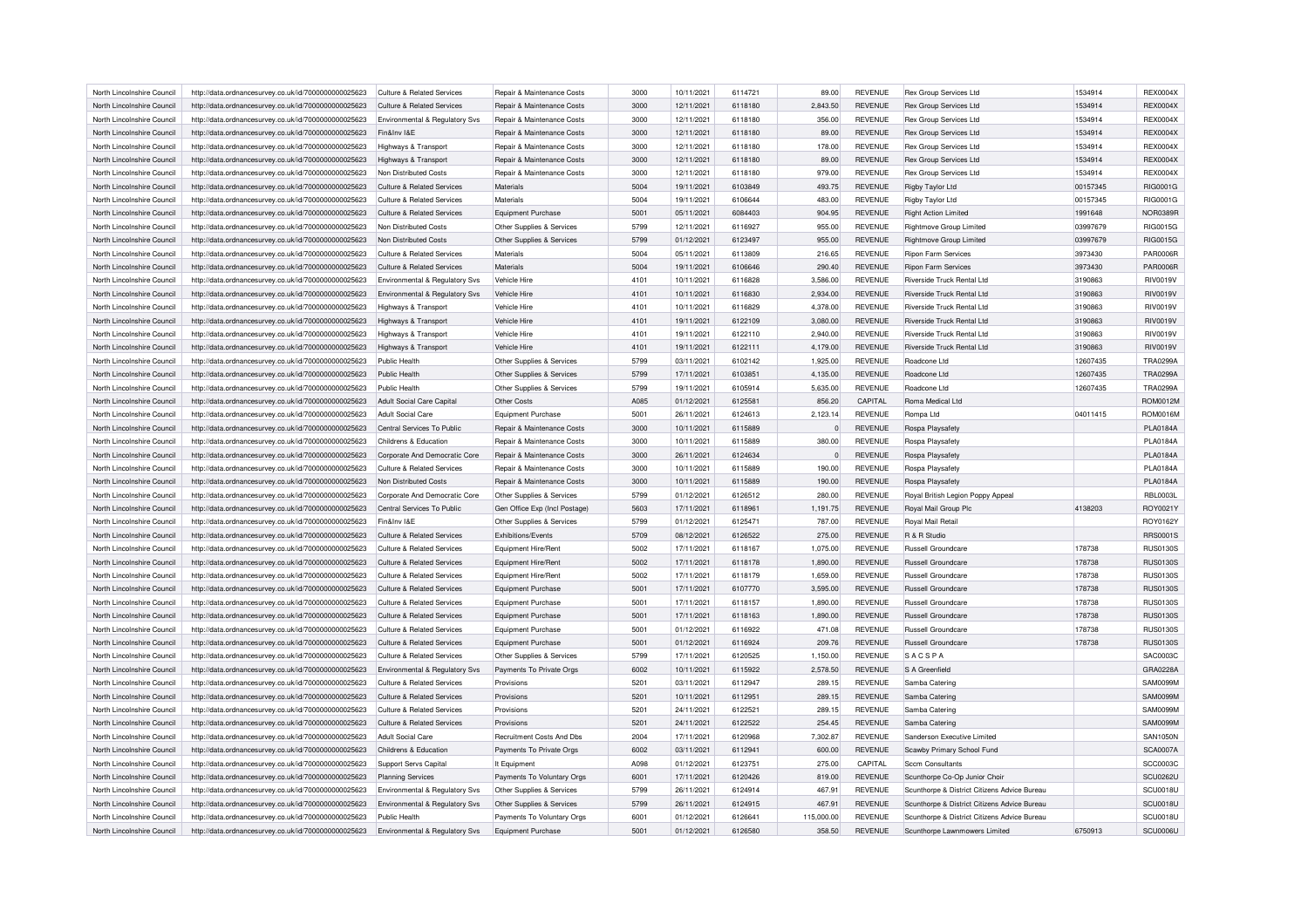| North Lincolnshire Council                               | http://data.ordnancesurvey.co.uk/id/7000000000025623 | Culture & Related Services                | Repair & Maintenance Costs    | 3000 | 10/11/2021 | 6114721 | 89.00              | REVENUE        | Rex Group Services Ltd                       | 1534914  | <b>REX0004X</b> |
|----------------------------------------------------------|------------------------------------------------------|-------------------------------------------|-------------------------------|------|------------|---------|--------------------|----------------|----------------------------------------------|----------|-----------------|
| North Lincolnshire Council                               | http://data.ordnancesurvey.co.uk/id/7000000000025623 | <b>Culture &amp; Related Services</b>     | Repair & Maintenance Costs    | 3000 | 12/11/2021 | 6118180 | 2,843.50           | <b>REVENUE</b> | Rex Group Services Ltd                       | 1534914  | <b>REX0004X</b> |
| North Lincolnshire Council                               | http://data.ordnancesurvey.co.uk/id/7000000000025623 | Environmental & Regulatory Sys            | Repair & Maintenance Costs    | 3000 | 12/11/2021 | 6118180 | 356.00             | <b>REVENUE</b> | <b>Rex Group Services Ltd</b>                | 1534914  | <b>REX0004X</b> |
| North Lincolnshire Council                               | http://data.ordnancesurvey.co.uk/id/7000000000025623 | Fin&Inv I&E                               | Repair & Maintenance Costs    | 3000 | 12/11/2021 | 6118180 | 89.00              | <b>REVENUE</b> | Rex Group Services Ltd                       | 1534914  | <b>REX0004X</b> |
| North Lincolnshire Council                               | http://data.ordnancesurvey.co.uk/id/7000000000025623 | Highways & Transport                      | Repair & Maintenance Costs    | 3000 | 12/11/2021 | 6118180 | 178.00             | <b>REVENUE</b> | Rex Group Services Ltd                       | 1534914  | <b>REX0004X</b> |
| North Lincolnshire Council                               | http://data.ordnancesurvey.co.uk/id/7000000000025623 | Highways & Transport                      | Repair & Maintenance Costs    | 3000 | 12/11/2021 | 6118180 | 89.00              | <b>REVENUE</b> | <b>Rex Group Services Ltd</b>                | 1534914  | <b>REX0004X</b> |
| North Lincolnshire Council                               | http://data.ordnancesurvey.co.uk/id/7000000000025623 | Non Distributed Costs                     | Repair & Maintenance Costs    | 3000 | 12/11/2021 | 6118180 | 979.00             | <b>REVENUE</b> | Rex Group Services Ltd                       | 1534914  | <b>REX0004X</b> |
| North Lincolnshire Council                               | http://data.ordnancesurvey.co.uk/id/7000000000025623 | <b>Culture &amp; Related Services</b>     | Materials                     | 5004 | 19/11/2021 | 6103849 | 493.75             | <b>REVENUE</b> | Rigby Taylor Ltd                             | 00157345 | RIG0001G        |
| North Lincolnshire Council                               | http://data.ordnancesurvey.co.uk/id/7000000000025623 | <b>Culture &amp; Related Services</b>     | Materials                     | 5004 | 19/11/2021 | 6106644 | 483.00             | <b>REVENUE</b> | Rigby Taylor Ltd                             | 00157345 | RIG0001G        |
| North Lincolnshire Council                               | http://data.ordnancesurvey.co.uk/id/7000000000025623 | Culture & Related Services                | Equipment Purchase            | 5001 | 05/11/2021 | 6084403 | 904.95             | <b>REVENUE</b> | <b>Right Action Limited</b>                  | 1991648  | <b>NOR0389F</b> |
| North Lincolnshire Council                               | http://data.ordnancesurvey.co.uk/id/7000000000025623 | Non Distributed Costs                     | Other Supplies & Services     | 5799 | 12/11/2021 | 6116927 | 955.00             | <b>REVENUE</b> | <b>Rightmove Group Limited</b>               | 03997679 | RIG0015G        |
| North Lincolnshire Council                               | http://data.ordnancesurvey.co.uk/id/7000000000025623 | Non Distributed Costs                     | Other Supplies & Services     | 5799 | 01/12/2021 | 6123497 | 955.00             | <b>REVENUE</b> | <b>Rightmove Group Limited</b>               | 03997679 | <b>RIG0015G</b> |
| North Lincolnshire Council                               |                                                      | <b>Culture &amp; Related Services</b>     | Materials                     | 5004 | 05/11/2021 | 6113809 |                    | <b>REVENUE</b> |                                              |          | <b>PAR0006F</b> |
|                                                          | http://data.ordnancesurvey.co.uk/id/7000000000025623 |                                           |                               |      |            |         | 216.65             |                | Ripon Farm Services                          | 3973430  |                 |
| North Lincolnshire Council                               | http://data.ordnancesurvey.co.uk/id/7000000000025623 | <b>Culture &amp; Related Services</b>     | Materials                     | 5004 | 19/11/2021 | 6106646 | 290.40             | <b>REVENUE</b> | <b>Ripon Farm Services</b>                   | 3973430  | <b>PAR0006F</b> |
| North Lincolnshire Council                               | http://data.ordnancesurvey.co.uk/id/7000000000025623 | Environmental & Regulatory Svs            | Vehicle Hire                  | 4101 | 10/11/2021 | 6116828 | 3,586.00           | <b>REVENUE</b> | Riverside Truck Rental Ltd                   | 3190863  | <b>RIV0019V</b> |
| North Lincolnshire Council                               | http://data.ordnancesurvey.co.uk/id/7000000000025623 | <b>Environmental &amp; Regulatory Svs</b> | Vehicle Hire                  | 4101 | 10/11/2021 | 6116830 | 2,934.00           | <b>REVENUE</b> | Riverside Truck Rental Ltd                   | 3190863  | <b>RIV0019V</b> |
| North Lincolnshire Council                               | http://data.ordnancesurvey.co.uk/id/7000000000025623 | Highways & Transport                      | Vehicle Hire                  | 4101 | 10/11/2021 | 6116829 | 4,378.00           | <b>REVENUE</b> | Riverside Truck Rental Ltd                   | 3190863  | <b>RIV0019V</b> |
| North Lincolnshire Council                               | http://data.ordnancesurvey.co.uk/id/7000000000025623 | Highways & Transport                      | Vehicle Hire                  | 4101 | 19/11/2021 | 6122109 | 3,080.00           | <b>REVENUE</b> | Riverside Truck Rental Ltd                   | 3190863  | <b>RIV0019V</b> |
| North Lincolnshire Council                               | http://data.ordnancesurvey.co.uk/id/7000000000025623 | Highways & Transport                      | Vehicle Hire                  | 4101 | 19/11/2021 | 6122110 | 2,940.00           | <b>REVENUE</b> | Riverside Truck Rental Ltd                   | 3190863  | <b>RIV0019V</b> |
| North Lincolnshire Council                               | http://data.ordnancesurvey.co.uk/id/7000000000025623 | Highways & Transport                      | Vehicle Hire                  | 4101 | 19/11/2021 | 6122111 | 4,179.00           | <b>REVENUE</b> | Riverside Truck Rental Ltd                   | 3190863  | <b>RIV0019V</b> |
| North Lincolnshire Council                               | http://data.ordnancesurvey.co.uk/id/7000000000025623 | Public Health                             | Other Supplies & Services     | 5799 | 03/11/2021 | 6102142 | 1,925.00           | <b>REVENUE</b> | Roadcone Ltd                                 | 12607435 | <b>TRA0299A</b> |
| North Lincolnshire Council                               | http://data.ordnancesurvey.co.uk/id/7000000000025623 | Public Health                             | Other Supplies & Services     | 5799 | 17/11/2021 | 6103851 | 4,135.00           | <b>REVENUE</b> | Roadcone Ltd                                 | 12607435 | <b>TRA0299A</b> |
| North Lincolnshire Council                               | http://data.ordnancesurvey.co.uk/id/7000000000025623 | Public Health                             | Other Supplies & Services     | 5799 | 19/11/2021 | 6105914 | 5,635.00           | <b>REVENUE</b> | Roadcone Ltd                                 | 12607435 | <b>TRA0299A</b> |
| North Lincolnshire Council                               | http://data.ordnancesurvey.co.uk/id/7000000000025623 | Adult Social Care Capital                 | Other Costs                   | A085 | 01/12/2021 | 6125581 | 856.20             | CAPITAL        | Roma Medical Ltd                             |          | ROM0012M        |
| North Lincolnshire Council                               | http://data.ordnancesurvey.co.uk/id/7000000000025623 | <b>Adult Social Care</b>                  | <b>Equipment Purchase</b>     | 5001 | 26/11/2021 | 6124613 | 2,123.14           | <b>REVENUE</b> | Rompa Ltd                                    | 04011415 | ROM0016M        |
| North Lincolnshire Council                               | http://data.ordnancesurvey.co.uk/id/7000000000025623 | Central Services To Public                | Repair & Maintenance Costs    | 3000 | 10/11/2021 | 6115889 | $\mathbf 0$        | <b>REVENUE</b> | Rospa Playsafety                             |          | <b>PLA0184A</b> |
| North Lincolnshire Council                               | http://data.ordnancesurvey.co.uk/id/7000000000025623 | Childrens & Education                     | Repair & Maintenance Costs    | 3000 | 10/11/2021 | 6115889 | 380.00             | <b>REVENUE</b> | Rospa Playsafety                             |          | <b>PLA0184A</b> |
| North Lincolnshire Council                               | http://data.ordnancesurvey.co.uk/id/7000000000025623 | Corporate And Democratic Core             | Repair & Maintenance Costs    | 3000 | 26/11/2021 | 6124634 | $\mathbf 0$        | <b>REVENUE</b> | Rospa Playsafety                             |          | <b>PLA0184A</b> |
| North Lincolnshire Council                               | http://data.ordnancesurvey.co.uk/id/7000000000025623 | <b>Culture &amp; Related Services</b>     | Repair & Maintenance Costs    | 3000 | 10/11/2021 | 6115889 | 190.00             | <b>REVENUE</b> | Rospa Playsafety                             |          | <b>PLA0184A</b> |
| North Lincolnshire Council                               | http://data.ordnancesurvey.co.uk/id/7000000000025623 | Non Distributed Costs                     | Repair & Maintenance Costs    | 3000 | 10/11/2021 | 6115889 | 190.00             | <b>REVENUE</b> | Rospa Playsafety                             |          | <b>PLA0184A</b> |
| North Lincolnshire Council                               | http://data.ordnancesurvey.co.uk/id/7000000000025623 | Corporate And Democratic Core             | Other Supplies & Services     | 5799 | 01/12/2021 | 6126512 | 280.00             | <b>REVENUE</b> | Royal British Legion Poppy Appeal            |          | <b>RBL0003L</b> |
| North Lincolnshire Council                               | http://data.ordnancesurvey.co.uk/id/7000000000025623 | Central Services To Public                | Gen Office Exp (Incl Postage) | 5603 | 17/11/2021 | 6118961 | 1,191.75           | <b>REVENUE</b> | Royal Mail Group Plc                         | 4138203  | ROY0021Y        |
| North Lincolnshire Council                               | http://data.ordnancesurvey.co.uk/id/7000000000025623 | Fin&Inv I&E                               | Other Supplies & Services     | 5799 | 01/12/2021 | 6125471 | 787.00             | <b>REVENUE</b> | Royal Mail Retail                            |          | ROY0162Y        |
| North Lincolnshire Council                               | http://data.ordnancesurvey.co.uk/id/7000000000025623 | <b>Culture &amp; Related Services</b>     | Exhibitions/Events            | 5709 | 08/12/2021 | 6126522 | 275.00             | <b>REVENUE</b> | R & R Studio                                 |          | RRS0001S        |
| North Lincolnshire Council                               | http://data.ordnancesurvey.co.uk/id/7000000000025623 | <b>Culture &amp; Related Services</b>     | Equipment Hire/Rent           | 5002 | 17/11/2021 | 6118167 | 1,075.00           | <b>REVENUE</b> | <b>Russell Groundcare</b>                    | 178738   | <b>RUS0130S</b> |
| North Lincolnshire Council                               | http://data.ordnancesurvey.co.uk/id/7000000000025623 | Culture & Related Services                | Equipment Hire/Rent           | 5002 | 17/11/2021 | 6118178 | 1,890.00           | <b>REVENUE</b> | <b>Russell Groundcare</b>                    | 178738   | <b>RUS0130S</b> |
| North Lincolnshire Council                               | http://data.ordnancesurvey.co.uk/id/7000000000025623 | <b>Culture &amp; Related Services</b>     | Equipment Hire/Rent           | 5002 | 17/11/2021 | 6118179 | 1,659.00           | <b>REVENUE</b> | <b>Russell Groundcare</b>                    | 178738   | RUS0130S        |
| North Lincolnshire Council                               | http://data.ordnancesurvey.co.uk/id/7000000000025623 | <b>Culture &amp; Related Services</b>     | <b>Equipment Purchase</b>     | 5001 | 17/11/2021 | 6107770 | 3,595.00           | <b>REVENUE</b> | Russell Groundcare                           | 178738   | <b>RUS0130S</b> |
| North Lincolnshire Council                               | http://data.ordnancesurvey.co.uk/id/7000000000025623 | Culture & Related Services                | <b>Equipment Purchase</b>     | 5001 | 17/11/2021 | 6118157 | 1,890.00           | <b>REVENUE</b> | <b>Russell Groundcare</b>                    | 178738   | <b>RUS0130S</b> |
| North Lincolnshire Council                               | http://data.ordnancesurvey.co.uk/id/7000000000025623 | <b>Culture &amp; Related Services</b>     | <b>Equipment Purchase</b>     | 5001 | 17/11/2021 | 6118163 | 1,890.00           | <b>REVENUE</b> | <b>Russell Groundcare</b>                    | 178738   | <b>RUS0130S</b> |
| North Lincolnshire Council                               | http://data.ordnancesurvey.co.uk/id/7000000000025623 | <b>Culture &amp; Related Services</b>     | Equipment Purchase            | 5001 | 01/12/2021 | 6116922 | 471.08             | <b>REVENUE</b> | <b>Russell Groundcare</b>                    | 178738   | <b>RUS0130S</b> |
| North Lincolnshire Council                               |                                                      |                                           |                               | 5001 | 01/12/2021 | 6116924 |                    | <b>REVENUE</b> | <b>Russell Groundcare</b>                    | 178738   | <b>RUS0130S</b> |
|                                                          | http://data.ordnancesurvey.co.uk/id/7000000000025623 | Culture & Related Services                | Equipment Purchase            | 5799 | 17/11/2021 | 6120525 | 209.76<br>1,150.00 | <b>REVENUE</b> | <b>SACSPA</b>                                |          | SAC0003C        |
| North Lincolnshire Council<br>North Lincolnshire Council | http://data.ordnancesurvey.co.uk/id/7000000000025623 | <b>Culture &amp; Related Services</b>     | Other Supplies & Services     | 6002 |            | 6115922 |                    | <b>REVENUE</b> | S A Greenfield                               |          |                 |
|                                                          | http://data.ordnancesurvey.co.uk/id/7000000000025623 | Environmental & Regulatory Svs            | Payments To Private Orgs      |      | 10/11/2021 |         | 2,578.50           |                |                                              |          | GRA0228A        |
| North Lincolnshire Council                               | http://data.ordnancesurvey.co.uk/id/7000000000025623 | Culture & Related Services                | Provisions                    | 5201 | 03/11/2021 | 6112947 | 289.15             | <b>REVENUE</b> | Samba Catering                               |          | SAM0099N        |
| North Lincolnshire Council                               | http://data.ordnancesurvey.co.uk/id/7000000000025623 | Culture & Related Services                | Provisions                    | 5201 | 10/11/2021 | 6112951 | 289.15             | <b>REVENUE</b> | Samba Catering                               |          | SAM0099M        |
| North Lincolnshire Council                               | http://data.ordnancesurvey.co.uk/id/7000000000025623 | Culture & Related Services                | Provisions                    | 5201 | 24/11/2021 | 6122521 | 289.15             | <b>REVENUE</b> | Samba Catering                               |          | SAM0099M        |
| North Lincolnshire Council                               | http://data.ordnancesurvey.co.uk/id/7000000000025623 | Culture & Related Services                | Provisions                    | 5201 | 24/11/2021 | 6122522 | 254.45             | <b>REVENUE</b> | Samba Catering                               |          | SAM0099N        |
| North Lincolnshire Council                               | http://data.ordnancesurvey.co.uk/id/7000000000025623 | <b>Adult Social Care</b>                  | Recruitment Costs And Dbs     | 2004 | 17/11/2021 | 6120968 | 7,302.87           | <b>REVENUE</b> | Sanderson Executive Limited                  |          | <b>SAN1050N</b> |
| North Lincolnshire Council                               | http://data.ordnancesurvey.co.uk/id/7000000000025623 | Childrens & Education                     | Payments To Private Orgs      | 6002 | 03/11/2021 | 6112941 | 600.00             | <b>REVENUE</b> | Scawby Primary School Fund                   |          | <b>SCA0007A</b> |
| North Lincolnshire Council                               | http://data.ordnancesurvey.co.uk/id/7000000000025623 | Support Servs Capital                     | It Equipment                  | A098 | 01/12/2021 | 6123751 | 275.00             | CAPITAL        | <b>Sccm Consultants</b>                      |          | SCC0003C        |
| North Lincolnshire Council                               | http://data.ordnancesurvey.co.uk/id/7000000000025623 | <b>Planning Services</b>                  | Payments To Voluntary Orgs    | 6001 | 17/11/2021 | 6120426 | 819.00             | <b>REVENUE</b> | Scunthorpe Co-Op Junior Choir                |          | SCU0262L        |
| North Lincolnshire Council                               | http://data.ordnancesurvey.co.uk/id/7000000000025623 | Environmental & Regulatory Svs            | Other Supplies & Services     | 5799 | 26/11/2021 | 6124914 | 467.91             | <b>REVENUE</b> | Scunthorpe & District Citizens Advice Bureau |          | <b>SCU0018U</b> |
| North Lincolnshire Council                               | http://data.ordnancesurvey.co.uk/id/7000000000025623 | Environmental & Regulatory Svs            | Other Supplies & Services     | 5799 | 26/11/2021 | 6124915 | 467.91             | <b>REVENUE</b> | Scunthorpe & District Citizens Advice Bureau |          | <b>SCU0018L</b> |
| North Lincolnshire Council                               | http://data.ordnancesurvey.co.uk/id/7000000000025623 | Public Health                             | Payments To Voluntary Orgs    | 6001 | 01/12/2021 | 6126641 | 115,000.00         | <b>REVENUE</b> | Scunthorpe & District Citizens Advice Bureau |          | SCU0018L        |
| North Lincolnshire Council                               | http://data.ordnancesurvey.co.uk/id/7000000000025623 | Environmental & Regulatory Svs            | Equipment Purchase            | 5001 | 01/12/2021 | 6126580 | 358.50             | <b>REVENUE</b> | Scunthorpe Lawnmowers Limited                | 6750913  | SCU0006U        |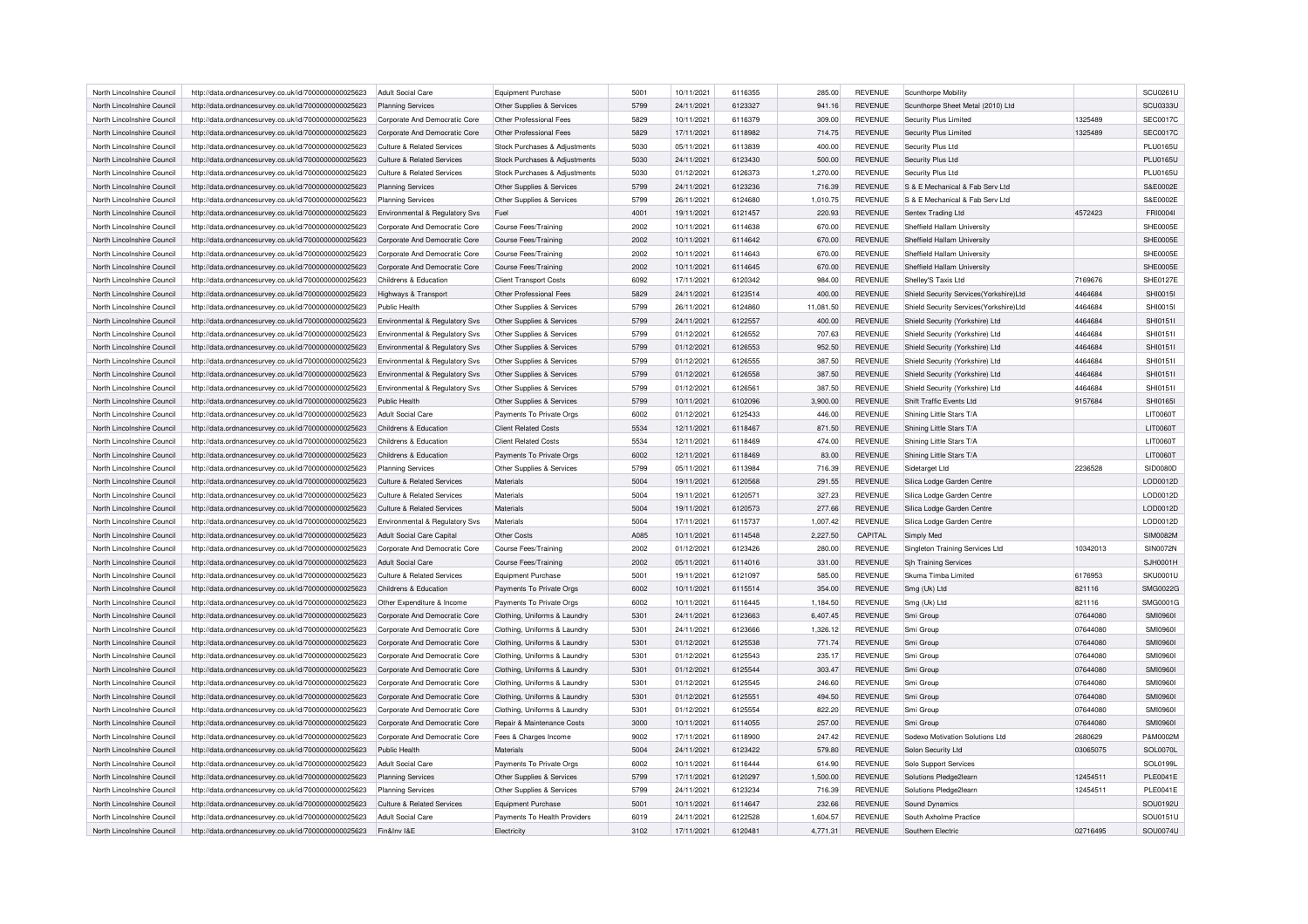| North Lincolnshire Council | http://data.ordnancesurvey.co.uk/id/7000000000025623 | Adult Social Care                     | Equipment Purchase            | 5001 | 10/11/2021 | 6116355 | 285.00    | <b>REVENUE</b> | Scunthorpe Mobility                    |          | SCU0261U        |
|----------------------------|------------------------------------------------------|---------------------------------------|-------------------------------|------|------------|---------|-----------|----------------|----------------------------------------|----------|-----------------|
| North Lincolnshire Council | http://data.ordnancesurvey.co.uk/id/7000000000025623 | <b>Planning Services</b>              | Other Supplies & Services     | 5799 | 24/11/2021 | 6123327 | 941.16    | <b>REVENUE</b> | Scunthorpe Sheet Metal (2010) Ltd      |          | SCU0333U        |
| North Lincolnshire Council | http://data.ordnancesurvey.co.uk/id/7000000000025623 | Corporate And Democratic Core         | Other Professional Fees       | 5829 | 10/11/2021 | 6116379 | 309.00    | <b>REVENUE</b> | Security Plus Limited                  | 1325489  | <b>SEC0017C</b> |
| North Lincolnshire Council | http://data.ordnancesurvey.co.uk/id/7000000000025623 | Corporate And Democratic Core         | Other Professional Fees       | 5829 | 17/11/2021 | 6118982 | 714.75    | <b>REVENUE</b> | <b>Security Plus Limited</b>           | 1325489  | <b>SEC0017C</b> |
| North Lincolnshire Council | http://data.ordnancesurvey.co.uk/id/7000000000025623 | <b>Culture &amp; Related Services</b> | Stock Purchases & Adjustments | 5030 | 05/11/2021 | 6113839 | 400.00    | <b>REVENUE</b> | Security Plus Ltd                      |          | <b>PLU0165U</b> |
| North Lincolnshire Council | http://data.ordnancesurvey.co.uk/id/7000000000025623 | <b>Culture &amp; Related Services</b> | Stock Purchases & Adjustments | 5030 | 24/11/2021 | 6123430 | 500.00    | <b>REVENUE</b> | Security Plus Ltd                      |          | <b>PLU0165U</b> |
| North Lincolnshire Council | http://data.ordnancesurvey.co.uk/id/7000000000025623 | <b>Culture &amp; Related Services</b> | Stock Purchases & Adjustments | 5030 | 01/12/2021 | 6126373 | 1,270.00  | <b>REVENUE</b> | Security Plus Ltd                      |          | <b>PLU0165U</b> |
| North Lincolnshire Council | http://data.ordnancesurvey.co.uk/id/7000000000025623 | <b>Planning Services</b>              | Other Supplies & Services     | 5799 | 24/11/2021 | 6123236 | 716.39    | REVENUE        | S & E Mechanical & Fab Serv Ltd        |          | S&E0002E        |
| North Lincolnshire Council | http://data.ordnancesurvey.co.uk/id/7000000000025623 | <b>Planning Services</b>              | Other Supplies & Services     | 5799 | 26/11/2021 | 6124680 | 1,010.75  | <b>REVENUE</b> | S & E Mechanical & Fab Serv Ltd        |          | S&E0002E        |
| North Lincolnshire Council | http://data.ordnancesurvey.co.uk/id/7000000000025623 | Environmental & Regulatory Svs        | Fuel                          | 4001 | 19/11/2021 | 6121457 | 220.93    | <b>REVENUE</b> | Sentex Trading Ltd                     | 4572423  | FRI0004I        |
| North Lincolnshire Council | http://data.ordnancesurvey.co.uk/id/7000000000025623 | Corporate And Democratic Core         | Course Fees/Training          | 2002 | 10/11/2021 | 6114638 | 670.00    | REVENUE        | Sheffield Hallam University            |          | SHE0005E        |
| North Lincolnshire Council | http://data.ordnancesurvey.co.uk/id/7000000000025623 | Corporate And Democratic Core         | <b>Course Fees/Training</b>   | 2002 | 10/11/2021 | 6114642 | 670.00    | <b>REVENUE</b> | Sheffield Hallam University            |          | SHE0005E        |
|                            |                                                      |                                       |                               |      |            |         |           |                |                                        |          | SHE0005E        |
| North Lincolnshire Council | http://data.ordnancesurvey.co.uk/id/7000000000025623 | Corporate And Democratic Core         | <b>Course Fees/Training</b>   | 2002 | 10/11/2021 | 6114643 | 670.00    | <b>REVENUE</b> | Sheffield Hallam University            |          |                 |
| North Lincolnshire Council | http://data.ordnancesurvey.co.uk/id/7000000000025623 | Corporate And Democratic Core         | <b>Course Fees/Training</b>   | 2002 | 10/11/2021 | 6114645 | 670.00    | <b>REVENUE</b> | Sheffield Hallam University            |          | SHE0005E        |
| North Lincolnshire Council | http://data.ordnancesurvey.co.uk/id/7000000000025623 | Childrens & Education                 | <b>Client Transport Costs</b> | 6092 | 17/11/2021 | 6120342 | 984.00    | <b>REVENUE</b> | Shelley'S Taxis Ltd                    | 7169676  | <b>SHE0127E</b> |
| North Lincolnshire Council | http://data.ordnancesurvey.co.uk/id/7000000000025623 | <b>Highways &amp; Transport</b>       | Other Professional Fees       | 5829 | 24/11/2021 | 6123514 | 400.00    | <b>REVENUE</b> | Shield Security Services(Yorkshire)Ltd | 4464684  | SHI0015I        |
| North Lincolnshire Council | http://data.ordnancesurvey.co.uk/id/7000000000025623 | Public Health                         | Other Supplies & Services     | 5799 | 26/11/2021 | 6124860 | 11,081.50 | <b>REVENUE</b> | Shield Security Services(Yorkshire)Ltd | 4464684  | SHI0015I        |
| North Lincolnshire Council | http://data.ordnancesurvey.co.uk/id/7000000000025623 | Environmental & Regulatory Svs        | Other Supplies & Services     | 5799 | 24/11/2021 | 6122557 | 400.00    | <b>REVENUE</b> | Shield Security (Yorkshire) Ltd        | 4464684  | SHI01511        |
| North Lincolnshire Council | http://data.ordnancesurvey.co.uk/id/7000000000025623 | Environmental & Regulatory Svs        | Other Supplies & Services     | 5799 | 01/12/2021 | 6126552 | 707.63    | <b>REVENUE</b> | Shield Security (Yorkshire) Ltd        | 4464684  | SHI0151I        |
| North Lincolnshire Council | http://data.ordnancesurvey.co.uk/id/7000000000025623 | Environmental & Regulatory Svs        | Other Supplies & Services     | 5799 | 01/12/2021 | 6126553 | 952.50    | <b>REVENUE</b> | Shield Security (Yorkshire) Ltd        | 4464684  | SHI01511        |
| North Lincolnshire Council | http://data.ordnancesurvey.co.uk/id/7000000000025623 | Environmental & Regulatory Svs        | Other Supplies & Services     | 5799 | 01/12/2021 | 6126555 | 387.50    | <b>REVENUE</b> | Shield Security (Yorkshire) Ltd        | 4464684  | SHI0151I        |
| North Lincolnshire Council | http://data.ordnancesurvey.co.uk/id/7000000000025623 | Environmental & Regulatory Svs        | Other Supplies & Services     | 5799 | 01/12/2021 | 6126558 | 387.50    | <b>REVENUE</b> | Shield Security (Yorkshire) Ltd        | 4464684  | SHI0151I        |
| North Lincolnshire Council | http://data.ordnancesurvey.co.uk/id/7000000000025623 | Environmental & Regulatory Svs        | Other Supplies & Services     | 5799 | 01/12/2021 | 6126561 | 387.50    | REVENUE        | Shield Security (Yorkshire) Ltd        | 4464684  | SHI0151I        |
| North Lincolnshire Council | http://data.ordnancesurvey.co.uk/id/7000000000025623 | Public Health                         | Other Supplies & Services     | 5799 | 10/11/2021 | 6102096 | 3,900.00  | <b>REVENUE</b> | Shift Traffic Events Ltd               | 9157684  | SHI0165I        |
| North Lincolnshire Council | http://data.ordnancesurvey.co.uk/id/7000000000025623 | Adult Social Care                     | Payments To Private Orgs      | 6002 | 01/12/2021 | 6125433 | 446.00    | <b>REVENUE</b> | Shining Little Stars T/A               |          | LIT0060T        |
| North Lincolnshire Council | http://data.ordnancesurvey.co.uk/id/7000000000025623 | Childrens & Education                 | <b>Client Related Costs</b>   | 5534 | 12/11/2021 | 6118467 | 871.50    | REVENUE        | Shining Little Stars T/A               |          | LIT0060T        |
| North Lincolnshire Council | http://data.ordnancesurvey.co.uk/id/7000000000025623 | Childrens & Education                 | <b>Client Related Costs</b>   | 5534 | 12/11/2021 | 6118469 | 474.00    | <b>REVENUE</b> | Shining Little Stars T/A               |          | LIT0060T        |
| North Lincolnshire Council | http://data.ordnancesurvey.co.uk/id/7000000000025623 | Childrens & Education                 | Payments To Private Orgs      | 6002 | 12/11/2021 | 6118469 | 83.00     | <b>REVENUE</b> | Shining Little Stars T/A               |          | <b>LIT0060T</b> |
| North Lincolnshire Council | http://data.ordnancesurvey.co.uk/id/7000000000025623 | <b>Planning Services</b>              | Other Supplies & Services     | 5799 | 05/11/2021 | 6113984 | 716.39    | REVENUE        | Sidetarget Ltd                         | 2236528  | SID0080D        |
| North Lincolnshire Council | http://data.ordnancesurvey.co.uk/id/7000000000025623 | Culture & Related Services            | Materials                     | 5004 | 19/11/2021 | 6120568 | 291.55    | <b>REVENUE</b> | Silica Lodge Garden Centre             |          | LOD0012D        |
| North Lincolnshire Council | http://data.ordnancesurvey.co.uk/id/7000000000025623 | <b>Culture &amp; Related Services</b> | Materials                     | 5004 | 19/11/2021 | 6120571 | 327.23    | <b>REVENUE</b> | Silica Lodge Garden Centre             |          | LOD0012D        |
| North Lincolnshire Council | http://data.ordnancesurvey.co.uk/id/7000000000025623 | Culture & Related Services            | Materials                     | 5004 | 19/11/2021 | 6120573 | 277.66    | REVENUE        | Silica Lodge Garden Centre             |          | LOD0012D        |
| North Lincolnshire Council | http://data.ordnancesurvey.co.uk/id/7000000000025623 | Environmental & Regulatory Svs        | Materials                     | 5004 | 17/11/2021 | 6115737 | 1.007.42  | <b>REVENUE</b> | Silica Lodge Garden Centre             |          | LOD0012D        |
| North Lincolnshire Council | http://data.ordnancesurvey.co.uk/id/7000000000025623 | <b>Adult Social Care Capital</b>      | <b>Other Costs</b>            | A085 | 10/11/2021 | 6114548 | 2,227.50  | CAPITAL        | Simply Med                             |          | <b>SIM0082M</b> |
| North Lincolnshire Council | http://data.ordnancesurvey.co.uk/id/7000000000025623 | Corporate And Democratic Core         | Course Fees/Training          | 2002 | 01/12/2021 | 6123426 | 280.00    | REVENUE        | Singleton Training Services Ltd        | 10342013 | <b>SIN0072N</b> |
| North Lincolnshire Council | http://data.ordnancesurvey.co.uk/id/7000000000025623 | <b>Adult Social Care</b>              | Course Fees/Training          | 2002 | 05/11/2021 | 6114016 | 331.00    | <b>REVENUE</b> | <b>Sih Training Services</b>           |          | SJH0001H        |
| North Lincolnshire Council |                                                      | <b>Culture &amp; Related Services</b> |                               | 5001 | 19/11/2021 | 6121097 | 585.00    | <b>REVENUE</b> | Skuma Timba Limited                    | 6176953  | <b>SKU0001U</b> |
|                            | http://data.ordnancesurvey.co.uk/id/7000000000025623 |                                       | <b>Equipment Purchase</b>     |      |            |         |           |                |                                        |          |                 |
| North Lincolnshire Council | http://data.ordnancesurvey.co.uk/id/7000000000025623 | Childrens & Education                 | Payments To Private Orgs      | 6002 | 10/11/2021 | 6115514 | 354.00    | REVENUE        | Smg (Uk) Ltd                           | 821116   | SMG0022G        |
| North Lincolnshire Council | http://data.ordnancesurvey.co.uk/id/7000000000025623 | Other Expenditure & Income            | Payments To Private Orgs      | 6002 | 10/11/2021 | 6116445 | 1,184.50  | <b>REVENUE</b> | Smg (Uk) Ltd                           | 821116   | SMG0001G        |
| North Lincolnshire Council | http://data.ordnancesurvey.co.uk/id/7000000000025623 | Corporate And Democratic Core         | Clothing, Uniforms & Laundry  | 5301 | 24/11/2021 | 6123663 | 6,407.45  | <b>REVENUE</b> | Smi Group                              | 07644080 | <b>SMI09601</b> |
| North Lincolnshire Council | http://data.ordnancesurvey.co.uk/id/7000000000025623 | Corporate And Democratic Core         | Clothing, Uniforms & Laundry  | 5301 | 24/11/2021 | 6123666 | 1,326.12  | <b>REVENUE</b> | Smi Group                              | 07644080 | <b>SMI09601</b> |
| North Lincolnshire Council | http://data.ordnancesurvey.co.uk/id/7000000000025623 | Corporate And Democratic Core         | Clothing, Uniforms & Laundry  | 5301 | 01/12/2021 | 6125538 | 771.74    | <b>REVENUE</b> | Smi Group                              | 07644080 | <b>SMI09601</b> |
| North Lincolnshire Council | http://data.ordnancesurvey.co.uk/id/7000000000025623 | Corporate And Democratic Core         | Clothing, Uniforms & Laundry  | 5301 | 01/12/2021 | 6125543 | 235.17    | <b>REVENUE</b> | Smi Group                              | 07644080 | <b>SMI09601</b> |
| North Lincolnshire Council | http://data.ordnancesurvey.co.uk/id/7000000000025623 | Corporate And Democratic Core         | Clothing, Uniforms & Laundry  | 5301 | 01/12/2021 | 6125544 | 303.47    | REVENUE        | Smi Group                              | 07644080 | <b>SMI09601</b> |
| North Lincolnshire Council | http://data.ordnancesurvey.co.uk/id/7000000000025623 | Corporate And Democratic Core         | Clothing, Uniforms & Laundry  | 5301 | 01/12/2021 | 6125545 | 246.60    | <b>REVENUE</b> | Smi Group                              | 07644080 | SMI09601        |
| North Lincolnshire Council | http://data.ordnancesurvey.co.uk/id/7000000000025623 | Corporate And Democratic Core         | Clothing, Uniforms & Laundry  | 5301 | 01/12/2021 | 6125551 | 494.50    | <b>REVENUE</b> | Smi Group                              | 07644080 | <b>SMI09601</b> |
| North Lincolnshire Council | http://data.ordnancesurvey.co.uk/id/7000000000025623 | Corporate And Democratic Core         | Clothing, Uniforms & Laundry  | 5301 | 01/12/2021 | 6125554 | 822.20    | <b>REVENUE</b> | Smi Group                              | 07644080 | <b>SMI09601</b> |
| North Lincolnshire Council | http://data.ordnancesurvey.co.uk/id/7000000000025623 | Corporate And Democratic Core         | Repair & Maintenance Costs    | 3000 | 10/11/2021 | 6114055 | 257.00    | <b>REVENUE</b> | Smi Group                              | 07644080 | <b>SMI09601</b> |
| North Lincolnshire Council | http://data.ordnancesurvey.co.uk/id/7000000000025623 | Corporate And Democratic Core         | Fees & Charges Income         | 9002 | 17/11/2021 | 6118900 | 247.42    | <b>REVENUE</b> | Sodexo Motivation Solutions Ltd        | 2680629  | P&M0002N        |
| North Lincolnshire Council | http://data.ordnancesurvey.co.uk/id/7000000000025623 | Public Health                         | Materials                     | 5004 | 24/11/2021 | 6123422 | 579.80    | <b>REVENUE</b> | Solon Security Ltd                     | 03065075 | SOL0070L        |
| North Lincolnshire Council | http://data.ordnancesurvey.co.uk/id/7000000000025623 | <b>Adult Social Care</b>              | Payments To Private Orgs      | 6002 | 10/11/2021 | 6116444 | 614.90    | <b>REVENUE</b> | Solo Support Services                  |          | SOL0199L        |
| North Lincolnshire Council | http://data.ordnancesurvey.co.uk/id/7000000000025623 | <b>Planning Services</b>              | Other Supplies & Services     | 5799 | 17/11/2021 | 6120297 | 1,500.00  | <b>REVENUE</b> | Solutions Pledge2learn                 | 12454511 | <b>PLE0041E</b> |
| North Lincolnshire Council | http://data.ordnancesurvey.co.uk/id/7000000000025623 | <b>Planning Services</b>              | Other Supplies & Services     | 5799 | 24/11/2021 | 6123234 | 716.39    | <b>REVENUE</b> | Solutions Pledge2learn                 | 12454511 | <b>PLE0041E</b> |
| North Lincolnshire Council | http://data.ordnancesurvey.co.uk/id/7000000000025623 | Culture & Related Services            | Equipment Purchase            | 5001 | 10/11/2021 | 6114647 | 232.66    | <b>REVENUE</b> | Sound Dynamics                         |          | SOU0192L        |
| North Lincolnshire Council | http://data.ordnancesurvey.co.uk/id/7000000000025623 | <b>Adult Social Care</b>              | Payments To Health Providers  | 6019 | 24/11/2021 | 6122528 | 1,604.57  | <b>REVENUE</b> | South Axholme Practice                 |          | SOU0151L        |
| North Lincolnshire Council | http://data.ordnancesurvey.co.uk/id/7000000000025623 | Fin&Inv I&E                           | Electricity                   | 3102 | 17/11/2021 | 6120481 | 4,771.31  | <b>REVENUE</b> | Southern Electric                      | 02716495 | SOU0074U        |
|                            |                                                      |                                       |                               |      |            |         |           |                |                                        |          |                 |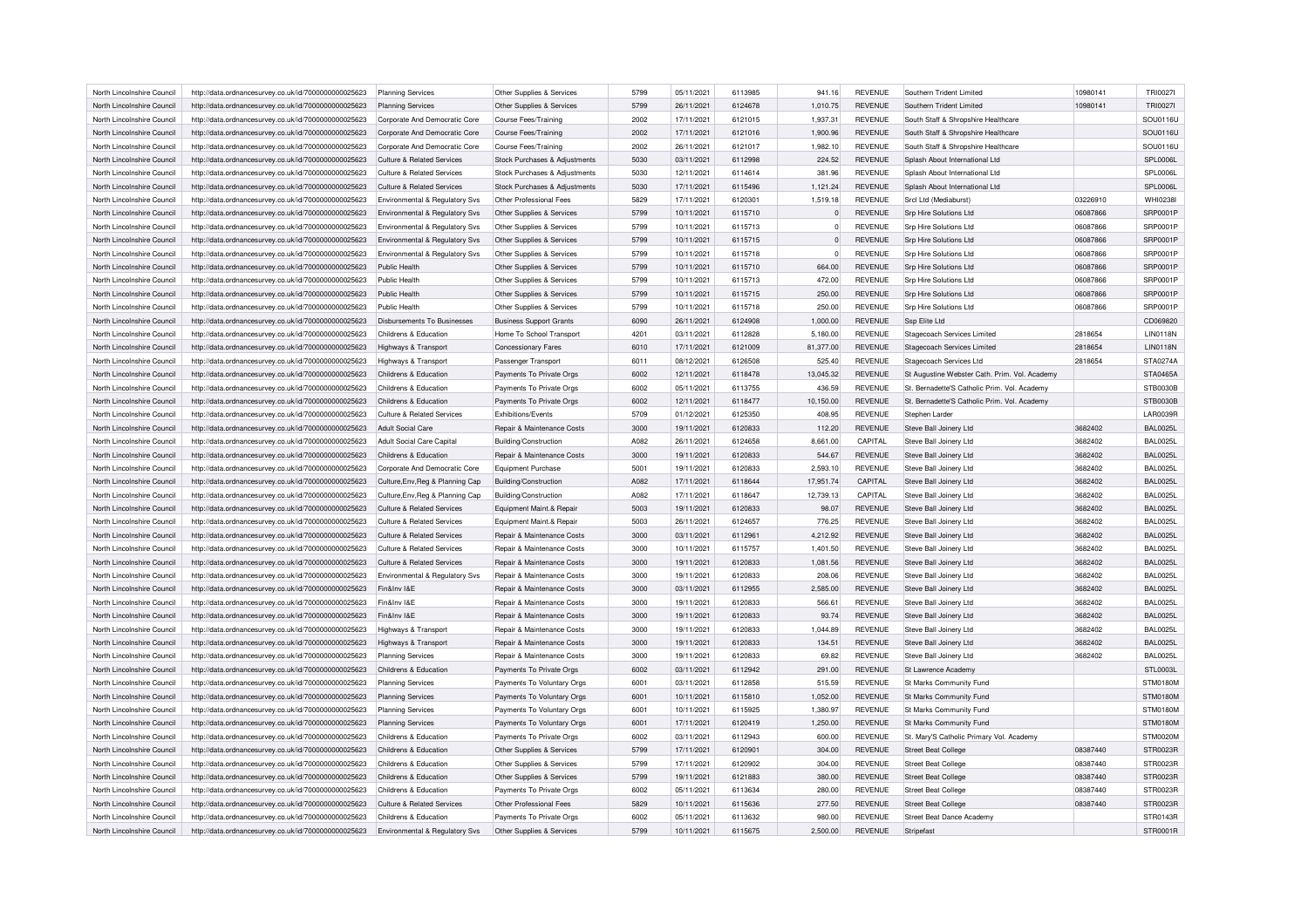| North Lincolnshire Council | http://data.ordnancesurvey.co.uk/id/7000000000025623 | <b>Planning Services</b>                   | Other Supplies & Services      | 5799 | 05/11/2021 | 6113985 | 941.16    | <b>REVENUE</b> | Southern Trident Limited                      | 10980141 | <b>TRI0027I</b> |
|----------------------------|------------------------------------------------------|--------------------------------------------|--------------------------------|------|------------|---------|-----------|----------------|-----------------------------------------------|----------|-----------------|
| North Lincolnshire Council | http://data.ordnancesurvey.co.uk/id/7000000000025623 | <b>Planning Services</b>                   | Other Supplies & Services      | 5799 | 26/11/2021 | 6124678 | 1,010.75  | <b>REVENUE</b> | Southern Trident Limited                      | 10980141 | <b>TRI0027I</b> |
| North Lincolnshire Council | http://data.ordnancesurvey.co.uk/id/7000000000025623 | Corporate And Democratic Core              | Course Fees/Training           | 2002 | 17/11/2021 | 6121015 | 1,937.31  | <b>REVENUE</b> | South Staff & Shropshire Healthcare           |          | SOU0116U        |
| North Lincolnshire Council | http://data.ordnancesurvey.co.uk/id/7000000000025623 | Corporate And Democratic Core              | Course Fees/Training           | 2002 | 17/11/2021 | 6121016 | 1,900.96  | <b>REVENUE</b> | South Staff & Shropshire Healthcare           |          | SOU0116L        |
| North Lincolnshire Council | http://data.ordnancesurvey.co.uk/id/7000000000025623 | Corporate And Democratic Core              | <b>Course Fees/Training</b>    | 2002 | 26/11/2021 | 6121017 | 1,982.10  | <b>REVENUE</b> | South Staff & Shropshire Healthcare           |          | SOU0116L        |
| North Lincolnshire Council | http://data.ordnancesurvey.co.uk/id/7000000000025623 | Culture & Related Services                 | Stock Purchases & Adjustments  | 5030 | 03/11/2021 | 6112998 | 224.52    | <b>REVENUE</b> | Splash About International Ltd                |          | SPL0006L        |
| North Lincolnshire Council | http://data.ordnancesurvey.co.uk/id/7000000000025623 | <b>Culture &amp; Related Services</b>      | Stock Purchases & Adjustments  | 5030 | 12/11/2021 | 6114614 | 381.96    | <b>REVENUE</b> | Splash About International Ltd                |          | SPL0006L        |
| North Lincolnshire Council | http://data.ordnancesurvey.co.uk/id/7000000000025623 | <b>Culture &amp; Related Services</b>      | Stock Purchases & Adjustments  | 5030 | 17/11/2021 | 6115496 | 1,121.24  | <b>REVENUE</b> | Splash About International Ltd                |          | SPL0006L        |
| North Lincolnshire Council | http://data.ordnancesurvey.co.uk/id/7000000000025623 | Environmental & Regulatory Svs             | Other Professional Fees        | 5829 | 17/11/2021 | 6120301 | 1,519.18  | <b>REVENUE</b> | Srcl Ltd (Mediaburst)                         | 03226910 | <b>WHI0238I</b> |
| North Lincolnshire Council | http://data.ordnancesurvey.co.uk/id/7000000000025623 | <b>Environmental &amp; Regulatory Svs</b>  | Other Supplies & Services      | 5799 | 10/11/2021 | 6115710 | $\Omega$  | <b>REVENUE</b> | Srp Hire Solutions Ltd                        | 06087866 | <b>SRP0001F</b> |
| North Lincolnshire Council | http://data.ordnancesurvey.co.uk/id/7000000000025623 | Environmental & Regulatory Svs             | Other Supplies & Services      | 5799 | 10/11/2021 | 6115713 | $\Omega$  | <b>REVENUE</b> | Srp Hire Solutions Ltd                        | 06087866 | <b>SRP0001F</b> |
| North Lincolnshire Council | http://data.ordnancesurvey.co.uk/id/7000000000025623 | Environmental & Regulatory Svs             | Other Supplies & Services      | 5799 | 10/11/2021 | 6115715 | $\Omega$  | <b>REVENUE</b> | Srp Hire Solutions Ltd                        | 06087866 | <b>SRP0001F</b> |
| North Lincolnshire Council | http://data.ordnancesurvey.co.uk/id/7000000000025623 | Environmental & Regulatory Svs             | Other Supplies & Services      | 5799 | 10/11/2021 | 6115718 | $\Omega$  | <b>REVENUE</b> | Srp Hire Solutions Ltd                        | 06087866 | <b>SRP0001F</b> |
|                            |                                                      | Public Health                              |                                | 5799 | 10/11/2021 | 6115710 | 664.00    |                |                                               |          | <b>SRP0001F</b> |
| North Lincolnshire Council | http://data.ordnancesurvey.co.uk/id/7000000000025623 |                                            | Other Supplies & Services      |      |            |         |           | <b>REVENUE</b> | Srp Hire Solutions Ltd                        | 06087866 |                 |
| North Lincolnshire Council | http://data.ordnancesurvey.co.uk/id/7000000000025623 | Public Health                              | Other Supplies & Services      | 5799 | 10/11/2021 | 6115713 | 472.00    | <b>REVENUE</b> | Srp Hire Solutions Ltd                        | 06087866 | <b>SRP0001F</b> |
| North Lincolnshire Council | http://data.ordnancesurvey.co.uk/id/7000000000025623 | Public Health                              | Other Supplies & Services      | 5799 | 10/11/2021 | 6115715 | 250.00    | <b>REVENUE</b> | Srp Hire Solutions Ltd                        | 06087866 | SRP0001F        |
| North Lincolnshire Council | http://data.ordnancesurvey.co.uk/id/7000000000025623 | Public Health                              | Other Supplies & Services      | 5799 | 10/11/2021 | 6115718 | 250.00    | <b>REVENUE</b> | Srp Hire Solutions Ltd                        | 06087866 | SRP0001P        |
| North Lincolnshire Council | http://data.ordnancesurvey.co.uk/id/7000000000025623 | Disbursements To Businesses                | <b>Business Support Grants</b> | 6090 | 26/11/2021 | 6124908 | 1,000.00  | <b>REVENUE</b> | Ssp Elite Ltd                                 |          | CD069820        |
| North Lincolnshire Council | http://data.ordnancesurvey.co.uk/id/7000000000025623 | Childrens & Education                      | Home To School Transport       | 4201 | 03/11/2021 | 6112828 | 5,180.00  | <b>REVENUE</b> | Stagecoach Services Limited                   | 2818654  | <b>LIN0118N</b> |
| North Lincolnshire Council | http://data.ordnancesurvey.co.uk/id/7000000000025623 | Highways & Transport                       | <b>Concessionary Fares</b>     | 6010 | 17/11/2021 | 6121009 | 81,377.00 | <b>REVENUE</b> | Stagecoach Services Limited                   | 2818654  | <b>LIN0118N</b> |
| North Lincolnshire Council | http://data.ordnancesurvey.co.uk/id/7000000000025623 | Highways & Transport                       | Passenger Transport            | 6011 | 08/12/2021 | 6126508 | 525.40    | <b>REVENUE</b> | <b>Stagecoach Services Ltd</b>                | 2818654  | STA0274A        |
| North Lincolnshire Council | http://data.ordnancesurvey.co.uk/id/7000000000025623 | Childrens & Education                      | Payments To Private Orgs       | 6002 | 12/11/2021 | 6118478 | 13,045.32 | <b>REVENUE</b> | St Augustine Webster Cath. Prim. Vol. Academy |          | <b>STA0465A</b> |
| North Lincolnshire Council | http://data.ordnancesurvey.co.uk/id/7000000000025623 | Childrens & Education                      | Payments To Private Orgs       | 6002 | 05/11/2021 | 6113755 | 436.59    | <b>REVENUE</b> | St. Bernadette'S Catholic Prim. Vol. Academy  |          | STB0030B        |
| North Lincolnshire Council | http://data.ordnancesurvey.co.uk/id/7000000000025623 | Childrens & Education                      | Payments To Private Orgs       | 6002 | 12/11/2021 | 6118477 | 10,150.00 | <b>REVENUE</b> | St. Bernadette'S Catholic Prim. Vol. Academy  |          | STB0030B        |
| North Lincolnshire Council | http://data.ordnancesurvey.co.uk/id/7000000000025623 | <b>Culture &amp; Related Services</b>      | Exhibitions/Events             | 5709 | 01/12/2021 | 6125350 | 408.95    | <b>REVENUE</b> | Stephen Larde                                 |          | <b>LAR0039R</b> |
| North Lincolnshire Council | http://data.ordnancesurvey.co.uk/id/7000000000025623 | Adult Social Care                          | Repair & Maintenance Costs     | 3000 | 19/11/2021 | 6120833 | 112.20    | <b>REVENUE</b> | Steve Ball Joinery Ltd                        | 3682402  | <b>BAL0025L</b> |
| North Lincolnshire Council | http://data.ordnancesurvey.co.uk/id/7000000000025623 | Adult Social Care Capita                   | Building/Construction          | A082 | 26/11/2021 | 6124658 | 8,661.00  | CAPITAL        | Steve Ball Joinery Ltd                        | 3682402  | <b>BAL0025L</b> |
| North Lincolnshire Council | http://data.ordnancesurvey.co.uk/id/7000000000025623 | Childrens & Education                      | Repair & Maintenance Costs     | 3000 | 19/11/2021 | 6120833 | 544.67    | <b>REVENUE</b> | Steve Ball Joinery Ltd                        | 3682402  | <b>BAL0025L</b> |
| North Lincolnshire Council | http://data.ordnancesurvey.co.uk/id/7000000000025623 | Corporate And Democratic Core              | Equipment Purchase             | 5001 | 19/11/2021 | 6120833 | 2.593.10  | <b>REVENUE</b> | Steve Ball Joinery Ltd                        | 3682402  | <b>BAL0025L</b> |
|                            |                                                      |                                            |                                |      |            |         |           |                |                                               |          |                 |
| North Lincolnshire Council | http://data.ordnancesurvey.co.uk/id/7000000000025623 | Culture, Env, Reg & Planning Cap           | Building/Construction          | A082 | 17/11/2021 | 6118644 | 17,951.74 | CAPITAL        | Steve Ball Joinery Ltd                        | 3682402  | <b>BAL0025L</b> |
| North Lincolnshire Council | http://data.ordnancesurvey.co.uk/id/7000000000025623 | Culture, Env, Reg & Planning Cap           | Building/Construction          | A082 | 17/11/2021 | 6118647 | 12,739.13 | CAPITAL        | Steve Ball Joinery Ltd                        | 3682402  | <b>BAL0025L</b> |
| North Lincolnshire Council | http://data.ordnancesurvey.co.uk/id/7000000000025623 | Culture & Related Services                 | Equipment Maint.& Repair       | 5003 | 19/11/2021 | 6120833 | 98.07     | <b>REVENUE</b> | Steve Ball Joinery Ltd                        | 3682402  | <b>BAL0025L</b> |
| North Lincolnshire Council | http://data.ordnancesurvey.co.uk/id/7000000000025623 | Culture & Related Services                 | Equipment Maint.& Repair       | 5003 | 26/11/2021 | 6124657 | 776.25    | <b>REVENUE</b> | Steve Ball Joinery Ltd                        | 3682402  | <b>BAL0025L</b> |
| North Lincolnshire Council | http://data.ordnancesurvey.co.uk/id/7000000000025623 | <b>Culture &amp; Related Services</b>      | Repair & Maintenance Costs     | 3000 | 03/11/2021 | 6112961 | 4,212.92  | <b>REVENUE</b> | Steve Ball Joinery Ltd                        | 3682402  | <b>BAL0025L</b> |
| North Lincolnshire Council | http://data.ordnancesurvey.co.uk/id/7000000000025623 | <b>Culture &amp; Related Services</b>      | Repair & Maintenance Costs     | 3000 | 10/11/2021 | 6115757 | 1,401.50  | <b>REVENUE</b> | Steve Ball Joinery Ltd                        | 3682402  | <b>BAL0025L</b> |
| North Lincolnshire Council | http://data.ordnancesurvey.co.uk/id/7000000000025623 | <b>Culture &amp; Related Services</b>      | Repair & Maintenance Costs     | 3000 | 19/11/2021 | 6120833 | 1,081.56  | <b>REVENUE</b> | Steve Ball Joinery Ltd                        | 3682402  | <b>BAL0025L</b> |
| North Lincolnshire Council | http://data.ordnancesurvey.co.uk/id/7000000000025623 | Environmental & Regulatory Svs             | Repair & Maintenance Costs     | 3000 | 19/11/2021 | 6120833 | 208.06    | <b>REVENUE</b> | Steve Ball Joinery Ltd                        | 3682402  | <b>BAL0025L</b> |
| North Lincolnshire Council | http://data.ordnancesurvey.co.uk/id/7000000000025623 | Fin&Inv I&E                                | Repair & Maintenance Costs     | 3000 | 03/11/2021 | 6112955 | 2,585.00  | <b>REVENUE</b> | Steve Ball Joinery Ltd                        | 3682402  | <b>BAL0025L</b> |
| North Lincolnshire Council | http://data.ordnancesurvey.co.uk/id/7000000000025623 | Fin&Inv I&F                                | Repair & Maintenance Costs     | 3000 | 19/11/2021 | 6120833 | 566.61    | <b>REVENUE</b> | Steve Ball Joinery Ltd                        | 3682402  | <b>BAL0025L</b> |
| North Lincolnshire Council | http://data.ordnancesurvey.co.uk/id/7000000000025623 | Fin&Inv I&F                                | Repair & Maintenance Costs     | 3000 | 19/11/2021 | 6120833 | 93.74     | <b>REVENUE</b> | Steve Ball Joinery Ltd                        | 3682402  | <b>BAL0025L</b> |
| North Lincolnshire Council | http://data.ordnancesurvey.co.uk/id/7000000000025623 | Highways & Transport                       | Repair & Maintenance Costs     | 3000 | 19/11/2021 | 6120833 | 1,044.89  | REVENUE        | Steve Ball Joinery Ltd                        | 3682402  | <b>BAL0025L</b> |
|                            |                                                      |                                            |                                | 3000 | 19/11/2021 | 6120833 |           |                |                                               |          | <b>BAL0025L</b> |
| North Lincolnshire Council | http://data.ordnancesurvey.co.uk/id/7000000000025623 | Highways & Transport                       | Repair & Maintenance Costs     | 3000 |            | 6120833 | 134.51    | <b>REVENUE</b> | Steve Ball Joinery Ltd                        | 3682402  | <b>BAL0025L</b> |
| North Lincolnshire Council | http://data.ordnancesurvey.co.uk/id/7000000000025623 | <b>Planning Services</b>                   | Repair & Maintenance Costs     |      | 19/11/2021 |         | 69.82     | <b>REVENUE</b> | Steve Ball Joinery Ltd                        | 3682402  |                 |
| North Lincolnshire Council | http://data.ordnancesurvey.co.uk/id/7000000000025623 | Childrens & Education                      | Payments To Private Orgs       | 6002 | 03/11/2021 | 6112942 | 291.00    | <b>REVENUE</b> | St Lawrence Academy                           |          | STL0003L        |
| North Lincolnshire Council | http://data.ordnancesurvey.co.uk/id/7000000000025623 | <b>Planning Services</b>                   | Payments To Voluntary Orgs     | 6001 | 03/11/2021 | 6112858 | 515.59    | <b>REVENUE</b> | St Marks Community Fund                       |          | STM0180N        |
| North Lincolnshire Council | http://data.ordnancesurvey.co.uk/id/7000000000025623 | <b>Planning Services</b>                   | Payments To Voluntary Orgs     | 6001 | 10/11/2021 | 6115810 | 1,052.00  | <b>REVENUE</b> | St Marks Community Fund                       |          | <b>STM0180M</b> |
| North Lincolnshire Council | http://data.ordnancesurvey.co.uk/id/7000000000025623 | <b>Planning Services</b>                   | Payments To Voluntary Orgs     | 6001 | 10/11/2021 | 6115925 | 1,380.97  | <b>REVENUE</b> | St Marks Community Fund                       |          | <b>STM0180M</b> |
| North Lincolnshire Council | http://data.ordnancesurvey.co.uk/id/7000000000025623 | <b>Planning Services</b>                   | Payments To Voluntary Orgs     | 6001 | 17/11/2021 | 6120419 | 1,250.00  | <b>REVENUE</b> | St Marks Community Fund                       |          | STM0180N        |
| North Lincolnshire Council | http://data.ordnancesurvey.co.uk/id/7000000000025623 | Childrens & Education                      | Payments To Private Orgs       | 6002 | 03/11/2021 | 6112943 | 600.00    | <b>REVENUE</b> | St. Mary'S Catholic Primary Vol. Academy      |          | STM0020N        |
| North Lincolnshire Council | http://data.ordnancesurvey.co.uk/id/7000000000025623 | Childrens & Education                      | Other Supplies & Services      | 5799 | 17/11/2021 | 6120901 | 304.00    | <b>REVENUE</b> | <b>Street Beat College</b>                    | 08387440 | STR0023R        |
| North Lincolnshire Council | http://data.ordnancesurvey.co.uk/id/7000000000025623 | Childrens & Education                      | Other Supplies & Services      | 5799 | 17/11/2021 | 6120902 | 304.00    | <b>REVENUE</b> | <b>Street Beat College</b>                    | 08387440 | STR0023R        |
| North Lincolnshire Council | http://data.ordnancesurvey.co.uk/id/7000000000025623 | Childrens & Education                      | Other Supplies & Services      | 5799 | 19/11/2021 | 6121883 | 380.00    | <b>REVENUE</b> | <b>Street Beat College</b>                    | 08387440 | STR0023R        |
| North Lincolnshire Council | http://data.ordnancesurvey.co.uk/id/7000000000025623 | Childrens & Education                      | Payments To Private Orgs       | 6002 | 05/11/2021 | 6113634 | 280.00    | <b>REVENUE</b> | <b>Street Beat College</b>                    | 08387440 | STR0023R        |
| North Lincolnshire Council | http://data.ordnancesurvey.co.uk/id/7000000000025623 | Culture & Related Services                 | Other Professional Fees        | 5829 | 10/11/2021 | 6115636 | 277.50    | <b>REVENUE</b> | <b>Street Beat College</b>                    | 08387440 | STR0023R        |
| North Lincolnshire Council | http://data.ordnancesurvey.co.uk/id/7000000000025623 | Childrens & Education                      | Payments To Private Orgs       | 6002 | 05/11/2021 | 6113632 | 980.00    | <b>REVENUE</b> | Street Beat Dance Academy                     |          | STR0143R        |
| North Lincolnshire Council | http://data.ordnancesurvey.co.uk/id/7000000000025623 | <b>Environmental &amp; Requiatory Sys.</b> | Other Supplies & Services      | 5799 | 10/11/2021 | 6115675 | 2.500.00  | <b>REVENUE</b> | Strinefast                                    |          | STR0001R        |
|                            |                                                      |                                            |                                |      |            |         |           |                |                                               |          |                 |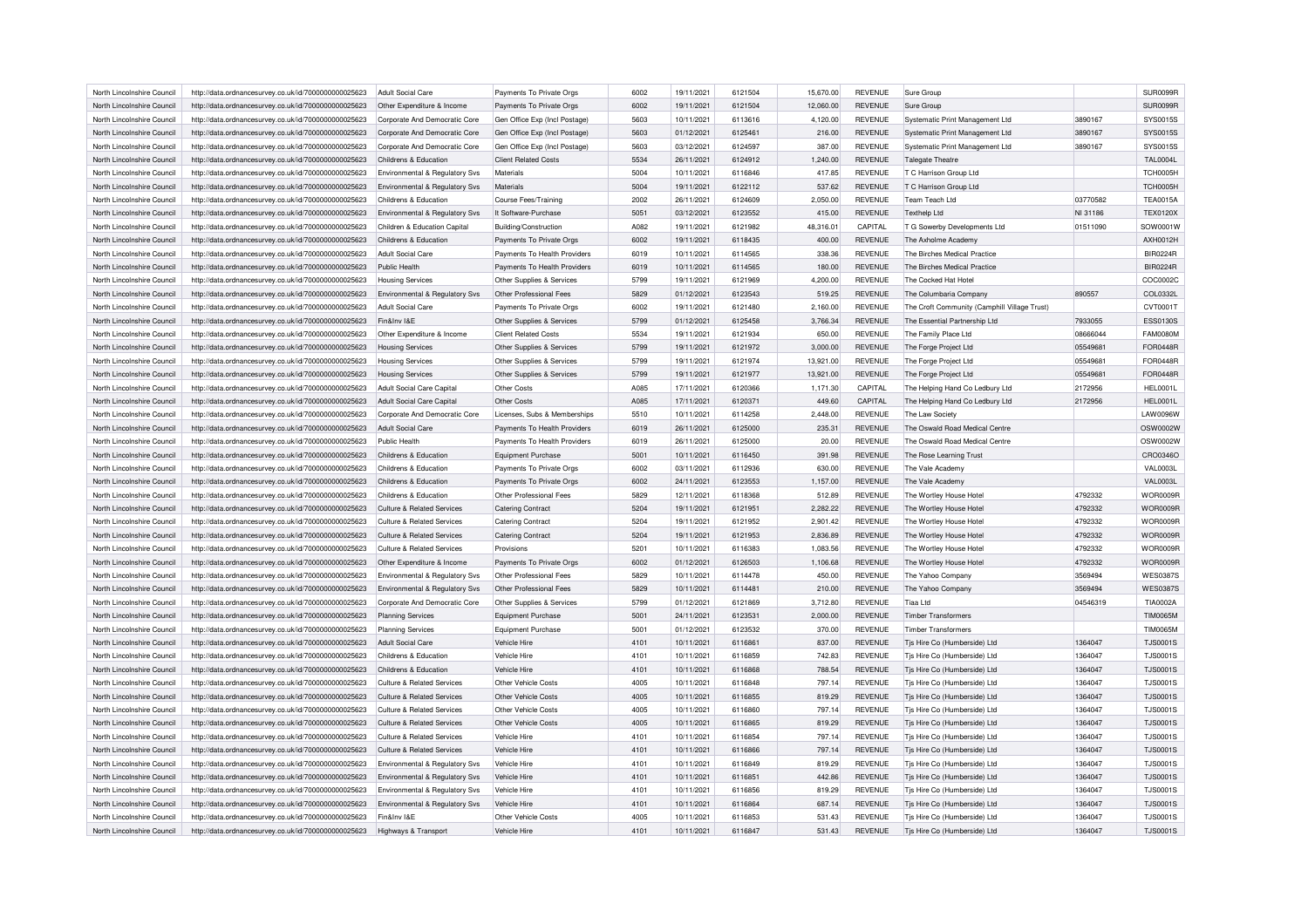| North Lincolnshire Council | http://data.ordnancesurvey.co.uk/id/7000000000025623 | <b>Adult Social Care</b>              | Payments To Private Orgs      | 6002 | 19/11/2021 | 6121504 | 15,670.00 | <b>REVENUE</b> | Sure Group                                   |          | SUR0099R        |
|----------------------------|------------------------------------------------------|---------------------------------------|-------------------------------|------|------------|---------|-----------|----------------|----------------------------------------------|----------|-----------------|
| North Lincolnshire Council | http://data.ordnancesurvey.co.uk/id/7000000000025623 | Other Expenditure & Income            | Payments To Private Orgs      | 6002 | 19/11/2021 | 6121504 | 12,060.00 | <b>REVENUE</b> | Sure Group                                   |          | SUR0099R        |
| North Lincolnshire Council |                                                      |                                       |                               | 5603 | 10/11/2021 | 6113616 |           | <b>REVENUE</b> |                                              | 3890167  | SYS0015S        |
|                            | http://data.ordnancesurvey.co.uk/id/7000000000025623 | Corporate And Democratic Core         | Gen Office Exp (Incl Postage) | 5603 |            | 612546  | 4,120.00  |                | Systematic Print Management Ltd              | 3890167  | <b>SYS0015S</b> |
| North Lincolnshire Council | http://data.ordnancesurvey.co.uk/id/7000000000025623 | Corporate And Democratic Core         | Gen Office Exp (Incl Postage) |      | 01/12/2021 |         | 216.00    | <b>REVENUE</b> | Systematic Print Management Ltd              |          |                 |
| North Lincolnshire Council | http://data.ordnancesurvey.co.uk/id/7000000000025623 | Corporate And Democratic Core         | Gen Office Exp (Incl Postage) | 5603 | 03/12/2021 | 6124597 | 387.00    | <b>REVENUE</b> | Systematic Print Management Ltd              | 3890167  | SYS0015S        |
| North Lincolnshire Council | http://data.ordnancesurvey.co.uk/id/7000000000025623 | Childrens & Education                 | <b>Client Related Costs</b>   | 5534 | 26/11/2021 | 6124912 | 1,240.00  | <b>REVENUE</b> | <b>Talegate Theatre</b>                      |          | <b>TAL0004L</b> |
| North Lincolnshire Council | http://data.ordnancesurvey.co.uk/id/7000000000025623 | Environmental & Regulatory Svs        | Materials                     | 5004 | 10/11/2021 | 6116846 | 417.85    | <b>REVENUE</b> | T C Harrison Group Ltd                       |          | <b>TCH0005H</b> |
| North Lincolnshire Council | http://data.ordnancesurvey.co.uk/id/7000000000025623 | Environmental & Regulatory Svs        | Materials                     | 5004 | 19/11/2021 | 6122112 | 537.62    | <b>REVENUE</b> | T C Harrison Group Ltd                       |          | TCH0005H        |
| North Lincolnshire Council | http://data.ordnancesurvey.co.uk/id/7000000000025623 | Childrens & Education                 | <b>Course Fees/Training</b>   | 2002 | 26/11/2021 | 6124609 | 2,050.00  | <b>REVENUE</b> | Team Teach I td                              | 03770582 | <b>TEA0015A</b> |
| North Lincolnshire Council | http://data.ordnancesurvey.co.uk/id/7000000000025623 | Environmental & Regulatory Svs        | It Software-Purchase          | 5051 | 03/12/2021 | 6123552 | 415.00    | <b>REVENUE</b> | <b>Texthelp Ltd</b>                          | NI 31186 | <b>TEX0120X</b> |
| North Lincolnshire Council | http://data.ordnancesurvey.co.uk/id/7000000000025623 | Children & Education Capital          | Building/Construction         | A082 | 19/11/2021 | 6121982 | 48,316.01 | CAPITAL        | T G Sowerby Developments Ltd                 | 01511090 | SOW0001W        |
| North Lincolnshire Council | http://data.ordnancesurvey.co.uk/id/7000000000025623 | Childrens & Education                 | Payments To Private Orgs      | 6002 | 19/11/2021 | 6118435 | 400.00    | <b>REVENUE</b> | The Axholme Academy                          |          | <b>AXH0012H</b> |
| North Lincolnshire Council | http://data.ordnancesurvey.co.uk/id/7000000000025623 | <b>Adult Social Care</b>              | Payments To Health Providers  | 6019 | 10/11/2021 | 6114565 | 338.36    | <b>REVENUE</b> | The Birches Medical Practice                 |          | <b>BIR0224R</b> |
| North Lincolnshire Council | http://data.ordnancesurvey.co.uk/id/7000000000025623 | Public Health                         | Payments To Health Providers  | 6019 | 10/11/2021 | 6114565 | 180.00    | <b>REVENUE</b> | The Birches Medical Practice                 |          | <b>BIR0224R</b> |
| North Lincolnshire Council | http://data.ordnancesurvey.co.uk/id/7000000000025623 | <b>Housing Services</b>               | Other Supplies & Services     | 5799 | 19/11/2021 | 6121969 | 4,200.00  | <b>REVENUE</b> | The Cocked Hat Hotel                         |          | COC0002C        |
| North Lincolnshire Council | http://data.ordnancesurvey.co.uk/id/7000000000025623 | Environmental & Regulatory Svs        | Other Professional Fees       | 5829 | 01/12/2021 | 6123543 | 519.25    | <b>REVENUE</b> | The Columbaria Company                       | 890557   | COL0332L        |
| North Lincolnshire Council | http://data.ordnancesurvey.co.uk/id/7000000000025623 | <b>Adult Social Care</b>              | Payments To Private Orgs      | 6002 | 19/11/2021 | 6121480 | 2,160.00  | <b>REVENUE</b> | The Croft Community (Camphill Village Trust) |          | CVT0001T        |
| North Lincolnshire Council | http://data.ordnancesurvey.co.uk/id/7000000000025623 | Fin&Inv I&E                           | Other Supplies & Services     | 5799 | 01/12/2021 | 6125458 | 3,766.34  | <b>REVENUE</b> | The Essential Partnership Ltd                | 7933055  | <b>ESS0130S</b> |
| North Lincolnshire Council | http://data.ordnancesurvey.co.uk/id/7000000000025623 | Other Expenditure & Income            | <b>Client Related Costs</b>   | 5534 | 19/11/2021 | 6121934 | 650.00    | <b>REVENUE</b> | The Family Place Ltd                         | 08666044 | <b>FAM0080M</b> |
| North Lincolnshire Council | http://data.ordnancesurvey.co.uk/id/7000000000025623 | <b>Housing Services</b>               | Other Supplies & Services     | 5799 | 19/11/2021 | 6121972 | 3,000.00  | <b>REVENUE</b> | The Forge Project Ltd                        | 05549681 | <b>FOR0448R</b> |
| North Lincolnshire Council | http://data.ordnancesurvey.co.uk/id/7000000000025623 | <b>Housing Services</b>               | Other Supplies & Services     | 5799 | 19/11/2021 | 6121974 | 13,921.00 | <b>REVENUE</b> | The Forge Project Ltd                        | 05549681 | <b>FOR0448R</b> |
| North Lincolnshire Council | http://data.ordnancesurvey.co.uk/id/7000000000025623 | <b>Housing Services</b>               | Other Supplies & Services     | 5799 | 19/11/2021 | 6121977 | 13,921.00 | <b>REVENUE</b> | The Forge Project Ltd                        | 05549681 | <b>FOR0448R</b> |
| North Lincolnshire Council | http://data.ordnancesurvey.co.uk/id/7000000000025623 | <b>Adult Social Care Capital</b>      | Other Costs                   | A085 | 17/11/2021 | 6120366 | 1,171.30  | CAPITAL        | The Helping Hand Co Ledbury Ltd              | 2172956  | <b>HEL0001L</b> |
|                            |                                                      |                                       |                               |      |            |         |           |                |                                              |          |                 |
| North Lincolnshire Council | http://data.ordnancesurvey.co.uk/id/7000000000025623 | Adult Social Care Capital             | Other Costs                   | A085 | 17/11/2021 | 6120371 | 449.60    | CAPITAL        | The Helping Hand Co Ledbury Ltd              | 2172956  | <b>HEL0001L</b> |
| North Lincolnshire Council | http://data.ordnancesurvey.co.uk/id/7000000000025623 | Corporate And Democratic Core         | Licenses, Subs & Memberships  | 5510 | 10/11/2021 | 6114258 | 2,448.00  | <b>REVENUE</b> | The Law Society                              |          | LAW0096W        |
| North Lincolnshire Council | http://data.ordnancesurvey.co.uk/id/7000000000025623 | Adult Social Care                     | Payments To Health Providers  | 6019 | 26/11/2021 | 6125000 | 235.31    | <b>REVENUE</b> | The Oswald Road Medical Centre               |          | OSW0002W        |
| North Lincolnshire Council | http://data.ordnancesurvey.co.uk/id/7000000000025623 | Public Health                         | Payments To Health Providers  | 6019 | 26/11/2021 | 6125000 | 20.00     | <b>REVENUE</b> | The Oswald Road Medical Centre               |          | OSW0002W        |
| North Lincolnshire Council | http://data.ordnancesurvey.co.uk/id/7000000000025623 | Childrens & Education                 | Equipment Purchase            | 5001 | 10/11/2021 | 6116450 | 391.98    | <b>REVENUE</b> | The Rose Learning Trust                      |          | CRO0346O        |
| North Lincolnshire Council | http://data.ordnancesurvey.co.uk/id/7000000000025623 | Childrens & Education                 | Payments To Private Orgs      | 6002 | 03/11/2021 | 6112936 | 630.00    | <b>REVENUE</b> | The Vale Academy                             |          | <b>VAL0003L</b> |
| North Lincolnshire Council | http://data.ordnancesurvey.co.uk/id/7000000000025623 | Childrens & Education                 | Payments To Private Orgs      | 6002 | 24/11/2021 | 6123553 | 1,157.00  | <b>REVENUE</b> | The Vale Academy                             |          | <b>VAL0003L</b> |
| North Lincolnshire Council | http://data.ordnancesurvey.co.uk/id/7000000000025623 | Childrens & Education                 | Other Professional Fees       | 5829 | 12/11/2021 | 6118368 | 512.89    | <b>REVENUE</b> | The Wortley House Hotel                      | 4792332  | WOR0009F        |
| North Lincolnshire Council | http://data.ordnancesurvey.co.uk/id/7000000000025623 | <b>Culture &amp; Related Services</b> | <b>Catering Contract</b>      | 5204 | 19/11/2021 | 6121951 | 2,282.22  | <b>REVENUE</b> | The Wortley House Hotel                      | 4792332  | WOR0009F        |
| North Lincolnshire Council | http://data.ordnancesurvey.co.uk/id/7000000000025623 | Culture & Related Services            | <b>Catering Contract</b>      | 5204 | 19/11/2021 | 6121952 | 2.901.42  | <b>REVENUE</b> | The Wortley House Hotel                      | 4792332  | WOR0009R        |
| North Lincolnshire Council | http://data.ordnancesurvey.co.uk/id/7000000000025623 | Culture & Related Services            | <b>Catering Contract</b>      | 5204 | 19/11/2021 | 6121953 | 2,836.89  | <b>REVENUE</b> | The Wortley House Hotel                      | 4792332  | WOR0009F        |
| North Lincolnshire Council | http://data.ordnancesurvey.co.uk/id/7000000000025623 | <b>Culture &amp; Related Services</b> | Provisions                    | 5201 | 10/11/2021 | 6116383 | 1,083.56  | <b>REVENUE</b> | The Wortley House Hotel                      | 4792332  | WOR0009R        |
| North Lincolnshire Council | http://data.ordnancesurvey.co.uk/id/7000000000025623 | Other Expenditure & Income            | Payments To Private Orgs      | 6002 | 01/12/2021 | 6126503 | 1.106.68  | <b>REVENUE</b> | The Wortley House Hotel                      | 4792332  | WOR0009R        |
| North Lincolnshire Council | http://data.ordnancesurvey.co.uk/id/7000000000025623 | Environmental & Regulatory Svs        | Other Professional Fees       | 5829 | 10/11/2021 | 6114478 | 450.00    | <b>REVENUE</b> | The Yahoo Company                            | 3569494  | <b>WES0387S</b> |
| North Lincolnshire Council | http://data.ordnancesurvey.co.uk/id/7000000000025623 | Environmental & Regulatory Svs        | Other Professional Fees       | 5829 | 10/11/2021 | 6114481 | 210.00    | <b>REVENUE</b> | The Yahoo Company                            | 3569494  | <b>WES0387S</b> |
| North Lincolnshire Council | http://data.ordnancesurvey.co.uk/id/7000000000025623 | Corporate And Democratic Core         | Other Supplies & Services     | 5799 | 01/12/2021 | 6121869 | 3,712.80  | <b>REVENUE</b> | Tiaa I td                                    | 04546319 | <b>TIA0002A</b> |
| North Lincolnshire Council | http://data.ordnancesurvey.co.uk/id/7000000000025623 | <b>Planning Services</b>              | Equipment Purchase            | 5001 | 24/11/2021 | 6123531 | 2,000.00  | <b>REVENUE</b> | <b>Timber Transformers</b>                   |          | <b>TIM0065M</b> |
| North Lincolnshire Council | http://data.ordnancesurvey.co.uk/id/7000000000025623 | <b>Planning Services</b>              | <b>Equipment Purchase</b>     | 5001 | 01/12/2021 | 6123532 | 370.00    | <b>REVENUE</b> | <b>Timber Transformers</b>                   |          | <b>TIM0065M</b> |
| North Lincolnshire Council | http://data.ordnancesurvey.co.uk/id/7000000000025623 | <b>Adult Social Care</b>              | Vehicle Hire                  | 4101 | 10/11/2021 | 6116861 | 837.00    | <b>REVENUE</b> | Tjs Hire Co (Humberside) Ltd                 | 1364047  | <b>TJS0001S</b> |
| North Lincolnshire Council | http://data.ordnancesurvey.co.uk/id/7000000000025623 | Childrens & Education                 | Vehicle Hire                  | 4101 | 10/11/2021 | 6116859 | 742.83    | REVENUE        | Tjs Hire Co (Humberside) Ltd                 | 1364047  | <b>TJS0001S</b> |
| North Lincolnshire Council | http://data.ordnancesurvey.co.uk/id/7000000000025623 | Childrens & Education                 | Vehicle Hire                  | 4101 | 10/11/2021 | 6116868 | 788.54    | <b>REVENUE</b> | Tjs Hire Co (Humberside) Ltd                 | 1364047  | <b>TJS0001S</b> |
| North Lincolnshire Council |                                                      | Culture & Related Services            | Other Vehicle Costs           | 4005 | 10/11/2021 | 6116848 | 797.14    | <b>REVENUE</b> | Tis Hire Co (Humberside) Ltd                 | 1364047  | <b>TJS0001S</b> |
|                            | http://data.ordnancesurvey.co.uk/id/7000000000025623 |                                       |                               |      |            |         |           |                |                                              |          |                 |
| North Lincolnshire Council | http://data.ordnancesurvey.co.uk/id/7000000000025623 | Culture & Related Services            | <b>Other Vehicle Costs</b>    | 4005 | 10/11/2021 | 6116855 | 819.29    | <b>REVENUE</b> | Tjs Hire Co (Humberside) Ltd                 | 1364047  | <b>TJS0001S</b> |
| North Lincolnshire Council | http://data.ordnancesurvey.co.uk/id/7000000000025623 | Culture & Related Services            | Other Vehicle Costs           | 4005 | 10/11/2021 | 6116860 | 797.14    | <b>REVENUE</b> | Tis Hire Co (Humberside) Ltd                 | 1364047  | <b>TJS0001S</b> |
| North Lincolnshire Council | http://data.ordnancesurvey.co.uk/id/7000000000025623 | Culture & Related Services            | Other Vehicle Costs           | 4005 | 10/11/2021 | 6116865 | 819.29    | <b>REVENUE</b> | Tjs Hire Co (Humberside) Ltd                 | 1364047  | <b>TJS0001S</b> |
| North Lincolnshire Council | http://data.ordnancesurvey.co.uk/id/7000000000025623 | <b>Culture &amp; Related Services</b> | Vehicle Hire                  | 4101 | 10/11/2021 | 6116854 | 797.14    | <b>REVENUE</b> | Tjs Hire Co (Humberside) Ltd                 | 1364047  | <b>TJS0001S</b> |
| North Lincolnshire Council | http://data.ordnancesurvey.co.uk/id/7000000000025623 | <b>Culture &amp; Related Services</b> | Vehicle Hire                  | 4101 | 10/11/2021 | 6116866 | 797.14    | <b>REVENUE</b> | Tjs Hire Co (Humberside) Ltd                 | 1364047  | <b>TJS0001S</b> |
| North Lincolnshire Council | http://data.ordnancesurvey.co.uk/id/7000000000025623 | Environmental & Regulatory Svs        | Vehicle Hire                  | 4101 | 10/11/2021 | 6116849 | 819.29    | <b>REVENUE</b> | Tis Hire Co (Humberside) Ltd                 | 1364047  | <b>TJS0001S</b> |
| North Lincolnshire Council | http://data.ordnancesurvey.co.uk/id/7000000000025623 | Environmental & Regulatory Svs        | Vehicle Hire                  | 4101 | 10/11/2021 | 6116851 | 442.86    | <b>REVENUE</b> | Tjs Hire Co (Humberside) Ltd                 | 1364047  | <b>TJS0001S</b> |
| North Lincolnshire Council | http://data.ordnancesurvey.co.uk/id/7000000000025623 | Environmental & Regulatory Svs        | Vehicle Hire                  | 4101 | 10/11/2021 | 6116856 | 819.29    | <b>REVENUE</b> | Tjs Hire Co (Humberside) Ltd                 | 1364047  | <b>TJS0001S</b> |
| North Lincolnshire Council | http://data.ordnancesurvey.co.uk/id/7000000000025623 | Environmental & Regulatory Sys        | Vehicle Hire                  | 4101 | 10/11/2021 | 6116864 | 687.14    | <b>REVENUE</b> | Tis Hire Co (Humberside) Ltd                 | 1364047  | <b>TJS0001S</b> |
| North Lincolnshire Council | http://data.ordnancesurvey.co.uk/id/7000000000025623 | Fin&Inv I&F                           | Other Vehicle Costs           | 4005 | 10/11/2021 | 6116853 | 531.43    | <b>REVENUE</b> | Tjs Hire Co (Humberside) Ltd                 | 1364047  | <b>TJS0001S</b> |
| North Lincolnshire Council | http://data.ordnancesurvey.co.uk/id/7000000000025623 | Highways & Transport                  | Vehicle Hire                  | 4101 | 10/11/2021 | 6116847 | 531.43    | <b>REVENUE</b> | Tis Hire Co (Humberside) Ltd                 | 1364047  | <b>TJS0001S</b> |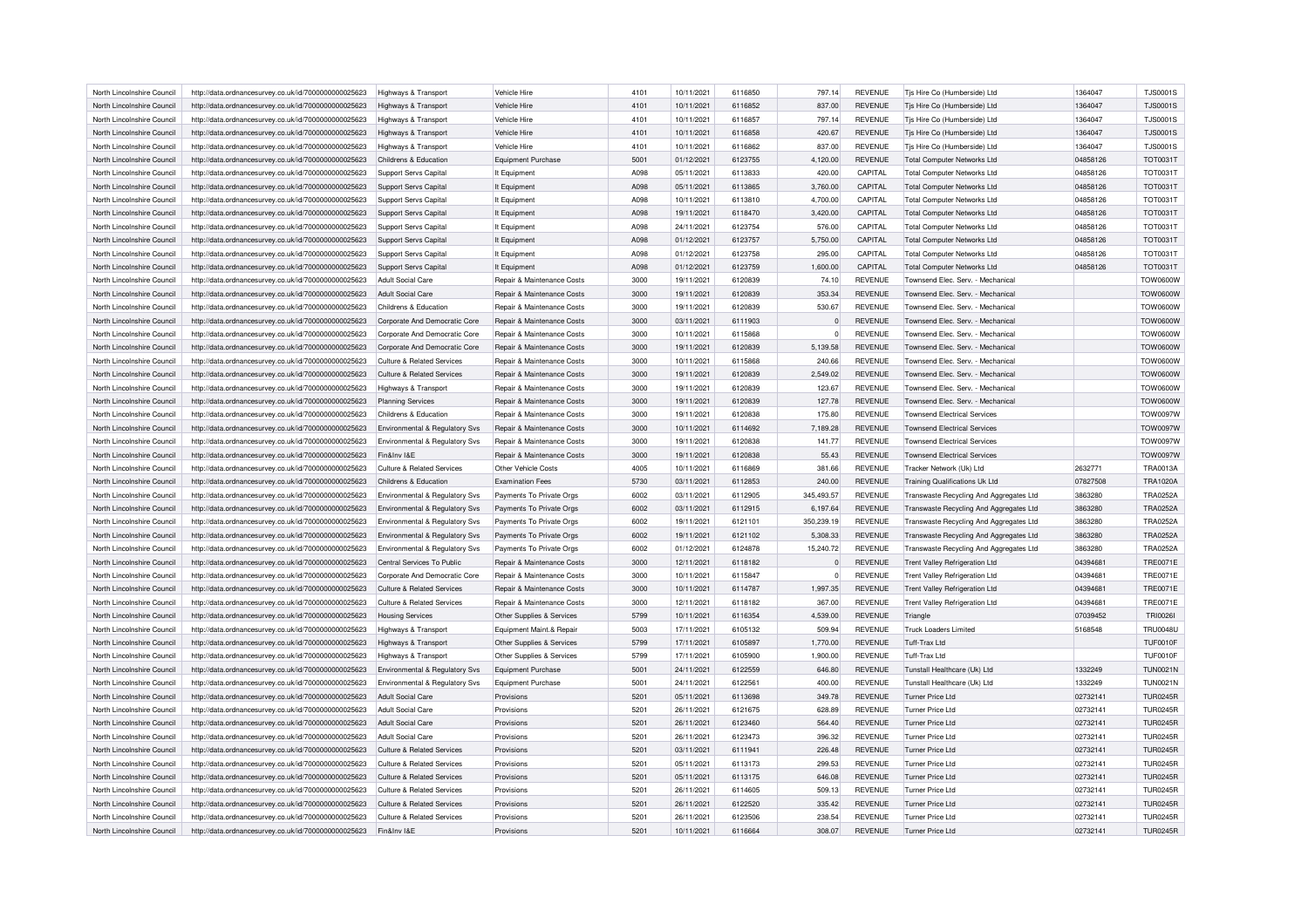| North Lincolnshire Council                               | http://data.ordnancesurvey.co.uk/id/7000000000025623                                                         | Highways & Transport                                             | Vehicle Hire                          | 4101         | 10/11/2021               | 6116850            | 797.14           | <b>REVENUE</b>                   | Tjs Hire Co (Humberside) Ltd                                             | 1364047              | <b>TJS0001S</b>                    |
|----------------------------------------------------------|--------------------------------------------------------------------------------------------------------------|------------------------------------------------------------------|---------------------------------------|--------------|--------------------------|--------------------|------------------|----------------------------------|--------------------------------------------------------------------------|----------------------|------------------------------------|
| North Lincolnshire Council                               | http://data.ordnancesurvey.co.uk/id/7000000000025623                                                         | Highways & Transport                                             | Vehicle Hire                          | 4101         | 10/11/2021               | 6116852            | 837.00           | <b>REVENUE</b>                   | Tjs Hire Co (Humberside) Ltd                                             | 1364047              | <b>TJS0001S</b>                    |
| North Lincolnshire Council                               | http://data.ordnancesurvey.co.uk/id/7000000000025623                                                         | Highways & Transport                                             | Vehicle Hire                          | 4101         | 10/11/2021               | 6116857            | 797.14           | <b>REVENUE</b>                   | Tis Hire Co (Humberside) Ltd                                             | 1364047              | <b>TJS0001S</b>                    |
| North Lincolnshire Council                               | http://data.ordnancesurvey.co.uk/id/7000000000025623                                                         | Highways & Transport                                             | Vehicle Hire                          | 4101         | 10/11/2021               | 6116858            | 420.67           | <b>REVENUE</b>                   | Tis Hire Co (Humberside) Ltd                                             | 1364047              | <b>TJS0001S</b>                    |
| North Lincolnshire Council                               | http://data.ordnancesurvey.co.uk/id/7000000000025623                                                         | Highways & Transport                                             | Vehicle Hire                          | 4101         | 10/11/2021               | 6116862            | 837.00           | <b>REVENUE</b>                   | Tjs Hire Co (Humberside) Ltd                                             | 1364047              | <b>TJS0001S</b>                    |
| North Lincolnshire Council                               | http://data.ordnancesurvey.co.uk/id/7000000000025623                                                         | Childrens & Education                                            | Equipment Purchase                    | 5001         | 01/12/2021               | 6123755            | 4,120.00         | <b>REVENUE</b>                   | <b>Total Computer Networks Ltd</b>                                       | 04858126             | <b>TOT0031T</b>                    |
| North Lincolnshire Council                               | http://data.ordnancesurvey.co.uk/id/7000000000025623                                                         | Support Servs Capital                                            | It Equipment                          | A098         | 05/11/2021               | 6113833            | 420.00           | CAPITAL                          | <b>Total Computer Networks Ltd</b>                                       | 04858126             | TOT0031T                           |
| North Lincolnshire Council                               | http://data.ordnancesurvey.co.uk/id/7000000000025623                                                         | <b>Support Servs Capital</b>                                     | It Equipment                          | A098         | 05/11/2021               | 6113865            | 3,760.00         | CAPITAL                          | <b>Total Computer Networks Ltd</b>                                       | 04858126             | <b>TOT0031T</b>                    |
| North Lincolnshire Council                               | http://data.ordnancesurvey.co.uk/id/7000000000025623                                                         | Support Servs Capital                                            | It Equipment                          | A098         | 10/11/2021               | 6113810            | 4,700.00         | CAPITAL                          | <b>Total Computer Networks Ltd</b>                                       | 04858126             | TOT0031T                           |
| North Lincolnshire Council                               | http://data.ordnancesurvey.co.uk/id/7000000000025623                                                         | Support Servs Capital                                            | It Equipment                          | A098         | 19/11/2021               | 6118470            | 3,420.00         | CAPITAL                          | <b>Total Computer Networks Ltd</b>                                       | 04858126             | <b>TOT0031T</b>                    |
| North Lincolnshire Council                               | http://data.ordnancesurvey.co.uk/id/7000000000025623                                                         | Support Servs Capital                                            | It Equipment                          | A098         | 24/11/2021               | 6123754            | 576.00           | CAPITAL                          | <b>Total Computer Networks Ltd</b>                                       | 04858126             | TOT0031T                           |
| North Lincolnshire Council                               | http://data.ordnancesurvey.co.uk/id/7000000000025623                                                         | Support Servs Capital                                            | It Equipment                          | A098         | 01/12/2021               | 6123757            | 5,750.00         | CAPITAL                          | <b>Total Computer Networks Ltd</b>                                       | 04858126             | TOT0031T                           |
| North Lincolnshire Council                               |                                                                                                              |                                                                  |                                       | A098         | 01/12/2021               | 6123758            | 295.00           | CAPITAL                          |                                                                          | 04858126             | TOT0031T                           |
| North Lincolnshire Council                               | http://data.ordnancesurvey.co.uk/id/7000000000025623<br>http://data.ordnancesurvey.co.uk/id/7000000000025623 | Support Servs Capital<br>Support Servs Capital                   | It Equipment<br>It Equipment          | A098         | 01/12/2021               | 6123759            | 1,600.00         | CAPITAL                          | <b>Total Computer Networks Ltd</b><br><b>Total Computer Networks Ltd</b> | 04858126             | <b>TOT0031T</b>                    |
|                                                          |                                                                                                              |                                                                  |                                       |              |                          |                    |                  |                                  |                                                                          |                      |                                    |
| North Lincolnshire Council                               | http://data.ordnancesurvey.co.uk/id/7000000000025623                                                         | <b>Adult Social Care</b>                                         | Repair & Maintenance Costs            | 3000         | 19/11/2021               | 6120839            | 74.10            | <b>REVENUE</b>                   | Townsend Elec. Serv. - Mechanical                                        |                      | <b>TOW0600W</b>                    |
| North Lincolnshire Council                               | http://data.ordnancesurvey.co.uk/id/7000000000025623                                                         | <b>Adult Social Care</b>                                         | Repair & Maintenance Costs            | 3000         | 19/11/2021               | 6120839            | 353.34           | REVENUE                          | Townsend Elec. Serv. - Mechanical                                        |                      | <b>TOW0600W</b>                    |
| North Lincolnshire Council                               | http://data.ordnancesurvey.co.uk/id/7000000000025623                                                         | Childrens & Education                                            | Repair & Maintenance Costs            | 3000         | 19/11/2021               | 6120839            | 530.67           | <b>REVENUE</b>                   | Townsend Flec. Serv. - Mechanical                                        |                      | TOW0600W                           |
| North Lincolnshire Council                               | http://data.ordnancesurvey.co.uk/id/7000000000025623                                                         | Corporate And Democratic Core                                    | <b>Benair &amp; Maintenance Costs</b> | 3000         | 03/11/2021               | 6111903            | $\Omega$         | <b>REVENUE</b>                   | Townsend Elec. Serv. - Mechanical                                        |                      | <b>TOW0600W</b>                    |
| North Lincolnshire Council                               | http://data.ordnancesurvey.co.uk/id/7000000000025623                                                         | Corporate And Democratic Core                                    | Repair & Maintenance Costs            | 3000         | 10/11/2021               | 6115868            | $\Omega$         | REVENUE                          | Townsend Elec. Serv. - Mechanical                                        |                      | <b>TOW0600W</b>                    |
| North Lincolnshire Council                               | http://data.ordnancesurvey.co.uk/id/7000000000025623                                                         | Corporate And Democratic Core                                    | Repair & Maintenance Costs            | 3000         | 19/11/2021               | 6120839            | 5,139.58         | <b>REVENUE</b>                   | Townsend Elec. Serv. - Mechanical                                        |                      | <b>TOW0600W</b>                    |
| North Lincolnshire Council                               | http://data.ordnancesurvey.co.uk/id/7000000000025623                                                         | Culture & Related Services                                       | Repair & Maintenance Costs            | 3000         | 10/11/2021               | 6115868            | 240.66           | <b>REVENUE</b>                   | Townsend Elec. Serv. - Mechanical                                        |                      | <b>TOW0600W</b>                    |
| North Lincolnshire Council                               | http://data.ordnancesurvey.co.uk/id/7000000000025623                                                         | Culture & Related Services                                       | Repair & Maintenance Costs            | 3000         | 19/11/2021               | 6120839            | 2,549.02         | <b>REVENUE</b>                   | Townsend Elec, Serv. - Mechanical                                        |                      | <b>TOW0600W</b>                    |
| North Lincolnshire Council                               | http://data.ordnancesurvey.co.uk/id/7000000000025623                                                         | Highways & Transport                                             | Repair & Maintenance Costs            | 3000         | 19/11/2021               | 6120839            | 123.67           | <b>REVENUE</b>                   | Townsend Elec. Serv. - Mechanical                                        |                      | <b>TOW0600W</b>                    |
| North Lincolnshire Council                               | http://data.ordnancesurvey.co.uk/id/7000000000025623                                                         | <b>Planning Services</b>                                         | Repair & Maintenance Costs            | 3000         | 19/11/2021               | 6120839            | 127.78           | <b>REVENUE</b>                   | Townsend Elec. Serv. - Mechanical                                        |                      | <b>TOW0600W</b>                    |
| North Lincolnshire Council                               | http://data.ordnancesurvey.co.uk/id/7000000000025623                                                         | Childrens & Education                                            | Repair & Maintenance Costs            | 3000         | 19/11/2021               | 6120838            | 175.80           | REVENUE                          | <b>Townsend Electrical Services</b>                                      |                      | <b>TOW0097W</b>                    |
| North Lincolnshire Council                               | http://data.ordnancesurvey.co.uk/id/7000000000025623                                                         | Environmental & Regulatory Svs                                   | Repair & Maintenance Costs            | 3000         | 10/11/2021               | 6114692            | 7,189.28         | <b>REVENUE</b>                   | <b>Townsend Electrical Services</b>                                      |                      | TOW0097W                           |
| North Lincolnshire Council                               | http://data.ordnancesurvey.co.uk/id/7000000000025623                                                         | Environmental & Regulatory Sys                                   | Repair & Maintenance Costs            | 3000         | 19/11/2021               | 6120838            | 141.77           | <b>REVENUE</b>                   | <b>Townsend Electrical Services</b>                                      |                      | <b>TOW0097W</b>                    |
| North Lincolnshire Council                               | http://data.ordnancesurvey.co.uk/id/7000000000025623                                                         | Fin&Inv I&E                                                      | Repair & Maintenance Costs            | 3000         | 19/11/2021               | 6120838            | 55.43            | <b>REVENUE</b>                   | <b>Townsend Electrical Services</b>                                      |                      | <b>TOW0097W</b>                    |
| North Lincolnshire Council                               | http://data.ordnancesurvey.co.uk/id/7000000000025623                                                         | <b>Culture &amp; Related Services</b>                            | Other Vehicle Costs                   | 4005         | 10/11/2021               | 6116869            | 381.66           | <b>REVENUE</b>                   | Tracker Network (Uk) Ltd                                                 | 2632771              | <b>TRA0013A</b>                    |
| North Lincolnshire Council                               | http://data.ordnancesurvey.co.uk/id/7000000000025623                                                         | Childrens & Education                                            | <b>Examination Fees</b>               | 5730         | 03/11/2021               | 6112853            | 240.00           | <b>REVENUE</b>                   | <b>Training Qualifications Uk Ltd</b>                                    | 07827508             | <b>TRA1020A</b>                    |
| North Lincolnshire Council                               | http://data.ordnancesurvey.co.uk/id/7000000000025623                                                         | Environmental & Regulatory Svs                                   | Payments To Private Orgs              | 6002         | 03/11/2021               | 6112905            | 345,493.57       | <b>REVENUE</b>                   | Transwaste Recycling And Aggregates Ltd                                  | 3863280              | <b>TRA0252A</b>                    |
| North Lincolnshire Council                               | http://data.ordnancesurvey.co.uk/id/7000000000025623                                                         | Environmental & Regulatory Svs                                   | Payments To Private Orgs              | 6002         | 03/11/2021               | 6112915            | 6,197.64         | <b>REVENUE</b>                   | Transwaste Recycling And Aggregates Ltd                                  | 3863280              | <b>TRA0252A</b>                    |
| North Lincolnshire Council                               | http://data.ordnancesurvey.co.uk/id/7000000000025623                                                         | Environmental & Regulatory Svs                                   | Payments To Private Orgs              | 6002         | 19/11/2021               | 6121101            | 350,239.19       | <b>REVENUE</b>                   | Transwaste Recycling And Aggregates Ltd                                  | 3863280              | <b>TRA0252A</b>                    |
| North Lincolnshire Council                               | http://data.ordnancesurvey.co.uk/id/7000000000025623                                                         |                                                                  |                                       |              |                          |                    |                  | <b>REVENUE</b>                   | Transwaste Recycling And Aggregates Ltd                                  |                      |                                    |
| North Lincolnshire Council                               |                                                                                                              |                                                                  | Payments To Private Orgs              | 6002         | 19/11/2021               | 6121102            | 5.308.33         |                                  |                                                                          | 3863280              | <b>TRA0252A</b>                    |
|                                                          | http://data.ordnancesurvey.co.uk/id/7000000000025623                                                         | Environmental & Regulatory Svs<br>Environmental & Regulatory Svs | Payments To Private Orgs              | 6002         | 01/12/2021               | 6124878            | 15,240.72        | <b>REVENUE</b>                   | Transwaste Recycling And Aggregates Ltd                                  | 3863280              | <b>TRA0252A</b>                    |
| North Lincolnshire Council                               | http://data.ordnancesurvey.co.uk/id/7000000000025623                                                         | Central Services To Public                                       | Repair & Maintenance Costs            | 3000         | 12/11/2021               | 6118182            | $\Omega$         | <b>REVENUE</b>                   |                                                                          | 04394681             | <b>TRE0071E</b>                    |
| North Lincolnshire Council                               |                                                                                                              | Corporate And Democratic Core                                    |                                       | 3000         |                          | 6115847            | $\Omega$         |                                  | Trent Valley Refrigeration Ltd                                           |                      | <b>TRE0071E</b>                    |
|                                                          | http://data.ordnancesurvey.co.uk/id/7000000000025623                                                         |                                                                  | Repair & Maintenance Costs            |              | 10/11/2021               |                    |                  | REVENUE                          | Trent Valley Refrigeration Ltd                                           | 04394681             |                                    |
| North Lincolnshire Council                               | http://data.ordnancesurvey.co.uk/id/7000000000025623                                                         | <b>Culture &amp; Related Services</b>                            | Repair & Maintenance Costs            | 3000         | 10/11/2021               | 6114787            | 1,997.35         | <b>REVENUE</b>                   | <b>Trent Valley Refrigeration Ltd</b>                                    | 04394681             | <b>TRE0071E</b>                    |
| North Lincolnshire Council                               | http://data.ordnancesurvey.co.uk/id/7000000000025623                                                         | <b>Culture &amp; Related Services</b>                            | <b>Benair &amp; Maintenance Costs</b> | 3000         | 12/11/2021               | 6118182            | 367.00           | <b>REVENUE</b>                   | Trent Valley Refrigeration Ltd                                           | 04394681             | <b>TRE0071E</b>                    |
| North Lincolnshire Council                               | http://data.ordnancesurvey.co.uk/id/7000000000025623                                                         | <b>Housing Services</b>                                          | Other Supplies & Services             | 5799         | 10/11/2021               | 6116354            | 4,539.00         | <b>REVENUE</b>                   | Triangle                                                                 | 07039452             | <b>TRI00261</b>                    |
| North Lincolnshire Council                               | http://data.ordnancesurvey.co.uk/id/7000000000025623                                                         | Highways & Transport                                             | Equipment Maint.& Repair              | 5003         | 17/11/2021               | 6105132            | 509.94           | <b>REVENUE</b>                   | <b>Truck Loaders Limited</b>                                             | 5168548              | <b>TRU0048U</b>                    |
| North Lincolnshire Council                               | http://data.ordnancesurvey.co.uk/id/7000000000025623                                                         | Highways & Transport                                             | Other Supplies & Services             | 5799         | 17/11/2021               | 6105897            | 1,770.00         | <b>REVENUE</b>                   | Tuff-Trax Ltd                                                            |                      | <b>TUF0010F</b>                    |
| North Lincolnshire Council                               | http://data.ordnancesurvey.co.uk/id/7000000000025623                                                         | Highways & Transport                                             | Other Supplies & Services             | 5799         | 17/11/2021               | 6105900            | 1,900.00         | <b>REVENUE</b>                   | <b>Tuff-Trax Ltd</b>                                                     |                      | <b>TUF0010F</b>                    |
| North Lincolnshire Council                               | http://data.ordnancesurvey.co.uk/id/7000000000025623                                                         | Environmental & Regulatory Svs                                   | Equipment Purchase                    | 5001         | 24/11/2021               | 6122559            | 646.80           | <b>REVENUE</b>                   | Tunstall Healthcare (Uk) Ltd                                             | 1332249              | <b>TUN0021N</b>                    |
| North Lincolnshire Council                               | http://data.ordnancesurvey.co.uk/id/7000000000025623                                                         | Environmental & Regulatory Svs                                   | Equipment Purchase                    | 5001         | 24/11/2021               | 6122561            | 400.00           | <b>REVENUE</b>                   | Tunstall Healthcare (Uk) Ltd                                             | 1332249              | <b>TUN0021N</b>                    |
| North Lincolnshire Council                               | http://data.ordnancesurvey.co.uk/id/7000000000025623                                                         | Adult Social Care                                                | Provisions                            | 5201         | 05/11/2021               | 6113698            | 349.78           | <b>REVENUE</b>                   | <b>Turner Price Ltd</b>                                                  | 02732141             | <b>TUR0245R</b>                    |
| North Lincolnshire Council                               | http://data.ordnancesurvey.co.uk/id/7000000000025623                                                         | <b>Adult Social Care</b>                                         | Provisions                            | 5201         | 26/11/2021               | 6121675            | 628.89           | <b>REVENUE</b>                   | Turner Price Ltd                                                         | 02732141             | <b>TUR0245R</b>                    |
| North Lincolnshire Council                               | http://data.ordnancesurvey.co.uk/id/7000000000025623                                                         | Adult Social Care                                                | Provisions                            | 5201         | 26/11/2021               | 6123460            | 564.40           | <b>REVENUE</b>                   | Turner Price Ltd                                                         | 02732141             | <b>TUR0245R</b>                    |
| North Lincolnshire Council                               | http://data.ordnancesurvey.co.uk/id/7000000000025623                                                         | <b>Adult Social Care</b>                                         | Provisions                            | 5201         | 26/11/2021               | 6123473            | 396.32           | <b>REVENUE</b>                   | Turner Price Ltd                                                         | 02732141             | <b>TUR0245R</b>                    |
| North Lincolnshire Council                               | http://data.ordnancesurvey.co.uk/id/7000000000025623                                                         | <b>Culture &amp; Related Services</b>                            | Provisions                            | 5201         | 03/11/2021               | 6111941            | 226.48           | <b>REVENUE</b>                   | Turner Price Ltd                                                         | 02732141             | <b>TUR0245R</b>                    |
| North Lincolnshire Council                               | http://data.ordnancesurvey.co.uk/id/7000000000025623                                                         | <b>Culture &amp; Related Services</b>                            | Provisions                            | 5201         | 05/11/2021               | 6113173            | 299.53           | <b>REVENUE</b>                   | <b>Turner Price Ltd</b>                                                  | 02732141             | <b>TUR0245R</b>                    |
| North Lincolnshire Council                               | http://data.ordnancesurvey.co.uk/id/7000000000025623                                                         | Culture & Related Services                                       | Provisions                            | 5201         | 05/11/2021               | 6113175            | 646.08           | <b>REVENUE</b>                   | Turner Price Ltd                                                         | 02732141             | <b>TUR0245R</b>                    |
| North Lincolnshire Council                               | http://data.ordnancesurvey.co.uk/id/7000000000025623                                                         | <b>Culture &amp; Related Services</b>                            | Provisions                            | 5201         | 26/11/2021               | 6114605            | 509.13           | <b>REVENUE</b>                   | Turner Price Ltd                                                         | 02732141             | <b>TUR0245R</b>                    |
| North Lincolnshire Council                               | http://data.ordnancesurvey.co.uk/id/7000000000025623                                                         | <b>Culture &amp; Related Services</b>                            | Provisions                            | 5201         | 26/11/2021               | 6122520            | 335.42           | <b>REVENUE</b>                   | Turner Price Ltd                                                         | 02732141             | <b>TUR0245R</b>                    |
| North Lincolnshire Council<br>North Lincolnshire Council | http://data.ordnancesurvey.co.uk/id/7000000000025623<br>http://data.ordnancesurvey.co.uk/id/7000000000025623 | Culture & Related Services<br>Fin&Inv I&E                        | Provisions<br>Provisions              | 5201<br>5201 | 26/11/2021<br>10/11/2021 | 6123506<br>6116664 | 238.54<br>308.07 | <b>REVENUE</b><br><b>REVENUE</b> | Turner Price I td<br>Turner Price Ltd                                    | 02732141<br>02732141 | <b>TUR0245R</b><br><b>TUR0245R</b> |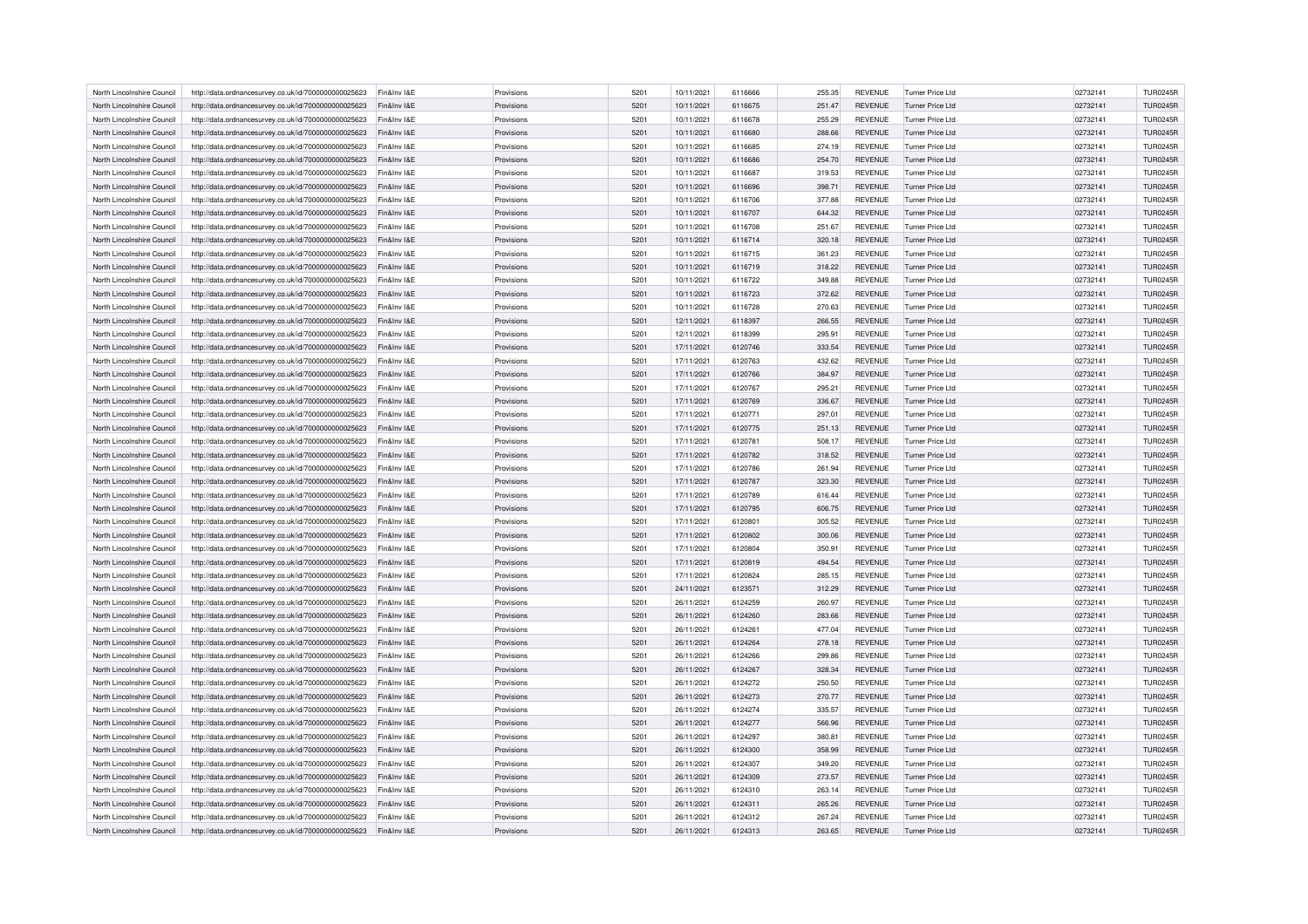| North Lincolnshire Council | http://data.ordnancesurvey.co.uk/id/7000000000025623 | Fin&Inv I&F | Provisions | 5201 | 10/11/2021 | 6116666 | 255.35 | <b>REVENUE</b> | Turner Price I td       | 02732141 | <b>TUR0245R</b> |
|----------------------------|------------------------------------------------------|-------------|------------|------|------------|---------|--------|----------------|-------------------------|----------|-----------------|
| North Lincolnshire Council | http://data.ordnancesurvey.co.uk/id/7000000000025623 | Fin&Inv I&E | Provisions | 5201 | 10/11/2021 | 6116675 | 251.47 | REVENUE        | Turner Price Ltd        | 02732141 | <b>TUR0245R</b> |
| North Lincolnshire Council | http://data.ordnancesurvey.co.uk/id/7000000000025623 | Fin&Inv I&F | Provisions | 5201 | 10/11/2021 | 6116678 | 255.29 | <b>REVENUE</b> | Turner Price Ltd        | 02732141 | <b>TUR0245R</b> |
| North Lincolnshire Council | http://data.ordnancesurvey.co.uk/id/7000000000025623 | Fin&Inv I&F | Provisions | 5201 | 10/11/2021 | 6116680 | 288.66 | <b>REVENUE</b> | Turner Price I td       | 02732141 | <b>TUR0245R</b> |
| North Lincolnshire Council | http://data.ordnancesurvey.co.uk/id/7000000000025623 | Fin&Inv I&E | Provisions | 5201 | 10/11/2021 | 6116685 | 274.19 | <b>REVENUE</b> | <b>Turner Price Ltd</b> | 02732141 | <b>TUR0245R</b> |
| North Lincolnshire Council | http://data.ordnancesurvey.co.uk/id/7000000000025623 | Fin&Inv I&E | Provisions | 5201 | 10/11/2021 | 6116686 | 254.70 | <b>REVENUE</b> | Turner Price I td       | 02732141 | <b>TUR0245R</b> |
| North Lincolnshire Council | http://data.ordnancesurvey.co.uk/id/7000000000025623 | Fin&Inv I&F | Provisions | 5201 | 10/11/2021 | 6116687 | 319.53 | <b>REVENUE</b> | Turner Price I td       | 02732141 | <b>TUR0245R</b> |
| North Lincolnshire Council | http://data.ordnancesurvey.co.uk/id/7000000000025623 | Fin&Inv I&E | Provisions | 5201 | 10/11/2021 | 6116696 | 398.71 | <b>REVENUE</b> | <b>Turner Price Ltd</b> | 02732141 | <b>TUR0245R</b> |
| North Lincolnshire Council | http://data.ordnancesurvey.co.uk/id/7000000000025623 | Fin&Inv I&F | Provisions | 5201 | 10/11/2021 | 6116706 | 377.88 | RFVFNUF        | <b>Turner Price Ltd</b> | 02732141 | <b>TUR0245R</b> |
| North Lincolnshire Council | http://data.ordnancesurvey.co.uk/id/7000000000025623 | Fin&Inv I&F | Provisions | 5201 | 10/11/2021 | 6116707 | 644.32 | <b>REVENUE</b> | Turner Price I td       | 02732141 | <b>TUR0245R</b> |
| North Lincolnshire Council | http://data.ordnancesurvey.co.uk/id/7000000000025623 | Fin&Inv I&E | Provisions | 5201 | 10/11/2021 | 6116708 | 251.67 | <b>REVENUE</b> | <b>Turner Price Ltd</b> | 02732141 | <b>TUR0245R</b> |
| North Lincolnshire Council | http://data.ordnancesurvey.co.uk/id/7000000000025623 | Fin&Inv I&E | Provisions | 5201 | 10/11/2021 | 6116714 | 320.18 | <b>REVENUE</b> | Turner Price Ltd        | 02732141 | <b>TUR0245R</b> |
| North Lincolnshire Council | http://data.ordnancesurvey.co.uk/id/7000000000025623 | Fin&Inv I&F | Provisions | 5201 | 10/11/2021 | 6116715 | 361.23 | <b>REVENUE</b> | Turner Price I td       | 02732141 | <b>TUR0245R</b> |
| North Lincolnshire Council | http://data.ordnancesurvey.co.uk/id/7000000000025623 | Fin&Inv I&E | Provisions | 5201 | 10/11/2021 | 6116719 | 318.22 | <b>REVENUE</b> | <b>Turner Price Ltd</b> | 02732141 | <b>TUR0245R</b> |
| North Lincolnshire Council | http://data.ordnancesurvey.co.uk/id/7000000000025623 | Fin&Inv I&E | Provisions | 5201 | 10/11/2021 | 6116722 | 349.88 | <b>REVENUE</b> | Turner Price Ltd        | 02732141 | <b>TUR0245R</b> |
| North Lincolnshire Council | http://data.ordnancesurvey.co.uk/id/7000000000025623 | Fin&Inv I&E | Provisions | 5201 | 10/11/2021 | 6116723 | 372.62 | <b>REVENUE</b> | <b>Turner Price Ltd</b> | 02732141 | <b>TUR0245R</b> |
| North Lincolnshire Council | http://data.ordnancesurvey.co.uk/id/7000000000025623 | Fin&Inv I&E | Provisions | 5201 | 10/11/2021 | 6116728 | 270.63 | REVENUE        | Turner Price Ltd        | 02732141 | <b>TUR0245R</b> |
| North Lincolnshire Council | http://data.ordnancesurvey.co.uk/id/7000000000025623 | Fin&Inv I&E | Provisions | 5201 | 12/11/2021 | 6118397 | 266.55 | <b>REVENUE</b> | Turner Price Ltd        | 02732141 | <b>TUR0245R</b> |
| North Lincolnshire Council | http://data.ordnancesurvey.co.uk/id/7000000000025623 | Fin&Inv I&F | Provisions | 5201 | 12/11/2021 | 6118399 | 295.91 | <b>REVENUE</b> | <b>Turner Price Ltd</b> | 02732141 | <b>TUR0245R</b> |
| North Lincolnshire Council | http://data.ordnancesurvey.co.uk/id/7000000000025623 | Fin&Inv I&E | Provisions | 5201 | 17/11/2021 | 6120746 | 333.54 | <b>REVENUE</b> | Turner Price Ltd        | 02732141 | <b>TUR0245R</b> |
| North Lincolnshire Council | http://data.ordnancesurvey.co.uk/id/7000000000025623 | Fin&Inv I&E | Provisions | 5201 | 17/11/2021 | 6120763 | 432.62 | <b>REVENUE</b> | Turner Price Ltd        | 02732141 | <b>TUR0245R</b> |
| North Lincolnshire Council | http://data.ordnancesurvey.co.uk/id/7000000000025623 | Fin&Inv I&F | Provisions | 5201 | 17/11/2021 | 6120766 | 384.97 | <b>REVENUE</b> | <b>Turner Price Ltd</b> | 02732141 | <b>TUR0245R</b> |
| North Lincolnshire Council | http://data.ordnancesurvey.co.uk/id/7000000000025623 | Fin&Inv I&E | Provisions | 5201 | 17/11/2021 | 6120767 | 295.21 | <b>REVENUE</b> | Turner Price Ltd        | 02732141 | <b>TUR0245R</b> |
| North Lincolnshire Council | http://data.ordnancesurvey.co.uk/id/7000000000025623 | Fin&Inv I&E | Provisions | 5201 | 17/11/2021 | 6120769 | 336.67 | <b>REVENUE</b> | Turner Price Ltd        | 02732141 | <b>TUR0245R</b> |
| North Lincolnshire Council | http://data.ordnancesurvey.co.uk/id/7000000000025623 | Fin&Inv I&F | Provisions | 5201 | 17/11/2021 | 6120771 | 297.01 | <b>REVENUE</b> | Turner Price I td       | 02732141 | <b>TUR0245R</b> |
| North Lincolnshire Council | http://data.ordnancesurvey.co.uk/id/7000000000025623 | Fin&Inv I&E | Provisions | 5201 | 17/11/2021 | 6120775 | 251.13 | <b>REVENUE</b> | Turner Price Ltd        | 02732141 | <b>TUR0245R</b> |
| North Lincolnshire Council | http://data.ordnancesurvey.co.uk/id/7000000000025623 | Fin&Inv I&E | Provisions | 5201 | 17/11/2021 | 6120781 | 508.17 | <b>REVENUE</b> | Turner Price Ltd        | 02732141 | <b>TUR0245R</b> |
| North Lincolnshire Council | http://data.ordnancesurvey.co.uk/id/7000000000025623 | Fin&Inv I&E | Provisions | 5201 | 17/11/2021 | 6120782 | 318.52 | <b>REVENUE</b> | <b>Turner Price Ltd</b> | 02732141 | <b>TUR0245R</b> |
| North Lincolnshire Council | http://data.ordnancesurvey.co.uk/id/7000000000025623 | Fin&Inv I&E | Provisions | 5201 | 17/11/2021 | 6120786 | 261.94 | <b>REVENUE</b> | Turner Price Ltd        | 02732141 | <b>TUR0245R</b> |
| North Lincolnshire Council | http://data.ordnancesurvey.co.uk/id/7000000000025623 | Fin&Inv I&E | Provisions | 5201 | 17/11/2021 | 6120787 | 323.30 | <b>REVENUE</b> | Turner Price Ltd        | 02732141 | <b>TUR0245R</b> |
| North Lincolnshire Council | http://data.ordnancesurvey.co.uk/id/7000000000025623 | Fin&Inv I&E | Provisions | 5201 | 17/11/2021 | 6120789 | 616.44 | <b>REVENUE</b> | <b>Turner Price Ltd</b> | 02732141 | <b>TUR0245R</b> |
| North Lincolnshire Council | http://data.ordnancesurvey.co.uk/id/7000000000025623 | Fin&Inv I&E | Provisions | 5201 | 17/11/2021 | 6120795 | 606.75 | <b>REVENUE</b> | Turner Price Ltd        | 02732141 | <b>TUR0245R</b> |
| North Lincolnshire Council | http://data.ordnancesurvey.co.uk/id/7000000000025623 | Fin&Inv I&E | Provisions | 5201 | 17/11/2021 | 6120801 | 305.52 | <b>REVENUE</b> | Turner Price Ltd        | 02732141 | <b>TUR0245R</b> |
| North Lincolnshire Council | http://data.ordnancesurvey.co.uk/id/7000000000025623 | Fin&Inv I&E | Provisions | 5201 | 17/11/2021 | 6120802 | 300.06 | <b>REVENUE</b> | <b>Turner Price Ltd</b> | 02732141 | <b>TUR0245R</b> |
| North Lincolnshire Council | http://data.ordnancesurvey.co.uk/id/7000000000025623 | Fin&Inv I&E | Provisions | 5201 | 17/11/2021 | 6120804 | 350.91 | <b>REVENUE</b> | Turner Price Ltd        | 02732141 | <b>TUR0245R</b> |
| North Lincolnshire Council | http://data.ordnancesurvey.co.uk/id/7000000000025623 | Fin&Inv I&F | Provisions | 5201 | 17/11/2021 | 6120819 | 494.54 | <b>REVENUE</b> | Turner Price Ltd        | 02732141 | <b>TUR0245R</b> |
| North Lincolnshire Council | http://data.ordnancesurvey.co.uk/id/7000000000025623 | Fin&Inv I&E | Provisions | 5201 | 17/11/2021 | 6120824 | 285.15 | <b>REVENUE</b> | Turner Price Ltd        | 02732141 | <b>TUR0245R</b> |
| North Lincolnshire Council | http://data.ordnancesurvey.co.uk/id/7000000000025623 | Fin&Inv I&F | Provisions | 5201 | 24/11/2021 | 6123571 | 312.29 | <b>REVENUE</b> | Turner Price Ltd        | 02732141 | <b>TUR0245R</b> |
| North Lincolnshire Council | http://data.ordnancesurvey.co.uk/id/7000000000025623 | Fin&Inv I&E | Provisions | 5201 | 26/11/2021 | 6124259 | 260.97 | <b>REVENUE</b> | Turner Price Ltd        | 02732141 | <b>TUR0245R</b> |
| North Lincolnshire Council | http://data.ordnancesurvey.co.uk/id/7000000000025623 | Fin&Inv I&E | Provisions | 5201 | 26/11/2021 | 6124260 | 283.66 | <b>REVENUE</b> | Turner Price Ltd        | 02732141 | <b>TUR0245R</b> |
| North Lincolnshire Council | http://data.ordnancesurvey.co.uk/id/7000000000025623 | Fin&Inv I&E | Provisions | 5201 | 26/11/2021 | 6124261 | 477.04 | <b>REVENUE</b> | Turner Price Ltd        | 02732141 | <b>TUR0245R</b> |
| North Lincolnshire Council | http://data.ordnancesurvey.co.uk/id/7000000000025623 | Fin&Inv I&E | Provisions | 5201 | 26/11/2021 | 6124264 | 278.18 | <b>REVENUE</b> | Turner Price Ltd        | 02732141 | <b>TUR0245R</b> |
| North Lincolnshire Council | http://data.ordnancesurvey.co.uk/id/7000000000025623 | Fin&Inv I&E | Provisions | 5201 | 26/11/2021 | 6124266 | 299.86 | <b>REVENUE</b> | <b>Turner Price Ltd</b> | 02732141 | <b>TUR0245R</b> |
| North Lincolnshire Council | http://data.ordnancesurvey.co.uk/id/7000000000025623 | Fin&Inv I&E | Provisions | 5201 | 26/11/2021 | 6124267 | 328.34 | <b>REVENUE</b> | Turner Price Ltd        | 02732141 | <b>TUR0245R</b> |
| North Lincolnshire Council | http://data.ordnancesurvey.co.uk/id/7000000000025623 | Fin&Inv I&E | Provisions | 5201 | 26/11/2021 | 6124272 | 250.50 | <b>REVENUE</b> | Turner Price Ltd        | 02732141 | <b>TUR0245R</b> |
| North Lincolnshire Council | http://data.ordnancesurvey.co.uk/id/7000000000025623 | Fin&Inv I&E | Provisions | 5201 | 26/11/2021 | 6124273 | 270.77 | <b>REVENUE</b> | <b>Turner Price Ltd</b> | 02732141 | <b>TUR0245R</b> |
| North Lincolnshire Council | http://data.ordnancesurvey.co.uk/id/7000000000025623 | Fin&Inv I&E | Provisions | 5201 | 26/11/2021 | 6124274 | 335.57 | <b>REVENUE</b> | Turner Price Ltd        | 02732141 | <b>TUR0245R</b> |
| North Lincolnshire Council | http://data.ordnancesurvey.co.uk/id/7000000000025623 | Fin&Inv I&E | Provisions | 5201 | 26/11/2021 | 6124277 | 566.96 | <b>REVENUE</b> | Turner Price Ltd        | 02732141 | <b>TUR0245R</b> |
| North Lincolnshire Council | http://data.ordnancesurvey.co.uk/id/7000000000025623 | Fin&Inv I&E | Provisions | 5201 | 26/11/2021 | 6124297 | 380.81 | <b>REVENUE</b> | <b>Turner Price Ltd</b> | 02732141 | <b>TUR0245R</b> |
| North Lincolnshire Council | http://data.ordnancesurvey.co.uk/id/7000000000025623 | Fin&Inv I&E | Provisions | 5201 | 26/11/2021 | 6124300 | 358.99 | <b>REVENUE</b> | Turner Price Ltd        | 02732141 | <b>TUR0245R</b> |
| North Lincolnshire Council | http://data.ordnancesurvey.co.uk/id/7000000000025623 | Fin&Inv I&E | Provisions | 5201 | 26/11/2021 | 6124307 | 349.20 | <b>REVENUE</b> | Turner Price Ltd        | 02732141 | <b>TUR0245R</b> |
| North Lincolnshire Council | http://data.ordnancesurvey.co.uk/id/7000000000025623 | Fin&Inv I&E | Provisions | 5201 | 26/11/2021 | 6124309 | 273.57 | <b>REVENUE</b> | <b>Turner Price Ltd</b> | 02732141 | <b>TUR0245R</b> |
| North Lincolnshire Council | http://data.ordnancesurvey.co.uk/id/7000000000025623 | Fin&Inv I&E | Provisions | 5201 | 26/11/2021 | 6124310 | 263.14 | <b>REVENUE</b> | Turner Price Ltd        | 02732141 | <b>TUR0245R</b> |
| North Lincolnshire Council | http://data.ordnancesurvey.co.uk/id/7000000000025623 | Fin&Inv I&E | Provisions | 5201 | 26/11/2021 | 6124311 | 265.26 | <b>REVENUE</b> | Turner Price Ltd        | 02732141 | <b>TUR0245R</b> |
| North Lincolnshire Council | http://data.ordnancesurvey.co.uk/id/7000000000025623 | Fin&Inv I&E | Provisions | 5201 | 26/11/2021 | 6124312 | 267.24 | <b>REVENUE</b> | <b>Turner Price Ltd</b> | 02732141 | <b>TUR0245R</b> |
| North Lincolnshire Council | http://data.ordnancesurvey.co.uk/id/7000000000025623 | Fin&Inv I&E | Provisions | 5201 | 26/11/2021 | 6124313 | 263.65 | <b>REVENUE</b> | Turner Price Ltd        | 02732141 | <b>TUR0245R</b> |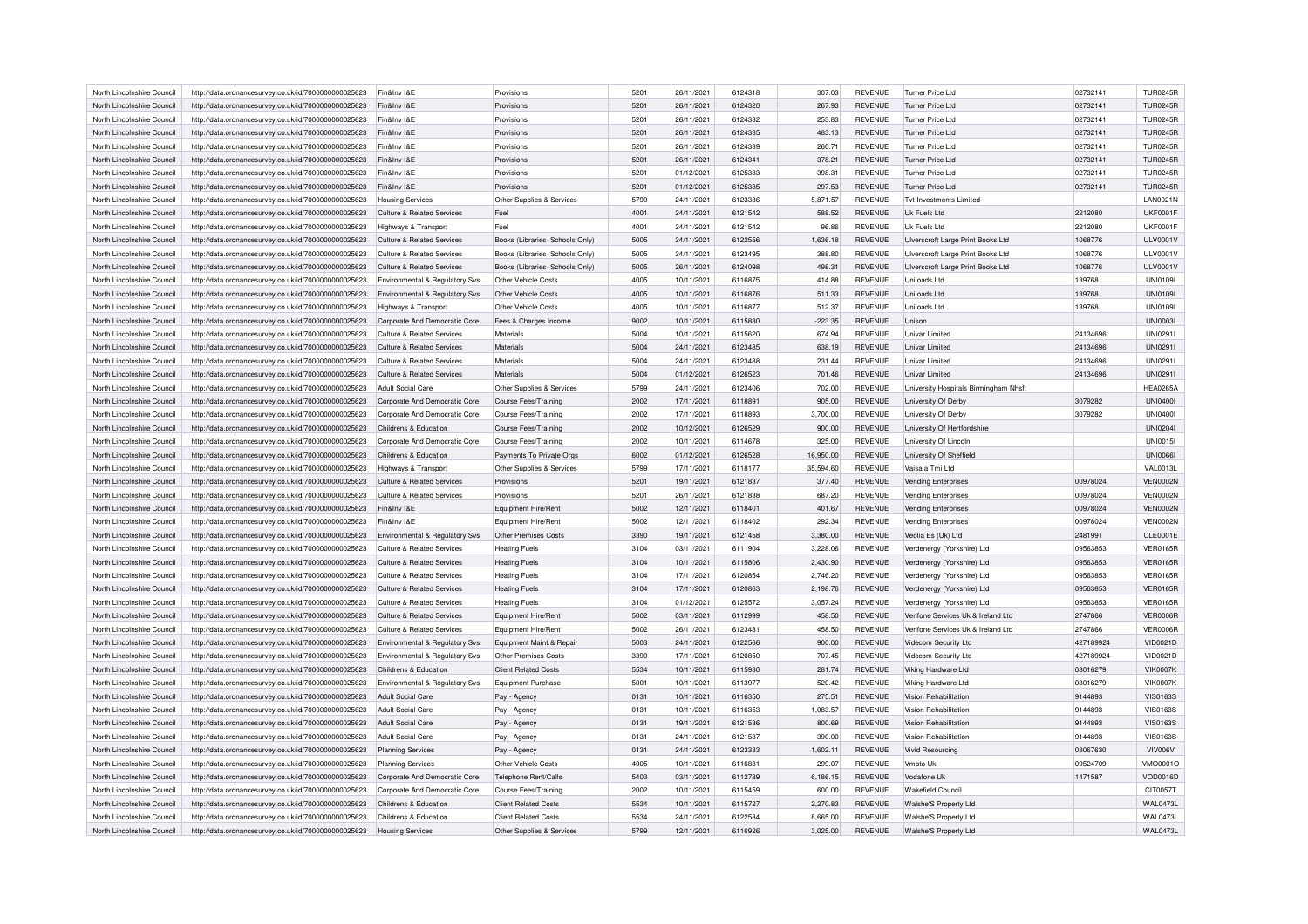| North Lincolnshire Council | http://data.ordnancesurvey.co.uk/id/7000000000025623 | Fin&Inv I&E                           | Provisions                     | 5201 | 26/11/2021 | 6124318 | 307.03    | <b>REVENUE</b> | Turner Price Ltd                      | 02732141  | <b>TUR0245R</b> |
|----------------------------|------------------------------------------------------|---------------------------------------|--------------------------------|------|------------|---------|-----------|----------------|---------------------------------------|-----------|-----------------|
| North Lincolnshire Council | http://data.ordnancesurvey.co.uk/id/7000000000025623 | Fin&Inv I&E                           | Provisions                     | 5201 | 26/11/2021 | 6124320 | 267.93    | <b>REVENUE</b> | <b>Turner Price Ltd</b>               | 02732141  | <b>TUR0245R</b> |
| North Lincolnshire Council | http://data.ordnancesurvey.co.uk/id/7000000000025623 | Fin&Inv I&E                           | Provisions                     | 5201 | 26/11/2021 | 6124332 | 253.83    | <b>REVENUE</b> | Turner Price Ltd                      | 02732141  | <b>TUR0245R</b> |
| North Lincolnshire Council | http://data.ordnancesurvey.co.uk/id/7000000000025623 | Fin&Inv I&E                           | Provisions                     | 5201 | 26/11/2021 | 6124335 | 483.13    | <b>REVENUE</b> | Turner Price Ltd                      | 02732141  | <b>TUR0245R</b> |
|                            |                                                      | Fin&Inv I&F                           |                                |      |            | 6124339 |           |                |                                       |           | <b>TUR0245R</b> |
| North Lincolnshire Council | http://data.ordnancesurvey.co.uk/id/7000000000025623 |                                       | Provisions                     | 5201 | 26/11/2021 |         | 260.71    | REVENUE        | Turner Price Ltd                      | 02732141  |                 |
| North Lincolnshire Council | http://data.ordnancesurvey.co.uk/id/7000000000025623 | Fin&Inv I&E                           | Provisions                     | 5201 | 26/11/2021 | 6124341 | 378.21    | <b>REVENUE</b> | Turner Price Ltd                      | 02732141  | <b>TUR0245R</b> |
| North Lincolnshire Council | http://data.ordnancesurvey.co.uk/id/7000000000025623 | Fin&Inv I&E                           | Provisions                     | 5201 | 01/12/2021 | 6125383 | 398.31    | <b>REVENUE</b> | Turner Price Ltd                      | 02732141  | <b>TUR0245R</b> |
| North Lincolnshire Council | http://data.ordnancesurvey.co.uk/id/7000000000025623 | Fin&Inv I&F                           | Provisions                     | 5201 | 01/12/2021 | 6125385 | 297.53    | <b>REVENUE</b> | <b>Turner Price Ltd</b>               | 02732141  | <b>TUR0245R</b> |
| North Lincolnshire Council | http://data.ordnancesurvey.co.uk/id/7000000000025623 | <b>Housing Services</b>               | Other Supplies & Services      | 5799 | 24/11/2021 | 6123336 | 5,871.57  | <b>REVENUE</b> | Tyt Investments I imited              |           | <b>LAN0021N</b> |
| North Lincolnshire Council | http://data.ordnancesurvey.co.uk/id/7000000000025623 | Culture & Related Services            | Fuel                           | 4001 | 24/11/2021 | 6121542 | 588.52    | <b>REVENUE</b> | Uk Fuels Ltd                          | 2212080   | <b>UKF0001F</b> |
| North Lincolnshire Council | http://data.ordnancesurvey.co.uk/id/7000000000025623 | Highways & Transport                  | Fuel                           | 4001 | 24/11/2021 | 6121542 | 96.86     | <b>REVENUE</b> | Uk Fuels I td                         | 2212080   | <b>UKF0001F</b> |
| North Lincolnshire Council | http://data.ordnancesurvey.co.uk/id/7000000000025623 | <b>Culture &amp; Related Services</b> | Books (Libraries+Schools Only) | 5005 | 24/11/2021 | 6122556 | 1.636.18  | <b>REVENUE</b> | Ulverscroft Large Print Books Ltd     | 1068776   | <b>ULV0001V</b> |
| North Lincolnshire Council | http://data.ordnancesurvey.co.uk/id/7000000000025623 | <b>Culture &amp; Related Services</b> | Books (Libraries+Schools Only) | 5005 | 24/11/2021 | 6123495 | 388.80    | <b>REVENUE</b> | Ulverscroft Large Print Books Ltd     | 1068776   | <b>ULV0001V</b> |
| North Lincolnshire Council | http://data.ordnancesurvey.co.uk/id/7000000000025623 | Culture & Related Services            | Books (Libraries+Schools Only) | 5005 | 26/11/2021 | 6124098 | 498.31    | <b>REVENUE</b> | Ulverscroft Large Print Books Ltd     | 1068776   | <b>ULV0001V</b> |
| North Lincolnshire Council | http://data.ordnancesurvey.co.uk/id/7000000000025623 | Environmental & Regulatory Svs        | Other Vehicle Costs            | 4005 | 10/11/2021 | 6116875 | 414.88    | <b>REVENUE</b> | Uniloads Ltd                          | 139768    | <b>UNI01091</b> |
| North Lincolnshire Council | http://data.ordnancesurvey.co.uk/id/7000000000025623 | Environmental & Regulatory Svs        | Other Vehicle Costs            | 4005 | 10/11/2021 | 6116876 | 511.33    | <b>REVENUE</b> | <b>Uniloads Ltd</b>                   | 139768    | <b>UNI0109I</b> |
| North Lincolnshire Council | http://data.ordnancesurvey.co.uk/id/7000000000025623 | Highways & Transport                  | Other Vehicle Costs            | 4005 | 10/11/2021 | 6116877 | 512.37    | REVENUE        | <b>Uniloads Ltd</b>                   | 139768    | <b>UNI01091</b> |
| North Lincolnshire Council | http://data.ordnancesurvey.co.uk/id/7000000000025623 | Corporate And Democratic Core         | Fees & Charges Income          | 9002 | 10/11/2021 | 6115880 | $-223.35$ | <b>REVENUE</b> | Unison                                |           | <b>UNI0003I</b> |
| North Lincolnshire Council | http://data.ordnancesurvey.co.uk/id/7000000000025623 | <b>Culture &amp; Related Services</b> | Materials                      | 5004 | 10/11/2021 | 6115620 | 674.94    | REVENUE        | <b>Univar Limited</b>                 | 24134696  | UNI0291I        |
| North Lincolnshire Council | http://data.ordnancesurvey.co.uk/id/7000000000025623 | <b>Culture &amp; Related Services</b> | Materials                      | 5004 | 24/11/2021 | 6123485 | 638.19    | <b>REVENUE</b> | <b>Univar Limited</b>                 | 24134696  | <b>UNI0291I</b> |
| North Lincolnshire Council | http://data.ordnancesurvey.co.uk/id/7000000000025623 | <b>Culture &amp; Related Services</b> | Materials                      | 5004 | 24/11/2021 | 6123488 | 231.44    | <b>REVENUE</b> | <b>I Inivar Limited</b>               | 24134696  | UNI0291I        |
|                            |                                                      |                                       | Materials                      | 5004 |            |         |           |                |                                       |           | <b>UNI0291I</b> |
| North Lincolnshire Council | http://data.ordnancesurvey.co.uk/id/7000000000025623 | <b>Culture &amp; Related Services</b> |                                |      | 01/12/2021 | 6126523 | 701.46    | <b>REVENUE</b> | <b>Univar Limited</b>                 | 24134696  |                 |
| North Lincolnshire Council | http://data.ordnancesurvey.co.uk/id/7000000000025623 | <b>Adult Social Care</b>              | Other Supplies & Services      | 5799 | 24/11/2021 | 6123406 | 702.00    | <b>REVENUE</b> | University Hospitals Birmingham Nhsft |           | <b>HEA0265A</b> |
| North Lincolnshire Council | http://data.ordnancesurvey.co.uk/id/7000000000025623 | Corporate And Democratic Core         | Course Fees/Training           | 2002 | 17/11/2021 | 611889  | 905.00    | <b>REVENUE</b> | University Of Derby                   | 3079282   | <b>UNI0400I</b> |
| North Lincolnshire Council | http://data.ordnancesurvey.co.uk/id/7000000000025623 | Corporate And Democratic Core         | Course Fees/Training           | 2002 | 17/11/2021 | 6118893 | 3,700.00  | <b>REVENUE</b> | University Of Derby                   | 3079282   | <b>UNI0400I</b> |
| North Lincolnshire Council | http://data.ordnancesurvey.co.uk/id/7000000000025623 | Childrens & Education                 | <b>Course Fees/Training</b>    | 2002 | 10/12/2021 | 6126529 | 900.00    | <b>REVENUE</b> | University Of Hertfordshire           |           | <b>UNI02041</b> |
| North Lincolnshire Council | http://data.ordnancesurvey.co.uk/id/7000000000025623 | Corporate And Democratic Core         | Course Fees/Training           | 2002 | 10/11/2021 | 6114678 | 325.00    | <b>REVENUE</b> | University Of Lincoln                 |           | <b>UNI0015I</b> |
| North Lincolnshire Council | http://data.ordnancesurvey.co.uk/id/7000000000025623 | Childrens & Education                 | Payments To Private Orgs       | 6002 | 01/12/2021 | 6126528 | 16,950.00 | <b>REVENUE</b> | University Of Sheffield               |           | <b>UNI00661</b> |
| North Lincolnshire Council | http://data.ordnancesurvey.co.uk/id/7000000000025623 | Highways & Transport                  | Other Supplies & Services      | 5799 | 17/11/2021 | 6118177 | 35.594.60 | <b>REVENUE</b> | Vaisala Tmi Ltd                       |           | <b>VAL0013L</b> |
| North Lincolnshire Council | http://data.ordnancesurvey.co.uk/id/7000000000025623 | Culture & Related Services            | Provisions                     | 5201 | 19/11/2021 | 6121837 | 377.40    | <b>REVENUE</b> | <b>Vending Enterprises</b>            | 00978024  | <b>VEN0002N</b> |
| North Lincolnshire Council | http://data.ordnancesurvey.co.uk/id/7000000000025623 | <b>Culture &amp; Related Services</b> | Provisions                     | 5201 | 26/11/2021 | 6121838 | 687.20    | REVENUE        | <b>Vending Enterprises</b>            | 00978024  | <b>VEN0002N</b> |
| North Lincolnshire Council | http://data.ordnancesurvey.co.uk/id/7000000000025623 | Fin&Inv I&F                           | Equipment Hire/Rent            | 5002 | 12/11/2021 | 6118401 | 401.67    | <b>REVENUE</b> | <b>Vending Enterprises</b>            | 00978024  | <b>VEN0002N</b> |
| North Lincolnshire Council | http://data.ordnancesurvey.co.uk/id/7000000000025623 | Fin&Inv I&E                           | Equipment Hire/Rent            | 5002 | 12/11/2021 | 6118402 | 292.34    | <b>REVENUE</b> | <b>Vending Enterprises</b>            | 00978024  | <b>VEN0002N</b> |
| North Lincolnshire Council | http://data.ordnancesurvey.co.uk/id/7000000000025623 | Environmental & Regulatory Svs        | Other Premises Costs           | 3390 | 19/11/2021 | 6121458 | 3,380.00  | <b>REVENUE</b> | Veolia Es (Uk) Ltd                    | 2481991   | <b>CLE0001E</b> |
| North Lincolnshire Council | http://data.ordnancesurvey.co.uk/id/7000000000025623 | <b>Culture &amp; Related Services</b> | <b>Heating Fuels</b>           | 3104 | 03/11/2021 | 6111904 | 3,228.06  | <b>REVENUE</b> | Verdenergy (Yorkshire) Ltd            | 09563853  | <b>VER0165R</b> |
| North Lincolnshire Council | http://data.ordnancesurvey.co.uk/id/7000000000025623 | <b>Culture &amp; Related Services</b> | <b>Heating Fuels</b>           | 3104 | 10/11/2021 | 6115806 | 2.430.90  | <b>REVENUE</b> | Verdenergy (Yorkshire) Ltd            | 09563853  | <b>VER0165R</b> |
| North Lincolnshire Council | http://data.ordnancesurvey.co.uk/id/7000000000025623 | <b>Culture &amp; Related Services</b> | <b>Heating Fuels</b>           | 3104 | 17/11/2021 | 6120854 | 2,746.20  | <b>REVENUE</b> | Verdenergy (Yorkshire) Ltd            | 09563853  | <b>VER0165R</b> |
| North Lincolnshire Council | http://data.ordnancesurvey.co.uk/id/7000000000025623 | <b>Culture &amp; Related Services</b> | <b>Heating Fuels</b>           | 3104 | 17/11/2021 | 6120863 | 2,198.76  | <b>REVENUE</b> | Verdenergy (Yorkshire) Ltd            | 09563853  | <b>VER0165R</b> |
| North Lincolnshire Council | http://data.ordnancesurvey.co.uk/id/7000000000025623 | <b>Culture &amp; Related Services</b> | <b>Heating Fuels</b>           | 3104 | 01/12/2021 | 6125572 | 3,057.24  | <b>REVENUE</b> | Verdenergy (Yorkshire) Ltd            | 09563853  | <b>VER0165R</b> |
| North Lincolnshire Council | http://data.ordnancesurvey.co.uk/id/7000000000025623 | <b>Culture &amp; Related Services</b> | <b>Equipment Hire/Rent</b>     | 5002 | 03/11/2021 | 6112999 | 458.50    | <b>REVENUE</b> | Verifone Services Uk & Ireland Ltd    | 2747866   | <b>VER0006R</b> |
|                            |                                                      |                                       |                                |      |            | 6123481 |           | <b>REVENUE</b> |                                       |           | <b>VER0006R</b> |
| North Lincolnshire Council | http://data.ordnancesurvey.co.uk/id/7000000000025623 | <b>Culture &amp; Related Services</b> | Equipment Hire/Rent            | 5002 | 26/11/2021 |         | 458.50    |                | Verifone Services Uk & Ireland Ltd    | 2747866   |                 |
| North Lincolnshire Council | http://data.ordnancesurvey.co.uk/id/7000000000025623 | Environmental & Regulatory Svs        | Equipment Maint.& Repair       | 5003 | 24/11/2021 | 6122566 | 900.00    | <b>REVENUE</b> | Videcom Security Ltd                  | 427189924 | VID0021D        |
| North Lincolnshire Council | http://data.ordnancesurvey.co.uk/id/7000000000025623 | Environmental & Regulatory Svs        | Other Premises Costs           | 3390 | 17/11/2021 | 6120850 | 707.45    | REVENUE        | Videcom Security Ltd                  | 427189924 | VID0021D        |
| North Lincolnshire Council | http://data.ordnancesurvey.co.uk/id/7000000000025623 | Childrens & Education                 | <b>Client Related Costs</b>    | 5534 | 10/11/2021 | 6115930 | 281.74    | <b>REVENUE</b> | Viking Hardware Ltd                   | 03016279  | <b>VIK0007K</b> |
| North Lincolnshire Council | http://data.ordnancesurvey.co.uk/id/7000000000025623 | Environmental & Regulatory Svs        | Equipment Purchase             | 5001 | 10/11/2021 | 6113977 | 520.42    | <b>REVENUE</b> | Viking Hardware Ltd                   | 03016279  | <b>VIK0007K</b> |
| North Lincolnshire Council | http://data.ordnancesurvey.co.uk/id/7000000000025623 | Adult Social Care                     | Pay - Agency                   | 0131 | 10/11/2021 | 6116350 | 275.51    | <b>REVENUE</b> | Vision Rehabilitation                 | 9144893   | <b>VIS0163S</b> |
| North Lincolnshire Council | http://data.ordnancesurvey.co.uk/id/7000000000025623 | <b>Adult Social Care</b>              | Pay - Agency                   | 0131 | 10/11/2021 | 6116353 | 1,083.57  | <b>REVENUE</b> | Vision Rehabilitation                 | 9144893   | <b>VIS0163S</b> |
| North Lincolnshire Council | http://data.ordnancesurvey.co.uk/id/7000000000025623 | <b>Adult Social Care</b>              | Pay - Agency                   | 0131 | 19/11/2021 | 6121536 | 800.69    | <b>REVENUE</b> | Vision Rehabilitation                 | 9144893   | <b>VIS0163S</b> |
| North Lincolnshire Council | http://data.ordnancesurvey.co.uk/id/7000000000025623 | Adult Social Care                     | Pay - Agency                   | 0131 | 24/11/2021 | 6121537 | 390.00    | <b>REVENUE</b> | <b>Vision Rehabilitation</b>          | 9144893   | <b>VIS0163S</b> |
| North Lincolnshire Council | http://data.ordnancesurvey.co.uk/id/7000000000025623 | <b>Planning Services</b>              | Pay - Agency                   | 0131 | 24/11/2021 | 6123333 | 1,602.11  | <b>REVENUE</b> | <b>Vivid Resourcing</b>               | 08067630  | VIV006V         |
| North Lincolnshire Council | http://data.ordnancesurvey.co.uk/id/7000000000025623 | <b>Planning Services</b>              | Other Vehicle Costs            | 4005 | 10/11/2021 | 6116881 | 299.07    | <b>REVENUE</b> | Vmoto Uk                              | 09524709  | VMO0001O        |
| North Lincolnshire Council | http://data.ordnancesurvey.co.uk/id/7000000000025623 | Corporate And Democratic Core         | Telephone Rent/Calls           | 5403 | 03/11/2021 | 6112789 | 6,186.15  | <b>REVENUE</b> | Vodafone Uk                           | 1471587   | <b>VOD0016D</b> |
| North Lincolnshire Council | http://data.ordnancesurvey.co.uk/id/7000000000025623 | Corporate And Democratic Core         | Course Fees/Training           | 2002 | 10/11/2021 | 6115459 | 600.00    | REVENUE        | <b>Wakefield Council</b>              |           | CIT0057T        |
| North Lincolnshire Council | http://data.ordnancesurvey.co.uk/id/7000000000025623 | Childrens & Education                 | <b>Client Related Costs</b>    | 5534 | 10/11/2021 | 6115727 | 2.270.83  | <b>REVENUE</b> | Walshe'S Property Ltd                 |           | WAL0473L        |
| North Lincolnshire Council | http://data.ordnancesurvey.co.uk/id/7000000000025623 | Childrens & Education                 | <b>Client Related Costs</b>    | 5534 | 24/11/2021 | 6122584 | 8,665.00  | <b>REVENUE</b> | Walshe'S Property Ltd                 |           | <b>WAL0473L</b> |
| North Lincolnshire Council | http://data.ordnancesurvey.co.uk/id/7000000000025623 | <b>Housing Services</b>               | Other Supplies & Services      | 5799 | 12/11/2021 | 6116926 | 3,025.00  | <b>REVENUE</b> | Walshe'S Property Ltd                 |           | WAL0473L        |
|                            |                                                      |                                       |                                |      |            |         |           |                |                                       |           |                 |